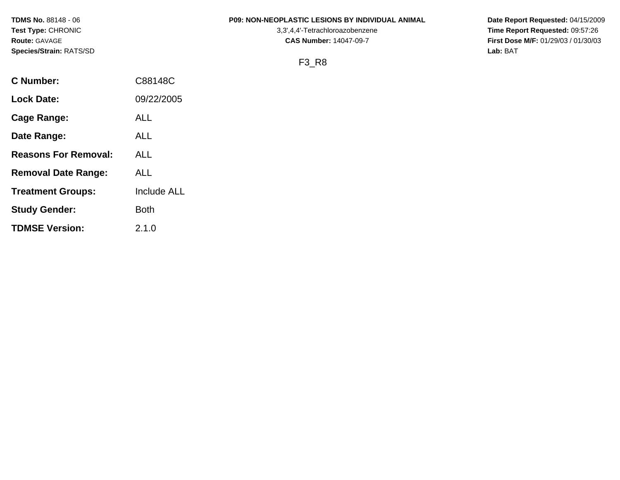# **TDMS No.** 88148 - 06 **P09: NON-NEOPLASTIC LESIONS BY INDIVIDUAL ANIMAL Date Report Requested:** 04/15/2009

**Test Type:** CHRONIC 3,3',4,4'-Tetrachloroazobenzene **Time Report Requested:** 09:57:26 **Route:** GAVAGE **CAS Number:** 14047-09-7 **First Dose M/F:** 01/29/03 / 01/30/03

# F3\_R8

| C Number:                   | C88148C            |
|-----------------------------|--------------------|
| <b>Lock Date:</b>           | 09/22/2005         |
| Cage Range:                 | ALL                |
| Date Range:                 | ALL                |
| <b>Reasons For Removal:</b> | ALL                |
| <b>Removal Date Range:</b>  | ALL                |
| <b>Treatment Groups:</b>    | <b>Include ALL</b> |
| <b>Study Gender:</b>        | Both               |
| <b>TDMSE Version:</b>       | 2.1.0              |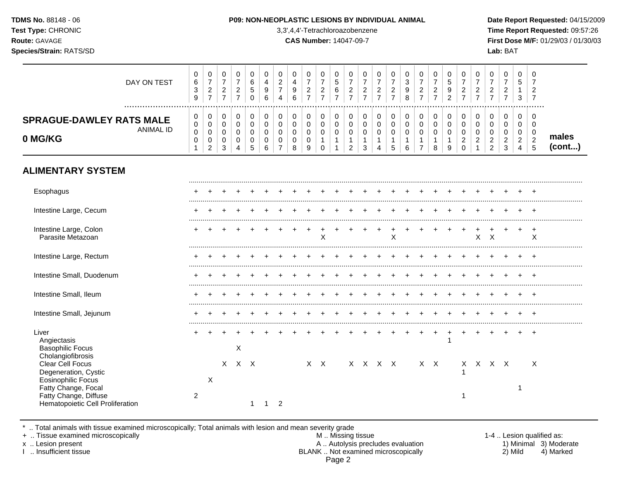### **TDMS No.** 88148 - 06 **P09: NON-NEOPLASTIC LESIONS BY INDIVIDUAL ANIMAL Date Report Requested:** 04/15/2009

**Test Type:** CHRONIC 3,3',4,4'-Tetrachloroazobenzene **Time Report Requested:** 09:57:26 **Route:** GAVAGE **CAS Number:** 14047-09-7 **First Dose M/F:** 01/29/03 / 01/30/03

| DAY ON TEST<br>                                                                                   | 0<br>$\,6$<br>$\mathsf 3$<br>9           | $\mathbf 0$<br>$\overline{7}$<br>$\boldsymbol{2}$<br>$\overline{7}$ | $\mathbf 0$<br>$\overline{7}$<br>$\overline{c}$<br>$\overline{7}$ | 0<br>$\overline{7}$<br>$\boldsymbol{2}$<br>$\overline{7}$ | 0<br>6<br>5<br>$\mathbf 0$                       | $\mathbf 0$<br>4<br>9<br>6                       | 0<br>$\overline{c}$<br>$\overline{7}$<br>$\overline{\mathbf{4}}$ | 0<br>$\overline{\mathbf{4}}$<br>$\boldsymbol{9}$<br>6 | 0<br>$\overline{7}$<br>$\overline{c}$<br>$\overline{7}$ | $\pmb{0}$<br>$\boldsymbol{7}$<br>$\boldsymbol{2}$<br>$\overline{7}$ | 0<br>$\overline{5}$<br>$\,6$<br>$\overline{7}$       | 0<br>$\boldsymbol{7}$<br>$\overline{2}$<br>$\overline{7}$ | 0<br>$\overline{7}$<br>$\overline{2}$<br>$\overline{7}$ | 0<br>$\overline{7}$<br>$\overline{c}$<br>$\overline{7}$ | 0<br>$\overline{7}$<br>$\sqrt{2}$<br>$\overline{7}$ | 0<br>3<br>$\boldsymbol{9}$<br>8                                  | 0<br>$\overline{7}$<br>$\boldsymbol{2}$<br>$\overline{7}$           | 0<br>$\boldsymbol{7}$<br>$\overline{2}$<br>$\overline{7}$ | 0<br>$\sqrt{5}$<br>$9\,$<br>$\overline{2}$ | 0<br>$\overline{7}$<br>$\overline{2}$<br>$\overline{7}$    | 0<br>$\overline{7}$<br>$\boldsymbol{2}$<br>$\overline{7}$ | 0<br>$\overline{7}$<br>$\overline{c}$<br>$\overline{7}$            | 0<br>$\overline{7}$<br>$\boldsymbol{2}$<br>$\overline{7}$ | 0<br>$\sqrt{5}$<br>3                                                | 0<br>$\overline{7}$<br>$\overline{c}$<br>$\overline{7}$ |                 |
|---------------------------------------------------------------------------------------------------|------------------------------------------|---------------------------------------------------------------------|-------------------------------------------------------------------|-----------------------------------------------------------|--------------------------------------------------|--------------------------------------------------|------------------------------------------------------------------|-------------------------------------------------------|---------------------------------------------------------|---------------------------------------------------------------------|------------------------------------------------------|-----------------------------------------------------------|---------------------------------------------------------|---------------------------------------------------------|-----------------------------------------------------|------------------------------------------------------------------|---------------------------------------------------------------------|-----------------------------------------------------------|--------------------------------------------|------------------------------------------------------------|-----------------------------------------------------------|--------------------------------------------------------------------|-----------------------------------------------------------|---------------------------------------------------------------------|---------------------------------------------------------|-----------------|
| <b>SPRAGUE-DAWLEY RATS MALE</b><br><b>ANIMAL ID</b><br>0 MG/KG                                    | 0<br>0<br>$\pmb{0}$<br>0<br>$\mathbf{1}$ | 0<br>0<br>$\mathbf 0$<br>$\mathbf 0$<br>$\overline{2}$              | 0<br>$\mathbf 0$<br>$\Omega$<br>$\mathbf 0$<br>3                  | 0<br>$\mathbf 0$<br>$\Omega$<br>$\mathbf 0$<br>4          | 0<br>$\mathbf 0$<br>$\Omega$<br>$\mathbf 0$<br>5 | 0<br>$\mathbf 0$<br>$\Omega$<br>$\mathbf 0$<br>6 | 0<br>$\mathbf 0$<br>$\Omega$<br>$\mathbf 0$<br>$\overline{7}$    | 0<br>$\mathbf 0$<br>$\mathbf 0$<br>$\mathbf 0$<br>8   | 0<br>0<br>$\mathbf 0$<br>$\mathbf 0$<br>9               | 0<br>0<br>$\mathbf 0$<br>$\mathbf{1}$<br>$\mathbf 0$                | 0<br>0<br>$\mathbf 0$<br>$\mathbf{1}$<br>$\mathbf 1$ | 0<br>0<br>$\mathbf 0$<br>$\mathbf{1}$<br>$\overline{c}$   | 0<br>$\mathbf 0$<br>$\mathbf 0$<br>$\mathbf{1}$<br>3    | 0<br>0<br>0<br>$\mathbf{1}$<br>4                        | 0<br>$\mathbf 0$<br>$\mathbf 0$<br>1<br>5           | 0<br>$\mathbf 0$<br>$\pmb{0}$<br>$\mathbf{1}$<br>$6\phantom{1}6$ | 0<br>$\mathbf 0$<br>$\mathbf 0$<br>$\overline{1}$<br>$\overline{7}$ | 0<br>$\mathbf 0$<br>$\mathbf 0$<br>$\mathbf{1}$<br>8      | 0<br>0<br>$\Omega$<br>$\mathbf{1}$<br>9    | 0<br>$\mathbf 0$<br>$\Omega$<br>$\overline{c}$<br>$\Omega$ | 0<br>$\mathbf 0$<br>$\Omega$<br>$\overline{2}$            | 0<br>$\mathbf 0$<br>$\Omega$<br>$\boldsymbol{2}$<br>$\overline{2}$ | 0<br>$\mathbf 0$<br>$\Omega$<br>$\boldsymbol{2}$<br>3     | 0<br>$\mathbf 0$<br>$\mathbf 0$<br>$\overline{2}$<br>$\overline{4}$ | 0<br>0<br>0<br>$\overline{2}$<br>$\overline{5}$         | males<br>(cont) |
| <b>ALIMENTARY SYSTEM</b>                                                                          |                                          |                                                                     |                                                                   |                                                           |                                                  |                                                  |                                                                  |                                                       |                                                         |                                                                     |                                                      |                                                           |                                                         |                                                         |                                                     |                                                                  |                                                                     |                                                           |                                            |                                                            |                                                           |                                                                    |                                                           |                                                                     |                                                         |                 |
| Esophagus                                                                                         |                                          |                                                                     |                                                                   |                                                           |                                                  |                                                  |                                                                  |                                                       |                                                         |                                                                     |                                                      |                                                           |                                                         |                                                         |                                                     |                                                                  |                                                                     |                                                           |                                            |                                                            |                                                           |                                                                    |                                                           |                                                                     |                                                         |                 |
| Intestine Large, Cecum                                                                            |                                          |                                                                     |                                                                   |                                                           |                                                  |                                                  |                                                                  |                                                       |                                                         |                                                                     |                                                      |                                                           |                                                         |                                                         |                                                     |                                                                  |                                                                     |                                                           |                                            |                                                            |                                                           |                                                                    |                                                           |                                                                     |                                                         |                 |
| Intestine Large, Colon<br>Parasite Metazoan                                                       | ٠                                        |                                                                     |                                                                   |                                                           |                                                  |                                                  |                                                                  |                                                       |                                                         | $\sf X$                                                             |                                                      |                                                           |                                                         |                                                         | X                                                   | $\ddot{}$                                                        | +                                                                   |                                                           |                                            |                                                            | X                                                         | $\boldsymbol{\mathsf{X}}$                                          |                                                           | ٠                                                                   | +<br>X                                                  |                 |
| Intestine Large, Rectum                                                                           |                                          |                                                                     |                                                                   |                                                           |                                                  |                                                  |                                                                  |                                                       |                                                         |                                                                     |                                                      |                                                           |                                                         |                                                         |                                                     |                                                                  |                                                                     |                                                           |                                            |                                                            |                                                           |                                                                    |                                                           |                                                                     |                                                         |                 |
| Intestine Small, Duodenum                                                                         |                                          |                                                                     |                                                                   |                                                           |                                                  |                                                  |                                                                  |                                                       |                                                         |                                                                     |                                                      |                                                           |                                                         |                                                         |                                                     |                                                                  |                                                                     |                                                           |                                            |                                                            |                                                           |                                                                    |                                                           |                                                                     |                                                         |                 |
| Intestine Small, Ileum                                                                            |                                          |                                                                     |                                                                   |                                                           |                                                  |                                                  |                                                                  |                                                       |                                                         |                                                                     |                                                      |                                                           |                                                         |                                                         |                                                     |                                                                  |                                                                     |                                                           |                                            |                                                            |                                                           |                                                                    |                                                           |                                                                     |                                                         |                 |
| Intestine Small, Jejunum                                                                          |                                          |                                                                     |                                                                   |                                                           |                                                  |                                                  |                                                                  |                                                       |                                                         |                                                                     |                                                      |                                                           |                                                         |                                                         |                                                     |                                                                  |                                                                     |                                                           |                                            |                                                            |                                                           |                                                                    |                                                           |                                                                     |                                                         |                 |
| Liver<br>Angiectasis<br><b>Basophilic Focus</b>                                                   |                                          |                                                                     |                                                                   | $\boldsymbol{\mathsf{X}}$                                 |                                                  |                                                  |                                                                  |                                                       |                                                         |                                                                     |                                                      |                                                           |                                                         |                                                         |                                                     |                                                                  | +                                                                   | $+$                                                       | $\ddot{}$<br>1                             | $+$                                                        | $\ddot{}$                                                 |                                                                    |                                                           |                                                                     | $\ddot{}$                                               |                 |
| Cholangiofibrosis<br><b>Clear Cell Focus</b><br>Degeneration, Cystic<br><b>Eosinophilic Focus</b> |                                          | $\sf X$                                                             |                                                                   | $X$ $X$ $X$                                               |                                                  |                                                  |                                                                  |                                                       |                                                         | $X$ $X$                                                             |                                                      |                                                           |                                                         | X X X X                                                 |                                                     |                                                                  |                                                                     | $X$ $X$                                                   |                                            | X<br>1                                                     | $\mathsf{X}$                                              | $X \times$                                                         |                                                           |                                                                     | X                                                       |                 |
| Fatty Change, Focal<br>Fatty Change, Diffuse<br>Hematopoietic Cell Proliferation                  | $\overline{2}$                           |                                                                     |                                                                   |                                                           | 1                                                | 1                                                | $\overline{2}$                                                   |                                                       |                                                         |                                                                     |                                                      |                                                           |                                                         |                                                         |                                                     |                                                                  |                                                                     |                                                           |                                            | $\mathbf 1$                                                |                                                           |                                                                    |                                                           | 1                                                                   |                                                         |                 |

\* .. Total animals with tissue examined microscopically; Total animals with lesion and mean severity grade

+ .. Tissue examined microscopically M .. Missing tissue 1-4 .. Lesion qualified as:

- x .. Lesion present **A .. Autolysis precludes evaluation** A .. Autolysis precludes evaluation 1) Minimal 3) Moderate I .. Insufficient tissue BLANK .. Not examined microscopically 2) Mild 4) Marked Page 2
-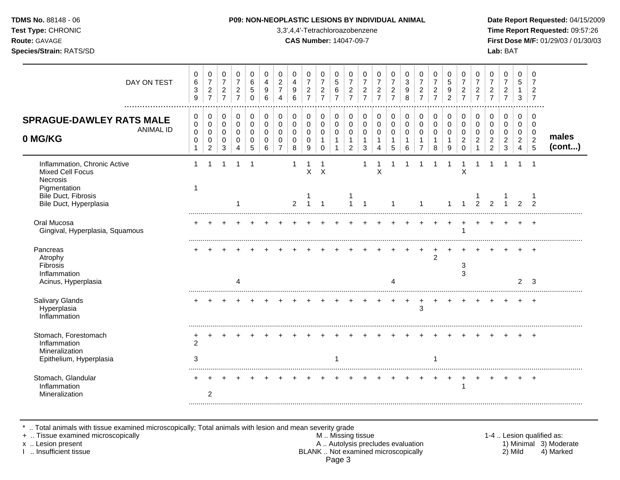### **TDMS No.** 88148 - 06 **P09: NON-NEOPLASTIC LESIONS BY INDIVIDUAL ANIMAL Date Report Requested:** 04/15/2009

**Test Type:** CHRONIC 3,3',4,4'-Tetrachloroazobenzene **Time Report Requested:** 09:57:26 **Route:** GAVAGE **CAS Number:** 14047-09-7 **First Dose M/F:** 01/29/03 / 01/30/03

| DAY ON TEST                                                                                                              | 0<br>$\,6$<br>$\ensuremath{\mathsf{3}}$<br>9                         | 0<br>$\boldsymbol{7}$<br>$\sqrt{2}$<br>$\overline{7}$          | $\mathbf 0$<br>$\overline{7}$<br>$\overline{2}$<br>$\overline{7}$ | 0<br>$\overline{7}$<br>$\boldsymbol{2}$<br>$\overline{7}$ | 0<br>6<br>$\sqrt{5}$<br>$\Omega$                           | 0<br>$\overline{4}$<br>9<br>6 | 0<br>$\sqrt{2}$<br>$\overline{7}$<br>4                                     | 0<br>$\overline{4}$<br>9<br>6    | 0<br>$\overline{7}$<br>$\overline{c}$<br>$\overline{7}$ | $\mathbf 0$<br>$\overline{7}$<br>$\sqrt{2}$<br>$\overline{7}$    | 0<br>$\sqrt{5}$<br>$\,6$<br>$\overline{7}$                  | 0<br>$\overline{7}$<br>$\overline{c}$<br>$\overline{7}$ | $\mathbf 0$<br>$\overline{7}$<br>$\sqrt{2}$<br>$\overline{7}$ | 0<br>$\overline{7}$<br>$\overline{c}$<br>$\overline{7}$ | 0<br>$\overline{7}$<br>$\overline{2}$<br>$\overline{7}$ | 0<br>$\mathbf{3}$<br>$\boldsymbol{9}$<br>8         | 0<br>$\overline{7}$<br>$\overline{a}$<br>$\overline{7}$                   | 0<br>$\overline{7}$<br>$\overline{a}$<br>$\overline{7}$ | 0<br>$5\phantom{.0}$<br>9<br>$\overline{2}$ | 0<br>$\overline{7}$<br>$\overline{c}$<br>$\overline{7}$            | 0<br>$\overline{7}$<br>$\overline{c}$<br>$\overline{7}$                 | 0<br>$\overline{7}$<br>$\sqrt{2}$<br>$\overline{7}$                       | 0<br>$\boldsymbol{7}$<br>$\overline{c}$<br>$\overline{7}$ | $\mathbf 0$<br>5<br>1<br>3                          | 0<br>7<br>$\overline{2}$<br>$\overline{7}$                    |                 |
|--------------------------------------------------------------------------------------------------------------------------|----------------------------------------------------------------------|----------------------------------------------------------------|-------------------------------------------------------------------|-----------------------------------------------------------|------------------------------------------------------------|-------------------------------|----------------------------------------------------------------------------|----------------------------------|---------------------------------------------------------|------------------------------------------------------------------|-------------------------------------------------------------|---------------------------------------------------------|---------------------------------------------------------------|---------------------------------------------------------|---------------------------------------------------------|----------------------------------------------------|---------------------------------------------------------------------------|---------------------------------------------------------|---------------------------------------------|--------------------------------------------------------------------|-------------------------------------------------------------------------|---------------------------------------------------------------------------|-----------------------------------------------------------|-----------------------------------------------------|---------------------------------------------------------------|-----------------|
| <b>SPRAGUE-DAWLEY RATS MALE</b><br><b>ANIMAL ID</b><br>0 MG/KG                                                           | 0<br>$\mathsf{O}\xspace$<br>$\mathbf 0$<br>$\pmb{0}$<br>$\mathbf{1}$ | 0<br>$\mathbf 0$<br>$\mathbf 0$<br>$\pmb{0}$<br>$\overline{2}$ | $\Omega$<br>$\pmb{0}$<br>$\mathbf 0$<br>0<br>3                    | $\mathbf 0$<br>$\pmb{0}$<br>$\mathbf 0$<br>0<br>4         | $\mathbf 0$<br>$\mathbf 0$<br>$\Omega$<br>$\mathbf 0$<br>5 | 0<br>0<br>$\Omega$<br>0<br>6  | $\mathbf 0$<br>$\mathbf 0$<br>$\mathbf 0$<br>$\mathbf 0$<br>$\overline{7}$ | 0<br>$\mathsf{O}$<br>0<br>0<br>8 | 0<br>$\mathbf 0$<br>0<br>0<br>9                         | $\Omega$<br>$\pmb{0}$<br>$\mathbf 0$<br>$\mathbf{1}$<br>$\Omega$ | $\Omega$<br>$\mathbf 0$<br>$\mathbf 0$<br>$\mathbf{1}$<br>1 | 0<br>0<br>$\mathbf 0$<br>$\mathbf 1$<br>2               | $\mathbf 0$<br>$\mathbf 0$<br>$\Omega$<br>1<br>3              | $\,0\,$<br>$\pmb{0}$<br>$\mathbf 0$<br>$\Delta$         | 0<br>$\mathbf 0$<br>0<br>1<br>5                         | 0<br>$\mathsf{O}\xspace$<br>0<br>$\mathbf{1}$<br>6 | 0<br>$\mathsf{O}\xspace$<br>$\mathbf 0$<br>$\mathbf{1}$<br>$\overline{7}$ | 0<br>$\mathbf 0$<br>$\Omega$<br>$\mathbf{1}$<br>8       | $\mathbf 0$<br>0<br>$\Omega$<br>9           | 0<br>$\mathsf{O}\xspace$<br>$\Omega$<br>$\overline{c}$<br>$\Omega$ | $\pmb{0}$<br>$\pmb{0}$<br>$\mathbf 0$<br>$\overline{c}$<br>$\mathbf{1}$ | $\mathbf 0$<br>$\mathbf 0$<br>$\mathbf 0$<br>$\sqrt{2}$<br>$\overline{2}$ | 0<br>$\mathbf 0$<br>$\mathbf 0$<br>$\overline{2}$<br>3    | $\Omega$<br>0<br>$\mathbf 0$<br>$\overline{2}$<br>4 | $\Omega$<br>$\mathbf 0$<br>$\mathbf 0$<br>$\overline{c}$<br>5 | males<br>(cont) |
| Inflammation, Chronic Active<br><b>Mixed Cell Focus</b><br><b>Necrosis</b><br>Pigmentation<br><b>Bile Duct, Fibrosis</b> | 1<br>1                                                               | 1                                                              | $\mathbf{1}$                                                      | $\mathbf{1}$                                              | $\overline{1}$                                             |                               |                                                                            | $\mathbf 1$                      | $\mathbf 1$<br>X                                        | -1<br>$\mathsf{X}$                                               |                                                             |                                                         | 1                                                             | $\pmb{\times}$                                          |                                                         |                                                    |                                                                           |                                                         |                                             | 1<br>Χ                                                             | $\overline{1}$                                                          | -1                                                                        |                                                           |                                                     | -1<br>1                                                       |                 |
| Bile Duct, Hyperplasia<br>Oral Mucosa<br>Gingival, Hyperplasia, Squamous                                                 |                                                                      |                                                                |                                                                   |                                                           |                                                            |                               |                                                                            | 2                                | $\overline{1}$                                          | -1                                                               |                                                             |                                                         |                                                               |                                                         |                                                         |                                                    |                                                                           |                                                         |                                             |                                                                    | $\overline{2}$                                                          | $\overline{2}$<br>$\ddot{}$                                               | $\div$                                                    | 2<br>$\ddot{}$                                      | $\mathcal{P}$<br>$\overline{+}$                               |                 |
| Pancreas<br>Atrophy<br>Fibrosis<br>Inflammation<br>Acinus, Hyperplasia                                                   |                                                                      |                                                                |                                                                   | $\Delta$                                                  |                                                            |                               |                                                                            |                                  |                                                         |                                                                  |                                                             |                                                         |                                                               |                                                         | 4                                                       |                                                    |                                                                           | 2                                                       |                                             | 3<br>3                                                             |                                                                         |                                                                           |                                                           | 2                                                   | $\ddot{}$<br>3                                                |                 |
| Salivary Glands<br>Hyperplasia<br>Inflammation                                                                           |                                                                      |                                                                |                                                                   |                                                           |                                                            |                               |                                                                            |                                  |                                                         |                                                                  |                                                             |                                                         |                                                               |                                                         | $\ddot{}$                                               | $+$                                                | $\overline{a}$<br>3                                                       | $\div$                                                  |                                             |                                                                    |                                                                         |                                                                           |                                                           | $+$                                                 | $+$                                                           |                 |
| Stomach, Forestomach<br>Inflammation<br>Mineralization<br>Epithelium, Hyperplasia                                        | 2<br>3                                                               |                                                                |                                                                   |                                                           |                                                            |                               |                                                                            |                                  |                                                         |                                                                  | -1                                                          |                                                         |                                                               |                                                         |                                                         |                                                    |                                                                           |                                                         |                                             |                                                                    |                                                                         |                                                                           |                                                           |                                                     | $\div$                                                        |                 |
| Stomach, Glandular<br>Inflammation<br>Mineralization                                                                     |                                                                      | 2                                                              |                                                                   |                                                           |                                                            |                               |                                                                            |                                  |                                                         |                                                                  |                                                             |                                                         |                                                               |                                                         |                                                         |                                                    |                                                                           |                                                         |                                             | 1                                                                  |                                                                         |                                                                           |                                                           |                                                     | $\div$                                                        |                 |

\* .. Total animals with tissue examined microscopically; Total animals with lesion and mean severity grade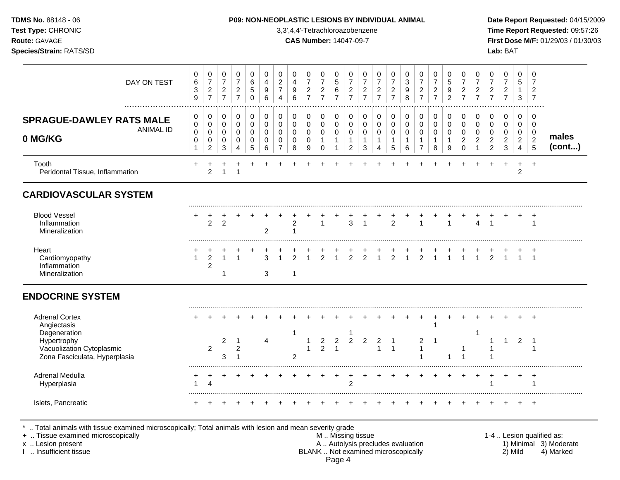# **TDMS No.** 88148 - 06 **P09: NON-NEOPLASTIC LESIONS BY INDIVIDUAL ANIMAL Date Report Requested:** 04/15/2009

**Test Type:** CHRONIC 3,3',4,4'-Tetrachloroazobenzene **Time Report Requested:** 09:57:26 **Route:** GAVAGE **CAS Number:** 14047-09-7 **First Dose M/F:** 01/29/03 / 01/30/03

| DAY ON TEST                                                                                                                       | 0<br>$\,6$<br>$\ensuremath{\mathsf{3}}$<br>9 | 0<br>$\overline{7}$<br>$\sqrt{2}$<br>$\overline{7}$ | 0<br>$\overline{7}$<br>$\overline{c}$<br>$\overline{7}$ | 0<br>$\overline{7}$<br>$\sqrt{2}$<br>$\overline{7}$ | 0<br>6<br>5<br>$\mathbf 0$              | 0<br>4<br>9<br>6                               | 0<br>$\overline{c}$<br>$\overline{7}$<br>4                    | $\pmb{0}$<br>$\overline{4}$<br>$\boldsymbol{9}$<br>$6\phantom{1}$ | 0<br>$\overline{7}$<br>$\overline{c}$<br>$\overline{7}$ | 0<br>$\overline{7}$<br>$\boldsymbol{2}$<br>$\overline{7}$ | 0<br>$\sqrt{5}$<br>$\,6$<br>$\overline{7}$ | 0<br>$\overline{7}$<br>$\overline{c}$<br>$\overline{7}$ | 0<br>$\overline{7}$<br>$\sqrt{2}$<br>$\overline{7}$ | 0<br>$\overline{7}$<br>$\overline{c}$<br>$\overline{7}$         | 0<br>$\overline{7}$<br>$\overline{c}$<br>$\overline{7}$ | 0<br>$\mathbf{3}$<br>9<br>8                      | 0<br>$\overline{7}$<br>$\sqrt{2}$<br>$\overline{7}$               | 0<br>$\overline{7}$<br>$\overline{c}$<br>$\overline{7}$ | 0<br>$\sqrt{5}$<br>9<br>$\overline{2}$                       | 0<br>$\overline{7}$<br>$\boldsymbol{2}$<br>$\overline{7}$ | 0<br>$\overline{7}$<br>$\overline{\mathbf{c}}$<br>$\overline{7}$ | 0<br>$\overline{7}$<br>$\overline{c}$<br>$\overline{7}$             | 0<br>$\overline{7}$<br>$\overline{c}$<br>$\overline{7}$         | 0<br>5<br>1<br>$\mathbf{3}$                                         | $\mathbf 0$<br>$\overline{7}$<br>$\overline{c}$<br>$\overline{7}$   |                       |
|-----------------------------------------------------------------------------------------------------------------------------------|----------------------------------------------|-----------------------------------------------------|---------------------------------------------------------|-----------------------------------------------------|-----------------------------------------|------------------------------------------------|---------------------------------------------------------------|-------------------------------------------------------------------|---------------------------------------------------------|-----------------------------------------------------------|--------------------------------------------|---------------------------------------------------------|-----------------------------------------------------|-----------------------------------------------------------------|---------------------------------------------------------|--------------------------------------------------|-------------------------------------------------------------------|---------------------------------------------------------|--------------------------------------------------------------|-----------------------------------------------------------|------------------------------------------------------------------|---------------------------------------------------------------------|-----------------------------------------------------------------|---------------------------------------------------------------------|---------------------------------------------------------------------|-----------------------|
| <b>SPRAGUE-DAWLEY RATS MALE</b><br><b>ANIMAL ID</b><br>0 MG/KG                                                                    | 0<br>$\mathbf 0$<br>$\pmb{0}$<br>0<br>1      | 0<br>$\pmb{0}$<br>0<br>0<br>$\overline{c}$          | $\pmb{0}$<br>$\mathsf 0$<br>0<br>0<br>$\mathbf{3}$      | 0<br>$\mathbf 0$<br>$\mathbf 0$<br>0<br>4           | $\pmb{0}$<br>$\mathbf 0$<br>0<br>0<br>5 | $\pmb{0}$<br>$\Omega$<br>$\mathbf 0$<br>0<br>6 | 0<br>$\mathbf 0$<br>$\Omega$<br>$\mathbf 0$<br>$\overline{7}$ | $\pmb{0}$<br>$\mathbf 0$<br>$\mathbf 0$<br>0<br>8                 | $\pmb{0}$<br>$\mathbf 0$<br>0<br>0<br>$9\,$             | 0<br>$\mathbf 0$<br>0<br>$\mathbf{1}$<br>$\pmb{0}$        | 0<br>$\mathbf 0$<br>0<br>$\mathbf{1}$      | 0<br>$\mathbf 0$<br>0<br>$\mathbf{1}$<br>$\overline{c}$ | 0<br>$\mathbf 0$<br>0<br>$\mathbf{1}$<br>3          | $\pmb{0}$<br>$\mathbf 0$<br>0<br>$\mathbf{1}$<br>$\overline{4}$ | 0<br>$\mathbf 0$<br>0<br>5                              | $\,0\,$<br>$\mathsf 0$<br>0<br>$\mathbf{1}$<br>6 | $\mathbf 0$<br>$\mathbf 0$<br>0<br>$\mathbf{1}$<br>$\overline{7}$ | $\pmb{0}$<br>$\mathbf 0$<br>0<br>$\mathbf{1}$<br>8      | $\pmb{0}$<br>$\mathbf 0$<br>$\mathbf 0$<br>$\mathbf{1}$<br>9 | 0<br>$\mathbf 0$<br>0<br>$\overline{2}$<br>$\mathbf 0$    | 0<br>$\mathbf 0$<br>0<br>$\overline{c}$<br>$\mathbf{1}$          | 0<br>$\mathbf 0$<br>$\mathbf 0$<br>$\overline{c}$<br>$\overline{2}$ | 0<br>$\mathbf 0$<br>$\mathbf 0$<br>$\sqrt{2}$<br>$\mathfrak{Z}$ | 0<br>$\mathbf 0$<br>$\mathbf 0$<br>$\overline{2}$<br>$\overline{4}$ | 0<br>$\mathbf 0$<br>$\mathbf 0$<br>$\overline{c}$<br>$\overline{5}$ | males<br>$($ cont $)$ |
| Tooth<br>Peridontal Tissue, Inflammation                                                                                          | +                                            | $\overline{2}$                                      | 1                                                       | $\mathbf{1}$                                        |                                         |                                                |                                                               |                                                                   |                                                         |                                                           |                                            |                                                         |                                                     |                                                                 |                                                         |                                                  |                                                                   |                                                         |                                                              |                                                           |                                                                  |                                                                     |                                                                 | $\overline{2}$                                                      | $\ddot{}$                                                           |                       |
| <b>CARDIOVASCULAR SYSTEM</b>                                                                                                      |                                              |                                                     |                                                         |                                                     |                                         |                                                |                                                               |                                                                   |                                                         |                                                           |                                            |                                                         |                                                     |                                                                 |                                                         |                                                  |                                                                   |                                                         |                                                              |                                                           |                                                                  |                                                                     |                                                                 |                                                                     |                                                                     |                       |
| <b>Blood Vessel</b><br>Inflammation<br>Mineralization                                                                             |                                              | $\overline{2}$                                      | 2                                                       |                                                     |                                         | $\overline{c}$                                 |                                                               | $\overline{2}$<br>$\overline{1}$                                  |                                                         |                                                           |                                            | 3                                                       |                                                     |                                                                 | $\overline{2}$                                          |                                                  |                                                                   |                                                         | 1                                                            |                                                           | $\overline{A}$                                                   | $\overline{\mathbf{1}}$                                             |                                                                 |                                                                     | +<br>1                                                              |                       |
| Heart<br>Cardiomyopathy<br>Inflammation<br>Mineralization                                                                         | $\mathbf{1}$                                 | $\overline{2}$<br>$\overline{2}$                    | $\mathbf{1}$<br>1                                       | $\overline{1}$                                      |                                         | 3<br>3                                         |                                                               | $\overline{2}$<br>$\mathbf 1$                                     | $\mathbf{1}$                                            | $\mathcal{P}$                                             | $\overline{1}$                             | $\frac{+}{2}$                                           | $\frac{+}{2}$                                       | $\frac{+}{1}$                                                   | $\frac{+}{2}$                                           | $\frac{+}{1}$                                    | $\frac{+}{2}$                                                     |                                                         | + + + +<br>1 1 1 1                                           |                                                           |                                                                  | $\frac{+}{2}$                                                       | $\frac{+}{1}$                                                   | $\overline{1}$                                                      |                                                                     |                       |
| <b>ENDOCRINE SYSTEM</b>                                                                                                           |                                              |                                                     |                                                         |                                                     |                                         |                                                |                                                               |                                                                   |                                                         |                                                           |                                            |                                                         |                                                     |                                                                 |                                                         |                                                  |                                                                   |                                                         |                                                              |                                                           |                                                                  |                                                                     |                                                                 |                                                                     |                                                                     |                       |
| <b>Adrenal Cortex</b><br>Angiectasis<br>Degeneration<br>Hypertrophy<br>Vacuolization Cytoplasmic<br>Zona Fasciculata, Hyperplasia |                                              | $\overline{2}$                                      | $\overline{a}$<br>3                                     | $\overline{1}$<br>$\overline{2}$<br>$\overline{1}$  |                                         | 4                                              |                                                               | $\mathbf 1$<br>$\overline{2}$                                     | 1                                                       | $\overline{c}$<br>2                                       | $\overline{a}$<br>$\overline{1}$           | $\overline{2}$                                          | $\overline{2}$                                      | $\overline{2}$<br>$\overline{1}$                                | $\mathbf 1$<br>$\mathbf{1}$                             |                                                  | $\overline{c}$<br>$\mathbf{1}$                                    | $\mathbf{1}$<br>$\overline{1}$                          |                                                              | 1                                                         | 1                                                                |                                                                     | $\mathbf{1}$                                                    | $\overline{2}$                                                      | $\ddot{}$<br>$\overline{1}$<br>1                                    |                       |
| Adrenal Medulla<br>Hyperplasia                                                                                                    | 1                                            | $\overline{A}$                                      |                                                         |                                                     |                                         |                                                |                                                               |                                                                   |                                                         |                                                           |                                            | $\overline{2}$                                          |                                                     |                                                                 |                                                         |                                                  |                                                                   |                                                         |                                                              |                                                           | $\ddot{}$                                                        |                                                                     |                                                                 | $\ddot{}$                                                           | $\ddot{}$<br>1                                                      |                       |
| Islets, Pancreatic                                                                                                                |                                              |                                                     |                                                         |                                                     |                                         |                                                |                                                               |                                                                   |                                                         |                                                           |                                            |                                                         |                                                     |                                                                 |                                                         |                                                  |                                                                   |                                                         |                                                              |                                                           |                                                                  |                                                                     |                                                                 |                                                                     |                                                                     |                       |

x .. Lesion present **A .. Autolysis precludes evaluation** A .. Autolysis precludes evaluation 1) Minimal 3) Moderate I .. Insufficient tissue BLANK .. Not examined microscopically 2) Mild 4) Marked

Page 4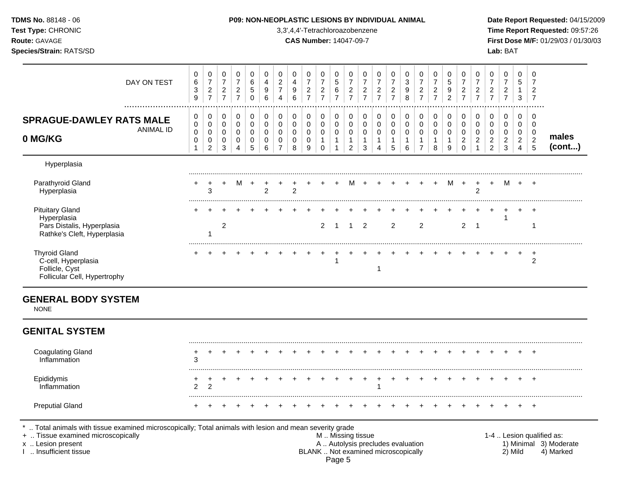| <b>TDMS No. 88148 - 06</b>     | <b>P09: NON-NEOPLASTIC LESIONS BY INDIVIDUAL ANIMAL</b> | Date Rep         |
|--------------------------------|---------------------------------------------------------|------------------|
| <b>Test Type: CHRONIC</b>      | 3,3',4,4'-Tetrachloroazobenzene                         | <b>Time Rep</b>  |
| <b>Route: GAVAGE</b>           | <b>CAS Number: 14047-09-7</b>                           | <b>First Dos</b> |
| <b>Species/Strain: RATS/SD</b> |                                                         | Lab: BAT         |

**Test Type:** CHRONIC 3,3',4,4'-Tetrachloroazobenzene **Time Report Requested:** 09:57:26 **Route:** GAVAGE **CAS Number:** 14047-09-7 **First Dose M/F:** 01/29/03 / 01/30/03

| DAY ON TEST<br>                                                                                    | 0<br>6<br>3<br>9         | 0<br>$\overline{7}$<br>ີ<br>∠<br>7 | 0<br>$\overline{7}$<br>$\overline{c}$<br>$\overline{ }$ | 0<br>$\overline{7}$<br>$\overline{c}$<br>$\overline{7}$ | 0<br>6<br>$\sqrt{5}$<br>$\Omega$ | 0<br>4<br>9<br>6           | 0<br>$\overline{c}$<br>$\overline{ }$ | 0<br>4<br>9<br>6                | 0<br>7<br>c<br>7 | 0<br>$\overline{7}$<br>$\overline{c}$<br>$\overline{ }$ | 0<br>5<br>$\,6$<br>$\overline{7}$ | 0<br>$\overline{7}$<br>$\boldsymbol{2}$<br>$\overline{ }$ | 0<br>$\overline{7}$<br>$\overline{c}$<br>$\overline{7}$ | 0<br>$\overline{7}$<br>$\overline{c}$<br>$\overline{ }$ | 0<br>$\overline{7}$<br>$\overline{2}$<br>$\overline{7}$ | 3<br>9<br>8 | 0<br>$\overline{7}$<br>$\overline{2}$<br>$\overline{ }$ | 0<br>$\overline{7}$<br>$\overline{c}$<br>$\overline{7}$ | 0<br>$\mathbf 5$<br>9<br>2 | 0<br>$\overline{7}$<br>$\overline{\mathbf{c}}$<br>$\overline{ }$ | 0<br>$\overline{7}$<br>2<br>$\overline{ }$ | 0<br>$\overline{7}$<br>$\overline{c}$<br>$\overline{ }$ | 0<br>$\overline{c}$<br>$\overline{7}$ | 0<br>5<br>3                                     | 0<br>7<br>.                                       |                 |
|----------------------------------------------------------------------------------------------------|--------------------------|------------------------------------|---------------------------------------------------------|---------------------------------------------------------|----------------------------------|----------------------------|---------------------------------------|---------------------------------|------------------|---------------------------------------------------------|-----------------------------------|-----------------------------------------------------------|---------------------------------------------------------|---------------------------------------------------------|---------------------------------------------------------|-------------|---------------------------------------------------------|---------------------------------------------------------|----------------------------|------------------------------------------------------------------|--------------------------------------------|---------------------------------------------------------|---------------------------------------|-------------------------------------------------|---------------------------------------------------|-----------------|
| <b>SPRAGUE-DAWLEY RATS MALE</b><br><b>ANIMAL ID</b><br>0 MG/KG                                     | 0<br>$\pmb{0}$<br>0<br>0 | 0<br>0<br>2                        | 0<br>0<br>0<br>0<br>3                                   | 0<br>0<br>0<br>0<br>4                                   | 0<br>$\mathbf 0$<br>0<br>0<br>5  | 0<br>$\mathbf 0$<br>0<br>6 | 0<br>0<br>0<br>0                      | 0<br>0<br>0<br>0<br>8           | 0<br>9           | 0<br>0<br>0<br>$\Omega$                                 | 0<br>0<br>0                       | 0<br>0<br>0<br>2                                          | 0<br>0<br>0<br>3                                        | 0<br>0<br>0                                             | 0<br>0<br>0<br>5                                        | 0<br>6      | 0<br>0<br>0<br>-                                        | 0<br>0<br>0<br>8                                        | 0<br>0<br>0<br>9           | 0<br>0<br>0<br>2                                                 | 0<br>$\mathbf 0$<br>0<br>$\overline{2}$    | 0<br>0<br>$\overline{c}$<br>2                           | 0<br>0<br>2<br>3                      | 0<br>0<br>0<br>$\overline{c}$<br>$\overline{4}$ | 0<br>0<br>$\boldsymbol{0}$<br>$\overline{2}$<br>5 | males<br>(cont) |
| Hyperplasia                                                                                        |                          |                                    |                                                         |                                                         |                                  |                            |                                       |                                 |                  |                                                         |                                   |                                                           |                                                         |                                                         |                                                         |             |                                                         |                                                         |                            |                                                                  |                                            |                                                         |                                       |                                                 |                                                   |                 |
| Parathyroid Gland<br>Hyperplasia                                                                   | $\ddot{}$                | з                                  |                                                         |                                                         | M +                              | $\mathfrak{p}$             | $+$                                   | $\overline{+}$<br>$\mathcal{P}$ |                  |                                                         |                                   | M                                                         |                                                         |                                                         |                                                         |             | $+$                                                     | $\overline{+}$                                          | M                          | $+$                                                              | $\pm$<br>2                                 | $\ddot{}$                                               | м                                     |                                                 | $+$                                               |                 |
| <b>Pituitary Gland</b><br>Hyperplasia<br>Pars Distalis, Hyperplasia<br>Rathke's Cleft, Hyperplasia |                          |                                    | 2                                                       |                                                         |                                  |                            |                                       |                                 |                  | $\mathcal{P}$                                           | -1                                | $\mathbf 1$                                               | 2                                                       |                                                         | $\overline{2}$                                          |             | 2                                                       |                                                         |                            | $\mathcal{P}$                                                    |                                            |                                                         |                                       |                                                 | $\div$                                            |                 |
| <b>Thyroid Gland</b><br>C-cell, Hyperplasia<br>Follicle, Cyst<br>Follicular Cell, Hypertrophy      |                          |                                    |                                                         |                                                         |                                  |                            |                                       |                                 |                  |                                                         |                                   |                                                           |                                                         |                                                         |                                                         |             |                                                         |                                                         |                            |                                                                  |                                            |                                                         |                                       |                                                 | $\div$<br>$\overline{2}$                          |                 |

# **GENERAL BODY SYSTEM**

NONE

# **GENITAL SYSTEM**

| Coagulating Gland<br>⊿mmation |   |  |  |  |  |  |  |         | + + + + + + + + + + + + + |  |  |  | $+$ $+$ |  |
|-------------------------------|---|--|--|--|--|--|--|---------|---------------------------|--|--|--|---------|--|
|                               | ົ |  |  |  |  |  |  | $+$ $-$ |                           |  |  |  |         |  |
| Gland                         |   |  |  |  |  |  |  |         | + + + + + + + + + + +     |  |  |  | $+$ $+$ |  |

\* .. Total animals with tissue examined microscopically; Total animals with lesion and mean severity grade

- + .. Tissue examined microscopically M .. Missing tissue 1-4 .. Lesion qualified as: x .. Lesion present **A .. Autolysis precludes evaluation** A .. Autolysis precludes evaluation 1) Minimal 3) Moderate I .. Insufficient tissue BLANK .. Not examined microscopically 2) Mild 4) Marked Page 5
-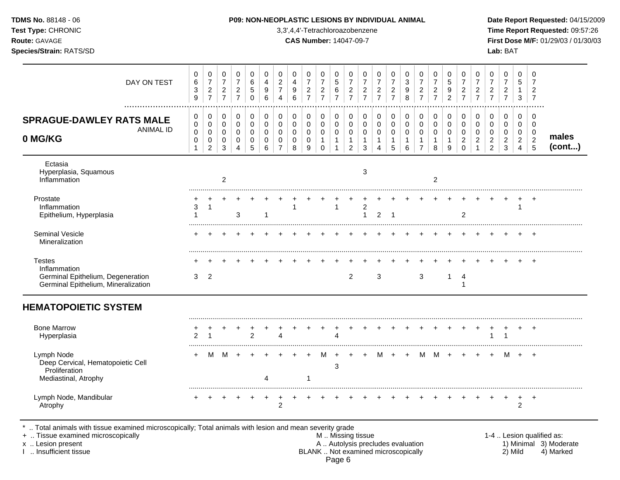| <b>TDMS No. 88148 - 06</b><br>Test Type: CHRONIC<br>Route: GAVAGE<br>Species/Strain: RATS/SD              |                                                          |                                                         |                                                         |                                                                |                                                   |                                                             |                                                                   |                                                             | 3,3',4,4'-Tetrachloroazobenzene<br><b>CAS Number: 14047-09-7</b> |                                                                                |                                                               |                                                                   |                                                                 | <b>P09: NON-NEOPLASTIC LESIONS BY INDIVIDUAL ANIMAL</b>             |                                                           |                                                      |                                                                   |                                                         |                                              |                                                                        |                                                           |                                                               | Lab: BAT                                                          |                                                                               |                                                                  | Date Report Requested: 04/15/2009<br>Time Report Requested: 09:57:26<br>First Dose M/F: 01/29/03 / 01/30/03 |
|-----------------------------------------------------------------------------------------------------------|----------------------------------------------------------|---------------------------------------------------------|---------------------------------------------------------|----------------------------------------------------------------|---------------------------------------------------|-------------------------------------------------------------|-------------------------------------------------------------------|-------------------------------------------------------------|------------------------------------------------------------------|--------------------------------------------------------------------------------|---------------------------------------------------------------|-------------------------------------------------------------------|-----------------------------------------------------------------|---------------------------------------------------------------------|-----------------------------------------------------------|------------------------------------------------------|-------------------------------------------------------------------|---------------------------------------------------------|----------------------------------------------|------------------------------------------------------------------------|-----------------------------------------------------------|---------------------------------------------------------------|-------------------------------------------------------------------|-------------------------------------------------------------------------------|------------------------------------------------------------------|-------------------------------------------------------------------------------------------------------------|
| DAY ON TEST                                                                                               | 0<br>6<br>$\mathbf{3}$<br>9                              | 0<br>$\overline{7}$<br>$\overline{2}$<br>$\overline{7}$ | 0<br>$\overline{7}$<br>$\overline{2}$<br>$\overline{7}$ | 0<br>$\overline{7}$<br>$\overline{c}$<br>$\overline{7}$        | 0<br>6<br>5<br>$\mathbf 0$                        | $\mathbf 0$<br>$\overline{4}$<br>$\boldsymbol{9}$<br>6      | $\mathbf 0$<br>$\overline{c}$<br>$\overline{7}$<br>$\overline{4}$ | 0<br>$\overline{4}$<br>$\boldsymbol{9}$<br>$\,6\,$          | 0<br>$\overline{7}$<br>$\overline{2}$<br>$\overline{7}$          | 0<br>$\overline{7}$<br>$\sqrt{2}$<br>$\overline{7}$                            | 0<br>$\overline{5}$<br>$\,6\,$<br>$\overline{7}$              | $\mathbf 0$<br>$\overline{7}$<br>$\overline{2}$<br>$\overline{7}$ | 0<br>$\overline{7}$<br>$\sqrt{2}$<br>$\overline{7}$             | $\mathbf 0$<br>$\overline{7}$<br>$\boldsymbol{2}$<br>$\overline{7}$ | 0<br>$\overline{7}$<br>$\boldsymbol{2}$<br>$\overline{7}$ | 0<br>$\mathbf{3}$<br>$\boldsymbol{9}$<br>$\bf 8$     | 0<br>$\overline{7}$<br>$\overline{c}$<br>$\overline{7}$           | 0<br>$\overline{7}$<br>$\overline{2}$<br>$\overline{7}$ | 0<br>5<br>$\boldsymbol{9}$<br>$\overline{c}$ | 0<br>$\overline{7}$<br>$\overline{a}$<br>$\overline{7}$                | 0<br>$\overline{7}$<br>$\boldsymbol{2}$<br>$\overline{7}$ | 0<br>$\overline{7}$<br>$\overline{2}$<br>$\overline{7}$       | $\mathbf 0$<br>$\overline{7}$<br>$\sqrt{2}$<br>$\overline{7}$     | 0<br>$\overline{5}$<br>$\mathbf{1}$<br>$\mathbf{3}$                           | 0<br>$\overline{7}$<br>$\overline{c}$<br>$\overline{7}$          |                                                                                                             |
| <b>SPRAGUE-DAWLEY RATS MALE</b><br><b>ANIMAL ID</b><br>0 MG/KG                                            | 0<br>$\pmb{0}$<br>$\pmb{0}$<br>$\pmb{0}$<br>$\mathbf{1}$ | 0<br>$\pmb{0}$<br>$\mathbf 0$<br>0<br>$\overline{c}$    | 0<br>$\mathbf 0$<br>0<br>$\mathbf 0$<br>3               | 0<br>$\pmb{0}$<br>$\mathbf 0$<br>$\mathbf 0$<br>$\overline{4}$ | $\pmb{0}$<br>$\mathsf 0$<br>0<br>$\mathbf 0$<br>5 | $\pmb{0}$<br>$\pmb{0}$<br>$\mathbf 0$<br>$\pmb{0}$<br>$\,6$ | $\pmb{0}$<br>$\mathbf 0$<br>0<br>$\mathbf 0$<br>$\overline{7}$    | 0<br>$\mathsf{O}\xspace$<br>$\mathbf 0$<br>$\mathbf 0$<br>8 | 0<br>$\mathsf{O}\xspace$<br>$\mathbf 0$<br>$\mathbf 0$<br>9      | $\pmb{0}$<br>$\mathsf{O}\xspace$<br>$\mathbf 0$<br>$\mathbf{1}$<br>$\mathbf 0$ | 0<br>$\pmb{0}$<br>$\mathbf 0$<br>$\mathbf{1}$<br>$\mathbf{1}$ | 0<br>$\mathbf 0$<br>$\mathbf 0$<br>$\mathbf{1}$<br>$\overline{2}$ | 0<br>$\mathbf 0$<br>$\mathbf 0$<br>$\mathbf{1}$<br>$\mathbf{3}$ | 0<br>$\mathbf 0$<br>$\mathbf 0$<br>$\mathbf{1}$<br>4                | 0<br>$\pmb{0}$<br>$\Omega$<br>5                           | 0<br>$\mathbf 0$<br>$\mathbf 0$<br>$\mathbf{1}$<br>6 | 0<br>$\mathbf 0$<br>$\mathbf 0$<br>$\mathbf{1}$<br>$\overline{7}$ | 0<br>$\mathbf 0$<br>$\mathbf 0$<br>1<br>8               | 0<br>$\mathbf 0$<br>0<br>$\mathbf{1}$<br>9   | $\pmb{0}$<br>$\mathsf 0$<br>$\pmb{0}$<br>$\overline{2}$<br>$\mathbf 0$ | 0<br>$\pmb{0}$<br>$\pmb{0}$<br>$\sqrt{2}$<br>$\mathbf{1}$ | 0<br>$\pmb{0}$<br>$\mathbf 0$<br>$\sqrt{2}$<br>$\overline{2}$ | $\pmb{0}$<br>$\pmb{0}$<br>$\pmb{0}$<br>$\sqrt{2}$<br>$\mathbf{3}$ | $\mathsf 0$<br>$\mathbf 0$<br>$\mathbf 0$<br>$\overline{2}$<br>$\overline{4}$ | $\mathbf 0$<br>$\mathbf 0$<br>$\mathbf 0$<br>$\overline{c}$<br>5 | males<br>(cont)                                                                                             |
| Ectasia<br>Hyperplasia, Squamous<br>Inflammation                                                          |                                                          |                                                         | $\overline{2}$                                          |                                                                |                                                   |                                                             |                                                                   |                                                             |                                                                  |                                                                                |                                                               |                                                                   | 3                                                               |                                                                     |                                                           |                                                      |                                                                   | $\overline{2}$                                          |                                              |                                                                        |                                                           |                                                               |                                                                   |                                                                               |                                                                  |                                                                                                             |
| Prostate<br>Inflammation<br>Epithelium, Hyperplasia                                                       | 3<br>1                                                   | $\mathbf{1}$                                            |                                                         | 3                                                              |                                                   | $\overline{1}$                                              |                                                                   | 1                                                           |                                                                  |                                                                                | 1                                                             |                                                                   | $\overline{c}$<br>$\mathbf{1}$                                  | 2                                                                   | $\overline{\phantom{0}}$ 1                                |                                                      |                                                                   |                                                         |                                              | 2                                                                      |                                                           |                                                               |                                                                   | 1                                                                             | $\pm$                                                            |                                                                                                             |
| Seminal Vesicle<br>Mineralization                                                                         |                                                          |                                                         |                                                         | $\div$                                                         |                                                   |                                                             |                                                                   |                                                             |                                                                  |                                                                                |                                                               |                                                                   |                                                                 |                                                                     |                                                           |                                                      |                                                                   |                                                         |                                              |                                                                        |                                                           |                                                               |                                                                   |                                                                               |                                                                  |                                                                                                             |
| <b>Testes</b><br>Inflammation<br>Germinal Epithelium, Degeneration<br>Germinal Epithelium, Mineralization | 3 <sup>1</sup>                                           | $\overline{2}$                                          |                                                         |                                                                |                                                   |                                                             |                                                                   |                                                             |                                                                  |                                                                                |                                                               | $\overline{c}$                                                    |                                                                 | 3                                                                   |                                                           |                                                      | 3                                                                 |                                                         | $\mathbf{1}$                                 | $\overline{4}$<br>1                                                    |                                                           |                                                               |                                                                   |                                                                               |                                                                  |                                                                                                             |
| <b>HEMATOPOIETIC SYSTEM</b>                                                                               |                                                          |                                                         |                                                         |                                                                |                                                   |                                                             |                                                                   |                                                             |                                                                  |                                                                                |                                                               |                                                                   |                                                                 |                                                                     |                                                           |                                                      |                                                                   |                                                         |                                              |                                                                        |                                                           |                                                               |                                                                   |                                                                               |                                                                  |                                                                                                             |
| <b>Bone Marrow</b><br>Hyperplasia                                                                         | $\overline{2}$                                           | $\overline{1}$                                          |                                                         |                                                                | $\overline{2}$                                    |                                                             | 4                                                                 |                                                             |                                                                  |                                                                                | 4                                                             |                                                                   |                                                                 |                                                                     |                                                           |                                                      |                                                                   |                                                         |                                              | $\pm$                                                                  | $\div$                                                    | $\mathbf{1}$                                                  | $\mathbf 1$                                                       |                                                                               |                                                                  |                                                                                                             |
| Lymph Node<br>Deep Cervical, Hematopoietic Cell<br>Proliferation<br>Mediastinal, Atrophy                  |                                                          | M                                                       | м                                                       |                                                                |                                                   | 4                                                           |                                                                   |                                                             | $\overline{1}$                                                   | M                                                                              | $+$<br>3                                                      | $\ddot{}$                                                         | $\ddot{}$                                                       | м                                                                   | $\ddot{}$                                                 | $\ddot{}$                                            | м                                                                 | м                                                       | $\overline{+}$                               | $\pm$                                                                  | $\ddot{}$                                                 | $+$                                                           | м                                                                 | $+$                                                                           | $+$                                                              |                                                                                                             |
| Lymph Node, Mandibular<br>Atrophy                                                                         |                                                          |                                                         | $\ddot{}$                                               | $\div$                                                         |                                                   | $\ddot{}$                                                   | $\ddot{}$<br>$\overline{2}$                                       |                                                             |                                                                  |                                                                                |                                                               |                                                                   |                                                                 |                                                                     |                                                           |                                                      |                                                                   |                                                         |                                              |                                                                        |                                                           |                                                               | $\div$                                                            | $\ddot{}$<br>$\overline{2}$                                                   | $\ddot{}$                                                        |                                                                                                             |

\* .. Total animals with tissue examined microscopically; Total animals with lesion and mean severity grade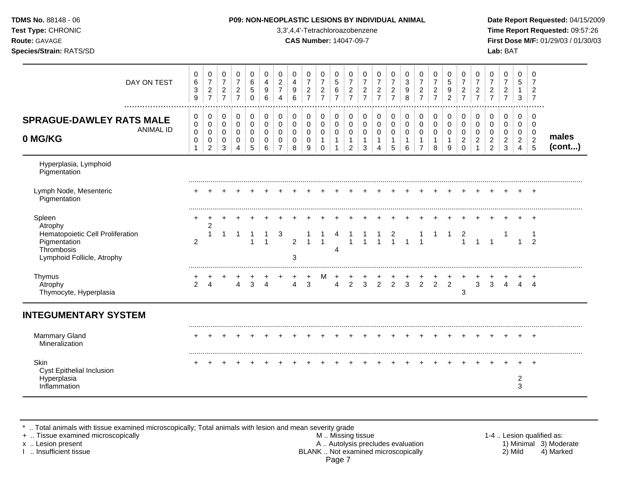| <b>TDMS No.</b> 88148 - 06     | <b>P09: NON-NEOPLASTIC LESIONS BY INDIVIDUAL ANIMAL</b> | Date Rep         |
|--------------------------------|---------------------------------------------------------|------------------|
| Test Type: CHRONIC_            | 3,3',4,4'-Tetrachloroazobenzene                         | Time Rep         |
| <b>Route:</b> GAVAGE           | <b>CAS Number: 14047-09-7</b>                           | <b>First Dos</b> |
| <b>Species/Strain:</b> RATS/SD |                                                         | Lab: BAT         |

**Time Report Requested:** 09:57:26 **Route:** GAVAGE **CAS Number:** 14047-09-7 **First Dose M/F:** 01/29/03 / 01/30/03

| DAY ON TEST                                                                                                       | 0<br>$\,6$<br>$\ensuremath{\mathsf{3}}$<br>$\boldsymbol{9}$ | $\pmb{0}$<br>$\overline{7}$<br>$\overline{c}$<br>$\overline{7}$          | 0<br>$\overline{7}$<br>$\overline{c}$<br>$\overline{7}$        | 0<br>$\boldsymbol{7}$<br>$\overline{a}$<br>$\overline{7}$      | $\mathbf 0$<br>$\,6\,$<br>$\sqrt{5}$<br>$\Omega$ | $\mathbf 0$<br>$\overline{4}$<br>9<br>6              | 0<br>$\boldsymbol{2}$<br>$\overline{7}$<br>4 | 0<br>$\overline{\mathbf{4}}$<br>9<br>6 | $\pmb{0}$<br>$\overline{7}$<br>$\overline{c}$<br>$\overline{7}$ | 0<br>$\overline{7}$<br>$\sqrt{2}$<br>$\overline{7}$            | $\mathbf 0$<br>$\sqrt{5}$<br>6<br>$\overline{7}$                       | 0<br>$\overline{7}$<br>$\boldsymbol{2}$<br>$\overline{7}$        | 0<br>$\overline{7}$<br>$\overline{c}$<br>$\overline{7}$ | 0<br>$\overline{7}$<br>$\overline{c}$<br>$\overline{7}$ | 0<br>$\overline{7}$<br>$\overline{c}$<br>$\overline{7}$        | 0<br>$\sqrt{3}$<br>9<br>8                         | 0<br>$\overline{7}$<br>$\sqrt{2}$<br>$\overline{7}$           | 0<br>$\overline{7}$<br>$\overline{c}$<br>$\overline{7}$  | 0<br>$\overline{5}$<br>$\boldsymbol{9}$<br>$\overline{2}$ | 0<br>$\overline{7}$<br>$\overline{c}$<br>$\overline{7}$       | 0<br>$\overline{7}$<br>$\overline{c}$<br>$\overline{7}$ | 0<br>$\overline{7}$<br>$\boldsymbol{2}$<br>$\overline{7}$                     | 0<br>$\overline{7}$<br>$\overline{c}$<br>$\overline{7}$ | 0<br>5<br>$\mathbf{3}$                                    | $\Omega$<br>$\overline{7}$<br>$\overline{c}$<br>$\overline{7}$ |                 |
|-------------------------------------------------------------------------------------------------------------------|-------------------------------------------------------------|--------------------------------------------------------------------------|----------------------------------------------------------------|----------------------------------------------------------------|--------------------------------------------------|------------------------------------------------------|----------------------------------------------|----------------------------------------|-----------------------------------------------------------------|----------------------------------------------------------------|------------------------------------------------------------------------|------------------------------------------------------------------|---------------------------------------------------------|---------------------------------------------------------|----------------------------------------------------------------|---------------------------------------------------|---------------------------------------------------------------|----------------------------------------------------------|-----------------------------------------------------------|---------------------------------------------------------------|---------------------------------------------------------|-------------------------------------------------------------------------------|---------------------------------------------------------|-----------------------------------------------------------|----------------------------------------------------------------|-----------------|
| .<br><b>SPRAGUE-DAWLEY RATS MALE</b><br><b>ANIMAL ID</b><br>0 MG/KG                                               | 0<br>$\,0\,$<br>$\pmb{0}$<br>0<br>1                         | 0<br>$\mathsf{O}\xspace$<br>$\mathbf 0$<br>$\mathbf 0$<br>$\overline{2}$ | 0<br>$\mathbf 0$<br>$\mathbf 0$<br>$\mathbf 0$<br>$\mathbf{3}$ | 0<br>$\pmb{0}$<br>$\mathbf 0$<br>$\mathbf 0$<br>$\overline{4}$ | 0<br>$\pmb{0}$<br>$\mathbf 0$<br>0<br>$\sqrt{5}$ | $\mathbf 0$<br>$\mathbf 0$<br>$\mathbf{0}$<br>0<br>6 | $\mathbf 0$<br>$\mathbf 0$<br>$\Omega$<br>0  | 0<br>$\mathbf 0$<br>$\Omega$<br>0<br>8 | 0<br>$\pmb{0}$<br>$\pmb{0}$<br>$\pmb{0}$<br>9                   | 0<br>$\mathbf 0$<br>$\mathbf 0$<br>$\mathbf{1}$<br>$\mathbf 0$ | 0<br>$\boldsymbol{0}$<br>$\mathbf 0$<br>$\overline{1}$<br>$\mathbf{1}$ | $\mathbf 0$<br>$\mathbf 0$<br>$\mathbf 0$<br>1<br>$\overline{2}$ | 0<br>$\mathbf 0$<br>$\mathbf 0$<br>$\mathbf{1}$<br>3    | $\mathbf 0$<br>0<br>$\mathbf 0$<br>$\mathbf{1}$<br>4    | $\mathbf 0$<br>$\mathbf 0$<br>$\mathbf 0$<br>$\mathbf{1}$<br>5 | 0<br>$\pmb{0}$<br>$\mathbf 0$<br>$\mathbf 1$<br>6 | 0<br>$\pmb{0}$<br>$\pmb{0}$<br>$\mathbf{1}$<br>$\overline{7}$ | 0<br>$\pmb{0}$<br>$\mathbf 0$<br>$\mathbf{1}$<br>$\,8\,$ | 0<br>$\mathbf 0$<br>$\mathbf 0$<br>$\mathbf{1}$<br>9      | $\overline{0}$<br>0<br>$\Omega$<br>$\overline{2}$<br>$\Omega$ | 0<br>$\mathbf 0$<br>$\Omega$<br>$\overline{2}$          | $\mathbf 0$<br>$\mathbf 0$<br>$\mathbf 0$<br>$\overline{2}$<br>$\overline{2}$ | 0<br>0<br>$\mathbf 0$<br>$\overline{a}$<br>$\mathbf{3}$ | $\mathbf 0$<br>0<br>0<br>$\overline{c}$<br>$\overline{4}$ | $\Omega$<br>$\mathbf 0$<br>$\mathbf 0$<br>$\overline{2}$<br>5  | males<br>(cont) |
| Hyperplasia, Lymphoid<br>Pigmentation                                                                             |                                                             |                                                                          |                                                                |                                                                |                                                  |                                                      |                                              |                                        |                                                                 |                                                                |                                                                        |                                                                  |                                                         |                                                         |                                                                |                                                   |                                                               |                                                          |                                                           |                                                               |                                                         |                                                                               |                                                         |                                                           |                                                                |                 |
| Lymph Node, Mesenteric<br>Pigmentation                                                                            |                                                             |                                                                          |                                                                |                                                                |                                                  |                                                      |                                              |                                        |                                                                 |                                                                |                                                                        |                                                                  |                                                         |                                                         |                                                                |                                                   |                                                               |                                                          |                                                           |                                                               |                                                         |                                                                               |                                                         |                                                           | $+$                                                            |                 |
| Spleen<br>Atrophy<br>Hematopoietic Cell Proliferation<br>Pigmentation<br>Thrombosis<br>Lymphoid Follicle, Atrophy | $\overline{c}$                                              | $\overline{\mathbf{c}}$<br>1                                             | 1                                                              | 1                                                              | -1<br>1                                          | 1<br>$\overline{1}$                                  | 3                                            | $\overline{2}$<br>3                    | $\overline{1}$                                                  | $\overline{1}$                                                 | 4                                                                      |                                                                  |                                                         | $\overline{1}$                                          | $\frac{2}{1}$                                                  | $\overline{1}$                                    | $\overline{1}$                                                |                                                          | -1                                                        | $\overline{c}$<br>$\mathbf{1}$                                |                                                         | $\overline{1}$                                                                |                                                         |                                                           | $\overline{1}$<br>-1<br>$\mathcal{P}$                          |                 |
| Thymus<br>Atrophy<br>Thymocyte, Hyperplasia                                                                       | 2                                                           | $\boldsymbol{\Lambda}$                                                   |                                                                | $\Delta$                                                       | 3                                                | $\overline{\mathbf{A}}$                              |                                              | 4                                      | 3                                                               | M                                                              | 4                                                                      | $\overline{2}$                                                   | 3                                                       | 2                                                       | $\overline{2}$                                                 | 3                                                 | $\overline{2}$                                                | $\overline{2}$                                           | $\overline{2}$                                            | 3                                                             | 3                                                       | 3                                                                             | $\overline{4}$                                          | $\overline{4}$                                            | $\overline{ }$<br>$\overline{A}$                               |                 |
| <b>INTEGUMENTARY SYSTEM</b>                                                                                       |                                                             |                                                                          |                                                                |                                                                |                                                  |                                                      |                                              |                                        |                                                                 |                                                                |                                                                        |                                                                  |                                                         |                                                         |                                                                |                                                   |                                                               |                                                          |                                                           |                                                               |                                                         |                                                                               |                                                         |                                                           |                                                                |                 |
| <b>Mammary Gland</b><br>Mineralization                                                                            |                                                             |                                                                          |                                                                |                                                                |                                                  |                                                      |                                              |                                        |                                                                 |                                                                |                                                                        |                                                                  |                                                         |                                                         |                                                                |                                                   |                                                               |                                                          |                                                           |                                                               |                                                         |                                                                               |                                                         |                                                           | $\overline{1}$                                                 |                 |
| Skin<br><b>Cyst Epithelial Inclusion</b><br>Hyperplasia<br>Inflammation                                           |                                                             |                                                                          |                                                                |                                                                |                                                  |                                                      |                                              |                                        |                                                                 |                                                                |                                                                        |                                                                  |                                                         |                                                         |                                                                |                                                   |                                                               |                                                          |                                                           |                                                               |                                                         |                                                                               |                                                         | $\overline{c}$<br>3                                       |                                                                |                 |

\* .. Total animals with tissue examined microscopically; Total animals with lesion and mean severity grade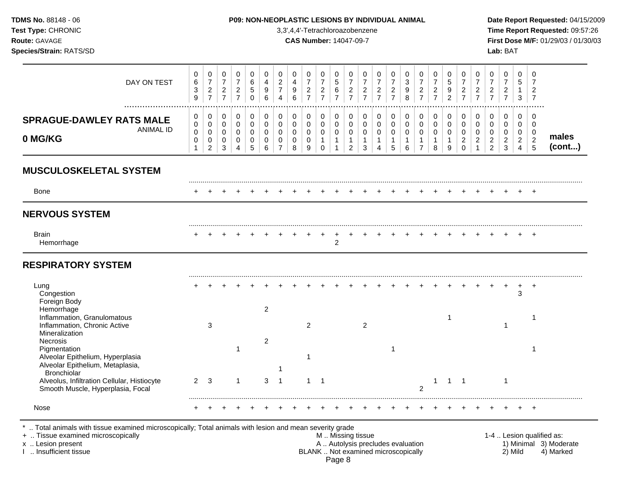| <b>TDMS No. 88148 - 06</b>     | <b>P09: NON-NEOPLASTIC LESIONS BY INDIVIDUAL ANIMAL</b> | Date Rep         |
|--------------------------------|---------------------------------------------------------|------------------|
| <b>Test Type: CHRONIC</b>      | 3,3',4,4'-Tetrachloroazobenzene                         | Time Rer         |
| <b>Route: GAVAGE</b>           | <b>CAS Number: 14047-09-7</b>                           | <b>First Dos</b> |
| <b>Species/Strain: RATS/SD</b> |                                                         | <b>Lab: BAT</b>  |

**Time Report Requested:** 09:57:26 **Route:** GAVAGE **CAS Number:** 14047-09-7 **First Dose M/F:** 01/29/03 / 01/30/03

| DAY ON TEST                                                                                                     | 0<br>6<br>3<br>9                     | 0<br>$\overline{7}$<br>$\overline{2}$<br>$\overline{7}$ | 0<br>$\overline{7}$<br>$\overline{2}$<br>$\overline{7}$ | 0<br>$\overline{7}$<br>$\overline{c}$<br>$\overline{7}$       | $\mathbf 0$<br>6<br>5<br>$\Omega$                | 0<br>4<br>9                                   | 0<br>$\overline{c}$<br>$\overline{7}$ | 0<br>4<br>9<br>6                                    | 0<br>$\overline{7}$<br>$\frac{2}{7}$                | $\Omega$<br>$\overline{7}$<br>$\overline{2}$<br>$\overline{7}$ | 0<br>5<br>6<br>$\overline{7}$                | 0<br>$\overline{7}$<br>$\overline{2}$<br>$\overline{7}$ | 0<br>$\overline{7}$<br>$\overline{c}$<br>$\overline{7}$ | 0<br>$\overline{7}$<br>$\overline{2}$<br>$\overline{7}$ | 0<br>$\overline{7}$<br>$\overline{c}$<br>$\overline{7}$ | $\Omega$<br>$\sqrt{3}$<br>9<br>8                   | 0<br>$\overline{7}$<br>$\overline{2}$<br>$\overline{7}$        | 0<br>$\overline{7}$<br>$\overline{2}$<br>$\overline{7}$ | 0<br>5<br>9<br>$\mathcal{P}$                                 | 0<br>$\overline{7}$<br>$\overline{2}$<br>$\overline{7}$       | 0<br>$\overline{7}$<br>$rac{2}{7}$                               | 0<br>$\overline{7}$<br>$\overline{2}$<br>$\overline{7}$               | 0<br>$\overline{7}$<br>$\overline{2}$<br>$\overline{7}$ | 0<br>5<br>3                                                | $\Omega$<br>$\overline{7}$<br>$\overline{2}$<br>$\overline{7}$      |                 |
|-----------------------------------------------------------------------------------------------------------------|--------------------------------------|---------------------------------------------------------|---------------------------------------------------------|---------------------------------------------------------------|--------------------------------------------------|-----------------------------------------------|---------------------------------------|-----------------------------------------------------|-----------------------------------------------------|----------------------------------------------------------------|----------------------------------------------|---------------------------------------------------------|---------------------------------------------------------|---------------------------------------------------------|---------------------------------------------------------|----------------------------------------------------|----------------------------------------------------------------|---------------------------------------------------------|--------------------------------------------------------------|---------------------------------------------------------------|------------------------------------------------------------------|-----------------------------------------------------------------------|---------------------------------------------------------|------------------------------------------------------------|---------------------------------------------------------------------|-----------------|
| <b>SPRAGUE-DAWLEY RATS MALE</b><br><b>ANIMAL ID</b><br>0 MG/KG                                                  | 0<br>$\mathbf 0$<br>$\mathbf 0$<br>0 | 0<br>$\pmb{0}$<br>0<br>$\pmb{0}$<br>$\overline{2}$      | 0<br>$\pmb{0}$<br>$\mathbf 0$<br>$\mathbf 0$<br>3       | 0<br>$\pmb{0}$<br>$\mathbf 0$<br>0<br>$\overline{\mathbf{4}}$ | 0<br>$\mathbf 0$<br>$\Omega$<br>$\mathbf 0$<br>5 | 0<br>$\Omega$<br>$\Omega$<br>$\mathbf 0$<br>6 | 0<br>$\mathbf 0$<br>$\Omega$<br>0     | 0<br>$\mathbf 0$<br>$\mathbf 0$<br>$\mathbf 0$<br>8 | 0<br>$\mathbf 0$<br>$\mathbf 0$<br>$\mathbf 0$<br>9 | 0<br>$\mathbf 0$<br>$\mathbf 0$<br>$\mathbf{1}$<br>$\Omega$    | 0<br>$\mathbf 0$<br>$\Omega$<br>$\mathbf{1}$ | 0<br>0<br>$\mathbf 0$<br>$\mathbf{1}$<br>$\overline{2}$ | 0<br>$\mathbf 0$<br>$\Omega$<br>$\mathbf{1}$<br>3       | 0<br>$\mathbf 0$<br>$\mathbf 0$<br>$\mathbf{1}$<br>4    | 0<br>$\mathsf 0$<br>$\mathbf 0$<br>$\mathbf{1}$<br>5    | 0<br>$\pmb{0}$<br>$\mathbf 0$<br>$\mathbf{1}$<br>6 | 0<br>$\mathbf 0$<br>$\Omega$<br>$\mathbf{1}$<br>$\overline{7}$ | 0<br>$\mathbf 0$<br>$\Omega$<br>$\mathbf{1}$<br>8       | 0<br>$\mathbf 0$<br>$\Omega$<br>$\mathbf{1}$<br>$\mathbf{Q}$ | 0<br>$\mathbf 0$<br>$\mathbf 0$<br>$\overline{c}$<br>$\Omega$ | 0<br>$\mathbf 0$<br>$\Omega$<br>$\overline{c}$<br>$\overline{1}$ | 0<br>$\mathbf 0$<br>$\mathbf 0$<br>$\boldsymbol{2}$<br>$\overline{2}$ | 0<br>$\mathbf 0$<br>$\Omega$<br>$\overline{c}$<br>3     | 0<br>0<br>$\mathbf{0}$<br>$\overline{2}$<br>$\overline{4}$ | $\mathbf 0$<br>$\mathbf 0$<br>$\overline{0}$<br>$\overline{2}$<br>5 | males<br>(cont) |
| <b>MUSCULOSKELETAL SYSTEM</b>                                                                                   |                                      |                                                         |                                                         |                                                               |                                                  |                                               |                                       |                                                     |                                                     |                                                                |                                              |                                                         |                                                         |                                                         |                                                         |                                                    |                                                                |                                                         |                                                              |                                                               |                                                                  |                                                                       |                                                         |                                                            |                                                                     |                 |
| Bone                                                                                                            |                                      |                                                         |                                                         |                                                               |                                                  |                                               |                                       |                                                     |                                                     |                                                                |                                              |                                                         |                                                         |                                                         |                                                         |                                                    |                                                                |                                                         |                                                              |                                                               |                                                                  |                                                                       |                                                         |                                                            | $\pm$                                                               |                 |
| <b>NERVOUS SYSTEM</b>                                                                                           |                                      |                                                         |                                                         |                                                               |                                                  |                                               |                                       |                                                     |                                                     |                                                                |                                              |                                                         |                                                         |                                                         |                                                         |                                                    |                                                                |                                                         |                                                              |                                                               |                                                                  |                                                                       |                                                         |                                                            |                                                                     |                 |
| <b>Brain</b><br>Hemorrhage                                                                                      |                                      |                                                         |                                                         |                                                               |                                                  |                                               |                                       |                                                     |                                                     |                                                                | $\overline{2}$                               |                                                         |                                                         |                                                         |                                                         |                                                    |                                                                |                                                         |                                                              |                                                               |                                                                  |                                                                       |                                                         |                                                            | $\ddot{}$                                                           |                 |
| <b>RESPIRATORY SYSTEM</b>                                                                                       |                                      |                                                         |                                                         |                                                               |                                                  |                                               |                                       |                                                     |                                                     |                                                                |                                              |                                                         |                                                         |                                                         |                                                         |                                                    |                                                                |                                                         |                                                              |                                                               |                                                                  |                                                                       |                                                         |                                                            |                                                                     |                 |
| Lung<br>Congestion<br>Foreign Body                                                                              |                                      |                                                         |                                                         |                                                               |                                                  |                                               |                                       |                                                     |                                                     |                                                                |                                              |                                                         |                                                         |                                                         |                                                         |                                                    |                                                                |                                                         |                                                              |                                                               |                                                                  |                                                                       |                                                         | 3                                                          |                                                                     |                 |
| Hemorrhage<br>Inflammation, Granulomatous<br>Inflammation, Chronic Active<br>Mineralization                     |                                      | 3                                                       |                                                         |                                                               |                                                  | $\overline{2}$                                |                                       |                                                     | 2                                                   |                                                                |                                              |                                                         | 2                                                       |                                                         |                                                         |                                                    |                                                                |                                                         | -1                                                           |                                                               |                                                                  |                                                                       | -1                                                      |                                                            | -1                                                                  |                 |
| Necrosis<br>Pigmentation<br>Alveolar Epithelium, Hyperplasia<br>Alveolar Epithelium, Metaplasia,<br>Bronchiolar |                                      |                                                         |                                                         | 1                                                             |                                                  | $\overline{2}$                                |                                       |                                                     |                                                     |                                                                |                                              |                                                         |                                                         |                                                         |                                                         |                                                    |                                                                |                                                         |                                                              |                                                               |                                                                  |                                                                       |                                                         |                                                            | -1                                                                  |                 |
| Alveolus, Infiltration Cellular, Histiocyte<br>Smooth Muscle, Hyperplasia, Focal                                | $2^{\circ}$                          | 3                                                       |                                                         | 1                                                             |                                                  | 3                                             | $\overline{1}$                        |                                                     |                                                     | $\overline{\mathbf{1}}$                                        |                                              |                                                         |                                                         |                                                         |                                                         |                                                    | $\overline{2}$                                                 | $\mathbf{1}$                                            | 1 1                                                          |                                                               |                                                                  |                                                                       | $\overline{1}$                                          |                                                            |                                                                     |                 |
| <b>Nose</b>                                                                                                     |                                      |                                                         |                                                         |                                                               |                                                  |                                               |                                       |                                                     |                                                     |                                                                |                                              |                                                         |                                                         |                                                         |                                                         |                                                    |                                                                |                                                         |                                                              |                                                               |                                                                  |                                                                       |                                                         |                                                            |                                                                     |                 |

\* .. Total animals with tissue examined microscopically; Total animals with lesion and mean severity grade<br>+ .. Tissue examined microscopically

- + .. Tissue examined microscopically examined microscopically **M** .. Missing tissue M .. Missing tissue 1-4 .. Lesion qualified as:<br>A .. Autolysis precludes evaluation 1) Minimal 3) Moderate x .. Lesion present **A .. Autolysis precludes evaluation** A .. Autolysis precludes evaluation 1) Minimal 3) Moderate I .. Insufficient tissue BLANK .. Not examined microscopically 2) Mild 4) Marked Page 8
	-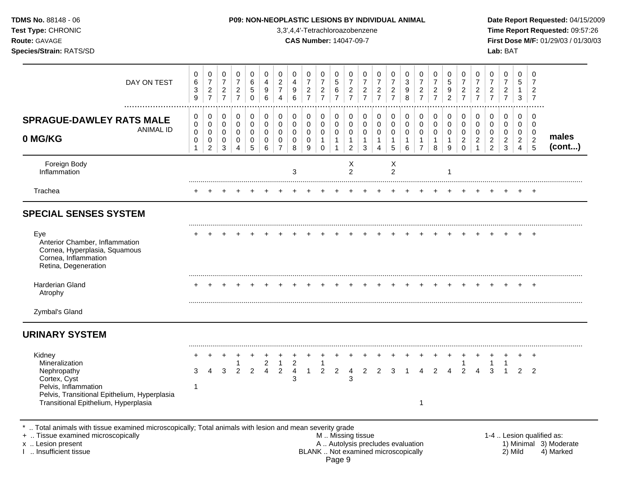| TDMS No. 88148 - 06<br>Test Type: CHRONIC<br>Route: GAVAGE<br>Species/Strain: RATS/SD                                                                |                                 |                                                         |                                                           |                                                         |                            |                               |                                                           |                                       |                                                         |                                                                      |                                                                 | 3,3',4,4'-Tetrachloroazobenzene<br><b>CAS Number: 14047-09-7</b> |                                                         | P09: NON-NEOPLASTIC LESIONS BY INDIVIDUAL ANIMAL        |                                                           |                                           |                                                         |                                                           |                                         |                                                           |                                                         |                                                         | Lab: BAT                                                |                                                           |                                            | Date Report Requested: 04/15/2009<br>Time Report Requested: 09:57:26<br>First Dose M/F: 01/29/03 / 01/30/03 |
|------------------------------------------------------------------------------------------------------------------------------------------------------|---------------------------------|---------------------------------------------------------|-----------------------------------------------------------|---------------------------------------------------------|----------------------------|-------------------------------|-----------------------------------------------------------|---------------------------------------|---------------------------------------------------------|----------------------------------------------------------------------|-----------------------------------------------------------------|------------------------------------------------------------------|---------------------------------------------------------|---------------------------------------------------------|-----------------------------------------------------------|-------------------------------------------|---------------------------------------------------------|-----------------------------------------------------------|-----------------------------------------|-----------------------------------------------------------|---------------------------------------------------------|---------------------------------------------------------|---------------------------------------------------------|-----------------------------------------------------------|--------------------------------------------|-------------------------------------------------------------------------------------------------------------|
| DAY ON TEST                                                                                                                                          | 0<br>6<br>3<br>9                | 0<br>$\overline{7}$<br>$\overline{2}$<br>$\overline{7}$ | 0<br>$\boldsymbol{7}$<br>$\overline{2}$<br>$\overline{7}$ | 0<br>$\overline{7}$<br>$\overline{c}$<br>$\overline{7}$ | 0<br>6<br>5<br>$\mathbf 0$ | 0<br>4<br>9<br>6              | 0<br>$\overline{c}$<br>$\boldsymbol{7}$<br>$\overline{4}$ | 0<br>4<br>9<br>6                      | 0<br>$\overline{7}$<br>$\overline{c}$<br>$\overline{7}$ | $\pmb{0}$<br>$\boldsymbol{7}$<br>$\sqrt{2}$<br>$\overline{7}$        | 0<br>$\sqrt{5}$<br>$\,6$<br>$\overline{7}$                      | 0<br>$\overline{7}$<br>$\frac{2}{7}$                             | 0<br>$\overline{7}$<br>$\overline{c}$<br>$\overline{7}$ | 0<br>$\overline{7}$<br>$\overline{c}$<br>$\overline{7}$ | 0<br>$\boldsymbol{7}$<br>$\overline{c}$<br>$\overline{7}$ | 0<br>$\mathbf{3}$<br>9<br>8               | 0<br>$\overline{7}$<br>$\overline{c}$<br>$\overline{7}$ | 0<br>$\boldsymbol{7}$<br>$\overline{c}$<br>$\overline{7}$ | 0<br>$\mathbf 5$<br>9<br>$\overline{c}$ | 0<br>$\boldsymbol{7}$<br>$\overline{c}$<br>$\overline{7}$ | 0<br>$\overline{7}$<br>$\overline{c}$<br>$\overline{7}$ | 0<br>$\overline{7}$<br>$\overline{c}$<br>$\overline{7}$ | 0<br>$\overline{7}$<br>$\overline{c}$<br>$\overline{7}$ | 0<br>$\sqrt{5}$<br>$\mathbf{1}$<br>3                      | 0<br>7<br>$\overline{c}$<br>$\overline{7}$ |                                                                                                             |
| <b>SPRAGUE-DAWLEY RATS MALE</b><br><b>ANIMAL ID</b><br>0 MG/KG                                                                                       | 0<br>0<br>$\mathbf 0$<br>0<br>1 | 0<br>0<br>0<br>0<br>$\overline{c}$                      | 0<br>$\pmb{0}$<br>$\overline{0}$<br>0<br>3                | 0<br>0<br>0<br>0<br>4                                   | 0<br>0<br>0<br>0<br>5      | 0<br>$\pmb{0}$<br>0<br>0<br>6 | 0<br>$\pmb{0}$<br>0<br>0<br>$\overline{7}$                | 0<br>0<br>0<br>0<br>8                 | 0<br>0<br>0<br>0<br>9                                   | $\pmb{0}$<br>$\pmb{0}$<br>$\mathbf 0$<br>$\mathbf{1}$<br>$\mathbf 0$ | 0<br>$\pmb{0}$<br>$\mathbf 0$<br>$\mathbf{1}$<br>$\overline{1}$ | 0<br>$\pmb{0}$<br>0<br>$\mathbf{1}$<br>$\boldsymbol{2}$          | 0<br>0<br>0<br>1<br>3                                   | 0<br>0<br>0<br>$\mathbf{1}$<br>4                        | 0<br>$\pmb{0}$<br>0<br>1<br>$\sqrt{5}$                    | 0<br>$\mathbf 0$<br>$\mathbf 0$<br>1<br>6 | 0<br>0<br>0<br>1<br>$\overline{7}$                      | 0<br>0<br>0<br>$\mathbf{1}$<br>8                          | 0<br>0<br>0<br>$\mathbf{1}$<br>9        | 0<br>$\pmb{0}$<br>0<br>$\overline{c}$<br>$\mathbf 0$      | 0<br>0<br>0<br>$\overline{c}$<br>1                      | 0<br>0<br>0<br>$\overline{c}$<br>$\overline{2}$         | 0<br>$\mathbf 0$<br>0<br>$\boldsymbol{2}$<br>3          | 0<br>0<br>$\mathbf 0$<br>$\overline{c}$<br>$\overline{4}$ | 0<br>0<br>0<br>$\frac{2}{5}$               | males<br>(cont)                                                                                             |
| Foreign Body<br>Inflammation                                                                                                                         |                                 |                                                         |                                                           |                                                         |                            |                               |                                                           | 3                                     |                                                         |                                                                      |                                                                 | X<br>$\overline{2}$                                              |                                                         |                                                         | X<br>$\overline{2}$                                       |                                           |                                                         |                                                           |                                         |                                                           |                                                         |                                                         |                                                         |                                                           |                                            |                                                                                                             |
| Trachea                                                                                                                                              |                                 |                                                         |                                                           |                                                         |                            |                               |                                                           |                                       |                                                         |                                                                      |                                                                 |                                                                  |                                                         |                                                         |                                                           |                                           |                                                         |                                                           |                                         |                                                           |                                                         |                                                         |                                                         |                                                           |                                            |                                                                                                             |
| Eye<br>Anterior Chamber, Inflammation<br>Cornea, Hyperplasia, Squamous<br>Cornea, Inflammation<br>Retina, Degeneration<br>Harderian Gland<br>Atrophy |                                 |                                                         |                                                           |                                                         |                            |                               |                                                           |                                       |                                                         |                                                                      |                                                                 |                                                                  |                                                         |                                                         |                                                           |                                           |                                                         |                                                           |                                         |                                                           |                                                         |                                                         |                                                         |                                                           | $+$                                        |                                                                                                             |
| Zymbal's Gland                                                                                                                                       |                                 |                                                         |                                                           |                                                         |                            |                               |                                                           |                                       |                                                         |                                                                      |                                                                 |                                                                  |                                                         |                                                         |                                                           |                                           |                                                         |                                                           |                                         |                                                           |                                                         |                                                         |                                                         |                                                           |                                            |                                                                                                             |
| <b>URINARY SYSTEM</b>                                                                                                                                |                                 |                                                         |                                                           |                                                         |                            |                               |                                                           |                                       |                                                         |                                                                      |                                                                 |                                                                  |                                                         |                                                         |                                                           |                                           |                                                         |                                                           |                                         |                                                           |                                                         |                                                         |                                                         |                                                           |                                            |                                                                                                             |
| Kidney<br>Mineralization<br>Nephropathy<br>Cortex, Cyst<br>Pelvis, Inflammation                                                                      | 3<br>-1                         |                                                         |                                                           | $\mathbf{1}$                                            | 4 3 2 2 4 2                | $\overline{2}$                | $\mathbf{1}$                                              | $\overline{c}$<br>$\overline{4}$<br>3 |                                                         | $\mathbf 1$<br>$1 \quad 2 \quad 2$                                   |                                                                 | $\overline{4}$<br>3                                              |                                                         | 2 2 3 1 4 2 4 2 4 3 1 2 2                               |                                                           |                                           |                                                         |                                                           |                                         | $\mathbf{1}$                                              |                                                         | $\mathbf{1}$                                            | $\overline{1}$                                          | $\ddot{}$                                                 | $^{+}$                                     |                                                                                                             |

- + .. Tissue examined microscopically M.. Missing tissue M.. Missing tissue 1-4. Lesion qualified as:<br>
This issue 1-4 .. Lesion qualified as:<br>
1. Autolysis precludes evaluation A.. Autolysis precludes evaluation 1) Minimal x .. Lesion present **A .. Autolysis precludes evaluation** A .. Autolysis precludes evaluation 1) Minimal 3) Moderate I .. Insufficient tissue BLANK .. Not examined microscopically 2) Mild 4) Marked Page 9
	-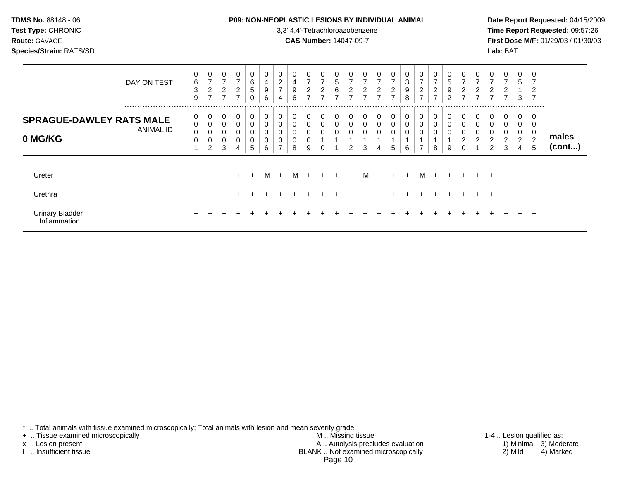| <b>TDMS No.</b> 88148 - 06 | <b>P09: NON-NEOPLASTIC LESIONS BY INDIVIDUAL ANIMAL</b> | Date Rep         |
|----------------------------|---------------------------------------------------------|------------------|
| Test Type: CHRONIC         | 3,3',4,4'-Tetrachloroazobenzene                         | Time Rep         |
| <b>Route: GAVAGE</b>       | <b>CAS Number: 14047-09-7</b>                           | <b>First Dos</b> |
| Species/Strain: RATS/SD    |                                                         | <b>Lab: BAT</b>  |

**Time Report Requested:** 09:57:26 **Route:** GAVAGE **CAS Number:** 14047-09-7 **First Dose M/F:** 01/29/03 / 01/30/03

| DAY ON TEST<br>                                         | 0<br>6<br>3<br>9                 | 0<br>$\overline{\phantom{a}}$<br>2<br>⇁ | 0<br>$\overline{ }$<br>2 | 0<br>$\overline{ }$<br>◠<br>∠ | 0<br>6<br>5<br>0 | 4<br>9<br>6 | ∠<br>7 | 4<br>9<br>6           | ⇁<br>2 | 0<br>$\overline{ }$<br>2 | 5<br>$\sim$<br>b | ⇁<br>2 | ⇁<br>$\overline{\mathbf{c}}$<br>⇁ | റ<br>∠ | 2<br>–           | 3<br>9<br>8 | 0<br>$\overline{ }$<br>2<br>$\overline{ }$ | $\overline{\phantom{0}}$<br>$\sim$<br>∠<br>– | 5<br>9<br>2 | ⇁<br>റ<br>$\overline{\phantom{a}}$<br>⇁ | ∠ | ◠                                       | 0<br>$\overline{\phantom{0}}$<br>$\sim$<br>∠<br>$\overline{\phantom{a}}$ | 0<br>5<br>3           | -<br>$\overline{2}$<br>7<br>.      |                       |
|---------------------------------------------------------|----------------------------------|-----------------------------------------|--------------------------|-------------------------------|------------------|-------------|--------|-----------------------|--------|--------------------------|------------------|--------|-----------------------------------|--------|------------------|-------------|--------------------------------------------|----------------------------------------------|-------------|-----------------------------------------|---|-----------------------------------------|--------------------------------------------------------------------------|-----------------------|------------------------------------|-----------------------|
| <b>SPRAGUE-DAWLEY RATS MALE</b><br>ANIMAL ID<br>0 MG/KG | 0<br>$\,0\,$<br>0<br>$\mathbf 0$ | 0<br>0<br>ົ                             | 0<br>0<br>C<br>3         | 0<br>0<br>4                   | 0<br>0<br>5      | 6           |        | 0<br>0<br>0<br>0<br>8 | 9      | 0<br>0<br>0              |                  | 2      | 0<br>3                            |        | 0<br>0<br>0<br>5 | 0<br>0<br>6 | 0<br>0                                     | 0<br>υ<br>8                                  | 0<br>9      | 0<br>◠<br>∠                             | ∠ | 0<br>0<br>0<br>ົ<br>∠<br>$\overline{2}$ | 0<br>0<br>$\overline{c}$<br>3                                            | 0<br>0<br>0<br>2<br>4 | 0<br>0<br>0<br>$\overline{2}$<br>5 | males<br>$($ cont $)$ |
| Ureter<br>Urethra                                       |                                  |                                         |                          |                               |                  | м           |        | M                     |        |                          |                  |        |                                   |        |                  |             | м                                          |                                              |             |                                         |   |                                         |                                                                          |                       | $+$<br>$\div$                      |                       |
| <b>Urinary Bladder</b><br>Inflammation                  |                                  |                                         |                          |                               |                  |             |        |                       |        |                          |                  |        |                                   |        |                  |             |                                            |                                              |             |                                         |   |                                         |                                                                          |                       | $\pm$                              |                       |

\* .. Total animals with tissue examined microscopically; Total animals with lesion and mean severity grade

+ .. Tissue examined microscopically M .. Missing tissue 1-4 .. Lesion qualified as: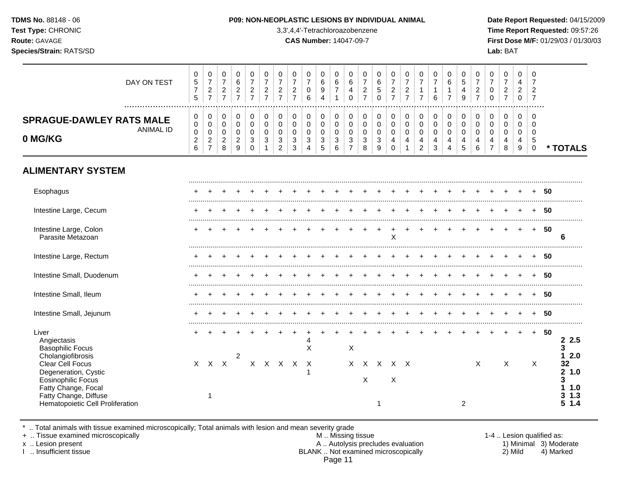### **TDMS No.** 88148 - 06 **P09: NON-NEOPLASTIC LESIONS BY INDIVIDUAL ANIMAL Date Report Requested:** 04/15/2009

⊤  $\overline{\phantom{a}}$ 

**Test Type:** CHRONIC 3,3',4,4'-Tetrachloroazobenzene **Time Report Requested:** 09:57:26 **Route:** GAVAGE **CAS Number:** 14047-09-7 **First Dose M/F:** 01/29/03 / 01/30/03

 $\overline{\phantom{a}}$ 

⊤  $\overline{\phantom{a}}$  $\overline{\phantom{a}}$  $\overline{\phantom{a}}$ 

| DAY ON TEST                                                                                                                                        | 0<br>$\mathbf 5$<br>$\overline{7}$<br>5                                   | 0<br>$\overline{7}$<br>$\overline{2}$<br>$\overline{7}$           | 0<br>$\overline{7}$<br>$\overline{a}$<br>$\overline{7}$ | $\mathbf 0$<br>$\,6\,$<br>$\overline{c}$<br>$\overline{7}$ | $\Omega$<br>$\overline{7}$<br>$\overline{c}$<br>$\overline{7}$ | 0<br>$\overline{7}$<br>$\overline{2}$<br>$\overline{7}$ | 0<br>$\overline{7}$<br>$\sqrt{2}$<br>$\overline{7}$          | $\pmb{0}$<br>$\overline{7}$<br>$\overline{c}$<br>$\overline{7}$             | 0<br>$\overline{7}$<br>$\mathbf 0$<br>6              | 0<br>$\,6\,$<br>9<br>$\overline{4}$              | $\Omega$<br>$\,6\,$<br>$\overline{7}$<br>$\mathbf{1}$ | $\Omega$<br>$\,6$<br>4<br>$\mathbf 0$                                          | 0<br>$\overline{7}$<br>$\overline{c}$<br>$\overline{7}$ | 0<br>$\,6\,$<br>5<br>$\mathbf 0$          | $\mathbf 0$<br>$\overline{7}$<br>$\overline{2}$<br>$\overline{7}$ | 0<br>$\overline{7}$<br>$\overline{2}$<br>$\overline{7}$ | $\,0\,$<br>$\overline{7}$<br>$\mathbf{1}$<br>$\overline{7}$              | $\mathbf 0$<br>$\overline{7}$<br>$\mathbf{1}$<br>6 | $\mathbf 0$<br>$\,6\,$<br>1<br>$\overline{7}$                       | $\mathbf 0$<br>$\,$ 5 $\,$<br>4<br>9                         | 0<br>$\overline{7}$<br>$\overline{2}$<br>$\overline{7}$ | 0<br>$\overline{7}$<br>0<br>$\Omega$         | 0<br>$\overline{7}$<br>$\overline{2}$<br>$\overline{7}$ | 0<br>4<br>$\overline{2}$<br>0 | $\Omega$<br>$\overline{7}$<br>$\overline{c}$<br>$\overline{7}$    |    |                                                               |
|----------------------------------------------------------------------------------------------------------------------------------------------------|---------------------------------------------------------------------------|-------------------------------------------------------------------|---------------------------------------------------------|------------------------------------------------------------|----------------------------------------------------------------|---------------------------------------------------------|--------------------------------------------------------------|-----------------------------------------------------------------------------|------------------------------------------------------|--------------------------------------------------|-------------------------------------------------------|--------------------------------------------------------------------------------|---------------------------------------------------------|-------------------------------------------|-------------------------------------------------------------------|---------------------------------------------------------|--------------------------------------------------------------------------|----------------------------------------------------|---------------------------------------------------------------------|--------------------------------------------------------------|---------------------------------------------------------|----------------------------------------------|---------------------------------------------------------|-------------------------------|-------------------------------------------------------------------|----|---------------------------------------------------------------|
| <b>SPRAGUE-DAWLEY RATS MALE</b><br><b>ANIMAL ID</b><br>0 MG/KG                                                                                     | $\pmb{0}$<br>$\pmb{0}$<br>$\pmb{0}$<br>$\boldsymbol{2}$<br>$6\phantom{a}$ | $\pmb{0}$<br>$\mathbf 0$<br>0<br>$\overline{2}$<br>$\overline{7}$ | 0<br>$\mathsf{O}\xspace$<br>0<br>$\overline{a}$<br>8    | $\mathbf 0$<br>$\pmb{0}$<br>$\mathbf 0$<br>$\sqrt{2}$<br>9 | 0<br>$\mathbf 0$<br>$\Omega$<br>3<br>$\mathbf 0$               | $\mathbf 0$<br>$\mathbf 0$<br>$\Omega$<br>3             | 0<br>$\mathbf 0$<br>$\Omega$<br>$\sqrt{3}$<br>$\overline{2}$ | $\mathbf 0$<br>$\mathsf 0$<br>$\mathbf 0$<br>$\ensuremath{\mathsf{3}}$<br>3 | 0<br>$\mathsf{O}$<br>$\Omega$<br>3<br>$\overline{4}$ | $\pmb{0}$<br>$\mathbf 0$<br>0<br>$\sqrt{3}$<br>5 | 0<br>$\mathbf 0$<br>$\mathbf 0$<br>$\sqrt{3}$<br>6    | 0<br>$\mathbf 0$<br>$\mathbf 0$<br>$\ensuremath{\mathsf{3}}$<br>$\overline{7}$ | 0<br>0<br>$\mathbf 0$<br>$\sqrt{3}$<br>8                | 0<br>$\mathbf 0$<br>$\mathbf 0$<br>3<br>9 | $\mathbf 0$<br>$\mathbf 0$<br>$\mathbf 0$<br>4<br>$\mathbf 0$     | 0<br>$\mathbf 0$<br>$\mathbf 0$<br>4<br>$\mathbf{1}$    | $\pmb{0}$<br>$\pmb{0}$<br>0<br>$\overline{\mathbf{4}}$<br>$\overline{2}$ | 0<br>$\pmb{0}$<br>$\mathbf 0$<br>4<br>3            | 0<br>$\mathbf 0$<br>$\mathbf 0$<br>$\overline{4}$<br>$\overline{4}$ | $\mathbf 0$<br>$\mathbf 0$<br>$\mathbf 0$<br>4<br>$\sqrt{5}$ | 0<br>$\pmb{0}$<br>$\Omega$<br>$\overline{4}$<br>6       | 0<br>0<br>$\mathbf 0$<br>4<br>$\overline{7}$ | 0<br>$\mathbf 0$<br>$\mathbf 0$<br>4<br>8               | 0<br>0<br>0<br>4<br>9         | $\Omega$<br>$\Omega$<br>$\Omega$<br>$\overline{5}$<br>$\mathbf 0$ |    | * TOTALS                                                      |
| <b>ALIMENTARY SYSTEM</b>                                                                                                                           |                                                                           |                                                                   |                                                         |                                                            |                                                                |                                                         |                                                              |                                                                             |                                                      |                                                  |                                                       |                                                                                |                                                         |                                           |                                                                   |                                                         |                                                                          |                                                    |                                                                     |                                                              |                                                         |                                              |                                                         |                               |                                                                   |    |                                                               |
| Esophagus                                                                                                                                          |                                                                           |                                                                   |                                                         |                                                            |                                                                |                                                         |                                                              |                                                                             |                                                      |                                                  |                                                       |                                                                                |                                                         |                                           |                                                                   |                                                         |                                                                          |                                                    |                                                                     |                                                              |                                                         |                                              |                                                         |                               |                                                                   | 50 |                                                               |
| Intestine Large, Cecum                                                                                                                             |                                                                           |                                                                   |                                                         |                                                            |                                                                |                                                         |                                                              |                                                                             |                                                      |                                                  |                                                       |                                                                                |                                                         |                                           |                                                                   |                                                         |                                                                          |                                                    |                                                                     |                                                              |                                                         |                                              |                                                         |                               |                                                                   | 50 |                                                               |
| Intestine Large, Colon<br>Parasite Metazoan                                                                                                        |                                                                           |                                                                   |                                                         |                                                            |                                                                |                                                         |                                                              |                                                                             |                                                      |                                                  |                                                       |                                                                                |                                                         |                                           | X                                                                 |                                                         |                                                                          |                                                    |                                                                     |                                                              |                                                         |                                              |                                                         |                               | $+$                                                               | 50 | 6                                                             |
| Intestine Large, Rectum                                                                                                                            |                                                                           |                                                                   |                                                         |                                                            |                                                                |                                                         |                                                              |                                                                             |                                                      |                                                  |                                                       |                                                                                |                                                         |                                           |                                                                   |                                                         |                                                                          |                                                    |                                                                     |                                                              |                                                         |                                              |                                                         |                               |                                                                   | 50 |                                                               |
| Intestine Small, Duodenum                                                                                                                          |                                                                           |                                                                   |                                                         |                                                            |                                                                |                                                         |                                                              |                                                                             |                                                      |                                                  |                                                       |                                                                                |                                                         |                                           |                                                                   |                                                         |                                                                          |                                                    |                                                                     |                                                              |                                                         |                                              |                                                         |                               |                                                                   | 50 |                                                               |
| Intestine Small, Ileum                                                                                                                             |                                                                           |                                                                   |                                                         |                                                            |                                                                |                                                         |                                                              |                                                                             |                                                      |                                                  |                                                       |                                                                                |                                                         |                                           |                                                                   |                                                         |                                                                          |                                                    |                                                                     |                                                              |                                                         |                                              |                                                         |                               |                                                                   | 50 |                                                               |
| Intestine Small, Jejunum                                                                                                                           |                                                                           |                                                                   |                                                         |                                                            |                                                                |                                                         |                                                              |                                                                             |                                                      |                                                  |                                                       |                                                                                |                                                         |                                           |                                                                   |                                                         |                                                                          |                                                    |                                                                     |                                                              |                                                         |                                              |                                                         |                               |                                                                   | 50 |                                                               |
| Liver<br>Angiectasis<br><b>Basophilic Focus</b><br>Cholangiofibrosis                                                                               |                                                                           |                                                                   |                                                         | 2                                                          |                                                                |                                                         |                                                              |                                                                             | 4<br>Χ                                               |                                                  |                                                       | X                                                                              |                                                         |                                           |                                                                   |                                                         |                                                                          |                                                    |                                                                     |                                                              |                                                         |                                              |                                                         |                               | $+$                                                               | 50 | 2.5<br>3<br>2.0<br>1                                          |
| Clear Cell Focus<br>Degeneration, Cystic<br>Eosinophilic Focus<br>Fatty Change, Focal<br>Fatty Change, Diffuse<br>Hematopoietic Cell Proliferation | $\mathsf{X}$                                                              | 1                                                                 | $X$ $X$                                                 |                                                            | $X -$                                                          |                                                         | X X X X                                                      |                                                                             | 1                                                    |                                                  |                                                       | X                                                                              | X                                                       | 1                                         | X X X X<br>X                                                      |                                                         |                                                                          |                                                    |                                                                     | 2                                                            | X                                                       |                                              | X                                                       |                               | X                                                                 |    | 32<br>$\mathbf{2}$<br>1.0<br>3<br>1<br>1.0<br>1.3<br>1.4<br>5 |

\* .. Total animals with tissue examined microscopically; Total animals with lesion and mean severity grade

 $\overline{\phantom{a}}$ □  $\overline{\phantom{a}}$ 

⊤

+ .. Tissue examined microscopically M .. Missing tissue 1-4 .. Lesion qualified as: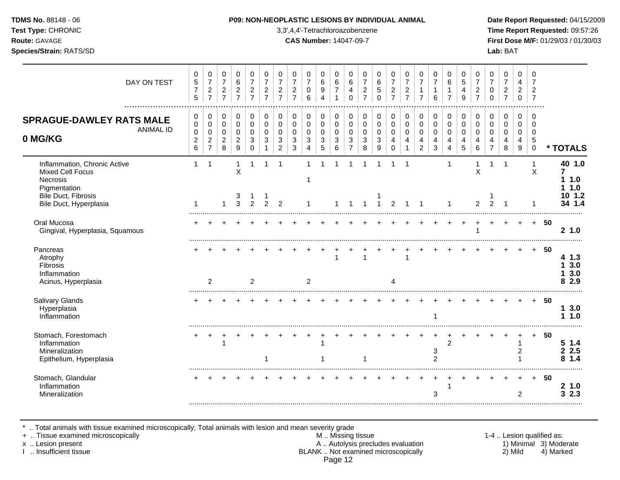**Test Type:** CHRONIC 3,3',4,4'-Tetrachloroazobenzene **Time Report Requested:** 09:57:26 **Route:** GAVAGE **CAS Number:** 14047-09-7 **First Dose M/F:** 01/29/03 / 01/30/03 **Species/Strain:** RATS/SD **Lab:** BAT

| DAY ON TEST                                                                                                                          | 0<br>$\,$ 5 $\,$<br>$\overline{7}$<br>5                                | 0<br>$\boldsymbol{7}$<br>$\overline{c}$<br>$\overline{7}$                     | $\mathbf 0$<br>$\overline{7}$<br>$\overline{2}$<br>$\overline{7}$ | 0<br>$\,6$<br>$\overline{c}$<br>$\overline{7}$                               | 0<br>$\overline{7}$<br>$\overline{a}$<br>$\overline{7}$ | 0<br>$\overline{7}$<br>$\overline{c}$<br>$\overline{7}$ | 0<br>$\overline{7}$<br>$\overline{c}$<br>$\overline{7}$                   | 0<br>$\overline{7}$<br>$\overline{2}$<br>$\overline{7}$ | 0<br>$\boldsymbol{7}$<br>0<br>6                                 | $\Omega$<br>$\,6\,$<br>9<br>$\overline{A}$                  | $\Omega$<br>6<br>$\overline{7}$                  | 0<br>$\,6\,$<br>4<br>$\Omega$                | 0<br>$\boldsymbol{7}$<br>$\overline{c}$<br>$\overline{7}$ | 0<br>$\,6$<br>$\sqrt{5}$<br>$\mathbf 0$                                     | 0<br>$\overline{7}$<br>$\overline{2}$<br>$\overline{7}$     | 0<br>$\boldsymbol{7}$<br>$\overline{c}$<br>$\overline{7}$ | $\mathbf 0$<br>$\overline{7}$<br>$\mathbf{1}$<br>$\overline{7}$ | 0<br>$\overline{7}$<br>1<br>6                                     | 0<br>6<br>-1<br>$\overline{7}$            | 0<br>5<br>4<br>9      | 0<br>$\overline{7}$<br>$\overline{2}$<br>$\overline{7}$ | 0<br>$\overline{7}$<br>$\mathbf 0$<br>$\Omega$       | 0<br>$\boldsymbol{7}$<br>$\overline{c}$<br>$\overline{7}$ | $\Omega$<br>4<br>$\overline{2}$<br>$\mathbf 0$   | 0<br>$\overline{7}$<br>$\overline{2}$<br>$\overline{7}$ |        |                                                     |
|--------------------------------------------------------------------------------------------------------------------------------------|------------------------------------------------------------------------|-------------------------------------------------------------------------------|-------------------------------------------------------------------|------------------------------------------------------------------------------|---------------------------------------------------------|---------------------------------------------------------|---------------------------------------------------------------------------|---------------------------------------------------------|-----------------------------------------------------------------|-------------------------------------------------------------|--------------------------------------------------|----------------------------------------------|-----------------------------------------------------------|-----------------------------------------------------------------------------|-------------------------------------------------------------|-----------------------------------------------------------|-----------------------------------------------------------------|-------------------------------------------------------------------|-------------------------------------------|-----------------------|---------------------------------------------------------|------------------------------------------------------|-----------------------------------------------------------|--------------------------------------------------|---------------------------------------------------------|--------|-----------------------------------------------------|
| <b>SPRAGUE-DAWLEY RATS MALE</b><br><b>ANIMAL ID</b><br>0 MG/KG                                                                       | 0<br>$\mathbf 0$<br>$\pmb{0}$<br>$\begin{array}{c} 2 \\ 6 \end{array}$ | $\mathbf 0$<br>$\mathbf 0$<br>$\mathbf 0$<br>$\overline{a}$<br>$\overline{7}$ | $\Omega$<br>$\mathbf 0$<br>$\mathbf 0$<br>$\overline{c}$<br>8     | $\Omega$<br>$\mathbf 0$<br>$\mathbf 0$<br>$\overline{c}$<br>$\boldsymbol{9}$ | 0<br>$\mathbf 0$<br>$\mathbf 0$<br>3<br>$\mathbf 0$     | 0<br>$\mathbf 0$<br>$\mathbf 0$<br>3<br>$\overline{1}$  | $\mathbf 0$<br>$\pmb{0}$<br>$\mathbf 0$<br>$\mathbf{3}$<br>$\overline{c}$ | $\pmb{0}$<br>$\mathbf 0$<br>0<br>$\mathbf{3}$<br>3      | 0<br>$\pmb{0}$<br>$\mathbf 0$<br>$\mathbf{3}$<br>$\overline{4}$ | $\Omega$<br>$\mathbf 0$<br>$\mathbf 0$<br>$\mathbf{3}$<br>5 | $\Omega$<br>$\mathbf 0$<br>$\mathbf 0$<br>3<br>6 | 0<br>$\mathbf 0$<br>0<br>3<br>$\overline{7}$ | 0<br>$\mathbf 0$<br>$\mathbf 0$<br>3<br>8                 | $\mathbf 0$<br>$\mathbf 0$<br>$\mathbf 0$<br>$\sqrt{3}$<br>$\boldsymbol{9}$ | $\mathbf 0$<br>$\mathsf{O}\xspace$<br>0<br>4<br>$\mathbf 0$ | 0<br>$\pmb{0}$<br>$\boldsymbol{0}$<br>4<br>$\mathbf{1}$   | $\mathbf 0$<br>$\pmb{0}$<br>0<br>4<br>$\overline{2}$            | $\mathbf 0$<br>$\mathbf 0$<br>0<br>$\overline{4}$<br>$\mathbf{3}$ | $\mathbf 0$<br>$\mathbf 0$<br>0<br>4<br>4 | 0<br>0<br>0<br>4<br>5 | 0<br>$\mathbf 0$<br>$\mathbf 0$<br>4<br>6               | 0<br>$\pmb{0}$<br>$\mathbf 0$<br>4<br>$\overline{7}$ | $\mathbf 0$<br>$\pmb{0}$<br>0<br>4<br>8                   | $\Omega$<br>$\mathbf 0$<br>$\mathbf 0$<br>4<br>9 | $\Omega$<br>$\mathbf 0$<br>0<br>$\sqrt{5}$<br>$\pmb{0}$ |        | * TOTALS                                            |
| Inflammation, Chronic Active<br><b>Mixed Cell Focus</b><br>Necrosis<br>Pigmentation<br>Bile Duct, Fibrosis<br>Bile Duct, Hyperplasia | $\mathbf{1}$<br>$\mathbf 1$                                            | $\mathbf 1$                                                                   | 1                                                                 | 1<br>X<br>3<br>3                                                             | 2                                                       | $\mathcal{P}$                                           | -1<br>$\overline{2}$                                                      |                                                         | 1                                                               |                                                             |                                                  |                                              |                                                           |                                                                             | -1<br>$\mathcal{P}$                                         |                                                           |                                                                 |                                                                   | $\mathbf 1$<br>-1                         |                       | $\mathbf{1}$<br>$\times$<br>$\overline{2}$              | 1<br>$\overline{2}$                                  | $\mathbf 1$                                               |                                                  | $\mathbf 1$<br>$\times$<br>$\overline{1}$               |        | 40 1.0<br>7<br>11.0<br>1.0<br>1<br>10 1.2<br>34 1.4 |
| Oral Mucosa<br>Gingival, Hyperplasia, Squamous                                                                                       |                                                                        |                                                                               |                                                                   |                                                                              |                                                         |                                                         |                                                                           |                                                         |                                                                 |                                                             |                                                  |                                              |                                                           |                                                                             |                                                             |                                                           |                                                                 |                                                                   |                                           |                       |                                                         |                                                      |                                                           |                                                  |                                                         | $+ 50$ | 21.0                                                |
| Pancreas<br>Atrophy<br>Fibrosis<br>Inflammation<br>Acinus, Hyperplasia                                                               |                                                                        | 2                                                                             |                                                                   |                                                                              | $\overline{2}$                                          |                                                         |                                                                           |                                                         | $\overline{2}$                                                  |                                                             |                                                  |                                              |                                                           |                                                                             | Δ                                                           |                                                           |                                                                 |                                                                   |                                           |                       |                                                         |                                                      |                                                           |                                                  |                                                         | 50     | 41.3<br>3.0<br>3.0<br>2.9<br>8                      |
| Salivary Glands<br>Hyperplasia<br>Inflammation                                                                                       |                                                                        |                                                                               |                                                                   |                                                                              |                                                         |                                                         |                                                                           |                                                         |                                                                 |                                                             |                                                  |                                              |                                                           |                                                                             |                                                             |                                                           |                                                                 |                                                                   |                                           |                       |                                                         |                                                      |                                                           |                                                  |                                                         | 50     | 3.0<br>1<br>1.0<br>1                                |
| Stomach, Forestomach<br>Inflammation<br>Mineralization<br>Epithelium, Hyperplasia                                                    |                                                                        |                                                                               | -1                                                                |                                                                              |                                                         |                                                         |                                                                           |                                                         |                                                                 | -1                                                          |                                                  |                                              | 1                                                         |                                                                             |                                                             |                                                           |                                                                 | 3<br>$\overline{2}$                                               | $\overline{2}$                            |                       |                                                         |                                                      |                                                           | 1<br>$\overline{c}$                              |                                                         | 50     | 51.4<br>2.5<br>1.4<br>8                             |
| Stomach, Glandular<br>Inflammation<br>Mineralization                                                                                 |                                                                        |                                                                               |                                                                   |                                                                              |                                                         |                                                         |                                                                           |                                                         |                                                                 |                                                             |                                                  |                                              |                                                           |                                                                             |                                                             |                                                           |                                                                 | 3                                                                 |                                           |                       |                                                         |                                                      |                                                           | 2                                                | $\ddot{}$                                               | 50     | 21.0<br>32.3                                        |

\* .. Total animals with tissue examined microscopically; Total animals with lesion and mean severity grade

- + .. Tissue examined microscopically M .. Missing tissue 1-4 .. Lesion qualified as: x .. Lesion present **A .. Autolysis precludes evaluation** A .. Autolysis precludes evaluation 1) Minimal 3) Moderate I .. Insufficient tissue BLANK .. Not examined microscopically 2) Mild 4) Marked Page 12
-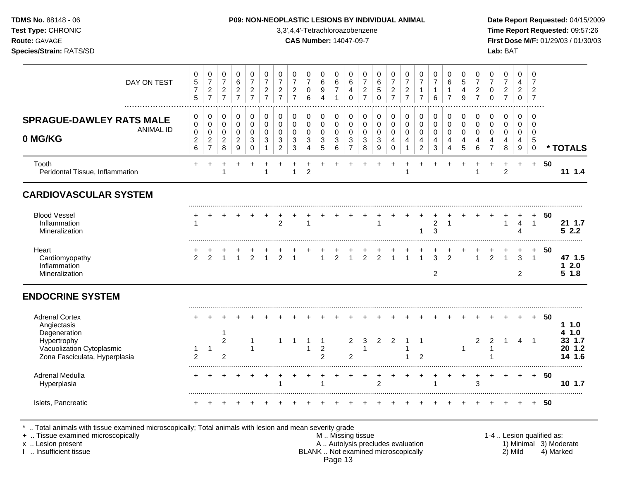## **TDMS No.** 88148 - 06 **P09: NON-NEOPLASTIC LESIONS BY INDIVIDUAL ANIMAL Date Report Requested:** 04/15/2009

**Test Type:** CHRONIC 3,3',4,4'-Tetrachloroazobenzene **Time Report Requested:** 09:57:26 **Route:** GAVAGE **CAS Number:** 14047-09-7 **First Dose M/F:** 01/29/03 / 01/30/03

| $\mathbf 0$<br>0<br>0<br>$\mathbf 0$<br>0<br>$\mathbf 0$<br>0<br>$\mathsf 0$<br>$\pmb{0}$<br>$\pmb{0}$<br>0<br>$\mathbf 0$<br>$\pmb{0}$<br>$\mathbf 0$<br>0<br>$\mathbf 0$<br>$\mathbf 0$<br>0<br>$\mathbf 0$<br>$\pmb{0}$<br>$\mathbf 0$<br>$\mathbf{3}$<br>$\sqrt{3}$<br>$\overline{4}$<br>4<br>4<br>4<br>$\overline{a}$<br>8<br>$\boldsymbol{9}$<br>$\mathbf 0$<br>$\sqrt{2}$<br>$\mathfrak{S}$<br>$\overline{4}$<br>$\mathbf{1}$<br>$\ddot{}$<br>$\ddot{}$<br>$\ddot{}$<br>$\overline{2}$<br>$\overline{1}$<br>1<br>3<br>1 | $\mathbf 0$<br>$\mathbf 0$<br>0<br>0<br>$\Omega$<br>$\Omega$<br>0<br>$\mathbf 0$<br>0<br>0<br>$\Omega$<br>$\Omega$<br>$\mathbf 0$<br>$\mathbf 0$<br>$\mathbf 0$<br>0<br>$\mathbf 0$<br>$\mathbf 0$<br>$\overline{4}$<br>4<br>5<br>4<br>4<br>4<br>$\bf 8$<br>$\boldsymbol{9}$<br>5<br>6<br>$\overline{7}$<br>$\pmb{0}$<br>50<br>$+$<br>$\ddot{}$<br>$\ddot{}$<br>$\ddot{}$<br>$\ddot{}$<br>$\overline{2}$<br>50<br>$+$<br>$\ddot{}$<br>$\ddot{}$<br>$\mathbf{1}$<br>$\mathbf{1}$<br>4<br>4 | * TOTALS<br>111.4<br>21 1.7<br>52.2        |
|--------------------------------------------------------------------------------------------------------------------------------------------------------------------------------------------------------------------------------------------------------------------------------------------------------------------------------------------------------------------------------------------------------------------------------------------------------------------------------------------------------------------------------|-------------------------------------------------------------------------------------------------------------------------------------------------------------------------------------------------------------------------------------------------------------------------------------------------------------------------------------------------------------------------------------------------------------------------------------------------------------------------------------------|--------------------------------------------|
|                                                                                                                                                                                                                                                                                                                                                                                                                                                                                                                                |                                                                                                                                                                                                                                                                                                                                                                                                                                                                                           |                                            |
|                                                                                                                                                                                                                                                                                                                                                                                                                                                                                                                                |                                                                                                                                                                                                                                                                                                                                                                                                                                                                                           |                                            |
|                                                                                                                                                                                                                                                                                                                                                                                                                                                                                                                                |                                                                                                                                                                                                                                                                                                                                                                                                                                                                                           |                                            |
|                                                                                                                                                                                                                                                                                                                                                                                                                                                                                                                                |                                                                                                                                                                                                                                                                                                                                                                                                                                                                                           |                                            |
| $\overline{2}$<br>3<br>$\overline{2}$<br>2<br>$\mathbf{1}$<br>1<br>2                                                                                                                                                                                                                                                                                                                                                                                                                                                           | 50<br>+<br>$\overline{2}$<br>3<br>1<br>1<br>$\mathbf{1}$<br>2                                                                                                                                                                                                                                                                                                                                                                                                                             | 47 1.5<br>12.0<br>$5 \t1.8$                |
|                                                                                                                                                                                                                                                                                                                                                                                                                                                                                                                                |                                                                                                                                                                                                                                                                                                                                                                                                                                                                                           |                                            |
| $\overline{2}$<br>3<br>2<br>$\mathbf 1$<br>$\overline{1}$<br>$\mathbf{1}$<br>1<br>$\overline{2}$                                                                                                                                                                                                                                                                                                                                                                                                                               | - 50<br>$+$<br>2<br>2<br>$\overline{4}$<br>1<br>$\overline{1}$<br>$\mathbf{1}$<br>$\mathbf{1}$<br>1                                                                                                                                                                                                                                                                                                                                                                                       | 1.0<br>4 1.0<br>33 1.7<br>20 1.2<br>14 1.6 |
| $\overline{2}$<br>1                                                                                                                                                                                                                                                                                                                                                                                                                                                                                                            | -50<br>$+$<br>3                                                                                                                                                                                                                                                                                                                                                                                                                                                                           | 10, 1.7                                    |
|                                                                                                                                                                                                                                                                                                                                                                                                                                                                                                                                | - 50<br>$+$                                                                                                                                                                                                                                                                                                                                                                                                                                                                               |                                            |
|                                                                                                                                                                                                                                                                                                                                                                                                                                                                                                                                |                                                                                                                                                                                                                                                                                                                                                                                                                                                                                           |                                            |

Page 13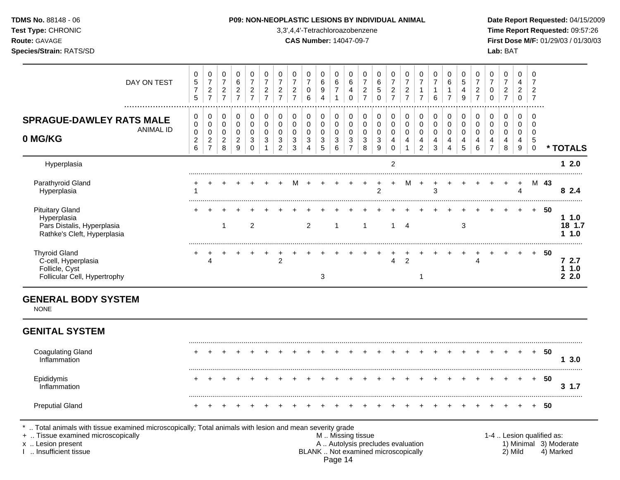### **TDMS No.** 88148 - 06 **P09: NON-NEOPLASTIC LESIONS BY INDIVIDUAL ANIMAL Date Report Requested:** 04/15/2009

**Test Type:** CHRONIC 3,3',4,4'-Tetrachloroazobenzene **Time Report Requested:** 09:57:26 **Route:** GAVAGE **CAS Number:** 14047-09-7 **First Dose M/F:** 01/29/03 / 01/30/03

| DAY ON TEST<br>                                                                                    | 0<br>$\,$ 5 $\,$<br>$\overline{7}$<br>5 | 0<br>$\overline{7}$<br>$\overline{c}$<br>$\overline{ }$ | 0<br>$\overline{7}$<br>$\overline{c}$<br>$\overline{ }$ | 0<br>$\,6$<br>$\boldsymbol{2}$<br>$\overline{ }$ | 0<br>$\overline{7}$<br>$\overline{c}$<br>$\overline{ }$ | 0<br>$\overline{ }$<br>$\overline{2}$<br>$\overline{\phantom{0}}$ | $\overline{\mathbf{c}}$<br>$\overline{ }$ | 0<br>$\overline{7}$<br>$\overline{2}$<br>$\overline{ }$ | 0<br>7<br>0<br>6      | 0<br>6<br>9<br>4      | 0<br>6<br>$\overline{7}$ | 0<br>6<br>4<br>0 | 0<br>$\overline{7}$<br>2<br>$\overline{ }$ | 6<br>5      | 0<br>$\overline{ }$<br>$\overline{c}$<br>$\rightarrow$ | 0<br>$\overline{7}$<br>$\overline{\mathbf{c}}$<br>$\overline{ }$ | 0<br>$\overline{7}$<br>$\overline{ }$ | 0<br>7<br>1<br>6 | 0<br>6                | 0<br>5<br>4<br>9      | 2<br>⇁ | 7 | 0<br>⇁<br>$\overline{\mathbf{c}}$<br>$\overline{ }$ | 0<br>4<br>$\overline{c}$<br>$\Omega$ |                  |    |                      |
|----------------------------------------------------------------------------------------------------|-----------------------------------------|---------------------------------------------------------|---------------------------------------------------------|--------------------------------------------------|---------------------------------------------------------|-------------------------------------------------------------------|-------------------------------------------|---------------------------------------------------------|-----------------------|-----------------------|--------------------------|------------------|--------------------------------------------|-------------|--------------------------------------------------------|------------------------------------------------------------------|---------------------------------------|------------------|-----------------------|-----------------------|--------|---|-----------------------------------------------------|--------------------------------------|------------------|----|----------------------|
| <b>SPRAGUE-DAWLEY RATS MALE</b><br><b>ANIMAL ID</b><br>0 MG/KG                                     | 0<br>0<br>0<br>$\overline{c}$<br>6      | 0<br>0<br>0<br>2<br>$\overline{ }$                      | 0<br>0<br>0<br>2<br>8                                   | 0<br>0<br>0<br>2<br>9                            | 0<br>0<br>0<br>3<br>0                                   | 0<br>3                                                            | 0<br>3<br>2                               | 0<br>0<br>0<br>3<br>3                                   | 0<br>0<br>0<br>3<br>4 | 0<br>0<br>0<br>3<br>5 | 0<br>0<br>3<br>6         | 0<br>0<br>0<br>3 | 0<br>0<br>0<br>3<br>8                      | 0<br>3<br>9 | 0<br>4                                                 | 0<br>0<br>0<br>4                                                 | 0<br>0<br>0<br>4<br>$\overline{2}$    | 0<br>0<br>4<br>3 | 0<br>0<br>0<br>4<br>4 | 0<br>0<br>0<br>4<br>5 | 0<br>6 | 0 | 0<br>4<br>8                                         | 0<br>0<br>0<br>4<br>9                | 5<br>$\mathbf 0$ |    | * TOTALS             |
| Hyperplasia                                                                                        |                                         |                                                         |                                                         |                                                  |                                                         |                                                                   |                                           |                                                         |                       |                       |                          |                  |                                            |             | 2                                                      |                                                                  |                                       |                  |                       |                       |        |   |                                                     |                                      |                  |    | 12.0                 |
| Parathyroid Gland<br>Hyperplasia                                                                   |                                         |                                                         |                                                         |                                                  |                                                         |                                                                   |                                           |                                                         |                       |                       |                          |                  |                                            | 2           |                                                        | M                                                                |                                       | З                |                       |                       |        |   |                                                     |                                      | м                | 43 | 2.4<br>8             |
| <b>Pituitary Gland</b><br>Hyperplasia<br>Pars Distalis, Hyperplasia<br>Rathke's Cleft, Hyperplasia |                                         |                                                         |                                                         |                                                  | 2                                                       |                                                                   |                                           |                                                         | $\mathcal{P}$         |                       |                          |                  | 1                                          |             | 1                                                      | 4                                                                |                                       |                  |                       | 3                     |        |   |                                                     |                                      | $+$              | 50 | 1.0<br>18 1.7<br>1.0 |
| <b>Thyroid Gland</b><br>C-cell, Hyperplasia<br>Follicle, Cyst<br>Follicular Cell, Hypertrophy      |                                         |                                                         |                                                         |                                                  |                                                         |                                                                   | $\overline{2}$                            |                                                         |                       | 3                     |                          |                  |                                            |             |                                                        | $\mathcal{P}$                                                    |                                       |                  |                       |                       |        |   |                                                     | $\div$                               | $+$              | 50 | 2.7<br>1.0<br>2.0    |

# **GENERAL BODY SYSTEM**

NONE

# **GENITAL SYSTEM**

| gulating Gland<br>ammation | · + |  |  |  |  | $+$ $+$ $+$ $+$ |  |  | $+$ $+$ | $+$ $+$     | $\leftarrow$ |  |  |  |     | -50 | 3.0 |
|----------------------------|-----|--|--|--|--|-----------------|--|--|---------|-------------|--------------|--|--|--|-----|-----|-----|
| lammation                  | $+$ |  |  |  |  | $+$ $+$ $+$ $+$ |  |  |         | + + + + + + |              |  |  |  | $+$ | -50 |     |
| l Glanc                    |     |  |  |  |  |                 |  |  |         |             |              |  |  |  |     | 50  |     |

\* .. Total animals with tissue examined microscopically; Total animals with lesion and mean severity grade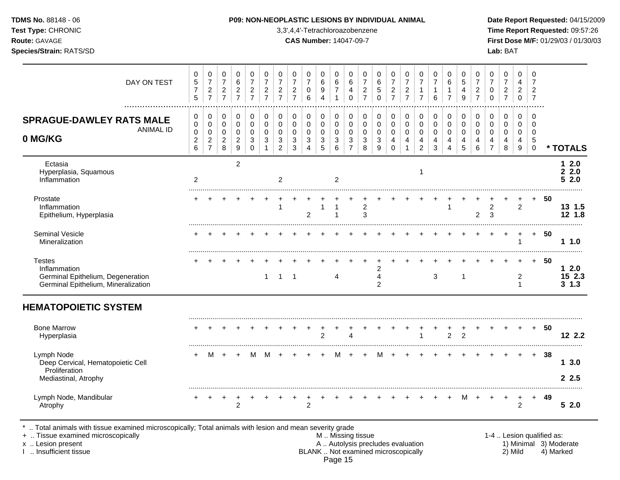### **TDMS No.** 88148 - 06 **P09: NON-NEOPLASTIC LESIONS BY INDIVIDUAL ANIMAL Date Report Requested:** 04/15/2009

**Test Type:** CHRONIC 3,3',4,4'-Tetrachloroazobenzene **Time Report Requested:** 09:57:26 **Route:** GAVAGE **CAS Number:** 14047-09-7 **First Dose M/F:** 01/29/03 / 01/30/03

| DAY ON TEST                                                                                               | 0<br>$\,$ 5 $\,$<br>$\overline{7}$<br>5                                    | 0<br>$\overline{7}$<br>$\sqrt{2}$<br>$\overline{7}$                   | 0<br>$\overline{7}$<br>$\overline{c}$<br>$\overline{7}$ | $\mathbf 0$<br>$\,6\,$<br>$\sqrt{2}$<br>$\overline{7}$                        | $\mathbf 0$<br>$\overline{7}$<br>$\overline{c}$<br>$\overline{7}$ | 0<br>$\overline{7}$<br>$\overline{c}$<br>$\overline{7}$ | 0<br>$\overline{7}$<br>$\boldsymbol{2}$<br>$\overline{7}$    | 0<br>$\overline{7}$<br>$\overline{c}$<br>$\overline{7}$  | 0<br>$\overline{7}$<br>$\pmb{0}$<br>6                                   | 0<br>6<br>9<br>$\boldsymbol{\Lambda}$   | $\Omega$<br>6<br>$\overline{7}$ | 0<br>$\,6$<br>4<br>$\Omega$                            | 0<br>$\overline{7}$<br>$\boldsymbol{2}$<br>$\overline{7}$ | $\mathbf 0$<br>$\,6\,$<br>$\overline{5}$<br>$\Omega$ | 0<br>$\overline{7}$<br>$\boldsymbol{2}$<br>$\overline{7}$   | 0<br>$\overline{7}$<br>$\sqrt{2}$<br>$\overline{7}$       | $\,0\,$<br>$\overline{7}$<br>$\mathbf{1}$<br>$\overline{7}$ | 0<br>$\overline{7}$<br>1<br>6                          | $\mathbf 0$<br>6<br>$\overline{7}$             | 0<br>5<br>$\overline{4}$<br>9                    | $\mathbf 0$<br>$\overline{7}$<br>$\overline{c}$<br>$\overline{7}$ | $\mathbf 0$<br>$\overline{7}$<br>0<br>$\Omega$                       | 0<br>$\overline{7}$<br>$\overline{c}$<br>$\overline{7}$ | $\Omega$<br>$\overline{4}$<br>$\overline{c}$<br>$\Omega$ | 0<br>7<br>$\overline{\mathbf{c}}$<br>$\overline{7}$ |      |                             |
|-----------------------------------------------------------------------------------------------------------|----------------------------------------------------------------------------|-----------------------------------------------------------------------|---------------------------------------------------------|-------------------------------------------------------------------------------|-------------------------------------------------------------------|---------------------------------------------------------|--------------------------------------------------------------|----------------------------------------------------------|-------------------------------------------------------------------------|-----------------------------------------|---------------------------------|--------------------------------------------------------|-----------------------------------------------------------|------------------------------------------------------|-------------------------------------------------------------|-----------------------------------------------------------|-------------------------------------------------------------|--------------------------------------------------------|------------------------------------------------|--------------------------------------------------|-------------------------------------------------------------------|----------------------------------------------------------------------|---------------------------------------------------------|----------------------------------------------------------|-----------------------------------------------------|------|-----------------------------|
| <br><b>SPRAGUE-DAWLEY RATS MALE</b><br><b>ANIMAL ID</b><br>0 MG/KG                                        | 0<br>$\mathbf 0$<br>$\pmb{0}$<br>$\overline{\mathbf{c}}$<br>$6\phantom{a}$ | $\pmb{0}$<br>$\mathbf 0$<br>$\pmb{0}$<br>$\sqrt{2}$<br>$\overline{7}$ | $\pmb{0}$<br>0<br>$\pmb{0}$<br>$\overline{c}$<br>8      | $\pmb{0}$<br>$\mathbf 0$<br>$\mathbf 0$<br>$\overline{c}$<br>$\boldsymbol{9}$ | $\,0\,$<br>0<br>$\mathbf 0$<br>3<br>$\Omega$                      | $\pmb{0}$<br>$\mathbf 0$<br>$\Omega$<br>3               | $\,0\,$<br>$\mathbf 0$<br>$\mathbf 0$<br>3<br>$\overline{2}$ | $\pmb{0}$<br>$\pmb{0}$<br>$\mathbf 0$<br>$\sqrt{3}$<br>3 | $\pmb{0}$<br>$\mathbf 0$<br>$\mathbf 0$<br>$\sqrt{3}$<br>$\overline{4}$ | $\pmb{0}$<br>0<br>$\mathbf 0$<br>3<br>5 | 0<br>0<br>$\mathbf 0$<br>3<br>6 | 0<br>$\mathbf 0$<br>$\mathbf 0$<br>3<br>$\overline{7}$ | 0<br>0<br>$\mathbf 0$<br>3<br>8                           | $\pmb{0}$<br>$\mathbf 0$<br>$\mathbf 0$<br>3<br>9    | $\pmb{0}$<br>0<br>$\mathbf 0$<br>$\overline{4}$<br>$\Omega$ | 0<br>$\mathsf{O}\xspace$<br>$\mathbf 0$<br>$\overline{4}$ | 0<br>$\mathbf 0$<br>$\mathbf 0$<br>4<br>$\overline{c}$      | 0<br>$\mathbf 0$<br>$\mathbf 0$<br>$\overline{4}$<br>3 | $\pmb{0}$<br>$\mathbf 0$<br>$\Omega$<br>4<br>4 | $\mathbf 0$<br>$\mathbf 0$<br>$\Omega$<br>4<br>5 | 0<br>$\mathbf 0$<br>$\Omega$<br>4<br>6                            | 0<br>$\mathbf{0}$<br>$\mathbf 0$<br>$\overline{4}$<br>$\overline{7}$ | 0<br>$\mathbf 0$<br>0<br>4<br>8                         | $\pmb{0}$<br>$\mathbf 0$<br>$\mathbf 0$<br>4<br>9        | 0<br>$\Omega$<br>$\mathbf 0$<br>5<br>$\mathbf 0$    |      | * TOTALS                    |
| Ectasia<br>Hyperplasia, Squamous<br>Inflammation                                                          | 2                                                                          |                                                                       |                                                         | $\overline{2}$                                                                |                                                                   |                                                         | $\overline{c}$                                               |                                                          |                                                                         |                                         | 2                               |                                                        |                                                           |                                                      |                                                             |                                                           | $\mathbf{1}$                                                |                                                        |                                                |                                                  |                                                                   |                                                                      |                                                         |                                                          |                                                     |      | 12.0<br>22.0<br>52.0        |
| Prostate<br>Inflammation<br>Epithelium, Hyperplasia                                                       |                                                                            |                                                                       |                                                         |                                                                               |                                                                   |                                                         | 1                                                            |                                                          | $\overline{c}$                                                          |                                         | 1                               |                                                        | 2<br>3                                                    |                                                      |                                                             |                                                           |                                                             |                                                        |                                                |                                                  | $\overline{2}$                                                    | $\overline{2}$<br>3                                                  |                                                         | $\overline{2}$                                           | $+$                                                 | 50   | 13 1.5<br>12 1.8            |
| Seminal Vesicle<br>Mineralization                                                                         |                                                                            |                                                                       |                                                         |                                                                               |                                                                   |                                                         |                                                              |                                                          |                                                                         |                                         |                                 |                                                        |                                                           |                                                      |                                                             |                                                           |                                                             |                                                        |                                                |                                                  |                                                                   |                                                                      |                                                         |                                                          | $+$                                                 | 50   | 11.0                        |
| <b>Testes</b><br>Inflammation<br>Germinal Epithelium, Degeneration<br>Germinal Epithelium, Mineralization |                                                                            |                                                                       |                                                         |                                                                               |                                                                   | $\mathbf{1}$                                            | $\mathbf{1}$                                                 | $\overline{\phantom{0}}$                                 |                                                                         |                                         | 4                               |                                                        |                                                           | 2<br>4<br>$\overline{2}$                             |                                                             |                                                           |                                                             | 3                                                      |                                                | $\mathbf{1}$                                     |                                                                   |                                                                      |                                                         | $\overline{2}$<br>1                                      | $+$                                                 | 50   | 12.0<br>15 2.3<br>$3 \t1.3$ |
| <b>HEMATOPOIETIC SYSTEM</b>                                                                               |                                                                            |                                                                       |                                                         |                                                                               |                                                                   |                                                         |                                                              |                                                          |                                                                         |                                         |                                 |                                                        |                                                           |                                                      |                                                             |                                                           |                                                             |                                                        |                                                |                                                  |                                                                   |                                                                      |                                                         |                                                          |                                                     |      |                             |
| <b>Bone Marrow</b><br>Hyperplasia                                                                         |                                                                            |                                                                       |                                                         |                                                                               |                                                                   |                                                         |                                                              |                                                          |                                                                         | $\mathfrak{p}$                          |                                 | $\lambda$                                              |                                                           |                                                      |                                                             |                                                           |                                                             |                                                        | $\mathcal{P}$                                  | $\mathcal{P}$                                    |                                                                   |                                                                      |                                                         |                                                          | $+$                                                 | 50   | 122.2                       |
| Lymph Node<br>Deep Cervical, Hematopoietic Cell<br>Proliferation<br>Mediastinal, Atrophy                  |                                                                            | м                                                                     | $\overline{+}$                                          | $\overline{+}$                                                                | м                                                                 | м                                                       |                                                              |                                                          |                                                                         |                                         | м                               |                                                        |                                                           |                                                      |                                                             |                                                           |                                                             |                                                        |                                                |                                                  |                                                                   |                                                                      |                                                         |                                                          | $+$                                                 | 38   | 13.0<br>2.2.5               |
| Lymph Node, Mandibular<br>Atrophy                                                                         |                                                                            | $\ddot{}$                                                             | $+$                                                     | $^{+}$<br>2                                                                   |                                                                   |                                                         |                                                              | $+$                                                      | $\ddot{}$<br>$\overline{2}$                                             |                                         |                                 |                                                        |                                                           |                                                      |                                                             |                                                           |                                                             |                                                        |                                                | M                                                |                                                                   | $+$                                                                  | $+$                                                     | $+$<br>2                                                 | $+$                                                 | - 49 | 52.0                        |

\* .. Total animals with tissue examined microscopically; Total animals with lesion and mean severity grade

- + .. Tissue examined microscopically M .. Missing tissue 1-4 .. Lesion qualified as: x .. Lesion present **A .. Autolysis precludes evaluation** A .. Autolysis precludes evaluation 1) Minimal 3) Moderate I .. Insufficient tissue BLANK .. Not examined microscopically 2) Mild 4) Marked Page 15
	-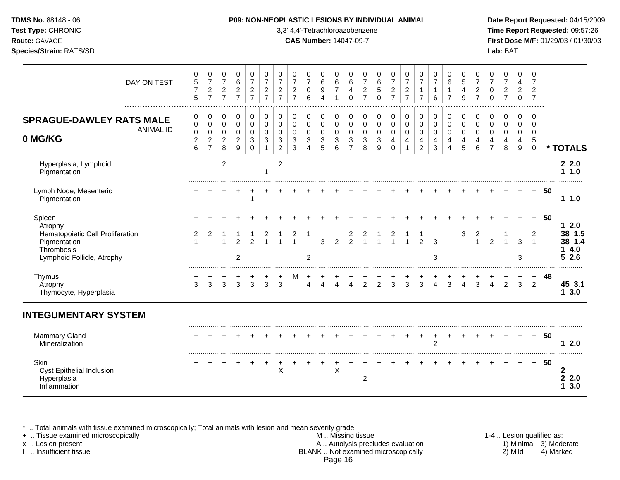**Test Type:** CHRONIC 3,3',4,4'-Tetrachloroazobenzene **Time Report Requested:** 09:57:26 **Route:** GAVAGE **CAS Number:** 14047-09-7 **First Dose M/F:** 01/29/03 / 01/30/03

| DAY ON TEST                                                                                                       | 0<br>$\,$ 5 $\,$<br>$\boldsymbol{7}$<br>$\sqrt{5}$          | 0<br>$\overline{7}$<br>$\overline{a}$<br>$\overline{7}$             | 0<br>$\overline{7}$<br>$\boldsymbol{2}$<br>$\overline{7}$ | 0<br>$\,6\,$<br>$\sqrt{2}$<br>$\overline{7}$                        | 0<br>$\overline{7}$<br>$\overline{c}$<br>$\overline{7}$          | 0<br>$\overline{7}$<br>$\overline{c}$<br>$\overline{7}$ | 0<br>$\overline{7}$<br>$\overline{2}$<br>$\overline{7}$           | 0<br>$\overline{7}$<br>$\boldsymbol{2}$<br>$\overline{7}$ | 0<br>$\overline{7}$<br>0<br>6                  | 0<br>6<br>9<br>$\overline{4}$                         | 0<br>$\,6$<br>$\overline{7}$<br>$\mathbf{1}$     | $\mathbf 0$<br>$\,6\,$<br>4<br>$\Omega$              | $\mathbf 0$<br>$\overline{7}$<br>$\overline{c}$<br>$\overline{7}$ | 0<br>6<br>$\mathbf 5$<br>$\Omega$ | 0<br>$\overline{7}$<br>$\overline{c}$<br>$\overline{7}$ | 0<br>$\overline{7}$<br>$\sqrt{2}$<br>$\overline{7}$ | 0<br>$\overline{7}$<br>$\mathbf{1}$<br>$\overline{7}$                    | 0<br>$\overline{7}$<br>$\mathbf{1}$<br>6             | 0<br>$\,6\,$<br>1<br>$\overline{7}$     | $\mathbf 0$<br>5<br>4<br>9             | 0<br>$\overline{7}$<br>$\overline{c}$<br>$\overline{7}$ | $\mathbf 0$<br>$\overline{7}$<br>0<br>$\Omega$ | 0<br>$\overline{7}$<br>$\overline{c}$<br>$\overline{7}$ | 0<br>4<br>$\overline{2}$<br>$\mathbf 0$ | $\mathbf 0$<br>$\overline{7}$<br>$\overline{2}$<br>$\overline{7}$ |    |                                              |
|-------------------------------------------------------------------------------------------------------------------|-------------------------------------------------------------|---------------------------------------------------------------------|-----------------------------------------------------------|---------------------------------------------------------------------|------------------------------------------------------------------|---------------------------------------------------------|-------------------------------------------------------------------|-----------------------------------------------------------|------------------------------------------------|-------------------------------------------------------|--------------------------------------------------|------------------------------------------------------|-------------------------------------------------------------------|-----------------------------------|---------------------------------------------------------|-----------------------------------------------------|--------------------------------------------------------------------------|------------------------------------------------------|-----------------------------------------|----------------------------------------|---------------------------------------------------------|------------------------------------------------|---------------------------------------------------------|-----------------------------------------|-------------------------------------------------------------------|----|----------------------------------------------|
| <b>SPRAGUE-DAWLEY RATS MALE</b><br><b>ANIMAL ID</b><br>0 MG/KG                                                    | 0<br>$\pmb{0}$<br>$\pmb{0}$<br>$\sqrt{2}$<br>$6\phantom{a}$ | 0<br>$\mathbf 0$<br>$\mathbf 0$<br>$\overline{a}$<br>$\overline{7}$ | 0<br>$\pmb{0}$<br>$\pmb{0}$<br>$\overline{c}$<br>$\bf 8$  | 0<br>$\pmb{0}$<br>$\mathbf 0$<br>$\overline{2}$<br>$\boldsymbol{9}$ | $\pmb{0}$<br>$\pmb{0}$<br>$\mathbf 0$<br>$\sqrt{3}$<br>$\pmb{0}$ | $\mathbf 0$<br>$\mathbf 0$<br>$\Omega$<br>3             | 0<br>$\mathbf 0$<br>$\mathbf 0$<br>$\mathbf{3}$<br>$\overline{c}$ | 0<br>$\mathbf 0$<br>$\Omega$<br>3<br>3                    | 0<br>$\pmb{0}$<br>$\pmb{0}$<br>$\sqrt{3}$<br>4 | 0<br>$\pmb{0}$<br>0<br>$\ensuremath{\mathsf{3}}$<br>5 | 0<br>$\pmb{0}$<br>$\mathbf 0$<br>$\sqrt{3}$<br>6 | 0<br>$\pmb{0}$<br>$\mathbf 0$<br>3<br>$\overline{7}$ | $\mathbf 0$<br>$\pmb{0}$<br>$\mathbf 0$<br>$\mathbf{3}$<br>8      | 0<br>0<br>$\mathbf 0$<br>3<br>9   | 0<br>$\pmb{0}$<br>$\pmb{0}$<br>4<br>$\mathbf 0$         | 0<br>$\mathbf 0$<br>$\mathbf 0$<br>$\overline{4}$   | 0<br>$\pmb{0}$<br>$\pmb{0}$<br>$\overline{\mathbf{4}}$<br>$\overline{c}$ | 0<br>$\pmb{0}$<br>$\mathsf 0$<br>$\overline{4}$<br>3 | 0<br>$\pmb{0}$<br>$\mathbf 0$<br>4<br>4 | 0<br>$\mathbf 0$<br>$\Omega$<br>4<br>5 | 0<br>$\mathbf 0$<br>$\Omega$<br>4<br>6                  | 0<br>$\mathbf 0$<br>$\Omega$<br>4              | 0<br>0<br>0<br>4<br>8                                   | $\mathbf 0$<br>0<br>0<br>4<br>9         | $\Omega$<br>$\Omega$<br>$\Omega$<br>5<br>$\mathbf 0$              |    | * TOTALS                                     |
| Hyperplasia, Lymphoid<br>Pigmentation                                                                             |                                                             |                                                                     | $\overline{c}$                                            |                                                                     |                                                                  |                                                         | $\overline{2}$                                                    |                                                           |                                                |                                                       |                                                  |                                                      |                                                                   |                                   |                                                         |                                                     |                                                                          |                                                      |                                         |                                        |                                                         |                                                |                                                         |                                         |                                                                   |    | 22.0<br>1.0<br>1.                            |
| Lymph Node, Mesenteric<br>Pigmentation                                                                            |                                                             |                                                                     |                                                           |                                                                     |                                                                  |                                                         |                                                                   |                                                           |                                                |                                                       |                                                  |                                                      |                                                                   |                                   |                                                         |                                                     |                                                                          |                                                      |                                         |                                        |                                                         |                                                |                                                         | $\ddot{}$                               | $+$                                                               | 50 | 11.0                                         |
| Spleen<br>Atrophy<br>Hematopoietic Cell Proliferation<br>Pigmentation<br>Thrombosis<br>Lymphoid Follicle, Atrophy | 2<br>$\overline{1}$                                         | 2                                                                   | $\overline{A}$                                            | $\mathfrak{p}$<br>$\overline{c}$                                    | $\mathfrak{D}$                                                   | $\overline{\mathbf{c}}$<br>$\overline{A}$               |                                                                   | 2<br>$\overline{1}$                                       | $\overline{c}$                                 | 3                                                     | $\overline{2}$                                   | $\frac{2}{2}$                                        | $\frac{2}{1}$                                                     | $\overline{1}$                    | $\begin{array}{c} 2 \\ 1 \end{array}$                   | $\overline{1}$                                      | $\overline{2}$                                                           | 3<br>3                                               |                                         | 3                                      | 2<br>$\overline{1}$                                     | $\overline{2}$                                 | $\overline{1}$                                          | $\overline{3}$<br>3                     | $\ddot{}$<br>$\overline{c}$<br>$\overline{1}$                     | 50 | 12.0<br>38 1.5<br>38 1.4<br>4.0<br>2.6<br>5. |
| Thymus<br>Atrophy<br>Thymocyte, Hyperplasia                                                                       | 3                                                           | $\overline{3}$                                                      | 3                                                         | 3                                                                   | 3                                                                | $\overline{3}$                                          | $\overline{3}$                                                    | M                                                         | $\overline{A}$                                 | $\overline{\mathbf{A}}$                               | $\overline{\mathbf{A}}$                          | $\overline{4}$                                       | $\frac{+}{2}$                                                     | $\frac{+}{2}$                     | $\frac{+}{3}$                                           | $\frac{+}{3}$                                       | $\frac{+}{3}$                                                            | $\overline{4}$                                       | +<br>3                                  | $\Delta$                               | 3                                                       | $\overline{4}$                                 | $\overline{2}$                                          | +<br>3                                  | $\ddot{}$<br>$\overline{2}$                                       | 48 | 45 3.1<br>13.0                               |
| <b>INTEGUMENTARY SYSTEM</b>                                                                                       |                                                             |                                                                     |                                                           |                                                                     |                                                                  |                                                         |                                                                   |                                                           |                                                |                                                       |                                                  |                                                      |                                                                   |                                   |                                                         |                                                     |                                                                          |                                                      |                                         |                                        |                                                         |                                                |                                                         |                                         |                                                                   |    |                                              |
| Mammary Gland<br>Mineralization                                                                                   |                                                             |                                                                     |                                                           |                                                                     |                                                                  |                                                         |                                                                   |                                                           |                                                |                                                       |                                                  |                                                      |                                                                   |                                   |                                                         |                                                     |                                                                          | $\overline{2}$                                       |                                         |                                        |                                                         |                                                |                                                         |                                         | $+$                                                               | 50 | 12.0                                         |
| Skin<br><b>Cyst Epithelial Inclusion</b><br>Hyperplasia<br>Inflammation                                           |                                                             |                                                                     |                                                           |                                                                     |                                                                  |                                                         | $\sf X$                                                           |                                                           |                                                |                                                       | $\mathsf X$                                      |                                                      | $\overline{c}$                                                    |                                   |                                                         |                                                     |                                                                          |                                                      |                                         |                                        |                                                         |                                                |                                                         |                                         | $\ddot{}$                                                         | 50 | 2<br>22.0<br>3.0<br>1                        |

\* .. Total animals with tissue examined microscopically; Total animals with lesion and mean severity grade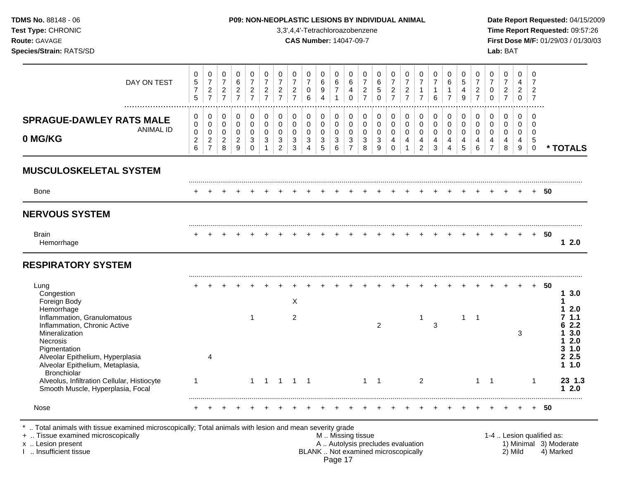| <b>TDMS No. 88148 - 06</b>     | <b>P09: NON-NEOPLASTIC LESIONS BY INDIVIDUAL ANIMAL</b> | Date Repo         |
|--------------------------------|---------------------------------------------------------|-------------------|
| <b>Test Type: CHRONIC</b>      | 3,3',4,4'-Tetrachloroazobenzene                         | Time Rep          |
| <b>Route: GAVAGE</b>           | <b>CAS Number: 14047-09-7</b>                           | <b>First Dose</b> |
| <b>Species/Strain: RATS/SD</b> |                                                         | Lab: BAT          |

**Time Report Requested:** 09:57:26 **CAS Number:** 14047-09-7 **First Dose M/F:** 01/29/03 / 01/30/03

| DAY ON TEST                                                                                                                                   | 0<br>5<br>$\boldsymbol{7}$<br>5              | 0<br>$\overline{7}$<br>$\boldsymbol{2}$<br>$\overline{7}$           | 0<br>$\overline{7}$<br>$\overline{2}$<br>$\overline{7}$ | 0<br>6<br>$\overline{2}$<br>$\overline{7}$           | 0<br>$\overline{7}$<br>$\boldsymbol{2}$<br>$\overline{7}$ | 0<br>$\overline{7}$<br>$\overline{c}$<br>$\overline{7}$ | 0<br>$\overline{7}$<br>$\overline{2}$<br>$\overline{7}$ | 0<br>$\overline{7}$<br>$\overline{c}$<br>$\overline{7}$  | 0<br>$\overline{7}$<br>0<br>6                                          | 0<br>$\,6\,$<br>9<br>$\overline{4}$        | 0<br>6<br>$\overline{7}$<br>$\mathbf{1}$  | 0<br>$\,6\,$<br>$\overline{4}$<br>$\Omega$                                     | 0<br>$\overline{7}$<br>$\overline{c}$<br>$\overline{7}$ | 0<br>6<br>$\sqrt{5}$<br>$\Omega$                | 0<br>$\overline{7}$<br>$\overline{c}$<br>$\overline{7}$ | 0<br>$\overline{7}$<br>$\overline{c}$<br>$\overline{7}$                      | 0<br>$\overline{7}$<br>$\mathbf{1}$<br>$\overline{7}$  | 0<br>$\overline{7}$<br>1<br>6                          | 0<br>6<br>$\mathbf{1}$<br>$\overline{7}$ | 0<br>$\overline{5}$<br>4<br>9                       | $\mathbf 0$<br>$\overline{7}$<br>$\overline{2}$<br>$\overline{7}$ | 0<br>$\overline{7}$<br>0<br>$\Omega$                | 0<br>$\overline{7}$<br>$\overline{c}$<br>$\overline{7}$ | $\Omega$<br>$\overline{4}$<br>$\overline{2}$<br>$\mathbf 0$       | 0<br>7<br>$\overline{2}$<br>$\overline{7}$        |      |                                             |
|-----------------------------------------------------------------------------------------------------------------------------------------------|----------------------------------------------|---------------------------------------------------------------------|---------------------------------------------------------|------------------------------------------------------|-----------------------------------------------------------|---------------------------------------------------------|---------------------------------------------------------|----------------------------------------------------------|------------------------------------------------------------------------|--------------------------------------------|-------------------------------------------|--------------------------------------------------------------------------------|---------------------------------------------------------|-------------------------------------------------|---------------------------------------------------------|------------------------------------------------------------------------------|--------------------------------------------------------|--------------------------------------------------------|------------------------------------------|-----------------------------------------------------|-------------------------------------------------------------------|-----------------------------------------------------|---------------------------------------------------------|-------------------------------------------------------------------|---------------------------------------------------|------|---------------------------------------------|
| <b>SPRAGUE-DAWLEY RATS MALE</b><br><b>ANIMAL ID</b><br>0 MG/KG                                                                                | 0<br>0<br>$\mathbf 0$<br>$\overline{c}$<br>6 | 0<br>$\mathbf 0$<br>$\mathbf 0$<br>$\overline{c}$<br>$\overline{7}$ | 0<br>0<br>$\mathbf 0$<br>$\boldsymbol{2}$<br>8          | 0<br>$\mathsf 0$<br>$\pmb{0}$<br>$\overline{c}$<br>9 | 0<br>$\mathbf 0$<br>$\mathbf 0$<br>$\sqrt{3}$<br>$\Omega$ | 0<br>$\Omega$<br>$\Omega$<br>3                          | 0<br>$\mathbf 0$<br>$\Omega$<br>3<br>2                  | $\mathbf 0$<br>$\Omega$<br>$\Omega$<br>$\mathbf{3}$<br>3 | 0<br>$\mathbf 0$<br>$\Omega$<br>$\mathbf{3}$<br>$\boldsymbol{\Lambda}$ | 0<br>0<br>$\mathbf 0$<br>$\mathbf{3}$<br>5 | 0<br>$\mathbf 0$<br>$\mathbf 0$<br>3<br>6 | 0<br>$\mathbf 0$<br>$\mathbf 0$<br>$\ensuremath{\mathsf{3}}$<br>$\overline{7}$ | 0<br>$\mathbf 0$<br>$\Omega$<br>$\mathbf{3}$<br>8       | 0<br>$\mathbf 0$<br>$\Omega$<br>$\sqrt{3}$<br>9 | $\pmb{0}$<br>$\pmb{0}$<br>$\mathbf 0$<br>4<br>$\Omega$  | 0<br>$\mathbf 0$<br>$\mathsf 0$<br>$\overline{\mathbf{4}}$<br>$\overline{1}$ | 0<br>$\mathbf 0$<br>$\mathbf 0$<br>4<br>$\overline{2}$ | 0<br>$\mathbf 0$<br>$\mathbf 0$<br>$\overline{4}$<br>3 | 0<br>$\Omega$<br>$\Omega$<br>4<br>4      | 0<br>$\mathbf 0$<br>$\Omega$<br>$\overline{4}$<br>5 | $\mathbf 0$<br>$\Omega$<br>$\Omega$<br>4<br>6                     | 0<br>$\mathbf 0$<br>$\Omega$<br>4<br>$\overline{7}$ | 0<br>$\mathbf 0$<br>$\mathbf 0$<br>4<br>8               | $\mathbf 0$<br>$\mathbf 0$<br>$\mathbf{0}$<br>$\overline{4}$<br>9 | $\Omega$<br>$\Omega$<br>$\Omega$<br>5<br>$\Omega$ |      | * TOTALS                                    |
| <b>MUSCULOSKELETAL SYSTEM</b>                                                                                                                 |                                              |                                                                     |                                                         |                                                      |                                                           |                                                         |                                                         |                                                          |                                                                        |                                            |                                           |                                                                                |                                                         |                                                 |                                                         |                                                                              |                                                        |                                                        |                                          |                                                     |                                                                   |                                                     |                                                         |                                                                   |                                                   |      |                                             |
| <b>Bone</b>                                                                                                                                   |                                              |                                                                     |                                                         |                                                      |                                                           |                                                         |                                                         |                                                          |                                                                        |                                            |                                           |                                                                                |                                                         |                                                 |                                                         |                                                                              |                                                        |                                                        |                                          |                                                     |                                                                   |                                                     |                                                         |                                                                   |                                                   | -50  |                                             |
| <b>NERVOUS SYSTEM</b>                                                                                                                         |                                              |                                                                     |                                                         |                                                      |                                                           |                                                         |                                                         |                                                          |                                                                        |                                            |                                           |                                                                                |                                                         |                                                 |                                                         |                                                                              |                                                        |                                                        |                                          |                                                     |                                                                   |                                                     |                                                         |                                                                   |                                                   |      |                                             |
| <b>Brain</b><br>Hemorrhage                                                                                                                    |                                              |                                                                     |                                                         |                                                      |                                                           |                                                         |                                                         |                                                          |                                                                        |                                            |                                           |                                                                                |                                                         |                                                 |                                                         |                                                                              |                                                        |                                                        |                                          |                                                     |                                                                   |                                                     |                                                         | $\ddot{}$                                                         | $+ 50$                                            |      | 12.0                                        |
| <b>RESPIRATORY SYSTEM</b>                                                                                                                     |                                              |                                                                     |                                                         |                                                      |                                                           |                                                         |                                                         |                                                          |                                                                        |                                            |                                           |                                                                                |                                                         |                                                 |                                                         |                                                                              |                                                        |                                                        |                                          |                                                     |                                                                   |                                                     |                                                         |                                                                   |                                                   |      |                                             |
| Lung<br>Congestion<br>Foreign Body<br>Hemorrhage<br>Inflammation, Granulomatous<br>Inflammation, Chronic Active<br>Mineralization<br>Necrosis |                                              |                                                                     |                                                         |                                                      | $\overline{1}$                                            |                                                         |                                                         | $\mathsf{X}$<br>$\overline{2}$                           |                                                                        |                                            |                                           |                                                                                |                                                         | $\overline{2}$                                  |                                                         |                                                                              | 1                                                      | 3                                                      |                                          | $\mathbf{1}$                                        | - 1                                                               |                                                     |                                                         | 3                                                                 | $+ 50$                                            |      | 3.0<br>1<br>2.0<br>1.1<br>2.2<br>3.0<br>2.0 |
| Pigmentation<br>Alveolar Epithelium, Hyperplasia<br>Alveolar Epithelium, Metaplasia,                                                          |                                              | 4                                                                   |                                                         |                                                      |                                                           |                                                         |                                                         |                                                          |                                                                        |                                            |                                           |                                                                                |                                                         |                                                 |                                                         |                                                                              |                                                        |                                                        |                                          |                                                     |                                                                   |                                                     |                                                         |                                                                   |                                                   |      | 3 1.0<br>2.5<br>11.0                        |
| Bronchiolar<br>Alveolus, Infiltration Cellular, Histiocyte<br>Smooth Muscle, Hyperplasia, Focal                                               | 1                                            |                                                                     |                                                         |                                                      |                                                           |                                                         | 1 1 1 1 1                                               |                                                          |                                                                        |                                            |                                           |                                                                                |                                                         | $1 \quad 1$                                     |                                                         |                                                                              | $\overline{2}$                                         |                                                        |                                          |                                                     |                                                                   | $1 \quad 1$                                         |                                                         |                                                                   | $\mathbf{1}$                                      |      | 23 1.3<br>12.0                              |
| Nose                                                                                                                                          |                                              |                                                                     |                                                         |                                                      |                                                           |                                                         |                                                         |                                                          |                                                                        |                                            |                                           |                                                                                |                                                         |                                                 |                                                         |                                                                              |                                                        |                                                        |                                          |                                                     |                                                                   |                                                     |                                                         |                                                                   | $+$                                               | - 50 |                                             |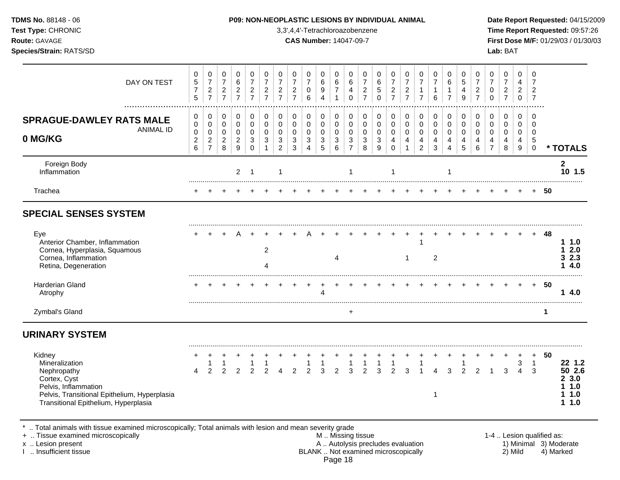# **TDMS No.** 88148 - 06 **P09: NON-NEOPLASTIC LESIONS BY INDIVIDUAL ANIMAL Date Report Requested:** 04/15/2009

**Test Type:** CHRONIC 3,3',4,4'-Tetrachloroazobenzene **Time Report Requested:** 09:57:26 **Route:** GAVAGE **CAS Number:** 14047-09-7 **First Dose M/F:** 01/29/03 / 01/30/03

| DAY ON TEST                                                                                                                                                             | 0<br>5<br>$\boldsymbol{7}$<br>5             | $\mathbf 0$<br>$\overline{7}$<br>$\overline{\mathbf{c}}$<br>$\overline{7}$ | 0<br>$\overline{7}$<br>$\overline{c}$<br>$\overline{7}$      | 0<br>$\,6\,$<br>$\overline{\mathbf{c}}$<br>$\overline{7}$ | 0<br>$\overline{7}$<br>$\overline{c}$<br>$\overline{7}$ | 0<br>$\overline{7}$<br>$\boldsymbol{2}$<br>$\overline{7}$ | 0<br>$\overline{7}$<br>$\overline{c}$<br>$\overline{7}$          | 0<br>$\overline{7}$<br>$\overline{c}$<br>$\overline{7}$ | 0<br>$\overline{7}$<br>0<br>6   | $\mathbf 0$<br>6<br>$9\,$<br>4           | 0<br>6<br>$\boldsymbol{7}$<br>1           | 0<br>6<br>$\overline{\mathbf{4}}$<br>$\mathbf 0$      | 0<br>$\overline{7}$<br>$\sqrt{2}$<br>$\overline{7}$                   | 0<br>6<br>$\sqrt{5}$<br>$\Omega$                     | 0<br>$\overline{7}$<br>$\sqrt{2}$<br>$\overline{7}$ | 0<br>$\overline{7}$<br>$\overline{c}$<br>$\overline{7}$ | 0<br>$\overline{7}$<br>$\mathbf{1}$<br>$\overline{7}$ | 0<br>$\overline{7}$<br>$\mathbf{1}$<br>6               | 0<br>6<br>$\mathbf{1}$<br>$\overline{7}$  | 0<br>5<br>4<br>9                        | 0<br>$\overline{7}$<br>$\overline{c}$<br>$\overline{7}$ | 0<br>$\overline{7}$<br>$\mathbf 0$<br>$\Omega$      | 0<br>$\boldsymbol{7}$<br>$\overline{c}$<br>$\overline{7}$ | 0<br>4<br>$\overline{c}$<br>$\mathbf 0$ | 0<br>$\overline{7}$<br>$\overline{c}$<br>$\overline{7}$          |     |                                                  |
|-------------------------------------------------------------------------------------------------------------------------------------------------------------------------|---------------------------------------------|----------------------------------------------------------------------------|--------------------------------------------------------------|-----------------------------------------------------------|---------------------------------------------------------|-----------------------------------------------------------|------------------------------------------------------------------|---------------------------------------------------------|---------------------------------|------------------------------------------|-------------------------------------------|-------------------------------------------------------|-----------------------------------------------------------------------|------------------------------------------------------|-----------------------------------------------------|---------------------------------------------------------|-------------------------------------------------------|--------------------------------------------------------|-------------------------------------------|-----------------------------------------|---------------------------------------------------------|-----------------------------------------------------|-----------------------------------------------------------|-----------------------------------------|------------------------------------------------------------------|-----|--------------------------------------------------|
| <b>SPRAGUE-DAWLEY RATS MALE</b><br><b>ANIMAL ID</b><br>0 MG/KG                                                                                                          | 0<br>0<br>0<br>$\sqrt{2}$<br>$6\phantom{a}$ | 0<br>$\mathbf 0$<br>$\pmb{0}$<br>$\overline{c}$<br>$\overline{7}$          | 0<br>$\mathbf 0$<br>$\mathbf 0$<br>$\overline{a}$<br>$\,8\,$ | $\pmb{0}$<br>$\mathbf 0$<br>0<br>$\overline{c}$<br>9      | 0<br>$\mathbf 0$<br>$\mathbf 0$<br>3<br>$\mathbf 0$     | 0<br>$\mathbf 0$<br>$\mathbf 0$<br>3<br>$\mathbf{1}$      | $\mathbf 0$<br>$\mathbf 0$<br>$\mathbf 0$<br>3<br>$\overline{2}$ | 0<br>$\mathbf 0$<br>$\mathbf 0$<br>3<br>3               | 0<br>$\mathbf 0$<br>0<br>3<br>4 | 0<br>$\mathbf 0$<br>0<br>3<br>$\sqrt{5}$ | 0<br>$\mathbf 0$<br>$\mathbf 0$<br>3<br>6 | 0<br>$\pmb{0}$<br>0<br>$\mathbf{3}$<br>$\overline{7}$ | 0<br>$\pmb{0}$<br>$\mathbf 0$<br>$\ensuremath{\mathsf{3}}$<br>$\,8\,$ | 0<br>$\mathbf 0$<br>$\mathbf 0$<br>$\mathbf{3}$<br>9 | 0<br>$\mathbf 0$<br>$\mathbf 0$<br>4<br>$\Omega$    | 0<br>$\mathsf 0$<br>0<br>4<br>$\mathbf 1$               | 0<br>$\mathbf 0$<br>0<br>4<br>$\overline{2}$          | 0<br>$\mathbf 0$<br>$\mathbf 0$<br>$\overline{4}$<br>3 | 0<br>$\mathbf 0$<br>$\mathbf 0$<br>4<br>4 | $\pmb{0}$<br>0<br>$\mathbf 0$<br>4<br>5 | 0<br>$\mathbf 0$<br>$\Omega$<br>4<br>6                  | 0<br>$\mathbf 0$<br>$\Omega$<br>4<br>$\overline{7}$ | 0<br>$\pmb{0}$<br>0<br>4<br>8                             | 0<br>$\mathbf 0$<br>0<br>4<br>9         | $\Omega$<br>$\mathbf 0$<br>$\mathbf 0$<br>$\sqrt{5}$<br>$\Omega$ |     | * TOTALS                                         |
| Foreign Body<br>Inflammation                                                                                                                                            |                                             |                                                                            |                                                              | $\overline{2}$                                            | $\overline{\mathbf{1}}$                                 |                                                           | 1                                                                |                                                         |                                 |                                          |                                           | 1                                                     |                                                                       |                                                      | $\mathbf 1$                                         |                                                         |                                                       |                                                        | 1                                         |                                         |                                                         |                                                     |                                                           |                                         |                                                                  |     | $\mathbf{2}$<br>10 1.5                           |
| Trachea                                                                                                                                                                 |                                             |                                                                            |                                                              |                                                           |                                                         |                                                           |                                                                  |                                                         |                                 |                                          |                                           |                                                       |                                                                       |                                                      |                                                     |                                                         |                                                       |                                                        |                                           |                                         |                                                         |                                                     |                                                           |                                         |                                                                  | -50 |                                                  |
| <b>SPECIAL SENSES SYSTEM</b>                                                                                                                                            |                                             |                                                                            |                                                              |                                                           |                                                         |                                                           |                                                                  |                                                         |                                 |                                          |                                           |                                                       |                                                                       |                                                      |                                                     |                                                         |                                                       |                                                        |                                           |                                         |                                                         |                                                     |                                                           |                                         |                                                                  |     |                                                  |
| Eye<br>Anterior Chamber, Inflammation<br>Cornea, Hyperplasia, Squamous<br>Cornea, Inflammation<br>Retina, Degeneration                                                  |                                             |                                                                            |                                                              |                                                           |                                                         | $\overline{2}$                                            |                                                                  |                                                         |                                 |                                          | 4                                         |                                                       |                                                                       |                                                      |                                                     | 1                                                       |                                                       | $\overline{2}$                                         |                                           |                                         |                                                         |                                                     |                                                           |                                         | $\ddot{}$                                                        | 48  | 11.0<br>12.0<br>32.3<br>14.0                     |
| Harderian Gland<br>Atrophy                                                                                                                                              |                                             |                                                                            |                                                              |                                                           |                                                         |                                                           |                                                                  |                                                         |                                 | $\lambda$                                |                                           |                                                       |                                                                       |                                                      |                                                     |                                                         |                                                       |                                                        |                                           |                                         |                                                         |                                                     |                                                           |                                         | $+$                                                              | 50  | 14.0                                             |
| Zymbal's Gland                                                                                                                                                          |                                             |                                                                            |                                                              |                                                           |                                                         |                                                           |                                                                  |                                                         |                                 |                                          |                                           | $\ddot{}$                                             |                                                                       |                                                      |                                                     |                                                         |                                                       |                                                        |                                           |                                         |                                                         |                                                     |                                                           |                                         |                                                                  | 1   |                                                  |
| <b>URINARY SYSTEM</b>                                                                                                                                                   |                                             |                                                                            |                                                              |                                                           |                                                         |                                                           |                                                                  |                                                         |                                 |                                          |                                           |                                                       |                                                                       |                                                      |                                                     |                                                         |                                                       |                                                        |                                           |                                         |                                                         |                                                     |                                                           |                                         |                                                                  |     |                                                  |
| Kidney<br>Mineralization<br>Nephropathy<br>Cortex, Cyst<br>Pelvis, Inflammation<br>Pelvis, Transitional Epithelium, Hyperplasia<br>Transitional Epithelium, Hyperplasia | 4                                           | $\mathcal{P}$                                                              | $\mathcal{P}$                                                | 2                                                         | $\mathfrak{p}$                                          | $\mathfrak{p}$                                            | Λ                                                                | $\mathfrak{p}$                                          | $\overline{2}$                  | 3                                        | 2                                         | 3                                                     | $\mathcal{P}$                                                         | 3                                                    | $\overline{2}$                                      | 3                                                       |                                                       | 4<br>$\overline{1}$                                    | 3                                         | $\mathcal{P}$                           | 2                                                       | $\overline{1}$                                      | 3                                                         | 3<br>4                                  | $\ddot{}$<br>$\mathbf{1}$<br>3                                   | 50  | 22 1.2<br>50 2.6<br>23.0<br>11.0<br>11.0<br>11.0 |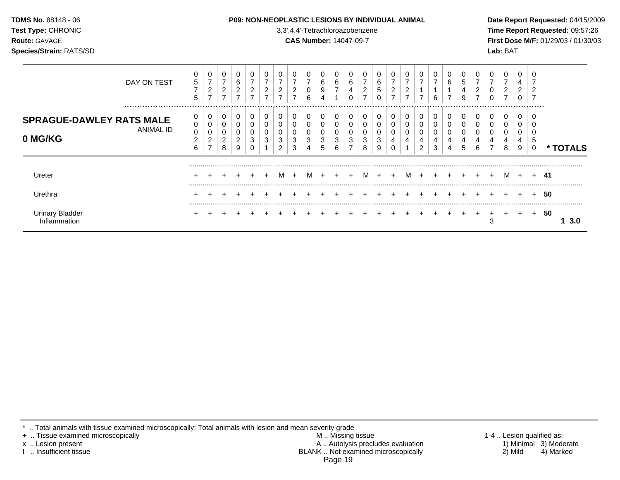| <b>TDMS No. 88148 - 06</b>     | <b>P09: NON-NEOPLASTIC LESIONS BY INDIVIDUAL ANIMAL</b> | Date Rep         |
|--------------------------------|---------------------------------------------------------|------------------|
| <b>Test Type: CHRONIC</b>      | 3,3',4,4'-Tetrachloroazobenzene                         | <b>Time Rep</b>  |
| <b>Route: GAVAGE</b>           | <b>CAS Number: 14047-09-7</b>                           | <b>First Dos</b> |
| <b>Species/Strain: RATS/SD</b> |                                                         | <b>Lab:</b> BAT  |

**Time Report Requested:** 09:57:26 **Route:** GAVAGE **CAS Number:** 14047-09-7 **First Dose M/F:** 01/29/03 / 01/30/03

| DAY ON TEST                                                 | 0<br>5<br>$\overline{ }$<br>5               | 0<br>$\overline{ }$<br>2<br>-     | 0<br>$\overline{ }$<br>2 | 0<br>6<br>$\overline{c}$   | 0<br>$\rightarrow$<br>2 | ົ<br>∠ | ∠ | റ                     | 6      | 0<br>6<br>9<br>4      | $\sim$<br>b<br>$\overline{ }$ | 6<br>4 | 0<br>$\overline{ }$<br>$\overline{2}$ | 6<br>5 | ົ<br>∠           | 0<br>$\overline{ }$<br>◠<br>∠ | 0<br>$\overline{ }$ | -<br>6 | 6 | 5<br>4<br>9 | ີ<br>∠  | 0<br>0 | 0<br>$\overline{ }$<br>$\overline{2}$<br>⇁ | 0<br>4<br>ົ<br>∠ | C<br>n           |               |
|-------------------------------------------------------------|---------------------------------------------|-----------------------------------|--------------------------|----------------------------|-------------------------|--------|---|-----------------------|--------|-----------------------|-------------------------------|--------|---------------------------------------|--------|------------------|-------------------------------|---------------------|--------|---|-------------|---------|--------|--------------------------------------------|------------------|------------------|---------------|
| <br><b>SPRAGUE-DAWLEY RATS MALE</b><br>ANIMAL ID<br>0 MG/KG | 0<br>0<br>0<br>$\overline{\mathbf{c}}$<br>6 | 0<br>0<br>0<br>2<br>$\rightarrow$ | 0<br>0<br>0<br>2<br>8    | 0<br>0<br>U<br>ົ<br>∠<br>9 | 0<br>0<br>0<br>3        | 3      | C | 0<br>0<br>0<br>3<br>3 | 3<br>4 | 0<br>0<br>0<br>3<br>5 | U<br>3<br>⌒<br>O              | 3      | 0<br>0<br>0<br>3<br>8                 | 3<br>9 | 0<br>0<br>0<br>4 | 0<br>0<br>0<br>4              | 0<br>4<br>2         | 4<br>3 |   | 4<br>5      | 4<br>'n | 0<br>4 | 0<br>0<br>0<br>4<br>8                      | .<br>0<br>4<br>9 | 0<br>0<br>ಎ<br>0 | <b>TOTALS</b> |
| Ureter<br>Urethra                                           | ÷                                           |                                   |                          |                            |                         |        | M |                       | M      |                       |                               | $+$    | M                                     | $+$    | $+$              | M                             |                     |        |   |             |         |        | M                                          |                  |                  | -41<br>-50    |
| Urinary Bladder<br>Inflammation                             |                                             |                                   |                          |                            |                         |        |   |                       |        |                       |                               |        |                                       |        |                  |                               |                     |        |   |             |         | 3      |                                            |                  |                  | 50<br>3.0     |

\* .. Total animals with tissue examined microscopically; Total animals with lesion and mean severity grade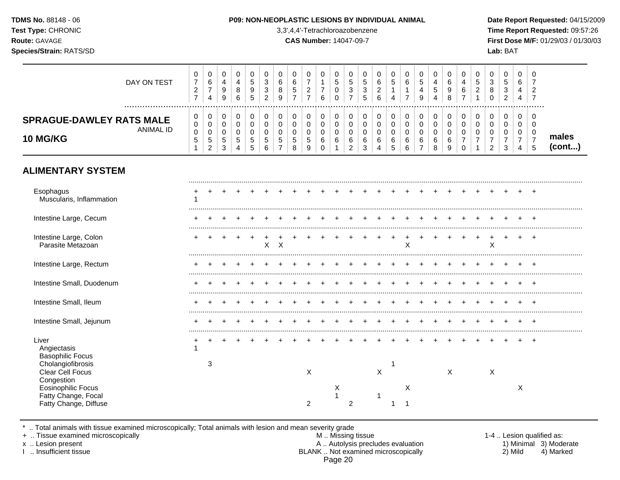| <b>TDMS No. 88148 - 06</b>     | <b>P09: NON-NEOPLASTIC LESIONS BY INDIVIDUAL ANIMAL</b> | Date Rep         |
|--------------------------------|---------------------------------------------------------|------------------|
| <b>Test Type: CHRONIC</b>      | 3,3',4,4'-Tetrachloroazobenzene                         | Time Rer         |
| <b>Route: GAVAGE</b>           | <b>CAS Number: 14047-09-7</b>                           | <b>First Dos</b> |
| <b>Species/Strain: RATS/SD</b> |                                                         | <b>Lab: BAT</b>  |

**Time Report Requested:** 09:57:26 **Route:** GAVAGE **CAS Number:** 14047-09-7 **First Dose M/F:** 01/29/03 / 01/30/03

| DAY ON TEST                                                                                            | 0<br>$\overline{7}$<br>$\boldsymbol{2}$<br>$\overline{7}$   | $\pmb{0}$<br>$\,6$<br>$\overline{7}$<br>$\overline{4}$          | 0<br>4<br>9<br>9                                    | 0<br>$\overline{4}$<br>8<br>6                      | $\mathbf 0$<br>$\,$ 5 $\,$<br>9<br>5      | 0<br>3<br>$\ensuremath{\mathsf{3}}$<br>$\overline{c}$ | 0<br>6<br>8<br>9                                    | $\,0\,$<br>$\,6\,$<br>$\,$ 5 $\,$<br>$\overline{7}$ | 0<br>$\overline{7}$<br>$\boldsymbol{2}$<br>$\overline{7}$ | 0<br>$\mathbf{1}$<br>$\overline{7}$<br>$6\phantom{a}$ | 0<br>5<br>0<br>$\Omega$                   | 0<br>5<br>3<br>$\overline{7}$                       | 0<br>$\sqrt{5}$<br>$\sqrt{3}$<br>5 | 0<br>6<br>$\boldsymbol{2}$<br>$6\phantom{1}6$ | $\pmb{0}$<br>$\sqrt{5}$<br>1<br>4 | 0<br>6<br>1<br>$\overline{7}$                           | $\pmb{0}$<br>$\mathbf 5$<br>$\overline{4}$<br>9           | 0<br>4<br>5<br>4                          | $\pmb{0}$<br>$\,6\,$<br>$\boldsymbol{9}$<br>8 | 0<br>4<br>6<br>$\overline{7}$                                    | 0<br>5<br>$\boldsymbol{2}$ | 0<br>$\mathbf{3}$<br>8<br>$\Omega$                               | $\,0\,$<br>5<br>$\ensuremath{\mathsf{3}}$<br>$\overline{c}$ | 0<br>6<br>4<br>4                                       | 0<br>7<br>$\overline{2}$<br>$\overline{7}$          |                 |
|--------------------------------------------------------------------------------------------------------|-------------------------------------------------------------|-----------------------------------------------------------------|-----------------------------------------------------|----------------------------------------------------|-------------------------------------------|-------------------------------------------------------|-----------------------------------------------------|-----------------------------------------------------|-----------------------------------------------------------|-------------------------------------------------------|-------------------------------------------|-----------------------------------------------------|------------------------------------|-----------------------------------------------|-----------------------------------|---------------------------------------------------------|-----------------------------------------------------------|-------------------------------------------|-----------------------------------------------|------------------------------------------------------------------|----------------------------|------------------------------------------------------------------|-------------------------------------------------------------|--------------------------------------------------------|-----------------------------------------------------|-----------------|
| <b>SPRAGUE-DAWLEY RATS MALE</b><br><b>ANIMAL ID</b><br><b>10 MG/KG</b>                                 | 0<br>$\mathbf 0$<br>$\pmb{0}$<br>$\sqrt{5}$<br>$\mathbf{1}$ | 0<br>$\mathbf 0$<br>$\mathbf 0$<br>$\sqrt{5}$<br>$\overline{c}$ | 0<br>$\mathbf 0$<br>$\mathbf 0$<br>$\mathbf 5$<br>3 | 0<br>$\mathbf 0$<br>$\mathbf 0$<br>$\sqrt{5}$<br>4 | 0<br>$\mathbf 0$<br>$\mathbf 0$<br>5<br>5 | $\pmb{0}$<br>$\mathbf 0$<br>0<br>5<br>6               | 0<br>$\Omega$<br>$\mathbf 0$<br>5<br>$\overline{7}$ | $\pmb{0}$<br>$\mathbf 0$<br>0<br>$\sqrt{5}$<br>8    | 0<br>0<br>0<br>$\sqrt{5}$<br>9                            | 0<br>0<br>$\pmb{0}$<br>$\,6\,$<br>$\mathbf 0$         | 0<br>$\mathbf 0$<br>$\mathbf 0$<br>6<br>1 | 0<br>$\Omega$<br>$\mathbf 0$<br>6<br>$\overline{a}$ | 0<br>$\mathbf 0$<br>0<br>6<br>3    | 0<br>$\mathbf 0$<br>0<br>6<br>$\overline{4}$  | 0<br>$\mathbf 0$<br>0<br>6<br>5   | 0<br>$\mathbf 0$<br>$\mathbf 0$<br>6<br>$6\phantom{1}6$ | $\pmb{0}$<br>0<br>$\boldsymbol{0}$<br>6<br>$\overline{7}$ | 0<br>$\mathbf 0$<br>$\mathbf 0$<br>6<br>8 | $\,0\,$<br>$\mathbf 0$<br>$\pmb{0}$<br>6<br>9 | 0<br>$\mathbf 0$<br>$\mathbf 0$<br>$\overline{7}$<br>$\mathbf 0$ | 0<br>$\mathbf 0$<br>0      | 0<br>$\Omega$<br>$\mathbf 0$<br>$\overline{7}$<br>$\overline{2}$ | 0<br>$\mathbf 0$<br>$\mathbf 0$<br>$\overline{7}$<br>3      | 0<br>$\mathbf 0$<br>$\mathbf 0$<br>$\overline{7}$<br>4 | 0<br>$\Omega$<br>$\mathbf 0$<br>$\overline{7}$<br>5 | males<br>(cont) |
| <b>ALIMENTARY SYSTEM</b>                                                                               |                                                             |                                                                 |                                                     |                                                    |                                           |                                                       |                                                     |                                                     |                                                           |                                                       |                                           |                                                     |                                    |                                               |                                   |                                                         |                                                           |                                           |                                               |                                                                  |                            |                                                                  |                                                             |                                                        |                                                     |                 |
| Esophagus<br>Muscularis, Inflammation                                                                  | -1                                                          |                                                                 |                                                     |                                                    |                                           |                                                       |                                                     |                                                     |                                                           |                                                       |                                           |                                                     |                                    |                                               |                                   |                                                         |                                                           |                                           |                                               |                                                                  |                            |                                                                  |                                                             |                                                        |                                                     |                 |
| Intestine Large, Cecum                                                                                 |                                                             |                                                                 |                                                     |                                                    |                                           |                                                       |                                                     |                                                     |                                                           |                                                       |                                           |                                                     |                                    |                                               |                                   |                                                         |                                                           |                                           |                                               |                                                                  |                            |                                                                  |                                                             |                                                        |                                                     |                 |
| Intestine Large, Colon<br>Parasite Metazoan                                                            |                                                             |                                                                 |                                                     |                                                    |                                           | X                                                     | X                                                   |                                                     |                                                           |                                                       |                                           |                                                     |                                    |                                               |                                   | X                                                       |                                                           |                                           |                                               |                                                                  |                            | X                                                                |                                                             |                                                        |                                                     |                 |
| Intestine Large, Rectum                                                                                |                                                             |                                                                 |                                                     |                                                    |                                           |                                                       |                                                     |                                                     |                                                           |                                                       |                                           |                                                     |                                    |                                               |                                   |                                                         |                                                           |                                           |                                               |                                                                  |                            |                                                                  |                                                             |                                                        |                                                     |                 |
| Intestine Small, Duodenum                                                                              |                                                             |                                                                 |                                                     |                                                    |                                           |                                                       |                                                     |                                                     |                                                           |                                                       |                                           |                                                     |                                    |                                               |                                   |                                                         |                                                           |                                           |                                               |                                                                  |                            |                                                                  |                                                             |                                                        |                                                     |                 |
| Intestine Small, Ileum                                                                                 |                                                             |                                                                 |                                                     |                                                    |                                           |                                                       |                                                     |                                                     |                                                           |                                                       |                                           |                                                     |                                    |                                               |                                   |                                                         |                                                           |                                           |                                               |                                                                  |                            |                                                                  |                                                             |                                                        |                                                     |                 |
| Intestine Small, Jejunum                                                                               |                                                             |                                                                 |                                                     |                                                    |                                           |                                                       |                                                     |                                                     |                                                           |                                                       |                                           |                                                     |                                    |                                               |                                   |                                                         |                                                           |                                           |                                               |                                                                  |                            |                                                                  |                                                             |                                                        |                                                     |                 |
| Liver<br>Angiectasis<br><b>Basophilic Focus</b><br>Cholangiofibrosis<br>Clear Cell Focus<br>Congestion | -1                                                          | 3                                                               |                                                     |                                                    |                                           |                                                       |                                                     |                                                     | X                                                         |                                                       |                                           |                                                     |                                    | X                                             | -1                                |                                                         |                                                           |                                           | X                                             |                                                                  |                            | $\boldsymbol{\mathsf{X}}$                                        |                                                             |                                                        |                                                     |                 |
| <b>Eosinophilic Focus</b><br>Fatty Change, Focal<br>Fatty Change, Diffuse                              |                                                             |                                                                 |                                                     |                                                    |                                           |                                                       |                                                     |                                                     | $\overline{2}$                                            |                                                       | Χ<br>$\mathbf{1}$                         | $\overline{2}$                                      |                                    |                                               |                                   | Χ<br>1                                                  |                                                           |                                           |                                               |                                                                  |                            |                                                                  |                                                             | X                                                      |                                                     |                 |

\* .. Total animals with tissue examined microscopically; Total animals with lesion and mean severity grade

+ .. Tissue examined microscopically M .. Missing tissue 1-4 .. Lesion qualified as: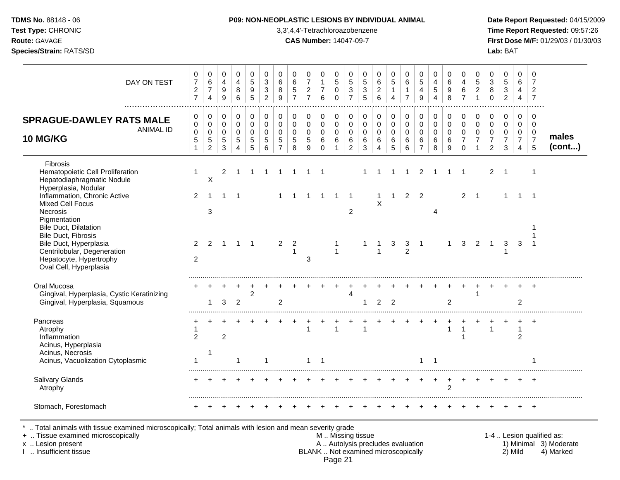**Test Type:** CHRONIC 3,3',4,4'-Tetrachloroazobenzene **Time Report Requested:** 09:57:26 **Route:** GAVAGE **CAS Number:** 14047-09-7 **First Dose M/F:** 01/29/03 / 01/30/03 **Species/Strain:** RATS/SD **Lab:** BAT

| DAY ON TEST                                                                                                                                                              | 0<br>$\overline{7}$<br>$\overline{c}$<br>$\overline{7}$ | 0<br>6<br>$\overline{7}$<br>$\overline{4}$ | 0<br>4<br>9<br>9               | 0<br>$\overline{4}$<br>8<br>6                                                 | 0<br>5<br>9<br>5              | 0<br>3<br>$\mathbf{3}$<br>$\overline{2}$  | 0<br>6<br>8<br>9                             | 0<br>6<br>5<br>$\overline{7}$                    | 0<br>$\overline{7}$<br>$\overline{2}$<br>$\overline{7}$ | 0<br>$\mathbf{1}$<br>$\overline{7}$<br>6 | 0<br>5<br>$\mathbf 0$<br>$\Omega$                   | 0<br>$\sqrt{5}$<br>3<br>$\overline{7}$             | 0<br>$\sqrt{5}$<br>$\mathbf{3}$<br>5      | 0<br>6<br>$\overline{c}$<br>6             | 0<br>5<br>$\overline{4}$                  | 0<br>$6\phantom{a}$<br>$\mathbf{1}$<br>$\overline{7}$ | 0<br>5<br>$\overline{4}$<br>9      | $\mathbf 0$<br>$\overline{4}$<br>5<br>$\overline{4}$ | 0<br>6<br>9<br>8                                    | 0<br>4<br>6<br>$\overline{7}$                                 | 0<br>5<br>$\overline{c}$<br>$\overline{1}$     | 0<br>$\mathfrak{S}$<br>8<br>$\Omega$                    | 0<br>$\overline{5}$<br>3<br>$\overline{2}$                       | $\mathbf 0$<br>6<br>4<br>$\overline{4}$                                       | $\mathbf 0$<br>$\overline{7}$<br>$\overline{2}$<br>$\overline{7}$ |                 |
|--------------------------------------------------------------------------------------------------------------------------------------------------------------------------|---------------------------------------------------------|--------------------------------------------|--------------------------------|-------------------------------------------------------------------------------|-------------------------------|-------------------------------------------|----------------------------------------------|--------------------------------------------------|---------------------------------------------------------|------------------------------------------|-----------------------------------------------------|----------------------------------------------------|-------------------------------------------|-------------------------------------------|-------------------------------------------|-------------------------------------------------------|------------------------------------|------------------------------------------------------|-----------------------------------------------------|---------------------------------------------------------------|------------------------------------------------|---------------------------------------------------------|------------------------------------------------------------------|-------------------------------------------------------------------------------|-------------------------------------------------------------------|-----------------|
| <b>SPRAGUE-DAWLEY RATS MALE</b><br><b>ANIMAL ID</b><br>10 MG/KG                                                                                                          | 0<br>0<br>$\pmb{0}$<br>$\sqrt{5}$<br>$\mathbf{1}$       | 0<br>0<br>$\pmb{0}$<br>5<br>$\overline{2}$ | 0<br>0<br>0<br>$\sqrt{5}$<br>3 | $\mathbf 0$<br>$\mathbf 0$<br>$\mathbf 0$<br>$\overline{5}$<br>$\overline{4}$ | 0<br>0<br>$\pmb{0}$<br>5<br>5 | 0<br>$\mathbf 0$<br>$\mathbf 0$<br>5<br>6 | 0<br>0<br>$\mathbf 0$<br>5<br>$\overline{7}$ | $\mathbf 0$<br>$\mathbf 0$<br>$\Omega$<br>5<br>8 | 0<br>0<br>$\mathbf 0$<br>5<br>9                         | 0<br>0<br>0<br>6<br>$\mathbf 0$          | $\mathbf 0$<br>0<br>$\mathbf 0$<br>6<br>$\mathbf 1$ | 0<br>0<br>$\mathbf 0$<br>$\,6\,$<br>$\overline{2}$ | $\mathbf 0$<br>0<br>$\mathbf 0$<br>6<br>3 | 0<br>$\mathbf 0$<br>$\mathbf 0$<br>6<br>4 | $\mathbf 0$<br>0<br>$\mathbf 0$<br>6<br>5 | 0<br>0<br>$\mathbf 0$<br>6<br>6                       | 0<br>0<br>0<br>6<br>$\overline{7}$ | $\mathbf 0$<br>$\mathbf 0$<br>$\mathbf 0$<br>6<br>8  | $\mathbf 0$<br>$\mathbf 0$<br>$\mathbf 0$<br>6<br>9 | 0<br>$\mathbf 0$<br>$\mathbf 0$<br>$\overline{7}$<br>$\Omega$ | 0<br>$\mathbf 0$<br>$\Omega$<br>$\overline{7}$ | 0<br>0<br>$\pmb{0}$<br>$\overline{7}$<br>$\overline{2}$ | $\mathbf 0$<br>$\mathbf 0$<br>$\mathbf 0$<br>$\overline{7}$<br>3 | $\mathbf 0$<br>$\mathbf 0$<br>$\mathbf 0$<br>$\overline{7}$<br>$\overline{4}$ | $\mathbf 0$<br>$\mathbf 0$<br>0<br>$\overline{7}$<br>5            | males<br>(cont) |
| <b>Fibrosis</b><br>Hematopoietic Cell Proliferation<br>Hepatodiaphragmatic Nodule<br>Hyperplasia, Nodular                                                                | $\mathbf{1}$                                            | $\mathsf X$                                | 2                              | -1                                                                            | $\mathbf 1$                   | $\mathbf{1}$                              | -1                                           | $\overline{1}$                                   | $\overline{1}$                                          | - 1                                      |                                                     |                                                    | $\mathbf 1$                               | -1                                        | $\mathbf 1$                               | $\mathbf 1$                                           | 2                                  | $\overline{1}$                                       | -1                                                  | $\overline{1}$                                                |                                                | $\overline{2}$                                          | $\overline{1}$                                                   |                                                                               | $\overline{\mathbf{1}}$                                           |                 |
| Inflammation, Chronic Active<br><b>Mixed Cell Focus</b><br>Necrosis<br>Pigmentation                                                                                      | $\overline{2}$                                          | -1<br>3                                    | 1                              | - 1                                                                           |                               |                                           |                                              | -1                                               |                                                         |                                          | -1                                                  | -1<br>2                                            |                                           | 1<br>X                                    | $\mathbf{1}$                              | $\overline{2}$                                        | $\overline{2}$                     | 4                                                    |                                                     | $\overline{2}$                                                | -1                                             |                                                         |                                                                  |                                                                               | -1                                                                |                 |
| <b>Bile Duct, Dilatation</b><br><b>Bile Duct, Fibrosis</b><br>Bile Duct, Hyperplasia<br>Centrilobular, Degeneration<br>Hepatocyte, Hypertrophy<br>Oval Cell, Hyperplasia | $\overline{2}$<br>$\overline{c}$                        | 2                                          |                                |                                                                               | -1                            |                                           | $\mathbf{2}$                                 | $\overline{2}$<br>-1                             | 3                                                       |                                          | 1<br>$\mathbf{1}$                                   |                                                    | -1                                        |                                           | 3                                         | $\frac{3}{2}$                                         | $\mathbf{1}$                       |                                                      | 1                                                   | 3                                                             | 2                                              | -1                                                      | 3                                                                | 3                                                                             | -1                                                                |                 |
| Oral Mucosa<br>Gingival, Hyperplasia, Cystic Keratinizing<br>Gingival, Hyperplasia, Squamous                                                                             |                                                         | 1                                          | 3                              | 2                                                                             | $\overline{c}$                |                                           | $\overline{c}$                               |                                                  |                                                         |                                          |                                                     | $\overline{4}$                                     | 1                                         | 2                                         | $\overline{2}$                            |                                                       |                                    |                                                      | 2                                                   |                                                               | -1                                             |                                                         |                                                                  | 2                                                                             | $\div$                                                            |                 |
| Pancreas<br>Atrophy<br>Inflammation<br>Acinus, Hyperplasia<br>Acinus, Necrosis                                                                                           | 2                                                       | 1                                          | 2                              |                                                                               |                               |                                           |                                              |                                                  | 1                                                       |                                          | $\overline{1}$                                      |                                                    | 1                                         |                                           |                                           |                                                       |                                    |                                                      | 1                                                   |                                                               |                                                | 1                                                       |                                                                  | 1<br>2                                                                        | $\overline{+}$                                                    |                 |
| Acinus, Vacuolization Cytoplasmic<br>Salivary Glands<br>Atrophy                                                                                                          | $\mathbf{1}$                                            |                                            |                                |                                                                               |                               | 1                                         |                                              |                                                  | 1                                                       | $\overline{1}$                           |                                                     |                                                    |                                           |                                           |                                           |                                                       | $\mathbf{1}$<br>$\pm$              | $\overline{1}$<br>$\pm$                              | ٠<br>$\overline{2}$                                 |                                                               |                                                |                                                         |                                                                  | $\pm$                                                                         | $+$                                                               |                 |
| Stomach, Forestomach                                                                                                                                                     |                                                         |                                            |                                |                                                                               |                               |                                           |                                              |                                                  |                                                         |                                          |                                                     |                                                    |                                           |                                           |                                           |                                                       |                                    |                                                      |                                                     |                                                               |                                                |                                                         |                                                                  | $\pm$                                                                         | $^+$                                                              |                 |

\* .. Total animals with tissue examined microscopically; Total animals with lesion and mean severity grade<br>+ .. Tissue examined microscopically

- + .. Tissue examined microscopically examined microscopically the state of the state of the state of the state M .. Missing tissue M .. Missing tissue M .. Missing tissue and the state of the state M .. Autolysis precludes x .. Lesion present **A .. Autolysis precludes evaluation** A .. Autolysis precludes evaluation 1) Minimal 3) Moderate I .. Insufficient tissue BLANK .. Not examined microscopically 2) Mild 4) Marked Page 21
	-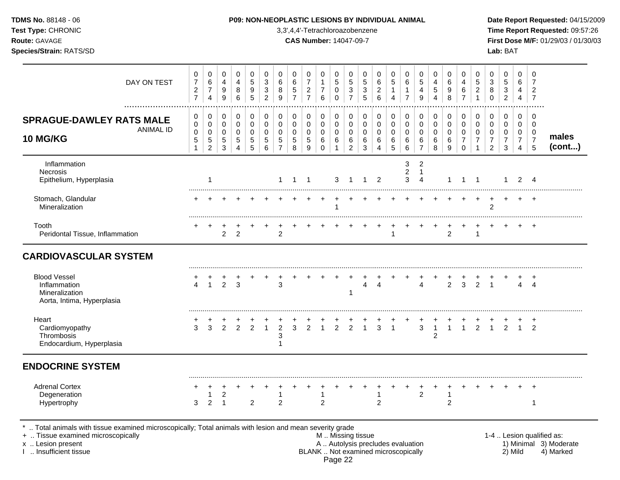| Test Type: CHRONIC<br><b>Route: GAVAGE</b><br>Species/Strain: RATS/SD                                                                                            |                                                             |                                                              |                       |                                        |                            |                                                                               |                                    |                                 |                                        | 3,3',4,4'-Tetrachloroazobenzene<br><b>CAS Number: 14047-09-7</b> |                                                |                                                                |                                                 |                                        |                                 |                               |                                     |                                                               |                       |                                   |                                                   |                                                          | Lab: BAT                          |                                    |                                                         | Time Report Requested: 09:57:26<br>First Dose M/F: 01/29/03 / 01/30/03 |
|------------------------------------------------------------------------------------------------------------------------------------------------------------------|-------------------------------------------------------------|--------------------------------------------------------------|-----------------------|----------------------------------------|----------------------------|-------------------------------------------------------------------------------|------------------------------------|---------------------------------|----------------------------------------|------------------------------------------------------------------|------------------------------------------------|----------------------------------------------------------------|-------------------------------------------------|----------------------------------------|---------------------------------|-------------------------------|-------------------------------------|---------------------------------------------------------------|-----------------------|-----------------------------------|---------------------------------------------------|----------------------------------------------------------|-----------------------------------|------------------------------------|---------------------------------------------------------|------------------------------------------------------------------------|
| DAY ON TEST                                                                                                                                                      | 0<br>$\boldsymbol{7}$<br>$\boldsymbol{2}$<br>$\overline{7}$ | 0<br>$\,6$<br>$\boldsymbol{7}$<br>$\overline{4}$             | 0<br>4<br>9<br>9      | 0<br>$\overline{\mathbf{4}}$<br>8<br>6 | 0<br>$\,$ 5 $\,$<br>9<br>5 | 0<br>$\ensuremath{\mathsf{3}}$<br>$\ensuremath{\mathsf{3}}$<br>$\overline{2}$ | 0<br>$\,6\,$<br>8<br>9             | 0<br>$\,6$<br>$\frac{5}{7}$     | 0<br>$\boldsymbol{7}$<br>$\frac{2}{7}$ | 0<br>1<br>$\overline{7}$<br>6                                    | 0<br>$\,$ 5 $\,$<br>$\pmb{0}$<br>$\Omega$      | 0<br>$\sqrt{5}$<br>$\ensuremath{\mathsf{3}}$<br>$\overline{7}$ | 0<br>$\sqrt{5}$<br>$\sqrt{3}$<br>$\overline{5}$ | 0<br>6<br>$\overline{\mathbf{c}}$<br>6 | 0<br>5<br>4                     | 0<br>6<br>1<br>$\overline{7}$ | 0<br>$\,$ 5 $\,$<br>4<br>9          | $\mathbf 0$<br>$\overline{4}$<br>$\sqrt{5}$<br>$\overline{4}$ | 0<br>6<br>9<br>8      | 0<br>4<br>$\,6$<br>$\overline{7}$ | 0<br>5<br>$\overline{\mathbf{c}}$<br>$\mathbf{1}$ | 0<br>$\ensuremath{\mathsf{3}}$<br>$\bf 8$<br>$\mathbf 0$ | 0<br>$\,$ 5 $\,$<br>$\frac{3}{2}$ | 0<br>6<br>4<br>4                   | 0<br>$\overline{7}$<br>$\overline{c}$<br>$\overline{7}$ |                                                                        |
| <b>SPRAGUE-DAWLEY RATS MALE</b><br><b>ANIMAL ID</b><br><b>10 MG/KG</b>                                                                                           | 0<br>0<br>0<br>5<br>$\mathbf{1}$                            | 0<br>$\pmb{0}$<br>$\pmb{0}$<br>$\mathbf 5$<br>$\overline{c}$ | 0<br>0<br>0<br>5<br>3 | 0<br>$\,0\,$<br>0<br>5<br>4            | 0<br>0<br>0<br>5<br>5      | 0<br>0<br>0<br>5<br>6                                                         | 0<br>0<br>0<br>5<br>$\overline{7}$ | 0<br>0<br>$\mathbf 0$<br>5<br>8 | 0<br>0<br>0<br>5<br>9                  | 0<br>0<br>0<br>6<br>0                                            | $\pmb{0}$<br>$\pmb{0}$<br>$\pmb{0}$<br>$\,6\,$ | 0<br>0<br>0<br>6<br>$\overline{c}$                             | 0<br>0<br>0<br>6<br>3                           | 0<br>$\pmb{0}$<br>0<br>6<br>4          | $\mathbf 0$<br>0<br>0<br>6<br>5 | 0<br>$\pmb{0}$<br>0<br>6<br>6 | 0<br>0<br>0<br>6<br>$\overline{7}$  | 0<br>0<br>$\mathbf 0$<br>6<br>8                               | 0<br>0<br>0<br>6<br>9 | 0<br>0<br>0<br>7<br>$\Omega$      | 0<br>$\mathbf 0$<br>0<br>$\overline{7}$           | 0<br>0<br>0<br>7<br>$\overline{2}$                       | 0<br>0<br>0<br>7<br>3             | 0<br>0<br>0<br>$\overline{7}$<br>4 | 0<br>0<br>0<br>$\overline{7}$<br>5                      | males<br>(cont)                                                        |
| Inflammation<br>Necrosis<br>Epithelium, Hyperplasia                                                                                                              |                                                             | 1                                                            |                       |                                        |                            |                                                                               |                                    | -1                              | -1                                     |                                                                  | 3                                              | -1                                                             | 1                                               | $\overline{2}$                         |                                 | 3<br>$\overline{c}$<br>3      | 2<br>$\mathbf{1}$<br>$\overline{4}$ |                                                               | 1                     | -1                                | $\overline{\phantom{1}}$                          |                                                          | 1                                 | $\overline{2}$                     | 4                                                       |                                                                        |
| Stomach, Glandular<br>Mineralization                                                                                                                             |                                                             |                                                              |                       |                                        |                            |                                                                               |                                    |                                 |                                        |                                                                  |                                                |                                                                |                                                 |                                        |                                 |                               |                                     |                                                               |                       |                                   |                                                   | 2                                                        |                                   | $+$                                | $\pm$                                                   |                                                                        |
| Tooth<br>Peridontal Tissue, Inflammation                                                                                                                         |                                                             |                                                              | $\overline{a}$        | $\overline{2}$                         |                            |                                                                               | $\overline{2}$                     |                                 |                                        |                                                                  |                                                |                                                                |                                                 |                                        |                                 |                               |                                     |                                                               | $\overline{2}$        |                                   | 1                                                 |                                                          |                                   |                                    |                                                         |                                                                        |
| <b>CARDIOVASCULAR SYSTEM</b>                                                                                                                                     |                                                             |                                                              |                       |                                        |                            |                                                                               |                                    |                                 |                                        |                                                                  |                                                |                                                                |                                                 |                                        |                                 |                               |                                     |                                                               |                       |                                   |                                                   |                                                          |                                   |                                    |                                                         |                                                                        |
| <b>Blood Vessel</b><br>Inflammation<br>Mineralization<br>Aorta, Intima, Hyperplasia                                                                              | 4                                                           | $\overline{1}$                                               | $\overline{2}$        | 3                                      |                            |                                                                               | 3                                  |                                 |                                        |                                                                  |                                                | -1                                                             | 4                                               | $\overline{4}$                         |                                 |                               | $\overline{4}$                      |                                                               | $\overline{2}$        | 3                                 | $\overline{2}$                                    | $\overline{1}$                                           |                                   | $\overline{4}$                     | $\overline{4}$                                          |                                                                        |
| Heart<br>Cardiomyopathy<br>Thrombosis<br>Endocardium, Hyperplasia                                                                                                | 3                                                           | 3                                                            | $\overline{2}$        | $\overline{2}$                         | 2                          | $\overline{1}$                                                                | $\overline{2}$<br>3                | 3                               | $\overline{2}$                         | $\mathbf{1}$                                                     | $\overline{2}$                                 | $\overline{2}$                                                 | $\mathbf{1}$                                    | $\overline{3}$                         |                                 |                               | $\mathbf{3}$                        | $\overline{1}$<br>$\overline{2}$                              | $\mathbf{1}$          | $\mathbf{1}$                      | $\overline{2}$                                    | $\mathbf{1}$                                             | 2                                 | $\mathbf{1}$                       | $\overline{2}$                                          |                                                                        |
| <b>ENDOCRINE SYSTEM</b>                                                                                                                                          |                                                             |                                                              |                       |                                        |                            |                                                                               |                                    |                                 |                                        |                                                                  |                                                |                                                                |                                                 |                                        |                                 |                               |                                     |                                                               |                       |                                   |                                                   |                                                          |                                   |                                    |                                                         |                                                                        |
| <b>Adrenal Cortex</b><br>Degeneration<br>Hypertrophy                                                                                                             | 3                                                           | 2                                                            | 2<br>$\overline{1}$   |                                        | $\overline{2}$             |                                                                               | 2                                  |                                 |                                        | $\overline{2}$                                                   |                                                |                                                                |                                                 | $\overline{2}$                         |                                 |                               | 2                                   |                                                               | $\overline{c}$        |                                   |                                                   |                                                          |                                   |                                    | 1                                                       |                                                                        |
| Total animals with tissue examined microscopically; Total animals with lesion and mean severity grade<br>+  Tissue examined microscopically<br>x  Lesion present |                                                             |                                                              |                       |                                        |                            |                                                                               |                                    |                                 |                                        | M  Missing tissue                                                |                                                |                                                                |                                                 | A  Autolysis precludes evaluation      |                                 |                               |                                     |                                                               |                       |                                   |                                                   |                                                          |                                   |                                    |                                                         | 1-4  Lesion qualified as:<br>1) Minimal 3) Moderate                    |

I .. Insufficient tissue BLANK .. Not examined microscopically 2) Mild 4) Marked Page 22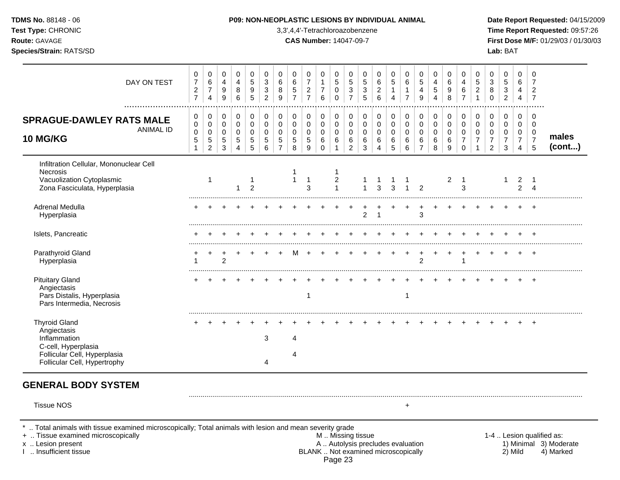### **TDMS No.** 88148 - 06 **P09: NON-NEOPLASTIC LESIONS BY INDIVIDUAL ANIMAL Date Report Requested:** 04/15/2009

**Test Type:** CHRONIC 3,3',4,4'-Tetrachloroazobenzene **Time Report Requested:** 09:57:26 **Route:** GAVAGE **CAS Number:** 14047-09-7 **First Dose M/F:** 01/29/03 / 01/30/03

| DAY ON TEST<br>.                                                                                                                           | $\mathbf 0$<br>$\boldsymbol{7}$<br>$\overline{c}$<br>$\overline{7}$   | $\pmb{0}$<br>6<br>$\overline{7}$<br>4                        | 0<br>$\overline{4}$<br>9<br>9                       | $\mathbf 0$<br>4<br>8<br>6                                      | $\mathbf 0$<br>$\,$ 5 $\,$<br>$\boldsymbol{9}$<br>5                 | $\mathbf 0$<br>3<br>3<br>$\overline{2}$      | 0<br>$\,6$<br>8<br>9                              | $\mathbf 0$<br>$\,6\,$<br>5<br>$\overline{7}$ | 0<br>$\overline{7}$<br>$\overline{c}$<br>$\overline{7}$ | 0<br>$\mathbf{1}$<br>$\overline{7}$<br>6       | 0<br>$\sqrt{5}$<br>$\mathbf 0$<br>$\Omega$           | 0<br>$\sqrt{5}$<br>$\ensuremath{\mathsf{3}}$<br>$\overline{7}$ | 0<br>$\,$ 5 $\,$<br>3<br>5                | 0<br>$\,6$<br>$\boldsymbol{2}$<br>6                            | $\mathbf 0$<br>$\sqrt{5}$<br>1<br>$\boldsymbol{\Lambda}$ | 0<br>$\,6\,$<br>$\mathbf{1}$<br>$\overline{7}$ | 0<br>$\sqrt{5}$<br>4<br>9                        | 0<br>4<br>5<br>$\overline{4}$                   | 0<br>6<br>9<br>8                                      | $\mathbf 0$<br>4<br>6<br>$\overline{7}$                    | 0<br>$\sqrt{5}$<br>$\boldsymbol{2}$<br>$\mathbf{1}$ | $\mathbf 0$<br>$\sqrt{3}$<br>8<br>$\Omega$                                 | 0<br>$\sqrt{5}$<br>$\sqrt{3}$<br>$\overline{2}$        | 0<br>6<br>4<br>4                                          | $\mathbf 0$<br>$\overline{7}$<br>$\overline{c}$<br>$\overline{7}$            |                 |
|--------------------------------------------------------------------------------------------------------------------------------------------|-----------------------------------------------------------------------|--------------------------------------------------------------|-----------------------------------------------------|-----------------------------------------------------------------|---------------------------------------------------------------------|----------------------------------------------|---------------------------------------------------|-----------------------------------------------|---------------------------------------------------------|------------------------------------------------|------------------------------------------------------|----------------------------------------------------------------|-------------------------------------------|----------------------------------------------------------------|----------------------------------------------------------|------------------------------------------------|--------------------------------------------------|-------------------------------------------------|-------------------------------------------------------|------------------------------------------------------------|-----------------------------------------------------|----------------------------------------------------------------------------|--------------------------------------------------------|-----------------------------------------------------------|------------------------------------------------------------------------------|-----------------|
| <b>SPRAGUE-DAWLEY RATS MALE</b><br><b>ANIMAL ID</b><br><b>10 MG/KG</b>                                                                     | $\pmb{0}$<br>$\mathbf 0$<br>$\mathbf 0$<br>$\sqrt{5}$<br>$\mathbf{1}$ | $\pmb{0}$<br>0<br>$\pmb{0}$<br>$\mathbf 5$<br>$\overline{c}$ | 0<br>$\mathbf 0$<br>$\mathbf 0$<br>$\,$ 5 $\,$<br>3 | 0<br>$\mathbf 0$<br>$\mathbf 0$<br>$\sqrt{5}$<br>$\overline{4}$ | $\pmb{0}$<br>$\mathbf 0$<br>$\mathbf 0$<br>$\sqrt{5}$<br>$\sqrt{5}$ | $\,0\,$<br>$\mathbf 0$<br>$\Omega$<br>5<br>6 | 0<br>$\pmb{0}$<br>$\Omega$<br>5<br>$\overline{7}$ | $\pmb{0}$<br>$\Omega$<br>$\Omega$<br>5<br>8   | $\pmb{0}$<br>0<br>$\mathbf 0$<br>$\sqrt{5}$<br>9        | $\pmb{0}$<br>0<br>$\mathbf 0$<br>6<br>$\Omega$ | 0<br>$\mathbf 0$<br>$\mathbf 0$<br>6<br>$\mathbf{1}$ | 0<br>0<br>$\mathbf 0$<br>6<br>$\overline{2}$                   | 0<br>$\mathbf 0$<br>$\mathbf 0$<br>6<br>3 | $\pmb{0}$<br>$\mathbf 0$<br>$\mathbf 0$<br>6<br>$\overline{4}$ | $\pmb{0}$<br>$\mathbf 0$<br>$\mathbf 0$<br>6<br>5        | $\pmb{0}$<br>0<br>$\mathbf 0$<br>6<br>6        | $\pmb{0}$<br>0<br>0<br>$\,6\,$<br>$\overline{7}$ | 0<br>$\mathbf 0$<br>$\mathbf 0$<br>$\,6\,$<br>8 | $\pmb{0}$<br>$\mathsf 0$<br>$\mathbf 0$<br>$\,6$<br>9 | 0<br>$\mathbf 0$<br>$\Omega$<br>$\overline{7}$<br>$\Omega$ | 0<br>0<br>0<br>$\overline{7}$<br>$\mathbf 1$        | $\mathbf 0$<br>$\Omega$<br>$\mathbf 0$<br>$\overline{7}$<br>$\overline{2}$ | 0<br>$\mathbf 0$<br>$\mathbf 0$<br>$\overline{7}$<br>3 | 0<br>0<br>$\mathbf 0$<br>$\overline{7}$<br>$\overline{4}$ | $\mathbf 0$<br>$\mathbf 0$<br>$\overline{0}$<br>$\overline{7}$<br>$\sqrt{5}$ | males<br>(cont) |
| Infiltration Cellular, Mononuclear Cell<br>Necrosis<br>Vacuolization Cytoplasmic<br>Zona Fasciculata, Hyperplasia                          |                                                                       | $\mathbf 1$                                                  |                                                     |                                                                 | $\mathbf{1}$<br>$\overline{2}$                                      |                                              |                                                   | 1<br>$\mathbf{1}$                             | $\mathbf{1}$<br>3                                       |                                                | 1<br>$\overline{c}$                                  |                                                                | 1<br>1                                    | 3                                                              | -1<br>3                                                  | -1<br>$\overline{1}$                           | $\overline{2}$                                   |                                                 | 2                                                     | $\overline{1}$<br>3                                        |                                                     |                                                                            | 1                                                      | $\overline{2}$<br>$\mathcal{P}$                           | $\overline{1}$<br>Δ                                                          |                 |
| Adrenal Medulla<br>Hyperplasia                                                                                                             |                                                                       |                                                              |                                                     |                                                                 |                                                                     |                                              |                                                   |                                               |                                                         |                                                |                                                      |                                                                | $\overline{2}$                            |                                                                |                                                          |                                                | 3                                                |                                                 |                                                       |                                                            |                                                     |                                                                            |                                                        |                                                           |                                                                              |                 |
| Islets, Pancreatic                                                                                                                         |                                                                       |                                                              |                                                     |                                                                 |                                                                     |                                              |                                                   |                                               |                                                         |                                                |                                                      |                                                                |                                           |                                                                |                                                          |                                                |                                                  |                                                 |                                                       |                                                            |                                                     |                                                                            |                                                        |                                                           |                                                                              |                 |
| Parathyroid Gland<br>Hyperplasia                                                                                                           |                                                                       | $\div$                                                       | $\mathfrak{p}$                                      |                                                                 |                                                                     |                                              |                                                   | м                                             | $\ddot{}$                                               |                                                |                                                      |                                                                |                                           |                                                                |                                                          | $\ddot{}$                                      | $\overline{2}$                                   |                                                 | $\ddot{}$                                             | $\mathbf{1}$                                               | $\pm$                                               |                                                                            |                                                        |                                                           | $+$                                                                          |                 |
| <b>Pituitary Gland</b><br>Angiectasis<br>Pars Distalis, Hyperplasia<br>Pars Intermedia, Necrosis                                           |                                                                       |                                                              |                                                     |                                                                 |                                                                     |                                              |                                                   |                                               | $\mathbf{1}$                                            |                                                |                                                      |                                                                |                                           |                                                                |                                                          | $\mathbf{1}$                                   |                                                  |                                                 |                                                       |                                                            |                                                     |                                                                            |                                                        |                                                           |                                                                              |                 |
| <b>Thyroid Gland</b><br>Angiectasis<br>Inflammation<br>C-cell, Hyperplasia<br>Follicular Cell, Hyperplasia<br>Follicular Cell, Hypertrophy |                                                                       |                                                              |                                                     |                                                                 |                                                                     | 3<br>4                                       |                                                   | $\overline{4}$<br>4                           |                                                         |                                                |                                                      |                                                                |                                           |                                                                |                                                          |                                                |                                                  |                                                 |                                                       |                                                            |                                                     |                                                                            |                                                        |                                                           | $^{+}$                                                                       |                 |
| <b>GENERAL BODY SYSTEM</b>                                                                                                                 |                                                                       |                                                              |                                                     |                                                                 |                                                                     |                                              |                                                   |                                               |                                                         |                                                |                                                      |                                                                |                                           |                                                                |                                                          |                                                |                                                  |                                                 |                                                       |                                                            |                                                     |                                                                            |                                                        |                                                           |                                                                              |                 |
| <b>Tissue NOS</b>                                                                                                                          |                                                                       |                                                              |                                                     |                                                                 |                                                                     |                                              |                                                   |                                               |                                                         |                                                |                                                      |                                                                |                                           |                                                                |                                                          | $\ddot{}$                                      |                                                  |                                                 |                                                       |                                                            |                                                     |                                                                            |                                                        |                                                           |                                                                              |                 |

\* .. Total animals with tissue examined microscopically; Total animals with lesion and mean severity grade<br>+ .. Tissue examined microscopically

- + .. Tissue examined microscopically the state of the state of the M .. Missing tissue 1-4 .. Lesion qualified as: x .. Lesion present **A .. Autolysis precludes evaluation** A .. Autolysis precludes evaluation 1) Minimal 3) Moderate I .. Insufficient tissue BLANK .. Not examined microscopically 2) Mild 4) Marked Page 23
	-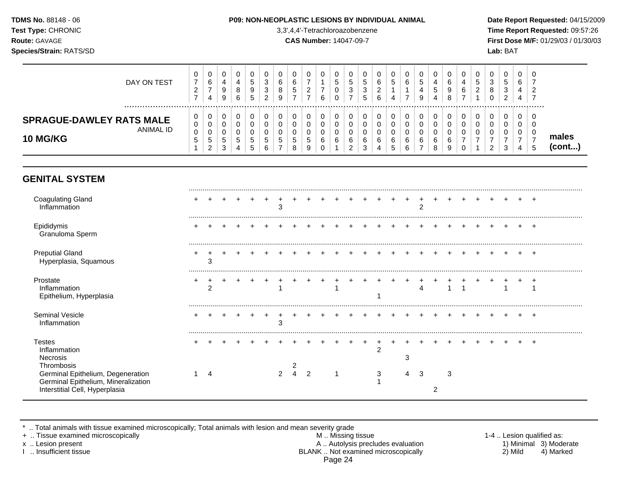| <b>TDMS No.</b> 88148 - 06 | <b>P09: NON-NEOPLASTIC LESIONS BY INDIVIDUAL ANIMAL</b> | Date Rep         |
|----------------------------|---------------------------------------------------------|------------------|
| Test Type: CHRONIC         | 3,3',4,4'-Tetrachloroazobenzene                         | Time Rep         |
| <b>Route: GAVAGE</b>       | <b>CAS Number: 14047-09-7</b>                           | <b>First Dos</b> |
| Species/Strain: RATS/SD    |                                                         | <b>Lab: BAT</b>  |

**Time Report Requested:** 09:57:26 **Route:** GAVAGE **CAS Number:** 14047-09-7 **First Dose M/F:** 01/29/03 / 01/30/03

| DAY ON TEST                                                     | $\sqrt{2}$       | $\overline{0}$<br>6<br>4                                      | 0<br>9<br>9                 | 8<br>6                 | ∽<br>◡<br>9<br>G | ▵ | 6<br>8<br>9  | N           | 0<br>ີ<br><u>_</u>               | 0<br>6                     | N | ∽<br>◡<br>3 | u<br>6<br><u>_</u><br>6 | $\sim$                        | 0<br>6<br>-           | U<br><sub>5</sub><br>4<br>9 | ৩      | U<br>6<br>-9<br>8 | 4<br>6 | г,<br>J<br><u>_</u> | U<br>3<br>8 | 0<br>5<br>3<br>ົ<br>∠ | U<br>6<br>4<br>4 | - G<br>- |                 |
|-----------------------------------------------------------------|------------------|---------------------------------------------------------------|-----------------------------|------------------------|------------------|---|--------------|-------------|----------------------------------|----------------------------|---|-------------|-------------------------|-------------------------------|-----------------------|-----------------------------|--------|-------------------|--------|---------------------|-------------|-----------------------|------------------|----------|-----------------|
| <b>SPRAGUE-DAWLEY RATS MALE</b><br>ANIMAL ID<br><b>10 MG/KG</b> | ∪<br>$\sim$<br>N | $\overline{0}$<br>$\mathbf{0}$<br>0<br>$\mathbf{p}$<br>ີ<br>∼ | 0<br>0<br>υ<br>5.<br>ົ<br>ັ | ◡<br>u<br><sub>5</sub> | .5<br>৾৾         | b | $\mathbf{p}$ | ∽<br>N<br>o | 0<br>0<br>0<br>$\mathbf{p}$<br>9 | 0<br>U<br>U<br>6<br>⌒<br>U | ь | 6           | U<br>6<br>4             | 6<br>$\overline{\phantom{a}}$ | 0<br>0<br>0<br>6<br>6 | 0<br>U<br>0<br>6            | ⌒<br>6 | 6<br>-9           |        |                     |             | 0<br>0<br>0<br>3      | 0<br>U<br>U<br>4 | - 3      | males<br>(cont) |

# **GENITAL SYSTEM**

| <b>Coagulating Gland</b><br>Inflammation                                                                   |                |  |  |   |  |  |  |   |   | 2 |   |  |  |  |  |
|------------------------------------------------------------------------------------------------------------|----------------|--|--|---|--|--|--|---|---|---|---|--|--|--|--|
| Epididymis<br>Granuloma Sperm                                                                              |                |  |  |   |  |  |  |   |   |   |   |  |  |  |  |
| <b>Preputial Gland</b><br>Hyperplasia, Squamous                                                            | 3              |  |  |   |  |  |  |   |   |   |   |  |  |  |  |
| Prostate<br>Inflammation<br>Epithelium, Hyperplasia                                                        | $\mathfrak{p}$ |  |  |   |  |  |  |   |   |   |   |  |  |  |  |
| Seminal Vesicle<br>Inflammation                                                                            |                |  |  | 3 |  |  |  |   |   |   |   |  |  |  |  |
| <b>Testes</b><br>Inflammation<br>Necrosis<br>Thrombosis                                                    |                |  |  |   |  |  |  | ົ | 3 |   |   |  |  |  |  |
| Germinal Epithelium, Degeneration<br>Germinal Epithelium, Mineralization<br>Interstitial Cell, Hyperplasia |                |  |  | າ |  |  |  | 3 |   | 3 | 3 |  |  |  |  |

\* .. Total animals with tissue examined microscopically; Total animals with lesion and mean severity grade

+ .. Tissue examined microscopically M .. Missing tissue 1-4 .. Lesion qualified as:

x .. Lesion present **A .. Autolysis precludes evaluation** A .. Autolysis precludes evaluation 1) Minimal 3) Moderate I .. Insufficient tissue BLANK .. Not examined microscopically 2) Mild 4) Marked Page 24

.........................................................................................................................................................................................................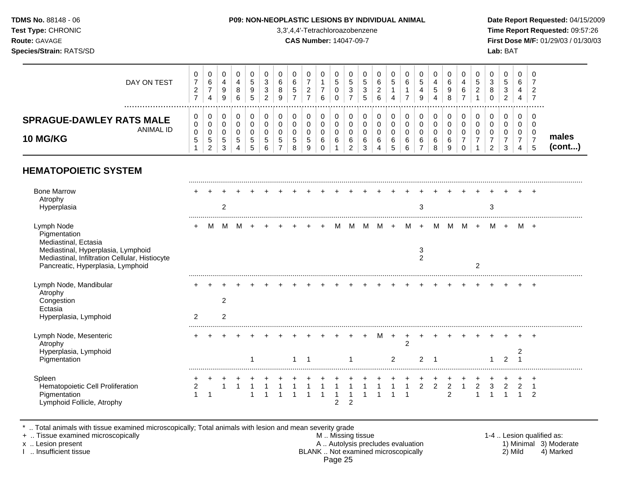### **TDMS No.** 88148 - 06 **P09: NON-NEOPLASTIC LESIONS BY INDIVIDUAL ANIMAL Date Report Requested:** 04/15/2009

**Test Type:** CHRONIC 3,3',4,4'-Tetrachloroazobenzene **Time Report Requested:** 09:57:26 **Route:** GAVAGE **CAS Number:** 14047-09-7 **First Dose M/F:** 01/29/03 / 01/30/03

| DAY ON TEST                                                                                                                                                                     | 0<br>$\overline{7}$<br>$\boldsymbol{2}$<br>$\overline{7}$ | 0<br>$\,6\,$<br>$\overline{7}$<br>$\overline{4}$              | $\mathbf 0$<br>$\overline{4}$<br>$\boldsymbol{9}$<br>9 | $\mathbf 0$<br>$\overline{4}$<br>8<br>6 | $\mathbf 0$<br>$\sqrt{5}$<br>$9\,$<br>5          | $\mathbf 0$<br>$\mathfrak{S}$<br>$\mathbf{3}$<br>$\overline{2}$ | $\mathbf 0$<br>6<br>$\,8\,$<br>9                              | $\mathbf 0$<br>6<br>$\overline{5}$<br>$\overline{7}$ | $\mathbf 0$<br>$\overline{7}$<br>$\boldsymbol{2}$<br>$\overline{7}$ | $\mathbf 0$<br>$\mathbf{1}$<br>$\overline{7}$<br>6  | $\mathbf 0$<br>$\sqrt{5}$<br>$\mathbf 0$<br>$\Omega$ | $\mathbf 0$<br>$\sqrt{5}$<br>3<br>$\overline{7}$       | 0<br>5<br>$\ensuremath{\mathsf{3}}$<br>5  | $\mathbf 0$<br>6<br>$\overline{c}$<br>6        | $\pmb{0}$<br>5<br>$\mathbf{1}$<br>$\boldsymbol{\Lambda}$ | 0<br>$\,6\,$<br>$\mathbf{1}$<br>$\overline{7}$         | 0<br>$\overline{5}$<br>4<br>9                              | $\mathbf 0$<br>$\overline{4}$<br>$\sqrt{5}$<br>$\overline{4}$ | $\mathbf 0$<br>$\,6\,$<br>$\boldsymbol{9}$<br>8 | $\mathbf 0$<br>$\overline{4}$<br>6<br>$\overline{7}$                 | $\mathbf 0$<br>5<br>$\overline{2}$<br>$\overline{1}$ | $\mathbf 0$<br>3<br>8<br>$\Omega$                             | $\mathbf 0$<br>5<br>$\mathbf{3}$<br>2                      | $\mathbf 0$<br>6<br>4<br>4                                | $\mathbf 0$<br>$\overline{7}$<br>$\overline{c}$<br>$\overline{7}$ |                 |
|---------------------------------------------------------------------------------------------------------------------------------------------------------------------------------|-----------------------------------------------------------|---------------------------------------------------------------|--------------------------------------------------------|-----------------------------------------|--------------------------------------------------|-----------------------------------------------------------------|---------------------------------------------------------------|------------------------------------------------------|---------------------------------------------------------------------|-----------------------------------------------------|------------------------------------------------------|--------------------------------------------------------|-------------------------------------------|------------------------------------------------|----------------------------------------------------------|--------------------------------------------------------|------------------------------------------------------------|---------------------------------------------------------------|-------------------------------------------------|----------------------------------------------------------------------|------------------------------------------------------|---------------------------------------------------------------|------------------------------------------------------------|-----------------------------------------------------------|-------------------------------------------------------------------|-----------------|
| <b>SPRAGUE-DAWLEY RATS MALE</b><br><b>ANIMAL ID</b><br><b>10 MG/KG</b>                                                                                                          | 0<br>0<br>$\pmb{0}$<br>$\sqrt{5}$<br>$\mathbf{1}$         | 0<br>$\mathbf 0$<br>$\pmb{0}$<br>$\sqrt{5}$<br>$\overline{2}$ | 0<br>$\mathbf 0$<br>$\mathbf 0$<br>5<br>$\mathbf{3}$   | 0<br>$\pmb{0}$<br>$\mathbf 0$<br>5<br>4 | $\mathbf 0$<br>$\mathbf 0$<br>$\Omega$<br>5<br>5 | $\mathbf 0$<br>$\Omega$<br>$\Omega$<br>5<br>6                   | $\mathbf 0$<br>$\mathbf 0$<br>$\Omega$<br>5<br>$\overline{7}$ | $\mathbf 0$<br>$\mathbf 0$<br>$\mathbf 0$<br>5<br>8  | 0<br>$\mathbf 0$<br>$\mathbf 0$<br>5<br>9                           | 0<br>$\mathbf 0$<br>$\mathbf 0$<br>6<br>$\mathbf 0$ | $\mathbf 0$<br>$\mathbf 0$<br>$\mathbf 0$<br>6       | 0<br>$\mathbf 0$<br>$\mathbf 0$<br>6<br>$\overline{a}$ | 0<br>$\mathbf 0$<br>$\mathbf 0$<br>6<br>3 | $\pmb{0}$<br>$\mathbf 0$<br>$\Omega$<br>6<br>4 | 0<br>$\pmb{0}$<br>$\mathbf 0$<br>6<br>5                  | 0<br>$\mathbf 0$<br>$\mathbf 0$<br>6<br>$6\phantom{a}$ | 0<br>$\mathbf 0$<br>$\mathbf 0$<br>$\,6$<br>$\overline{7}$ | $\mathbf 0$<br>$\mathbf 0$<br>$\mathbf 0$<br>6<br>8           | 0<br>$\mathbf 0$<br>$\mathbf 0$<br>6<br>9       | $\mathbf 0$<br>$\mathbf 0$<br>$\Omega$<br>$\overline{7}$<br>$\Omega$ | 0<br>$\Omega$<br>$\Omega$<br>$\overline{7}$          | $\mathbf 0$<br>$\mathbf 0$<br>$\Omega$<br>$\overline{7}$<br>2 | $\mathbf 0$<br>$\Omega$<br>$\Omega$<br>$\overline{7}$<br>3 | 0<br>$\mathbf 0$<br>0<br>$\overline{7}$<br>$\overline{4}$ | $\mathbf 0$<br>$\mathbf 0$<br>$\mathbf 0$<br>$\overline{7}$<br>5  | males<br>(cont) |
| <b>HEMATOPOIETIC SYSTEM</b>                                                                                                                                                     |                                                           |                                                               |                                                        |                                         |                                                  |                                                                 |                                                               |                                                      |                                                                     |                                                     |                                                      |                                                        |                                           |                                                |                                                          |                                                        |                                                            |                                                               |                                                 |                                                                      |                                                      |                                                               |                                                            |                                                           |                                                                   |                 |
| <b>Bone Marrow</b><br>Atrophy<br>Hyperplasia                                                                                                                                    |                                                           |                                                               | 2                                                      |                                         |                                                  |                                                                 |                                                               |                                                      |                                                                     |                                                     |                                                      |                                                        |                                           |                                                |                                                          |                                                        | 3                                                          |                                                               |                                                 |                                                                      |                                                      | 3                                                             |                                                            |                                                           |                                                                   |                 |
| Lymph Node<br>Pigmentation<br>Mediastinal, Ectasia<br>Mediastinal, Hyperplasia, Lymphoid<br>Mediastinal, Infiltration Cellular, Histiocyte<br>Pancreatic, Hyperplasia, Lymphoid | $+$                                                       | м                                                             | M                                                      | M                                       |                                                  |                                                                 |                                                               |                                                      |                                                                     |                                                     | м                                                    | M                                                      | M                                         | м                                              |                                                          | м                                                      | $\ddot{}$<br>3<br>$\overline{2}$                           | M                                                             | M                                               | м                                                                    | $\ddot{}$<br>2                                       | м                                                             |                                                            |                                                           | M +                                                               |                 |
| Lymph Node, Mandibular<br>Atrophy<br>Congestion<br>Ectasia<br>Hyperplasia, Lymphoid                                                                                             | $\overline{c}$                                            |                                                               | $\overline{2}$<br>$\overline{c}$                       |                                         |                                                  |                                                                 |                                                               |                                                      |                                                                     |                                                     |                                                      |                                                        |                                           |                                                |                                                          |                                                        |                                                            |                                                               |                                                 |                                                                      |                                                      |                                                               |                                                            |                                                           |                                                                   |                 |
| Lymph Node, Mesenteric<br>Atrophy<br>Hyperplasia, Lymphoid<br>Pigmentation                                                                                                      |                                                           |                                                               |                                                        |                                         | 1                                                |                                                                 |                                                               | 1                                                    | $\overline{1}$                                                      |                                                     |                                                      | 1                                                      |                                           | M                                              | $\ddot{}$<br>2                                           | $\cdot$<br>$\overline{c}$                              | $\overline{2}$                                             | $\overline{1}$                                                |                                                 |                                                                      |                                                      | 1                                                             | $\overline{2}$                                             | $\overline{\mathbf{c}}$<br>$\overline{1}$                 |                                                                   |                 |
| Spleen<br>Hematopoietic Cell Proliferation<br>Pigmentation<br>Lymphoid Follicle, Atrophy                                                                                        | 2<br>$\mathbf{1}$                                         | -1                                                            |                                                        |                                         |                                                  |                                                                 |                                                               |                                                      |                                                                     | 1                                                   | $\overline{2}$                                       | $\overline{2}$                                         |                                           |                                                | $\overline{1}$                                           | $\mathbf{1}$<br>1                                      | $\overline{2}$                                             | $\overline{2}$                                                | $\overline{c}$<br>2                             | -1                                                                   | 2<br>1                                               | 3<br>-1                                                       | 2<br>1                                                     | 2<br>$\overline{1}$                                       | $\mathbf 1$<br>$\overline{2}$                                     |                 |

\* .. Total animals with tissue examined microscopically; Total animals with lesion and mean severity grade

+ .. Tissue examined microscopically M .. Missing tissue 1-4 .. Lesion qualified as: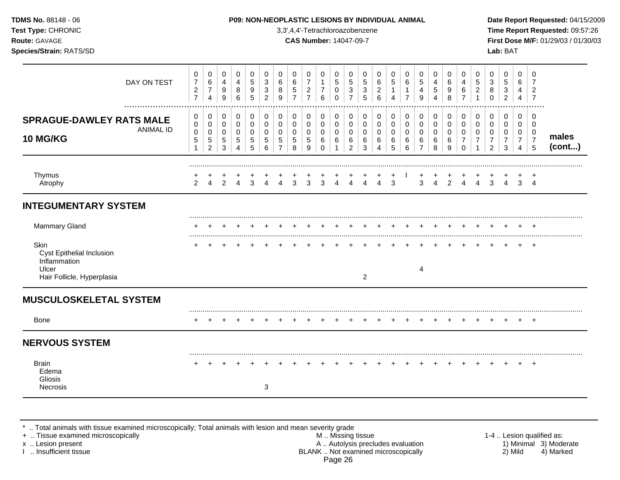| <b>TDMS No.</b> 88148 - 06 | <b>P09: NON-NEOPLASTIC LESIONS BY INDIVIDUAL ANIMAL</b> | Date Rep         |
|----------------------------|---------------------------------------------------------|------------------|
| Test Type: CHRONIC         | 3,3',4,4'-Tetrachloroazobenzene                         | Time Rep         |
| <b>Route: GAVAGE</b>       | <b>CAS Number: 14047-09-7</b>                           | <b>First Dos</b> |
| Species/Strain: RATS/SD    |                                                         | <b>Lab: BAT</b>  |

**Test Type:** CHRONIC 3,3',4,4'-Tetrachloroazobenzene **Time Report Requested:** 09:57:26 **Route:** GAVAGE **CAS Number:** 14047-09-7 **First Dose M/F:** 01/29/03 / 01/30/03

| DAY ON TEST                                                                              | 0<br>$\overline{7}$<br>$\sqrt{2}$<br>$\overline{7}$        | 0<br>6<br>$\overline{7}$<br>$\overline{4}$ | $\mathbf 0$<br>4<br>9<br>9                | 0<br>$\overline{4}$<br>8<br>6                                   | 0<br>5<br>9<br>5                                    | 0<br>3<br>3<br>2      | 0<br>6<br>8<br>9           | 0<br>6<br>5<br>$\overline{7}$   | 0<br>$\overline{7}$<br>$\overline{c}$<br>$\overline{7}$ | 0<br>$\mathbf{1}$<br>$\overline{7}$<br>6 | 0<br>5<br>0<br>$\Omega$    | 0<br>5<br>3<br>$\overline{7}$   | 0<br>$\sqrt{5}$<br>3<br>5 | 0<br>6<br>$\overline{2}$<br>6 | 0<br>$\sqrt{5}$<br>1<br>Δ                 | 0<br>6<br>1<br>$\overline{7}$   | 0<br>$\,$ 5 $\,$<br>4<br>9                 | 0<br>$\overline{4}$<br>$\sqrt{5}$<br>4    | 0<br>6<br>9<br>8                          | $\mathbf 0$<br>$\overline{4}$<br>6<br>$\overline{7}$ | 0<br>5<br>$\overline{2}$ | 0<br>3<br>8<br>$\Omega$                                           | 0<br>5<br>$\mathbf{3}$<br>$\overline{2}$ | 0<br>6<br>4<br>4                               | 0<br>7<br>$\overline{2}$<br>$\overline{7}$ |                 |
|------------------------------------------------------------------------------------------|------------------------------------------------------------|--------------------------------------------|-------------------------------------------|-----------------------------------------------------------------|-----------------------------------------------------|-----------------------|----------------------------|---------------------------------|---------------------------------------------------------|------------------------------------------|----------------------------|---------------------------------|---------------------------|-------------------------------|-------------------------------------------|---------------------------------|--------------------------------------------|-------------------------------------------|-------------------------------------------|------------------------------------------------------|--------------------------|-------------------------------------------------------------------|------------------------------------------|------------------------------------------------|--------------------------------------------|-----------------|
| <b>SPRAGUE-DAWLEY RATS MALE</b><br><b>ANIMAL ID</b><br>10 MG/KG                          | 0<br>$\pmb{0}$<br>$\pmb{0}$<br>$\mathbf 5$<br>$\mathbf{1}$ | 0<br>0<br>$\pmb{0}$<br>$\sqrt{5}$<br>2     | 0<br>0<br>$\mathbf 0$<br>$\mathbf 5$<br>3 | 0<br>$\mathbf 0$<br>$\mathbf 0$<br>5<br>$\overline{\mathbf{4}}$ | 0<br>$\mathbf 0$<br>$\mathbf 0$<br>$\mathbf 5$<br>5 | 0<br>0<br>0<br>5<br>6 | $\mathbf 0$<br>0<br>0<br>5 | $\mathbf 0$<br>0<br>0<br>5<br>8 | $\mathbf 0$<br>0<br>0<br>5<br>9                         | 0<br>0<br>0<br>$\,6\,$<br>$\Omega$       | 0<br>0<br>$\mathbf 0$<br>6 | $\mathbf 0$<br>0<br>0<br>6<br>2 | 0<br>0<br>0<br>6<br>3     | 0<br>0<br>0<br>6<br>4         | 0<br>$\mathbf 0$<br>$\mathbf 0$<br>6<br>5 | 0<br>$\mathbf 0$<br>0<br>6<br>6 | 0<br>$\pmb{0}$<br>0<br>6<br>$\overline{7}$ | 0<br>$\mathbf 0$<br>$\mathbf 0$<br>6<br>8 | 0<br>$\mathbf 0$<br>$\mathbf 0$<br>6<br>9 | $\mathbf 0$<br>0<br>$\mathbf 0$<br>7<br>$\Omega$     | 0<br>0<br>0<br>7         | 0<br>$\mathbf 0$<br>$\pmb{0}$<br>$\overline{7}$<br>$\mathfrak{p}$ | 0<br>0<br>0<br>$\overline{7}$<br>3       | 0<br>0<br>$\mathbf 0$<br>$\boldsymbol{7}$<br>4 | $\Omega$<br>0<br>0<br>$\overline{7}$<br>5  | males<br>(cont) |
| Thymus<br>Atrophy                                                                        | $\mathfrak{D}$                                             | $\boldsymbol{\Lambda}$                     | $\mathcal{P}$                             | $\Lambda$                                                       | 3                                                   | $\lambda$             |                            | 3                               | 3                                                       | 3                                        |                            |                                 |                           |                               | 3                                         |                                 | 3                                          | 4                                         | $\mathcal{P}$                             | 4                                                    | Δ                        | 3                                                                 | $\overline{4}$                           | 3                                              | $\ddot{}$<br>$\overline{4}$                |                 |
| <b>INTEGUMENTARY SYSTEM</b>                                                              |                                                            |                                            |                                           |                                                                 |                                                     |                       |                            |                                 |                                                         |                                          |                            |                                 |                           |                               |                                           |                                 |                                            |                                           |                                           |                                                      |                          |                                                                   |                                          |                                                |                                            |                 |
| <b>Mammary Gland</b>                                                                     |                                                            |                                            |                                           |                                                                 |                                                     |                       |                            |                                 |                                                         |                                          |                            |                                 |                           |                               |                                           |                                 |                                            |                                           |                                           |                                                      |                          |                                                                   |                                          |                                                | $\pm$                                      |                 |
| Skin<br>Cyst Epithelial Inclusion<br>Inflammation<br>Ulcer<br>Hair Follicle, Hyperplasia |                                                            |                                            |                                           |                                                                 |                                                     |                       |                            |                                 |                                                         |                                          |                            |                                 | 2                         |                               |                                           |                                 | 4                                          |                                           |                                           |                                                      |                          |                                                                   |                                          |                                                | $\div$                                     |                 |
| <b>MUSCULOSKELETAL SYSTEM</b>                                                            |                                                            |                                            |                                           |                                                                 |                                                     |                       |                            |                                 |                                                         |                                          |                            |                                 |                           |                               |                                           |                                 |                                            |                                           |                                           |                                                      |                          |                                                                   |                                          |                                                |                                            |                 |
| <b>Bone</b>                                                                              |                                                            |                                            |                                           |                                                                 |                                                     |                       |                            |                                 |                                                         |                                          |                            |                                 |                           |                               |                                           |                                 |                                            |                                           |                                           |                                                      |                          |                                                                   |                                          |                                                | $\overline{ }$                             |                 |
| <b>NERVOUS SYSTEM</b>                                                                    |                                                            |                                            |                                           |                                                                 |                                                     |                       |                            |                                 |                                                         |                                          |                            |                                 |                           |                               |                                           |                                 |                                            |                                           |                                           |                                                      |                          |                                                                   |                                          |                                                |                                            |                 |
| <b>Brain</b><br>Edema<br>Gliosis<br><b>Necrosis</b>                                      |                                                            |                                            |                                           |                                                                 |                                                     | 3                     |                            |                                 |                                                         |                                          |                            |                                 |                           |                               |                                           |                                 |                                            |                                           |                                           |                                                      |                          |                                                                   |                                          |                                                | $\overline{+}$                             |                 |

\* .. Total animals with tissue examined microscopically; Total animals with lesion and mean severity grade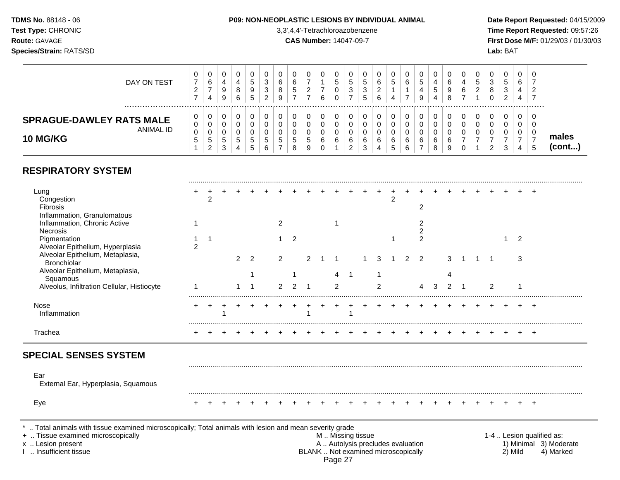### **TDMS No.** 88148 - 06 **P09: NON-NEOPLASTIC LESIONS BY INDIVIDUAL ANIMAL Date Report Requested:** 04/15/2009

**Test Type:** CHRONIC 3,3',4,4'-Tetrachloroazobenzene **Time Report Requested:** 09:57:26 **Route:** GAVAGE **CAS Number:** 14047-09-7 **First Dose M/F:** 01/29/03 / 01/30/03

| DAY ON TEST                                                     | v<br>⌒<br><u>_</u> | ⌒<br>-<br>4           | 0<br>9<br>9           | U<br>4<br>8<br>6                 | w<br>$\mathbf{p}$ | đ<br>$\sim$ | υ<br>6<br>8<br>9 | u<br>⌒<br>ັ           | U<br>-<br><u>_</u><br>$\rightarrow$ | 6 | υ<br>5<br>u<br>0 | υ<br>J<br>ົ<br>J | υ<br>G<br>د<br>đ      | 6<br><u>.</u><br>6 | M                    | U<br>6<br>–           | U<br>C.<br>4<br>9 | نٽ          | U<br>6<br>-9<br>8 | 4<br>6 | U<br>$\overline{\phantom{a}}$<br><u>.</u> | υ<br>3<br>8<br>υ | 0<br>G<br>دت<br>$\sim$<br><u>_</u> | U<br>6<br>4<br>4 | <b>∪</b><br>ຳ<br><u>_</u><br>Е, |                 |
|-----------------------------------------------------------------|--------------------|-----------------------|-----------------------|----------------------------------|-------------------|-------------|------------------|-----------------------|-------------------------------------|---|------------------|------------------|-----------------------|--------------------|----------------------|-----------------------|-------------------|-------------|-------------------|--------|-------------------------------------------|------------------|------------------------------------|------------------|---------------------------------|-----------------|
| <b>SPRAGUE-DAWLEY RATS MALE</b><br>ANIMAL ID<br><b>10 MG/KG</b> | v<br>v<br>U<br>.5  | v<br>U<br>v<br>J<br>ົ | 0<br>0<br>0<br>đ<br>3 | U<br>υ<br>v<br><sub>5</sub><br>4 | ಾ<br><u>5</u>     | ∽<br>N<br>6 | 0<br>∽<br>ັ      | u<br>u<br>◡<br>N<br>8 | ີວ<br>9                             |   | υ<br>u<br>u<br>6 | ν<br>ь           | υ<br>U<br>⌒<br>6<br>د | 6<br>4             | $\ddot{\phantom{a}}$ | 0<br>0<br>0<br>6<br>6 | 0<br>0<br>0<br>6  | $\sim$<br>6 | 0<br>0<br>6<br>-9 |        | C<br>◡                                    | U<br>U<br>ν      |                                    | v<br>◡<br>◡      | – ∪                             | males<br>(cont) |

# **RESPIRATORY SYSTEM**

| Lung<br>Congestion<br>Fibrosis<br>Inflammation, Granulomatous                        |               | 2 |   |                |   |   |  |        |  |   | 2 |   |                |   |  |               |   |                |
|--------------------------------------------------------------------------------------|---------------|---|---|----------------|---|---|--|--------|--|---|---|---|----------------|---|--|---------------|---|----------------|
| Inflammation, Chronic Active<br>Necrosis                                             |               |   |   |                | 2 |   |  |        |  |   |   |   | 2              |   |  |               |   |                |
| Pigmentation<br>Alveolar Epithelium, Hyperplasia<br>Alveolar Epithelium, Metaplasia, | $\mathcal{P}$ |   |   |                |   | 2 |  |        |  |   |   |   | $\overline{2}$ |   |  |               | 2 |                |
| <b>Bronchiolar</b><br>Alveolar Epithelium, Metaplasia,                               |               |   | 2 | $\overline{2}$ | 2 |   |  |        |  | 3 |   | 2 | 2              | 3 |  |               | 3 |                |
| Squamous<br>Alveolus, Infiltration Cellular, Histiocyte                              |               |   |   |                |   |   |  | 4<br>2 |  | 2 |   |   |                |   |  | $\mathcal{P}$ |   |                |
| Nose<br>Inflammation                                                                 |               |   |   |                |   |   |  |        |  |   |   |   |                |   |  |               |   |                |
| Trachea                                                                              |               |   |   |                |   |   |  |        |  |   |   |   |                |   |  |               |   |                |
| <b>SPECIAL SENSES SYSTEM</b>                                                         |               |   |   |                |   |   |  |        |  |   |   |   |                |   |  |               |   |                |
| Ear<br>External Ear, Hyperplasia, Squamous                                           |               |   |   |                |   |   |  |        |  |   |   |   |                |   |  |               |   |                |
| Eye                                                                                  |               |   |   |                |   |   |  |        |  |   |   |   |                |   |  |               |   | $\overline{ }$ |
|                                                                                      |               |   |   |                |   |   |  |        |  |   |   |   |                |   |  |               |   |                |

\* .. Total animals with tissue examined microscopically; Total animals with lesion and mean severity grade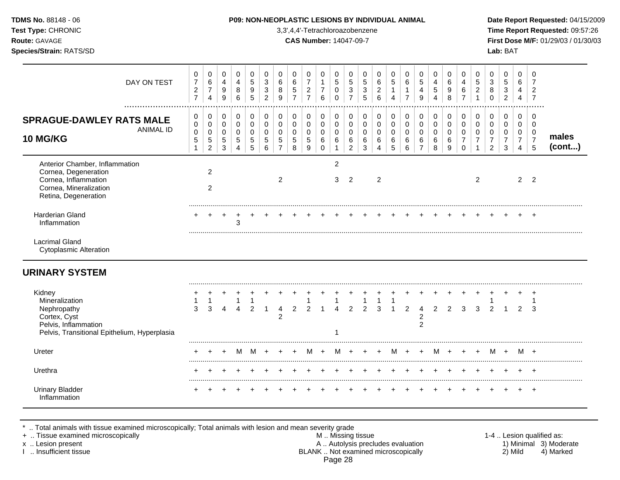| Test Type: CHRONIC<br>Route: GAVAGE<br>Species/Strain: RATS/SD                                                                   | 3,3',4,4'-Tetrachloroazobenzene<br><b>CAS Number: 14047-09-7</b> |                                                                |                                                |                                                                   |                                                        |                                                                                         |                                                             |                                         |                                      |                                                         |                                                                                    |                                                                          |                                                              | Lab: BAT                                               |                                                   |                                                            | Time Report Requested: 09:57:26<br>First Dose M/F: 01/29/03 / 01/30/03 |                                                               |                                                   |                                                                |                                                                           |                                                           |                                                      |                                                      |                                                                   |                 |
|----------------------------------------------------------------------------------------------------------------------------------|------------------------------------------------------------------|----------------------------------------------------------------|------------------------------------------------|-------------------------------------------------------------------|--------------------------------------------------------|-----------------------------------------------------------------------------------------|-------------------------------------------------------------|-----------------------------------------|--------------------------------------|---------------------------------------------------------|------------------------------------------------------------------------------------|--------------------------------------------------------------------------|--------------------------------------------------------------|--------------------------------------------------------|---------------------------------------------------|------------------------------------------------------------|------------------------------------------------------------------------|---------------------------------------------------------------|---------------------------------------------------|----------------------------------------------------------------|---------------------------------------------------------------------------|-----------------------------------------------------------|------------------------------------------------------|------------------------------------------------------|-------------------------------------------------------------------|-----------------|
| DAY ON TEST                                                                                                                      | 0<br>$\overline{7}$<br>$\overline{\mathbf{c}}$<br>$\overline{7}$ | $\mathbf 0$<br>6<br>$\boldsymbol{7}$<br>$\overline{4}$         | 0<br>$\overline{4}$<br>$\boldsymbol{9}$<br>9   | $\pmb{0}$<br>$\overline{\mathbf{4}}$<br>$\bf 8$<br>$6\phantom{a}$ | 0<br>$\,$ 5 $\,$<br>$\boldsymbol{9}$<br>$\overline{5}$ | $\mathbf 0$<br>$\ensuremath{\mathsf{3}}$<br>$\ensuremath{\mathsf{3}}$<br>$\overline{2}$ | 0<br>$\,6\,$<br>$\,8\,$<br>9                                | 0<br>$6\phantom{1}6$<br>$\frac{5}{7}$   | 0<br>$\overline{7}$<br>$\frac{2}{7}$ | 0<br>$\mathbf{1}$<br>$\boldsymbol{7}$<br>$6\phantom{a}$ | $\mathbf 0$<br>$\overline{5}$<br>$\mathsf 0$<br>$\mathbf 0$                        | $\mathbf 0$<br>$\sqrt{5}$<br>$\ensuremath{\mathsf{3}}$<br>$\overline{7}$ | $\boldsymbol{0}$<br>$\overline{5}$<br>$\frac{3}{5}$          | 0<br>$\,6\,$<br>$\begin{array}{c} 2 \\ 6 \end{array}$  | 0<br>$\sqrt{5}$<br>$\mathbf{1}$<br>$\overline{4}$ | 0<br>$\,6\,$<br>$\mathbf{1}$<br>$\overline{7}$             | $\mathbf 0$<br>$\sqrt{5}$<br>$\overline{4}$<br>9                       | $\mathbf 0$<br>$\overline{4}$<br>$\sqrt{5}$<br>$\overline{4}$ | $\mathbf 0$<br>6<br>$\boldsymbol{9}$<br>8         | 0<br>$\overline{4}$<br>$\,6\,$<br>$\overline{7}$               | 0<br>$\overline{5}$<br>$\boldsymbol{2}$<br>$\mathbf{1}$                   | $\mathbf 0$<br>$\mathbf{3}$<br>$\bf 8$<br>$\mathbf 0$     | $\mathbf 0$<br>$\mathbf 5$<br>$\frac{3}{2}$          | $\mathbf 0$<br>6<br>$\overline{4}$<br>$\overline{4}$ | $\mathbf 0$<br>$\overline{7}$<br>$\overline{c}$<br>$\overline{7}$ |                 |
| <b>SPRAGUE-DAWLEY RATS MALE</b><br><b>ANIMAL ID</b><br><b>10 MG/KG</b>                                                           | 0<br>$\mathbf 0$<br>$\pmb{0}$<br>5<br>$\mathbf{1}$               | 0<br>$\mathsf{O}\xspace$<br>$\mathbf 0$<br>5<br>$\overline{a}$ | 0<br>0<br>0<br>$5\phantom{.0}$<br>$\mathbf{3}$ | $\pmb{0}$<br>$\mathbf 0$<br>$\pmb{0}$<br>5<br>$\overline{4}$      | $\pmb{0}$<br>$\mathbf 0$<br>0<br>$\overline{5}$<br>5   | $\pmb{0}$<br>$\mathbf 0$<br>$\Omega$<br>$\sqrt{5}$<br>6                                 | 0<br>$\pmb{0}$<br>$\pmb{0}$<br>$\sqrt{5}$<br>$\overline{7}$ | 0<br>$\pmb{0}$<br>$\mathbf 0$<br>5<br>8 | 0<br>$\pmb{0}$<br>0<br>5<br>9        | $\pmb{0}$<br>0<br>0<br>6<br>$\pmb{0}$                   | $\pmb{0}$<br>$\mathsf{O}\xspace$<br>$\mathsf{O}\xspace$<br>$\,6\,$<br>$\mathbf{1}$ | $\mathbf 0$<br>$\pmb{0}$<br>$\mathbf 0$<br>$\,6\,$<br>$\overline{2}$     | $\pmb{0}$<br>$\mathbf 0$<br>$\mathbf 0$<br>6<br>$\mathbf{3}$ | 0<br>$\mathsf 0$<br>$\mathbf 0$<br>6<br>$\overline{4}$ | 0<br>$\mathsf{O}\xspace$<br>0<br>6<br>5           | $\pmb{0}$<br>$\pmb{0}$<br>$\pmb{0}$<br>6<br>$6\phantom{a}$ | 0<br>0<br>0<br>6<br>$\overline{7}$                                     | 0<br>$\mathbf 0$<br>$\mathbf 0$<br>6<br>8                     | 0<br>$\pmb{0}$<br>$\mathbf 0$<br>$\,6\,$<br>$9\,$ | 0<br>$\mathsf 0$<br>$\pmb{0}$<br>$\overline{7}$<br>$\mathbf 0$ | 0<br>$\mathsf{O}\xspace$<br>$\mathsf 0$<br>$\overline{7}$<br>$\mathbf{1}$ | 0<br>0<br>$\mathbf 0$<br>$\overline{7}$<br>$\overline{2}$ | 0<br>$\pmb{0}$<br>$\mathbf 0$<br>$\overline{7}$<br>3 | 0<br>0<br>0<br>$\overline{7}$<br>$\overline{4}$      | $\mathbf 0$<br>$\mathbf 0$<br>$\mathbf 0$<br>$\overline{7}$<br>5  | males<br>(cont) |
| Anterior Chamber, Inflammation<br>Cornea, Degeneration<br>Cornea, Inflammation<br>Cornea, Mineralization<br>Retina, Degeneration |                                                                  | $\overline{c}$<br>$\overline{c}$                               |                                                |                                                                   |                                                        |                                                                                         | $\overline{c}$                                              |                                         |                                      |                                                         | $\overline{c}$<br>3                                                                | $\overline{2}$                                                           |                                                              | $\overline{2}$                                         |                                                   |                                                            |                                                                        |                                                               |                                                   |                                                                | $\overline{2}$                                                            |                                                           |                                                      |                                                      | 2 <sub>2</sub>                                                    |                 |
| Harderian Gland<br>Inflammation                                                                                                  |                                                                  |                                                                |                                                | 3                                                                 |                                                        |                                                                                         |                                                             |                                         |                                      |                                                         |                                                                                    |                                                                          |                                                              |                                                        |                                                   |                                                            |                                                                        |                                                               |                                                   |                                                                |                                                                           |                                                           |                                                      |                                                      |                                                                   |                 |
| <b>Lacrimal Gland</b><br><b>Cytoplasmic Alteration</b>                                                                           |                                                                  |                                                                |                                                |                                                                   |                                                        |                                                                                         |                                                             |                                         |                                      |                                                         |                                                                                    |                                                                          |                                                              |                                                        |                                                   |                                                            |                                                                        |                                                               |                                                   |                                                                |                                                                           |                                                           |                                                      |                                                      |                                                                   |                 |
| <b>URINARY SYSTEM</b>                                                                                                            |                                                                  |                                                                |                                                |                                                                   |                                                        |                                                                                         |                                                             |                                         |                                      |                                                         |                                                                                    |                                                                          |                                                              |                                                        |                                                   |                                                            |                                                                        |                                                               |                                                   |                                                                |                                                                           |                                                           |                                                      |                                                      |                                                                   |                 |
| Kidney<br>Mineralization<br>Nephropathy<br>Cortex, Cyst<br>Pelvis, Inflammation<br>Pelvis, Transitional Epithelium, Hyperplasia  | 3                                                                | 1<br>3                                                         | 4                                              | $\mathbf{1}$<br>$\overline{4}$                                    | $\mathbf{1}$<br>$\overline{2}$                         | $\overline{1}$                                                                          | $\overline{4}$<br>$\overline{2}$                            | $\overline{2}$                          | 1<br>2                               |                                                         | $\mathbf{1}$<br>$\overline{4}$                                                     | $\overline{c}$                                                           | $\mathbf{1}$<br>$\overline{c}$                               | $\mathbf{1}$<br>$\mathbf{3}$                           | $\mathbf{1}$<br>$\mathbf{1}$                      | $\overline{2}$                                             | $\overline{4}$<br>$\overline{c}$<br>$\overline{c}$                     | $\overline{2}$                                                | 2                                                 | 3                                                              | $\mathbf{3}$                                                              | $\overline{2}$                                            | $\overline{1}$                                       | 2                                                    | $\overline{ }$<br>$\mathbf 1$<br>3                                |                 |
| Ureter                                                                                                                           |                                                                  |                                                                |                                                | м                                                                 | M                                                      |                                                                                         |                                                             |                                         | M                                    | $+$                                                     | M +                                                                                |                                                                          | $+$                                                          | $+$                                                    | м                                                 | $+$                                                        | $+$                                                                    | M                                                             | $+$                                               |                                                                | $+$                                                                       | M +                                                       |                                                      | M +                                                  |                                                                   |                 |
| Urethra                                                                                                                          |                                                                  |                                                                |                                                |                                                                   |                                                        |                                                                                         |                                                             |                                         |                                      |                                                         |                                                                                    |                                                                          |                                                              |                                                        |                                                   |                                                            |                                                                        |                                                               |                                                   |                                                                |                                                                           |                                                           |                                                      |                                                      |                                                                   |                 |
| <b>Urinary Bladder</b><br>Inflammation                                                                                           | +                                                                |                                                                | +                                              |                                                                   |                                                        |                                                                                         |                                                             |                                         |                                      |                                                         |                                                                                    |                                                                          |                                                              |                                                        |                                                   |                                                            |                                                                        |                                                               |                                                   |                                                                |                                                                           | $\ddot{}$                                                 |                                                      |                                                      | $^{+}$                                                            |                 |

\* .. Total animals with tissue examined microscopically; Total animals with lesion and mean severity grade

+ .. Tissue examined microscopically M .. Missing tissue 1-4 .. Lesion qualified as: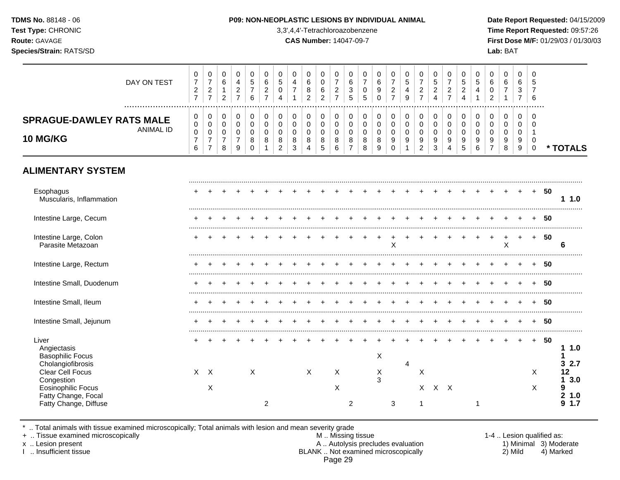| <b>TDMS No. 88148 - 06</b>     | <b>P09: NON-NEOPLASTIC LESIONS BY INDIVIDUAL ANIMAL</b> | Date Rep         |
|--------------------------------|---------------------------------------------------------|------------------|
| <b>Test Type: CHRONIC</b>      | 3,3',4,4'-Tetrachloroazobenzene                         | Time Rer         |
| <b>Route: GAVAGE</b>           | <b>CAS Number: 14047-09-7</b>                           | <b>First Dos</b> |
| <b>Species/Strain: RATS/SD</b> |                                                         | <b>Lab: BAT</b>  |

 $\overline{\phantom{a}}$ 

**Time Report Requested:** 09:57:26 **Route:** GAVAGE **CAS Number:** 14047-09-7 **First Dose M/F:** 01/29/03 / 01/30/03

 $\overline{\phantom{a}}$ 

 $\top$  $\overline{\phantom{a}}$  $\overline{\phantom{a}}$  $\overline{\phantom{a}}$ 

| DAY ON TEST<br>                                                                                                                                                                            | $\,0\,$<br>$\overline{7}$<br>$\overline{c}$<br>$\overline{7}$ | $\,0\,$<br>$\overline{7}$<br>$\overline{2}$<br>$\overline{7}$       | 0<br>6<br>$\mathbf{1}$<br>$\overline{2}$               | $\Omega$<br>$\overline{a}$<br>$\overline{c}$<br>$\overline{7}$   | $\Omega$<br>5<br>$\overline{7}$<br>6                    | $\Omega$<br>6<br>$\overline{2}$<br>$\overline{7}$ | 0<br>$\,$ 5 $\,$<br>$\mathbf 0$<br>$\overline{4}$             | $\mathbf 0$<br>$\overline{\mathbf{4}}$<br>$\overline{7}$           | 0<br>$\,6\,$<br>8<br>$\overline{2}$                     | 0<br>$\pmb{0}$<br>$\,6\,$<br>$\overline{c}$ | $\mathbf 0$<br>$\overline{7}$<br>$\overline{a}$<br>$\overline{7}$ | $\Omega$<br>6<br>3<br>5                      | 0<br>$\overline{7}$<br>0<br>5             | 0<br>$\,6$<br>9<br>$\Omega$               | $\pmb{0}$<br>$\overline{7}$<br>$\overline{c}$<br>$\overline{7}$            | 0<br>$\sqrt{5}$<br>4<br>9                                            | $\pmb{0}$<br>$\boldsymbol{7}$<br>$\overline{c}$<br>$\overline{7}$ | $\mathbf 0$<br>$\sqrt{5}$<br>$\overline{2}$<br>$\overline{4}$ | 0<br>$\overline{7}$<br>$\overline{a}$<br>$\overline{7}$ | 0<br>$\sqrt{5}$<br>$\overline{2}$<br>$\overline{4}$       | 0<br>$\sqrt{5}$<br>4                   | $\mathbf 0$<br>6<br>0<br>$\overline{2}$                                         | 0<br>$\,6$<br>$\overline{7}$              | $\mathbf 0$<br>6<br>3<br>$\overline{7}$   | $\Omega$<br>5<br>7<br>6                                    |    |                                                                             |
|--------------------------------------------------------------------------------------------------------------------------------------------------------------------------------------------|---------------------------------------------------------------|---------------------------------------------------------------------|--------------------------------------------------------|------------------------------------------------------------------|---------------------------------------------------------|---------------------------------------------------|---------------------------------------------------------------|--------------------------------------------------------------------|---------------------------------------------------------|---------------------------------------------|-------------------------------------------------------------------|----------------------------------------------|-------------------------------------------|-------------------------------------------|----------------------------------------------------------------------------|----------------------------------------------------------------------|-------------------------------------------------------------------|---------------------------------------------------------------|---------------------------------------------------------|-----------------------------------------------------------|----------------------------------------|---------------------------------------------------------------------------------|-------------------------------------------|-------------------------------------------|------------------------------------------------------------|----|-----------------------------------------------------------------------------|
| <b>SPRAGUE-DAWLEY RATS MALE</b><br><b>ANIMAL ID</b><br><b>10 MG/KG</b>                                                                                                                     | $\pmb{0}$<br>$\pmb{0}$<br>$\pmb{0}$<br>$\overline{7}$<br>6    | 0<br>$\mathsf{O}\xspace$<br>0<br>$\boldsymbol{7}$<br>$\overline{7}$ | 0<br>$\mathsf{O}\xspace$<br>0<br>$\boldsymbol{7}$<br>8 | $\mathbf 0$<br>$\mathbf 0$<br>$\mathbf 0$<br>$\overline{7}$<br>9 | $\Omega$<br>$\mathbf 0$<br>$\Omega$<br>8<br>$\mathbf 0$ | 0<br>$\mathbf 0$<br>$\Omega$<br>8<br>$\mathbf{1}$ | $\mathbf 0$<br>$\mathbf 0$<br>$\Omega$<br>8<br>$\overline{2}$ | $\mathbf 0$<br>$\pmb{0}$<br>$\mathbf 0$<br>$\bf 8$<br>$\mathbf{3}$ | 0<br>$\mathsf{O}$<br>$\mathbf 0$<br>8<br>$\overline{4}$ | 0<br>$\mathbf 0$<br>0<br>8<br>5             | $\Omega$<br>$\mathbf 0$<br>$\mathbf 0$<br>8<br>6                  | 0<br>0<br>$\mathbf 0$<br>8<br>$\overline{7}$ | 0<br>$\mathbf 0$<br>$\mathbf 0$<br>8<br>8 | 0<br>$\mathbf 0$<br>$\mathbf 0$<br>8<br>9 | $\mathbf 0$<br>$\mathsf{O}\xspace$<br>0<br>$\boldsymbol{9}$<br>$\mathbf 0$ | 0<br>$\mathsf{O}$<br>$\mathbf 0$<br>$\boldsymbol{9}$<br>$\mathbf{1}$ | 0<br>$\pmb{0}$<br>0<br>9<br>$\overline{2}$                        | $\mathbf 0$<br>$\mathbf 0$<br>$\mathbf 0$<br>9<br>$\sqrt{3}$  | $\mathbf 0$<br>$\mathbf 0$<br>$\mathbf 0$<br>9<br>4     | $\mathbf 0$<br>$\mathbf 0$<br>$\Omega$<br>9<br>$\sqrt{5}$ | 0<br>$\mathbf 0$<br>$\Omega$<br>9<br>6 | $\mathbf 0$<br>$\mathbf 0$<br>$\mathbf 0$<br>$\boldsymbol{9}$<br>$\overline{7}$ | 0<br>$\mathbf 0$<br>$\mathbf 0$<br>9<br>8 | $\mathbf 0$<br>$\mathsf 0$<br>0<br>9<br>9 | $\Omega$<br>$\Omega$<br>$\overline{1}$<br>0<br>$\mathbf 0$ |    | * TOTALS                                                                    |
| <b>ALIMENTARY SYSTEM</b>                                                                                                                                                                   |                                                               |                                                                     |                                                        |                                                                  |                                                         |                                                   |                                                               |                                                                    |                                                         |                                             |                                                                   |                                              |                                           |                                           |                                                                            |                                                                      |                                                                   |                                                               |                                                         |                                                           |                                        |                                                                                 |                                           |                                           |                                                            |    |                                                                             |
| Esophagus<br>Muscularis, Inflammation                                                                                                                                                      |                                                               |                                                                     |                                                        |                                                                  |                                                         |                                                   |                                                               |                                                                    |                                                         |                                             |                                                                   |                                              |                                           |                                           |                                                                            |                                                                      |                                                                   |                                                               |                                                         |                                                           |                                        |                                                                                 |                                           | $\div$                                    | $+$                                                        | 50 | 11.0                                                                        |
| Intestine Large, Cecum                                                                                                                                                                     |                                                               |                                                                     |                                                        |                                                                  |                                                         |                                                   |                                                               |                                                                    |                                                         |                                             |                                                                   |                                              |                                           |                                           |                                                                            |                                                                      |                                                                   |                                                               |                                                         |                                                           |                                        |                                                                                 |                                           |                                           |                                                            | 50 |                                                                             |
| Intestine Large, Colon<br>Parasite Metazoan                                                                                                                                                |                                                               |                                                                     |                                                        |                                                                  |                                                         |                                                   |                                                               |                                                                    |                                                         |                                             |                                                                   |                                              |                                           |                                           | X                                                                          |                                                                      |                                                                   |                                                               |                                                         |                                                           |                                        |                                                                                 | X                                         |                                           | $\ddot{}$                                                  | 50 | 6                                                                           |
| Intestine Large, Rectum                                                                                                                                                                    |                                                               |                                                                     |                                                        |                                                                  |                                                         |                                                   |                                                               |                                                                    |                                                         |                                             |                                                                   |                                              |                                           |                                           |                                                                            |                                                                      |                                                                   |                                                               |                                                         |                                                           |                                        |                                                                                 |                                           |                                           |                                                            | 50 |                                                                             |
| Intestine Small, Duodenum                                                                                                                                                                  |                                                               |                                                                     |                                                        |                                                                  |                                                         |                                                   |                                                               |                                                                    |                                                         |                                             |                                                                   |                                              |                                           |                                           |                                                                            |                                                                      |                                                                   |                                                               |                                                         |                                                           |                                        |                                                                                 |                                           |                                           |                                                            | 50 |                                                                             |
| Intestine Small, Ileum                                                                                                                                                                     |                                                               |                                                                     |                                                        |                                                                  |                                                         |                                                   |                                                               |                                                                    |                                                         |                                             |                                                                   |                                              |                                           |                                           |                                                                            |                                                                      |                                                                   |                                                               |                                                         |                                                           |                                        |                                                                                 |                                           |                                           |                                                            | 50 |                                                                             |
| Intestine Small, Jejunum                                                                                                                                                                   |                                                               |                                                                     |                                                        |                                                                  |                                                         |                                                   |                                                               |                                                                    |                                                         |                                             |                                                                   |                                              |                                           |                                           |                                                                            |                                                                      |                                                                   |                                                               |                                                         |                                                           |                                        |                                                                                 |                                           |                                           |                                                            | 50 |                                                                             |
| Liver<br>Angiectasis<br><b>Basophilic Focus</b><br>Cholangiofibrosis<br><b>Clear Cell Focus</b><br>Congestion<br><b>Eosinophilic Focus</b><br>Fatty Change, Focal<br>Fatty Change, Diffuse |                                                               | $X$ $X$<br>X                                                        |                                                        |                                                                  | $\times$                                                | $\overline{2}$                                    |                                                               |                                                                    | $\times$                                                |                                             | X<br>X                                                            | 2                                            |                                           | X<br>X<br>3                               | 3                                                                          | $\overline{4}$                                                       | X<br>X                                                            |                                                               | $X$ $X$                                                 |                                                           |                                        |                                                                                 |                                           | $\ddot{}$                                 | $+$<br>X<br>Χ                                              | 50 | 11.0<br>1<br>32.7<br>12<br>3.0<br>1<br>9<br>$\mathbf{2}$<br>1.0<br>1.7<br>9 |

\* .. Total animals with tissue examined microscopically; Total animals with lesion and mean severity grade

 $\overline{\phantom{a}}$ 

+ .. Tissue examined microscopically M .. Missing tissue 1-4 .. Lesion qualified as: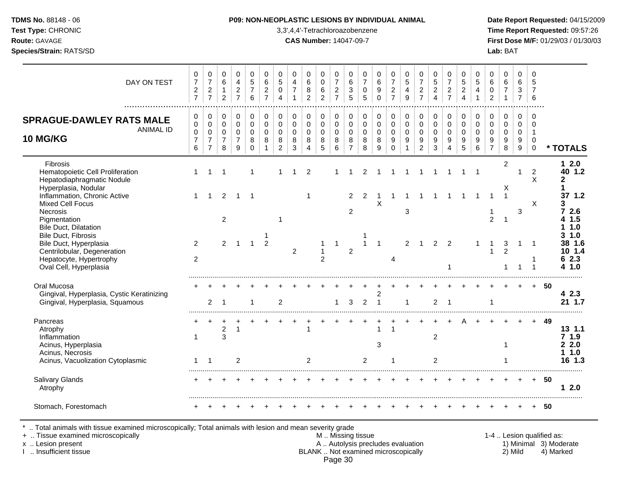**Test Type:** CHRONIC 3,3',4,4'-Tetrachloroazobenzene **Time Report Requested:** 09:57:26 **Route:** GAVAGE **CAS Number:** 14047-09-7 **First Dose M/F:** 01/29/03 / 01/30/03 **Species/Strain:** RATS/SD **Lab:** BAT

| DAY ON TEST                                                                                                                              | 0<br>$\boldsymbol{7}$<br>$\boldsymbol{2}$<br>$\overline{7}$     | 0<br>$\overline{7}$<br>$\overline{c}$<br>$\overline{7}$                     | $\mathbf 0$<br>$\,6\,$<br>$\mathbf{1}$<br>$\overline{2}$ | $\mathbf 0$<br>$\overline{4}$<br>$\overline{2}$<br>$\overline{7}$               | 0<br>$\sqrt{5}$<br>$\overline{7}$<br>6                    | 0<br>$\,6\,$<br>$\overline{2}$<br>$\overline{7}$ | $\mathbf 0$<br>$\sqrt{5}$<br>$\mathbf 0$<br>$\boldsymbol{\Lambda}$ | $\mathbf 0$<br>$\overline{4}$<br>$\overline{7}$<br>1 | 0<br>$\,6$<br>8<br>2                                       | $\mathbf 0$<br>$\pmb{0}$<br>$\,6$<br>$\overline{2}$ | 0<br>$\overline{7}$<br>$\overline{c}$<br>$\overline{7}$ | 0<br>$6\,$<br>$\mathbf{3}$<br>5              | 0<br>$\overline{7}$<br>0<br>5                 | 0<br>$\,6\,$<br>$9\,$<br>$\Omega$                 | 0<br>$\overline{7}$<br>$\overline{c}$<br>$\overline{7}$            | 0<br>$\sqrt{5}$<br>4<br>9                                           | 0<br>$\boldsymbol{7}$<br>$\sqrt{2}$<br>$\overline{7}$               | 0<br>$\sqrt{5}$<br>$\overline{c}$<br>$\overline{4}$               | 0<br>$\boldsymbol{7}$<br>$\sqrt{2}$<br>$\overline{7}$          | 0<br>$\sqrt{5}$<br>$\sqrt{2}$<br>$\overline{A}$                  | $\mathbf 0$<br>$\overline{5}$<br>4     | 0<br>$\,6\,$<br>$\pmb{0}$<br>$\overline{2}$            | 0<br>$\,6$<br>$\overline{7}$<br>$\mathbf{1}$   | $\mathbf 0$<br>$\,6$<br>3<br>$\overline{7}$ | 0<br>5<br>7<br>6                                             |    |                                                       |
|------------------------------------------------------------------------------------------------------------------------------------------|-----------------------------------------------------------------|-----------------------------------------------------------------------------|----------------------------------------------------------|---------------------------------------------------------------------------------|-----------------------------------------------------------|--------------------------------------------------|--------------------------------------------------------------------|------------------------------------------------------|------------------------------------------------------------|-----------------------------------------------------|---------------------------------------------------------|----------------------------------------------|-----------------------------------------------|---------------------------------------------------|--------------------------------------------------------------------|---------------------------------------------------------------------|---------------------------------------------------------------------|-------------------------------------------------------------------|----------------------------------------------------------------|------------------------------------------------------------------|----------------------------------------|--------------------------------------------------------|------------------------------------------------|---------------------------------------------|--------------------------------------------------------------|----|-------------------------------------------------------|
| <b>SPRAGUE-DAWLEY RATS MALE</b><br><b>ANIMAL ID</b><br><b>10 MG/KG</b>                                                                   | 0<br>$\pmb{0}$<br>$\pmb{0}$<br>$\overline{7}$<br>$6\phantom{a}$ | $\pmb{0}$<br>$\mathbf 0$<br>$\mathbf 0$<br>$\overline{7}$<br>$\overline{7}$ | 0<br>$\mathbf 0$<br>$\mathbf 0$<br>$\overline{7}$<br>8   | $\mathbf 0$<br>$\mathsf 0$<br>$\mathbf 0$<br>$\overline{7}$<br>$\boldsymbol{9}$ | $\pmb{0}$<br>$\mathbf 0$<br>$\mathbf{0}$<br>8<br>$\Omega$ | 0<br>0<br>$\Omega$<br>8                          | $\mathbf 0$<br>$\pmb{0}$<br>$\Omega$<br>8<br>$\overline{2}$        | 0<br>$\mathsf 0$<br>$\mathbf 0$<br>8<br>$\mathbf{3}$ | 0<br>$\pmb{0}$<br>$\mathbf 0$<br>$\bf 8$<br>$\overline{4}$ | 0<br>$\pmb{0}$<br>$\mathbf 0$<br>8<br>$\sqrt{5}$    | 0<br>$\pmb{0}$<br>$\mathbf 0$<br>8<br>6                 | 0<br>0<br>$\mathbf 0$<br>8<br>$\overline{7}$ | 0<br>$\pmb{0}$<br>$\mathbf 0$<br>8<br>$\,8\,$ | 0<br>$\mathsf{O}\xspace$<br>$\mathbf 0$<br>8<br>9 | 0<br>$\mathbf 0$<br>$\mathbf 0$<br>$\boldsymbol{9}$<br>$\mathbf 0$ | $\mathbf 0$<br>$\mathsf 0$<br>0<br>$\boldsymbol{9}$<br>$\mathbf{1}$ | 0<br>$\pmb{0}$<br>$\mathbf 0$<br>$\boldsymbol{9}$<br>$\overline{2}$ | 0<br>$\pmb{0}$<br>$\mathbf 0$<br>$\boldsymbol{9}$<br>$\mathbf{3}$ | $\pmb{0}$<br>$\mathbf 0$<br>$\mathbf 0$<br>9<br>$\overline{4}$ | $\mathbf 0$<br>$\pmb{0}$<br>$\mathbf 0$<br>$\boldsymbol{9}$<br>5 | 0<br>$\mathbf 0$<br>$\Omega$<br>9<br>6 | 0<br>$\mathbf 0$<br>$\mathbf 0$<br>9<br>$\overline{7}$ | $\boldsymbol{0}$<br>$\mathbf 0$<br>0<br>9<br>8 | 0<br>0<br>$\mathbf 0$<br>9<br>9             | 0<br>$\mathbf 0$<br>$\mathbf{1}$<br>$\mathbf 0$<br>$\pmb{0}$ |    | * TOTALS                                              |
| Fibrosis<br>Hematopoietic Cell Proliferation<br>Hepatodiaphragmatic Nodule<br>Hyperplasia, Nodular                                       | 1                                                               | -1                                                                          | $\overline{1}$                                           |                                                                                 | 1                                                         |                                                  | -1                                                                 | 1                                                    | 2<br>1                                                     |                                                     |                                                         |                                              | $\overline{2}$                                |                                                   |                                                                    |                                                                     |                                                                     |                                                                   |                                                                |                                                                  | -1                                     |                                                        | $\overline{2}$<br>X<br>-1                      | 1                                           | $\overline{2}$<br>X                                          |    | $12.0$<br>40 1.2<br>2<br>1<br>37 1.2                  |
| Inflammation, Chronic Active<br><b>Mixed Cell Focus</b><br>Necrosis<br>Pigmentation<br><b>Bile Duct, Dilatation</b>                      |                                                                 |                                                                             | $\overline{2}$<br>2                                      |                                                                                 | -1                                                        |                                                  | 1                                                                  |                                                      |                                                            |                                                     |                                                         | $\overline{2}$<br>$\overline{2}$             | $\overline{2}$                                | X                                                 |                                                                    | 3                                                                   |                                                                     |                                                                   |                                                                |                                                                  |                                        | 2                                                      |                                                | 3                                           | X                                                            |    | 3<br>72.6<br>1.5<br>1.0                               |
| <b>Bile Duct, Fibrosis</b><br>Bile Duct, Hyperplasia<br>Centrilobular, Degeneration<br>Hepatocyte, Hypertrophy<br>Oval Cell, Hyperplasia | $\overline{2}$<br>2                                             |                                                                             | $\overline{2}$                                           |                                                                                 | 1                                                         | 1<br>2                                           |                                                                    | $\overline{2}$                                       |                                                            | 1<br>$\overline{c}$                                 | -1                                                      | $\overline{c}$                               |                                               | $\overline{\mathbf{1}}$                           | Δ                                                                  | $\overline{2}$                                                      |                                                                     | $\overline{2}$                                                    | $\overline{2}$                                                 |                                                                  | 1                                      |                                                        | 3<br>$\overline{c}$                            | 1                                           | 1<br>$\overline{1}$                                          |    | 1.0<br>38 1.6<br>10 1.4<br>62.3<br>1.0<br>4           |
| Oral Mucosa<br>Gingival, Hyperplasia, Cystic Keratinizing<br>Gingival, Hyperplasia, Squamous                                             |                                                                 | $\overline{2}$                                                              | -1                                                       |                                                                                 | 1                                                         |                                                  | $\overline{2}$                                                     |                                                      |                                                            |                                                     | 1                                                       | 3                                            | $\overline{2}$                                | 2<br>$\overline{1}$                               |                                                                    | 1                                                                   |                                                                     | $\overline{2}$                                                    | -1                                                             |                                                                  |                                        | 1                                                      |                                                |                                             | $+$                                                          | 50 | 42.3<br>21 1.7                                        |
| Pancreas<br>Atrophy<br>Inflammation<br>Acinus, Hyperplasia<br>Acinus, Necrosis<br>Acinus, Vacuolization Cytoplasmic                      | 1<br>1                                                          | -1                                                                          | 2<br>3                                                   | $\overline{2}$                                                                  |                                                           |                                                  |                                                                    |                                                      | 2                                                          |                                                     |                                                         |                                              | $\overline{2}$                                | 1<br>3                                            | 1<br>$\mathbf 1$                                                   |                                                                     |                                                                     | $\overline{2}$<br>2                                               |                                                                |                                                                  |                                        |                                                        |                                                |                                             |                                                              | 49 | 13 1.1<br>7 <sub>1.9</sub><br>2.2.0<br>11.0<br>16 1.3 |
| Salivary Glands<br>Atrophy                                                                                                               |                                                                 |                                                                             |                                                          |                                                                                 |                                                           |                                                  |                                                                    |                                                      |                                                            |                                                     |                                                         |                                              |                                               |                                                   |                                                                    |                                                                     |                                                                     |                                                                   |                                                                |                                                                  |                                        |                                                        |                                                |                                             | $+$                                                          | 50 | 12.0                                                  |
| Stomach, Forestomach                                                                                                                     |                                                                 |                                                                             |                                                          |                                                                                 |                                                           |                                                  |                                                                    |                                                      |                                                            |                                                     |                                                         |                                              |                                               |                                                   |                                                                    |                                                                     |                                                                     |                                                                   |                                                                |                                                                  |                                        |                                                        |                                                |                                             |                                                              | 50 |                                                       |

\* .. Total animals with tissue examined microscopically; Total animals with lesion and mean severity grade

+ .. Tissue examined microscopically M .. Missing tissue 1-4 .. Lesion qualified as:

- x .. Lesion present **A .. Autolysis precludes evaluation** A .. Autolysis precludes evaluation 1) Minimal 3) Moderate I .. Insufficient tissue BLANK .. Not examined microscopically 2) Mild 4) Marked Page 30
-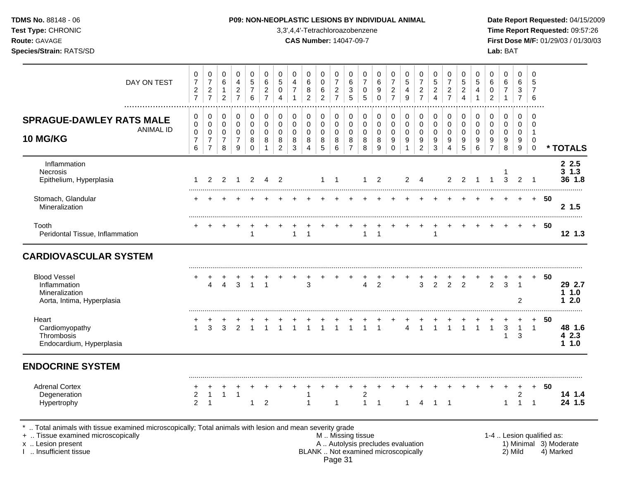| <b>TDMS No. 88148 - 06</b>     | <b>P09: NON-NEOPLASTIC LESIONS BY INDIVIDUAL ANIMAL</b> | Date Repo         |
|--------------------------------|---------------------------------------------------------|-------------------|
| <b>Test Type: CHRONIC</b>      | 3,3',4,4'-Tetrachloroazobenzene                         | Time Rep          |
| <b>Route: GAVAGE</b>           | <b>CAS Number: 14047-09-7</b>                           | <b>First Dose</b> |
| <b>Species/Strain: RATS/SD</b> |                                                         | Lab: BAT          |

**Test Type:** CHRONIC 3,3',4,4'-Tetrachloroazobenzene **Time Report Requested:** 09:57:26 **Route:** GAVAGE **CAS Number:** 14047-09-7 **First Dose M/F:** 01/29/03 / 01/30/03

| DAY ON TEST                                                                                                                                                                                   | $\pmb{0}$<br>$\overline{7}$<br>$\overline{c}$<br>$\overline{7}$ | 0<br>$\overline{7}$<br>$\boldsymbol{2}$<br>$\overline{7}$   | 0<br>$\,6\,$<br>$\mathbf{1}$<br>$\overline{2}$         | 0<br>4<br>$\overline{c}$<br>$\overline{7}$             | $\pmb{0}$<br>$\sqrt{5}$<br>$\overline{7}$<br>$6\phantom{a}$ | $\mathbf 0$<br>6<br>$\overline{c}$<br>$\overline{7}$ | $\mathbf 0$<br>$\,$ 5 $\,$<br>$\mathbf 0$<br>$\overline{4}$ | $\mathbf 0$<br>$\overline{4}$<br>$\overline{7}$ | 0<br>$6\phantom{1}6$<br>8<br>$\overline{2}$        | 0<br>0<br>$\,6\,$<br>$\overline{2}$     | $\mathbf 0$<br>$\overline{7}$<br>$\sqrt{2}$<br>$\overline{7}$ | 0<br>$\,6$<br>$\ensuremath{\mathsf{3}}$<br>5           | $\mathbf 0$<br>$\overline{7}$<br>0<br>5 | 0<br>6<br>9<br>$\mathbf 0$                | $\pmb{0}$<br>$\overline{7}$<br>$\sqrt{2}$<br>$\overline{7}$ | $\mathbf 0$<br>$\,$ 5 $\,$<br>$\overline{4}$<br>$\mathsf g$ | $\mathbf 0$<br>$\boldsymbol{7}$<br>$\sqrt{2}$<br>$\overline{7}$       | $\pmb{0}$<br>$\sqrt{5}$<br>$\overline{c}$<br>$\overline{4}$ | 0<br>$\overline{7}$<br>$\overline{a}$<br>$\overline{7}$     | $\pmb{0}$<br>$\,$ 5 $\,$<br>$\overline{2}$<br>$\overline{4}$ | $\mathbf 0$<br>5<br>4<br>1      | $\mathbf 0$<br>6<br>$\mathbf 0$<br>$\overline{2}$      | 0<br>$\,6$<br>$\boldsymbol{7}$<br>$\mathbf{1}$ | $\mathbf 0$<br>6<br>3<br>$\overline{7}$   | 0<br>5<br>$\overline{7}$<br>6                        |                           |                                     |
|-----------------------------------------------------------------------------------------------------------------------------------------------------------------------------------------------|-----------------------------------------------------------------|-------------------------------------------------------------|--------------------------------------------------------|--------------------------------------------------------|-------------------------------------------------------------|------------------------------------------------------|-------------------------------------------------------------|-------------------------------------------------|----------------------------------------------------|-----------------------------------------|---------------------------------------------------------------|--------------------------------------------------------|-----------------------------------------|-------------------------------------------|-------------------------------------------------------------|-------------------------------------------------------------|-----------------------------------------------------------------------|-------------------------------------------------------------|-------------------------------------------------------------|--------------------------------------------------------------|---------------------------------|--------------------------------------------------------|------------------------------------------------|-------------------------------------------|------------------------------------------------------|---------------------------|-------------------------------------|
| <b>SPRAGUE-DAWLEY RATS MALE</b><br><b>ANIMAL ID</b><br><b>10 MG/KG</b>                                                                                                                        | 0<br>0<br>$\pmb{0}$<br>$\overline{\mathbf{7}}$<br>6             | 0<br>0<br>$\mathbf 0$<br>$\boldsymbol{7}$<br>$\overline{7}$ | 0<br>$\mathbf 0$<br>$\mathbf 0$<br>$\overline{7}$<br>8 | 0<br>$\pmb{0}$<br>$\mathbf 0$<br>$\boldsymbol{7}$<br>9 | 0<br>$\mathsf 0$<br>$\pmb{0}$<br>8<br>$\Omega$              | 0<br>$\mathbf 0$<br>$\mathbf 0$<br>8<br>1            | 0<br>0<br>0<br>8<br>$\overline{2}$                          | 0<br>$\mathbf 0$<br>$\mathbf 0$<br>8<br>3       | 0<br>$\pmb{0}$<br>$\pmb{0}$<br>8<br>$\overline{4}$ | 0<br>$\pmb{0}$<br>$\mathsf 0$<br>8<br>5 | 0<br>$\mathbf 0$<br>0<br>8<br>6                               | 0<br>$\pmb{0}$<br>$\mathbf 0$<br>8<br>$\overline{7}$   | 0<br>$\mathbf 0$<br>0<br>8<br>8         | 0<br>$\mathbf 0$<br>$\mathbf 0$<br>8<br>9 | $\pmb{0}$<br>$\pmb{0}$<br>$\pmb{0}$<br>9<br>$\mathbf 0$     | 0<br>0<br>$\pmb{0}$<br>9<br>$\mathbf{1}$                    | 0<br>$\mathsf 0$<br>$\mathbf 0$<br>$\boldsymbol{9}$<br>$\overline{a}$ | 0<br>$\pmb{0}$<br>0<br>9<br>$\mathbf{3}$                    | 0<br>$\boldsymbol{0}$<br>$\mathbf 0$<br>9<br>$\overline{4}$ | 0<br>$\mathbf 0$<br>$\mathbf 0$<br>9<br>5                    | 0<br>0<br>$\mathbf 0$<br>9<br>6 | 0<br>$\mathbf 0$<br>$\mathbf 0$<br>9<br>$\overline{7}$ | 0<br>$\mathbf 0$<br>0<br>9<br>8                | 0<br>$\mathbf 0$<br>$\mathbf 0$<br>9<br>9 | 0<br>$\mathbf 0$<br>$\mathbf{1}$<br>0<br>$\mathbf 0$ |                           | * TOTALS                            |
| Inflammation<br><b>Necrosis</b><br>Epithelium, Hyperplasia                                                                                                                                    | 1                                                               | 2                                                           | 2                                                      | $\mathbf{1}$                                           | 2                                                           | 4                                                    | 2                                                           |                                                 |                                                    | 1                                       | $\overline{1}$                                                |                                                        | $\mathbf{1}$                            | 2                                         |                                                             | $\overline{2}$                                              | 4                                                                     |                                                             | 2                                                           | 2                                                            | -1                              | -1                                                     | 1<br>3                                         | $\overline{2}$                            | -1                                                   |                           | 2.5<br>$3 \; 1.3$<br>36 1.8         |
| Stomach, Glandular<br>Mineralization                                                                                                                                                          |                                                                 |                                                             |                                                        |                                                        |                                                             |                                                      |                                                             |                                                 |                                                    |                                         |                                                               |                                                        |                                         |                                           |                                                             |                                                             |                                                                       |                                                             |                                                             |                                                              |                                 |                                                        |                                                |                                           | $+$                                                  | 50                        | 2, 1.5                              |
| Tooth<br>Peridontal Tissue, Inflammation                                                                                                                                                      |                                                                 |                                                             |                                                        |                                                        | $\mathbf 1$                                                 |                                                      |                                                             | 1                                               | $\mathbf{1}$                                       |                                         |                                                               |                                                        | 1                                       | -1                                        |                                                             |                                                             | +                                                                     | $\overline{1}$                                              |                                                             |                                                              |                                 |                                                        |                                                |                                           | $+$                                                  | 50                        | 12 1.3                              |
| <b>CARDIOVASCULAR SYSTEM</b>                                                                                                                                                                  |                                                                 |                                                             |                                                        |                                                        |                                                             |                                                      |                                                             |                                                 |                                                    |                                         |                                                               |                                                        |                                         |                                           |                                                             |                                                             |                                                                       |                                                             |                                                             |                                                              |                                 |                                                        |                                                |                                           |                                                      |                           |                                     |
| <b>Blood Vessel</b><br>Inflammation<br>Mineralization<br>Aorta, Intima, Hyperplasia                                                                                                           |                                                                 | 4                                                           | $\overline{4}$                                         | 3                                                      | $\mathbf{1}$                                                | $\mathbf{1}$                                         |                                                             |                                                 | 3                                                  |                                         |                                                               |                                                        | 4                                       | $\overline{2}$                            |                                                             |                                                             | 3                                                                     | $\overline{2}$                                              | $\overline{2}$                                              | $\overline{2}$                                               |                                 | $\overline{2}$                                         | $\mathbf{3}$                                   | $\mathbf{1}$<br>2                         | $+$                                                  | 50                        | 29 2.7<br>1.0<br>12.0               |
| Heart<br>Cardiomyopathy<br>Thrombosis<br>Endocardium, Hyperplasia                                                                                                                             | $\overline{1}$                                                  | 3                                                           | 3                                                      | $\overline{2}$                                         | $\mathbf{1}$                                                | $\mathbf{1}$                                         | $\mathbf{1}$                                                | $\overline{1}$                                  | $\overline{1}$                                     | $\mathbf{1}$                            | $\overline{1}$                                                | $\mathbf{1}$                                           |                                         | $1 \quad 1$                               |                                                             | $\overline{4}$                                              | $\mathbf{1}$                                                          | $\mathbf{1}$                                                | $\mathbf{1}$                                                | $\mathbf{1}$                                                 | $\overline{1}$                  | $\mathbf{1}$                                           | $\sqrt{3}$<br>$\mathbf{1}$                     | $\ddot{}$<br>$\overline{1}$<br>3          | $+$<br>$\mathbf{1}$                                  | 50                        | 48 1.6<br>42.3<br>11.0              |
| <b>ENDOCRINE SYSTEM</b>                                                                                                                                                                       |                                                                 |                                                             |                                                        |                                                        |                                                             |                                                      |                                                             |                                                 |                                                    |                                         |                                                               |                                                        |                                         |                                           |                                                             |                                                             |                                                                       |                                                             |                                                             |                                                              |                                 |                                                        |                                                |                                           |                                                      |                           |                                     |
| <b>Adrenal Cortex</b><br>Degeneration<br>Hypertrophy                                                                                                                                          | 2<br>$\mathfrak{p}$                                             | 1<br>$\overline{1}$                                         | $\mathbf{1}$                                           | $\overline{1}$                                         | -1                                                          | $\overline{2}$                                       |                                                             |                                                 | 1<br>1                                             |                                         | $\mathbf{1}$                                                  |                                                        | 2<br>$\mathbf{1}$                       | $\overline{1}$                            |                                                             | 1                                                           | $\overline{4}$                                                        | $1 \quad 1$                                                 |                                                             |                                                              |                                 |                                                        | ÷<br>$\mathbf{1}$                              | 2<br>$\overline{1}$                       | $+$<br>$\overline{1}$                                | 50                        | 14 1.4<br>24 1.5                    |
| *  Total animals with tissue examined microscopically; Total animals with lesion and mean severity grade<br>+  Tissue examined microscopically<br>x  Lesion present<br>I  Insufficient tissue |                                                                 |                                                             |                                                        |                                                        |                                                             |                                                      |                                                             |                                                 |                                                    |                                         |                                                               | M  Missing tissue<br>A  Autolysis precludes evaluation |                                         | BLANK  Not examined microscopically       |                                                             |                                                             |                                                                       |                                                             |                                                             |                                                              |                                 |                                                        |                                                | 2) Mild                                   |                                                      | 1-4  Lesion qualified as: | 1) Minimal 3) Moderate<br>4) Marked |

Page 31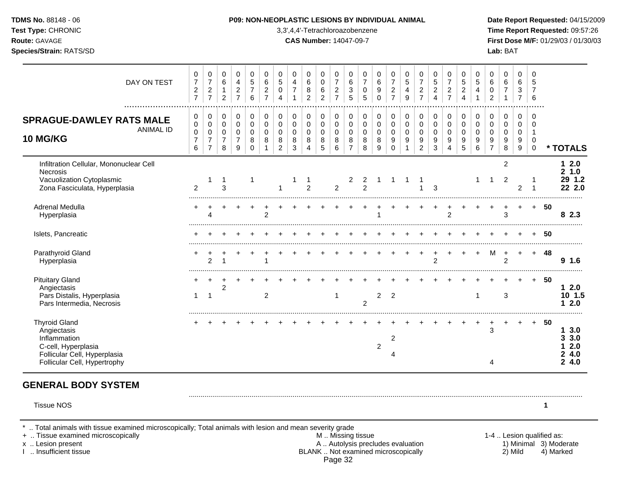**Test Type:** CHRONIC 3,3',4,4'-Tetrachloroazobenzene **Time Report Requested:** 09:57:26 **Route:** GAVAGE **CAS Number:** 14047-09-7 **First Dose M/F:** 01/29/03 / 01/30/03

| DAY ON TEST                                                                                                                                | 0<br>$\overline{7}$<br>$\boldsymbol{2}$<br>$\overline{7}$ | $\mathbf 0$<br>$\overline{7}$<br>$\overline{2}$<br>$\overline{7}$           | 0<br>$\,6\,$<br>$\mathbf{1}$<br>$\overline{c}$       | 0<br>$\overline{4}$<br>$\sqrt{2}$<br>$\overline{7}$    | 0<br>5<br>$\overline{7}$<br>6                 | 0<br>$\,6\,$<br>$\overline{c}$<br>$\overline{7}$ | 0<br>$\sqrt{5}$<br>$\mathbf 0$<br>$\Delta$ | $\pmb{0}$<br>$\overline{4}$<br>$\overline{7}$   | 0<br>$\,6\,$<br>8<br>$\overline{2}$          | 0<br>$\mathbf 0$<br>$\,6\,$<br>$\overline{2}$ | 0<br>$\overline{7}$<br>$\overline{2}$<br>$\overline{7}$ | 0<br>$\,6$<br>$\mathbf{3}$<br>5                        | 0<br>$\overline{7}$<br>$\mathbf 0$<br>5   | 0<br>6<br>$9\,$<br>$\Omega$               | 0<br>$\overline{7}$<br>$\boldsymbol{2}$<br>$\overline{7}$           | $\pmb{0}$<br>$\,$ 5 $\,$<br>4<br>9                                        | 0<br>$\overline{7}$<br>$\frac{2}{7}$                                  | 0<br>$\sqrt{5}$<br>$\boldsymbol{2}$<br>$\overline{4}$  | 0<br>$\overline{7}$<br>$\overline{c}$<br>$\overline{7}$ | 0<br>$\sqrt{5}$<br>$\boldsymbol{2}$<br>$\overline{4}$ | 0<br>$\overline{5}$<br>$\overline{4}$                 | 0<br>6<br>0<br>$\overline{2}$             | 0<br>$\,6\,$<br>$\overline{7}$<br>$\overline{1}$ | 0<br>6<br>3<br>$\overline{7}$                    | $\Omega$<br>5<br>6                       |     |                                                     |
|--------------------------------------------------------------------------------------------------------------------------------------------|-----------------------------------------------------------|-----------------------------------------------------------------------------|------------------------------------------------------|--------------------------------------------------------|-----------------------------------------------|--------------------------------------------------|--------------------------------------------|-------------------------------------------------|----------------------------------------------|-----------------------------------------------|---------------------------------------------------------|--------------------------------------------------------|-------------------------------------------|-------------------------------------------|---------------------------------------------------------------------|---------------------------------------------------------------------------|-----------------------------------------------------------------------|--------------------------------------------------------|---------------------------------------------------------|-------------------------------------------------------|-------------------------------------------------------|-------------------------------------------|--------------------------------------------------|--------------------------------------------------|------------------------------------------|-----|-----------------------------------------------------|
| <b>SPRAGUE-DAWLEY RATS MALE</b><br><b>ANIMAL ID</b><br><b>10 MG/KG</b>                                                                     | 0<br>$\mathbf 0$<br>$\mathbf 0$<br>$\overline{7}$<br>6    | 0<br>$\mathbf 0$<br>$\mathsf{O}\xspace$<br>$\overline{7}$<br>$\overline{7}$ | 0<br>$\pmb{0}$<br>$\mathbf 0$<br>$\overline{7}$<br>8 | 0<br>$\mathbf 0$<br>$\mathbf 0$<br>$\overline{7}$<br>9 | 0<br>$\mathbf 0$<br>$\Omega$<br>8<br>$\Omega$ | 0<br>$\pmb{0}$<br>$\Omega$<br>8                  | 0<br>$\mathbf 0$<br>$\Omega$<br>8<br>2     | $\pmb{0}$<br>$\pmb{0}$<br>$\mathbf 0$<br>8<br>3 | 0<br>0<br>$\mathbf 0$<br>8<br>$\overline{4}$ | 0<br>$\mathsf 0$<br>$\mathbf 0$<br>8<br>5     | 0<br>$\mathbf 0$<br>$\mathsf{O}\xspace$<br>8<br>6       | 0<br>$\mathbf 0$<br>$\mathbf 0$<br>8<br>$\overline{7}$ | 0<br>$\mathbf 0$<br>$\mathbf 0$<br>8<br>8 | 0<br>$\mathbf 0$<br>$\mathbf 0$<br>8<br>9 | $\pmb{0}$<br>$\pmb{0}$<br>$\pmb{0}$<br>$\boldsymbol{9}$<br>$\Omega$ | 0<br>$\mathsf{O}\xspace$<br>$\pmb{0}$<br>$\boldsymbol{9}$<br>$\mathbf{1}$ | 0<br>$\mathbf 0$<br>$\mathbf 0$<br>$\boldsymbol{9}$<br>$\overline{2}$ | 0<br>$\pmb{0}$<br>$\mathbf 0$<br>$\boldsymbol{9}$<br>3 | 0<br>$\mathsf{O}\xspace$<br>$\Omega$<br>9<br>4          | 0<br>0<br>$\Omega$<br>9<br>5                          | 0<br>$\mathbf 0$<br>$\Omega$<br>$\boldsymbol{9}$<br>6 | 0<br>0<br>$\Omega$<br>9<br>$\overline{7}$ | 0<br>$\mathbf 0$<br>$\mathbf 0$<br>$9\,$<br>8    | $\Omega$<br>$\mathbf 0$<br>$\mathbf 0$<br>9<br>9 | $\Omega$<br>$\Omega$<br>0<br>$\mathbf 0$ |     | * TOTALS                                            |
| Infiltration Cellular, Mononuclear Cell<br><b>Necrosis</b><br>Vacuolization Cytoplasmic<br>Zona Fasciculata, Hyperplasia                   | $\overline{2}$                                            |                                                                             | 1<br>3                                               |                                                        | 1                                             |                                                  |                                            |                                                 | 1<br>$\overline{2}$                          |                                               | $\overline{2}$                                          | 2                                                      | $\frac{2}{2}$                             | 1                                         | -1                                                                  |                                                                           |                                                                       | 3                                                      |                                                         |                                                       | 1                                                     | $\mathbf{1}$                              | $\overline{2}$<br>$\overline{2}$                 | 2                                                |                                          |     | 2.0<br>1<br>$\mathbf{2}$<br>1.0<br>29 1.2<br>22 2.0 |
| Adrenal Medulla<br>Hyperplasia                                                                                                             |                                                           | Λ                                                                           |                                                      |                                                        |                                               | $\overline{2}$                                   |                                            |                                                 |                                              |                                               |                                                         |                                                        |                                           |                                           |                                                                     |                                                                           |                                                                       |                                                        | $\overline{2}$                                          |                                                       |                                                       |                                           | 3                                                |                                                  | $\pm$                                    | 50  | 8 2.3                                               |
| Islets, Pancreatic                                                                                                                         |                                                           |                                                                             |                                                      |                                                        |                                               |                                                  |                                            |                                                 |                                              |                                               |                                                         |                                                        |                                           |                                           |                                                                     |                                                                           |                                                                       |                                                        |                                                         |                                                       |                                                       |                                           |                                                  |                                                  |                                          | 50  |                                                     |
| Parathyroid Gland<br>Hyperplasia                                                                                                           | $\div$                                                    | $\overline{2}$                                                              |                                                      |                                                        |                                               |                                                  |                                            |                                                 |                                              |                                               |                                                         |                                                        |                                           |                                           |                                                                     |                                                                           | $\ddot{}$                                                             | $\overline{2}$                                         |                                                         |                                                       | $+$                                                   | M                                         | $+$<br>$\overline{2}$                            | $+$                                              | $+$                                      | -48 | 9 1.6                                               |
| <b>Pituitary Gland</b><br>Angiectasis<br>Pars Distalis, Hyperplasia<br>Pars Intermedia, Necrosis                                           | 1                                                         | $\overline{1}$                                                              | $\overline{2}$                                       |                                                        |                                               | $\overline{c}$                                   |                                            |                                                 |                                              |                                               | -1                                                      |                                                        | $\overline{2}$                            | $\overline{2}$                            | $\overline{2}$                                                      |                                                                           |                                                                       |                                                        |                                                         |                                                       | 1                                                     |                                           | $\mathbf{3}$                                     |                                                  |                                          | 50  | 12.0<br>10 1.5<br>2.0<br>1                          |
| <b>Thyroid Gland</b><br>Angiectasis<br>Inflammation<br>C-cell, Hyperplasia<br>Follicular Cell, Hyperplasia<br>Follicular Cell, Hypertrophy |                                                           |                                                                             |                                                      |                                                        |                                               |                                                  |                                            |                                                 |                                              |                                               |                                                         |                                                        |                                           | $\overline{2}$                            | $\overline{2}$                                                      |                                                                           |                                                                       |                                                        |                                                         |                                                       |                                                       | 3                                         |                                                  |                                                  |                                          | 50  | 3.0<br>3.0<br>2.0<br>4.0<br>4.0<br>2                |

# **GENERAL BODY SYSTEM**

Tissue NOS **1**

\* .. Total animals with tissue examined microscopically; Total animals with lesion and mean severity grade<br>+ .. Tissue examined microscopically

+ .. Tissue examined microscopically  $M$ .. Missing tissue 1-4 .. Lesion qualified as: x .. Lesion present **A .. Autolysis precludes evaluation** A .. Autolysis precludes evaluation 1) Minimal 3) Moderate I .. Insufficient tissue BLANK .. Not examined microscopically 2) Mild 4) Marked Page 32

.........................................................................................................................................................................................................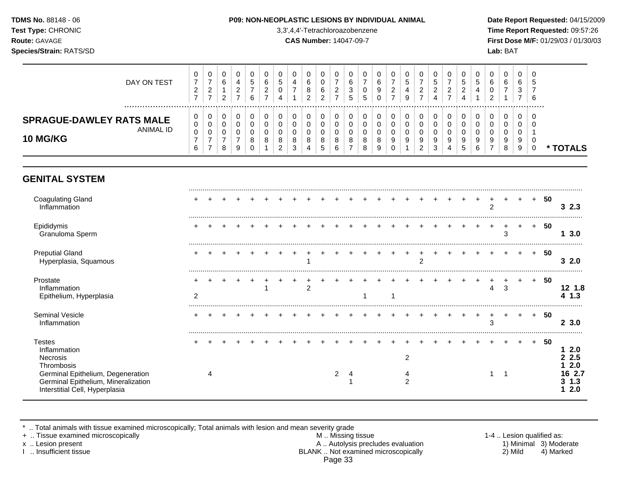### **TDMS No.** 88148 - 06 **P09: NON-NEOPLASTIC LESIONS BY INDIVIDUAL ANIMAL Date Report Requested:** 04/15/2009

**Test Type:** CHRONIC 3,3',4,4'-Tetrachloroazobenzene **Time Report Requested:** 09:57:26 **Route:** GAVAGE **CAS Number:** 14047-09-7 **First Dose M/F:** 01/29/03 / 01/30/03

| DAY ON TEST                                                     | 0<br>-<br>ົ           | $\mathbf{0}$<br>ົ<br>_<br>$\rightarrow$ | O<br>6<br>റ<br><u>_</u> | 4 | υ<br>N<br>6 | 0<br>6<br>_<br>- | u<br>IJ<br>u                 | u                                  | 6<br>8<br>റ<br>$\epsilon$ | υ<br>U<br>6<br>ົ<br><u>_</u>          | _      | U<br>6<br>3<br>đ | 0<br>υ<br>G                | U<br>^<br>◡<br>9 | U<br>-<br>ົ<br><u>_</u><br>$\overline{ }$ | 4<br>O | v<br>ົ<br><u>.</u>         | J<br>ົ      | 0<br>ົ<br>_           | U<br>≎<br>ົ<br>4 | نٽ | 0<br>6<br>0<br>ົ<br>∼ | v<br>6 | υ<br>6<br>ີ<br>J | - 0<br>ಎ<br>6      |               |
|-----------------------------------------------------------------|-----------------------|-----------------------------------------|-------------------------|---|-------------|------------------|------------------------------|------------------------------------|---------------------------|---------------------------------------|--------|------------------|----------------------------|------------------|-------------------------------------------|--------|----------------------------|-------------|-----------------------|------------------|----|-----------------------|--------|------------------|--------------------|---------------|
| <b>SPRAGUE-DAWLEY RATS MALE</b><br>ANIMAL ID<br><b>10 MG/KG</b> | 0<br>0<br>0<br>-<br>6 | 0<br>0<br>0<br>-                        | U<br>$\circ$            | ō | O<br>U      | 0<br>8           | u<br>u<br>8<br>◠<br><u>L</u> | U<br>u<br>8<br>$\overline{ }$<br>€ | $\circ$<br>$\circ$<br>4   | U<br>u<br>υ<br>O<br>o<br><sub>5</sub> | 8<br>O | 0<br>U<br>8      | 0<br>∩<br>C<br>υ<br>8<br>8 | U<br>o<br>9      | 0<br>9                                    | Q      | υ<br>v<br>9<br>ົ<br>$\sim$ | 9<br>0<br>J | 0<br>0<br>0<br>9<br>4 | 0<br>U<br>9<br>G |    | 0<br>0<br>0<br>9<br>- | 9<br>8 | 0<br>U<br>9<br>9 | 0<br>0<br>- 0<br>◡ | <b>FOTALS</b> |

# **GENITAL SYSTEM**

| <b>Coagulating Gland</b><br>Inflammation                                                                   |  |  |  |  |  |   |   |  |   |   |  |  | $\mathfrak{p}$ |   |        | 50 | 32.3                 |
|------------------------------------------------------------------------------------------------------------|--|--|--|--|--|---|---|--|---|---|--|--|----------------|---|--------|----|----------------------|
| Epididymis<br>Granuloma Sperm                                                                              |  |  |  |  |  |   |   |  |   |   |  |  |                | З |        | 50 | 3.0                  |
| <b>Preputial Gland</b><br>Hyperplasia, Squamous                                                            |  |  |  |  |  |   |   |  |   | 2 |  |  |                |   | $\div$ | 50 | 3<br>2.0             |
| Prostate<br>Inflammation<br>Epithelium, Hyperplasia                                                        |  |  |  |  |  |   |   |  |   |   |  |  |                |   |        | 50 | 12 1.8<br>1.3        |
| Seminal Vesicle<br>Inflammation                                                                            |  |  |  |  |  |   |   |  |   |   |  |  | 3              |   | $\pm$  | 50 | 2 3.0                |
| <b>Testes</b><br>Inflammation<br>Necrosis<br>Thrombosis                                                    |  |  |  |  |  |   |   |  | 2 |   |  |  |                |   |        | 50 | 2.0<br>2.5<br>2.0    |
| Germinal Epithelium, Degeneration<br>Germinal Epithelium, Mineralization<br>Interstitial Cell, Hyperplasia |  |  |  |  |  | 2 | 4 |  | 2 |   |  |  |                |   |        |    | 16 2.7<br>1.3<br>2.0 |

\* .. Total animals with tissue examined microscopically; Total animals with lesion and mean severity grade

+ .. Tissue examined microscopically M .. Missing tissue 1-4 .. Lesion qualified as: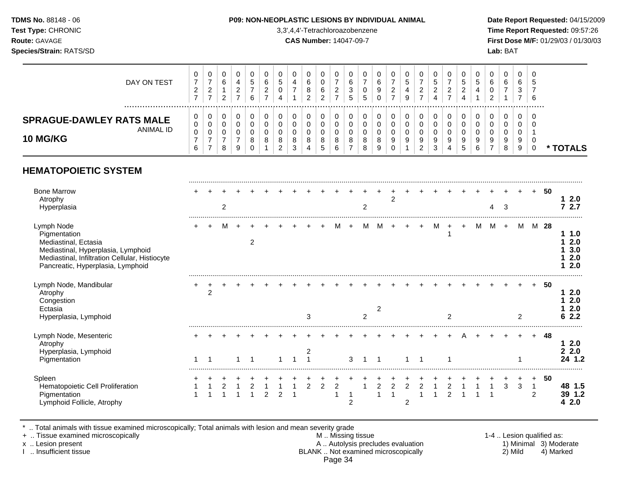### **TDMS No.** 88148 - 06 **P09: NON-NEOPLASTIC LESIONS BY INDIVIDUAL ANIMAL Date Report Requested:** 04/15/2009

**Test Type:** CHRONIC 3,3',4,4'-Tetrachloroazobenzene **Time Report Requested:** 09:57:26 **Route:** GAVAGE **CAS Number:** 14047-09-7 **First Dose M/F:** 01/29/03 / 01/30/03

| DAY ON TEST                                                     | 0<br>7<br>$\overline{2}$<br>$\overline{\phantom{a}}$ | 0<br>$\sim$<br>▵<br>⇁ | 0<br>6<br>2 | 0<br>4<br>$\overline{c}$<br>$\overline{\phantom{a}}$ | 0<br><sub>5</sub><br>$\overline{ }$<br>6 | b<br>◠<br>∠<br>$\overline{ }$ | 0<br>5<br>0<br>4 | υ<br>4<br>- | 6<br>8<br>$\mathcal{P}$ | 0<br>0<br>6<br>2      | 0<br>⇁<br>ົ<br>∠<br>⇁ | 6<br>3<br>5 | 0<br>0<br>5           | 6<br>9       | 0<br>-<br>2<br>$\overline{ }$ | 0<br>5<br>4<br>9 | $\sim$<br>∠<br>$\overline{\phantom{a}}$ | 0<br>5<br>◠<br>∠<br>4 | 0<br>-<br>C<br>∠<br>$\overline{ }$ | G<br>◠<br>∠ | 0<br>5                | 6<br>$\sim$ | 0<br>6<br>-      | 0<br>6<br>3<br>⇁ | G<br>6   |    |             |
|-----------------------------------------------------------------|------------------------------------------------------|-----------------------|-------------|------------------------------------------------------|------------------------------------------|-------------------------------|------------------|-------------|-------------------------|-----------------------|-----------------------|-------------|-----------------------|--------------|-------------------------------|------------------|-----------------------------------------|-----------------------|------------------------------------|-------------|-----------------------|-------------|------------------|------------------|----------|----|-------------|
| <b>SPRAGUE-DAWLEY RATS MALE</b><br>ANIMAL ID<br><b>10 MG/KG</b> | 0<br>0<br>0<br>⇁<br>6                                | 0<br>0<br>0<br>–      | 0<br>0<br>8 | 0<br>0<br>U<br>⇁<br>9                                | 0<br>0<br>0<br>8                         | 0<br>8                        | 8<br>ີ<br>ے      | 8<br>3      | 8<br>4                  | 0<br>0<br>0<br>8<br>5 | 8<br>⌒<br>b           | 8           | 0<br>0<br>0<br>8<br>8 | $\circ$<br>9 | 0<br>0<br>0<br>9<br>0         | 0<br>0<br>0<br>9 | 9<br>$\Omega$                           | 0<br>0<br>9<br>3      | 0<br>0<br>9<br>4                   | 9<br>5      | 0<br>0<br>0<br>9<br>6 | 0<br>0<br>9 | 0<br>U<br>9<br>8 | 9<br>9           | $\Omega$ |    | * TOTALS    |
| <b>HEMATOPOIETIC SYSTEM</b>                                     |                                                      |                       |             |                                                      |                                          |                               |                  |             |                         |                       |                       |             |                       |              |                               |                  |                                         |                       |                                    |             |                       |             |                  |                  |          |    |             |
| <b>Bone Marrow</b><br>Atrophy<br>Hyperplasia                    | $\pm$                                                |                       | っ           |                                                      |                                          |                               |                  |             |                         |                       |                       |             | 2                     |              |                               |                  |                                         |                       |                                    |             |                       | 4           | ÷.<br>3          | $+$              | $+$      | 50 | 2.0<br>-2.7 |

| <b>Bone Marrow</b><br>Atrophy<br>Hyperplasia                                                                                                                                    |   |  |               |  |   |   |   |   | 2 |                |  |  |  |   |   |                          | 50   | 12.0<br>72.7                    |
|---------------------------------------------------------------------------------------------------------------------------------------------------------------------------------|---|--|---------------|--|---|---|---|---|---|----------------|--|--|--|---|---|--------------------------|------|---------------------------------|
| Lymph Node<br>Pigmentation<br>Mediastinal, Ectasia<br>Mediastinal, Hyperplasia, Lymphoid<br>Mediastinal, Infiltration Cellular, Histiocyte<br>Pancreatic, Hyperplasia, Lymphoid |   |  | $\mathcal{P}$ |  |   | M |   |   |   |                |  |  |  |   | M |                          | M 28 | 1.0<br>2.0<br>3.0<br>2.0<br>2.0 |
| Lymph Node, Mandibular<br>Atrophy<br>Congestion<br>Ectasia<br>Hyperplasia, Lymphoid                                                                                             | 2 |  |               |  | 3 |   |   | 2 |   |                |  |  |  |   |   |                          | 50   | 2.0<br>2.0<br>2.0<br>2.2        |
| Lymph Node, Mesenteric<br>Atrophy<br>Hyperplasia, Lymphoid<br>Pigmentation                                                                                                      |   |  |               |  | ◠ |   | 3 |   |   |                |  |  |  |   |   |                          | 48   | 2.0<br>$22.0$<br>24 1.2         |
| Spleen<br>Hematopoietic Cell Proliferation<br>Pigmentation<br>Lymphoid Follicle, Atrophy                                                                                        |   |  |               |  |   |   | 2 |   |   | $\overline{2}$ |  |  |  | 3 | 3 | +<br>1<br>$\overline{2}$ | 50   | 48 1.5<br>$1.2$<br>39<br>2.0    |

\* .. Total animals with tissue examined microscopically; Total animals with lesion and mean severity grade

+ .. Tissue examined microscopically M .. Missing tissue 1-4 .. Lesion qualified as: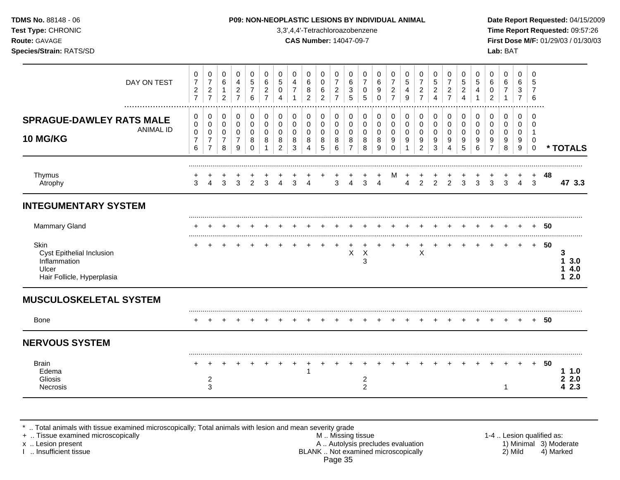### **TDMS No.** 88148 - 06 **P09: NON-NEOPLASTIC LESIONS BY INDIVIDUAL ANIMAL Date Report Requested:** 04/15/2009

**Test Type:** CHRONIC 3,3',4,4'-Tetrachloroazobenzene **Time Report Requested:** 09:57:26 **Route:** GAVAGE **CAS Number:** 14047-09-7 **First Dose M/F:** 01/29/03 / 01/30/03

| DAY ON TEST                                                                                     | 0<br>$\overline{7}$<br>$\overline{c}$<br>$\overline{7}$ | 0<br>$\overline{7}$<br>$\overline{2}$<br>$\overline{7}$ | 0<br>$\,6\,$<br>$\mathbf{1}$<br>$\overline{2}$ | 0<br>4<br>$\overline{2}$<br>$\overline{7}$ | 0<br>$\sqrt{5}$<br>$\overline{7}$<br>6 | 0<br>6<br>$\overline{2}$<br>$\overline{7}$ | 0<br>5<br>0<br>4      | 0<br>4<br>7           | 0<br>6<br>8<br>$\overline{c}$ | 0<br>0<br>6<br>$\overline{2}$ | 0<br>$\overline{7}$<br>$\overline{c}$<br>$\overline{7}$ | 0<br>6<br>$\sqrt{3}$<br>$\sqrt{5}$ | 0<br>0<br>5                      | 0<br>6<br>9<br>0      | 0<br>$\overline{7}$<br>$\overline{c}$<br>$\overline{7}$ | 0<br>5<br>4<br>9                 | 0<br>$\overline{7}$<br>$\overline{c}$<br>$\overline{7}$ | 0<br>$\sqrt{5}$<br>$\overline{2}$<br>$\overline{4}$ | 0<br>7<br>2<br>$\overline{7}$ | 0<br>5<br>$\overline{2}$<br>4 | 0<br>5<br>4           | 0<br>6<br>0<br>$\overline{2}$ | 0<br>6<br>$\overline{7}$         | 0<br>6<br>3<br>$\overline{7}$ | 0<br>5<br>7<br>6                  |    |                             |
|-------------------------------------------------------------------------------------------------|---------------------------------------------------------|---------------------------------------------------------|------------------------------------------------|--------------------------------------------|----------------------------------------|--------------------------------------------|-----------------------|-----------------------|-------------------------------|-------------------------------|---------------------------------------------------------|------------------------------------|----------------------------------|-----------------------|---------------------------------------------------------|----------------------------------|---------------------------------------------------------|-----------------------------------------------------|-------------------------------|-------------------------------|-----------------------|-------------------------------|----------------------------------|-------------------------------|-----------------------------------|----|-----------------------------|
| <b>SPRAGUE-DAWLEY RATS MALE</b><br><b>ANIMAL ID</b><br>10 MG/KG                                 | 0<br>0<br>0<br>$\overline{7}$<br>6                      | 0<br>0<br>0<br>$\overline{7}$<br>$\overline{7}$         | 0<br>0<br>0<br>$\overline{7}$<br>8             | 0<br>0<br>0<br>$\overline{7}$<br>9         | 0<br>0<br>0<br>8<br>0                  | 0<br>0<br>0<br>8                           | 0<br>0<br>0<br>8<br>2 | 0<br>0<br>0<br>8<br>3 | 0<br>0<br>0<br>8<br>4         | 0<br>0<br>0<br>8<br>5         | 0<br>0<br>0<br>8<br>6                                   | 0<br>0<br>0<br>8<br>$\overline{7}$ | 0<br>0<br>0<br>8<br>8            | 0<br>0<br>0<br>8<br>9 | 0<br>0<br>0<br>9<br>$\Omega$                            | 0<br>0<br>0<br>9<br>$\mathbf{1}$ | 0<br>0<br>0<br>9<br>$\overline{2}$                      | 0<br>0<br>0<br>9<br>3                               | 0<br>0<br>0<br>9<br>4         | 0<br>0<br>0<br>9<br>5         | 0<br>0<br>0<br>9<br>6 | 0<br>0<br>0<br>9<br>7         | 0<br>$\mathbf{0}$<br>0<br>9<br>8 | 0<br>0<br>0<br>9<br>9         | 0<br>$\Omega$<br>0<br>$\mathbf 0$ |    | * TOTALS                    |
| Thymus<br>Atrophy                                                                               | 3                                                       | $\Delta$                                                | $\mathcal{R}$                                  | $\mathcal{R}$                              | $\mathcal{P}$                          | $\mathcal{R}$                              | $\Delta$              | $\mathcal{R}$         | $\boldsymbol{\Lambda}$        |                               | 3                                                       | $\Delta$                           | 3                                | $\overline{A}$        | M                                                       | $\overline{4}$                   | $\overline{2}$                                          | $\mathcal{P}$                                       | $\mathfrak{D}$                | $\mathcal{R}$                 | 3                     | 3                             | 3                                | $\overline{4}$                | $\mathbf{3}$                      | 48 | 47 3.3                      |
| <b>INTEGUMENTARY SYSTEM</b>                                                                     |                                                         |                                                         |                                                |                                            |                                        |                                            |                       |                       |                               |                               |                                                         |                                    |                                  |                       |                                                         |                                  |                                                         |                                                     |                               |                               |                       |                               |                                  |                               |                                   |    |                             |
| <b>Mammary Gland</b>                                                                            |                                                         |                                                         |                                                |                                            |                                        |                                            |                       |                       |                               |                               |                                                         |                                    |                                  |                       |                                                         |                                  |                                                         |                                                     |                               |                               |                       |                               |                                  |                               |                                   | 50 |                             |
| Skin<br><b>Cyst Epithelial Inclusion</b><br>Inflammation<br>Ulcer<br>Hair Follicle, Hyperplasia |                                                         |                                                         |                                                |                                            |                                        |                                            |                       |                       |                               |                               |                                                         | X                                  | Χ<br>3                           |                       |                                                         |                                  | X                                                       |                                                     |                               |                               |                       |                               |                                  |                               | $\ddot{}$                         | 50 | З<br>3.0<br>4.0<br>2.0<br>1 |
| <b>MUSCULOSKELETAL SYSTEM</b>                                                                   |                                                         |                                                         |                                                |                                            |                                        |                                            |                       |                       |                               |                               |                                                         |                                    |                                  |                       |                                                         |                                  |                                                         |                                                     |                               |                               |                       |                               |                                  |                               |                                   |    |                             |
| <b>Bone</b>                                                                                     |                                                         |                                                         |                                                |                                            |                                        |                                            |                       |                       |                               |                               |                                                         |                                    |                                  |                       |                                                         |                                  |                                                         |                                                     |                               |                               |                       |                               |                                  |                               | $+$                               | 50 |                             |
| <b>NERVOUS SYSTEM</b>                                                                           |                                                         |                                                         |                                                |                                            |                                        |                                            |                       |                       |                               |                               |                                                         |                                    |                                  |                       |                                                         |                                  |                                                         |                                                     |                               |                               |                       |                               |                                  |                               |                                   |    |                             |
| <b>Brain</b><br>Edema<br>Gliosis<br>Necrosis                                                    |                                                         | 2<br>3                                                  |                                                |                                            |                                        |                                            |                       |                       |                               |                               |                                                         |                                    | $\overline{c}$<br>$\overline{2}$ |                       |                                                         |                                  |                                                         |                                                     |                               |                               |                       |                               |                                  |                               | $\div$                            | 50 | 11.0<br>22.0<br>2.3<br>4    |

\* .. Total animals with tissue examined microscopically; Total animals with lesion and mean severity grade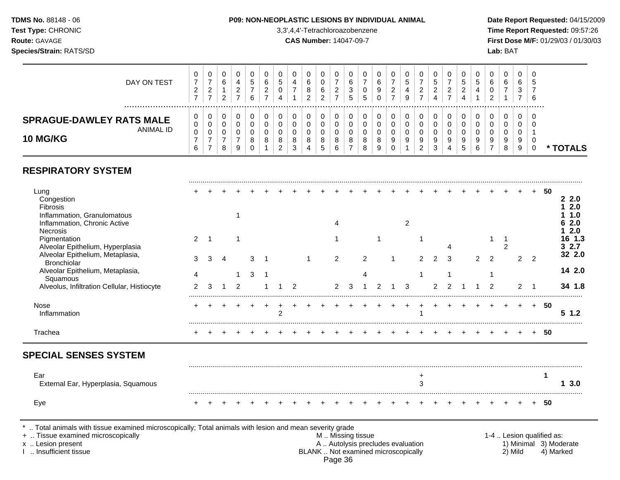### **TDMS No.** 88148 - 06 **P09: NON-NEOPLASTIC LESIONS BY INDIVIDUAL ANIMAL Date Report Requested:** 04/15/2009

.........................................................................................................................................................................................................

**Test Type:** CHRONIC 3,3',4,4'-Tetrachloroazobenzene **Time Report Requested:** 09:57:26 **Route:** GAVAGE **CAS Number:** 14047-09-7 **First Dose M/F:** 01/29/03 / 01/30/03

#### DAY ON TEST  $\overline{7}$   $\overline{2}$   $\overline{7}$   $\overline{7}$  ................................................................................................................................................................. **SPRAGUE-DAWLEY RATS MALE** ANIMAL ID **10 MG/KG \* TOTALS**

# **RESPIRATORY SYSTEM**

| Lung<br>Congestion<br><b>Fibrosis</b><br>Inflammation, Granulomatous<br>Inflammation, Chronic Active                                                                                    |                |   |  |   |                |  | 4 |                  |   |                                                                          | $\overline{2}$ |   |  |   |   |               |         |   | -50                       | 22.0<br>2.0<br>1.0<br>2.0           |
|-----------------------------------------------------------------------------------------------------------------------------------------------------------------------------------------|----------------|---|--|---|----------------|--|---|------------------|---|--------------------------------------------------------------------------|----------------|---|--|---|---|---------------|---------|---|---------------------------|-------------------------------------|
| <b>Necrosis</b><br>Pigmentation                                                                                                                                                         | $\overline{2}$ |   |  |   |                |  |   |                  |   |                                                                          |                |   |  |   |   | $\mathcal{P}$ |         |   |                           | 2.0<br>16 1.3                       |
| Alveolar Epithelium, Hyperplasia<br>Alveolar Epithelium, Metaplasia,<br><b>Bronchiolar</b>                                                                                              | 3              | З |  | 3 |                |  | 2 |                  | 2 |                                                                          |                | 2 |  | 2 | 2 |               | 2       | 2 |                           | 32.7<br>32 2.0                      |
| Alveolar Epithelium, Metaplasia,<br>Squamous                                                                                                                                            |                |   |  | 3 |                |  |   |                  | Δ |                                                                          |                |   |  |   |   |               |         |   |                           | 14 2.0                              |
| Alveolus, Infiltration Cellular, Histiocyte                                                                                                                                             |                |   |  |   |                |  | 2 |                  |   |                                                                          |                |   |  |   |   |               | າ       |   |                           | 34 1.8                              |
| Nose<br>Inflammation                                                                                                                                                                    |                |   |  |   | $\mathfrak{p}$ |  |   |                  |   |                                                                          |                |   |  |   |   |               |         |   | -50                       | 51.2                                |
| Trachea                                                                                                                                                                                 |                |   |  |   |                |  |   |                  |   |                                                                          |                |   |  |   |   |               |         |   | 50                        |                                     |
| <b>SPECIAL SENSES SYSTEM</b>                                                                                                                                                            |                |   |  |   |                |  |   |                  |   |                                                                          |                |   |  |   |   |               |         |   |                           |                                     |
| Ear<br>External Ear, Hyperplasia, Squamous                                                                                                                                              |                |   |  |   |                |  |   |                  |   |                                                                          |                | 3 |  |   |   |               |         |   |                           | 13.0                                |
| Eye                                                                                                                                                                                     |                |   |  |   |                |  |   |                  |   |                                                                          |                |   |  |   |   |               |         |   | -50                       |                                     |
| Total animals with tissue examined microscopically; Total animals with lesion and mean severity grade<br>+  Tissue examined microscopically<br>x  Lesion present<br>Insufficient tissue |                |   |  |   |                |  |   | M Missing tissue |   | A  Autolysis precludes evaluation<br>BLANK  Not examined microscopically |                |   |  |   |   |               | 2) Mild |   | 1-4  Lesion qualified as: | 1) Minimal 3) Moderate<br>4) Marked |

Page 36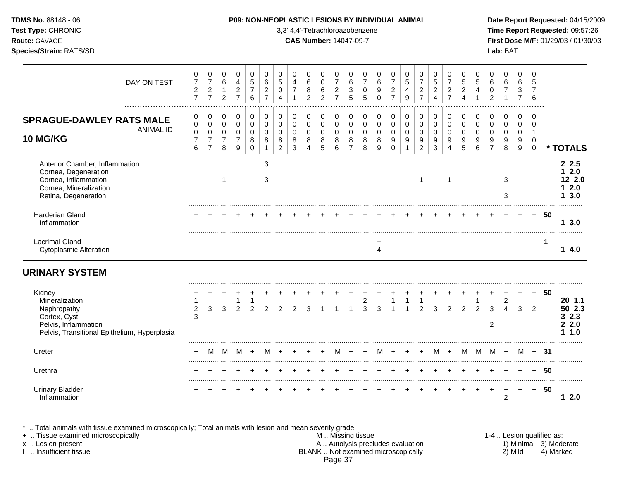| Test Type: CHRONIC<br>Route: GAVAGE<br>Species/Strain: RATS/SD                                                                   |                                                            |                                                                                 |                                                        |                                                                            |                                                             |                                                                |                                                                 |                                                                 | 3,3',4,4'-Tetrachloroazobenzene<br><b>CAS Number: 14047-09-7</b> |                                                 |                                                                     |                                                                      |                                                              |                                                                 |                                                         |                                                           |                                                                  |                                                                |                                                                  |                                                           |                                                                |                                                                       | Lab: BAT                                                |                                                    |                                                                         |        | Time Report Requested: 09:57:26<br>First Dose M/F: 01/29/03 / 01/30/03 |
|----------------------------------------------------------------------------------------------------------------------------------|------------------------------------------------------------|---------------------------------------------------------------------------------|--------------------------------------------------------|----------------------------------------------------------------------------|-------------------------------------------------------------|----------------------------------------------------------------|-----------------------------------------------------------------|-----------------------------------------------------------------|------------------------------------------------------------------|-------------------------------------------------|---------------------------------------------------------------------|----------------------------------------------------------------------|--------------------------------------------------------------|-----------------------------------------------------------------|---------------------------------------------------------|-----------------------------------------------------------|------------------------------------------------------------------|----------------------------------------------------------------|------------------------------------------------------------------|-----------------------------------------------------------|----------------------------------------------------------------|-----------------------------------------------------------------------|---------------------------------------------------------|----------------------------------------------------|-------------------------------------------------------------------------|--------|------------------------------------------------------------------------|
| DAY ON TEST<br>.                                                                                                                 | 0<br>$\overline{7}$<br>$\boldsymbol{2}$<br>$\overline{7}$  | $\boldsymbol{0}$<br>$\overline{7}$<br>$\frac{2}{7}$                             | 0<br>$6\phantom{a}$<br>$\mathbf{1}$<br>$\overline{2}$  | $\pmb{0}$<br>$\overline{\mathbf{4}}$<br>$\boldsymbol{2}$<br>$\overline{7}$ | $\mathbf 0$<br>$\,$ 5 $\,$<br>$\overline{7}$<br>$\,6$       | $\mathbf 0$<br>$\,6$<br>$\sqrt{2}$<br>$\overline{7}$           | $\pmb{0}$<br>$\sqrt{5}$<br>$\pmb{0}$<br>$\overline{\mathbf{4}}$ | $\mathbf 0$<br>$\overline{4}$<br>$\overline{7}$<br>$\mathbf{1}$ | 0<br>6<br>8<br>$\overline{2}$                                    | 0<br>$\mathbf 0$<br>$\,6\,$<br>$\overline{2}$   | $\mathbf 0$<br>$\overline{7}$<br>$\mathbf 2$<br>$\overline{7}$      | 0<br>$\,6\,$<br>$\ensuremath{\mathsf{3}}$<br>$\sqrt{5}$              | $\pmb{0}$<br>$\overline{7}$<br>$\mathbf 0$<br>$\overline{5}$ | $\mathbf 0$<br>$6\phantom{1}6$<br>$\boldsymbol{9}$<br>$\pmb{0}$ | 0<br>$\overline{7}$<br>$\overline{2}$<br>$\overline{7}$ | 0<br>$\sqrt{5}$<br>$\overline{4}$<br>$\boldsymbol{9}$     | 0<br>$\overline{7}$<br>$\sqrt{2}$<br>$\overline{7}$              | $\mathbf 0$<br>$\sqrt{5}$<br>$\frac{2}{4}$                     | 0<br>$\boldsymbol{7}$<br>$\overline{2}$<br>$\overline{7}$        | $\mathbf 0$<br>$\sqrt{5}$<br>$\sqrt{2}$<br>$\overline{4}$ | 0<br>$\overline{5}$<br>$\overline{\mathbf{4}}$<br>$\mathbf{1}$ | 0<br>6<br>0<br>$\overline{2}$                                         | $\mathbf 0$<br>$\,6$<br>$\overline{7}$<br>$\mathbf{1}$  | $\mathbf 0$<br>6<br>$\mathbf{3}$<br>$\overline{7}$ | $\mathbf 0$<br>5<br>7<br>6                                              |        |                                                                        |
| <b>SPRAGUE-DAWLEY RATS MALE</b><br><b>ANIMAL ID</b><br><b>10 MG/KG</b>                                                           | 0<br>$\pmb{0}$<br>$\mathbf 0$<br>$\boldsymbol{7}$<br>$\,6$ | $\mathbf 0$<br>$\mathsf 0$<br>$\mathbf 0$<br>$\boldsymbol{7}$<br>$\overline{7}$ | 0<br>0<br>$\mathsf{O}\xspace$<br>$\boldsymbol{7}$<br>8 | $\pmb{0}$<br>$\pmb{0}$<br>$\pmb{0}$<br>$\overline{7}$<br>9                 | $\mathbf 0$<br>$\pmb{0}$<br>$\mathbf 0$<br>8<br>$\mathbf 0$ | $\mathbf 0$<br>$\mathbf 0$<br>$\mathbf 0$<br>8<br>$\mathbf{1}$ | 0<br>$\pmb{0}$<br>$\mathbf 0$<br>8<br>$\boldsymbol{2}$          | $\mathbf 0$<br>$\pmb{0}$<br>$\mathbf 0$<br>8<br>$\mathbf{3}$    | 0<br>0<br>$\mathbf 0$<br>8<br>$\overline{4}$                     | $\mathbf 0$<br>$\pmb{0}$<br>$\pmb{0}$<br>8<br>5 | $\pmb{0}$<br>$\pmb{0}$<br>$\mathsf{O}\xspace$<br>$\bf 8$<br>$\,6\,$ | $\pmb{0}$<br>$\pmb{0}$<br>$\mathsf{O}\xspace$<br>8<br>$\overline{7}$ | $\mathbf 0$<br>$\pmb{0}$<br>$\mathbf 0$<br>8<br>8            | $\mathbf 0$<br>$\pmb{0}$<br>$\mathbf 0$<br>8<br>9               | 0<br>$\pmb{0}$<br>$\mathbf 0$<br>9<br>$\Omega$          | $\pmb{0}$<br>$\pmb{0}$<br>$\mathbf 0$<br>$\boldsymbol{9}$ | $\mathbf 0$<br>$\mathbf 0$<br>$\mathbf 0$<br>9<br>$\overline{2}$ | $\mathbf 0$<br>$\mathbf 0$<br>$\mathbf 0$<br>9<br>$\mathbf{3}$ | $\mathbf 0$<br>$\mathbf 0$<br>$\mathbf 0$<br>9<br>$\overline{4}$ | $\pmb{0}$<br>$\mathsf 0$<br>$\mathsf 0$<br>9<br>5         | 0<br>0<br>$\mathbf 0$<br>$\boldsymbol{9}$<br>$6\phantom{1}$    | $\mathbf 0$<br>$\boldsymbol{0}$<br>$\mathbf 0$<br>9<br>$\overline{7}$ | $\mathbf 0$<br>$\pmb{0}$<br>$\mathbf 0$<br>9<br>$\bf 8$ | $\mathbf 0$<br>0<br>0<br>9<br>9                    | $\mathbf 0$<br>$\mathbf 0$<br>$\mathbf 1$<br>$\mathbf 0$<br>$\mathsf 0$ |        | * TOTALS                                                               |
| Anterior Chamber, Inflammation<br>Cornea, Degeneration<br>Cornea, Inflammation<br>Cornea, Mineralization<br>Retina, Degeneration |                                                            |                                                                                 | 1                                                      |                                                                            |                                                             | 3<br>$\mathbf{3}$                                              |                                                                 |                                                                 |                                                                  |                                                 |                                                                     |                                                                      |                                                              |                                                                 |                                                         |                                                           | $\mathbf{1}$                                                     |                                                                | $\mathbf{1}$                                                     |                                                           |                                                                |                                                                       | 3<br>3                                                  |                                                    |                                                                         |        | 2.2.5<br>$12.0$<br>12 2.0<br>12.0<br>13.0                              |
| Harderian Gland<br>Inflammation                                                                                                  |                                                            |                                                                                 |                                                        |                                                                            |                                                             |                                                                |                                                                 |                                                                 |                                                                  |                                                 |                                                                     |                                                                      |                                                              |                                                                 |                                                         |                                                           |                                                                  |                                                                |                                                                  |                                                           |                                                                |                                                                       | $+$                                                     | $+$                                                |                                                                         | $+ 50$ | 13.0                                                                   |
| <b>Lacrimal Gland</b><br><b>Cytoplasmic Alteration</b>                                                                           |                                                            |                                                                                 |                                                        |                                                                            |                                                             |                                                                |                                                                 |                                                                 |                                                                  |                                                 |                                                                     |                                                                      |                                                              | +<br>$\overline{4}$                                             |                                                         |                                                           |                                                                  |                                                                |                                                                  |                                                           |                                                                |                                                                       |                                                         |                                                    |                                                                         | 1      | 14.0                                                                   |
| <b>URINARY SYSTEM</b>                                                                                                            |                                                            |                                                                                 |                                                        |                                                                            |                                                             |                                                                |                                                                 |                                                                 |                                                                  |                                                 |                                                                     |                                                                      |                                                              |                                                                 |                                                         |                                                           |                                                                  |                                                                |                                                                  |                                                           |                                                                |                                                                       |                                                         |                                                    |                                                                         |        |                                                                        |
| Kidney<br>Mineralization<br>Nephropathy<br>Cortex, Cyst<br>Pelvis, Inflammation<br>Pelvis, Transitional Epithelium, Hyperplasia  | 2<br>3                                                     | 3                                                                               | 3                                                      | $\mathbf{1}$<br>$\overline{2}$                                             | $\mathbf{1}$<br>2                                           | 2                                                              | $\overline{2}$                                                  | 2                                                               | 3                                                                |                                                 | $\overline{1}$                                                      | $\overline{1}$                                                       | 2<br>3                                                       | 3                                                               | $\mathbf{1}$                                            | $\mathbf 1$<br>$\mathbf{1}$                               | $\mathbf{1}$<br>$\overline{2}$                                   | 3                                                              | $\overline{2}$                                                   | 2                                                         | 1<br>$\overline{2}$                                            | 3<br>$\overline{2}$                                                   | $\overline{c}$<br>$\overline{4}$                        | 3                                                  | 2                                                                       | $+ 50$ | 201.1<br>50 2.3<br>32.3<br>22.0<br>1.1.0                               |
| Ureter                                                                                                                           |                                                            |                                                                                 | M                                                      | M                                                                          | $+$                                                         |                                                                |                                                                 |                                                                 |                                                                  |                                                 |                                                                     | M +                                                                  | $+$                                                          |                                                                 | $M + +$                                                 |                                                           | $+$                                                              | $M +$                                                          |                                                                  |                                                           | M M M +                                                        |                                                                       |                                                         |                                                    | M + 31                                                                  |        |                                                                        |
| Urethra                                                                                                                          |                                                            |                                                                                 |                                                        |                                                                            |                                                             |                                                                |                                                                 |                                                                 |                                                                  |                                                 |                                                                     | $+$                                                                  |                                                              |                                                                 |                                                         |                                                           |                                                                  |                                                                |                                                                  |                                                           |                                                                |                                                                       |                                                         |                                                    |                                                                         | -50    |                                                                        |
| <b>Urinary Bladder</b><br>Inflammation                                                                                           |                                                            |                                                                                 |                                                        |                                                                            |                                                             |                                                                |                                                                 |                                                                 |                                                                  |                                                 |                                                                     |                                                                      |                                                              |                                                                 |                                                         |                                                           |                                                                  |                                                                |                                                                  |                                                           | $\ddot{}$                                                      | $+$                                                                   | $\ddot{}$<br>2                                          | $+$                                                | $+$                                                                     | -50    | 12.0                                                                   |

**TDMS No.** 88148 - 06 **P09: NON-NEOPLASTIC LESIONS BY INDIVIDUAL ANIMAL Date Report Requested:** 04/15/2009

\* .. Total animals with tissue examined microscopically; Total animals with lesion and mean severity grade

+ .. Tissue examined microscopically M .. Missing tissue 1-4 .. Lesion qualified as: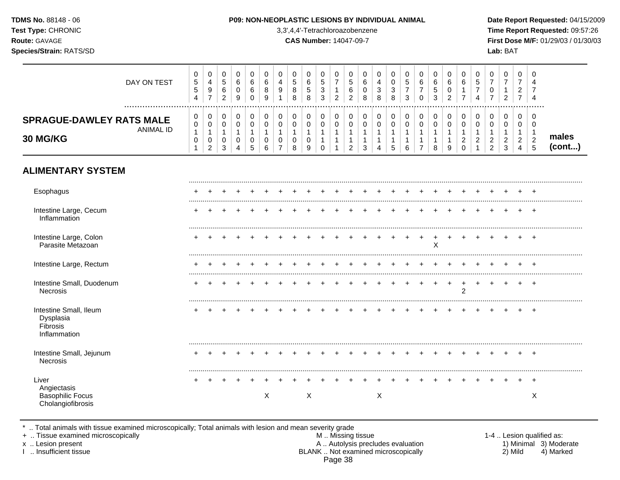| TDMS No. 88148 - 06            | <b>P09: NON-NEOPLASTIC LESIONS BY INDIVIDUAL ANIMAL</b> | Date Rep         |
|--------------------------------|---------------------------------------------------------|------------------|
| <b>Test Type: CHRONIC</b>      | 3,3',4,4'-Tetrachloroazobenzene                         | Time Rer         |
| <b>Route: GAVAGE</b>           | <b>CAS Number: 14047-09-7</b>                           | <b>First Dos</b> |
| <b>Species/Strain: RATS/SD</b> |                                                         | <b>Lab: BAT</b>  |

**Time Report Requested:** 09:57:26 **Route:** GAVAGE **CAS Number:** 14047-09-7 **First Dose M/F:** 01/29/03 / 01/30/03

| DAY ON TEST                                                          | $\,0\,$<br>$\sqrt{5}$<br>$\overline{5}$<br>$\overline{4}$   | $\pmb{0}$<br>$\overline{4}$<br>$\boldsymbol{9}$<br>$\overline{7}$ | $\pmb{0}$<br>$\sqrt{5}$<br>$\,6\,$<br>$\overline{2}$           | $\pmb{0}$<br>6<br>0<br>9                                                    | $\mathbf 0$<br>6<br>6<br>$\mathbf 0$       | 0<br>6<br>8<br>9                                     | $\mathbf 0$<br>4<br>9                 | $\pmb{0}$<br>5<br>8<br>8                             | 0<br>$\,6\,$<br>$\overline{5}$<br>8      | $\mathbf 0$<br>$\sqrt{5}$<br>$\sqrt{3}$<br>3                  | 0<br>$\overline{7}$<br>$\mathbf{1}$<br>$\overline{2}$             | $\mathbf 0$<br>5<br>$\,6\,$<br>2                        | 0<br>6<br>0<br>8                                     | 0<br>$\overline{4}$<br>3<br>8                               | $\pmb{0}$<br>$\mathbf 0$<br>$\sqrt{3}$<br>8        | 0<br>$\sqrt{5}$<br>$\overline{7}$<br>3   | $\pmb{0}$<br>$\,6\,$<br>$\overline{7}$<br>$\mathbf 0$                        | $\mathbf 0$<br>6<br>5<br>3                              | $\mathbf 0$<br>6<br>0<br>2                           | 0<br>6<br>1<br>$\overline{7}$                                            | 0<br>5<br>$\overline{7}$<br>4      | $\mathbf 0$<br>$\overline{7}$<br>$\mathbf 0$                         | 0<br>$\overline{7}$<br>1<br>$\overline{c}$            | 0<br>$\overline{7}$<br>$\overline{c}$<br>$\overline{7}$                          | $\Omega$                                                            |                 |
|----------------------------------------------------------------------|-------------------------------------------------------------|-------------------------------------------------------------------|----------------------------------------------------------------|-----------------------------------------------------------------------------|--------------------------------------------|------------------------------------------------------|---------------------------------------|------------------------------------------------------|------------------------------------------|---------------------------------------------------------------|-------------------------------------------------------------------|---------------------------------------------------------|------------------------------------------------------|-------------------------------------------------------------|----------------------------------------------------|------------------------------------------|------------------------------------------------------------------------------|---------------------------------------------------------|------------------------------------------------------|--------------------------------------------------------------------------|------------------------------------|----------------------------------------------------------------------|-------------------------------------------------------|----------------------------------------------------------------------------------|---------------------------------------------------------------------|-----------------|
| <b>SPRAGUE-DAWLEY RATS MALE</b><br><b>ANIMAL ID</b><br>30 MG/KG      | 0<br>$\pmb{0}$<br>$\mathbf{1}$<br>$\pmb{0}$<br>$\mathbf{1}$ | $\pmb{0}$<br>$\pmb{0}$<br>$\mathbf{1}$<br>0<br>$\overline{2}$     | $\mathbf 0$<br>$\mathbf 0$<br>$\overline{1}$<br>$\pmb{0}$<br>3 | $\mathbf 0$<br>$\mathbf 0$<br>$\mathbf{1}$<br>$\mathbf 0$<br>$\overline{4}$ | 0<br>$\mathbf 0$<br>$\mathbf{1}$<br>0<br>5 | $\mathbf 0$<br>$\mathbf 0$<br>$\mathbf{1}$<br>0<br>6 | 0<br>$\pmb{0}$<br>0<br>$\overline{7}$ | $\mathbf 0$<br>$\mathbf 0$<br>$\mathbf{1}$<br>0<br>8 | 0<br>$\pmb{0}$<br>$\mathbf{1}$<br>0<br>9 | $\mathbf 0$<br>$\mathbf 0$<br>$\overline{1}$<br>1<br>$\Omega$ | $\mathbf 0$<br>$\mathbf 0$<br>$\overline{1}$<br>1<br>$\mathbf{1}$ | 0<br>$\mathbf 0$<br>$\mathbf{1}$<br>1<br>$\overline{2}$ | $\mathbf 0$<br>$\mathbf 0$<br>1<br>$\mathbf{1}$<br>3 | $\mathbf 0$<br>$\mathbf 0$<br>$\mathbf 1$<br>$\overline{4}$ | $\mathbf 0$<br>$\pmb{0}$<br>$\mathbf{1}$<br>1<br>5 | 0<br>$\pmb{0}$<br>$\mathbf{1}$<br>1<br>6 | $\pmb{0}$<br>$\mathbf 0$<br>$\overline{1}$<br>$\mathbf{1}$<br>$\overline{7}$ | 0<br>$\mathbf 0$<br>$\overline{1}$<br>$\mathbf{1}$<br>8 | 0<br>$\mathbf 0$<br>$\mathbf{1}$<br>$\mathbf 1$<br>9 | $\mathbf 0$<br>$\mathbf 0$<br>$\mathbf{1}$<br>$\overline{c}$<br>$\Omega$ | $\mathbf 0$<br>0<br>$\overline{c}$ | 0<br>$\mathbf 0$<br>$\mathbf{1}$<br>$\overline{c}$<br>$\overline{2}$ | 0<br>$\pmb{0}$<br>$\mathbf{1}$<br>$\overline{c}$<br>3 | $\mathbf 0$<br>$\mathbf 0$<br>$\overline{1}$<br>$\overline{c}$<br>$\overline{4}$ | $\Omega$<br>0<br>$\overline{1}$<br>$\overline{2}$<br>$\overline{5}$ | males<br>(cont) |
| <b>ALIMENTARY SYSTEM</b>                                             |                                                             |                                                                   |                                                                |                                                                             |                                            |                                                      |                                       |                                                      |                                          |                                                               |                                                                   |                                                         |                                                      |                                                             |                                                    |                                          |                                                                              |                                                         |                                                      |                                                                          |                                    |                                                                      |                                                       |                                                                                  |                                                                     |                 |
| Esophagus                                                            |                                                             |                                                                   |                                                                |                                                                             |                                            |                                                      |                                       |                                                      |                                          |                                                               |                                                                   |                                                         |                                                      |                                                             |                                                    |                                          |                                                                              |                                                         |                                                      |                                                                          |                                    |                                                                      |                                                       |                                                                                  |                                                                     |                 |
| Intestine Large, Cecum<br>Inflammation                               |                                                             |                                                                   |                                                                |                                                                             |                                            |                                                      |                                       |                                                      |                                          |                                                               |                                                                   |                                                         |                                                      |                                                             |                                                    |                                          |                                                                              |                                                         |                                                      |                                                                          |                                    |                                                                      |                                                       |                                                                                  | $\ddot{}$                                                           |                 |
| Intestine Large, Colon<br>Parasite Metazoan                          |                                                             |                                                                   |                                                                |                                                                             |                                            |                                                      |                                       |                                                      |                                          |                                                               |                                                                   |                                                         |                                                      |                                                             |                                                    |                                          | $\ddot{}$                                                                    | $\pm$<br>$\mathsf{X}$                                   | $+$                                                  | ÷                                                                        |                                    |                                                                      |                                                       |                                                                                  | $\overline{+}$                                                      |                 |
| Intestine Large, Rectum                                              |                                                             |                                                                   |                                                                |                                                                             |                                            |                                                      |                                       |                                                      |                                          |                                                               |                                                                   |                                                         |                                                      |                                                             |                                                    |                                          |                                                                              |                                                         |                                                      |                                                                          |                                    |                                                                      |                                                       |                                                                                  |                                                                     |                 |
| Intestine Small, Duodenum<br>Necrosis                                |                                                             |                                                                   |                                                                |                                                                             |                                            |                                                      |                                       |                                                      |                                          |                                                               |                                                                   |                                                         |                                                      |                                                             |                                                    |                                          |                                                                              |                                                         | $\pm$                                                | +<br>$\overline{2}$                                                      | $\ddot{}$                          |                                                                      |                                                       | $\ddot{}$                                                                        | $\ddot{}$                                                           |                 |
| Intestine Small, Ileum<br>Dysplasia<br>Fibrosis<br>Inflammation      |                                                             |                                                                   |                                                                |                                                                             |                                            |                                                      |                                       |                                                      |                                          |                                                               |                                                                   |                                                         |                                                      |                                                             |                                                    |                                          |                                                                              |                                                         |                                                      |                                                                          |                                    |                                                                      |                                                       |                                                                                  |                                                                     |                 |
| Intestine Small, Jejunum<br>Necrosis                                 |                                                             |                                                                   |                                                                |                                                                             |                                            |                                                      |                                       |                                                      |                                          |                                                               |                                                                   |                                                         |                                                      |                                                             |                                                    |                                          |                                                                              |                                                         |                                                      |                                                                          |                                    |                                                                      |                                                       |                                                                                  | $\ddot{}$                                                           |                 |
| Liver<br>Angiectasis<br><b>Basophilic Focus</b><br>Cholangiofibrosis |                                                             |                                                                   |                                                                |                                                                             |                                            | X                                                    |                                       |                                                      | X                                        |                                                               |                                                                   |                                                         |                                                      | X                                                           |                                                    |                                          |                                                                              |                                                         |                                                      |                                                                          |                                    |                                                                      |                                                       |                                                                                  | $\ddot{}$<br>Χ                                                      |                 |

\* .. Total animals with tissue examined microscopically; Total animals with lesion and mean severity grade

+ .. Tissue examined microscopically M .. Missing tissue 1-4 .. Lesion qualified as: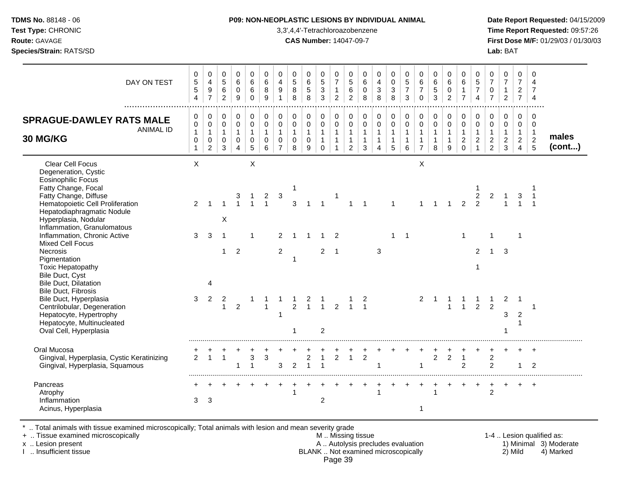#### **TDMS No.** 88148 - 06 **P09: NON-NEOPLASTIC LESIONS BY INDIVIDUAL ANIMAL Date Report Requested:** 04/15/2009

**Test Type:** CHRONIC 3,3',4,4'-Tetrachloroazobenzene **Time Report Requested:** 09:57:26 **Route:** GAVAGE **CAS Number:** 14047-09-7 **First Dose M/F:** 01/29/03 / 01/30/03

| DAY ON TEST<br>.                                                                                                                                                                                                                                                               | 0<br>$\mathbf 5$<br>5<br>$\overline{4}$                     | 0<br>$\overline{4}$<br>$\boldsymbol{9}$<br>$\overline{7}$             | 0<br>$5\phantom{.0}$<br>$\,6\,$<br>$\overline{2}$               | 0<br>$\,6\,$<br>$\mathsf 0$<br>9                                          | 0<br>$\,6\,$<br>6<br>$\mathbf 0$                                                  | 0<br>6<br>8<br>9                                               | 0<br>$\overline{4}$<br>9<br>$\mathbf{1}$                        | 0<br>$\sqrt{5}$<br>$\,8\,$<br>8                              | 0<br>$\,6\,$<br>$\sqrt{5}$<br>8                                | 0<br>$\sqrt{5}$<br>$\ensuremath{\mathsf{3}}$<br>3                         | 0<br>$\boldsymbol{7}$<br>$\mathbf{1}$<br>$\overline{2}$                    | 0<br>$\sqrt{5}$<br>6<br>$\overline{2}$                                     | 0<br>$\,6\,$<br>$\mathbf 0$<br>8                                | 0<br>$\overline{4}$<br>$\mathsf 3$<br>8                                    | 0<br>$\pmb{0}$<br>$\mathfrak{Z}$<br>8                           | 0<br>$5\,$<br>$\overline{7}$<br>3                               | 0<br>$\,6\,$<br>$\overline{7}$<br>$\overline{0}$                                  | 0<br>$\,6\,$<br>$\,$ 5 $\,$<br>3                                  | 0<br>$\,6\,$<br>$\mathbf 0$<br>2                     | 0<br>6<br>$\mathbf{1}$<br>$\overline{7}$                                         | 0<br>$\overline{5}$<br>$\overline{7}$<br>$\overline{4}$                  | $\frac{0}{7}$<br>$\mathsf 0$<br>$\overline{7}$                                 | 0<br>$\overline{7}$<br>$\mathbf{1}$<br>$\overline{2}$ | 0<br>$\overline{7}$<br>$\overline{c}$<br>$\overline{7}$                           | 0<br>$\overline{4}$<br>$\overline{7}$<br>$\overline{4}$ |                 |
|--------------------------------------------------------------------------------------------------------------------------------------------------------------------------------------------------------------------------------------------------------------------------------|-------------------------------------------------------------|-----------------------------------------------------------------------|-----------------------------------------------------------------|---------------------------------------------------------------------------|-----------------------------------------------------------------------------------|----------------------------------------------------------------|-----------------------------------------------------------------|--------------------------------------------------------------|----------------------------------------------------------------|---------------------------------------------------------------------------|----------------------------------------------------------------------------|----------------------------------------------------------------------------|-----------------------------------------------------------------|----------------------------------------------------------------------------|-----------------------------------------------------------------|-----------------------------------------------------------------|-----------------------------------------------------------------------------------|-------------------------------------------------------------------|------------------------------------------------------|----------------------------------------------------------------------------------|--------------------------------------------------------------------------|--------------------------------------------------------------------------------|-------------------------------------------------------|-----------------------------------------------------------------------------------|---------------------------------------------------------|-----------------|
| <b>SPRAGUE-DAWLEY RATS MALE</b><br><b>ANIMAL ID</b><br><b>30 MG/KG</b>                                                                                                                                                                                                         | 0<br>$\pmb{0}$<br>$\mathbf{1}$<br>$\pmb{0}$<br>$\mathbf{1}$ | $\pmb{0}$<br>$\pmb{0}$<br>$\mathbf{1}$<br>$\pmb{0}$<br>$\overline{2}$ | 0<br>$\mathbf 0$<br>$\mathbf{1}$<br>$\mathbf 0$<br>$\mathbf{3}$ | 0<br>$\mathsf{O}\xspace$<br>$\mathbf{1}$<br>$\mathbf 0$<br>$\overline{4}$ | $\mathbf 0$<br>$\mathsf{O}\xspace$<br>$\overline{1}$<br>$\mathbf 0$<br>$\sqrt{5}$ | $\mathbf 0$<br>$\mathbf 0$<br>$\mathbf{1}$<br>$\mathbf 0$<br>6 | $\pmb{0}$<br>0<br>$\mathbf{1}$<br>$\mathbf 0$<br>$\overline{7}$ | $\pmb{0}$<br>$\mathbf 0$<br>$\mathbf{1}$<br>$\mathbf 0$<br>8 | $\mathsf 0$<br>$\mathbf 0$<br>$\mathbf{1}$<br>$\mathbf 0$<br>9 | $\mathbf 0$<br>$\mathbf 0$<br>$\mathbf{1}$<br>$\mathbf{1}$<br>$\mathbf 0$ | $\mathbf 0$<br>$\mathbf 0$<br>$\mathbf{1}$<br>$\mathbf{1}$<br>$\mathbf{1}$ | $\pmb{0}$<br>$\mathbf 0$<br>$\mathbf{1}$<br>$\mathbf{1}$<br>$\overline{2}$ | $\mathbf 0$<br>$\mathbf 0$<br>$\mathbf{1}$<br>$\mathbf{1}$<br>3 | $\pmb{0}$<br>$\mathbf 0$<br>$\mathbf{1}$<br>$\mathbf{1}$<br>$\overline{4}$ | $\mathsf 0$<br>$\mathsf 0$<br>$\mathbf{1}$<br>$\mathbf{1}$<br>5 | $\mathbf 0$<br>$\mathbf 0$<br>$\mathbf{1}$<br>$\mathbf{1}$<br>6 | $\boldsymbol{0}$<br>$\mathbf 0$<br>$\mathbf{1}$<br>$\mathbf{1}$<br>$\overline{7}$ | $\mathbf 0$<br>$\mathbf 0$<br>$\overline{1}$<br>$\mathbf{1}$<br>8 | 0<br>$\mathbf 0$<br>$\mathbf 1$<br>$\mathbf{1}$<br>9 | $\boldsymbol{0}$<br>$\mathsf 0$<br>$\mathbf{1}$<br>$\overline{2}$<br>$\mathbf 0$ | $\pmb{0}$<br>$\pmb{0}$<br>$\mathbf{1}$<br>$\overline{2}$<br>$\mathbf{1}$ | $\mathbf 0$<br>$\mathbf 0$<br>$\mathbf{1}$<br>$\overline{2}$<br>$\overline{2}$ | 0<br>0<br>$\mathbf{1}$<br>$\overline{2}$<br>3         | $\mathbf 0$<br>$\overline{0}$<br>$\mathbf{1}$<br>$\overline{2}$<br>$\overline{4}$ | 0<br>$\mathbf 0$<br>$\mathbf{1}$<br>$\overline{2}$<br>5 | males<br>(cont) |
| <b>Clear Cell Focus</b><br>Degeneration, Cystic<br>Eosinophilic Focus<br>Fatty Change, Focal<br>Fatty Change, Diffuse<br>Hematopoietic Cell Proliferation<br>Hepatodiaphragmatic Nodule<br>Hyperplasia, Nodular<br>Inflammation, Granulomatous<br>Inflammation, Chronic Active | X<br>2<br>3                                                 | 3                                                                     | X<br>$\mathbf 1$                                                | 3                                                                         | X<br>-1<br>$\mathbf{1}$<br>-1                                                     | $\overline{a}$<br>$\mathbf{1}$                                 | $\mathbf{3}$<br>$\overline{2}$                                  | 1<br>3<br>$\mathbf{1}$                                       | $\mathbf 1$                                                    | $\mathbf 1$                                                               | $\overline{2}$                                                             | $\mathbf{1}$                                                               | $\overline{1}$                                                  |                                                                            | $\mathbf{1}$<br>$\mathbf{1}$                                    | $\overline{1}$                                                  | X                                                                                 | $\overline{1}$                                                    | $\mathbf{1}$                                         | 2<br>$\mathbf{1}$                                                                | $\overline{c}$<br>$\overline{2}$                                         | $\overline{2}$<br>1                                                            |                                                       | 3<br>$\mathbf 1$                                                                  |                                                         |                 |
| <b>Mixed Cell Focus</b><br><b>Necrosis</b><br>Pigmentation<br><b>Toxic Hepatopathy</b><br>Bile Duct, Cyst<br><b>Bile Duct, Dilatation</b>                                                                                                                                      |                                                             | 4                                                                     | $\mathbf{1}$                                                    | $\overline{2}$                                                            |                                                                                   |                                                                | $\overline{2}$                                                  | $\mathbf{1}$                                                 |                                                                | 2                                                                         | $\overline{1}$                                                             |                                                                            |                                                                 | 3                                                                          |                                                                 |                                                                 |                                                                                   |                                                                   |                                                      |                                                                                  | $\overline{2}$<br>$\mathbf{1}$                                           | $\overline{1}$                                                                 | 3                                                     |                                                                                   |                                                         |                 |
| <b>Bile Duct, Fibrosis</b><br>Bile Duct, Hyperplasia<br>Centrilobular, Degeneration<br>Hepatocyte, Hypertrophy<br>Hepatocyte, Multinucleated<br>Oval Cell, Hyperplasia                                                                                                         | 3                                                           | $\overline{2}$                                                        | $\overline{c}$<br>$\mathbf{1}$                                  | $\overline{2}$                                                            |                                                                                   | $\mathbf{1}$                                                   | $\mathbf 1$                                                     | $\overline{2}$<br>1                                          | 2<br>$\overline{1}$                                            | $\mathbf{1}$<br>$\overline{2}$                                            | 2                                                                          | $\mathbf{1}$                                                               | $\frac{2}{1}$                                                   |                                                                            |                                                                 |                                                                 | 2                                                                                 | -1                                                                | $\mathbf{1}$                                         | $\mathbf 1$                                                                      | $\overline{2}$                                                           | 2                                                                              | 2<br>3                                                | $\overline{c}$<br>$\mathbf{1}$                                                    |                                                         |                 |
| Oral Mucosa<br>Gingival, Hyperplasia, Cystic Keratinizing<br>Gingival, Hyperplasia, Squamous                                                                                                                                                                                   | 2                                                           | $\mathbf{1}$                                                          | $\mathbf{1}$                                                    |                                                                           | 3<br>$\overline{1}$                                                               | 3                                                              | 3                                                               | 2                                                            | $\overline{c}$<br>$\mathbf{1}$                                 | $\mathbf{1}$<br>$\overline{1}$                                            | $\overline{2}$                                                             | $\mathbf{1}$                                                               | $\overline{2}$                                                  | 1                                                                          |                                                                 |                                                                 | $\mathbf{1}$                                                                      | $\overline{2}$                                                    | $\overline{c}$                                       | $\mathbf{1}$<br>$\overline{c}$                                                   |                                                                          | $\ddot{}$<br>$\overline{c}$<br>$\overline{2}$                                  |                                                       |                                                                                   | $\ddot{}$<br>$\overline{2}$                             |                 |
| Pancreas<br>Atrophy<br>Inflammation<br>Acinus, Hyperplasia                                                                                                                                                                                                                     | 3                                                           | 3                                                                     |                                                                 |                                                                           |                                                                                   |                                                                |                                                                 | $\mathbf{1}$                                                 |                                                                | $\overline{c}$                                                            |                                                                            |                                                                            |                                                                 | 1                                                                          |                                                                 |                                                                 | 1                                                                                 | 1                                                                 |                                                      |                                                                                  |                                                                          | $\overline{2}$                                                                 |                                                       |                                                                                   | $+$                                                     |                 |

\* .. Total animals with tissue examined microscopically; Total animals with lesion and mean severity grade

+ .. Tissue examined microscopically M .. Missing tissue 1-4 .. Lesion qualified as:

- x .. Lesion present **A .. Autolysis precludes evaluation** A .. Autolysis precludes evaluation 1) Minimal 3) Moderate I .. Insufficient tissue BLANK .. Not examined microscopically 2) Mild 4) Marked Page 39
-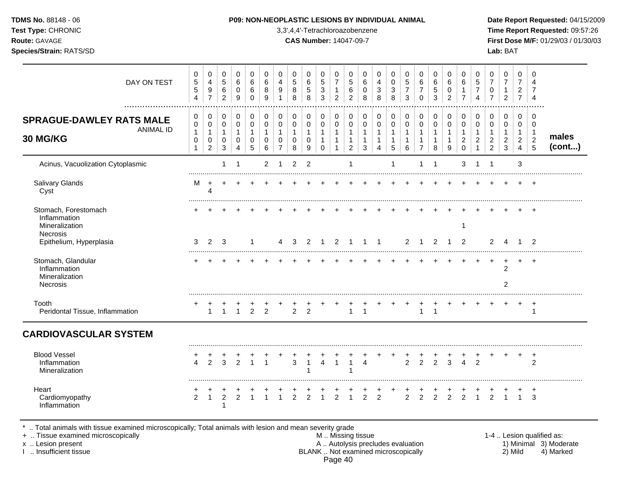| <b>TDMS No. 88148 - 06</b>     | <b>P09: NON-NEOPLASTIC LESIONS BY INDIVIDUAL ANIMAL</b> | Date Repo         |
|--------------------------------|---------------------------------------------------------|-------------------|
| <b>Test Type: CHRONIC</b>      | 3,3',4,4'-Tetrachloroazobenzene                         | Time Rep          |
| <b>Route: GAVAGE</b>           | <b>CAS Number: 14047-09-7</b>                           | <b>First Dose</b> |
| <b>Species/Strain: RATS/SD</b> |                                                         | <b>Lab:</b> BAT   |

**Time Report Requested:** 09:57:26 **CAS Number:** 14047-09-7 **First Dose M/F:** 01/29/03 / 01/30/03

| DAY ON TEST<br>.                                                                                     | 0<br>$\,$ 5 $\,$<br>$\,$ 5 $\,$<br>$\overline{4}$     | 0<br>4<br>$\boldsymbol{9}$<br>$\overline{7}$  | $\mathbf 0$<br>$\,$ 5 $\,$<br>6<br>$\overline{c}$   | $\mathbf 0$<br>6<br>0<br>$\boldsymbol{9}$            | $\mathbf 0$<br>$\,6\,$<br>6<br>$\mathbf 0$    | 0<br>6<br>8<br>9                                  | $\Omega$<br>4<br>9                                      | 0<br>$\,$ 5 $\,$<br>$\bf 8$<br>8 | 0<br>6<br>$\sqrt{5}$<br>8                  | 0<br>$\,$ 5 $\,$<br>$\sqrt{3}$<br>3                             | 0<br>$\overline{7}$<br>$\mathbf{1}$<br>$\overline{c}$              | 0<br>5<br>6<br>$\overline{c}$                                      | 0<br>6<br>0<br>8                            | 0<br>4<br>3<br>8                                      | 0<br>0<br>3<br>8                            | 0<br>$\,$ 5 $\,$<br>$\boldsymbol{7}$<br>$\mathbf{3}$                      | 0<br>6<br>$\overline{7}$<br>$\Omega$                               | 0<br>6<br>5<br>3                                     | 0<br>6<br>0<br>$\overline{c}$                      | 0<br>6<br>$\mathbf{1}$<br>$\overline{7}$                | 0<br>$\sqrt{5}$<br>$\overline{7}$<br>$\overline{\mathbf{4}}$                     | 0<br>$\overline{7}$<br>0<br>$\overline{7}$                           | 0<br>$\boldsymbol{7}$<br>$\mathbf{1}$<br>$\overline{c}$              | 0<br>$\overline{7}$<br>$\overline{2}$<br>$\overline{7}$              | 0<br>4<br>7<br>$\overline{4}$                                    |                 |
|------------------------------------------------------------------------------------------------------|-------------------------------------------------------|-----------------------------------------------|-----------------------------------------------------|------------------------------------------------------|-----------------------------------------------|---------------------------------------------------|---------------------------------------------------------|----------------------------------|--------------------------------------------|-----------------------------------------------------------------|--------------------------------------------------------------------|--------------------------------------------------------------------|---------------------------------------------|-------------------------------------------------------|---------------------------------------------|---------------------------------------------------------------------------|--------------------------------------------------------------------|------------------------------------------------------|----------------------------------------------------|---------------------------------------------------------|----------------------------------------------------------------------------------|----------------------------------------------------------------------|----------------------------------------------------------------------|----------------------------------------------------------------------|------------------------------------------------------------------|-----------------|
| <b>SPRAGUE-DAWLEY RATS MALE</b><br><b>ANIMAL ID</b><br>30 MG/KG                                      | 0<br>$\mathbf 0$<br>$\mathbf{1}$<br>0<br>$\mathbf{1}$ | 0<br>0<br>$\mathbf{1}$<br>0<br>$\overline{c}$ | $\pmb{0}$<br>0<br>$\mathbf{1}$<br>0<br>$\mathbf{3}$ | $\mathbf 0$<br>$\mathbf 0$<br>$\mathbf{1}$<br>0<br>4 | 0<br>0<br>$\mathbf{1}$<br>0<br>$\overline{5}$ | $\mathbf 0$<br>$\Omega$<br>$\mathbf{1}$<br>0<br>6 | 0<br>$\mathbf 0$<br>$\mathbf{1}$<br>0<br>$\overline{7}$ | 0<br>$\mathbf 0$<br>0<br>8       | 0<br>$\mathbf 0$<br>$\mathbf{1}$<br>0<br>9 | 0<br>$\mathbf 0$<br>$\mathbf{1}$<br>$\mathbf{1}$<br>$\mathbf 0$ | 0<br>$\mathbf 0$<br>$\overline{1}$<br>$\mathbf{1}$<br>$\mathbf{1}$ | 0<br>$\mathbf 0$<br>$\mathbf{1}$<br>$\mathbf{1}$<br>$\overline{2}$ | 0<br>0<br>$\mathbf{1}$<br>$\mathbf{1}$<br>3 | 0<br>$\mathbf 0$<br>$\mathbf{1}$<br>$\mathbf{1}$<br>4 | 0<br>0<br>$\mathbf{1}$<br>$\mathbf{1}$<br>5 | $\mathbf 0$<br>$\mathsf{O}\xspace$<br>$\overline{1}$<br>$\mathbf{1}$<br>6 | 0<br>$\mathbf 0$<br>$\mathbf{1}$<br>$\mathbf{1}$<br>$\overline{7}$ | $\mathbf 0$<br>$\mathbf 0$<br>1<br>$\mathbf{1}$<br>8 | $\pmb{0}$<br>$\mathbf 0$<br>1<br>$\mathbf{1}$<br>9 | 0<br>0<br>$\mathbf{1}$<br>$\overline{c}$<br>$\mathbf 0$ | $\mathbf 0$<br>$\mathbf 0$<br>$\overline{1}$<br>$\overline{c}$<br>$\overline{1}$ | 0<br>$\mathbf 0$<br>$\mathbf{1}$<br>$\overline{2}$<br>$\overline{2}$ | 0<br>$\mathbf 0$<br>$\mathbf{1}$<br>$\overline{c}$<br>$\mathfrak{Z}$ | 0<br>$\mathbf 0$<br>$\mathbf{1}$<br>$\overline{2}$<br>$\overline{4}$ | $\Omega$<br>$\mathbf 0$<br>$\mathbf{1}$<br>$\boldsymbol{2}$<br>5 | males<br>(cont) |
| Acinus, Vacuolization Cytoplasmic                                                                    |                                                       |                                               | 1                                                   | -1                                                   |                                               | $\overline{2}$                                    | -1                                                      | $\overline{2}$                   | $\overline{2}$                             |                                                                 |                                                                    | 1                                                                  |                                             |                                                       | 1                                           |                                                                           | 1                                                                  | $\mathbf 1$                                          |                                                    | 3                                                       | -1                                                                               | $\mathbf 1$                                                          |                                                                      | 3                                                                    |                                                                  |                 |
| Salivary Glands<br>Cyst                                                                              | M                                                     | $\div$<br>4                                   |                                                     |                                                      |                                               |                                                   |                                                         |                                  |                                            |                                                                 |                                                                    |                                                                    |                                             |                                                       |                                             |                                                                           |                                                                    |                                                      |                                                    |                                                         |                                                                                  |                                                                      |                                                                      |                                                                      | $\overline{+}$                                                   |                 |
| Stomach, Forestomach<br>Inflammation<br>Mineralization<br><b>Necrosis</b><br>Epithelium, Hyperplasia | 3                                                     | 2                                             | 3                                                   |                                                      | $\mathbf{1}$                                  |                                                   | 4                                                       | 3                                | 2                                          | 1                                                               | 2                                                                  | -1                                                                 | $\overline{1}$                              | $\overline{1}$                                        |                                             | $\overline{2}$                                                            | -1                                                                 | 2                                                    | 1                                                  | $\mathbf 1$<br>2                                        |                                                                                  | 2                                                                    | 4                                                                    | -1                                                                   | $\pm$<br>2                                                       |                 |
| Stomach, Glandular<br>Inflammation<br>Mineralization<br>Necrosis                                     |                                                       |                                               |                                                     |                                                      |                                               |                                                   |                                                         |                                  |                                            |                                                                 |                                                                    |                                                                    |                                             |                                                       |                                             |                                                                           |                                                                    |                                                      |                                                    |                                                         |                                                                                  |                                                                      | $\overline{c}$<br>$\overline{2}$                                     |                                                                      | $\overline{+}$                                                   |                 |
| Tooth<br>Peridontal Tissue, Inflammation                                                             |                                                       | $\mathbf{1}$                                  | $\mathbf{1}$                                        | $\mathbf{1}$                                         | $\overline{2}$                                | $\overline{2}$                                    |                                                         | $\overline{2}$                   | $\overline{2}$                             |                                                                 |                                                                    | $\mathbf{1}$                                                       | -1                                          |                                                       |                                             |                                                                           | $\mathbf{1}$                                                       | $\overline{1}$                                       |                                                    |                                                         |                                                                                  |                                                                      | $\ddot{}$                                                            |                                                                      | $\ddot{}$<br>$\mathbf 1$                                         |                 |
| <b>CARDIOVASCULAR SYSTEM</b>                                                                         |                                                       |                                               |                                                     |                                                      |                                               |                                                   |                                                         |                                  |                                            |                                                                 |                                                                    |                                                                    |                                             |                                                       |                                             |                                                                           |                                                                    |                                                      |                                                    |                                                         |                                                                                  |                                                                      |                                                                      |                                                                      |                                                                  |                 |
| <b>Blood Vessel</b><br>Inflammation<br>Mineralization                                                | 4                                                     | $\overline{2}$                                | 3                                                   | $\mathcal{P}$                                        |                                               | 1                                                 |                                                         | 3                                | $\mathbf{1}$                               | $\overline{4}$                                                  | $\overline{1}$                                                     | $\mathbf{1}$                                                       | $\overline{4}$                              |                                                       |                                             | $\overline{2}$                                                            | $\overline{2}$                                                     | $\overline{2}$                                       | 3                                                  | $\Delta$                                                | $\overline{2}$                                                                   |                                                                      |                                                                      |                                                                      | $\ddot{}$<br>$\overline{2}$                                      |                 |
| Heart<br>Cardiomyopathy<br>Inflammation                                                              | $\mathcal{P}$                                         | $\overline{1}$                                | $\overline{2}$<br>1                                 | 2                                                    |                                               |                                                   |                                                         | $\mathcal{P}$                    | $\mathcal{P}$                              |                                                                 | 2                                                                  | $\overline{1}$                                                     | $\mathfrak{p}$                              | $\mathcal{P}$                                         |                                             | $\overline{2}$                                                            | 2                                                                  | $\overline{2}$                                       | $\mathcal{P}$                                      | 2                                                       | $\overline{1}$                                                                   | $\overline{2}$                                                       |                                                                      | $\mathbf{1}$                                                         | $\ddot{}$<br>3                                                   |                 |

+ .. Tissue examined microscopically M .. Missing tissue 1-4 .. Lesion qualified as: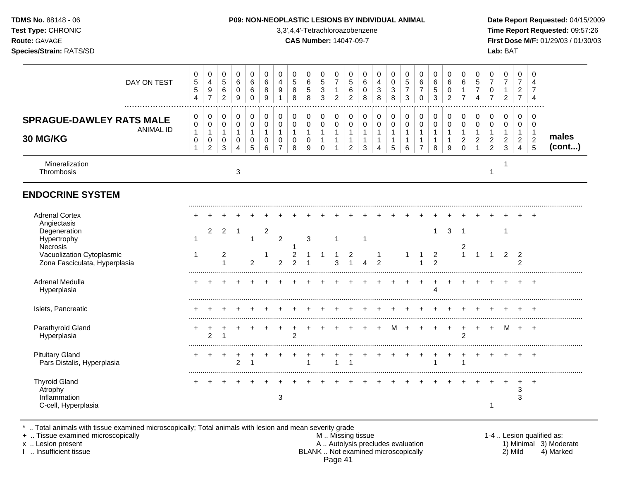| TDMS No. 88148 - 06<br>Test Type: CHRONIC<br>Route: GAVAGE<br>Species/Strain: RATS/SD                                                                |                                                  |                                                                     |                                                    |                                                                         |                                                          |                                                              |                                                                                           |                                                              | 3,3',4,4'-Tetrachloroazobenzene<br><b>CAS Number: 14047-09-7</b> |                                                                      |                                                                                  |                                                                            |                                                                 |                                                                          |                                                       | P09: NON-NEOPLASTIC LESIONS BY INDIVIDUAL ANIMAL              |                                                                              |                                                             |                                                             |                                                                             |                                                                            |                                                                                  | Lab: BAT                                                        |                                                                      |                                                                     | Date Report Requested: 04/15/2009<br>Time Report Requested: 09:57:26<br>First Dose M/F: 01/29/03 / 01/30/03 |
|------------------------------------------------------------------------------------------------------------------------------------------------------|--------------------------------------------------|---------------------------------------------------------------------|----------------------------------------------------|-------------------------------------------------------------------------|----------------------------------------------------------|--------------------------------------------------------------|-------------------------------------------------------------------------------------------|--------------------------------------------------------------|------------------------------------------------------------------|----------------------------------------------------------------------|----------------------------------------------------------------------------------|----------------------------------------------------------------------------|-----------------------------------------------------------------|--------------------------------------------------------------------------|-------------------------------------------------------|---------------------------------------------------------------|------------------------------------------------------------------------------|-------------------------------------------------------------|-------------------------------------------------------------|-----------------------------------------------------------------------------|----------------------------------------------------------------------------|----------------------------------------------------------------------------------|-----------------------------------------------------------------|----------------------------------------------------------------------|---------------------------------------------------------------------|-------------------------------------------------------------------------------------------------------------|
| DAY ON TEST                                                                                                                                          | $\mathbf 0$<br>$\sqrt{5}$<br>5<br>$\overline{4}$ | $\mathsf 0$<br>$\overline{4}$<br>$\boldsymbol{9}$<br>$\overline{7}$ | $\mathsf 0$<br>5<br>6<br>$\overline{2}$            | $\pmb{0}$<br>$\,6\,$<br>$\pmb{0}$<br>$\boldsymbol{9}$                   | $\pmb{0}$<br>$\,6\,$<br>$\,6\,$<br>$\mathbf 0$           | $\mathbf 0$<br>$\,6\,$<br>$\bf 8$<br>$\overline{9}$          | $\pmb{0}$<br>$\overline{4}$<br>$\boldsymbol{9}$<br>$\overline{1}$                         | $\mathbf 0$<br>$\overline{5}$<br>8<br>$\,8\,$                | $\mathbf 0$<br>6<br>$\sqrt{5}$<br>8                              | $\pmb{0}$<br>5<br>$\sqrt{3}$<br>$\mathbf{3}$                         | $\pmb{0}$<br>$\overline{7}$<br>$\mathbf{1}$<br>$\overline{2}$                    | $\mathbf 0$<br>5<br>6<br>$\overline{c}$                                    | $\pmb{0}$<br>6<br>$\mathbf 0$<br>8                              | $\pmb{0}$<br>$\overline{4}$<br>$\sqrt{3}$<br>8                           | $\mathbf 0$<br>$\mathbf 0$<br>3<br>8                  | 0<br>$\sqrt{5}$<br>$\boldsymbol{7}$<br>3                      | $\mathbf 0$<br>6<br>7<br>$\mathbf 0$                                         | 0<br>$\,6\,$<br>$\sqrt{5}$<br>$\mathbf{3}$                  | $\pmb{0}$<br>$\,6\,$<br>$\pmb{0}$<br>$\overline{a}$         | $\mathbf 0$<br>$\,6\,$<br>$\mathbf{1}$<br>$\overline{7}$                    | $\mathbf 0$<br>$\sqrt{5}$<br>$\boldsymbol{7}$<br>$\overline{4}$            | $\pmb{0}$<br>$\overline{7}$<br>$\mathbf 0$<br>$\overline{7}$                     | $\mathbf 0$<br>$\overline{7}$<br>$\mathbf{1}$<br>$\overline{2}$ | $\pmb{0}$<br>$\overline{7}$<br>$\overline{c}$<br>$\overline{7}$      | $\Omega$<br>$\overline{4}$<br>$\overline{7}$<br>$\overline{4}$      |                                                                                                             |
| <br><b>SPRAGUE-DAWLEY RATS MALE</b><br><b>ANIMAL ID</b><br>30 MG/KG                                                                                  | 0<br>0<br>$\mathbf{1}$<br>0<br>$\mathbf{1}$      | 0<br>$\mathbf 0$<br>$\mathbf{1}$<br>$\mathsf 0$<br>$\overline{2}$   | 0<br>$\mathsf 0$<br>$\mathbf{1}$<br>$\pmb{0}$<br>3 | $\mathbf 0$<br>$\pmb{0}$<br>$\mathbf{1}$<br>$\pmb{0}$<br>$\overline{4}$ | $\pmb{0}$<br>$\pmb{0}$<br>$\mathbf{1}$<br>$\pmb{0}$<br>5 | $\mathbf 0$<br>$\mathsf 0$<br>$\mathbf{1}$<br>$\pmb{0}$<br>6 | $\pmb{0}$<br>$\mathsf{O}\xspace$<br>$\mathbf{1}$<br>$\mathsf{O}\xspace$<br>$\overline{7}$ | $\mathbf 0$<br>$\mathbf 0$<br>$\mathbf{1}$<br>$\pmb{0}$<br>8 | $\mathbf 0$<br>$\mathbf 0$<br>$\mathbf{1}$<br>$\pmb{0}$<br>9     | $\pmb{0}$<br>$\mathbf 0$<br>$\mathbf{1}$<br>$\mathbf{1}$<br>$\Omega$ | $\pmb{0}$<br>$\mathsf{O}\xspace$<br>$\mathbf{1}$<br>$\mathbf{1}$<br>$\mathbf{1}$ | $\mathbf 0$<br>$\pmb{0}$<br>$\mathbf{1}$<br>$\mathbf{1}$<br>$\overline{2}$ | $\mathbf 0$<br>$\mathsf 0$<br>$\mathbf{1}$<br>$\mathbf{1}$<br>3 | $\pmb{0}$<br>$\pmb{0}$<br>$\mathbf{1}$<br>$\mathbf{1}$<br>$\overline{4}$ | 0<br>$\mathbf 0$<br>$\mathbf{1}$<br>$\mathbf{1}$<br>5 | $\pmb{0}$<br>$\mathsf 0$<br>$\mathbf{1}$<br>$\mathbf{1}$<br>6 | $\mathbf 0$<br>$\mathsf 0$<br>$\mathbf{1}$<br>$\mathbf{1}$<br>$\overline{7}$ | $\pmb{0}$<br>$\pmb{0}$<br>$\mathbf{1}$<br>$\mathbf{1}$<br>8 | $\pmb{0}$<br>$\pmb{0}$<br>$\mathbf{1}$<br>$\mathbf{1}$<br>9 | $\mathsf 0$<br>$\mathbf 0$<br>$\mathbf{1}$<br>$\overline{2}$<br>$\mathbf 0$ | $\mathbf 0$<br>$\mathbf 0$<br>$\mathbf{1}$<br>$\sqrt{2}$<br>$\overline{1}$ | $\mathbf 0$<br>$\mathbf 0$<br>$\mathbf{1}$<br>$\boldsymbol{2}$<br>$\overline{2}$ | $\pmb{0}$<br>$\mathbf 0$<br>$\mathbf{1}$<br>$\sqrt{2}$<br>3     | 0<br>$\mathbf 0$<br>$\mathbf{1}$<br>$\overline{2}$<br>$\overline{4}$ | $\mathbf 0$<br>$\mathbf 0$<br>$\overline{1}$<br>$\overline{2}$<br>5 | males<br>(cont)                                                                                             |
| Mineralization<br>Thrombosis                                                                                                                         |                                                  |                                                                     |                                                    | $\sqrt{3}$                                                              |                                                          |                                                              |                                                                                           |                                                              |                                                                  |                                                                      |                                                                                  |                                                                            |                                                                 |                                                                          |                                                       |                                                               |                                                                              |                                                             |                                                             |                                                                             |                                                                            | $\mathbf{1}$                                                                     | $\mathbf{1}$                                                    |                                                                      |                                                                     |                                                                                                             |
| <b>ENDOCRINE SYSTEM</b>                                                                                                                              |                                                  |                                                                     |                                                    |                                                                         |                                                          |                                                              |                                                                                           |                                                              |                                                                  |                                                                      |                                                                                  |                                                                            |                                                                 |                                                                          |                                                       |                                                               |                                                                              |                                                             |                                                             |                                                                             |                                                                            |                                                                                  |                                                                 |                                                                      |                                                                     |                                                                                                             |
| <b>Adrenal Cortex</b><br>Angiectasis<br>Degeneration<br>Hypertrophy<br><b>Necrosis</b><br>Vacuolization Cytoplasmic<br>Zona Fasciculata, Hyperplasia | -1<br>-1                                         | $\overline{2}$                                                      | $\overline{2}$<br>$\overline{c}$<br>1              | $\overline{1}$                                                          | $\mathbf{1}$<br>$\overline{2}$                           | $\overline{2}$<br>-1                                         | $\overline{2}$<br>$\overline{2}$                                                          | -1<br>$\overline{\mathbf{c}}$<br>2                           | 3<br>$\overline{1}$<br>$\overline{1}$                            | $\overline{1}$                                                       | $\mathbf{1}$<br>$\mathbf{1}$<br>3                                                | $\overline{a}$<br>$\mathbf{1}$                                             | $\mathbf{1}$<br>$\overline{4}$                                  | $\overline{1}$<br>$\overline{2}$                                         |                                                       | $\mathbf{1}$                                                  | $\overline{1}$<br>$\mathbf{1}$                                               | $\mathbf{1}$<br>$\overline{2}$<br>2                         | $\mathbf{3}$                                                | $\overline{1}$<br>2<br>$\mathbf{1}$                                         | $\overline{1}$                                                             | $\overline{1}$                                                                   | $\overline{1}$<br>$\overline{2}$                                | $\overline{2}$<br>$\overline{2}$                                     |                                                                     |                                                                                                             |
| Adrenal Medulla<br>Hyperplasia                                                                                                                       |                                                  |                                                                     |                                                    |                                                                         |                                                          |                                                              |                                                                                           |                                                              |                                                                  |                                                                      |                                                                                  |                                                                            |                                                                 |                                                                          |                                                       |                                                               | $\ddot{}$                                                                    | 4                                                           | $\ddot{}$                                                   | $+$                                                                         |                                                                            |                                                                                  |                                                                 | $+$                                                                  | $+$                                                                 |                                                                                                             |
| Islets, Pancreatic                                                                                                                                   |                                                  |                                                                     |                                                    |                                                                         |                                                          |                                                              |                                                                                           |                                                              |                                                                  |                                                                      |                                                                                  |                                                                            | $+$                                                             |                                                                          | $+$                                                   | $+$                                                           | $+$                                                                          | $+$                                                         | $+$                                                         |                                                                             |                                                                            |                                                                                  |                                                                 |                                                                      |                                                                     |                                                                                                             |
| Parathyroid Gland<br>Hyperplasia                                                                                                                     | $\ddot{}$                                        | $\ddot{}$<br>$\overline{c}$                                         | $\ddot{}$<br>$\overline{1}$                        | $\pm$                                                                   |                                                          |                                                              | $\ddot{}$                                                                                 | $\overline{+}$<br>$\overline{c}$                             |                                                                  |                                                                      | $+$                                                                              | $\ddot{}$                                                                  | $+$                                                             |                                                                          | м                                                     | $+$                                                           | $+$                                                                          | $+$                                                         | $+$                                                         | $+$<br>$\overline{c}$                                                       | $+$                                                                        | $+$                                                                              | M                                                               | $+$                                                                  | $+$                                                                 |                                                                                                             |
| <b>Pituitary Gland</b><br>Pars Distalis, Hyperplasia                                                                                                 | $\ddot{}$                                        | $\ddot{}$                                                           | $+$                                                | $\ddot{}$<br>2                                                          | 1                                                        |                                                              |                                                                                           |                                                              | $\mathbf{1}$                                                     |                                                                      | $\ddot{}$<br>$\mathbf{1}$                                                        | $\overline{1}$                                                             | $+$                                                             |                                                                          | $+$                                                   | $+$                                                           | $+$                                                                          | $\ddot{}$<br>1                                              | $\ddot{}$                                                   | $+$<br>$\mathbf{1}$                                                         | $+$                                                                        | $+$                                                                              | $+$                                                             | $+$                                                                  | $+$                                                                 |                                                                                                             |
| <b>Thyroid Gland</b><br>Atrophy<br>Inflammation<br>C-cell, Hyperplasia                                                                               |                                                  | $\div$                                                              | $\div$                                             | $\div$                                                                  |                                                          |                                                              | 3                                                                                         |                                                              |                                                                  |                                                                      |                                                                                  |                                                                            |                                                                 |                                                                          |                                                       |                                                               |                                                                              |                                                             |                                                             |                                                                             |                                                                            | -1                                                                               | $\ddot{}$                                                       | $+$<br>3<br>3                                                        | $+$                                                                 |                                                                                                             |

\* .. Total animals with tissue examined microscopically; Total animals with lesion and mean severity grade

+ .. Tissue examined microscopically M .. Missing tissue 1-4 .. Lesion qualified as: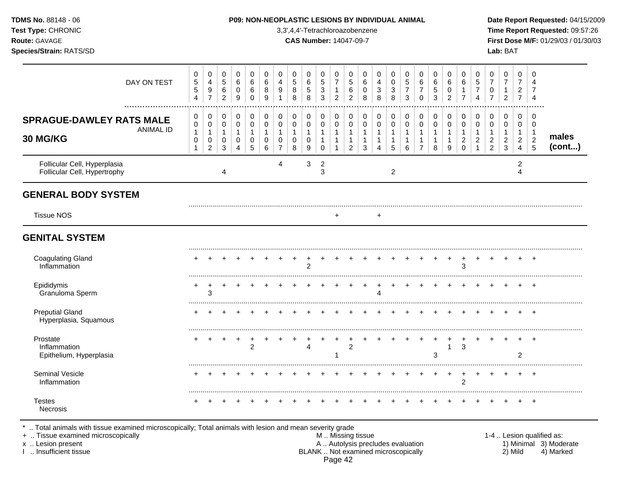| TDMS No. 88148 - 06<br>Test Type: CHRONIC<br>Route: GAVAGE<br>Species/Strain: RATS/SD |                            |                                                       |                                                   | P09: NON-NEOPLASTIC LESIONS BY INDIVIDUAL ANIMAL |                            |                                          |                                                       |                               | 3,3',4,4'-Tetrachloroazobenzene<br><b>CAS Number: 14047-09-7</b> |                                                                       |                                                                  |                                                                |                                  |                               |                                         |                           |                                    |                                  |                                 |                                                                 |                                                          |                                                            | Lab: BAT                                        |                                                                      |                                                   | Date Report Requested: 04/15/2009<br>Time Report Requested: 09:57:26<br>First Dose M/F: 01/29/03 / 01/30/03 |
|---------------------------------------------------------------------------------------|----------------------------|-------------------------------------------------------|---------------------------------------------------|--------------------------------------------------|----------------------------|------------------------------------------|-------------------------------------------------------|-------------------------------|------------------------------------------------------------------|-----------------------------------------------------------------------|------------------------------------------------------------------|----------------------------------------------------------------|----------------------------------|-------------------------------|-----------------------------------------|---------------------------|------------------------------------|----------------------------------|---------------------------------|-----------------------------------------------------------------|----------------------------------------------------------|------------------------------------------------------------|-------------------------------------------------|----------------------------------------------------------------------|---------------------------------------------------|-------------------------------------------------------------------------------------------------------------|
| DAY ON TEST                                                                           | 0<br>$\mathbf 5$<br>5<br>4 | 0<br>$\overline{4}$<br>9<br>$\overline{7}$            | 0<br>$\,$ 5 $\,$<br>6<br>$\overline{c}$           | 0<br>6<br>0<br>9                                 | 0<br>6<br>6<br>$\mathbf 0$ | 0<br>$\,6$<br>8<br>9                     | 0<br>$\overline{\mathbf{4}}$<br>9<br>$\mathbf{1}$     | 0<br>$\mathbf 5$<br>8<br>8    | 0<br>6<br>$\sqrt{5}$<br>8                                        | 0<br>$\,$ 5 $\,$<br>$\ensuremath{\mathsf{3}}$<br>$\sqrt{3}$           | 0<br>$\boldsymbol{7}$<br>$\mathbf{1}$<br>$\overline{2}$          | 0<br>$\overline{5}$<br>$\,6$<br>$\overline{2}$                 | 0<br>6<br>0<br>$\,8\,$           | 0<br>4<br>3<br>8              | 0<br>$\pmb{0}$<br>$\sqrt{3}$<br>$\,8\,$ | 0<br>$\sqrt{5}$<br>7<br>3 | 0<br>6<br>0                        | 0<br>6<br>5<br>3                 | 0<br>6<br>0<br>$\overline{c}$   | 0<br>$\,6\,$<br>$\mathbf{1}$<br>$\overline{7}$                  | 0<br>$\mathbf 5$<br>7<br>$\overline{4}$                  | 0<br>7<br>0<br>$\overline{7}$                              | 0<br>$\overline{7}$<br>$\overline{2}$           | 0<br>$\overline{7}$<br>$\overline{a}$<br>$\overline{7}$              | $\Omega$<br>$\overline{A}$<br>7<br>$\overline{4}$ |                                                                                                             |
| <b>SPRAGUE-DAWLEY RATS MALE</b><br><b>ANIMAL ID</b><br>30 MG/KG                       | 0<br>0<br>1<br>0<br>1      | 0<br>$\pmb{0}$<br>$\mathbf{1}$<br>0<br>$\overline{c}$ | 0<br>$\pmb{0}$<br>$\mathbf{1}$<br>0<br>$\sqrt{3}$ | 0<br>0<br>1<br>0<br>4                            | 0<br>0<br>1<br>0<br>5      | 0<br>$\pmb{0}$<br>$\mathbf{1}$<br>0<br>6 | 0<br>$\pmb{0}$<br>$\mathbf{1}$<br>0<br>$\overline{7}$ | 0<br>$\pmb{0}$<br>1<br>0<br>8 | 0<br>0<br>$\mathbf 1$<br>0<br>9                                  | $\pmb{0}$<br>$\pmb{0}$<br>$\mathbf{1}$<br>$\mathbf{1}$<br>$\mathbf 0$ | 0<br>$\pmb{0}$<br>$\overline{1}$<br>$\mathbf{1}$<br>$\mathbf{1}$ | 0<br>$\pmb{0}$<br>$\mathbf 1$<br>$\mathbf 1$<br>$\overline{2}$ | 0<br>0<br>$\mathbf{1}$<br>1<br>3 | 0<br>$\pmb{0}$<br>1<br>1<br>4 | 0<br>$\pmb{0}$<br>1<br>1<br>5           | 0<br>0<br>1<br>1<br>6     | 0<br>0<br>1<br>1<br>$\overline{7}$ | 0<br>0<br>1<br>$\mathbf{1}$<br>8 | 0<br>0<br>1<br>$\mathbf 1$<br>9 | 0<br>$\pmb{0}$<br>$\mathbf{1}$<br>$\overline{c}$<br>$\mathbf 0$ | 0<br>0<br>$\mathbf{1}$<br>$\overline{c}$<br>$\mathbf{1}$ | 0<br>0<br>$\mathbf{1}$<br>$\overline{c}$<br>$\overline{2}$ | $\pmb{0}$<br>$\pmb{0}$<br>$\boldsymbol{2}$<br>3 | 0<br>$\mathbf 0$<br>$\mathbf{1}$<br>$\overline{c}$<br>$\overline{4}$ | 0<br>0<br>$\overline{1}$<br>$\frac{2}{5}$         | males<br>(cont)                                                                                             |
| Follicular Cell, Hyperplasia<br>Follicular Cell, Hypertrophy                          |                            |                                                       | 4                                                 |                                                  |                            |                                          | 4                                                     |                               | 3                                                                | $\overline{c}$<br>3                                                   |                                                                  |                                                                |                                  |                               | $\overline{c}$                          |                           |                                    |                                  |                                 |                                                                 |                                                          |                                                            |                                                 | 2<br>4                                                               |                                                   |                                                                                                             |
| <b>GENERAL BODY SYSTEM</b>                                                            |                            |                                                       |                                                   |                                                  |                            |                                          |                                                       |                               |                                                                  |                                                                       |                                                                  |                                                                |                                  |                               |                                         |                           |                                    |                                  |                                 |                                                                 |                                                          |                                                            |                                                 |                                                                      |                                                   |                                                                                                             |
| <b>Tissue NOS</b>                                                                     |                            |                                                       |                                                   |                                                  |                            |                                          |                                                       |                               |                                                                  |                                                                       | $\ddot{}$                                                        |                                                                |                                  | $\ddot{}$                     |                                         |                           |                                    |                                  |                                 |                                                                 |                                                          |                                                            |                                                 |                                                                      |                                                   |                                                                                                             |
| <b>GENITAL SYSTEM</b>                                                                 |                            |                                                       |                                                   |                                                  |                            |                                          |                                                       |                               |                                                                  |                                                                       |                                                                  |                                                                |                                  |                               |                                         |                           |                                    |                                  |                                 |                                                                 |                                                          |                                                            |                                                 |                                                                      |                                                   |                                                                                                             |
| <b>Coagulating Gland</b><br>Inflammation                                              |                            |                                                       |                                                   |                                                  |                            |                                          |                                                       | $\ddot{}$                     | $\ddot{}$<br>2                                                   |                                                                       |                                                                  |                                                                |                                  |                               |                                         |                           | $+$                                | $+$                              | $+$                             | $^{+}$<br>3                                                     | $+$                                                      |                                                            |                                                 |                                                                      | $+$                                               |                                                                                                             |
| Epididymis<br>Granuloma Sperm                                                         |                            | $\overline{a}$<br>3                                   |                                                   |                                                  |                            |                                          |                                                       |                               |                                                                  |                                                                       |                                                                  |                                                                | +                                | Δ                             | $\ddot{}$                               |                           |                                    |                                  |                                 |                                                                 |                                                          |                                                            |                                                 |                                                                      |                                                   |                                                                                                             |
| <b>Preputial Gland</b><br>Hyperplasia, Squamous                                       |                            |                                                       |                                                   |                                                  |                            |                                          |                                                       |                               |                                                                  |                                                                       |                                                                  |                                                                |                                  |                               |                                         |                           |                                    |                                  |                                 |                                                                 |                                                          |                                                            |                                                 |                                                                      |                                                   |                                                                                                             |
| Prostate<br>Inflammation<br>Epithelium, Hyperplasia                                   |                            |                                                       |                                                   |                                                  | $\overline{c}$             |                                          |                                                       |                               | 4                                                                |                                                                       |                                                                  | 2                                                              |                                  |                               |                                         |                           |                                    | 3                                | $\div$<br>1                     | $\ddot{}$<br>3                                                  | $\ddot{}$                                                |                                                            |                                                 | 2                                                                    | $+$                                               |                                                                                                             |
| Seminal Vesicle<br>Inflammation                                                       |                            |                                                       |                                                   |                                                  |                            |                                          |                                                       |                               |                                                                  |                                                                       |                                                                  |                                                                |                                  |                               |                                         |                           |                                    |                                  |                                 |                                                                 |                                                          |                                                            |                                                 |                                                                      |                                                   |                                                                                                             |
| <b>Testes</b><br>Necrosis                                                             |                            |                                                       |                                                   |                                                  |                            |                                          |                                                       |                               |                                                                  |                                                                       |                                                                  |                                                                |                                  |                               |                                         |                           |                                    |                                  |                                 |                                                                 |                                                          |                                                            |                                                 |                                                                      |                                                   |                                                                                                             |

+ .. Tissue examined microscopically M.. Missing tissue M.. Missing tissue 1-4. Lesion qualified as:<br>
This issue 1-4 .. Lesion qualified as:<br>
1. Autolysis precludes evaluation A.. Autolysis precludes evaluation 1) Minimal x .. Lesion present **A .. Autolysis precludes evaluation** A .. Autolysis precludes evaluation 1) Minimal 3) Moderate I .. Insufficient tissue BLANK .. Not examined microscopically 2) Mild 4) Marked Page 42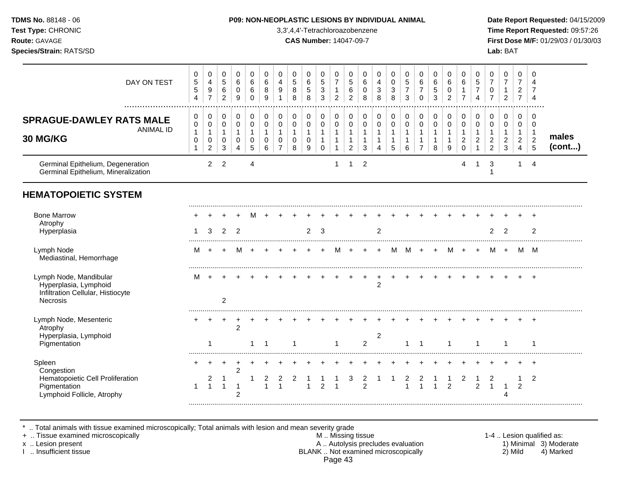#### **TDMS No.** 88148 - 06 **P09: NON-NEOPLASTIC LESIONS BY INDIVIDUAL ANIMAL Date Report Requested:** 04/15/2009

**Test Type:** CHRONIC 3,3',4,4'-Tetrachloroazobenzene **Time Report Requested:** 09:57:26 **Route:** GAVAGE **CAS Number:** 14047-09-7 **First Dose M/F:** 01/29/03 / 01/30/03

| DAY ON TEST                                                                                             | 0<br>$\,$ 5 $\,$<br>5<br>$\overline{4}$             | 0<br>4<br>$\boldsymbol{9}$<br>$\overline{7}$                  | $\mathbf 0$<br>$\sqrt{5}$<br>6<br>$\overline{2}$              | 0<br>6<br>0<br>9                                             | 0<br>6<br>6<br>$\Omega$                             | $\mathbf 0$<br>6<br>8<br>9      | 0<br>4<br>9                                       | $\mathbf 0$<br>$\sqrt{5}$<br>8<br>8        | 0<br>$\,6\,$<br>$\sqrt{5}$<br>8                  | $\mathbf 0$<br>$\sqrt{5}$<br>$\mathbf{3}$<br>3                  | 0<br>$\overline{7}$<br>$\mathbf{1}$<br>$\overline{c}$ | 0<br>$\sqrt{5}$<br>6<br>2                                         | 0<br>6<br>0<br>8                | 0<br>4<br>3<br>8      | 0<br>$\pmb{0}$<br>3<br>8                  | 0<br>$\sqrt{5}$<br>$\overline{7}$<br>3              | 0<br>$\,6\,$<br>$\overline{7}$<br>$\Omega$                       | 0<br>$\,6$<br>$\sqrt{5}$<br>3    | 0<br>6<br>$\mathbf 0$<br>2  | 0<br>6<br>1<br>$\overline{7}$                        | 0<br>$\sqrt{5}$<br>7<br>4          | 0<br>$\overline{7}$<br>0<br>$\overline{7}$                   | 0<br>$\overline{7}$<br>$\mathbf{1}$<br>$\overline{c}$       | $\mathbf 0$<br>$\overline{7}$<br>$\overline{2}$<br>$\overline{7}$              | 0<br>$\overline{4}$<br>$\overline{A}$                     |                 |
|---------------------------------------------------------------------------------------------------------|-----------------------------------------------------|---------------------------------------------------------------|---------------------------------------------------------------|--------------------------------------------------------------|-----------------------------------------------------|---------------------------------|---------------------------------------------------|--------------------------------------------|--------------------------------------------------|-----------------------------------------------------------------|-------------------------------------------------------|-------------------------------------------------------------------|---------------------------------|-----------------------|-------------------------------------------|-----------------------------------------------------|------------------------------------------------------------------|----------------------------------|-----------------------------|------------------------------------------------------|------------------------------------|--------------------------------------------------------------|-------------------------------------------------------------|--------------------------------------------------------------------------------|-----------------------------------------------------------|-----------------|
| <b>SPRAGUE-DAWLEY RATS MALE</b><br><b>ANIMAL ID</b><br>30 MG/KG                                         | 0<br>0<br>$\mathbf{1}$<br>$\pmb{0}$<br>$\mathbf{1}$ | 0<br>$\pmb{0}$<br>$\mathbf{1}$<br>$\pmb{0}$<br>$\overline{c}$ | 0<br>$\mathbf 0$<br>$\mathbf{1}$<br>$\mathbf 0$<br>$\sqrt{3}$ | 0<br>$\mathbf 0$<br>$\mathbf{1}$<br>0<br>4                   | 0<br>$\mathbf 0$<br>$\mathbf 1$<br>$\mathbf 0$<br>5 | 0<br>$\mathbf 0$<br>1<br>0<br>6 | 0<br>$\mathbf 0$<br>$\mathbf 0$<br>$\overline{7}$ | 0<br>$\mathsf 0$<br>$\mathbf{1}$<br>0<br>8 | 0<br>$\pmb{0}$<br>$\mathbf{1}$<br>$\pmb{0}$<br>9 | 0<br>$\mathbf 0$<br>$\mathbf{1}$<br>$\mathbf{1}$<br>$\mathbf 0$ | 0<br>$\mathbf 0$<br>$\mathbf{1}$<br>$\mathbf{1}$<br>1 | 0<br>$\mathbf 0$<br>$\mathbf{1}$<br>$\mathbf 1$<br>$\overline{2}$ | 0<br>$\mathbf 0$<br>1<br>1<br>3 | 0<br>$\mathbf 0$<br>4 | 0<br>$\mathsf 0$<br>$\mathbf 1$<br>1<br>5 | 0<br>$\pmb{0}$<br>$\mathbf{1}$<br>$\mathbf{1}$<br>6 | 0<br>$\pmb{0}$<br>$\mathbf{1}$<br>$\mathbf{1}$<br>$\overline{7}$ | 0<br>$\mathbf 0$<br>1<br>-1<br>8 | 0<br>$\mathbf 0$<br>-1<br>9 | 0<br>0<br>$\mathbf{1}$<br>$\overline{c}$<br>$\Omega$ | 0<br>$\mathbf 0$<br>$\overline{c}$ | 0<br>0<br>$\mathbf{1}$<br>$\boldsymbol{2}$<br>$\overline{c}$ | $\,0\,$<br>$\pmb{0}$<br>$\mathbf{1}$<br>$\overline{c}$<br>3 | $\mathbf 0$<br>$\mathbf 0$<br>$\mathbf{1}$<br>$\overline{2}$<br>$\overline{4}$ | $\mathbf 0$<br>0<br>$\overline{1}$<br>$\overline{c}$<br>5 | males<br>(cont) |
| Germinal Epithelium, Degeneration<br>Germinal Epithelium, Mineralization                                |                                                     | $\overline{2}$                                                | $\sqrt{2}$                                                    |                                                              | 4                                                   |                                 |                                                   |                                            |                                                  |                                                                 | -1                                                    |                                                                   | $\overline{c}$                  |                       |                                           |                                                     |                                                                  |                                  |                             | 4                                                    | -1                                 | 3<br>1                                                       |                                                             | 1                                                                              | $\overline{4}$                                            |                 |
| <b>HEMATOPOIETIC SYSTEM</b>                                                                             |                                                     |                                                               |                                                               |                                                              |                                                     |                                 |                                                   |                                            |                                                  |                                                                 |                                                       |                                                                   |                                 |                       |                                           |                                                     |                                                                  |                                  |                             |                                                      |                                    |                                                              |                                                             |                                                                                |                                                           |                 |
| <b>Bone Marrow</b><br>Atrophy<br>Hyperplasia                                                            | 1                                                   | 3                                                             | 2                                                             | -2                                                           |                                                     |                                 |                                                   |                                            | 2                                                | 3                                                               |                                                       |                                                                   |                                 | $\overline{2}$        |                                           |                                                     |                                                                  |                                  |                             |                                                      |                                    | 2                                                            | 2                                                           |                                                                                | $\overline{2}$                                            |                 |
| Lymph Node<br>Mediastinal, Hemorrhage                                                                   | М                                                   | $+$                                                           | $+$                                                           | м                                                            |                                                     |                                 |                                                   |                                            |                                                  |                                                                 | м                                                     |                                                                   |                                 |                       | M                                         | M                                                   | $+$                                                              | $\ddot{}$                        | м                           |                                                      |                                    | M                                                            | $+$                                                         | M M                                                                            |                                                           |                 |
| Lymph Node, Mandibular<br>Hyperplasia, Lymphoid<br>Infiltration Cellular, Histiocyte<br><b>Necrosis</b> | м                                                   | $\ddot{}$                                                     | 2                                                             |                                                              |                                                     |                                 |                                                   |                                            |                                                  |                                                                 |                                                       |                                                                   |                                 | $\overline{c}$        |                                           |                                                     |                                                                  |                                  |                             |                                                      |                                    |                                                              |                                                             |                                                                                | $\overline{ }$                                            |                 |
| Lymph Node, Mesenteric<br>Atrophy<br>Hyperplasia, Lymphoid<br>Pigmentation                              |                                                     | $\ddot{}$                                                     | $\overline{ }$                                                | $\overline{2}$                                               | 1                                                   | -1                              |                                                   | 1                                          |                                                  |                                                                 | $\mathbf{1}$                                          |                                                                   | $\overline{2}$                  | $\overline{2}$        |                                           | 1                                                   | $\overline{1}$                                                   |                                  | $\overline{1}$              |                                                      | 1                                  |                                                              |                                                             |                                                                                | $\overline{ }$<br>1                                       |                 |
| Spleen<br>Congestion<br>Hematopoietic Cell Proliferation<br>Pigmentation<br>Lymphoid Follicle, Atrophy  | 1                                                   | $\overline{2}$<br>$\blacktriangleleft$                        | $\ddot{}$<br>$\overline{1}$                                   | $\ddot{}$<br>$\overline{2}$<br>$\mathbf 1$<br>$\overline{2}$ |                                                     |                                 | 2                                                 | 2                                          |                                                  | $\overline{2}$                                                  |                                                       | 3                                                                 | 2                               |                       |                                           | 2<br>1                                              | 1                                                                |                                  | 2                           |                                                      | 2                                  | 2<br>$\mathbf{1}$                                            | $\mathbf{1}$                                                | 1<br>2                                                                         | $\ddot{}$<br>$\overline{2}$                               |                 |

\* .. Total animals with tissue examined microscopically; Total animals with lesion and mean severity grade

+ .. Tissue examined microscopically M .. Missing tissue 1-4 .. Lesion qualified as: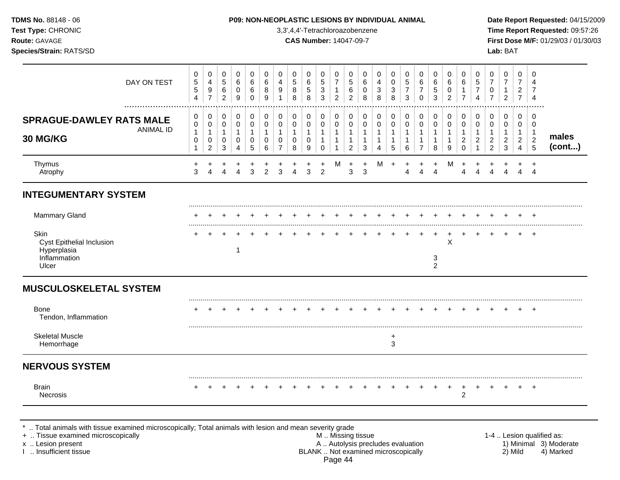#### **TDMS No.** 88148 - 06 **P09: NON-NEOPLASTIC LESIONS BY INDIVIDUAL ANIMAL Date Report Requested:** 04/15/2009

**Test Type:** CHRONIC 3,3',4,4'-Tetrachloroazobenzene **Time Report Requested:** 09:57:26 **Route:** GAVAGE **CAS Number:** 14047-09-7 **First Dose M/F:** 01/29/03 / 01/30/03

| DAY ON TEST                                                               | 0<br>5<br>5<br>4                                    | 0<br>4<br>$\boldsymbol{9}$<br>$\overline{7}$                  | 0<br>$\sqrt{5}$<br>6<br>$\overline{c}$                | 0<br>6<br>0<br>9                                              | 0<br>$\,6\,$<br>6<br>$\mathbf 0$                                | $\mathbf 0$<br>6<br>8<br>9                | 0<br>4<br>9<br>-1                                             | 0<br>$\sqrt{5}$<br>8<br>8                                    | 0<br>6<br>5<br>8                                   | 0<br>$\,$ 5 $\,$<br>3<br>3                      | 0<br>$\overline{7}$<br>$\mathbf{1}$<br>$\overline{2}$                    | $\mathbf 0$<br>$\sqrt{5}$<br>$\,6$<br>$\overline{c}$ | 0<br>6<br>0<br>8                           | 0<br>4<br>3<br>8                          | 0<br>$\pmb{0}$<br>$\sqrt{3}$<br>8                  | 0<br>$\,$ 5 $\,$<br>$\boldsymbol{7}$<br>$\sqrt{3}$                | 0<br>$\,6\,$<br>$\overline{7}$<br>$\mathbf 0$                   | 0<br>$\,6\,$<br>$\sqrt{5}$<br>$\sqrt{3}$ | 0<br>6<br>0<br>$\overline{2}$ | 0<br>$\,6$<br>1<br>$\overline{7}$         | 0<br>$\overline{5}$<br>$\overline{7}$<br>4                        | 0<br>$\overline{7}$<br>0<br>$\overline{7}$                          | 0<br>$\boldsymbol{7}$<br>$\mathbf{1}$<br>$\overline{c}$          | $\mathbf 0$<br>$\overline{7}$<br>$\overline{c}$<br>$\overline{7}$              | $\Omega$<br>$\overline{4}$<br>7<br>$\overline{4}$          |                 |
|---------------------------------------------------------------------------|-----------------------------------------------------|---------------------------------------------------------------|-------------------------------------------------------|---------------------------------------------------------------|-----------------------------------------------------------------|-------------------------------------------|---------------------------------------------------------------|--------------------------------------------------------------|----------------------------------------------------|-------------------------------------------------|--------------------------------------------------------------------------|------------------------------------------------------|--------------------------------------------|-------------------------------------------|----------------------------------------------------|-------------------------------------------------------------------|-----------------------------------------------------------------|------------------------------------------|-------------------------------|-------------------------------------------|-------------------------------------------------------------------|---------------------------------------------------------------------|------------------------------------------------------------------|--------------------------------------------------------------------------------|------------------------------------------------------------|-----------------|
| <br><b>SPRAGUE-DAWLEY RATS MALE</b><br><b>ANIMAL ID</b><br>30 MG/KG       | 0<br>$\pmb{0}$<br>$\mathbf{1}$<br>0<br>$\mathbf{1}$ | 0<br>$\pmb{0}$<br>$\mathbf{1}$<br>$\pmb{0}$<br>$\overline{c}$ | 0<br>$\mathbf 0$<br>$\mathbf{1}$<br>0<br>$\mathbf{3}$ | 0<br>$\pmb{0}$<br>$\mathbf{1}$<br>$\pmb{0}$<br>$\overline{4}$ | $\mathbf 0$<br>$\pmb{0}$<br>$\mathbf{1}$<br>0<br>$\overline{5}$ | $\mathbf 0$<br>$\mathbf 0$<br>1<br>0<br>6 | $\pmb{0}$<br>$\pmb{0}$<br>$\mathbf{1}$<br>0<br>$\overline{7}$ | $\pmb{0}$<br>$\mathbf 0$<br>$\mathbf{1}$<br>$\mathbf 0$<br>8 | $\mathbf 0$<br>$\pmb{0}$<br>$\mathbf{1}$<br>0<br>9 | $\mathbf 0$<br>$\mathsf 0$<br>$\mathbf{1}$<br>0 | $\mathbf 0$<br>$\pmb{0}$<br>$\mathbf{1}$<br>$\mathbf{1}$<br>$\mathbf{1}$ | 0<br>0<br>$\mathbf{1}$<br>1<br>$\overline{2}$        | 0<br>$\mathbf 0$<br>$\mathbf 1$<br>-1<br>3 | $\mathbf 0$<br>$\mathbf 0$<br>1<br>1<br>4 | $\mathbf 0$<br>$\pmb{0}$<br>$\mathbf{1}$<br>1<br>5 | $\pmb{0}$<br>$\pmb{0}$<br>$\mathbf{1}$<br>$\mathbf{1}$<br>$\,6\,$ | 0<br>$\pmb{0}$<br>$\mathbf{1}$<br>$\mathbf 1$<br>$\overline{7}$ | $\mathbf 0$<br>$\pmb{0}$<br>1<br>8       | 0<br>$\mathbf 0$<br>1<br>9    | 0<br>0<br>1<br>$\overline{c}$<br>$\Omega$ | $\mathbf 0$<br>$\mathbf 0$<br>$\mathbf{1}$<br>$\overline{2}$<br>1 | $\mathbf 0$<br>$\mathbf 0$<br>1<br>$\overline{c}$<br>$\overline{c}$ | 0<br>$\pmb{0}$<br>$\mathbf{1}$<br>$\overline{c}$<br>$\mathbf{3}$ | $\mathbf 0$<br>$\mathbf 0$<br>$\mathbf{1}$<br>$\overline{a}$<br>$\overline{4}$ | $\Omega$<br>$\mathbf 0$<br>$\mathbf{1}$<br>$\sqrt{2}$<br>5 | males<br>(cont) |
| Thymus<br>Atrophy                                                         | 3                                                   | $\overline{\mathbf{A}}$                                       | $\overline{A}$                                        | $\Delta$                                                      | 3                                                               | +<br>$\mathfrak{p}$                       | +<br>3                                                        | $\Delta$                                                     | +<br>3                                             | $\ddot{}$<br>$\overline{2}$                     | M                                                                        | $\ddot{}$<br>3                                       | $\ddot{}$<br>3                             | м                                         | $\ddot{}$                                          | +<br>4                                                            | $\overline{\mathbf{A}}$                                         | $\ddot{}$<br>$\boldsymbol{\varDelta}$    | M                             |                                           | $\overline{\Lambda}$                                              | $\overline{\Lambda}$                                                |                                                                  | $\lambda$                                                                      | $\ddot{}$<br>$\Delta$                                      |                 |
| <b>INTEGUMENTARY SYSTEM</b>                                               |                                                     |                                                               |                                                       |                                                               |                                                                 |                                           |                                                               |                                                              |                                                    |                                                 |                                                                          |                                                      |                                            |                                           |                                                    |                                                                   |                                                                 |                                          |                               |                                           |                                                                   |                                                                     |                                                                  |                                                                                |                                                            |                 |
| <b>Mammary Gland</b>                                                      |                                                     |                                                               |                                                       |                                                               |                                                                 |                                           |                                                               |                                                              |                                                    |                                                 |                                                                          |                                                      |                                            |                                           |                                                    |                                                                   |                                                                 |                                          |                               |                                           |                                                                   |                                                                     |                                                                  |                                                                                | $\div$                                                     |                 |
| Skin<br>Cyst Epithelial Inclusion<br>Hyperplasia<br>Inflammation<br>Ulcer |                                                     |                                                               |                                                       | -1                                                            |                                                                 |                                           |                                                               |                                                              |                                                    |                                                 |                                                                          |                                                      |                                            |                                           |                                                    |                                                                   |                                                                 | 3<br>$\overline{2}$                      | X                             |                                           |                                                                   |                                                                     |                                                                  |                                                                                | $\ddot{}$                                                  |                 |
| <b>MUSCULOSKELETAL SYSTEM</b>                                             |                                                     |                                                               |                                                       |                                                               |                                                                 |                                           |                                                               |                                                              |                                                    |                                                 |                                                                          |                                                      |                                            |                                           |                                                    |                                                                   |                                                                 |                                          |                               |                                           |                                                                   |                                                                     |                                                                  |                                                                                |                                                            |                 |
| Bone<br>Tendon, Inflammation                                              |                                                     |                                                               |                                                       |                                                               |                                                                 |                                           |                                                               |                                                              |                                                    |                                                 |                                                                          |                                                      |                                            |                                           |                                                    |                                                                   |                                                                 |                                          |                               |                                           |                                                                   |                                                                     |                                                                  |                                                                                | $\div$                                                     |                 |
| <b>Skeletal Muscle</b><br>Hemorrhage                                      |                                                     |                                                               |                                                       |                                                               |                                                                 |                                           |                                                               |                                                              |                                                    |                                                 |                                                                          |                                                      |                                            |                                           | $\ddot{}$<br>3                                     |                                                                   |                                                                 |                                          |                               |                                           |                                                                   |                                                                     |                                                                  |                                                                                |                                                            |                 |
| <b>NERVOUS SYSTEM</b>                                                     |                                                     |                                                               |                                                       |                                                               |                                                                 |                                           |                                                               |                                                              |                                                    |                                                 |                                                                          |                                                      |                                            |                                           |                                                    |                                                                   |                                                                 |                                          |                               |                                           |                                                                   |                                                                     |                                                                  |                                                                                |                                                            |                 |
| <b>Brain</b><br>Necrosis                                                  |                                                     |                                                               |                                                       |                                                               |                                                                 |                                           |                                                               |                                                              |                                                    |                                                 |                                                                          |                                                      |                                            |                                           |                                                    |                                                                   |                                                                 |                                          |                               | +<br>2                                    |                                                                   |                                                                     |                                                                  |                                                                                | $\pm$                                                      |                 |

\* .. Total animals with tissue examined microscopically; Total animals with lesion and mean severity grade

+ .. Tissue examined microscopically M .. Missing tissue 1-4 .. Lesion qualified as: x .. Lesion present **A .. Autolysis precludes evaluation** A .. Autolysis precludes evaluation 1) Minimal 3) Moderate I .. Insufficient tissue BLANK .. Not examined microscopically 2) Mild 4) Marked Page 44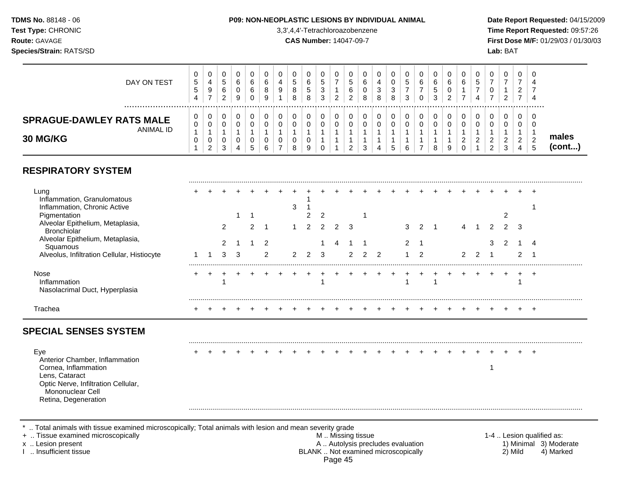#### **TDMS No.** 88148 - 06 **P09: NON-NEOPLASTIC LESIONS BY INDIVIDUAL ANIMAL Date Report Requested:** 04/15/2009

**Test Type:** CHRONIC 3,3',4,4'-Tetrachloroazobenzene **Time Report Requested:** 09:57:26 **Route:** GAVAGE **CAS Number:** 14047-09-7 **First Dose M/F:** 01/29/03 / 01/30/03

| DAY ON TEST                                                     | U<br>∽<br>ົບ<br>J<br>4 | v<br>Y<br>-           | ν<br>G<br>6<br>⌒<br>$\epsilon$ | 6<br>9 |        | U<br>⌒<br>6<br>8<br>9 | υ<br>9 | J<br>u | U<br>6<br><sub>5</sub><br>8 | ິ<br>G.<br>ັ<br>$\sim$<br>J | U<br>∼ | ◡<br>∽<br>IJ<br>ь<br><u>_</u> | ь<br>8 | 4<br>ົ<br>J<br>8 | 8 | U<br><sub>5</sub><br>3 | υ<br>6<br>0 | ⌒<br>6<br>3 | 6<br>ົ<br>$\epsilon$ | v<br>ς<br>J<br>4 | υ<br>υ<br>$\rightarrow$ | 0<br>ົ<br>$\epsilon$            | 0<br>◠<br><u>_</u><br>$\overline{ }$ | ີເ<br>$\epsilon$<br>-4 |                 |
|-----------------------------------------------------------------|------------------------|-----------------------|--------------------------------|--------|--------|-----------------------|--------|--------|-----------------------------|-----------------------------|--------|-------------------------------|--------|------------------|---|------------------------|-------------|-------------|----------------------|------------------|-------------------------|---------------------------------|--------------------------------------|------------------------|-----------------|
| <b>SPRAGUE-DAWLEY RATS MALE</b><br>ANIMAL ID<br><b>30 MG/KG</b> | U<br>U<br>v            | v<br>υ<br>v<br>$\sim$ |                                |        | $\sim$ | 0<br>U<br>6           | v<br>U |        | 0<br>0<br>9                 |                             | U      | v                             |        |                  |   | 0<br>0<br>⌒            | 0<br>0      |             | C                    | ◠<br><u>_</u>    | 0<br>u<br>∽<br>◠        | 0<br>0<br>ົ<br>_<br>$\sim$<br>د | 0<br>◠<br><u>.</u><br>4              | - 6                    | males<br>(cont) |

# **RESPIRATORY SYSTEM**

| Lung<br>Inflammation, Granulomatous                                                                                                                                |   |   |   |   |   |   |   |   |   |   |   |   |  |   |   |   |   |   |  |
|--------------------------------------------------------------------------------------------------------------------------------------------------------------------|---|---|---|---|---|---|---|---|---|---|---|---|--|---|---|---|---|---|--|
| Inflammation, Chronic Active<br>Pigmentation                                                                                                                       |   |   |   |   |   | 3 |   |   |   |   |   |   |  |   |   |   |   |   |  |
| Alveolar Epithelium, Metaplasia,<br>Bronchiolar                                                                                                                    |   | 2 |   | 2 |   |   |   | 3 |   |   | 3 | 2 |  | 4 |   | 2 | 3 |   |  |
| Alveolar Epithelium, Metaplasia,<br>Squamous                                                                                                                       |   |   |   |   | 2 |   |   |   |   |   |   |   |  |   |   |   |   | Δ |  |
| Alveolus, Infiltration Cellular, Histiocyte                                                                                                                        |   | 3 | 3 |   | 2 |   | 3 |   | 2 | 2 |   | ົ |  | 2 | ⌒ |   |   |   |  |
| Nose<br>Inflammation<br>Nasolacrimal Duct, Hyperplasia                                                                                                             | ٠ |   |   |   |   |   |   |   |   |   |   |   |  |   |   |   |   |   |  |
| Trachea                                                                                                                                                            |   |   |   |   |   |   |   |   |   |   |   |   |  |   |   |   |   |   |  |
| <b>SPECIAL SENSES SYSTEM</b>                                                                                                                                       |   |   |   |   |   |   |   |   |   |   |   |   |  |   |   |   |   |   |  |
| Eye<br>Anterior Chamber, Inflammation<br>Cornea, Inflammation<br>Lens, Cataract<br>Optic Nerve, Infiltration Cellular,<br>Mononuclear Cell<br>Retina, Degeneration |   |   |   |   |   |   |   |   |   |   |   |   |  |   |   |   |   |   |  |
|                                                                                                                                                                    | . |   |   |   |   |   |   |   |   |   |   |   |  |   |   |   |   |   |  |

\* .. Total animals with tissue examined microscopically; Total animals with lesion and mean severity grade<br>+ .. Tissue examined microscopically

+ .. Tissue examined microscopically  $M$ .. Missing tissue 1-4 .. Lesion qualified as: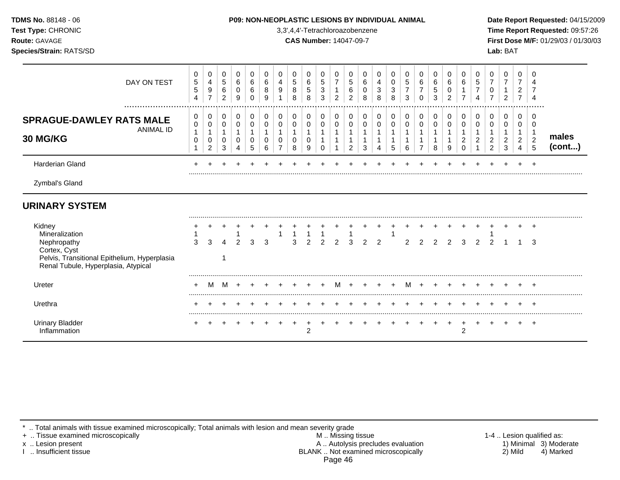#### **TDMS No.** 88148 - 06 **P09: NON-NEOPLASTIC LESIONS BY INDIVIDUAL ANIMAL Date Report Requested:** 04/15/2009

**Test Type:** CHRONIC 3,3',4,4'-Tetrachloroazobenzene **Time Report Requested:** 09:57:26 **Route:** GAVAGE **CAS Number:** 14047-09-7 **First Dose M/F:** 01/29/03 / 01/30/03

| DAY ON TEST                                                                                                                                    | 0<br>$\mathbf 5$<br>5<br>4            | $\pmb{0}$<br>$\overline{\mathbf{4}}$<br>9<br>$\overline{7}$ | 0<br>5<br>$\,6\,$<br>2          | 0<br>6<br>0<br>9                                   | 0<br>6<br>6<br>$\Omega$         | 0<br>$\,6$<br>8<br>9       | 0             | 0<br>5<br>8<br>8 | 0<br>6<br>5<br>8 | 0<br>5<br>$\mathbf{3}$<br>3 | 0<br>$\overline{7}$<br>2 | 0<br>$\sqrt{5}$<br>6<br>2 | 0<br>6<br>0<br>8 | 0<br>4<br>3<br>8   | 0<br>0<br>3<br>8 | 0<br>$\sqrt{5}$<br>3 | 0<br>6<br>$\overline{7}$<br>$\Omega$ | 0<br>$\,6$<br>5<br>3  | 0<br>6<br>0<br>2      | 0<br>6                  | 0<br>5<br>4   | 0<br>0      | 0<br>$\overline{7}$<br>2      | 0<br>$\overline{7}$<br>$\overline{\mathbf{c}}$<br>$\overline{7}$ | 0<br>4                                          |                 |
|------------------------------------------------------------------------------------------------------------------------------------------------|---------------------------------------|-------------------------------------------------------------|---------------------------------|----------------------------------------------------|---------------------------------|----------------------------|---------------|------------------|------------------|-----------------------------|--------------------------|---------------------------|------------------|--------------------|------------------|----------------------|--------------------------------------|-----------------------|-----------------------|-------------------------|---------------|-------------|-------------------------------|------------------------------------------------------------------|-------------------------------------------------|-----------------|
| <b>SPRAGUE-DAWLEY RATS MALE</b><br><b>ANIMAL ID</b><br>30 MG/KG                                                                                | 0<br>$\mathbf 0$<br>$\mathbf{1}$<br>0 | 0<br>$\pmb{0}$<br>0<br>2                                    | 0<br>$\mathsf 0$<br>1<br>0<br>3 | 0<br>$\pmb{0}$<br>$\mathbf{1}$<br>$\mathbf 0$<br>4 | 0<br>$\mathbf 0$<br>1<br>0<br>5 | 0<br>$\mathbf 0$<br>0<br>6 | 0<br>$\Omega$ | 0<br>8           | 0<br>0<br>9      | 0<br>0<br>$\Omega$          | 0<br>0                   | 0<br>0<br>2               | 0<br>0<br>3      | 0<br>$\Omega$<br>4 | 0<br>0<br>5      | 0<br>0<br>6          | 0<br>0                               | 0<br>$\mathbf 0$<br>8 | 0<br>$\mathbf 0$<br>9 | 0<br>0<br>2<br>$\Omega$ | 0<br>$\Omega$ | 0<br>2<br>2 | 0<br>0<br>$\overline{c}$<br>3 | 0<br>0<br>$\overline{c}$<br>$\overline{4}$                       | 0<br>0<br>1<br>$\overline{c}$<br>$\overline{5}$ | males<br>(cont) |
| Harderian Gland                                                                                                                                |                                       |                                                             |                                 |                                                    |                                 |                            |               |                  |                  |                             |                          |                           |                  |                    |                  |                      |                                      |                       |                       |                         |               |             |                               |                                                                  |                                                 |                 |
| Zymbal's Gland                                                                                                                                 |                                       |                                                             |                                 |                                                    |                                 |                            |               |                  |                  |                             |                          |                           |                  |                    |                  |                      |                                      |                       |                       |                         |               |             |                               |                                                                  |                                                 |                 |
| <b>URINARY SYSTEM</b>                                                                                                                          |                                       |                                                             |                                 |                                                    |                                 |                            |               |                  |                  |                             |                          |                           |                  |                    |                  |                      |                                      |                       |                       |                         |               |             |                               |                                                                  |                                                 |                 |
| Kidney<br>Mineralization<br>Nephropathy<br>Cortex, Cyst<br>Pelvis, Transitional Epithelium, Hyperplasia<br>Renal Tubule, Hyperplasia, Atypical | 3                                     | 3                                                           | $\overline{A}$                  | $\mathfrak{p}$                                     | 3                               | 3                          |               | 3                | 2                | っ                           | $\mathcal{P}$            |                           | $\mathfrak{p}$   | 2                  |                  | $\mathcal{P}$        | 2                                    | 2                     |                       | З                       | 2             |             |                               |                                                                  | 3                                               |                 |
| Ureter                                                                                                                                         |                                       | M                                                           | M                               |                                                    |                                 |                            |               |                  |                  |                             |                          |                           |                  |                    |                  |                      |                                      |                       |                       |                         |               |             |                               |                                                                  |                                                 |                 |
| Urethra                                                                                                                                        |                                       |                                                             |                                 |                                                    |                                 |                            |               |                  |                  |                             |                          |                           |                  |                    |                  |                      |                                      |                       |                       |                         |               |             |                               |                                                                  |                                                 |                 |
| <b>Urinary Bladder</b><br>Inflammation                                                                                                         |                                       |                                                             |                                 |                                                    |                                 |                            |               |                  |                  |                             |                          |                           |                  |                    |                  |                      |                                      |                       |                       | $\mathcal{P}$           |               |             |                               |                                                                  | $\div$                                          |                 |

\* .. Total animals with tissue examined microscopically; Total animals with lesion and mean severity grade

+ .. Tissue examined microscopically M .. Missing tissue 1-4 .. Lesion qualified as: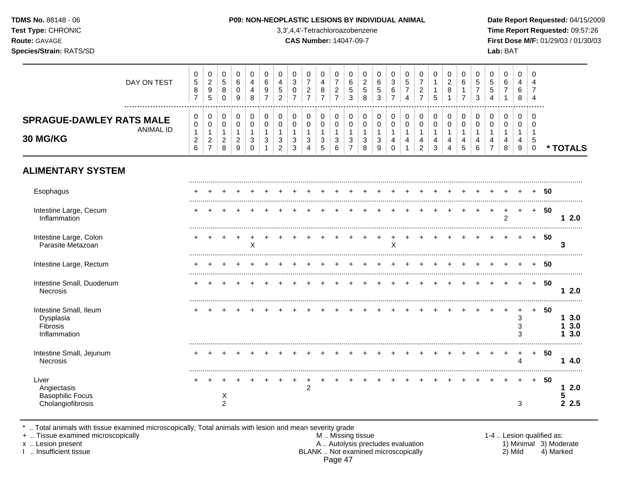| <b>TDMS No. 88148 - 06</b>     | <b>P09: NON-NEOPLASTIC LESIONS BY INDIVIDUAL ANIMAL</b> | Date Rep         |
|--------------------------------|---------------------------------------------------------|------------------|
| <b>Test Type: CHRONIC</b>      | 3,3',4,4'-Tetrachloroazobenzene                         | Time Rer         |
| <b>Route: GAVAGE</b>           | <b>CAS Number: 14047-09-7</b>                           | <b>First Dos</b> |
| <b>Species/Strain: RATS/SD</b> |                                                         | <b>Lab: BAT</b>  |

**Time Report Requested:** 09:57:26 **Route:** GAVAGE **CAS Number:** 14047-09-7 **First Dose M/F:** 01/29/03 / 01/30/03

| DAY ON TEST                                                          | 0<br>$\,$ 5 $\,$<br>$\,8\,$<br>$\overline{7}$             | $\mathbf 0$<br>$\boldsymbol{2}$<br>$\boldsymbol{9}$<br>5           | $\pmb{0}$<br>$\sqrt{5}$<br>8<br>$\Omega$                | $\mathbf 0$<br>$\,6$<br>0<br>9                                  | $\mathbf 0$<br>$\overline{4}$<br>4<br>8            | $\mathbf 0$<br>$\,6\,$<br>$\boldsymbol{9}$<br>$\overline{7}$ | 0<br>$\overline{4}$<br>$\overline{5}$<br>$\overline{2}$ | $\mathbf 0$<br>$\mathfrak{Z}$<br>$\mathbf 0$<br>$\overline{7}$ | 0<br>$\overline{7}$<br>$\overline{2}$<br>$\overline{7}$ | $\mathbf 0$<br>$\overline{4}$<br>8<br>$\overline{7}$    | $\mathbf 0$<br>$\overline{7}$<br>$\overline{c}$<br>$\overline{7}$ | $\mathbf 0$<br>6<br>$\sqrt{5}$<br>3                              | $\mathbf 0$<br>$\sqrt{2}$<br>5<br>8      | 0<br>$\,6\,$<br>5<br>3                     | $\mathbf 0$<br>$\mathbf{3}$<br>$\,6$<br>$\overline{7}$                   | $\mathbf 0$<br>5<br>$\overline{7}$<br>$\overline{4}$  | 0<br>$\overline{7}$<br>$\boldsymbol{2}$<br>$\overline{7}$ | $\mathbf 0$<br>$\mathbf{1}$<br>$\mathbf{1}$<br>5  | $\mathbf 0$<br>$\mathbf 2$<br>$\bf 8$<br>$\mathbf{1}$ | $\mathbf 0$<br>6<br>1<br>$\overline{7}$ | 0<br>5<br>$\overline{7}$<br>3    | $\mathbf 0$<br>$\sqrt{5}$<br>5<br>$\boldsymbol{\Lambda}$  | $\mathbf 0$<br>$\,6\,$<br>$\overline{7}$<br>1 | $\mathbf 0$<br>4<br>6<br>8                                        | $\Omega$<br>$\boldsymbol{\Lambda}$<br>$\boldsymbol{\Lambda}$ |    |               |            |
|----------------------------------------------------------------------|-----------------------------------------------------------|--------------------------------------------------------------------|---------------------------------------------------------|-----------------------------------------------------------------|----------------------------------------------------|--------------------------------------------------------------|---------------------------------------------------------|----------------------------------------------------------------|---------------------------------------------------------|---------------------------------------------------------|-------------------------------------------------------------------|------------------------------------------------------------------|------------------------------------------|--------------------------------------------|--------------------------------------------------------------------------|-------------------------------------------------------|-----------------------------------------------------------|---------------------------------------------------|-------------------------------------------------------|-----------------------------------------|----------------------------------|-----------------------------------------------------------|-----------------------------------------------|-------------------------------------------------------------------|--------------------------------------------------------------|----|---------------|------------|
| <b>SPRAGUE-DAWLEY RATS MALE</b><br><b>ANIMAL ID</b><br>30 MG/KG      | 0<br>$\mathbf 0$<br>1<br>$\overline{c}$<br>$6\phantom{a}$ | 0<br>$\pmb{0}$<br>$\mathbf{1}$<br>$\overline{2}$<br>$\overline{7}$ | 0<br>$\mathsf 0$<br>$\mathbf{1}$<br>$\overline{c}$<br>8 | $\pmb{0}$<br>$\pmb{0}$<br>$\mathbf{1}$<br>$\boldsymbol{2}$<br>9 | 0<br>$\pmb{0}$<br>$\mathbf{1}$<br>3<br>$\mathbf 0$ | $\mathbf 0$<br>$\pmb{0}$<br>$\overline{1}$<br>3              | 0<br>$\mathbf 0$<br>$\mathbf{1}$<br>$\mathbf{3}$<br>2   | 0<br>$\mathbf 0$<br>$\mathbf 1$<br>3<br>3                      | 0<br>$\pmb{0}$<br>$\mathbf{1}$<br>3<br>4                | 0<br>0<br>$\mathbf{1}$<br>$\sqrt{3}$<br>$5\phantom{.0}$ | 0<br>$\mathbf 0$<br>$\overline{1}$<br>3<br>6                      | 0<br>$\pmb{0}$<br>$\mathbf{1}$<br>$\mathbf{3}$<br>$\overline{7}$ | 0<br>$\pmb{0}$<br>$\mathbf{1}$<br>3<br>8 | 0<br>$\mathbf 0$<br>$\mathbf{1}$<br>3<br>9 | $\mathbf 0$<br>$\mathbf 0$<br>$\mathbf{1}$<br>$\overline{4}$<br>$\Omega$ | 0<br>$\pmb{0}$<br>$\mathbf{1}$<br>$\overline{4}$<br>1 | 0<br>0<br>$\mathbf{1}$<br>4<br>$\overline{c}$             | 0<br>$\pmb{0}$<br>$\mathbf{1}$<br>4<br>$\sqrt{3}$ | 0<br>$\pmb{0}$<br>$\mathbf{1}$<br>$\overline{4}$<br>4 | 0<br>$\mathbf 0$<br>1<br>4<br>5         | 0<br>0<br>$\mathbf{1}$<br>4<br>6 | 0<br>$\mathbf 0$<br>1<br>$\overline{4}$<br>$\overline{7}$ | 0<br>0<br>1<br>4<br>$\,8\,$                   | $\mathbf 0$<br>$\mathbf 0$<br>$\mathbf{1}$<br>4<br>$\overline{9}$ | $\Omega$<br>$\Omega$<br>$\mathbf 1$<br>5<br>$\mathbf 0$      |    | * TOTALS      |            |
| <b>ALIMENTARY SYSTEM</b>                                             |                                                           |                                                                    |                                                         |                                                                 |                                                    |                                                              |                                                         |                                                                |                                                         |                                                         |                                                                   |                                                                  |                                          |                                            |                                                                          |                                                       |                                                           |                                                   |                                                       |                                         |                                  |                                                           |                                               |                                                                   |                                                              |    |               |            |
| Esophagus                                                            |                                                           |                                                                    |                                                         |                                                                 |                                                    |                                                              |                                                         |                                                                |                                                         |                                                         |                                                                   |                                                                  |                                          |                                            |                                                                          |                                                       |                                                           |                                                   |                                                       |                                         |                                  |                                                           |                                               |                                                                   |                                                              | 50 |               |            |
| Intestine Large, Cecum<br>Inflammation                               |                                                           |                                                                    |                                                         |                                                                 |                                                    |                                                              |                                                         |                                                                |                                                         |                                                         |                                                                   |                                                                  |                                          |                                            |                                                                          |                                                       |                                                           |                                                   |                                                       |                                         |                                  | $\ddot{}$                                                 | $\ddot{}$<br>$\overline{2}$                   | $\ddot{}$                                                         | $\ddot{}$                                                    | 50 | 12.0          |            |
| Intestine Large, Colon<br>Parasite Metazoan                          |                                                           |                                                                    |                                                         |                                                                 | X                                                  |                                                              |                                                         |                                                                |                                                         |                                                         |                                                                   |                                                                  |                                          |                                            | X                                                                        |                                                       |                                                           |                                                   |                                                       |                                         |                                  |                                                           |                                               |                                                                   |                                                              | 50 | 3             |            |
| Intestine Large, Rectum                                              |                                                           |                                                                    |                                                         |                                                                 |                                                    |                                                              |                                                         |                                                                |                                                         |                                                         |                                                                   |                                                                  |                                          |                                            |                                                                          |                                                       |                                                           |                                                   |                                                       |                                         |                                  |                                                           |                                               |                                                                   |                                                              | 50 |               |            |
| Intestine Small, Duodenum<br>Necrosis                                |                                                           |                                                                    |                                                         |                                                                 |                                                    |                                                              |                                                         |                                                                |                                                         |                                                         |                                                                   |                                                                  |                                          |                                            |                                                                          |                                                       |                                                           |                                                   |                                                       |                                         |                                  |                                                           |                                               | $\ddot{}$                                                         | $+$                                                          | 50 | 12.0          |            |
| Intestine Small, Ileum<br>Dysplasia<br>Fibrosis<br>Inflammation      |                                                           |                                                                    |                                                         |                                                                 |                                                    |                                                              |                                                         |                                                                |                                                         |                                                         |                                                                   |                                                                  |                                          |                                            |                                                                          |                                                       |                                                           |                                                   |                                                       |                                         |                                  |                                                           |                                               | $\ddot{}$<br>3<br>3<br>3                                          |                                                              | 50 | 13.0<br>1     | 3.0<br>3.0 |
| Intestine Small, Jejunum<br>Necrosis                                 |                                                           |                                                                    |                                                         |                                                                 |                                                    |                                                              |                                                         |                                                                |                                                         |                                                         |                                                                   |                                                                  |                                          |                                            |                                                                          |                                                       |                                                           |                                                   |                                                       |                                         |                                  |                                                           | $\ddot{}$                                     | $\ddot{}$<br>4                                                    | $+$                                                          | 50 | 14.0          |            |
| Liver<br>Angiectasis<br><b>Basophilic Focus</b><br>Cholangiofibrosis |                                                           |                                                                    | X<br>$\overline{2}$                                     |                                                                 |                                                    |                                                              |                                                         | $\ddot{}$                                                      | $+$<br>$\overline{2}$                                   | $\pm$                                                   |                                                                   |                                                                  |                                          |                                            |                                                                          |                                                       |                                                           |                                                   |                                                       |                                         |                                  |                                                           |                                               | $\ddot{}$<br>3                                                    | $+$                                                          | 50 | 1<br>5<br>2.5 | 2.0        |

\* .. Total animals with tissue examined microscopically; Total animals with lesion and mean severity grade

+ .. Tissue examined microscopically M .. Missing tissue 1-4 .. Lesion qualified as: x .. Lesion present **A .. Autolysis precludes evaluation** A .. Autolysis precludes evaluation 1) Minimal 3) Moderate I .. Insufficient tissue BLANK .. Not examined microscopically 2) Mild 4) Marked Page 47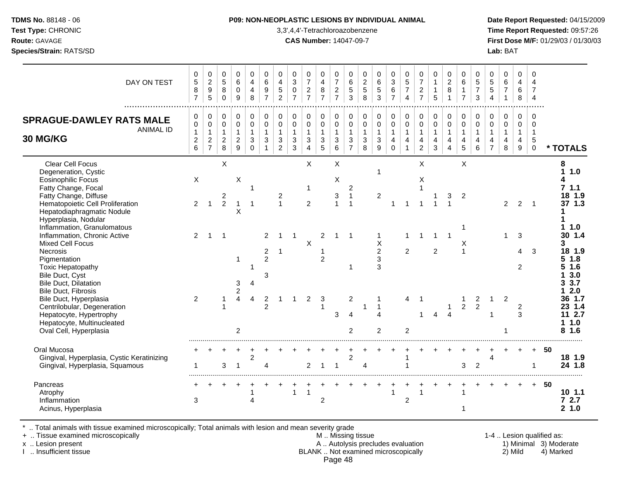#### **TDMS No.** 88148 - 06 **P09: NON-NEOPLASTIC LESIONS BY INDIVIDUAL ANIMAL Date Report Requested:** 04/15/2009

**Test Type:** CHRONIC 3,3',4,4'-Tetrachloroazobenzene **Time Report Requested:** 09:57:26 **Route:** GAVAGE **CAS Number:** 14047-09-7 **First Dose M/F:** 01/29/03 / 01/30/03 **Species/Strain:** RATS/SD **Lab:** BAT

| DAY ON TEST                                                                                                                                                                                                               | 0<br>$\sqrt{5}$<br>$\bf 8$<br>$\overline{7}$                         | 0<br>$\overline{c}$<br>$\boldsymbol{9}$<br>5                         | 0<br>$\sqrt{5}$<br>8<br>$\Omega$                         | $\mathbf 0$<br>$\,6\,$<br>$\mathbf 0$<br>9                                   | 0<br>$\overline{4}$<br>$\overline{4}$<br>8         | 0<br>6<br>$9\,$<br>$\overline{7}$                       | 0<br>$\overline{4}$<br>$\overline{5}$<br>$\overline{2}$                    | 0<br>$\mathfrak{Z}$<br>$\pmb{0}$<br>$\overline{7}$          | 0<br>$\overline{7}$<br>$rac{2}{7}$                                        | $\mathbf 0$<br>$\overline{4}$<br>8<br>$\overline{7}$ | 0<br>$\overline{7}$<br>$\boldsymbol{2}$<br>$\overline{7}$ | 0<br>$\,6\,$<br>$\sqrt{5}$<br>3                                    | 0<br>$\overline{a}$<br>$\sqrt{5}$<br>8                      | $\mathbf 0$<br>$\,6\,$<br>$\sqrt{5}$<br>3                                  | $\mathbf 0$<br>$\mathbf{3}$<br>$\,6\,$<br>$\overline{7}$          | 0<br>$\sqrt{5}$<br>$\boldsymbol{7}$<br>$\overline{4}$            | 0<br>$\overline{7}$<br>$\overline{2}$<br>$\overline{7}$            | $\mathbf 0$<br>$\mathbf{1}$<br>$\mathbf{1}$<br>5 | 0<br>$\sqrt{2}$<br>$\bf 8$<br>$\overline{1}$                    | 0<br>6<br>$\overline{1}$<br>$\overline{7}$            | $\mathbf 0$<br>$\sqrt{5}$<br>$\overline{7}$<br>$\mathbf{3}$ | 0<br>5<br>5<br>$\overline{4}$                             | $\mathbf 0$<br>$\,6\,$<br>$\overline{7}$<br>$\mathbf{1}$ | $\Omega$<br>4<br>6<br>8                                                        | $\Omega$<br>$\overline{4}$<br>7<br>$\overline{4}$           |    |                                                                                 |
|---------------------------------------------------------------------------------------------------------------------------------------------------------------------------------------------------------------------------|----------------------------------------------------------------------|----------------------------------------------------------------------|----------------------------------------------------------|------------------------------------------------------------------------------|----------------------------------------------------|---------------------------------------------------------|----------------------------------------------------------------------------|-------------------------------------------------------------|---------------------------------------------------------------------------|------------------------------------------------------|-----------------------------------------------------------|--------------------------------------------------------------------|-------------------------------------------------------------|----------------------------------------------------------------------------|-------------------------------------------------------------------|------------------------------------------------------------------|--------------------------------------------------------------------|--------------------------------------------------|-----------------------------------------------------------------|-------------------------------------------------------|-------------------------------------------------------------|-----------------------------------------------------------|----------------------------------------------------------|--------------------------------------------------------------------------------|-------------------------------------------------------------|----|---------------------------------------------------------------------------------|
| <b>SPRAGUE-DAWLEY RATS MALE</b><br><b>ANIMAL ID</b><br>30 MG/KG                                                                                                                                                           | 0<br>$\mathbf 0$<br>$\mathbf{1}$<br>$\overline{2}$<br>$6\phantom{a}$ | 0<br>$\mathsf 0$<br>$\mathbf{1}$<br>$\overline{2}$<br>$\overline{7}$ | 0<br>$\mathsf{O}$<br>$\mathbf{1}$<br>$\overline{2}$<br>8 | $\mathbf 0$<br>$\mathbf 0$<br>$\mathbf{1}$<br>$\sqrt{2}$<br>$\boldsymbol{9}$ | 0<br>$\pmb{0}$<br>$\mathbf{1}$<br>3<br>$\mathbf 0$ | 0<br>$\mathbf 0$<br>$\mathbf{1}$<br>3                   | $\pmb{0}$<br>$\mathbf 0$<br>$\mathbf{1}$<br>$\mathbf{3}$<br>$\overline{2}$ | $\pmb{0}$<br>$\mathbf 0$<br>$\mathbf{1}$<br>$\sqrt{3}$<br>3 | 0<br>$\mathsf{O}\xspace$<br>$\mathbf{1}$<br>$\mathsf 3$<br>$\overline{4}$ | 0<br>$\mathbf 0$<br>$\mathbf{1}$<br>$\sqrt{3}$<br>5  | 0<br>$\pmb{0}$<br>$\mathbf{1}$<br>$\sqrt{3}$<br>$\,6\,$   | 0<br>$\mathbf 0$<br>$\mathbf{1}$<br>$\mathbf{3}$<br>$\overline{7}$ | $\pmb{0}$<br>$\pmb{0}$<br>$\mathbf{1}$<br>$\mathbf{3}$<br>8 | $\mathbf 0$<br>$\pmb{0}$<br>$\mathbf{1}$<br>$\sqrt{3}$<br>$\boldsymbol{9}$ | 0<br>$\mathsf 0$<br>$\mathbf{1}$<br>$\overline{4}$<br>$\mathbf 0$ | 0<br>$\pmb{0}$<br>$\mathbf{1}$<br>$\overline{4}$<br>$\mathbf{1}$ | 0<br>$\pmb{0}$<br>$\mathbf{1}$<br>$\overline{4}$<br>$\overline{c}$ | 0<br>$\pmb{0}$<br>$\mathbf{1}$<br>4<br>3         | $\mathbf 0$<br>$\pmb{0}$<br>$\mathbf{1}$<br>4<br>$\overline{4}$ | 0<br>$\pmb{0}$<br>$\mathbf{1}$<br>$\overline{4}$<br>5 | 0<br>$\pmb{0}$<br>$\mathbf{1}$<br>4<br>6                    | 0<br>$\mathbf 0$<br>1<br>$\overline{4}$<br>$\overline{7}$ | $\pmb{0}$<br>$\mathsf 0$<br>$\mathbf{1}$<br>4<br>8       | $\mathbf 0$<br>$\pmb{0}$<br>$\mathbf{1}$<br>$\overline{4}$<br>$\boldsymbol{9}$ | $\Omega$<br>$\mathbf 0$<br>$\mathbf{1}$<br>5<br>$\mathsf 0$ |    | * TOTALS                                                                        |
| <b>Clear Cell Focus</b><br>Degeneration, Cystic<br>Eosinophilic Focus<br>Fatty Change, Focal<br>Fatty Change, Diffuse<br>Hematopoietic Cell Proliferation<br>Hepatodiaphragmatic Nodule                                   | $\mathsf{X}$<br>$\overline{2}$                                       | $\overline{1}$                                                       | X<br>$\overline{\mathbf{c}}$<br>$\overline{c}$           | X<br>$\overline{1}$<br>$\times$                                              | $\mathbf 1$<br>$\overline{1}$                      |                                                         | $\overline{\mathbf{c}}$<br>$\mathbf{1}$                                    |                                                             | X<br>1<br>$\overline{2}$                                                  |                                                      | X<br>X<br>$\ensuremath{\mathsf{3}}$<br>1                  | $\overline{c}$<br>$\mathbf{1}$<br>$\mathbf{1}$                     |                                                             | 1<br>$\sqrt{2}$                                                            | 1                                                                 | $\mathbf 1$                                                      | X<br>X<br>$\mathbf{1}$                                             | 1                                                | 3<br>1                                                          | $\times$<br>$\overline{2}$                            |                                                             |                                                           | $\overline{2}$                                           | $\overline{2}$                                                                 | $\overline{1}$                                              |    | 8<br>11.0<br>Δ<br>7.1.1<br>18 1.9<br>37 1.3                                     |
| Hyperplasia, Nodular<br>Inflammation, Granulomatous<br>Inflammation, Chronic Active<br><b>Mixed Cell Focus</b><br><b>Necrosis</b><br>Pigmentation<br>Toxic Hepatopathy<br>Bile Duct, Cyst<br><b>Bile Duct, Dilatation</b> | $\overline{2}$                                                       | $\overline{1}$                                                       | $\overline{1}$                                           | -1<br>3                                                                      | $\mathbf{1}$<br>$\overline{4}$                     | $\overline{2}$<br>$\overline{a}$<br>$\overline{2}$<br>3 | -1<br>1                                                                    | $\overline{1}$                                              | X                                                                         | $\overline{2}$<br>1<br>$\overline{2}$                |                                                           | 1<br>1                                                             |                                                             | -1<br>X<br>$\overline{c}$<br>3<br>3                                        |                                                                   | $\mathbf 1$<br>$\overline{2}$                                    | -1                                                                 | $\mathbf{1}$<br>$\overline{2}$                   | $\overline{1}$                                                  | -1<br>Х<br>1                                          |                                                             |                                                           |                                                          | 3<br>4<br>$\overline{2}$                                                       | 3                                                           |    | 1.0<br>1.<br>30 1.4<br>3<br>18 1.9<br>1.8<br>5.<br>5.<br>1.6<br>3.0<br>3.7<br>3 |
| <b>Bile Duct, Fibrosis</b><br>Bile Duct, Hyperplasia<br>Centrilobular, Degeneration<br>Hepatocyte, Hypertrophy<br>Hepatocyte, Multinucleated<br>Oval Cell, Hyperplasia                                                    | $\overline{2}$                                                       |                                                                      | 1                                                        | $\overline{c}$<br>$\overline{4}$<br>2                                        | 4                                                  | 2<br>$\overline{2}$                                     |                                                                            |                                                             | 2                                                                         | 3                                                    | 3                                                         | $\overline{c}$<br>$\overline{4}$<br>2                              | $\mathbf 1$                                                 | -1<br>$\mathbf{1}$<br>$\overline{4}$<br>2                                  |                                                                   | 4<br>$\overline{c}$                                              | -1                                                                 | $\overline{4}$                                   | 1<br>4                                                          | $\overline{2}$                                        | 2<br>2                                                      | 1                                                         | 2                                                        | $\overline{2}$<br>3                                                            |                                                             |    | 2.0<br>36 1.7<br>23 1.4<br>11 2.7<br>1.0<br>1.<br>8, 1.6                        |
| Oral Mucosa<br>Gingival, Hyperplasia, Cystic Keratinizing<br>Gingival, Hyperplasia, Squamous                                                                                                                              | 1                                                                    |                                                                      | 3                                                        | -1                                                                           | $\overline{c}$                                     | 4                                                       |                                                                            |                                                             | 2                                                                         |                                                      | $\mathbf 1$                                               | $\boldsymbol{2}$                                                   | 4                                                           |                                                                            |                                                                   |                                                                  |                                                                    |                                                  |                                                                 | 3                                                     | $\overline{2}$                                              | 4                                                         |                                                          |                                                                                | 1                                                           | 50 | 18 1.9<br>24 1.8                                                                |
| Pancreas<br>Atrophy<br>Inflammation<br>Acinus, Hyperplasia                                                                                                                                                                | 3                                                                    |                                                                      |                                                          |                                                                              | 1<br>4                                             |                                                         |                                                                            | $\mathbf 1$                                                 | $\overline{\mathbf{1}}$                                                   | $\overline{2}$                                       |                                                           |                                                                    |                                                             |                                                                            | $\mathbf{1}$                                                      | $\overline{c}$                                                   |                                                                    |                                                  |                                                                 |                                                       |                                                             |                                                           |                                                          |                                                                                | $+$                                                         | 50 | 101.1<br>72.7<br>21.0                                                           |

\* .. Total animals with tissue examined microscopically; Total animals with lesion and mean severity grade

+ .. Tissue examined microscopically M .. Missing tissue 1-4 .. Lesion qualified as: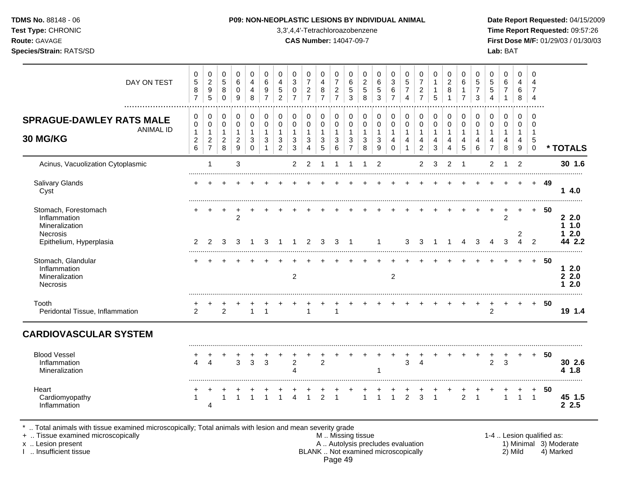| <b>TDMS No. 88148 - 06</b> |
|----------------------------|
| <b>Test Type: CHRONIC</b>  |
| Route: GAVAGE              |

# **P09: NON-NEOPLASTIC LESIONS BY INDIVIDUAL ANIMAL Date Report Requested:** 04/15/2009

**Time Report Requested:** 09:57:26 **CAS Number:** 14047-09-7 **First Dose M/F:** 01/29/03 / 01/30/03

| DAY ON TEST                                                                                   | 0<br>$\sqrt{5}$<br>8<br>$\overline{7}$          | 0<br>$\boldsymbol{2}$<br>$\boldsymbol{9}$<br>$\sqrt{5}$   | 0<br>$\overline{5}$<br>$\bf8$<br>$\mathbf 0$              | $\pmb{0}$<br>$\,6$<br>$\pmb{0}$<br>9                                       | 0<br>4<br>$\overline{4}$<br>8                        | 0<br>$\,6$<br>$\boldsymbol{9}$<br>$\overline{7}$          | 0<br>$\overline{4}$<br>$\sqrt{5}$<br>$\mathcal{P}$                 | 0<br>$\sqrt{3}$<br>0<br>$\overline{7}$     | 0<br>$\overline{7}$<br>$\overline{c}$<br>$\overline{7}$        | 0<br>4<br>8<br>$\overline{7}$                          | 0<br>$\overline{7}$<br>$\overline{c}$<br>$\overline{7}$           | 0<br>6<br>$\,$ 5 $\,$<br>3                                                 | 0<br>$\overline{c}$<br>$\sqrt{5}$<br>8     | 0<br>$\,6\,$<br>$\sqrt{5}$<br>3          | 0<br>$\sqrt{3}$<br>$\,6\,$<br>$\overline{7}$          | 0<br>$\,$ 5 $\,$<br>$\overline{7}$<br>$\overline{4}$ | 0<br>$\overline{7}$<br>$\sqrt{2}$<br>$\overline{7}$                  | $\Omega$<br>1<br>$\mathbf{1}$<br>5            | 0<br>$\boldsymbol{2}$<br>8                 | 0<br>6<br>$\mathbf 1$<br>$\overline{7}$      | $\pmb{0}$<br>$\sqrt{5}$<br>$\overline{7}$<br>3        | 0<br>$\,$ 5 $\,$<br>$\sqrt{5}$<br>$\overline{4}$ | 0<br>$\,6$<br>$\overline{7}$<br>$\mathbf{1}$ | $\mathbf 0$<br>4<br>6<br>8       | $\Omega$<br>$\overline{4}$<br>7<br>4      |      |                                     |
|-----------------------------------------------------------------------------------------------|-------------------------------------------------|-----------------------------------------------------------|-----------------------------------------------------------|----------------------------------------------------------------------------|------------------------------------------------------|-----------------------------------------------------------|--------------------------------------------------------------------|--------------------------------------------|----------------------------------------------------------------|--------------------------------------------------------|-------------------------------------------------------------------|----------------------------------------------------------------------------|--------------------------------------------|------------------------------------------|-------------------------------------------------------|------------------------------------------------------|----------------------------------------------------------------------|-----------------------------------------------|--------------------------------------------|----------------------------------------------|-------------------------------------------------------|--------------------------------------------------|----------------------------------------------|----------------------------------|-------------------------------------------|------|-------------------------------------|
| <b>SPRAGUE-DAWLEY RATS MALE</b><br><b>ANIMAL ID</b><br>30 MG/KG                               | 0<br>0<br>$\mathbf{1}$<br>$\boldsymbol{2}$<br>6 | $\mathbf 0$<br>$\pmb{0}$<br>$\mathbf{1}$<br>$\frac{2}{7}$ | 0<br>$\mathbf 0$<br>$\mathbf{1}$<br>$\boldsymbol{2}$<br>8 | $\,0\,$<br>$\pmb{0}$<br>$\mathbf{1}$<br>$\overline{c}$<br>$\boldsymbol{9}$ | 0<br>$\mathbf 0$<br>$\mathbf{1}$<br>3<br>$\mathbf 0$ | $\,0\,$<br>$\pmb{0}$<br>$\mathbf{1}$<br>$\mathbf{3}$<br>1 | 0<br>$\mathbf 0$<br>$\mathbf{1}$<br>$\mathbf{3}$<br>$\overline{2}$ | 0<br>$\mathbf 0$<br>$\mathbf{1}$<br>3<br>3 | 0<br>$\pmb{0}$<br>$\mathbf{1}$<br>$\sqrt{3}$<br>$\overline{4}$ | 0<br>0<br>$\mathbf{1}$<br>$\sqrt{3}$<br>$\overline{5}$ | 0<br>$\mathbf 0$<br>$\mathbf{1}$<br>$\sqrt{3}$<br>$6\phantom{1}6$ | $\pmb{0}$<br>$\mathbf 0$<br>$\overline{1}$<br>$\sqrt{3}$<br>$\overline{7}$ | 0<br>$\mathbf 0$<br>$\mathbf{1}$<br>3<br>8 | 0<br>$\mathbf 0$<br>1<br>$\sqrt{3}$<br>9 | 0<br>$\mathsf{O}$<br>$\mathbf{1}$<br>4<br>$\mathbf 0$ | 0<br>0<br>$\mathbf{1}$<br>4<br>$\mathbf{1}$          | 0<br>$\mathbf 0$<br>$\mathbf{1}$<br>$\overline{a}$<br>$\overline{2}$ | 0<br>0<br>$\mathbf{1}$<br>$\overline{4}$<br>3 | 0<br>$\mathbf 0$<br>$\mathbf{1}$<br>4<br>4 | 0<br>$\mathbf 0$<br>1<br>$\overline{4}$<br>5 | 0<br>$\pmb{0}$<br>$\mathbf{1}$<br>$\overline{4}$<br>6 | 0<br>0<br>$\mathbf{1}$<br>4<br>$\overline{7}$    | 0<br>$\mathbf 0$<br>$\mathbf{1}$<br>4<br>8   | 0<br>0<br>$\mathbf{1}$<br>4<br>9 | 0<br>$\Omega$<br>1<br>5<br>$\overline{0}$ |      | * TOTALS                            |
| Acinus, Vacuolization Cytoplasmic                                                             |                                                 | 1                                                         |                                                           | 3                                                                          |                                                      |                                                           |                                                                    | $\overline{2}$                             | 2                                                              |                                                        |                                                                   |                                                                            |                                            | $\overline{2}$                           |                                                       |                                                      | $\overline{c}$                                                       | 3                                             | $\overline{2}$                             | $\mathbf 1$                                  |                                                       | $\overline{2}$                                   |                                              | $\overline{2}$                   |                                           |      | 30 1.6                              |
| Salivary Glands<br>Cyst                                                                       |                                                 |                                                           |                                                           |                                                                            |                                                      |                                                           |                                                                    |                                            |                                                                |                                                        |                                                                   |                                                                            |                                            |                                          |                                                       |                                                      |                                                                      |                                               |                                            |                                              |                                                       |                                                  | $\ddot{}$                                    | $+$                              |                                           | + 49 | 14.0                                |
| Stomach, Forestomach<br>Inflammation<br>Mineralization<br>Necrosis<br>Epithelium, Hyperplasia | 2                                               | ÷<br>2                                                    | $\ddot{}$<br>3                                            | ٠<br>2<br>3                                                                |                                                      | 3                                                         | -1                                                                 |                                            | 2                                                              | 3                                                      | 3                                                                 | -1                                                                         |                                            | $\mathbf{1}$                             |                                                       | 3                                                    | 3                                                                    | 1                                             |                                            | Δ                                            | 3                                                     | +<br>4                                           | +<br>2<br>3                                  | 2<br>$\overline{A}$              | $+$<br>$\mathcal{P}$                      | -50  | 22.0<br>11.0<br>2.0<br>1.<br>44 2.2 |
| Stomach, Glandular<br>Inflammation<br>Mineralization<br>Necrosis                              |                                                 |                                                           |                                                           |                                                                            |                                                      |                                                           |                                                                    | $\overline{c}$                             |                                                                |                                                        |                                                                   |                                                                            |                                            |                                          | $\overline{c}$                                        |                                                      |                                                                      |                                               |                                            |                                              |                                                       |                                                  |                                              |                                  | $+$                                       | 50   | 12.0<br>22.0<br>2.0<br>1            |
| Tooth<br>Peridontal Tissue, Inflammation                                                      | $\overline{2}$                                  |                                                           | $\overline{c}$                                            |                                                                            | 1                                                    | -1                                                        |                                                                    |                                            | $\mathbf{1}$                                                   |                                                        | $\mathbf{1}$                                                      |                                                                            |                                            |                                          |                                                       |                                                      |                                                                      |                                               |                                            |                                              |                                                       | $\overline{c}$                                   |                                              |                                  | $+$                                       | 50   | 19 1.4                              |
| <b>CARDIOVASCULAR SYSTEM</b>                                                                  |                                                 |                                                           |                                                           |                                                                            |                                                      |                                                           |                                                                    |                                            |                                                                |                                                        |                                                                   |                                                                            |                                            |                                          |                                                       |                                                      |                                                                      |                                               |                                            |                                              |                                                       |                                                  |                                              |                                  |                                           |      |                                     |
| <b>Blood Vessel</b><br>Inflammation<br>Mineralization                                         | $\Delta$                                        | $\Delta$                                                  |                                                           | 3                                                                          | 3                                                    | 3                                                         |                                                                    | $\overline{c}$<br>$\overline{\mathbf{4}}$  |                                                                | $\overline{2}$                                         |                                                                   |                                                                            |                                            |                                          |                                                       | 3                                                    | $\overline{4}$                                                       |                                               |                                            |                                              |                                                       | $\ddot{}$<br>$\overline{a}$                      | +<br>3                                       | $\ddot{}$                        | $+$                                       | 50   | 30 2.6<br>4 1.8                     |
| Heart<br>Cardiomyopathy<br>Inflammation                                                       | $\mathbf 1$                                     | 4                                                         |                                                           |                                                                            |                                                      |                                                           |                                                                    | 4                                          |                                                                | $\mathcal{P}$                                          |                                                                   |                                                                            |                                            |                                          | $\mathbf{1}$                                          | $\overline{2}$                                       | 3                                                                    |                                               |                                            | 2                                            | $\overline{\mathbf{1}}$                               |                                                  |                                              | $\overline{1}$                   | $+$<br>$\mathbf{1}$                       | 50   | 45 1.5<br>2.5                       |

+ .. Tissue examined microscopically M .. Missing tissue 1-4 .. Lesion qualified as: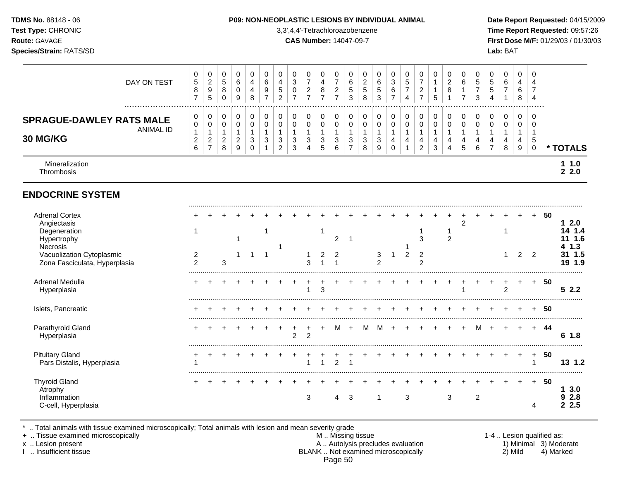| TDMS No. 88148 - 06<br>Test Type: CHRONIC<br>Route: GAVAGE<br>Species/Strain: RATS/SD |                                                                  |                                                                      |                                                           |                                                         | P09: NON-NEOPLASTIC LESIONS BY INDIVIDUAL ANIMAL                           |                                                                          |                                                                                         |                                                                         | 3,3',4,4'-Tetrachloroazobenzene<br><b>CAS Number: 14047-09-7</b>  |                                                                            |                                                                                       |                                                                                           |                                                        |                                                           |                                                            |                                                                    |                                                                      |                                                         |                                                                      |                                                    |                                                                      |                                                                                | Lab: BAT                                                      |                                                    |                                                                   |        | Date Report Requested: 04/15/2009<br>Time Report Requested: 09:57:26<br>First Dose M/F: 01/29/03 / 01/30/03 |
|---------------------------------------------------------------------------------------|------------------------------------------------------------------|----------------------------------------------------------------------|-----------------------------------------------------------|---------------------------------------------------------|----------------------------------------------------------------------------|--------------------------------------------------------------------------|-----------------------------------------------------------------------------------------|-------------------------------------------------------------------------|-------------------------------------------------------------------|----------------------------------------------------------------------------|---------------------------------------------------------------------------------------|-------------------------------------------------------------------------------------------|--------------------------------------------------------|-----------------------------------------------------------|------------------------------------------------------------|--------------------------------------------------------------------|----------------------------------------------------------------------|---------------------------------------------------------|----------------------------------------------------------------------|----------------------------------------------------|----------------------------------------------------------------------|--------------------------------------------------------------------------------|---------------------------------------------------------------|----------------------------------------------------|-------------------------------------------------------------------|--------|-------------------------------------------------------------------------------------------------------------|
| DAY ON TEST                                                                           | $\mathbf 0$<br>$\sqrt{5}$<br>$\bf 8$<br>$\overline{7}$           | 0<br>$\overline{2}$<br>$\boldsymbol{9}$<br>5                         | $\pmb{0}$<br>$\overline{5}$<br>$\bf 8$<br>$\pmb{0}$       | 0<br>6<br>$\pmb{0}$<br>9                                | $\mathbf 0$<br>$\overline{4}$<br>$\overline{4}$<br>8                       | $\mathsf 0$<br>6<br>$\boldsymbol{9}$<br>$\overline{7}$                   | $\mathsf 0$<br>$\overline{4}$<br>$\mathbf 5$<br>$\overline{2}$                          | $\mathbf 0$<br>$\ensuremath{\mathsf{3}}$<br>$\pmb{0}$<br>$\overline{7}$ | $\mathbf 0$<br>$\overline{7}$<br>$\overline{c}$<br>$\overline{7}$ | $\pmb{0}$<br>$\overline{4}$<br>$\,8\,$<br>$\overline{7}$                   | $\pmb{0}$<br>$\overline{7}$<br>$\boldsymbol{2}$<br>$\overline{7}$                     | $\pmb{0}$<br>$\,6\,$<br>$\sqrt{5}$<br>$\mathbf{3}$                                        | $\mathbf 0$<br>$\overline{c}$<br>$\sqrt{5}$<br>$\,8\,$ | $\pmb{0}$<br>$\,6\,$<br>$\sqrt{5}$<br>$\mathbf{3}$        | 0<br>$\sqrt{3}$<br>$\,6\,$<br>$\overline{7}$               | $\mathbf 0$<br>5<br>$\overline{7}$<br>$\overline{4}$               | 0<br>$\overline{7}$<br>$\boldsymbol{2}$<br>$\overline{7}$            | 0<br>$\mathbf{1}$<br>$\mathbf{1}$<br>5                  | 0<br>$\overline{c}$<br>$\bf 8$<br>$\mathbf{1}$                       | $\mathsf 0$<br>6<br>$\mathbf{1}$<br>$\overline{7}$ | $\mathbf 0$<br>$\sqrt{5}$<br>$\overline{7}$<br>$\mathbf{3}$          | $\mathbf 0$<br>$\sqrt{5}$<br>$\sqrt{5}$<br>$\overline{4}$                      | $\mathbf 0$<br>$\,6\,$<br>$\overline{7}$                      | $\mathbf 0$<br>$\overline{4}$<br>6<br>8            | $\mathbf 0$<br>$\overline{4}$<br>$\overline{7}$<br>$\overline{4}$ |        |                                                                                                             |
| <br><b>SPRAGUE-DAWLEY RATS MALE</b><br><b>ANIMAL ID</b><br>30 MG/KG                   | 0<br>$\mathbf 0$<br>$\mathbf{1}$<br>$\sqrt{2}$<br>$6\phantom{a}$ | 0<br>$\mathbf 0$<br>$\mathbf{1}$<br>$\overline{c}$<br>$\overline{7}$ | 0<br>$\mathbf 0$<br>$\mathbf{1}$<br>$\boldsymbol{2}$<br>8 | 0<br>$\mathbf 0$<br>$\mathbf{1}$<br>$\overline{2}$<br>9 | 0<br>$\pmb{0}$<br>$\mathbf{1}$<br>$\ensuremath{\mathsf{3}}$<br>$\mathbf 0$ | $\pmb{0}$<br>$\mathsf 0$<br>$\mathbf{1}$<br>$\mathbf{3}$<br>$\mathbf{1}$ | $\pmb{0}$<br>$\mathsf 0$<br>$\mathbf{1}$<br>$\ensuremath{\mathsf{3}}$<br>$\overline{2}$ | 0<br>$\pmb{0}$<br>$\mathbf{1}$<br>$\ensuremath{\mathsf{3}}$<br>3        | $\mathbf 0$<br>$\mathbf 0$<br>$\mathbf{1}$<br>$\mathbf{3}$<br>4   | $\pmb{0}$<br>$\mathbf 0$<br>$\mathbf{1}$<br>$\ensuremath{\mathsf{3}}$<br>5 | $\pmb{0}$<br>$\pmb{0}$<br>$\mathbf{1}$<br>$\ensuremath{\mathsf{3}}$<br>$6\phantom{1}$ | $\pmb{0}$<br>$\mathbf 0$<br>$\overline{1}$<br>$\ensuremath{\mathsf{3}}$<br>$\overline{7}$ | 0<br>$\mathbf 0$<br>$\mathbf{1}$<br>$\mathbf{3}$<br>8  | $\pmb{0}$<br>$\pmb{0}$<br>$\mathbf{1}$<br>$\sqrt{3}$<br>9 | $\pmb{0}$<br>$\pmb{0}$<br>$\mathbf{1}$<br>4<br>$\mathbf 0$ | 0<br>$\mathbf 0$<br>$\mathbf{1}$<br>$\overline{4}$<br>$\mathbf{1}$ | 0<br>$\mathbf 0$<br>$\mathbf{1}$<br>$\overline{4}$<br>$\overline{2}$ | 0<br>$\mathbf 0$<br>$\mathbf{1}$<br>$\overline{4}$<br>3 | 0<br>$\mathbf 0$<br>$\mathbf{1}$<br>$\overline{4}$<br>$\overline{4}$ | $\pmb{0}$<br>$\mathbf 0$<br>$\mathbf{1}$<br>4<br>5 | 0<br>$\mathbf 0$<br>$\mathbf{1}$<br>$\overline{4}$<br>$6\phantom{a}$ | $\mathbf 0$<br>$\mathbf 0$<br>$\mathbf{1}$<br>$\overline{4}$<br>$\overline{7}$ | $\pmb{0}$<br>$\pmb{0}$<br>$\mathbf{1}$<br>$\overline{4}$<br>8 | $\pmb{0}$<br>$\mathbf 0$<br>$\mathbf{1}$<br>4<br>9 | 0<br>$\mathbf 0$<br>$\overline{1}$<br>5<br>$\mathbf 0$            |        | * TOTALS                                                                                                    |
| Mineralization<br>Thrombosis                                                          |                                                                  |                                                                      |                                                           |                                                         |                                                                            |                                                                          |                                                                                         |                                                                         |                                                                   |                                                                            |                                                                                       |                                                                                           |                                                        |                                                           |                                                            |                                                                    |                                                                      |                                                         |                                                                      |                                                    |                                                                      |                                                                                |                                                               |                                                    |                                                                   |        | 11.0<br>2.2.0                                                                                               |
| <b>ENDOCRINE SYSTEM</b>                                                               |                                                                  |                                                                      |                                                           |                                                         |                                                                            |                                                                          |                                                                                         |                                                                         |                                                                   |                                                                            |                                                                                       |                                                                                           |                                                        |                                                           |                                                            |                                                                    |                                                                      |                                                         |                                                                      |                                                    |                                                                      |                                                                                |                                                               |                                                    |                                                                   |        |                                                                                                             |
| <b>Adrenal Cortex</b><br>Angiectasis<br>Degeneration<br>Hypertrophy<br>Necrosis       | $\mathbf{1}$                                                     |                                                                      |                                                           | $\mathbf{1}$                                            |                                                                            | $\overline{1}$                                                           | -1                                                                                      |                                                                         |                                                                   | $\overline{1}$                                                             | $\overline{c}$                                                                        | $\overline{1}$                                                                            |                                                        |                                                           |                                                            |                                                                    | 1<br>3                                                               |                                                         | $\ddot{}$<br>-1<br>$\overline{2}$                                    | $\ddot{}$<br>$\overline{2}$                        | $+$                                                                  |                                                                                | -1                                                            | $+$                                                |                                                                   | + 50   | $12.0$<br>14 1.4<br>11 1.6<br>41.3                                                                          |
| Vacuolization Cytoplasmic<br>Zona Fasciculata, Hyperplasia                            | $\overline{c}$<br>2                                              |                                                                      | 3                                                         | 1                                                       | -1                                                                         | $\mathbf{1}$                                                             |                                                                                         |                                                                         | 3                                                                 | $\overline{2}$<br>$\overline{1}$                                           | $\overline{2}$<br>$\overline{1}$                                                      |                                                                                           |                                                        | 3<br>$\overline{a}$                                       | $\overline{1}$                                             | $\overline{2}$                                                     | $\overline{2}$<br>$\overline{2}$                                     |                                                         |                                                                      |                                                    |                                                                      |                                                                                | 1                                                             | 2                                                  | 2                                                                 |        | 31 1.5<br>19 1.9                                                                                            |
| Adrenal Medulla<br>Hyperplasia                                                        |                                                                  |                                                                      |                                                           |                                                         |                                                                            |                                                                          |                                                                                         |                                                                         | 1                                                                 | $\mathbf{3}$                                                               |                                                                                       |                                                                                           |                                                        |                                                           |                                                            |                                                                    |                                                                      |                                                         | $\ddot{}$                                                            | $\mathbf{1}$                                       | $+$                                                                  | $\ddot{}$                                                                      | $\overline{2}$                                                |                                                    | $+$                                                               | 50     | 52.2                                                                                                        |
| Islets, Pancreatic                                                                    |                                                                  |                                                                      |                                                           |                                                         |                                                                            |                                                                          |                                                                                         |                                                                         |                                                                   |                                                                            |                                                                                       |                                                                                           |                                                        |                                                           | $\rightarrow$                                              |                                                                    |                                                                      |                                                         |                                                                      |                                                    | $+$                                                                  |                                                                                |                                                               |                                                    |                                                                   | -50    |                                                                                                             |
| Parathyroid Gland<br>Hyperplasia                                                      | $\pm$                                                            | $+$                                                                  |                                                           | $\ddot{}$                                               |                                                                            | $\overline{+}$                                                           | $+$                                                                                     | $\ddot{}$<br>$\overline{2}$                                             | $\ddot{}$<br>$\overline{2}$                                       | $+$                                                                        | M                                                                                     | $+$                                                                                       | м                                                      | M +                                                       |                                                            | $+$                                                                | $+$                                                                  | $+$                                                     | $+$                                                                  | $+$                                                | M                                                                    | $+$                                                                            | $+$                                                           | $+$                                                |                                                                   | $+ 44$ | $6 \t1.8$                                                                                                   |
| <b>Pituitary Gland</b><br>Pars Distalis, Hyperplasia                                  | +<br>-1                                                          | $\ddot{}$                                                            |                                                           | $+$                                                     |                                                                            | $+$                                                                      | $+$                                                                                     | $\ddot{}$                                                               | ÷<br>$\mathbf{1}$                                                 | $\mathbf{1}$                                                               | $\overline{2}$                                                                        | $\ddot{}$<br>$\overline{1}$                                                               | $+$                                                    | $+$                                                       | $+$                                                        |                                                                    | $+$                                                                  |                                                         | $+$                                                                  | $+$                                                | $+$                                                                  | $+$                                                                            | $+$                                                           | $+$                                                | $+$<br>$\overline{1}$                                             | 50     | 13 1.2                                                                                                      |
| <b>Thyroid Gland</b><br>Atrophy<br>Inflammation<br>C-cell, Hyperplasia                |                                                                  |                                                                      |                                                           |                                                         |                                                                            |                                                                          |                                                                                         |                                                                         | $\mathbf{3}$                                                      |                                                                            | 4                                                                                     | $\mathbf{3}$                                                                              |                                                        | 1                                                         |                                                            | 3                                                                  |                                                                      |                                                         | 3                                                                    |                                                    | $\pm$<br>$\overline{c}$                                              |                                                                                |                                                               | $\ddot{}$                                          | 4                                                                 | $+ 50$ | 13.0<br>92.8<br>2.5                                                                                         |

\* .. Total animals with tissue examined microscopically; Total animals with lesion and mean severity grade

+ .. Tissue examined microscopically M .. Missing tissue 1-4 .. Lesion qualified as: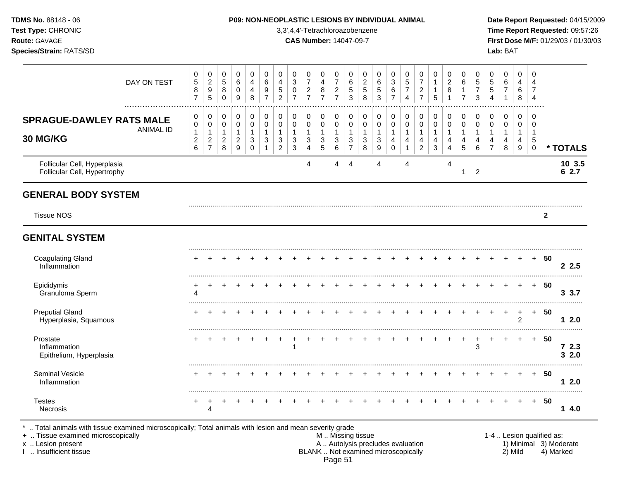| TDMS No. 88148 - 06<br>Test Type: CHRONIC<br>Route: GAVAGE<br>Species/Strain: RATS/SD |                                                                       |                                                                      |                                                              |                                                |                                                                         |                                                       |                                                          |                                                              | P09: NON-NEOPLASTIC LESIONS BY INDIVIDUAL ANIMAL<br>3,3',4,4'-Tetrachloroazobenzene<br><b>CAS Number: 14047-09-7</b> |                                                                                         |                                                                                          |                                                                                 |                                                                              |                                                                            |                                                                          |                                                                    |                                                                               |                                                         |                                                                            |                                                                                               |                                                                   |                                                           | Lab: BAT                                           |                                            |                                                                |              | Date Report Requested: 04/15/2009<br>Time Report Requested: 09:57:26<br>First Dose M/F: 01/29/03 / 01/30/03 |
|---------------------------------------------------------------------------------------|-----------------------------------------------------------------------|----------------------------------------------------------------------|--------------------------------------------------------------|------------------------------------------------|-------------------------------------------------------------------------|-------------------------------------------------------|----------------------------------------------------------|--------------------------------------------------------------|----------------------------------------------------------------------------------------------------------------------|-----------------------------------------------------------------------------------------|------------------------------------------------------------------------------------------|---------------------------------------------------------------------------------|------------------------------------------------------------------------------|----------------------------------------------------------------------------|--------------------------------------------------------------------------|--------------------------------------------------------------------|-------------------------------------------------------------------------------|---------------------------------------------------------|----------------------------------------------------------------------------|-----------------------------------------------------------------------------------------------|-------------------------------------------------------------------|-----------------------------------------------------------|----------------------------------------------------|--------------------------------------------|----------------------------------------------------------------|--------------|-------------------------------------------------------------------------------------------------------------|
| DAY ON TEST                                                                           | $\pmb{0}$<br>$\,$ 5 $\,$<br>$\bf8$<br>$\overline{7}$                  | $\mathbf 0$<br>$\overline{c}$<br>$\boldsymbol{9}$<br>$\overline{5}$  | $\mathbf 0$<br>$\overline{5}$<br>8<br>$\mathbf 0$            | $\mathbf 0$<br>$\,6\,$<br>$\pmb{0}$<br>9       | $\mathbf 0$<br>$\overline{4}$<br>$\overline{4}$<br>8                    | $\mathbf 0$<br>$\,6$<br>$\mathsf g$<br>$\overline{7}$ | $\mathbf 0$<br>$\overline{4}$<br>$5\,$<br>$\overline{2}$ | $\mathbf 0$<br>$\mathfrak{Z}$<br>$\pmb{0}$<br>$\overline{7}$ | $\mathbf 0$<br>$\overline{7}$<br>$\boldsymbol{2}$<br>$\overline{7}$                                                  | $\mathbf 0$<br>$\overline{4}$<br>$\, 8$<br>$\overline{7}$                               | $\mathbf 0$<br>$\boldsymbol{7}$<br>$\frac{2}{7}$                                         | $\mathbf 0$<br>$\,6\,$<br>$\,$ 5 $\,$<br>$\mathbf{3}$                           | $\mathbf 0$<br>$\overline{2}$<br>$\overline{5}$<br>8                         | $\mathbf 0$<br>$\,6$<br>$\sqrt{5}$<br>$\mathbf{3}$                         | $\mathbf 0$<br>3<br>$\,6\,$<br>$\overline{7}$                            | 0<br>$\sqrt{5}$<br>$\boldsymbol{7}$<br>$\overline{4}$              | $\mathbf 0$<br>$\overline{7}$<br>$\overline{c}$<br>$\overline{7}$             | $\Omega$<br>$\mathbf{1}$<br>$\mathbf{1}$<br>5           | $\pmb{0}$<br>$\overline{2}$<br>$\bf 8$<br>$\mathbf{1}$                     | $\mathbf 0$<br>$\,6\,$<br>$\mathbf{1}$<br>$\overline{7}$                                      | $\mathbf 0$<br>$\overline{5}$<br>$\boldsymbol{7}$<br>$\mathbf{3}$ | $\mathbf 0$<br>$\sqrt{5}$<br>$\sqrt{5}$<br>$\overline{4}$ | $\mathbf 0$<br>6<br>$\overline{7}$<br>$\mathbf{1}$ | $\mathbf 0$<br>$\overline{4}$<br>6<br>8    | $\Omega$<br>$\overline{4}$<br>$\overline{7}$<br>$\overline{4}$ |              |                                                                                                             |
| .<br><b>SPRAGUE-DAWLEY RATS MALE</b><br><b>ANIMAL ID</b><br>30 MG/KG                  | 0<br>$\mathsf{O}\xspace$<br>$\mathbf{1}$<br>$\boldsymbol{2}$<br>$\,6$ | 0<br>$\mathbf 0$<br>$\mathbf{1}$<br>$\overline{c}$<br>$\overline{7}$ | 0<br>$\mathbf 0$<br>$\mathbf{1}$<br>$\overline{c}$<br>$\bf8$ | 0<br>$\mathbf 0$<br>1<br>$\boldsymbol{2}$<br>9 | $\pmb{0}$<br>$\mathsf 0$<br>$\mathbf{1}$<br>$\mathbf{3}$<br>$\mathbf 0$ | 0<br>$\mathbf 0$<br>$\mathbf{1}$<br>3                 | 0<br>0<br>$\mathbf{1}$<br>3<br>$\overline{a}$            | 0<br>$\pmb{0}$<br>$\mathbf{1}$<br>$\sqrt{3}$<br>$\mathbf{3}$ | 0<br>$\mathbf 0$<br>$\mathbf{1}$<br>$\sqrt{3}$<br>4                                                                  | $\pmb{0}$<br>$\mathsf 0$<br>$\mathbf{1}$<br>$\ensuremath{\mathsf{3}}$<br>$\overline{5}$ | $\pmb{0}$<br>$\mathsf{O}\xspace$<br>$\mathbf{1}$<br>$\ensuremath{\mathsf{3}}$<br>$\,6\,$ | 0<br>$\mathbf 0$<br>$\mathbf{1}$<br>$\ensuremath{\mathsf{3}}$<br>$\overline{7}$ | $\mathbf 0$<br>$\mathbf 0$<br>$\mathbf{1}$<br>$\ensuremath{\mathsf{3}}$<br>8 | $\pmb{0}$<br>$\mathsf 0$<br>$\mathbf{1}$<br>$\sqrt{3}$<br>$\boldsymbol{9}$ | 0<br>$\pmb{0}$<br>$\mathbf{1}$<br>$\overline{\mathbf{4}}$<br>$\mathbf 0$ | 0<br>$\mathbf 0$<br>$\mathbf{1}$<br>$\overline{4}$<br>$\mathbf{1}$ | 0<br>$\mathbf 0$<br>$\mathbf{1}$<br>$\overline{\mathbf{4}}$<br>$\overline{2}$ | 0<br>$\mathbf 0$<br>1<br>$\overline{4}$<br>$\mathbf{3}$ | $\pmb{0}$<br>$\pmb{0}$<br>$\mathbf{1}$<br>$\overline{4}$<br>$\overline{4}$ | $\pmb{0}$<br>$\mathsf{O}\xspace$<br>$\mathbf{1}$<br>$\overline{\mathbf{4}}$<br>$\overline{5}$ | 0<br>$\mathbf 0$<br>$\mathbf{1}$<br>$\overline{4}$<br>$\,6\,$     | 0<br>$\mathbf 0$<br>$\mathbf{1}$<br>4<br>$\overline{7}$   | $\pmb{0}$<br>$\mathbf 0$<br>1<br>4<br>8            | 0<br>$\mathbf 0$<br>$\mathbf{1}$<br>4<br>9 | 0<br>$\Omega$<br>$\mathbf{1}$<br>5<br>$\mathbf 0$              |              | * TOTALS                                                                                                    |
| Follicular Cell, Hyperplasia<br>Follicular Cell, Hypertrophy                          |                                                                       |                                                                      |                                                              |                                                |                                                                         |                                                       |                                                          |                                                              | 4                                                                                                                    |                                                                                         | 4                                                                                        | 4                                                                               |                                                                              | 4                                                                          |                                                                          | 4                                                                  |                                                                               |                                                         | 4                                                                          | -1                                                                                            | 2                                                                 |                                                           |                                                    |                                            |                                                                |              | 10 3.5<br>62.7                                                                                              |
| <b>GENERAL BODY SYSTEM</b><br><b>Tissue NOS</b><br><b>GENITAL SYSTEM</b>              |                                                                       |                                                                      |                                                              |                                                |                                                                         |                                                       |                                                          |                                                              |                                                                                                                      |                                                                                         |                                                                                          |                                                                                 |                                                                              |                                                                            |                                                                          |                                                                    |                                                                               |                                                         |                                                                            |                                                                                               |                                                                   |                                                           |                                                    |                                            |                                                                | $\mathbf{2}$ |                                                                                                             |
| <b>Coagulating Gland</b><br>Inflammation                                              |                                                                       |                                                                      |                                                              |                                                |                                                                         |                                                       |                                                          |                                                              |                                                                                                                      |                                                                                         |                                                                                          |                                                                                 |                                                                              |                                                                            |                                                                          |                                                                    |                                                                               |                                                         |                                                                            |                                                                                               |                                                                   |                                                           |                                                    | $+$                                        | $+$                                                            | 50           | 2.5                                                                                                         |
| Epididymis<br>Granuloma Sperm                                                         | Δ                                                                     |                                                                      |                                                              |                                                |                                                                         |                                                       |                                                          |                                                              |                                                                                                                      |                                                                                         |                                                                                          |                                                                                 |                                                                              |                                                                            |                                                                          |                                                                    |                                                                               |                                                         |                                                                            |                                                                                               |                                                                   |                                                           |                                                    |                                            | $+$                                                            | 50           | 3.3.7                                                                                                       |
| <b>Preputial Gland</b><br>Hyperplasia, Squamous                                       |                                                                       |                                                                      |                                                              |                                                |                                                                         |                                                       |                                                          |                                                              |                                                                                                                      |                                                                                         |                                                                                          |                                                                                 |                                                                              |                                                                            |                                                                          | $\ddot{}$                                                          |                                                                               |                                                         |                                                                            |                                                                                               |                                                                   |                                                           |                                                    | $\ddot{}$<br>$\overline{2}$                | $+$                                                            | 50           | 12.0                                                                                                        |
| Prostate<br>Inflammation<br>Epithelium, Hyperplasia                                   |                                                                       |                                                                      |                                                              |                                                |                                                                         |                                                       | $\ddot{}$                                                | $\mathbf{1}$                                                 |                                                                                                                      |                                                                                         |                                                                                          |                                                                                 |                                                                              |                                                                            |                                                                          |                                                                    |                                                                               |                                                         |                                                                            | $\ddot{}$                                                                                     | $\ddot{}$<br>3                                                    |                                                           |                                                    |                                            | $+$                                                            | -50          | 72.3<br>32.0                                                                                                |
| Seminal Vesicle<br>Inflammation                                                       |                                                                       |                                                                      |                                                              |                                                |                                                                         |                                                       |                                                          |                                                              |                                                                                                                      |                                                                                         |                                                                                          |                                                                                 |                                                                              |                                                                            |                                                                          |                                                                    |                                                                               |                                                         |                                                                            |                                                                                               |                                                                   |                                                           |                                                    |                                            | $+$                                                            | -50          | 12.0                                                                                                        |
| <b>Testes</b><br>Necrosis                                                             | ÷                                                                     | 4                                                                    |                                                              |                                                |                                                                         |                                                       |                                                          |                                                              |                                                                                                                      |                                                                                         |                                                                                          |                                                                                 |                                                                              |                                                                            |                                                                          |                                                                    |                                                                               |                                                         |                                                                            |                                                                                               |                                                                   |                                                           |                                                    |                                            | $+$                                                            | 50           | 14.0                                                                                                        |

\* .. Total animals with tissue examined microscopically; Total animals with lesion and mean severity grade<br>+ .. Tissue examined microscopically by myssing tissue<br>M.. Missing tissue + .. Tissue examined microscopically examined microscopically with the state of the M .. Missing tissue the M .. Missing tissue the M .. Missing tissue the M .. All all the M .. All all the M .. All the M .. Lesion qualifi x .. Lesion present **A .. Autolysis precludes evaluation** A .. Autolysis precludes evaluation 1) Minimal 3) Moderate I .. Insufficient tissue BLANK .. Not examined microscopically 2) Mild 4) Marked Page 51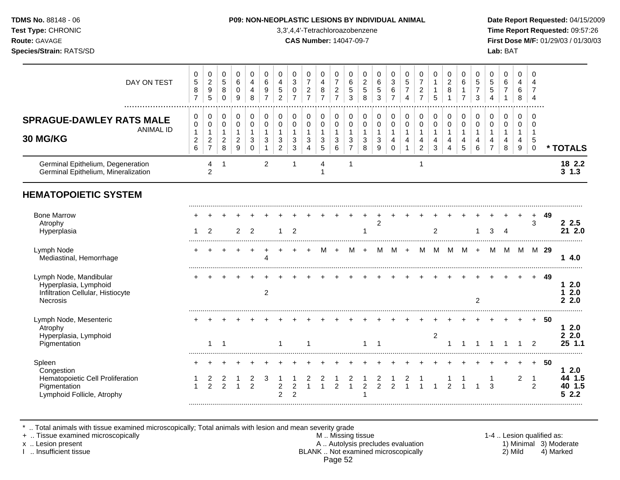#### **TDMS No.** 88148 - 06 **P09: NON-NEOPLASTIC LESIONS BY INDIVIDUAL ANIMAL Date Report Requested:** 04/15/2009

**Test Type:** CHRONIC 3,3',4,4'-Tetrachloroazobenzene **Time Report Requested:** 09:57:26 **Route:** GAVAGE **CAS Number:** 14047-09-7 **First Dose M/F:** 01/29/03 / 01/30/03

| DAY ON TEST                                                                                            | 0<br>$\mathbf 5$<br>$\bf8$<br>$\overline{7}$                         | 0<br>$\sqrt{2}$<br>$\boldsymbol{9}$<br>5                                 | 0<br>$\sqrt{5}$<br>8<br>$\Omega$                        | 0<br>$\,6\,$<br>$\mathbf 0$<br>9                                  | 0<br>4<br>4<br>8                                              | 0<br>$\,6\,$<br>9<br>$\overline{7}$                      | 0<br>$\overline{\mathbf{4}}$<br>$\overline{5}$<br>$\overline{2}$  | 0<br>3<br>$\pmb{0}$<br>$\overline{7}$ | 0<br>$\overline{7}$<br>$\sqrt{2}$<br>$\overline{7}$                    | 0<br>$\overline{4}$<br>8<br>$\overline{7}$                                 | 0<br>$\overline{7}$<br>$\boldsymbol{2}$<br>$\overline{7}$ | 0<br>$\,6\,$<br>$\sqrt{5}$<br>3                                                 | 0<br>$\boldsymbol{2}$<br>$\sqrt{5}$<br>8  | 0<br>$\,6\,$<br>5<br>3                                      | 0<br>$\mathbf{3}$<br>$\,6$<br>$\overline{7}$       | 0<br>$\sqrt{5}$<br>$\overline{7}$<br>$\overline{4}$           | 0<br>$\overline{7}$<br>$\overline{c}$<br>$\overline{7}$           | 0<br>$\mathbf{1}$<br>1<br>5                                     | 0<br>$\boldsymbol{2}$<br>8<br>1                    | 0<br>$\,6\,$<br>$\overline{7}$  | 0<br>$\overline{5}$<br>$\overline{7}$<br>3           | 0<br>5<br>5<br>4                              | 0<br>$\,6\,$<br>$\overline{7}$<br>1     | 0<br>$\overline{4}$<br>6<br>8                        | 0<br>4<br>$\overline{7}$<br>$\overline{4}$ |      |                                          |
|--------------------------------------------------------------------------------------------------------|----------------------------------------------------------------------|--------------------------------------------------------------------------|---------------------------------------------------------|-------------------------------------------------------------------|---------------------------------------------------------------|----------------------------------------------------------|-------------------------------------------------------------------|---------------------------------------|------------------------------------------------------------------------|----------------------------------------------------------------------------|-----------------------------------------------------------|---------------------------------------------------------------------------------|-------------------------------------------|-------------------------------------------------------------|----------------------------------------------------|---------------------------------------------------------------|-------------------------------------------------------------------|-----------------------------------------------------------------|----------------------------------------------------|---------------------------------|------------------------------------------------------|-----------------------------------------------|-----------------------------------------|------------------------------------------------------|--------------------------------------------|------|------------------------------------------|
| <b>SPRAGUE-DAWLEY RATS MALE</b><br><b>ANIMAL ID</b><br><b>30 MG/KG</b>                                 | 0<br>$\pmb{0}$<br>$\mathbf{1}$<br>$\boldsymbol{2}$<br>$6\phantom{a}$ | 0<br>$\mathsf{O}\xspace$<br>$\mathbf{1}$<br>$\sqrt{2}$<br>$\overline{7}$ | 0<br>$\mathbf 0$<br>$\mathbf{1}$<br>$\overline{c}$<br>8 | $\mathbf 0$<br>$\mathbf 0$<br>$\mathbf{1}$<br>$\sqrt{2}$<br>$9\,$ | 0<br>$\pmb{0}$<br>$\mathbf{1}$<br>$\mathbf{3}$<br>$\mathbf 0$ | $\mathbf 0$<br>$\mathbf 0$<br>$\sqrt{3}$<br>$\mathbf{1}$ | $\pmb{0}$<br>$\mathbf 0$<br>1<br>$\mathfrak{S}$<br>$\overline{2}$ | 0<br>0<br>$\mathbf{1}$<br>3<br>3      | $\pmb{0}$<br>$\pmb{0}$<br>$\mathbf{1}$<br>$\sqrt{3}$<br>$\overline{4}$ | $\mathbf 0$<br>$\pmb{0}$<br>$\mathbf{1}$<br>$\ensuremath{\mathsf{3}}$<br>5 | 0<br>$\mathbf 0$<br>$\mathbf{1}$<br>3<br>$6\phantom{1}$   | 0<br>$\mathbf 0$<br>$\mathbf{1}$<br>$\ensuremath{\mathsf{3}}$<br>$\overline{7}$ | 0<br>0<br>$\mathbf{1}$<br>$\sqrt{3}$<br>8 | $\mathbf 0$<br>$\pmb{0}$<br>$\mathbf{1}$<br>$\sqrt{3}$<br>9 | 0<br>$\pmb{0}$<br>$\mathbf{1}$<br>4<br>$\mathbf 0$ | $\pmb{0}$<br>$\pmb{0}$<br>$\mathbf{1}$<br>4<br>$\overline{1}$ | $\mathbf 0$<br>$\mathbf 0$<br>$\mathbf{1}$<br>4<br>$\overline{2}$ | $\mathbf 0$<br>$\pmb{0}$<br>$\mathbf{1}$<br>$\overline{4}$<br>3 | $\pmb{0}$<br>$\mathbf 0$<br>$\mathbf{1}$<br>4<br>4 | 0<br>$\mathbf 0$<br>1<br>4<br>5 | $\mathbf 0$<br>$\mathbf 0$<br>$\mathbf{1}$<br>4<br>6 | 0<br>0<br>$\mathbf{1}$<br>4<br>$\overline{7}$ | $\pmb{0}$<br>$\mathbf 0$<br>1<br>4<br>8 | $\mathbf 0$<br>$\mathbf 0$<br>$\mathbf{1}$<br>4<br>9 | 0<br>0<br>1<br>$\,$ 5 $\,$<br>$\mathbf 0$  |      | * TOTALS                                 |
| Germinal Epithelium, Degeneration<br>Germinal Epithelium, Mineralization                               |                                                                      | 4<br>$\overline{2}$                                                      | -1                                                      |                                                                   |                                                               | $\overline{2}$                                           |                                                                   | $\mathbf{1}$                          |                                                                        | 4                                                                          |                                                           | 1                                                                               |                                           |                                                             |                                                    |                                                               | 1                                                                 |                                                                 |                                                    |                                 |                                                      |                                               |                                         |                                                      |                                            |      | 18 2.2<br>$3 \; 1.3$                     |
| <b>HEMATOPOIETIC SYSTEM</b>                                                                            |                                                                      |                                                                          |                                                         |                                                                   |                                                               |                                                          |                                                                   |                                       |                                                                        |                                                                            |                                                           |                                                                                 |                                           |                                                             |                                                    |                                                               |                                                                   |                                                                 |                                                    |                                 |                                                      |                                               |                                         |                                                      |                                            |      |                                          |
| <b>Bone Marrow</b><br>Atrophy<br>Hyperplasia                                                           | 1                                                                    | $\overline{2}$                                                           |                                                         | $\overline{2}$                                                    | $\overline{2}$                                                |                                                          | 1                                                                 | $\overline{2}$                        |                                                                        |                                                                            |                                                           |                                                                                 |                                           | $\overline{2}$                                              |                                                    |                                                               |                                                                   | 2                                                               |                                                    |                                 | -1                                                   | 3                                             | 4                                       |                                                      | 3                                          | 49   | 2.5<br>21 2.0                            |
| Lymph Node<br>Mediastinal, Hemorrhage                                                                  |                                                                      |                                                                          |                                                         |                                                                   |                                                               |                                                          |                                                                   |                                       |                                                                        |                                                                            |                                                           | м                                                                               |                                           | м                                                           | м                                                  | $\ddot{}$                                                     | м                                                                 | M                                                               | м                                                  | м                               | $\ddot{}$                                            | м                                             | M                                       | M                                                    |                                            | M 29 | 14.0                                     |
| Lymph Node, Mandibular<br>Hyperplasia, Lymphoid<br>Infiltration Cellular, Histiocyte<br>Necrosis       |                                                                      |                                                                          |                                                         |                                                                   |                                                               | $\overline{c}$                                           |                                                                   |                                       |                                                                        |                                                                            |                                                           |                                                                                 |                                           |                                                             |                                                    |                                                               |                                                                   |                                                                 |                                                    |                                 | $\overline{2}$                                       |                                               |                                         |                                                      |                                            | 49   | 12.0<br>2.0<br>1<br>2.2.0                |
| Lymph Node, Mesenteric<br>Atrophy<br>Hyperplasia, Lymphoid<br>Pigmentation                             |                                                                      | 1                                                                        | $\overline{\mathbf{1}}$                                 |                                                                   |                                                               |                                                          | 1                                                                 |                                       |                                                                        |                                                                            |                                                           |                                                                                 | $\mathbf{1}$                              | $\overline{1}$                                              |                                                    |                                                               |                                                                   | $\boldsymbol{2}$                                                | 1                                                  |                                 |                                                      |                                               |                                         | 1                                                    | $\ddot{}$<br>2                             | 50   | 12.0<br>22.0<br>$25$ 1.1                 |
| Spleen<br>Congestion<br>Hematopoietic Cell Proliferation<br>Pigmentation<br>Lymphoid Follicle, Atrophy |                                                                      | 2<br>$\overline{2}$                                                      | 2<br>$\overline{2}$                                     | -1                                                                | $\overline{2}$<br>$\overline{2}$                              | 3                                                        | 2<br>$\overline{2}$                                               | $\overline{2}$<br>$\overline{2}$      | 2                                                                      |                                                                            | 2                                                         | 2<br>$\mathbf{1}$                                                               | $\overline{2}$                            | 2<br>$\overline{2}$                                         | $\mathfrak{p}$                                     | 2<br>$\overline{1}$                                           |                                                                   |                                                                 | $\mathfrak{p}$                                     |                                 |                                                      | 3                                             |                                         | $\overline{c}$                                       | $+$<br>$\mathbf{1}$<br>2                   | 50   | 2.0<br>1<br>44 1.5<br>40 1.5<br>5<br>2.2 |

\* .. Total animals with tissue examined microscopically; Total animals with lesion and mean severity grade

+ .. Tissue examined microscopically M .. Missing tissue 1-4 .. Lesion qualified as: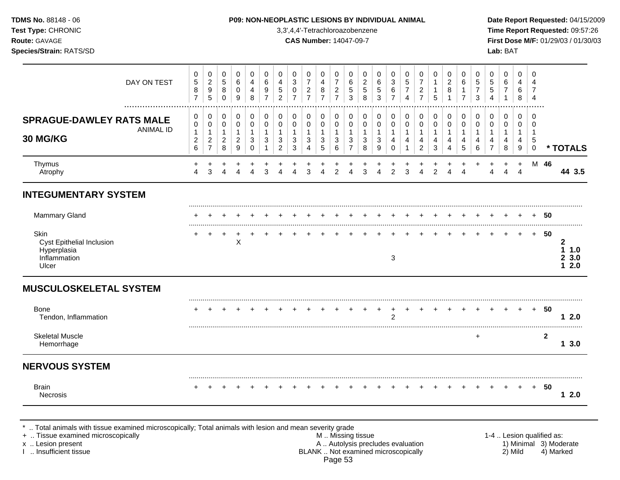#### **TDMS No.** 88148 - 06 **P09: NON-NEOPLASTIC LESIONS BY INDIVIDUAL ANIMAL Date Report Requested:** 04/15/2009

**Test Type:** CHRONIC 3,3',4,4'-Tetrachloroazobenzene **Time Report Requested:** 09:57:26 **Route:** GAVAGE **CAS Number:** 14047-09-7 **First Dose M/F:** 01/29/03 / 01/30/03

| DAY ON TEST                                                                      | 0<br>5<br>8<br>$\overline{7}$                       | 0<br>$\sqrt{2}$<br>$9\,$<br>$\overline{5}$                     | 0<br>5<br>8<br>$\mathbf 0$                              | 0<br>6<br>0<br>9                                                    | 0<br>$\overline{4}$<br>4<br>8                        | 0<br>$\,6\,$<br>9<br>$\overline{7}$                 | 0<br>$\overline{4}$<br>$\sqrt{5}$<br>$\overline{2}$     | 0<br>3<br>0<br>$\overline{7}$    | 0<br>$\overline{7}$<br>$\overline{c}$<br>$\overline{7}$ | 0<br>4<br>8<br>$\overline{7}$ | 0<br>$\overline{7}$<br>$\overline{c}$<br>$\overline{7}$ | 0<br>$\,6\,$<br>$\sqrt{5}$<br>3                         | 0<br>$\overline{2}$<br>$\sqrt{5}$<br>8 | 0<br>6<br>$5\phantom{.0}$<br>3   | 0<br>3<br>6<br>$\overline{7}$           | 0<br>$\sqrt{5}$<br>7<br>$\overline{4}$ | 0<br>$\overline{7}$<br>$\overline{2}$<br>$\overline{7}$  | 0<br>$\mathbf{1}$<br>$\mathbf{1}$<br>5                     | 0<br>$\sqrt{2}$<br>$\bf8$<br>1                                         | 0<br>6<br>1<br>$\overline{7}$                 | 0<br>5<br>$\overline{7}$<br>$\mathbf{3}$   | 0<br>5<br>5<br>$\boldsymbol{\Lambda}$        | 0<br>6<br>$\overline{7}$                             | 0<br>$\overline{4}$<br>6<br>8        | 0<br>Δ<br>$\overline{7}$<br>$\overline{4}$          |              |                                                  |
|----------------------------------------------------------------------------------|-----------------------------------------------------|----------------------------------------------------------------|---------------------------------------------------------|---------------------------------------------------------------------|------------------------------------------------------|-----------------------------------------------------|---------------------------------------------------------|----------------------------------|---------------------------------------------------------|-------------------------------|---------------------------------------------------------|---------------------------------------------------------|----------------------------------------|----------------------------------|-----------------------------------------|----------------------------------------|----------------------------------------------------------|------------------------------------------------------------|------------------------------------------------------------------------|-----------------------------------------------|--------------------------------------------|----------------------------------------------|------------------------------------------------------|--------------------------------------|-----------------------------------------------------|--------------|--------------------------------------------------|
| .<br><b>SPRAGUE-DAWLEY RATS MALE</b><br><b>ANIMAL ID</b><br>30 MG/KG             | 0<br>0<br>$\mathbf{1}$<br>$\overline{c}$<br>$\,6\,$ | 0<br>$\pmb{0}$<br>$\mathbf{1}$<br>$\sqrt{2}$<br>$\overline{7}$ | 0<br>$\mathbf 0$<br>$\mathbf{1}$<br>$\overline{c}$<br>8 | 0<br>$\mathsf{O}\xspace$<br>$\mathbf{1}$<br>$\overline{c}$<br>$9\,$ | 0<br>$\mathbf 0$<br>$\mathbf{1}$<br>3<br>$\mathbf 0$ | 0<br>$\pmb{0}$<br>$\mathbf{1}$<br>3<br>$\mathbf{1}$ | 0<br>$\mathbf 0$<br>$\mathbf{1}$<br>3<br>$\overline{c}$ | 0<br>0<br>$\mathbf{1}$<br>3<br>3 | 0<br>$\mathbf 0$<br>$\mathbf{1}$<br>3<br>$\overline{4}$ | 0<br>0<br>1<br>3<br>5         | 0<br>$\pmb{0}$<br>1<br>3<br>6                           | 0<br>$\mathbf 0$<br>$\mathbf{1}$<br>3<br>$\overline{7}$ | 0<br>0<br>$\mathbf{1}$<br>3<br>8       | 0<br>0<br>$\mathbf{1}$<br>3<br>9 | 0<br>0<br>$\mathbf{1}$<br>4<br>$\Omega$ | 0<br>$\mathbf 0$<br>1<br>4             | 0<br>$\mathsf{O}$<br>$\mathbf{1}$<br>4<br>$\overline{c}$ | 0<br>0<br>$\mathbf{1}$<br>$\overline{4}$<br>$\mathfrak{Z}$ | 0<br>$\mathbf 0$<br>$\overline{1}$<br>$\overline{4}$<br>$\overline{4}$ | 0<br>0<br>$\mathbf{1}$<br>$\overline{4}$<br>5 | 0<br>$\mathbf 0$<br>$\mathbf{1}$<br>4<br>6 | 0<br>$\mathbf 0$<br>1<br>4<br>$\overline{7}$ | $\,0\,$<br>$\pmb{0}$<br>$\mathbf{1}$<br>4<br>$\,8\,$ | 0<br>0<br>$\mathbf{1}$<br>4<br>$9\,$ | 0<br>0<br>$\mathbf{1}$<br>$\sqrt{5}$<br>$\mathbf 0$ |              | * TOTALS                                         |
| Thymus<br>Atrophy                                                                | +<br>4                                              | 3                                                              | $\overline{4}$                                          | 4                                                                   | $\boldsymbol{\Lambda}$                               | $\ddot{}$<br>3                                      | $\ddot{}$<br>4                                          |                                  | 3                                                       | 4                             | +<br>$\overline{2}$                                     | 4                                                       | $\ddot{}$<br>3                         | Δ                                | $\overline{2}$                          | $\ddot{}$<br>3                         | $\overline{4}$                                           | +<br>$\overline{2}$                                        | $\ddot{}$<br>4                                                         | +<br>$\Delta$                                 | $\ddot{}$                                  |                                              | +<br>$\boldsymbol{\Lambda}$                          | $\pm$<br>4                           |                                                     | M 46         | 44 3.5                                           |
| <b>INTEGUMENTARY SYSTEM</b>                                                      |                                                     |                                                                |                                                         |                                                                     |                                                      |                                                     |                                                         |                                  |                                                         |                               |                                                         |                                                         |                                        |                                  |                                         |                                        |                                                          |                                                            |                                                                        |                                               |                                            |                                              |                                                      |                                      |                                                     |              |                                                  |
| Mammary Gland                                                                    |                                                     |                                                                |                                                         |                                                                     |                                                      |                                                     |                                                         |                                  |                                                         |                               |                                                         |                                                         |                                        |                                  |                                         |                                        |                                                          |                                                            |                                                                        |                                               |                                            |                                              |                                                      |                                      | $+$                                                 | 50           |                                                  |
| Skin<br><b>Cyst Epithelial Inclusion</b><br>Hyperplasia<br>Inflammation<br>Ulcer |                                                     |                                                                |                                                         | $\mathsf X$                                                         |                                                      |                                                     |                                                         |                                  |                                                         |                               |                                                         |                                                         |                                        |                                  | 3                                       |                                        |                                                          |                                                            |                                                                        |                                               |                                            |                                              |                                                      | $\div$                               | $+$                                                 | 50           | 2<br>1<br>1.0<br>3.0<br>$\mathbf{2}$<br>2.0<br>1 |
| <b>MUSCULOSKELETAL SYSTEM</b>                                                    |                                                     |                                                                |                                                         |                                                                     |                                                      |                                                     |                                                         |                                  |                                                         |                               |                                                         |                                                         |                                        |                                  |                                         |                                        |                                                          |                                                            |                                                                        |                                               |                                            |                                              |                                                      |                                      |                                                     |              |                                                  |
| <b>Bone</b><br>Tendon, Inflammation                                              |                                                     |                                                                |                                                         |                                                                     |                                                      |                                                     |                                                         |                                  |                                                         |                               |                                                         |                                                         |                                        |                                  | $\overline{2}$                          |                                        |                                                          |                                                            |                                                                        |                                               |                                            |                                              |                                                      |                                      | $+$                                                 | 50           | 12.0                                             |
| <b>Skeletal Muscle</b><br>Hemorrhage                                             |                                                     |                                                                |                                                         |                                                                     |                                                      |                                                     |                                                         |                                  |                                                         |                               |                                                         |                                                         |                                        |                                  |                                         |                                        |                                                          |                                                            |                                                                        |                                               | $\div$                                     |                                              |                                                      |                                      |                                                     | $\mathbf{2}$ | 13.0                                             |
| <b>NERVOUS SYSTEM</b>                                                            |                                                     |                                                                |                                                         |                                                                     |                                                      |                                                     |                                                         |                                  |                                                         |                               |                                                         |                                                         |                                        |                                  |                                         |                                        |                                                          |                                                            |                                                                        |                                               |                                            |                                              |                                                      |                                      |                                                     |              |                                                  |
| <b>Brain</b><br>Necrosis                                                         |                                                     |                                                                |                                                         |                                                                     |                                                      |                                                     |                                                         |                                  |                                                         |                               |                                                         |                                                         |                                        |                                  |                                         |                                        |                                                          |                                                            |                                                                        |                                               |                                            |                                              |                                                      | $\ddot{}$                            | $+$                                                 | 50           | 12.0                                             |

\* .. Total animals with tissue examined microscopically; Total animals with lesion and mean severity grade

- + .. Tissue examined microscopically M .. Missing tissue 1-4 .. Lesion qualified as: x .. Lesion present **A .. Autolysis precludes evaluation** A .. Autolysis precludes evaluation 1) Minimal 3) Moderate I .. Insufficient tissue BLANK .. Not examined microscopically 2) Mild 4) Marked Page 53
	-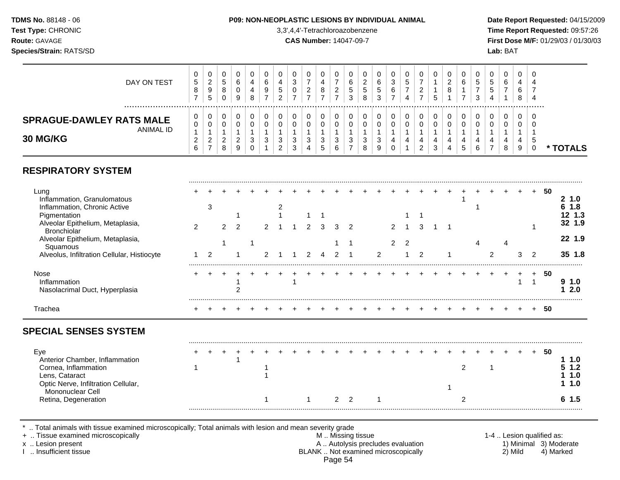#### **TDMS No.** 88148 - 06 **P09: NON-NEOPLASTIC LESIONS BY INDIVIDUAL ANIMAL Date Report Requested:** 04/15/2009

**Test Type:** CHRONIC 3,3',4,4'-Tetrachloroazobenzene **Time Report Requested:** 09:57:26 **Route:** GAVAGE **CAS Number:** 14047-09-7 **First Dose M/F:** 01/29/03 / 01/30/03

| DAY ON TEST                                                                                                                                                        | 0<br>5<br>8<br>$\overline{7}$                         | 0<br>$\boldsymbol{2}$<br>$\boldsymbol{9}$<br>5                       | 0<br>$\sqrt{5}$<br>$\bf 8$<br>$\Omega$                  | 0<br>$\,6\,$<br>$\mathbf 0$<br>9                             | $\mathbf 0$<br>$\overline{4}$<br>$\overline{4}$<br>8            | 0<br>6<br>9<br>$\overline{7}$                       | 0<br>4<br>$\sqrt{5}$<br>2                             | 0<br>$\mathbf{3}$<br>$\mathbf 0$<br>$\overline{7}$ | 0<br>$\overline{7}$<br>$\boldsymbol{2}$<br>$\overline{7}$                | 0<br>$\overline{\mathbf{4}}$<br>$\, 8$<br>$\overline{7}$       | 0<br>$\overline{7}$<br>$\boldsymbol{2}$<br>$\overline{7}$    | 0<br>6<br>$\sqrt{5}$<br>3                               | 0<br>$\overline{2}$<br>$5\phantom{.0}$<br>8          | 0<br>6<br>5<br>3                           | 0<br>$\sqrt{3}$<br>$6\phantom{1}6$<br>$\overline{7}$         | 0<br>$\sqrt{5}$<br>$\overline{7}$<br>$\boldsymbol{\Lambda}$ | 0<br>$\overline{7}$<br>$\overline{c}$<br>$\overline{7}$ | 0<br>$\mathbf{1}$<br>$\mathbf{1}$<br>5            | 0<br>$\boldsymbol{2}$<br>$\bf 8$         | 0<br>6<br>1<br>$\overline{7}$            | 0<br>5<br>$\overline{7}$<br>3    | 0<br>$\overline{5}$<br>$\overline{5}$<br>4              | 0<br>6<br>$\overline{7}$                           | 0<br>4<br>6<br>8                           | $\Omega$<br>4<br>Δ                                         |    |                                                |
|--------------------------------------------------------------------------------------------------------------------------------------------------------------------|-------------------------------------------------------|----------------------------------------------------------------------|---------------------------------------------------------|--------------------------------------------------------------|-----------------------------------------------------------------|-----------------------------------------------------|-------------------------------------------------------|----------------------------------------------------|--------------------------------------------------------------------------|----------------------------------------------------------------|--------------------------------------------------------------|---------------------------------------------------------|------------------------------------------------------|--------------------------------------------|--------------------------------------------------------------|-------------------------------------------------------------|---------------------------------------------------------|---------------------------------------------------|------------------------------------------|------------------------------------------|----------------------------------|---------------------------------------------------------|----------------------------------------------------|--------------------------------------------|------------------------------------------------------------|----|------------------------------------------------|
| .<br><b>SPRAGUE-DAWLEY RATS MALE</b><br><b>ANIMAL ID</b><br>30 MG/KG                                                                                               | 0<br>$\pmb{0}$<br>$\mathbf{1}$<br>$\overline{c}$<br>6 | 0<br>$\pmb{0}$<br>$\mathbf{1}$<br>$\boldsymbol{2}$<br>$\overline{7}$ | 0<br>$\mathsf 0$<br>$\mathbf{1}$<br>$\overline{2}$<br>8 | 0<br>0<br>$\mathbf{1}$<br>$\overline{a}$<br>$\boldsymbol{9}$ | 0<br>$\mathbf 0$<br>$\mathbf{1}$<br>$\mathbf{3}$<br>$\mathbf 0$ | 0<br>$\pmb{0}$<br>$\mathbf{1}$<br>3<br>$\mathbf{1}$ | 0<br>$\pmb{0}$<br>$\mathbf{1}$<br>3<br>$\overline{c}$ | 0<br>$\mathbf 0$<br>$\mathbf{1}$<br>3<br>3         | 0<br>$\pmb{0}$<br>$\mathbf{1}$<br>$\mathbf{3}$<br>$\boldsymbol{\Lambda}$ | 0<br>$\mathbf 0$<br>$\mathbf{1}$<br>$\mathbf{3}$<br>$\sqrt{5}$ | $\mathbf 0$<br>$\mathsf{O}\xspace$<br>$\mathbf{1}$<br>3<br>6 | 0<br>$\mathbf 0$<br>$\mathbf{1}$<br>3<br>$\overline{7}$ | $\mathbf 0$<br>$\mathbf 0$<br>$\mathbf{1}$<br>3<br>8 | 0<br>$\pmb{0}$<br>$\overline{1}$<br>3<br>9 | 0<br>$\pmb{0}$<br>$\mathbf{1}$<br>$\overline{4}$<br>$\Omega$ | 0<br>$\pmb{0}$<br>$\mathbf{1}$<br>4                         | 0<br>$\pmb{0}$<br>$\overline{1}$<br>4<br>$\overline{c}$ | 0<br>$\pmb{0}$<br>$\mathbf{1}$<br>4<br>$\sqrt{3}$ | 0<br>$\pmb{0}$<br>$\mathbf{1}$<br>4<br>4 | 0<br>$\pmb{0}$<br>$\mathbf{1}$<br>4<br>5 | 0<br>0<br>$\mathbf{1}$<br>4<br>6 | 0<br>$\mathbf 0$<br>$\mathbf{1}$<br>4<br>$\overline{7}$ | $\mathbf 0$<br>$\pmb{0}$<br>$\mathbf{1}$<br>4<br>8 | 0<br>$\mathbf 0$<br>$\mathbf{1}$<br>4<br>9 | $\Omega$<br>$\Omega$<br>$\overline{1}$<br>5<br>$\mathbf 0$ |    | * TOTALS                                       |
| <b>RESPIRATORY SYSTEM</b>                                                                                                                                          |                                                       |                                                                      |                                                         |                                                              |                                                                 |                                                     |                                                       |                                                    |                                                                          |                                                                |                                                              |                                                         |                                                      |                                            |                                                              |                                                             |                                                         |                                                   |                                          |                                          |                                  |                                                         |                                                    |                                            |                                                            |    |                                                |
| Lung<br>Inflammation, Granulomatous<br>Inflammation, Chronic Active<br>Pigmentation<br>Alveolar Epithelium, Metaplasia,                                            | $\overline{2}$                                        | $\ensuremath{\mathsf{3}}$                                            | 2                                                       | $\overline{2}$                                               |                                                                 | $\overline{2}$                                      | $\overline{c}$                                        |                                                    | $\overline{2}$                                                           | 3                                                              | 3                                                            | $\overline{2}$                                          |                                                      |                                            | $\overline{2}$                                               |                                                             | 3                                                       | -1                                                | -1                                       | 1                                        |                                  |                                                         |                                                    |                                            |                                                            | 50 | 21.0<br>1.8<br>6<br>12 1.3<br>32 1.9           |
| Bronchiolar<br>Alveolar Epithelium, Metaplasia,<br>Squamous<br>Alveolus, Infiltration Cellular, Histiocyte                                                         | $\mathbf 1$                                           | 2                                                                    | 1                                                       |                                                              | $\overline{1}$                                                  | $\overline{2}$                                      |                                                       |                                                    | 2                                                                        | 4                                                              | 2                                                            | $\overline{1}$<br>$\overline{\mathbf{1}}$               |                                                      | $\overline{2}$                             | $\overline{2}$                                               | $\overline{2}$<br>$\mathbf{1}$                              | 2                                                       |                                                   |                                          |                                          |                                  | 2                                                       |                                                    | 3                                          | 2                                                          |    | 22 1.9<br>35 1.8                               |
| Nose<br>Inflammation<br>Nasolacrimal Duct, Hyperplasia                                                                                                             |                                                       |                                                                      |                                                         | $\overline{2}$                                               |                                                                 |                                                     |                                                       |                                                    |                                                                          |                                                                |                                                              |                                                         |                                                      |                                            |                                                              |                                                             |                                                         |                                                   |                                          |                                          |                                  |                                                         |                                                    | $\ddot{}$<br>$\mathbf{1}$                  | $\ddot{}$<br>$\overline{1}$                                | 50 | 9 1.0<br>2.0<br>1                              |
| Trachea                                                                                                                                                            |                                                       |                                                                      |                                                         |                                                              |                                                                 |                                                     |                                                       |                                                    |                                                                          |                                                                |                                                              |                                                         |                                                      |                                            |                                                              |                                                             |                                                         |                                                   |                                          |                                          |                                  |                                                         |                                                    |                                            |                                                            | 50 |                                                |
| <b>SPECIAL SENSES SYSTEM</b>                                                                                                                                       |                                                       |                                                                      |                                                         |                                                              |                                                                 |                                                     |                                                       |                                                    |                                                                          |                                                                |                                                              |                                                         |                                                      |                                            |                                                              |                                                             |                                                         |                                                   |                                          |                                          |                                  |                                                         |                                                    |                                            |                                                            |    |                                                |
| Eye<br>Anterior Chamber, Inflammation<br>Cornea, Inflammation<br>Lens, Cataract<br>Optic Nerve, Infiltration Cellular,<br>Mononuclear Cell<br>Retina, Degeneration | 1                                                     |                                                                      |                                                         |                                                              |                                                                 | 1                                                   |                                                       |                                                    | $\mathbf 1$                                                              |                                                                | 2                                                            | 2                                                       |                                                      |                                            |                                                              |                                                             |                                                         |                                                   |                                          | $\overline{2}$<br>2                      |                                  | -1                                                      |                                                    |                                            |                                                            | 50 | 11.0<br>$1.2$<br>1.0<br>1.0<br>1.<br>$6 \t1.5$ |
|                                                                                                                                                                    |                                                       |                                                                      |                                                         |                                                              |                                                                 |                                                     |                                                       |                                                    |                                                                          |                                                                |                                                              |                                                         |                                                      |                                            |                                                              |                                                             |                                                         |                                                   |                                          |                                          |                                  |                                                         |                                                    |                                            |                                                            |    |                                                |

\* .. Total animals with tissue examined microscopically; Total animals with lesion and mean severity grade

+ .. Tissue examined microscopically M .. Missing tissue 1-4 .. Lesion qualified as: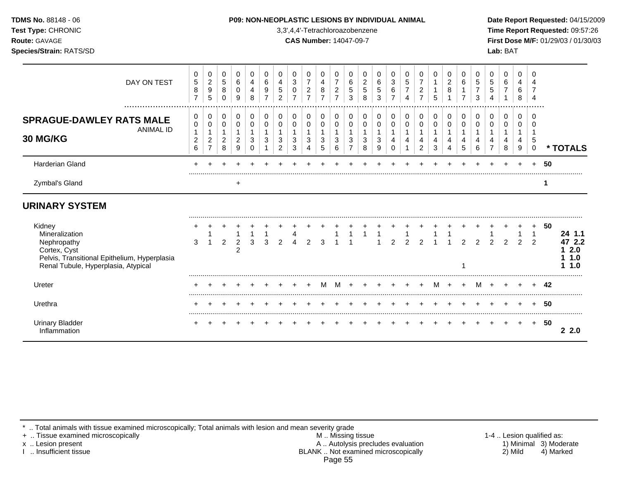#### **TDMS No.** 88148 - 06 **P09: NON-NEOPLASTIC LESIONS BY INDIVIDUAL ANIMAL Date Report Requested:** 04/15/2009

**Test Type:** CHRONIC 3,3',4,4'-Tetrachloroazobenzene **Time Report Requested:** 09:57:26 **Route:** GAVAGE **CAS Number:** 14047-09-7 **First Dose M/F:** 01/29/03 / 01/30/03

| DAY ON TEST<br>                                                                                                                                | 0<br>$\,$ 5 $\,$<br>$\bf 8$<br>$\overline{7}$ | 0<br>$\overline{c}$<br>$\boldsymbol{9}$<br>5 | 0<br>$\sqrt{5}$<br>$\bf 8$<br>$\Omega$                        | 0<br>$\,6\,$<br>$\pmb{0}$<br>9                    | 0<br>4<br>4<br>8 | $\Omega$<br>6<br>9 | 0<br>4<br>5<br>2 | 0<br>$\mathbf{3}$<br>0 | 0<br>$\overline{7}$<br>$\overline{c}$<br>$\overline{\phantom{0}}$ | 0<br>4<br>$\bf 8$<br>$\overline{7}$    | 0<br>$\overline{7}$<br>$\overline{c}$<br>$\overline{7}$ | 0<br>6<br>5<br>3 | 0<br>$\overline{2}$<br>5<br>8 | 0<br>6<br>5<br>3 | 0<br>$\sqrt{3}$<br>$\,6\,$<br>$\overline{ }$ | 0<br>$\sqrt{5}$<br>$\overline{7}$<br>$\overline{\mathbf{4}}$ | 0<br>$\overline{7}$<br>$\sqrt{2}$<br>$\overline{7}$ | 0<br>$\mathbf{1}$<br>1<br>5 | 0<br>$\boldsymbol{2}$<br>8 | 0<br>6        | 0<br>5<br>3   | 0<br>5<br>5   | 0<br>6<br>7      | 0<br>4<br>6<br>8         |                |    |                                     |
|------------------------------------------------------------------------------------------------------------------------------------------------|-----------------------------------------------|----------------------------------------------|---------------------------------------------------------------|---------------------------------------------------|------------------|--------------------|------------------|------------------------|-------------------------------------------------------------------|----------------------------------------|---------------------------------------------------------|------------------|-------------------------------|------------------|----------------------------------------------|--------------------------------------------------------------|-----------------------------------------------------|-----------------------------|----------------------------|---------------|---------------|---------------|------------------|--------------------------|----------------|----|-------------------------------------|
| <b>SPRAGUE-DAWLEY RATS MALE</b><br><b>ANIMAL ID</b><br>30 MG/KG                                                                                | 0<br>0<br>$\mathbf{1}$<br>$\boldsymbol{2}$    | 0<br>0<br>1<br>$\overline{c}$                | 0<br>$\mathbf 0$<br>$\overline{\mathbf{1}}$<br>$\overline{c}$ | 0<br>$\mathbf 0$<br>$\mathbf 1$<br>$\overline{2}$ | 0<br>0<br>1<br>3 | 0<br>0<br>3        | 0<br>3           | 0<br>$\Omega$<br>3     | 0<br>0<br>1<br>3                                                  | 0<br>$\mathbf 0$<br>-1<br>$\mathbf{3}$ | 0<br>0<br>$\mathbf{1}$<br>3                             | 0<br>0<br>3      | 0<br>0<br>3                   | 0<br>0<br>3      | 0<br>0<br>1<br>4                             | 0<br>0<br>$\mathbf{1}$<br>4                                  | 0<br>$\mathbf 0$<br>$\overline{\mathbf{1}}$<br>4    | 0<br>0<br>-1<br>4           | 0<br>0<br>4                | 0<br>$\Omega$ | 0             | 0<br>$\Omega$ | 0<br>0<br>1<br>4 | $\Omega$<br>0<br>-1<br>4 | 5              |    |                                     |
| Harderian Gland                                                                                                                                | 6                                             | $\overline{ }$                               | 8                                                             | 9                                                 | 0                |                    | $\overline{2}$   | 3                      | 4                                                                 | 5                                      | 6                                                       |                  | 8                             | 9                | 0                                            |                                                              | $\overline{2}$                                      | 3                           | 4                          | 5             | 6             |               | 8                | 9                        | $\Omega$       | 50 | * TOTALS                            |
| Zymbal's Gland                                                                                                                                 |                                               |                                              |                                                               | +                                                 |                  |                    |                  |                        |                                                                   |                                        |                                                         |                  |                               |                  |                                              |                                                              |                                                     |                             |                            |               |               |               |                  |                          |                |    |                                     |
| <b>URINARY SYSTEM</b>                                                                                                                          |                                               |                                              |                                                               |                                                   |                  |                    |                  |                        |                                                                   |                                        |                                                         |                  |                               |                  |                                              |                                                              |                                                     |                             |                            |               |               |               |                  |                          |                |    |                                     |
| Kidney<br>Mineralization<br>Nephropathy<br>Cortex, Cyst<br>Pelvis, Transitional Epithelium, Hyperplasia<br>Renal Tubule, Hyperplasia, Atypical | 3                                             |                                              | 2                                                             | $\overline{2}$<br>$\overline{2}$                  | 3                | 3                  | 2                | 4                      | $\overline{2}$                                                    | 3                                      |                                                         |                  |                               |                  | $\mathcal{P}$                                | $\mathbf 1$<br>$\mathfrak{p}$                                | $\mathcal{P}$                                       |                             |                            | $\mathcal{P}$ | $\mathcal{P}$ | C             | $\mathcal{P}$    | $\mathfrak{p}$           | $\mathfrak{p}$ | 50 | 24 1.1<br>72.2<br>2.0<br>1.0<br>1.0 |
| Ureter                                                                                                                                         |                                               |                                              |                                                               |                                                   |                  |                    |                  |                        |                                                                   |                                        |                                                         |                  |                               |                  |                                              |                                                              |                                                     |                             |                            |               |               |               |                  |                          |                | 42 |                                     |
| Urethra                                                                                                                                        |                                               |                                              |                                                               |                                                   |                  |                    |                  |                        |                                                                   |                                        |                                                         |                  |                               |                  |                                              |                                                              |                                                     |                             |                            |               |               |               |                  |                          |                | 50 |                                     |
| <b>Urinary Bladder</b><br>Inflammation                                                                                                         |                                               |                                              |                                                               |                                                   |                  |                    |                  |                        |                                                                   |                                        |                                                         |                  |                               |                  |                                              |                                                              |                                                     |                             |                            |               |               |               |                  | $\pm$                    | $+$            | 50 | 22.0                                |

\* .. Total animals with tissue examined microscopically; Total animals with lesion and mean severity grade

+ .. Tissue examined microscopically M .. Missing tissue 1-4 .. Lesion qualified as: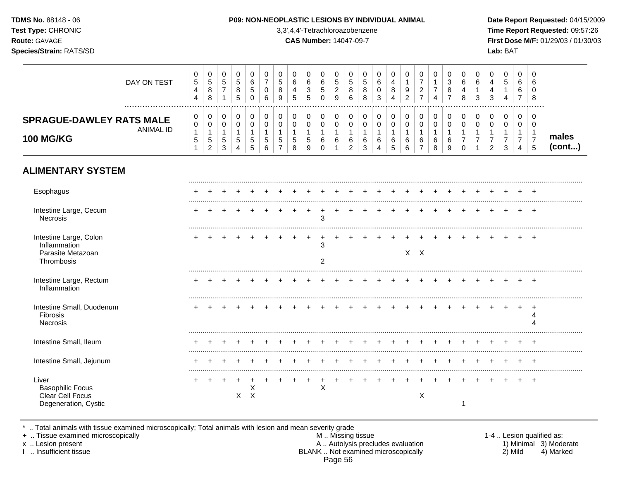#### **TDMS No.** 88148 - 06 **P09: NON-NEOPLASTIC LESIONS BY INDIVIDUAL ANIMAL Date Report Requested:** 04/15/2009

**Test Type:** CHRONIC 3,3',4,4'-Tetrachloroazobenzene **Time Report Requested:** 09:57:26 **Route:** GAVAGE **CAS Number:** 14047-09-7 **First Dose M/F:** 01/29/03 / 01/30/03

| DAY ON TEST                                                                         | 0<br>$\sqrt{5}$<br>$\overline{\mathbf{4}}$<br>$\overline{4}$ | 0<br>$\sqrt{5}$<br>$\bf 8$<br>8               | $\pmb{0}$<br>$\sqrt{5}$<br>$\overline{7}$<br>$\mathbf{1}$ | $\pmb{0}$<br>$5\phantom{.0}$<br>$\bf 8$<br>5            | 0<br>6<br>$\sqrt{5}$<br>$\Omega$          | 0<br>$\overline{7}$<br>0<br>6           | $\mathbf 0$<br>5<br>8<br>9           | 0<br>6<br>4<br>5                        | 0<br>6<br>$\ensuremath{\mathsf{3}}$<br>$\overline{5}$ | 0<br>6<br>$\mathbf 5$<br>$\Omega$                | $\pmb{0}$<br>$\sqrt{5}$<br>$\overline{c}$<br>9 | $\pmb{0}$<br>5<br>8<br>6                                | 0<br>5<br>8<br>8                           | 0<br>6<br>0<br>3                                     | 0<br>4<br>8<br>$\overline{\mathbf{4}}$ | $\mathbf 0$<br>$\overline{1}$<br>$\boldsymbol{9}$<br>$\overline{2}$ | 0<br>$\overline{7}$<br>$\overline{c}$<br>$\overline{7}$ | 0<br>$\mathbf{1}$<br>$\overline{7}$<br>4 | 0<br>3<br>8<br>$\overline{7}$              | 0<br>6<br>4<br>8                                                  | 0<br>6<br>1<br>3                     | 0<br>4<br>4<br>3                                       | 0<br>5<br>1<br>Δ                                     | $\pmb{0}$<br>6<br>6<br>$\overline{7}$                             | $\mathbf 0$<br>6<br>$\Omega$<br>8                                           |                 |
|-------------------------------------------------------------------------------------|--------------------------------------------------------------|-----------------------------------------------|-----------------------------------------------------------|---------------------------------------------------------|-------------------------------------------|-----------------------------------------|--------------------------------------|-----------------------------------------|-------------------------------------------------------|--------------------------------------------------|------------------------------------------------|---------------------------------------------------------|--------------------------------------------|------------------------------------------------------|----------------------------------------|---------------------------------------------------------------------|---------------------------------------------------------|------------------------------------------|--------------------------------------------|-------------------------------------------------------------------|--------------------------------------|--------------------------------------------------------|------------------------------------------------------|-------------------------------------------------------------------|-----------------------------------------------------------------------------|-----------------|
| <b>SPRAGUE-DAWLEY RATS MALE</b><br><b>ANIMAL ID</b><br><b>100 MG/KG</b>             | 0<br>$\mathbf 0$<br>$\mathbf{1}$<br>$\sqrt{5}$<br>1          | 0<br>0<br>$\mathbf{1}$<br>5<br>$\overline{c}$ | 0<br>$\mathbf 0$<br>$\mathbf{1}$<br>$\sqrt{5}$<br>3       | $\mathbf 0$<br>0<br>$\mathbf{1}$<br>5<br>$\overline{4}$ | 0<br>$\Omega$<br>$\overline{1}$<br>5<br>5 | 0<br>$\Omega$<br>$\mathbf{1}$<br>5<br>6 | 0<br>$\Omega$<br>$\overline{1}$<br>5 | 0<br>$\Omega$<br>$\mathbf{1}$<br>5<br>8 | 0<br>$\Omega$<br>1<br>5<br>9                          | 0<br>$\mathbf 0$<br>$\mathbf 1$<br>6<br>$\Omega$ | 0<br>0<br>$\mathbf{1}$<br>6                    | 0<br>$\mathbf 0$<br>$\mathbf{1}$<br>6<br>$\overline{2}$ | 0<br>$\mathbf 0$<br>$\mathbf{1}$<br>6<br>3 | 0<br>$\Omega$<br>$\mathbf{1}$<br>6<br>$\overline{4}$ | 0<br>0<br>$\mathbf{1}$<br>6<br>5       | 0<br>$\Omega$<br>$\mathbf{1}$<br>6<br>6                             | 0<br>$\mathbf 0$<br>$\mathbf{1}$<br>6<br>$\overline{7}$ | 0<br>0<br>$\mathbf{1}$<br>$\,6\,$<br>8   | 0<br>$\mathbf 0$<br>$\mathbf{1}$<br>6<br>9 | 0<br>$\mathbf 0$<br>$\mathbf{1}$<br>$\overline{7}$<br>$\mathbf 0$ | 0<br>$\Omega$<br>1<br>$\overline{7}$ | 0<br>$\Omega$<br>1<br>$\overline{7}$<br>$\overline{2}$ | 0<br>$\Omega$<br>$\mathbf{1}$<br>$\overline{7}$<br>3 | 0<br>$\Omega$<br>$\mathbf{1}$<br>$\overline{7}$<br>$\overline{4}$ | $\mathbf 0$<br>$\Omega$<br>$\mathbf{1}$<br>$\overline{7}$<br>$\overline{5}$ | males<br>(cont) |
| <b>ALIMENTARY SYSTEM</b>                                                            |                                                              |                                               |                                                           |                                                         |                                           |                                         |                                      |                                         |                                                       |                                                  |                                                |                                                         |                                            |                                                      |                                        |                                                                     |                                                         |                                          |                                            |                                                                   |                                      |                                                        |                                                      |                                                                   |                                                                             |                 |
| Esophagus                                                                           |                                                              |                                               |                                                           |                                                         |                                           |                                         |                                      |                                         |                                                       |                                                  |                                                |                                                         |                                            |                                                      |                                        |                                                                     |                                                         |                                          |                                            |                                                                   |                                      |                                                        |                                                      |                                                                   |                                                                             |                 |
| Intestine Large, Cecum<br>Necrosis                                                  |                                                              |                                               |                                                           |                                                         |                                           |                                         |                                      |                                         |                                                       | 3                                                |                                                |                                                         |                                            |                                                      |                                        |                                                                     |                                                         |                                          |                                            |                                                                   |                                      |                                                        |                                                      |                                                                   | $\overline{ }$                                                              |                 |
| Intestine Large, Colon<br>Inflammation<br>Parasite Metazoan<br>Thrombosis           |                                                              |                                               |                                                           |                                                         |                                           |                                         |                                      |                                         |                                                       | 3<br>$\overline{2}$                              |                                                |                                                         |                                            |                                                      |                                        | $X$ $X$                                                             |                                                         |                                          |                                            |                                                                   |                                      |                                                        |                                                      |                                                                   |                                                                             |                 |
| Intestine Large, Rectum<br>Inflammation                                             |                                                              |                                               |                                                           |                                                         |                                           |                                         |                                      |                                         |                                                       |                                                  |                                                |                                                         |                                            |                                                      |                                        |                                                                     |                                                         |                                          |                                            |                                                                   |                                      |                                                        |                                                      |                                                                   | $\div$                                                                      |                 |
| Intestine Small, Duodenum<br>Fibrosis<br>Necrosis                                   |                                                              |                                               |                                                           |                                                         |                                           |                                         |                                      |                                         |                                                       |                                                  |                                                |                                                         |                                            |                                                      |                                        |                                                                     |                                                         |                                          |                                            |                                                                   |                                      |                                                        |                                                      |                                                                   | $\overline{4}$<br>4                                                         |                 |
| Intestine Small, Ileum                                                              |                                                              |                                               |                                                           |                                                         |                                           |                                         |                                      |                                         |                                                       |                                                  |                                                |                                                         |                                            |                                                      |                                        |                                                                     | $\pm$                                                   |                                          |                                            |                                                                   |                                      |                                                        |                                                      | $\pm$                                                             | $^{+}$                                                                      |                 |
| Intestine Small, Jejunum                                                            |                                                              |                                               |                                                           |                                                         |                                           |                                         |                                      |                                         |                                                       |                                                  |                                                |                                                         |                                            |                                                      |                                        |                                                                     |                                                         |                                          |                                            |                                                                   |                                      |                                                        |                                                      | ٠                                                                 | $+$                                                                         |                 |
| Liver<br><b>Basophilic Focus</b><br><b>Clear Cell Focus</b><br>Degeneration, Cystic |                                                              |                                               |                                                           | $\mathsf{X}$                                            | Χ<br>$\times$                             |                                         |                                      |                                         |                                                       | Χ                                                |                                                |                                                         |                                            |                                                      |                                        |                                                                     | X                                                       |                                          |                                            |                                                                   |                                      |                                                        |                                                      |                                                                   | $\ddot{}$                                                                   |                 |

\* .. Total animals with tissue examined microscopically; Total animals with lesion and mean severity grade

+ .. Tissue examined microscopically M .. Missing tissue 1-4 .. Lesion qualified as: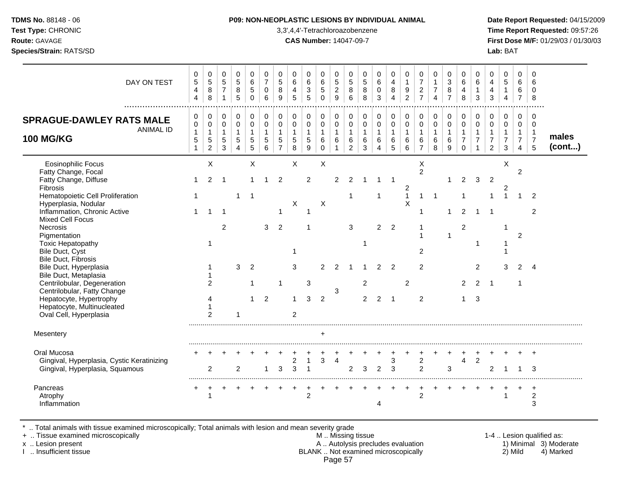#### **TDMS No.** 88148 - 06 **P09: NON-NEOPLASTIC LESIONS BY INDIVIDUAL ANIMAL Date Report Requested:** 04/15/2009

**Test Type:** CHRONIC 3,3',4,4'-Tetrachloroazobenzene **Time Report Requested:** 09:57:26 **Route:** GAVAGE **CAS Number:** 14047-09-7 **First Dose M/F:** 01/29/03 / 01/30/03 **Species/Strain:** RATS/SD **Lab:** BAT

| DAY ON TEST                                                                                                                                                                                                                                                                                    | $\pmb{0}$<br>5<br>$\overline{4}$<br>$\overline{4}$                       | 0<br>$\sqrt{5}$<br>$\bf 8$<br>$\bf 8$                                     | 0<br>5<br>$\overline{7}$<br>$\mathbf{1}$                           | $\mathbf 0$<br>5<br>8<br>$\overline{5}$               | $\mathbf 0$<br>$6\phantom{1}6$<br>5<br>$\mathbf 0$   | 0<br>$\overline{7}$<br>0<br>6            | 0<br>$\overline{5}$<br>8<br>9                                   | 0<br>$6\phantom{a}$<br>$\overline{4}$<br>$\sqrt{5}$    | $\mathbf 0$<br>$\,6\,$<br>3<br>$\sqrt{5}$             | 0<br>$\,6\,$<br>$\sqrt{5}$<br>$\mathbf 0$            | $\mathbf 0$<br>$\sqrt{5}$<br>$\overline{c}$<br>$\boldsymbol{9}$ | 0<br>$\overline{5}$<br>8<br>6                           | 0<br>$\overline{5}$<br>8<br>8            | 0<br>$\,6\,$<br>$\mathbf 0$<br>$\mathbf{3}$                                     | 0<br>$\overline{4}$<br>8<br>$\overline{4}$              | 0<br>$\mathbf{1}$<br>9<br>$\overline{2}$               | 0<br>$\overline{7}$<br>$\sqrt{2}$<br>$\overline{7}$     | 0<br>$\mathbf{1}$<br>$\overline{7}$<br>$\overline{4}$ | 0<br>$\mathbf{3}$<br>8<br>$\overline{7}$ | 0<br>6<br>4<br>8                                             | $\mathbf 0$<br>$6\phantom{1}6$<br>$\mathbf{1}$<br>$\mathbf{3}$ | 0<br>$\overline{4}$<br>4<br>3                                        | 0<br>5<br>$\mathbf{1}$<br>$\overline{4}$                      | $\mathbf 0$<br>6<br>6<br>$\overline{7}$                              | 0<br>6<br>$\mathbf 0$<br>$\,8\,$                                  |                 |
|------------------------------------------------------------------------------------------------------------------------------------------------------------------------------------------------------------------------------------------------------------------------------------------------|--------------------------------------------------------------------------|---------------------------------------------------------------------------|--------------------------------------------------------------------|-------------------------------------------------------|------------------------------------------------------|------------------------------------------|-----------------------------------------------------------------|--------------------------------------------------------|-------------------------------------------------------|------------------------------------------------------|-----------------------------------------------------------------|---------------------------------------------------------|------------------------------------------|---------------------------------------------------------------------------------|---------------------------------------------------------|--------------------------------------------------------|---------------------------------------------------------|-------------------------------------------------------|------------------------------------------|--------------------------------------------------------------|----------------------------------------------------------------|----------------------------------------------------------------------|---------------------------------------------------------------|----------------------------------------------------------------------|-------------------------------------------------------------------|-----------------|
| <b>SPRAGUE-DAWLEY RATS MALE</b><br><b>ANIMAL ID</b><br><b>100 MG/KG</b>                                                                                                                                                                                                                        | $\pmb{0}$<br>$\pmb{0}$<br>$\mathbf{1}$<br>$\overline{5}$<br>$\mathbf{1}$ | $\pmb{0}$<br>$\mathbf 0$<br>$\mathbf{1}$<br>$\,$ 5 $\,$<br>$\overline{2}$ | $\mathbf 0$<br>$\mathbf 0$<br>$\mathbf{1}$<br>$5\phantom{.0}$<br>3 | 0<br>$\pmb{0}$<br>$\mathbf{1}$<br>5<br>$\overline{4}$ | $\mathbf 0$<br>$\mathbf 0$<br>$\mathbf{1}$<br>5<br>5 | 0<br>$\pmb{0}$<br>$\mathbf{1}$<br>5<br>6 | $\mathbf 0$<br>$\pmb{0}$<br>$\mathbf{1}$<br>5<br>$\overline{7}$ | 0<br>$\mathsf{O}\xspace$<br>$\mathbf{1}$<br>$5\,$<br>8 | 0<br>$\mathbf 0$<br>$\overline{1}$<br>$\sqrt{5}$<br>9 | 0<br>$\mathbf 0$<br>$\mathbf{1}$<br>6<br>$\mathbf 0$ | $\mathbf 0$<br>0<br>$\mathbf{1}$<br>6<br>$\mathbf{1}$           | 0<br>$\mathbf 0$<br>$\mathbf{1}$<br>6<br>$\overline{2}$ | 0<br>$\pmb{0}$<br>$\mathbf{1}$<br>6<br>3 | $\mathbf 0$<br>$\mathbf 0$<br>$\mathbf{1}$<br>$6\phantom{1}6$<br>$\overline{4}$ | 0<br>$\mathsf 0$<br>$\mathbf{1}$<br>$6\phantom{a}$<br>5 | 0<br>$\mathsf{O}\xspace$<br>$\mathbf{1}$<br>$\,6$<br>6 | 0<br>$\mathbf 0$<br>$\mathbf{1}$<br>6<br>$\overline{7}$ | $\pmb{0}$<br>$\pmb{0}$<br>$\mathbf{1}$<br>6<br>8      | 0<br>$\pmb{0}$<br>$\mathbf{1}$<br>6<br>9 | 0<br>$\pmb{0}$<br>$\mathbf{1}$<br>$\overline{7}$<br>$\Omega$ | 0<br>$\mathbf 0$<br>$\mathbf{1}$<br>$\overline{7}$             | 0<br>$\mathbf 0$<br>$\mathbf{1}$<br>$\overline{7}$<br>$\overline{2}$ | $\pmb{0}$<br>$\pmb{0}$<br>$\mathbf{1}$<br>$\overline{7}$<br>3 | $\mathbf 0$<br>0<br>$\mathbf{1}$<br>$\overline{7}$<br>$\overline{4}$ | $\mathbf 0$<br>$\mathbf 0$<br>$\mathbf{1}$<br>$\overline{7}$<br>5 | males<br>(cont) |
| <b>Eosinophilic Focus</b><br>Fatty Change, Focal<br>Fatty Change, Diffuse<br>Fibrosis<br>Hematopoietic Cell Proliferation<br>Hyperplasia, Nodular<br>Inflammation, Chronic Active<br><b>Mixed Cell Focus</b><br><b>Necrosis</b><br>Pigmentation<br><b>Toxic Hepatopathy</b><br>Bile Duct, Cyst | 1<br>$\mathbf{1}$                                                        | X<br>$\overline{2}$<br>$\overline{1}$<br>-1                               | $\overline{1}$<br>2                                                | $\mathbf{1}$                                          | X<br>1<br>$\overline{1}$                             | 3                                        | 2<br>$\mathbf{1}$<br>$\overline{2}$                             | X<br>X                                                 | $\overline{2}$<br>-1                                  | X<br>X                                               | 2                                                               | $\overline{2}$<br>1<br>3                                | 1                                        | -1<br>$\overline{1}$<br>$\overline{2}$                                          | $\overline{1}$<br>$\overline{2}$                        | 2<br>$\mathbf{1}$<br>X                                 | X<br>$\overline{2}$<br>$\mathbf{1}$<br>2                | $\overline{1}$                                        | 1<br>1<br>1                              | $\overline{2}$<br>2<br>2                                     | 3<br>$\overline{1}$<br>-1                                      | $\overline{2}$<br>-1                                                 | X<br>2                                                        | $\overline{c}$<br>$\overline{2}$                                     | 2<br>2                                                            |                 |
| <b>Bile Duct, Fibrosis</b><br>Bile Duct, Hyperplasia<br>Bile Duct, Metaplasia<br>Centrilobular, Degeneration<br>Centrilobular, Fatty Change<br>Hepatocyte, Hypertrophy<br>Hepatocyte, Multinucleated<br>Oval Cell, Hyperplasia                                                                 |                                                                          | 1<br>2<br>4<br>1<br>$\overline{2}$                                        |                                                                    | 3<br>$\overline{\phantom{a}}$                         | $\overline{2}$<br>1                                  | 2                                        | $\mathbf 1$                                                     | 3<br>$\overline{2}$                                    | 3<br>3                                                | $\overline{2}$<br>$\overline{2}$                     | 2<br>3                                                          |                                                         | $\overline{2}$<br>$\overline{2}$         | 2<br>2                                                                          | $\overline{2}$<br>- 1                                   | $\overline{2}$                                         | $\overline{2}$<br>2                                     |                                                       |                                          | $\overline{2}$<br>1                                          | $\overline{2}$<br>$2 \quad 1$<br>3                             |                                                                      | 3                                                             | $\overline{2}$<br>$\mathbf 1$                                        | $\overline{4}$                                                    |                 |
| Mesentery                                                                                                                                                                                                                                                                                      |                                                                          |                                                                           |                                                                    |                                                       |                                                      |                                          |                                                                 |                                                        |                                                       |                                                      |                                                                 |                                                         |                                          |                                                                                 |                                                         |                                                        |                                                         |                                                       |                                          |                                                              |                                                                |                                                                      |                                                               |                                                                      |                                                                   |                 |
| Oral Mucosa<br>Gingival, Hyperplasia, Cystic Keratinizing<br>Gingival, Hyperplasia, Squamous                                                                                                                                                                                                   |                                                                          | $\overline{2}$                                                            |                                                                    | $\overline{2}$                                        |                                                      | 1                                        | 3                                                               | $\overline{\mathbf{c}}$<br>3                           |                                                       | 3                                                    | $\boldsymbol{\Lambda}$                                          | 2                                                       | 3                                        | 2                                                                               | 3<br>3                                                  |                                                        | $\overline{c}$<br>$\overline{2}$                        |                                                       | 3                                        | 4                                                            | $\overline{2}$                                                 | 2                                                                    |                                                               |                                                                      | 3                                                                 |                 |
| Pancreas<br>Atrophy<br>Inflammation                                                                                                                                                                                                                                                            |                                                                          | 1                                                                         |                                                                    |                                                       |                                                      |                                          |                                                                 |                                                        | $\overline{2}$                                        |                                                      |                                                                 |                                                         |                                          | 4                                                                               |                                                         |                                                        | $\overline{c}$                                          |                                                       |                                          |                                                              |                                                                |                                                                      |                                                               |                                                                      | $\ddot{}$<br>$\overline{c}$<br>3                                  |                 |

\* .. Total animals with tissue examined microscopically; Total animals with lesion and mean severity grade

+ .. Tissue examined microscopically M .. Missing tissue 1-4 .. Lesion qualified as: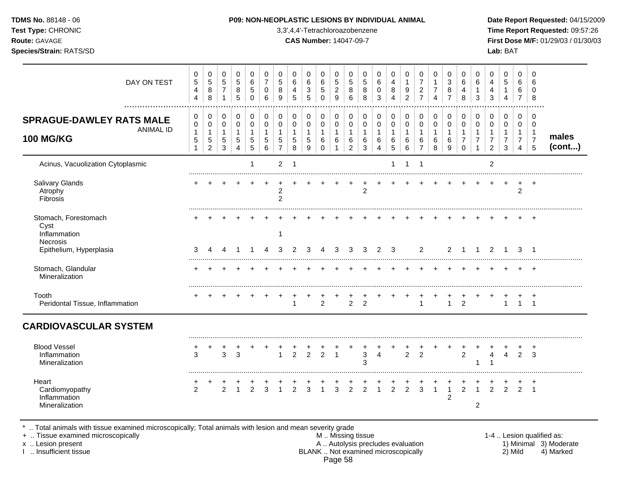| <b>TDMS No. 88148 - 06</b>     | <b>P09: NON-NEOPLASTIC LESIONS BY INDIVIDUAL ANIMAL</b> | Date Rep         |
|--------------------------------|---------------------------------------------------------|------------------|
| <b>Test Type: CHRONIC</b>      | 3,3',4,4'-Tetrachloroazobenzene                         | Time Rep         |
| <b>Route: GAVAGE</b>           | <b>CAS Number: 14047-09-7</b>                           | <b>First Dos</b> |
| <b>Species/Strain: RATS/SD</b> |                                                         | <b>Lab: BAT</b>  |

**Time Report Requested:** 09:57:26 **Route:** GAVAGE **CAS Number:** 14047-09-7 **First Dose M/F:** 01/29/03 / 01/30/03

| DAY ON TEST<br>                                                         | 0<br>5<br>$\overline{4}$<br>4               | 0<br>$\,$ 5 $\,$<br>$\bf 8$<br>$\,8\,$                                   | 0<br>$\sqrt{5}$<br>$\overline{7}$<br>$\mathbf{1}$   | 0<br>$\sqrt{5}$<br>8<br>$\overline{5}$              | 0<br>$\,6$<br>5<br>$\mathbf 0$             | 0<br>$\overline{7}$<br>0<br>6    | 0<br>$\sqrt{5}$<br>8<br>9                               | 0<br>$\,6$<br>$\overline{4}$<br>5 | 0<br>$\,6\,$<br>$\mathbf{3}$<br>$\sqrt{5}$ | 0<br>$\,6\,$<br>$5\phantom{.0}$<br>0 | 0<br>$\sqrt{5}$<br>$\sqrt{2}$<br>9            | 0<br>5<br>8<br>6                                      | 0<br>$\sqrt{5}$<br>8<br>8        | 0<br>$\,6$<br>$\mathbf 0$<br>3             | 0<br>$\overline{\mathbf{4}}$<br>8<br>$\overline{4}$ | 0<br>$\mathbf{1}$<br>9<br>$\overline{c}$   | 0<br>$\boldsymbol{7}$<br>$\boldsymbol{2}$<br>$\overline{7}$ | 0<br>$\mathbf{1}$<br>$\overline{7}$<br>$\overline{4}$ | 0<br>$\ensuremath{\mathsf{3}}$<br>8<br>$\overline{7}$ | 0<br>$\,6\,$<br>4<br>8                               | 0<br>6<br>1<br>3                           | 0<br>4<br>4<br>3                              | 0<br>$\sqrt{5}$<br>1<br>$\overline{4}$                 | 0<br>6<br>6<br>$\overline{7}$                                        | 0<br>6<br>$\Omega$<br>8                                   |                 |
|-------------------------------------------------------------------------|---------------------------------------------|--------------------------------------------------------------------------|-----------------------------------------------------|-----------------------------------------------------|--------------------------------------------|----------------------------------|---------------------------------------------------------|-----------------------------------|--------------------------------------------|--------------------------------------|-----------------------------------------------|-------------------------------------------------------|----------------------------------|--------------------------------------------|-----------------------------------------------------|--------------------------------------------|-------------------------------------------------------------|-------------------------------------------------------|-------------------------------------------------------|------------------------------------------------------|--------------------------------------------|-----------------------------------------------|--------------------------------------------------------|----------------------------------------------------------------------|-----------------------------------------------------------|-----------------|
| <b>SPRAGUE-DAWLEY RATS MALE</b><br><b>ANIMAL ID</b><br><b>100 MG/KG</b> | 0<br>0<br>$\mathbf{1}$<br>5<br>$\mathbf{1}$ | $\pmb{0}$<br>$\mathbf 0$<br>$\mathbf{1}$<br>$\sqrt{5}$<br>$\overline{2}$ | 0<br>$\mathbf 0$<br>$\mathbf{1}$<br>$\sqrt{5}$<br>3 | 0<br>$\mathbf 0$<br>$\mathbf{1}$<br>$\sqrt{5}$<br>4 | 0<br>$\mathbf 0$<br>$\mathbf{1}$<br>5<br>5 | 0<br>0<br>$\mathbf{1}$<br>5<br>6 | 0<br>$\mathbf 0$<br>$\mathbf{1}$<br>5<br>$\overline{7}$ | 0<br>0<br>$\mathbf{1}$<br>5<br>8  | 0<br>0<br>$\mathbf{1}$<br>$\sqrt{5}$<br>9  | 0<br>0<br>$\mathbf{1}$<br>6<br>0     | 0<br>$\mathbf 0$<br>$\overline{1}$<br>6<br>-1 | 0<br>$\pmb{0}$<br>$\mathbf{1}$<br>6<br>$\overline{2}$ | 0<br>0<br>$\mathbf{1}$<br>6<br>3 | 0<br>$\mathbf 0$<br>$\mathbf{1}$<br>6<br>4 | 0<br>$\mathbf 0$<br>$\mathbf{1}$<br>6<br>5          | 0<br>$\mathbf 0$<br>$\mathbf{1}$<br>6<br>6 | 0<br>$\mathbf 0$<br>$\mathbf{1}$<br>6<br>$\overline{7}$     | 0<br>$\mathbf 0$<br>$\mathbf{1}$<br>6<br>8            | 0<br>$\mathbf 0$<br>$\mathbf{1}$<br>6<br>9            | 0<br>$\mathbf 0$<br>$\mathbf{1}$<br>7<br>$\mathbf 0$ | 0<br>$\mathbf 0$<br>$\mathbf{1}$<br>7<br>1 | 0<br>0<br>$\mathbf{1}$<br>7<br>$\overline{2}$ | 0<br>$\mathbf 0$<br>$\mathbf 1$<br>$\overline{7}$<br>3 | 0<br>$\mathbf 0$<br>$\mathbf{1}$<br>$\overline{7}$<br>$\overline{4}$ | 0<br>$\mathbf 0$<br>$\overline{1}$<br>$\overline{7}$<br>5 | males<br>(cont) |
| Acinus, Vacuolization Cytoplasmic                                       |                                             |                                                                          |                                                     |                                                     | $\mathbf 1$                                |                                  | $\overline{2}$                                          | -1                                |                                            |                                      |                                               |                                                       |                                  |                                            | 1                                                   | $\mathbf{1}$                               | $\overline{1}$                                              |                                                       |                                                       |                                                      |                                            | $\overline{2}$                                |                                                        |                                                                      |                                                           |                 |
| Salivary Glands<br>Atrophy<br>Fibrosis                                  |                                             |                                                                          |                                                     |                                                     |                                            |                                  | 2<br>2                                                  |                                   |                                            |                                      |                                               |                                                       | $\overline{c}$                   |                                            |                                                     |                                            |                                                             |                                                       |                                                       |                                                      |                                            |                                               |                                                        | $\overline{c}$                                                       |                                                           |                 |
| Stomach, Forestomach<br>Cyst<br>Inflammation<br>Necrosis                |                                             |                                                                          |                                                     |                                                     |                                            |                                  | -1                                                      |                                   |                                            |                                      |                                               |                                                       |                                  |                                            |                                                     |                                            |                                                             |                                                       |                                                       |                                                      |                                            |                                               |                                                        |                                                                      | $\pm$                                                     |                 |
| Epithelium, Hyperplasia                                                 | 3                                           | Δ                                                                        |                                                     |                                                     |                                            |                                  |                                                         | 2                                 |                                            |                                      |                                               | 3                                                     | 3                                | 2                                          | 3                                                   |                                            | $\overline{2}$                                              |                                                       | 2                                                     |                                                      |                                            | 2                                             | -1                                                     | 3                                                                    | $\overline{\mathbf{1}}$                                   |                 |
| Stomach, Glandular<br>Mineralization                                    |                                             |                                                                          |                                                     |                                                     |                                            |                                  |                                                         |                                   |                                            |                                      |                                               |                                                       |                                  |                                            |                                                     |                                            |                                                             |                                                       |                                                       |                                                      |                                            |                                               |                                                        | $\pm$                                                                | $+$                                                       |                 |
| Tooth<br>Peridontal Tissue, Inflammation                                |                                             |                                                                          |                                                     |                                                     |                                            |                                  |                                                         | 1                                 |                                            | $\overline{2}$                       |                                               | $\overline{2}$                                        | $\overline{2}$                   |                                            |                                                     |                                            | 1                                                           |                                                       | 1                                                     | $\overline{2}$                                       |                                            |                                               | 1                                                      | $\mathbf{1}$                                                         | $\overline{ }$<br>$\overline{1}$                          |                 |
| <b>CARDIOVASCULAR SYSTEM</b>                                            |                                             |                                                                          |                                                     |                                                     |                                            |                                  |                                                         |                                   |                                            |                                      |                                               |                                                       |                                  |                                            |                                                     |                                            |                                                             |                                                       |                                                       |                                                      |                                            |                                               |                                                        |                                                                      |                                                           |                 |
| <b>Blood Vessel</b><br>Inflammation<br>Mineralization                   | 3                                           |                                                                          | $\mathcal{R}$                                       | 3                                                   |                                            |                                  | $\mathbf{1}$                                            | 2                                 | $\overline{2}$                             | 2                                    | $\overline{1}$                                |                                                       | 3<br>3                           | 4                                          |                                                     | $\overline{2}$                             | $\overline{2}$                                              |                                                       |                                                       | 2                                                    |                                            |                                               | 4                                                      | 2                                                                    | $\ddot{}$<br>3                                            |                 |
| Heart<br>Cardiomyopathy<br>Inflammation<br>Mineralization               | +<br>$\overline{2}$                         |                                                                          | $\overline{2}$                                      |                                                     | $\overline{2}$                             | 3                                |                                                         | $\overline{2}$                    | 3                                          |                                      | 3                                             | $\mathfrak{p}$                                        | $\mathcal{P}$                    |                                            | $\overline{2}$                                      | $\overline{2}$                             | 3                                                           | $\overline{1}$                                        | 1<br>$\overline{2}$                                   | $\overline{2}$                                       | $\overline{c}$                             | $\overline{2}$                                | $\overline{2}$                                         | $\overline{2}$                                                       | $\cdot$<br>$\overline{1}$                                 |                 |

\* .. Total animals with tissue examined microscopically; Total animals with lesion and mean severity grade

+ .. Tissue examined microscopically M .. Missing tissue 1-4 .. Lesion qualified as: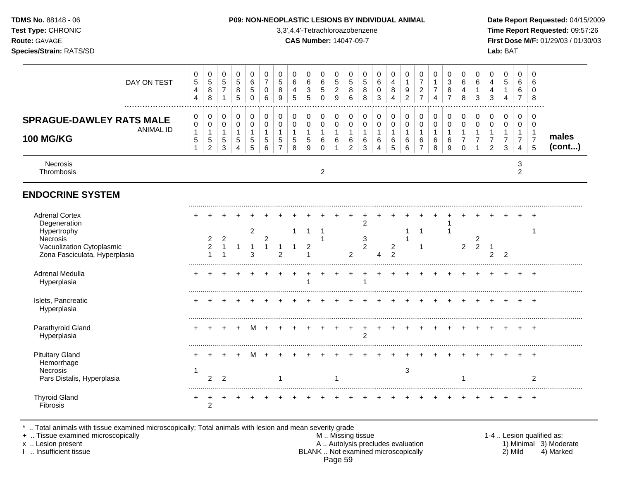| <b>TDMS No.</b> 88148 - 06 | <b>P09: NON-NEOPLASTIC LESIONS BY INDIVIDUAL ANIMAL</b> | Date Rep         |
|----------------------------|---------------------------------------------------------|------------------|
| Test Type: CHRONIC         | 3,3',4,4'-Tetrachloroazobenzene                         | Time Rer         |
| <b>Route: GAVAGE</b>       | <b>CAS Number: 14047-09-7</b>                           | <b>First Dos</b> |
| Species/Strain: RATS/SD    |                                                         | <b>Lab: BAT</b>  |

**Time Report Requested:** 09:57:26 **Route:** GAVAGE **CAS Number:** 14047-09-7 **First Dose M/F:** 01/29/03 / 01/30/03

| DAY ON TEST                                                                                                                           | 0<br>$\sqrt{5}$<br>4<br>4                                      | 0<br>$\sqrt{5}$<br>$\bf 8$<br>$\,8\,$                         | $\pmb{0}$<br>$\sqrt{5}$<br>$\overline{7}$<br>$\mathbf{1}$ | $\pmb{0}$<br>$\sqrt{5}$<br>8<br>5                                              | 0<br>6<br>5<br>$\Omega$                  | 0<br>$\overline{7}$<br>$\mathbf 0$<br>6 | 0<br>$\sqrt{5}$<br>8<br>9                                       | $\pmb{0}$<br>$\,6\,$<br>$\overline{4}$<br>5 | $\pmb{0}$<br>6<br>$\sqrt{3}$<br>5                               | 0<br>$\,6\,$<br>$\sqrt{5}$<br>$\Omega$ | $\mathbf 0$<br>$\sqrt{5}$<br>$\boldsymbol{2}$<br>9              | 0<br>$\,$ 5 $\,$<br>8<br>6                                      | 0<br>$\sqrt{5}$<br>8<br>8                          | 0<br>$\,6\,$<br>$\mathbf 0$<br>3                         | $\pmb{0}$<br>$\overline{\mathbf{4}}$<br>8<br>$\boldsymbol{\Lambda}$ | $\mathbf 0$<br>$\mathbf{1}$<br>9<br>$\overline{2}$ | $\mathbf 0$<br>$\overline{7}$<br>$\boldsymbol{2}$<br>$\overline{7}$ | $\mathbf 0$<br>$\overline{1}$<br>$\overline{7}$<br>4 | 0<br>$\mathbf{3}$<br>8<br>$\overline{7}$ | 0<br>$\,6\,$<br>$\overline{4}$<br>8                    | 0<br>6<br>1<br>3                                             | $\pmb{0}$<br>$\overline{4}$<br>$\overline{4}$<br>3                 | $\mathbf 0$<br>$\,$ 5 $\,$<br>$\mathbf{1}$<br>$\overline{4}$         | 0<br>6<br>6<br>$\overline{7}$                                   | $\Omega$<br>6<br>$\Omega$<br>8                         |                 |
|---------------------------------------------------------------------------------------------------------------------------------------|----------------------------------------------------------------|---------------------------------------------------------------|-----------------------------------------------------------|--------------------------------------------------------------------------------|------------------------------------------|-----------------------------------------|-----------------------------------------------------------------|---------------------------------------------|-----------------------------------------------------------------|----------------------------------------|-----------------------------------------------------------------|-----------------------------------------------------------------|----------------------------------------------------|----------------------------------------------------------|---------------------------------------------------------------------|----------------------------------------------------|---------------------------------------------------------------------|------------------------------------------------------|------------------------------------------|--------------------------------------------------------|--------------------------------------------------------------|--------------------------------------------------------------------|----------------------------------------------------------------------|-----------------------------------------------------------------|--------------------------------------------------------|-----------------|
| <b>SPRAGUE-DAWLEY RATS MALE</b><br><b>ANIMAL ID</b><br><b>100 MG/KG</b>                                                               | 0<br>$\mathbf 0$<br>$\mathbf{1}$<br>$\sqrt{5}$<br>$\mathbf{1}$ | $\pmb{0}$<br>$\mathbf 0$<br>1<br>$\sqrt{5}$<br>$\overline{2}$ | $\pmb{0}$<br>0<br>$\mathbf{1}$<br>$\sqrt{5}$<br>3         | $\pmb{0}$<br>$\mathbf 0$<br>$\overline{1}$<br>$\overline{5}$<br>$\overline{4}$ | $\pmb{0}$<br>0<br>$\mathbf{1}$<br>5<br>5 | $\pmb{0}$<br>$\mathbf 0$<br>5<br>6      | $\pmb{0}$<br>$\mathbf 0$<br>$\mathbf{1}$<br>5<br>$\overline{7}$ | $\pmb{0}$<br>$\mathbf 0$<br>5<br>8          | $\pmb{0}$<br>$\mathbf 0$<br>$\mathbf{1}$<br>$\overline{5}$<br>9 | 0<br>0<br>$\mathbf{1}$<br>$\,6\,$<br>0 | $\pmb{0}$<br>$\mathbf 0$<br>$\mathbf{1}$<br>6<br>$\overline{1}$ | $\pmb{0}$<br>$\mathbf 0$<br>$\mathbf{1}$<br>6<br>$\overline{2}$ | $\pmb{0}$<br>$\mathbf 0$<br>$\mathbf{1}$<br>6<br>3 | $\pmb{0}$<br>$\mathbf 0$<br>$\mathbf{1}$<br>$\,6\,$<br>4 | $\pmb{0}$<br>$\mathbf 0$<br>$\mathbf{1}$<br>6<br>5                  | 0<br>0<br>$\mathbf{1}$<br>$\,6\,$<br>6             | $\pmb{0}$<br>0<br>$\mathbf{1}$<br>6<br>$\overline{7}$               | $\pmb{0}$<br>$\mathbf 0$<br>$\mathbf{1}$<br>6<br>8   | 0<br>0<br>$\mathbf{1}$<br>6<br>9         | $\pmb{0}$<br>$\mathbf 0$<br>$\overline{7}$<br>$\Omega$ | $\mathbf 0$<br>$\mathbf 0$<br>$\mathbf{1}$<br>$\overline{7}$ | $\pmb{0}$<br>0<br>$\mathbf{1}$<br>$\overline{7}$<br>$\overline{2}$ | $\mathbf 0$<br>$\overline{0}$<br>$\mathbf{1}$<br>$\overline{7}$<br>3 | $\pmb{0}$<br>$\mathbf 0$<br>$\mathbf{1}$<br>$\overline{7}$<br>4 | 0<br>$\mathbf 0$<br>$\mathbf 1$<br>$\overline{7}$<br>5 | males<br>(cont) |
| Necrosis<br>Thrombosis                                                                                                                |                                                                |                                                               |                                                           |                                                                                |                                          |                                         |                                                                 |                                             |                                                                 | $\overline{2}$                         |                                                                 |                                                                 |                                                    |                                                          |                                                                     |                                                    |                                                                     |                                                      |                                          |                                                        |                                                              |                                                                    |                                                                      | 3<br>$\overline{2}$                                             |                                                        |                 |
| <b>ENDOCRINE SYSTEM</b>                                                                                                               |                                                                |                                                               |                                                           |                                                                                |                                          |                                         |                                                                 |                                             |                                                                 |                                        |                                                                 |                                                                 |                                                    |                                                          |                                                                     |                                                    |                                                                     |                                                      |                                          |                                                        |                                                              |                                                                    |                                                                      |                                                                 |                                                        |                 |
| <b>Adrenal Cortex</b><br>Degeneration<br>Hypertrophy<br><b>Necrosis</b><br>Vacuolization Cytoplasmic<br>Zona Fasciculata, Hyperplasia |                                                                | 2<br>$\overline{c}$<br>1                                      | 2<br>$\mathbf{1}$                                         | -1                                                                             | $\overline{c}$<br>3                      | $\overline{2}$<br>$\overline{1}$        | $\mathcal{P}$                                                   | -1                                          | 1<br>2                                                          | -1<br>1                                |                                                                 | 2                                                               | 2<br>3<br>$\overline{2}$                           | 4                                                        | $\overline{c}$<br>$\overline{2}$                                    | 1<br>1                                             | -1                                                                  |                                                      | $\mathbf 1$                              | $\overline{2}$                                         | 2<br>$\overline{2}$                                          | -1<br>$\overline{2}$                                               | $\overline{2}$                                                       |                                                                 | $\div$<br>-1                                           |                 |
| Adrenal Medulla<br>Hyperplasia                                                                                                        |                                                                |                                                               |                                                           |                                                                                |                                          |                                         |                                                                 |                                             | 1                                                               |                                        |                                                                 |                                                                 |                                                    |                                                          |                                                                     |                                                    |                                                                     |                                                      |                                          |                                                        |                                                              |                                                                    |                                                                      |                                                                 | $\overline{ }$                                         |                 |
| Islets, Pancreatic<br>Hyperplasia                                                                                                     |                                                                |                                                               |                                                           |                                                                                |                                          |                                         |                                                                 |                                             |                                                                 |                                        |                                                                 |                                                                 |                                                    |                                                          |                                                                     |                                                    |                                                                     |                                                      |                                          |                                                        |                                                              |                                                                    |                                                                      |                                                                 | $\ddot{}$                                              |                 |
| Parathyroid Gland<br>Hyperplasia                                                                                                      |                                                                |                                                               |                                                           |                                                                                | м                                        |                                         |                                                                 |                                             |                                                                 |                                        |                                                                 |                                                                 | $\overline{2}$                                     |                                                          |                                                                     |                                                    |                                                                     |                                                      |                                          |                                                        |                                                              |                                                                    |                                                                      |                                                                 | $+$                                                    |                 |
| <b>Pituitary Gland</b><br>Hemorrhage<br>Necrosis<br>Pars Distalis, Hyperplasia                                                        | 1                                                              | $\overline{2}$                                                | $\overline{2}$                                            |                                                                                |                                          |                                         |                                                                 |                                             |                                                                 |                                        | -1                                                              |                                                                 |                                                    |                                                          |                                                                     | 3                                                  |                                                                     |                                                      |                                          |                                                        |                                                              |                                                                    |                                                                      |                                                                 | $\mathcal{P}$                                          |                 |
| <b>Thyroid Gland</b><br>Fibrosis                                                                                                      |                                                                | $\overline{2}$                                                | +                                                         |                                                                                |                                          |                                         |                                                                 |                                             |                                                                 |                                        |                                                                 |                                                                 |                                                    |                                                          |                                                                     |                                                    |                                                                     |                                                      |                                          |                                                        |                                                              |                                                                    |                                                                      |                                                                 | $\overline{+}$                                         |                 |

\* .. Total animals with tissue examined microscopically; Total animals with lesion and mean severity grade

+ .. Tissue examined microscopically M .. Missing tissue 1-4 .. Lesion qualified as: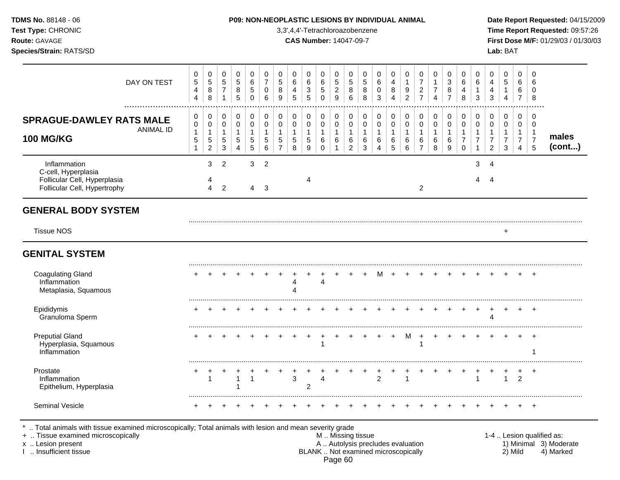# **TDMS No.** 88148 - 06 **P09: NON-NEOPLASTIC LESIONS BY INDIVIDUAL ANIMAL Date Report Requested:** 04/15/2009

**Test Type:** CHRONIC 3,3',4,4'-Tetrachloroazobenzene **Time Report Requested:** 09:57:26 **Route:** GAVAGE **CAS Number:** 14047-09-7 **First Dose M/F:** 01/29/03 / 01/30/03

| DAY ON TEST                                                                                                                                 | 0<br>$\sqrt{5}$<br>$\overline{4}$<br>$\overline{4}$ | 0<br>$\sqrt{5}$<br>$\bf 8$<br>8                       | $\pmb{0}$<br>$\mathbf 5$<br>$\overline{7}$<br>1 | $\mathbf 0$<br>5<br>8<br>5                 | 0<br>6<br>$\sqrt{5}$<br>$\Omega$           | 0<br>$\overline{7}$<br>0<br>6                | 0<br>$\overline{5}$<br>8<br>9                 | 0<br>6<br>$\overline{4}$<br>5    | $\mathbf 0$<br>$\,6$<br>$\sqrt{3}$<br>5                                    | $\mathbf 0$<br>6<br>$\sqrt{5}$<br>$\Omega$ | $\mathbf 0$<br>$\sqrt{5}$<br>$\overline{2}$<br>$\boldsymbol{9}$ | 0<br>$\mathbf 5$<br>8<br>6                              | 0<br>5<br>$\bf 8$<br>8           | 0<br>$\,6\,$<br>0<br>3                        | 0<br>4<br>8<br>4                                       | 0<br>$\mathbf{1}$<br>$\boldsymbol{9}$<br>$\overline{2}$ | $\mathbf 0$<br>$\overline{7}$<br>$\overline{c}$<br>$\overline{7}$ | 0<br>$\mathbf{1}$<br>$\overline{7}$<br>4 | 0<br>$\sqrt{3}$<br>8<br>$\overline{7}$ | 0<br>6<br>4<br>8                                    | 0<br>6<br>$\mathbf{1}$<br>3                  | $\mathbf 0$<br>4<br>4<br>3                                                    | $\mathbf 0$<br>$\sqrt{5}$<br>$\mathbf{1}$<br>4                    | $\mathbf 0$<br>6<br>6<br>$\overline{7}$                | $\mathbf 0$<br>6<br>0<br>8                                          |                           |
|---------------------------------------------------------------------------------------------------------------------------------------------|-----------------------------------------------------|-------------------------------------------------------|-------------------------------------------------|--------------------------------------------|--------------------------------------------|----------------------------------------------|-----------------------------------------------|----------------------------------|----------------------------------------------------------------------------|--------------------------------------------|-----------------------------------------------------------------|---------------------------------------------------------|----------------------------------|-----------------------------------------------|--------------------------------------------------------|---------------------------------------------------------|-------------------------------------------------------------------|------------------------------------------|----------------------------------------|-----------------------------------------------------|----------------------------------------------|-------------------------------------------------------------------------------|-------------------------------------------------------------------|--------------------------------------------------------|---------------------------------------------------------------------|---------------------------|
| <b>SPRAGUE-DAWLEY RATS MALE</b><br><b>ANIMAL ID</b><br><b>100 MG/KG</b>                                                                     | 0<br>0<br>1<br>$\,$ 5 $\,$<br>$\mathbf{1}$          | 0<br>0<br>$\mathbf 1$<br>$\sqrt{5}$<br>$\overline{c}$ | 0<br>0<br>$\mathbf{1}$<br>$\sqrt{5}$<br>3       | $\mathbf 0$<br>0<br>$\mathbf{1}$<br>5<br>4 | 0<br>$\mathbf 0$<br>$\mathbf{1}$<br>5<br>5 | 0<br>$\mathbf 0$<br>$\overline{1}$<br>5<br>6 | 0<br>$\mathbf 0$<br>-1<br>5<br>$\overline{7}$ | 0<br>0<br>$\mathbf{1}$<br>5<br>8 | $\mathbf 0$<br>$\pmb{0}$<br>$\overline{1}$<br>$\sqrt{5}$<br>$\overline{9}$ | 0<br>0<br>$\mathbf{1}$<br>6<br>$\mathbf 0$ | 0<br>$\mathbf 0$<br>$\mathbf{1}$<br>6                           | 0<br>$\mathbf 0$<br>$\mathbf{1}$<br>6<br>$\overline{2}$ | 0<br>0<br>$\mathbf{1}$<br>6<br>3 | 0<br>0<br>$\mathbf{1}$<br>6<br>$\overline{4}$ | 0<br>$\mathbf 0$<br>$\mathbf 1$<br>$\,6$<br>$\sqrt{5}$ | 0<br>0<br>$\mathbf{1}$<br>6<br>6                        | $\mathbf 0$<br>$\mathbf 0$<br>$\mathbf{1}$<br>6<br>$\overline{7}$ | 0<br>$\pmb{0}$<br>$\mathbf{1}$<br>6<br>8 | 0<br>0<br>$\mathbf{1}$<br>6<br>9       | 0<br>$\mathbf 0$<br>1<br>$\overline{7}$<br>$\Omega$ | 0<br>0<br>$\mathbf 1$<br>$\overline{7}$<br>1 | $\mathbf 0$<br>$\mathbf 0$<br>$\mathbf 1$<br>$\overline{7}$<br>$\overline{c}$ | $\mathbf 0$<br>$\mathbf 0$<br>$\mathbf{1}$<br>$\overline{7}$<br>3 | $\mathbf 0$<br>0<br>$\mathbf 1$<br>$\overline{7}$<br>4 | $\mathbf 0$<br>$\mathbf 0$<br>$\overline{1}$<br>$\overline{7}$<br>5 | males<br>(cont)           |
| Inflammation<br>C-cell, Hyperplasia<br>Follicular Cell, Hyperplasia<br>Follicular Cell, Hypertrophy                                         |                                                     | 3<br>4<br>$\overline{4}$                              | $\overline{2}$<br>$\overline{2}$                |                                            | 3<br>$\overline{4}$                        | $\overline{2}$<br>3                          |                                               |                                  | 4                                                                          |                                            |                                                                 |                                                         |                                  |                                               |                                                        |                                                         | $\overline{2}$                                                    |                                          |                                        |                                                     | 3<br>Δ                                       | $\overline{4}$<br>4                                                           |                                                                   |                                                        |                                                                     |                           |
| <b>GENERAL BODY SYSTEM</b>                                                                                                                  |                                                     |                                                       |                                                 |                                            |                                            |                                              |                                               |                                  |                                                                            |                                            |                                                                 |                                                         |                                  |                                               |                                                        |                                                         |                                                                   |                                          |                                        |                                                     |                                              |                                                                               |                                                                   |                                                        |                                                                     |                           |
| <b>Tissue NOS</b>                                                                                                                           |                                                     |                                                       |                                                 |                                            |                                            |                                              |                                               |                                  |                                                                            |                                            |                                                                 |                                                         |                                  |                                               |                                                        |                                                         |                                                                   |                                          |                                        |                                                     |                                              |                                                                               | $\pm$                                                             |                                                        |                                                                     |                           |
| <b>GENITAL SYSTEM</b>                                                                                                                       |                                                     |                                                       |                                                 |                                            |                                            |                                              |                                               |                                  |                                                                            |                                            |                                                                 |                                                         |                                  |                                               |                                                        |                                                         |                                                                   |                                          |                                        |                                                     |                                              |                                                                               |                                                                   |                                                        |                                                                     |                           |
| <b>Coagulating Gland</b><br>Inflammation<br>Metaplasia, Squamous                                                                            |                                                     |                                                       |                                                 |                                            |                                            |                                              |                                               | $\overline{4}$<br>Δ              |                                                                            | 4                                          |                                                                 |                                                         |                                  |                                               |                                                        |                                                         |                                                                   |                                          |                                        |                                                     |                                              |                                                                               |                                                                   |                                                        |                                                                     |                           |
| Epididymis<br>Granuloma Sperm                                                                                                               |                                                     |                                                       |                                                 |                                            |                                            |                                              |                                               |                                  |                                                                            |                                            |                                                                 |                                                         |                                  |                                               |                                                        |                                                         |                                                                   |                                          |                                        |                                                     |                                              | 4                                                                             |                                                                   |                                                        |                                                                     |                           |
| <b>Preputial Gland</b><br>Hyperplasia, Squamous<br>Inflammation                                                                             |                                                     |                                                       |                                                 |                                            |                                            |                                              |                                               |                                  |                                                                            | $\mathbf{1}$                               |                                                                 |                                                         |                                  |                                               |                                                        | M                                                       | $+$<br>$\mathbf{1}$                                               |                                          |                                        |                                                     |                                              |                                                                               |                                                                   |                                                        | 1                                                                   |                           |
| Prostate<br>Inflammation<br>Epithelium, Hyperplasia                                                                                         |                                                     | 1                                                     |                                                 | 1                                          | $\mathbf{1}$                               |                                              |                                               | 3                                | $\overline{c}$                                                             | $\overline{\mathbf{4}}$                    |                                                                 |                                                         |                                  | $\mathcal{P}$                                 | $\ddot{}$                                              | $\ddot{}$<br>$\overline{1}$                             |                                                                   |                                          |                                        |                                                     | $\mathbf{1}$                                 | $\ddot{}$                                                                     | $\mathbf{1}$                                                      | $\ddot{}$<br>2                                         | $+$                                                                 |                           |
| Seminal Vesicle                                                                                                                             |                                                     |                                                       |                                                 |                                            |                                            |                                              |                                               |                                  |                                                                            |                                            |                                                                 |                                                         |                                  |                                               |                                                        |                                                         |                                                                   |                                          |                                        |                                                     |                                              |                                                                               |                                                                   |                                                        | $\ddot{}$                                                           |                           |
| Total animals with tissue examined microscopically; Total animals with lesion and mean severity grade<br>+  Tissue examined microscopically |                                                     |                                                       |                                                 |                                            |                                            |                                              |                                               |                                  |                                                                            | M  Missing tissue                          |                                                                 |                                                         |                                  |                                               |                                                        |                                                         |                                                                   |                                          |                                        |                                                     |                                              |                                                                               |                                                                   |                                                        |                                                                     | 1-4  Lesion qualified as: |

Page 60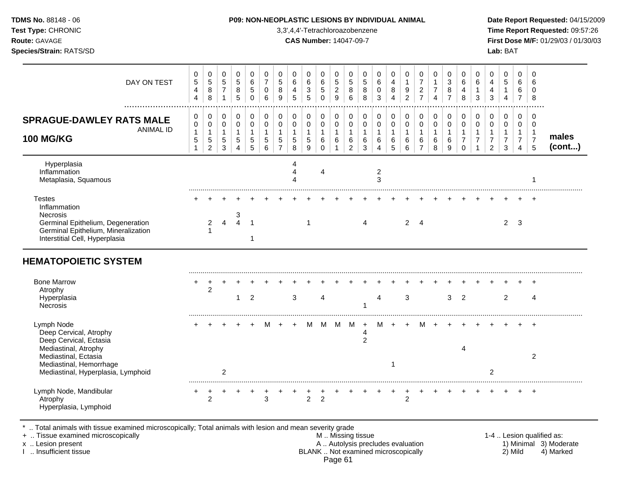| TDMS No. 88148 - 06<br>Test Type: CHRONIC<br>Route: GAVAGE<br>Species/Strain: RATS/SD                                                                                           |                                                             |                                                                  |                                                                           |                                                         |                                                          |                                                          |                                                                          |                                                     | 3,3',4,4'-Tetrachloroazobenzene<br><b>CAS Number: 14047-09-7</b> |                                                                    |                                                                       |                                                             |                                            | <b>P09: NON-NEOPLASTIC LESIONS BY INDIVIDUAL ANIMAL</b>                      |                                                           |                                                        |                                                         |                                                         |                                                  |                                                                                     |                                                                    |                                                                                | Lab: BAT                                                        |                                                                   |                                                        | Date Report Requested: 04/15/2009<br>Time Report Requested: 09:57:26<br>First Dose M/F: 01/29/03 / 01/30/03 |
|---------------------------------------------------------------------------------------------------------------------------------------------------------------------------------|-------------------------------------------------------------|------------------------------------------------------------------|---------------------------------------------------------------------------|---------------------------------------------------------|----------------------------------------------------------|----------------------------------------------------------|--------------------------------------------------------------------------|-----------------------------------------------------|------------------------------------------------------------------|--------------------------------------------------------------------|-----------------------------------------------------------------------|-------------------------------------------------------------|--------------------------------------------|------------------------------------------------------------------------------|-----------------------------------------------------------|--------------------------------------------------------|---------------------------------------------------------|---------------------------------------------------------|--------------------------------------------------|-------------------------------------------------------------------------------------|--------------------------------------------------------------------|--------------------------------------------------------------------------------|-----------------------------------------------------------------|-------------------------------------------------------------------|--------------------------------------------------------|-------------------------------------------------------------------------------------------------------------|
| DAY ON TEST                                                                                                                                                                     | $\pmb{0}$<br>$\sqrt{5}$<br>$\overline{4}$<br>$\overline{4}$ | 0<br>$\overline{5}$<br>8<br>8                                    | $\mathbf 0$<br>$\overline{5}$<br>$\overline{7}$<br>$\mathbf{1}$           | 0<br>5<br>8<br>5                                        | 0<br>$\,6\,$<br>$\sqrt{5}$<br>$\Omega$                   | 0<br>$\overline{7}$<br>$\mathsf 0$<br>6                  | 0<br>5<br>$\bf 8$<br>9                                                   | $\mathbf 0$<br>$\,6$<br>$\overline{4}$<br>5         | 0<br>$6\phantom{1}$<br>$\sqrt{3}$<br>5                           | $\mathbf 0$<br>$\,6\,$<br>$\overline{5}$<br>$\Omega$               | $\pmb{0}$<br>$\sqrt{5}$<br>$\frac{2}{9}$                              | $\mathbf 0$<br>$\overline{5}$<br>$\,8\,$<br>6               | 0<br>$\sqrt{5}$<br>8<br>8                  | $\mathbf 0$<br>$6\phantom{1}6$<br>$\mathbf 0$<br>3                           | 0<br>$\overline{4}$<br>$\,8\,$<br>$\overline{4}$          | $\mathbf 0$<br>$\mathbf{1}$<br>$9\,$<br>$\overline{2}$ | 0<br>$\overline{7}$<br>$\overline{2}$<br>$\overline{7}$ | 0<br>$\mathbf{1}$<br>$\boldsymbol{7}$<br>$\overline{4}$ | 0<br>$\mathbf{3}$<br>$\bf 8$<br>$\overline{7}$   | 0<br>6<br>$\overline{4}$<br>8                                                       | $\mathbf 0$<br>$\,6$<br>$\mathbf{1}$<br>3                          | $\mathbf 0$<br>$\overline{4}$<br>$\overline{\mathbf{4}}$<br>$\mathbf{3}$       | $\pmb{0}$<br>$\overline{5}$<br>$\mathbf{1}$<br>$\overline{4}$   | $\mathbf 0$<br>6<br>$6\phantom{1}6$<br>$\overline{7}$             | $\mathbf 0$<br>6<br>$\mathbf 0$<br>8                   |                                                                                                             |
| <b>SPRAGUE-DAWLEY RATS MALE</b><br><b>ANIMAL ID</b><br><b>100 MG/KG</b>                                                                                                         | 0<br>$\mathbf 0$<br>$\mathbf{1}$<br>5<br>$\mathbf{1}$       | 0<br>$\mathbf 0$<br>$\mathbf{1}$<br>$\sqrt{5}$<br>$\overline{c}$ | $\mathbf 0$<br>$\mathbf 0$<br>$\mathbf{1}$<br>$\,$ 5 $\,$<br>$\mathbf{3}$ | 0<br>$\mathbf 0$<br>$\mathbf{1}$<br>5<br>$\overline{4}$ | 0<br>$\mathbf 0$<br>$\mathbf{1}$<br>$5\phantom{.0}$<br>5 | 0<br>$\mathbf 0$<br>$\mathbf{1}$<br>$5\phantom{.0}$<br>6 | $\pmb{0}$<br>$\mathbf 0$<br>$\mathbf{1}$<br>$\sqrt{5}$<br>$\overline{7}$ | 0<br>$\mathbf 0$<br>$\mathbf{1}$<br>$\sqrt{5}$<br>8 | $\pmb{0}$<br>$\mathbf 0$<br>$\mathbf{1}$<br>$\sqrt{5}$<br>9      | $\pmb{0}$<br>$\mathbf 0$<br>$\mathbf{1}$<br>$\,6\,$<br>$\mathsf 0$ | $\pmb{0}$<br>$\mathbf 0$<br>$\mathbf{1}$<br>$\,6\,$<br>$\overline{1}$ | 0<br>$\mathbf 0$<br>$\overline{1}$<br>$\,6\,$<br>$\sqrt{2}$ | 0<br>$\mathbf 0$<br>$\mathbf{1}$<br>6<br>3 | $\pmb{0}$<br>$\mathbf 0$<br>$\mathbf{1}$<br>$6\phantom{1}$<br>$\overline{4}$ | 0<br>$\mathbf 0$<br>$\mathbf{1}$<br>$\,6\,$<br>$\sqrt{5}$ | 0<br>$\mathbf 0$<br>$\mathbf{1}$<br>$\,6\,$<br>$\,6\,$ | 0<br>$\mathbf 0$<br>1<br>6<br>$\overline{7}$            | $\pmb{0}$<br>$\pmb{0}$<br>$\mathbf{1}$<br>6<br>8        | 0<br>$\mathbf 0$<br>$\mathbf{1}$<br>$\,6\,$<br>9 | $\pmb{0}$<br>$\mathsf{O}\xspace$<br>$\mathbf{1}$<br>$\boldsymbol{7}$<br>$\mathbf 0$ | 0<br>$\mathbf 0$<br>$\mathbf{1}$<br>$\overline{7}$<br>$\mathbf{1}$ | $\pmb{0}$<br>$\mathbf 0$<br>$\mathbf{1}$<br>$\boldsymbol{7}$<br>$\overline{2}$ | $\pmb{0}$<br>$\mathbf 0$<br>$\mathbf{1}$<br>$\overline{7}$<br>3 | $\mathbf 0$<br>$\mathbf 0$<br>$\mathbf{1}$<br>$\overline{7}$<br>4 | 0<br>$\Omega$<br>$\overline{1}$<br>$\overline{7}$<br>5 | males<br>(cont)                                                                                             |
| Hyperplasia<br>Inflammation<br>Metaplasia, Squamous                                                                                                                             |                                                             |                                                                  |                                                                           |                                                         |                                                          |                                                          |                                                                          | Δ<br>$\overline{4}$<br>$\boldsymbol{\Lambda}$       |                                                                  | 4                                                                  |                                                                       |                                                             |                                            | $\overline{c}$<br>3                                                          |                                                           |                                                        |                                                         |                                                         |                                                  |                                                                                     |                                                                    |                                                                                |                                                                 |                                                                   | -1                                                     |                                                                                                             |
| <b>Testes</b><br>Inflammation<br>Necrosis<br>Germinal Epithelium, Degeneration<br>Germinal Epithelium, Mineralization<br>Interstitial Cell, Hyperplasia                         |                                                             | $\overline{2}$<br>$\mathbf{1}$                                   | $\overline{4}$                                                            | $\ensuremath{\mathsf{3}}$<br>$\overline{4}$             | -1                                                       |                                                          |                                                                          |                                                     | 1                                                                |                                                                    |                                                                       |                                                             | $\overline{4}$                             |                                                                              |                                                           | 2 <sup>1</sup>                                         | $\overline{4}$                                          |                                                         |                                                  |                                                                                     |                                                                    |                                                                                |                                                                 | $2 \quad 3$                                                       |                                                        |                                                                                                             |
| <b>HEMATOPOIETIC SYSTEM</b>                                                                                                                                                     |                                                             |                                                                  |                                                                           |                                                         |                                                          |                                                          |                                                                          |                                                     |                                                                  |                                                                    |                                                                       |                                                             |                                            |                                                                              |                                                           |                                                        |                                                         |                                                         |                                                  |                                                                                     |                                                                    |                                                                                |                                                                 |                                                                   |                                                        |                                                                                                             |
| <b>Bone Marrow</b><br>Atrophy<br>Hyperplasia<br><b>Necrosis</b>                                                                                                                 |                                                             | $\overline{ }$<br>2                                              |                                                                           | 1                                                       | $\overline{2}$                                           |                                                          |                                                                          | 3                                                   |                                                                  | 4                                                                  |                                                                       |                                                             | $\overline{1}$                             | $\overline{4}$                                                               |                                                           | 3                                                      |                                                         |                                                         | 3                                                | $\overline{2}$                                                                      |                                                                    |                                                                                | $\overline{2}$                                                  |                                                                   | 4                                                      |                                                                                                             |
| Lymph Node<br>Deep Cervical, Atrophy<br>Deep Cervical, Ectasia<br>Mediastinal, Atrophy<br>Mediastinal, Ectasia<br>Mediastinal, Hemorrhage<br>Mediastinal, Hyperplasia, Lymphoid |                                                             |                                                                  | 2                                                                         |                                                         |                                                          | М                                                        | $+$                                                                      | $\ddot{}$                                           |                                                                  |                                                                    | M M M M                                                               |                                                             | $+$<br>4<br>$\overline{2}$                 | $M +$                                                                        | 1                                                         | $+$                                                    | М                                                       |                                                         |                                                  | 4                                                                                   |                                                                    | 2                                                                              |                                                                 |                                                                   | $\overline{c}$                                         |                                                                                                             |
| Lymph Node, Mandibular<br>Atrophy<br>Hyperplasia, Lymphoid                                                                                                                      | +                                                           | $\overline{1}$<br>$\overline{2}$                                 |                                                                           |                                                         |                                                          | $\ddot{}$<br>3                                           |                                                                          |                                                     | $\overline{2}$                                                   | 2                                                                  |                                                                       |                                                             |                                            |                                                                              | $+$                                                       | $+$<br>$\overline{2}$                                  | $+$                                                     | $\ddot{}$                                               | $\ddot{}$                                        |                                                                                     |                                                                    |                                                                                |                                                                 |                                                                   | $+$                                                    |                                                                                                             |

\* .. Total animals with tissue examined microscopically; Total animals with lesion and mean severity grade<br>+ .. Tissue examined microscopically

+ .. Tissue examined microscopically M.. Missing tissue M.. Missing tissue 1-4 .. Lesion qualified as:<br>
This insufficient tissue 1-4 .. Lesion present A .. Autolysis precludes evaluation A .. Autolysis precludes evaluatio x .. Lesion present **A .. Autolysis precludes evaluation** A .. Autolysis precludes evaluation 1) Minimal 3) Moderate I .. Insufficient tissue BLANK .. Not examined microscopically 2) Mild 4) Marked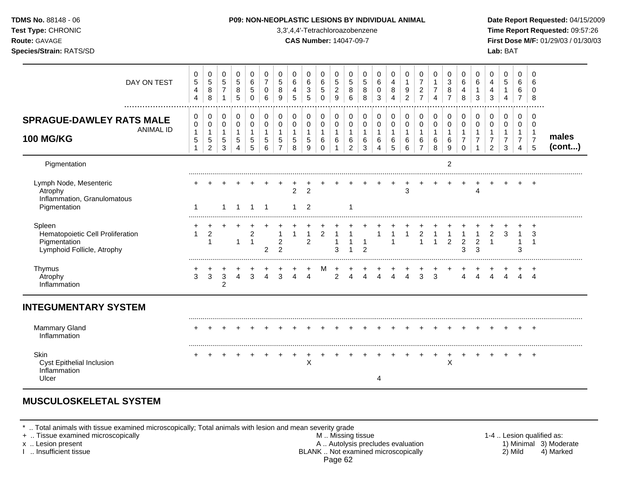| Test Type: CHRONIC<br>Route: GAVAGE<br>Species/Strain: RATS/SD                           |                                                              |                                                         |                                               |                                                                    |                                                     |                                                       |                                                                              |                                                          | 3,3',4,4'-Tetrachloroazobenzene<br><b>CAS Number: 14047-09-7</b> |                                                    |                                                   |                                                                       |                                                  |                                                       |                                          |                                                                   |                                                         |                                                                |                                                  |                                                                 |                                                                   |                                                                    | Lab: BAT                                                           |                                                                              |                                                 | Time Report Requested: 09:57:26<br>First Dose M/F: 01/29/03 / 01/30/03 |
|------------------------------------------------------------------------------------------|--------------------------------------------------------------|---------------------------------------------------------|-----------------------------------------------|--------------------------------------------------------------------|-----------------------------------------------------|-------------------------------------------------------|------------------------------------------------------------------------------|----------------------------------------------------------|------------------------------------------------------------------|----------------------------------------------------|---------------------------------------------------|-----------------------------------------------------------------------|--------------------------------------------------|-------------------------------------------------------|------------------------------------------|-------------------------------------------------------------------|---------------------------------------------------------|----------------------------------------------------------------|--------------------------------------------------|-----------------------------------------------------------------|-------------------------------------------------------------------|--------------------------------------------------------------------|--------------------------------------------------------------------|------------------------------------------------------------------------------|-------------------------------------------------|------------------------------------------------------------------------|
| DAY ON TEST                                                                              | $\pmb{0}$<br>$\sqrt{5}$<br>4<br>$\overline{4}$               | 0<br>$\sqrt{5}$<br>$\bf 8$<br>8                         | 0<br>5<br>$\boldsymbol{7}$<br>$\mathbf{1}$    | $\pmb{0}$<br>$\overline{5}$<br>$\bf8$<br>5                         | 0<br>6<br>$\,$ 5 $\,$<br>$\mathbf 0$                | $\mathbf 0$<br>$\overline{7}$<br>$\pmb{0}$<br>6       | $\pmb{0}$<br>$\overline{5}$<br>$\bf 8$<br>9                                  | $\mathbf 0$<br>$\,6\,$<br>$\overline{\mathbf{4}}$<br>5   | 0<br>6<br>3<br>5                                                 | 0<br>6<br>$\sqrt{5}$<br>$\mathbf 0$                | 0<br>$\mathbf 5$<br>$\sqrt{2}$<br>$\mathsf g$     | $\mathbf 0$<br>$\sqrt{5}$<br>$\,8\,$<br>$6\phantom{1}$                | $\mathbf 0$<br>$\sqrt{5}$<br>$\bf 8$<br>8        | 0<br>6<br>$\mathbf 0$<br>3                            | 0<br>4<br>$\bf 8$<br>$\overline{4}$      | $\mathbf 0$<br>$\mathbf{1}$<br>$\boldsymbol{9}$<br>$\overline{2}$ | 0<br>$\overline{7}$<br>$\sqrt{2}$<br>$\overline{7}$     | $\Omega$<br>$\mathbf{1}$<br>$\boldsymbol{7}$<br>$\overline{4}$ | 0<br>$\sqrt{3}$<br>$\,8\,$<br>$\overline{7}$     | 0<br>$\,6\,$<br>$\overline{\mathbf{4}}$<br>8                    | 0<br>$\,6\,$<br>$\mathbf{1}$<br>3                                 | 0<br>$\overline{4}$<br>$\overline{\mathbf{4}}$<br>$\mathbf{3}$     | $\mathbf 0$<br>$\,$ 5 $\,$<br>$\mathbf{1}$<br>4                    | $\mathbf 0$<br>6<br>6<br>$\overline{7}$                                      | $\mathbf 0$<br>6<br>$\mathbf 0$<br>8            |                                                                        |
| <b>SPRAGUE-DAWLEY RATS MALE</b><br><b>ANIMAL ID</b><br><b>100 MG/KG</b>                  | 0<br>$\pmb{0}$<br>$\mathbf{1}$<br>$\sqrt{5}$<br>$\mathbf{1}$ | 0<br>$\mathbf 0$<br>$\mathbf{1}$<br>5<br>$\overline{2}$ | 0<br>0<br>$\mathbf{1}$<br>$\overline{5}$<br>3 | 0<br>$\pmb{0}$<br>$\mathbf{1}$<br>$\overline{5}$<br>$\overline{4}$ | 0<br>$\mathbf 0$<br>$\mathbf{1}$<br>$\sqrt{5}$<br>5 | 0<br>$\pmb{0}$<br>$\mathbf{1}$<br>$\overline{5}$<br>6 | 0<br>$\mathsf{O}\xspace$<br>$\mathbf{1}$<br>$\overline{5}$<br>$\overline{7}$ | 0<br>$\mathsf 0$<br>$\mathbf{1}$<br>$5\phantom{.0}$<br>8 | 0<br>0<br>$\mathbf{1}$<br>5<br>9                                 | 0<br>$\pmb{0}$<br>$\mathbf{1}$<br>6<br>$\mathbf 0$ | $\pmb{0}$<br>$\pmb{0}$<br>$\mathbf{1}$<br>$\,6\,$ | 0<br>$\mathsf{O}\xspace$<br>$\mathbf{1}$<br>$\,6\,$<br>$\overline{c}$ | 0<br>$\pmb{0}$<br>$\overline{1}$<br>$\,6\,$<br>3 | 0<br>$\pmb{0}$<br>$\mathbf{1}$<br>6<br>$\overline{4}$ | 0<br>$\pmb{0}$<br>$\mathbf{1}$<br>6<br>5 | 0<br>$\pmb{0}$<br>$\mathbf{1}$<br>6<br>6                          | 0<br>$\mathbf 0$<br>$\mathbf{1}$<br>6<br>$\overline{7}$ | 0<br>$\mathbf 0$<br>$\mathbf{1}$<br>$\,6$<br>8                 | 0<br>$\mathsf 0$<br>$\mathbf{1}$<br>$\,6\,$<br>9 | 0<br>$\pmb{0}$<br>$\mathbf{1}$<br>$\overline{7}$<br>$\mathbf 0$ | 0<br>$\mathbf 0$<br>$\mathbf 1$<br>$\overline{7}$<br>$\mathbf{1}$ | 0<br>$\pmb{0}$<br>$\mathbf{1}$<br>$\overline{7}$<br>$\overline{2}$ | 0<br>$\mathbf 0$<br>$\mathbf{1}$<br>$\overline{7}$<br>$\mathbf{3}$ | 0<br>$\mathsf{O}\xspace$<br>$\mathbf{1}$<br>$\overline{7}$<br>$\overline{4}$ | 0<br>0<br>$\overline{1}$<br>$\overline{7}$<br>5 | males<br>(cont)                                                        |
| Pigmentation                                                                             |                                                              |                                                         |                                               |                                                                    |                                                     |                                                       |                                                                              |                                                          |                                                                  |                                                    |                                                   |                                                                       |                                                  |                                                       |                                          |                                                                   |                                                         |                                                                | $\overline{2}$                                   |                                                                 |                                                                   |                                                                    |                                                                    |                                                                              |                                                 |                                                                        |
| Lymph Node, Mesenteric<br>Atrophy<br>Inflammation, Granulomatous<br>Pigmentation         | 1                                                            |                                                         |                                               |                                                                    |                                                     | $\overline{1}$                                        |                                                                              | 2                                                        | 2<br>2                                                           |                                                    |                                                   |                                                                       |                                                  |                                                       |                                          | $\mathbf{3}$                                                      |                                                         |                                                                |                                                  |                                                                 | $\overline{4}$                                                    |                                                                    |                                                                    |                                                                              |                                                 |                                                                        |
| Spleen<br>Hematopoietic Cell Proliferation<br>Pigmentation<br>Lymphoid Follicle, Atrophy | 1                                                            | $\overline{c}$<br>$\mathbf{1}$                          |                                               | $\mathbf 1$                                                        | 2<br>$\mathbf{1}$                                   | $\overline{c}$                                        | $\overline{c}$<br>$\overline{2}$                                             |                                                          | $\mathbf{1}$<br>$\overline{2}$                                   | $\overline{2}$                                     | 3                                                 | $\overline{1}$<br>1                                                   | $\overline{1}$<br>$\overline{2}$                 |                                                       |                                          | $\mathbf{1}$                                                      | $\overline{c}$<br>$\mathbf{1}$                          | $\overline{1}$<br>$\overline{1}$                               | $\mathbf{1}$<br>$\overline{2}$                   | $\overline{2}$<br>3                                             | $\mathbf{1}$<br>$\overline{c}$<br>3                               | $\overline{2}$<br>$\mathbf{1}$                                     | 3                                                                  | $\mathbf{1}$<br>$\mathbf{1}$<br>3                                            | 3<br>$\overline{1}$                             |                                                                        |
| Thymus<br>Atrophy<br>Inflammation                                                        | 3                                                            | 3                                                       | 3<br>$\overline{c}$                           | $\overline{4}$                                                     | 3                                                   |                                                       | 3                                                                            |                                                          | $\ddot{}$<br>$\overline{A}$                                      | M                                                  | $\mathfrak{p}$                                    | $\overline{A}$                                                        | $\Delta$                                         | $\overline{\mathbf{A}}$                               | $\Delta$                                 | $\overline{4}$                                                    | 3                                                       | 3                                                              |                                                  | $\overline{4}$                                                  | $\overline{A}$                                                    | $\boldsymbol{\Lambda}$                                             | $\overline{A}$                                                     | $\overline{4}$                                                               | $\overline{+}$<br>$\overline{4}$                |                                                                        |
| <b>INTEGUMENTARY SYSTEM</b>                                                              |                                                              |                                                         |                                               |                                                                    |                                                     |                                                       |                                                                              |                                                          |                                                                  |                                                    |                                                   |                                                                       |                                                  |                                                       |                                          |                                                                   |                                                         |                                                                |                                                  |                                                                 |                                                                   |                                                                    |                                                                    |                                                                              |                                                 |                                                                        |
| <b>Mammary Gland</b><br>Inflammation                                                     |                                                              |                                                         |                                               |                                                                    |                                                     |                                                       |                                                                              |                                                          |                                                                  |                                                    |                                                   |                                                                       |                                                  |                                                       |                                          |                                                                   |                                                         |                                                                |                                                  |                                                                 |                                                                   | $\pm$                                                              |                                                                    |                                                                              | $+$                                             |                                                                        |
| Skin<br>Cyst Epithelial Inclusion<br>Inflammation<br>Ulcer                               |                                                              | $\ddot{}$                                               | $+$                                           |                                                                    |                                                     |                                                       | $\pm$                                                                        | $+$                                                      | +<br>X                                                           |                                                    |                                                   |                                                                       |                                                  | 4                                                     |                                          |                                                                   | $\pm$                                                   | $+$                                                            | +<br>Χ                                           |                                                                 | $+$                                                               | $+$                                                                |                                                                    |                                                                              | $+$ $+$                                         |                                                                        |

**TDMS No.** 88148 - 06 **P09: NON-NEOPLASTIC LESIONS BY INDIVIDUAL ANIMAL Date Report Requested:** 04/15/2009

# **MUSCULOSKELETAL SYSTEM**

\* .. Total animals with tissue examined microscopically; Total animals with lesion and mean severity grade

- + .. Tissue examined microscopically M .. Missing tissue 1-4 .. Lesion qualified as: x .. Lesion present **A .. Autolysis precludes evaluation** A .. Autolysis precludes evaluation 1) Minimal 3) Moderate I .. Insufficient tissue BLANK .. Not examined microscopically 2) Mild 4) Marked Page 62
	-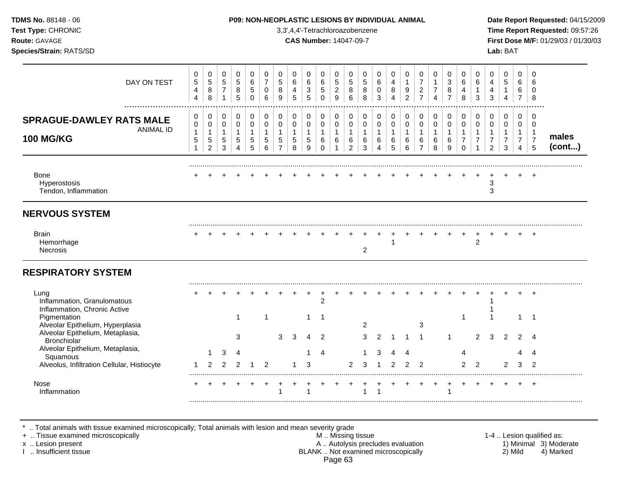| TDMS No. 88148 - 06<br>Test Type: CHRONIC<br>Route: GAVAGE<br>Species/Strain: RATS/SD |                                                       |                                                         |                                                            |                                          |                                                     |                                                        |                                                                 |                                                    | 3,3',4,4'-Tetrachloroazobenzene<br><b>CAS Number: 14047-09-7</b> |                                                                       |                                                                       |                                                                   |                                                      | P09: NON-NEOPLASTIC LESIONS BY INDIVIDUAL ANIMAL     |                                                  |                                              |                                                         |                                                       |                                            |                                                                               |                                                                 |                                                                    | Lab: BAT                                                      |                                                                                |                                                                  | Date Report Requested: 04/15/2009<br>Time Report Requested: 09:57:26<br>First Dose M/F: 01/29/03 / 01/30/03 |
|---------------------------------------------------------------------------------------|-------------------------------------------------------|---------------------------------------------------------|------------------------------------------------------------|------------------------------------------|-----------------------------------------------------|--------------------------------------------------------|-----------------------------------------------------------------|----------------------------------------------------|------------------------------------------------------------------|-----------------------------------------------------------------------|-----------------------------------------------------------------------|-------------------------------------------------------------------|------------------------------------------------------|------------------------------------------------------|--------------------------------------------------|----------------------------------------------|---------------------------------------------------------|-------------------------------------------------------|--------------------------------------------|-------------------------------------------------------------------------------|-----------------------------------------------------------------|--------------------------------------------------------------------|---------------------------------------------------------------|--------------------------------------------------------------------------------|------------------------------------------------------------------|-------------------------------------------------------------------------------------------------------------|
| DAY ON TEST                                                                           | $\mathbf 0$<br>$\sqrt{5}$<br>4<br>$\overline{4}$      | 0<br>$\sqrt{5}$<br>8<br>8                               | 0<br>5<br>$\overline{7}$<br>$\mathbf{1}$                   | 0<br>$\sqrt{5}$<br>$\bf 8$<br>5          | 0<br>6<br>$\sqrt{5}$<br>$\Omega$                    | 0<br>$\overline{7}$<br>$\mathsf 0$<br>6                | $\mathbf 0$<br>$\sqrt{5}$<br>8<br>9                             | $\mathbf 0$<br>6<br>$\overline{4}$<br>5            | $\mathbf 0$<br>6<br>$\sqrt{3}$<br>5                              | 0<br>$\,6\,$<br>$5\phantom{.0}$<br>$\Omega$                           | $\mathbf 0$<br>$\sqrt{5}$<br>$\sqrt{2}$<br>9                          | $\mathbf 0$<br>$\overline{5}$<br>8<br>$6\phantom{1}$              | 0<br>$\sqrt{5}$<br>8<br>8                            | $\mathbf 0$<br>6<br>$\mathbf 0$<br>$\mathbf{3}$      | 0<br>$\overline{4}$<br>$\,8\,$<br>$\overline{4}$ | 0<br>1<br>$\boldsymbol{9}$<br>$\overline{2}$ | 0<br>$\overline{7}$<br>$\overline{c}$<br>$\overline{7}$ | 0<br>$\mathbf{1}$<br>$\overline{7}$<br>$\overline{4}$ | 0<br>3<br>$\bf 8$<br>$\overline{7}$        | 0<br>6<br>$\overline{4}$<br>8                                                 | $\mathbf 0$<br>6<br>$\mathbf{1}$<br>3                           | $\mathbf 0$<br>$\overline{4}$<br>4<br>$\mathbf{3}$                 | $\pmb{0}$<br>$\sqrt{5}$<br>$\mathbf{1}$<br>$\overline{4}$     | $\mathbf 0$<br>6<br>6<br>$\overline{7}$                                        | 0<br>6<br>$\Omega$<br>8                                          |                                                                                                             |
| <b>SPRAGUE-DAWLEY RATS MALE</b><br><b>ANIMAL ID</b><br><b>100 MG/KG</b>               | 0<br>$\mathbf 0$<br>$\mathbf{1}$<br>5<br>$\mathbf{1}$ | 0<br>$\mathbf 0$<br>$\mathbf{1}$<br>5<br>$\overline{2}$ | $\pmb{0}$<br>$\pmb{0}$<br>$\mathbf{1}$<br>$\,$ 5 $\,$<br>3 | 0<br>$\pmb{0}$<br>$\mathbf{1}$<br>5<br>4 | 0<br>$\mathbf 0$<br>$\mathbf{1}$<br>$\sqrt{5}$<br>5 | 0<br>$\pmb{0}$<br>$\mathbf{1}$<br>$5\phantom{.0}$<br>6 | $\pmb{0}$<br>$\mathsf 0$<br>$\mathbf{1}$<br>5<br>$\overline{7}$ | $\mathbf 0$<br>$\pmb{0}$<br>$\mathbf{1}$<br>5<br>8 | 0<br>$\pmb{0}$<br>$\mathbf{1}$<br>5<br>9                         | $\pmb{0}$<br>$\mathsf{O}\xspace$<br>$\mathbf{1}$<br>$\,6$<br>$\Omega$ | $\pmb{0}$<br>$\mathsf{O}\xspace$<br>$\mathbf{1}$<br>6<br>$\mathbf{1}$ | $\mathbf 0$<br>$\mathbf 0$<br>$\mathbf{1}$<br>6<br>$\overline{2}$ | $\pmb{0}$<br>$\mathbf 0$<br>$\overline{1}$<br>6<br>3 | $\mathbf 0$<br>$\mathbf 0$<br>$\mathbf{1}$<br>6<br>4 | 0<br>$\pmb{0}$<br>$\mathbf{1}$<br>6<br>5         | 0<br>$\mathbf 0$<br>$\mathbf{1}$<br>6<br>6   | 0<br>0<br>$\mathbf{1}$<br>6<br>$\overline{7}$           | 0<br>$\mathbf 0$<br>$\mathbf{1}$<br>6<br>8            | 0<br>$\mathbf 0$<br>$\mathbf{1}$<br>6<br>9 | $\boldsymbol{0}$<br>$\mathbf 0$<br>$\mathbf{1}$<br>$\overline{7}$<br>$\Omega$ | $\mathbf 0$<br>$\pmb{0}$<br>$\mathbf{1}$<br>$\overline{7}$<br>1 | $\pmb{0}$<br>0<br>$\mathbf{1}$<br>$\overline{7}$<br>$\overline{2}$ | $\pmb{0}$<br>$\pmb{0}$<br>$\mathbf{1}$<br>$\overline{7}$<br>3 | $\mathbf 0$<br>$\mathbf 0$<br>$\mathbf{1}$<br>$\overline{7}$<br>$\overline{4}$ | $\mathbf 0$<br>$\mathbf 0$<br>$\mathbf 1$<br>$\overline{7}$<br>5 | males<br>(cont)                                                                                             |
| <b>Bone</b><br>Hyperostosis<br>Tendon, Inflammation                                   |                                                       |                                                         |                                                            |                                          |                                                     |                                                        |                                                                 |                                                    |                                                                  |                                                                       |                                                                       |                                                                   |                                                      |                                                      |                                                  |                                              |                                                         |                                                       |                                            |                                                                               |                                                                 | 3<br>3                                                             |                                                               |                                                                                |                                                                  |                                                                                                             |
| <b>NERVOUS SYSTEM</b>                                                                 |                                                       |                                                         |                                                            |                                          |                                                     |                                                        |                                                                 |                                                    |                                                                  |                                                                       |                                                                       |                                                                   |                                                      |                                                      |                                                  |                                              |                                                         |                                                       |                                            |                                                                               |                                                                 |                                                                    |                                                               |                                                                                |                                                                  |                                                                                                             |
| <b>Brain</b><br>Hemorrhage<br>Necrosis                                                |                                                       |                                                         |                                                            |                                          |                                                     |                                                        |                                                                 |                                                    |                                                                  |                                                                       |                                                                       |                                                                   | $\boldsymbol{2}$                                     |                                                      | 1                                                |                                              |                                                         |                                                       |                                            |                                                                               | $\ddot{}$<br>$\overline{2}$                                     |                                                                    |                                                               |                                                                                |                                                                  |                                                                                                             |
| <b>RESPIRATORY SYSTEM</b>                                                             |                                                       |                                                         |                                                            |                                          |                                                     |                                                        |                                                                 |                                                    |                                                                  |                                                                       |                                                                       |                                                                   |                                                      |                                                      |                                                  |                                              |                                                         |                                                       |                                            |                                                                               |                                                                 |                                                                    |                                                               |                                                                                |                                                                  |                                                                                                             |
| Lung<br>Inflammation, Granulomatous<br>Inflammation, Chronic Active                   |                                                       |                                                         |                                                            |                                          |                                                     |                                                        |                                                                 |                                                    |                                                                  | $\overline{c}$                                                        |                                                                       |                                                                   |                                                      |                                                      |                                                  |                                              |                                                         |                                                       |                                            |                                                                               |                                                                 |                                                                    |                                                               |                                                                                |                                                                  |                                                                                                             |
| Pigmentation<br>Alveolar Epithelium, Hyperplasia<br>Alveolar Epithelium, Metaplasia,  |                                                       |                                                         |                                                            | $\mathbf{1}$                             |                                                     | $\mathbf 1$                                            |                                                                 |                                                    | $\mathbf{1}$                                                     | $\mathbf 1$                                                           |                                                                       |                                                                   | $\overline{2}$                                       |                                                      |                                                  |                                              | 3                                                       |                                                       |                                            | -1                                                                            |                                                                 |                                                                    |                                                               | $\mathbf{1}$                                                                   | $\overline{\mathbf{1}}$                                          |                                                                                                             |
| <b>Bronchiolar</b><br>Alveolar Epithelium, Metaplasia,                                |                                                       |                                                         |                                                            | 3                                        |                                                     |                                                        | 3                                                               | 3                                                  | 4                                                                | $\overline{2}$                                                        |                                                                       |                                                                   | 3                                                    | $\overline{c}$                                       | $\overline{1}$                                   | $\overline{1}$                               | $\overline{1}$                                          |                                                       | 1                                          |                                                                               | 2                                                               | 3                                                                  | $\overline{2}$                                                | $\overline{2}$                                                                 | $\overline{4}$                                                   |                                                                                                             |
| Squamous<br>Alveolus, Infiltration Cellular, Histiocyte                               | 1                                                     | $\mathbf{1}$<br>2                                       | 3<br>$\overline{2}$                                        | $\overline{4}$<br>2                      | $\mathbf{1}$                                        | $\overline{2}$                                         |                                                                 | $\mathbf{1}$                                       | 3                                                                | 4                                                                     |                                                                       | $\overline{2}$                                                    | 3                                                    | $\overline{1}$                                       | 4<br>2                                           | Δ<br>2                                       | $\overline{2}$                                          |                                                       |                                            | 4                                                                             | 2 <sub>2</sub>                                                  |                                                                    | $\overline{2}$                                                | 3                                                                              | Δ<br>$\overline{2}$                                              |                                                                                                             |
| Nose<br>Inflammation                                                                  |                                                       |                                                         |                                                            |                                          |                                                     | $\ddot{}$                                              | $\ddot{}$<br>1                                                  | $\ddot{}$                                          |                                                                  | $\ddot{}$                                                             | $\ddot{}$                                                             | $\ddot{}$                                                         | +<br>1                                               | $\ddot{}$                                            | $\ddot{}$                                        |                                              | $\ddot{}$                                               |                                                       | $+$<br>$\overline{1}$                      | $+$                                                                           | $+$                                                             | $+$                                                                |                                                               | $+$                                                                            | $+$                                                              |                                                                                                             |

\* .. Total animals with tissue examined microscopically; Total animals with lesion and mean severity grade<br>+ .. Tissue examined microscopically

+ .. Tissue examined microscopically **All and the substitute of the set of the set of the set of the set of the set of the set of the set of the set of the set of the set of the set of the set of the set of the set of the** x .. Lesion present **A .. Autolysis precludes evaluation** A .. Autolysis precludes evaluation 1) Minimal 3) Moderate I .. Insufficient tissue BLANK .. Not examined microscopically 2) Mild 4) Marked Page 63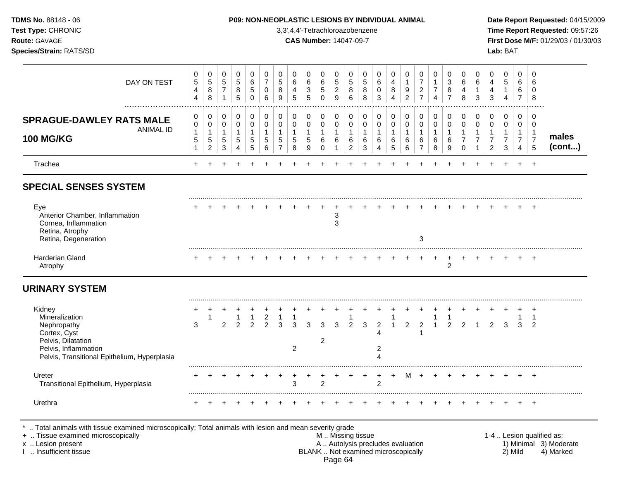# **TDMS No.** 88148 - 06 **P09: NON-NEOPLASTIC LESIONS BY INDIVIDUAL ANIMAL Date Report Requested:** 04/15/2009

**Test Type:** CHRONIC 3,3',4,4'-Tetrachloroazobenzene **Time Report Requested:** 09:57:26 **Route:** GAVAGE **CAS Number:** 14047-09-7 **First Dose M/F:** 01/29/03 / 01/30/03

| DAY ON TEST                                                                                                                                           | 0<br>$\sqrt{5}$<br>$\overline{\mathbf{4}}$<br>4 | 0<br>$\,$ 5 $\,$<br>8<br>8                                           | 0<br>5<br>$\overline{7}$<br>$\mathbf{1}$ | 0<br>$\sqrt{5}$<br>8<br>5                  | $\mathbf 0$<br>6<br>5<br>$\mathbf 0$       | $\mathbf 0$<br>$\overline{7}$<br>0<br>6   | 0<br>5<br>8<br>9                     | 0<br>6<br>4<br>5                                     | 0<br>$\,6\,$<br>3<br>5                                    | $\Omega$<br>6<br>$\sqrt{5}$<br>$\mathbf 0$             | $\Omega$<br>$\,$ 5 $\,$<br>$\boldsymbol{2}$<br>9 | $\mathbf 0$<br>$\sqrt{5}$<br>8<br>$\,6\,$         | 0<br>5<br>8<br>8                                      | 0<br>$\,6\,$<br>0<br>3                            | 0<br>4<br>8<br>$\overline{4}$                          | $\Omega$<br>$\mathbf{1}$<br>9<br>$\overline{2}$ | 0<br>$\overline{7}$<br>$\boldsymbol{2}$<br>$\overline{7}$ | 0<br>1<br>$\overline{7}$<br>$\overline{4}$ | 0<br>3<br>8<br>$\overline{7}$              | $\Omega$<br>6<br>4<br>8                        | 0<br>6<br>1<br>3                                        | 0<br>4<br>$\overline{\mathbf{4}}$<br>$\mathbf{3}$          | $\Omega$<br>$\sqrt{5}$<br>$\mathbf{1}$<br>$\overline{4}$                                    | $\Omega$<br>6<br>6<br>$\overline{7}$                 | $\mathbf 0$<br>6<br>0<br>8                                                     |                 |
|-------------------------------------------------------------------------------------------------------------------------------------------------------|-------------------------------------------------|----------------------------------------------------------------------|------------------------------------------|--------------------------------------------|--------------------------------------------|-------------------------------------------|--------------------------------------|------------------------------------------------------|-----------------------------------------------------------|--------------------------------------------------------|--------------------------------------------------|---------------------------------------------------|-------------------------------------------------------|---------------------------------------------------|--------------------------------------------------------|-------------------------------------------------|-----------------------------------------------------------|--------------------------------------------|--------------------------------------------|------------------------------------------------|---------------------------------------------------------|------------------------------------------------------------|---------------------------------------------------------------------------------------------|------------------------------------------------------|--------------------------------------------------------------------------------|-----------------|
| <b>SPRAGUE-DAWLEY RATS MALE</b><br><b>ANIMAL ID</b><br><b>100 MG/KG</b>                                                                               | 0<br>0<br>1<br>5<br>$\mathbf{1}$                | 0<br>$\mathbf 0$<br>$\overline{1}$<br>$\sqrt{5}$<br>$\boldsymbol{2}$ | 0<br>$\mathbf 0$<br>1<br>5<br>3          | 0<br>$\mathbf 0$<br>$\mathbf{1}$<br>5<br>4 | 0<br>$\mathbf 0$<br>$\mathbf{1}$<br>5<br>5 | 0<br>$\mathbf 0$<br>$\mathbf 1$<br>5<br>6 | 0<br>$\Omega$<br>5<br>$\overline{7}$ | 0<br>$\mathbf 0$<br>$\mathbf{1}$<br>$\mathbf 5$<br>8 | 0<br>0<br>$\mathbf{1}$<br>$\mathbf 5$<br>$\boldsymbol{9}$ | 0<br>$\mathbf 0$<br>$\overline{1}$<br>6<br>$\mathbf 0$ | 0<br>$\mathbf 0$<br>$\mathbf{1}$<br>6<br>1       | 0<br>0<br>$\mathbf{1}$<br>$\,6$<br>$\overline{2}$ | 0<br>$\mathbf 0$<br>$\mathbf{1}$<br>6<br>$\mathbf{3}$ | 0<br>0<br>$\mathbf{1}$<br>$\,6$<br>$\overline{4}$ | 0<br>$\mathbf 0$<br>$\mathbf 1$<br>6<br>$\overline{5}$ | 0<br>$\mathbf 0$<br>$\mathbf{1}$<br>6<br>6      | 0<br>$\mathbf 0$<br>$\mathbf{1}$<br>6<br>$\overline{7}$   | 0<br>$\mathbf 0$<br>1<br>6<br>8            | 0<br>$\mathbf 0$<br>$\mathbf{1}$<br>6<br>9 | 0<br>$\Omega$<br>$\overline{7}$<br>$\mathbf 0$ | 0<br>$\mathbf 0$<br>1<br>$\overline{7}$<br>$\mathbf{1}$ | 0<br>0<br>$\mathbf{1}$<br>$\overline{7}$<br>$\overline{c}$ | $\mathbf 0$<br>$\mathbf 0$<br>$\overline{1}$<br>$\overline{7}$<br>$\ensuremath{\mathsf{3}}$ | $\mathbf 0$<br>$\mathbf 0$<br>$\mathbf{1}$<br>7<br>4 | $\mathbf 0$<br>$\mathbf 0$<br>$\mathbf{1}$<br>$\overline{7}$<br>$\overline{5}$ | males<br>(cont) |
| Trachea                                                                                                                                               |                                                 |                                                                      |                                          |                                            |                                            |                                           |                                      |                                                      |                                                           |                                                        |                                                  |                                                   |                                                       |                                                   |                                                        |                                                 |                                                           |                                            |                                            |                                                |                                                         |                                                            |                                                                                             |                                                      |                                                                                |                 |
| <b>SPECIAL SENSES SYSTEM</b>                                                                                                                          |                                                 |                                                                      |                                          |                                            |                                            |                                           |                                      |                                                      |                                                           |                                                        |                                                  |                                                   |                                                       |                                                   |                                                        |                                                 |                                                           |                                            |                                            |                                                |                                                         |                                                            |                                                                                             |                                                      |                                                                                |                 |
| Eye<br>Anterior Chamber, Inflammation<br>Cornea, Inflammation<br>Retina, Atrophy<br>Retina, Degeneration                                              |                                                 |                                                                      |                                          |                                            |                                            |                                           |                                      |                                                      |                                                           |                                                        | 3<br>3                                           |                                                   |                                                       |                                                   |                                                        |                                                 | 3                                                         |                                            |                                            |                                                |                                                         |                                                            |                                                                                             |                                                      | $\ddot{}$                                                                      |                 |
| <b>Harderian Gland</b><br>Atrophy                                                                                                                     |                                                 |                                                                      |                                          |                                            |                                            |                                           |                                      |                                                      |                                                           |                                                        |                                                  |                                                   |                                                       |                                                   |                                                        |                                                 |                                                           |                                            | 2                                          |                                                |                                                         |                                                            |                                                                                             |                                                      | $\ddot{}$                                                                      |                 |
| <b>URINARY SYSTEM</b>                                                                                                                                 |                                                 |                                                                      |                                          |                                            |                                            |                                           |                                      |                                                      |                                                           |                                                        |                                                  |                                                   |                                                       |                                                   |                                                        |                                                 |                                                           |                                            |                                            |                                                |                                                         |                                                            |                                                                                             |                                                      |                                                                                |                 |
| Kidney<br>Mineralization<br>Nephropathy<br>Cortex, Cyst<br>Pelvis, Dilatation<br>Pelvis, Inflammation<br>Pelvis, Transitional Epithelium, Hyperplasia | 3                                               | 1                                                                    | $\overline{2}$                           | 1<br>2                                     | 1<br>$\overline{2}$                        | $\overline{c}$<br>$\mathfrak{p}$          | $\mathbf 1$<br>3                     | 1<br>3<br>$\overline{c}$                             | 3                                                         | 3<br>$\overline{2}$                                    | 3                                                | 2                                                 | 3                                                     | $\overline{2}$<br>Δ<br>2<br>$\Delta$              | 1<br>1                                                 | $\overline{2}$                                  | $\overline{2}$<br>1                                       | 1<br>$\overline{1}$                        | -1<br>$\mathcal{P}$                        | 2                                              | -1                                                      | 2                                                          | 3                                                                                           | $\mathbf{1}$<br>3                                    | $\mathbf{1}$<br>2                                                              |                 |
| Ureter<br>Transitional Epithelium, Hyperplasia                                                                                                        |                                                 |                                                                      |                                          |                                            |                                            |                                           |                                      | $\ddot{}$<br>3                                       |                                                           | $\overline{c}$                                         |                                                  |                                                   |                                                       | $\ddot{}$<br>$\overline{2}$                       | $\ddot{}$                                              | M                                               | $\pm$                                                     |                                            |                                            |                                                |                                                         |                                                            | $+$                                                                                         | $+$                                                  | $\overline{+}$                                                                 |                 |
| Urethra                                                                                                                                               |                                                 |                                                                      |                                          |                                            |                                            |                                           |                                      |                                                      |                                                           |                                                        |                                                  |                                                   |                                                       |                                                   |                                                        |                                                 |                                                           |                                            |                                            |                                                |                                                         |                                                            |                                                                                             |                                                      | $\ddot{}$                                                                      |                 |

- x .. Lesion present A .. Autolysis precludes evaluation 1) Minimal 3) Moderate<br>I .. Insufficient tissue BLANK .. Not examined microscopically BLANK .. Not examined microscopically Page 64
-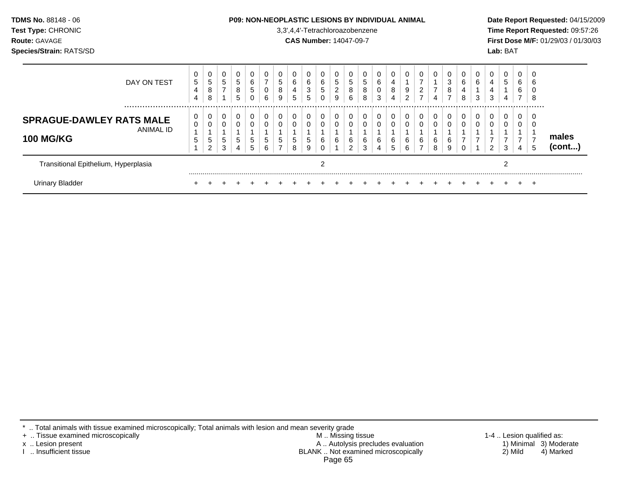| TDMS No. 88148 - 06<br>Test Type: CHRONIC<br>Route: GAVAGE<br>Species/Strain: RATS/SD |                             |                                |                                   |                           |                                |                                 |                       |             | 3.3'.4.4'-Tetrachloroazobenzene<br><b>CAS Number: 14047-09-7</b> |                |                                             |                                            |                           | <b>P09: NON-NEOPLASTIC LESIONS BY INDIVIDUAL ANIMAL</b> |                        |   |                |   |                      |                               |                 |                  | Lab: BAT       |                        |    | Date Report Requested: 04/15/2009<br>Time Report Requested: 09:57:26<br>First Dose M/F: 01/29/03 / 01/30/03 |
|---------------------------------------------------------------------------------------|-----------------------------|--------------------------------|-----------------------------------|---------------------------|--------------------------------|---------------------------------|-----------------------|-------------|------------------------------------------------------------------|----------------|---------------------------------------------|--------------------------------------------|---------------------------|---------------------------------------------------------|------------------------|---|----------------|---|----------------------|-------------------------------|-----------------|------------------|----------------|------------------------|----|-------------------------------------------------------------------------------------------------------------|
| DAY ON TEST                                                                           | $\mathbf{0}$<br>5<br>4<br>4 | 0<br>$5\phantom{.0}$<br>8<br>8 | 0<br>$\sqrt{5}$<br>$\overline{ }$ | 0<br>$\sqrt{5}$<br>8<br>5 | 0<br>$\,6\,$<br>$\overline{5}$ | 0<br>$\boldsymbol{7}$<br>0<br>6 | $\mathbf 5$<br>8<br>9 | 6<br>4<br>5 | 6<br>3<br>5                                                      | 6<br>5<br>0    | 0<br>$5\phantom{.0}$<br>$\overline{c}$<br>9 | $\mathbf 0$<br>$\,$ 5 $\,$<br>$\bf 8$<br>6 | 0<br>$\sqrt{5}$<br>8<br>8 | 0<br>$\,6\,$<br>3                                       | 0<br>4<br>8<br>4       |   | $\overline{c}$ |   | 0<br>$\sqrt{3}$<br>8 | 0<br>6<br>4<br>8              | 0<br>$\,6$<br>3 | 0<br>4<br>4<br>3 | 5              | 0<br>6<br>6            | -8 |                                                                                                             |
| <b>SPRAGUE-DAWLEY RATS MALE</b><br>ANIMAL ID<br><b>100 MG/KG</b>                      | 0<br>0<br>5                 | 0<br>5<br>$\overline{2}$       | 0<br>0<br>$\mathbf 5$<br>3        | 0<br>0<br>5               | 0<br>5<br>5                    | 0<br>0<br>5<br>6                | 5                     |             |                                                                  | 0<br>6         | 0<br>6                                      | 0<br>0<br>6                                | 0<br>6<br>3               | 0<br>6                                                  | $\mathbf{0}$<br>6<br>5 | 6 | 6              | 8 | 0<br>6<br>9          | 0<br>0<br>$\overline{ }$<br>0 | 0<br>0          | 0                | 0<br>3         | $\mathbf{0}$<br>0<br>4 |    | males<br>(cont)                                                                                             |
| Transitional Epithelium, Hyperplasia                                                  |                             |                                |                                   |                           |                                |                                 |                       |             |                                                                  | $\overline{2}$ |                                             |                                            |                           |                                                         |                        |   |                |   |                      |                               |                 |                  | $\overline{2}$ |                        |    |                                                                                                             |
| Urinary Bladder                                                                       | ÷                           |                                |                                   |                           |                                |                                 |                       |             |                                                                  |                |                                             |                                            |                           |                                                         |                        |   |                |   |                      |                               |                 |                  |                |                        | +  |                                                                                                             |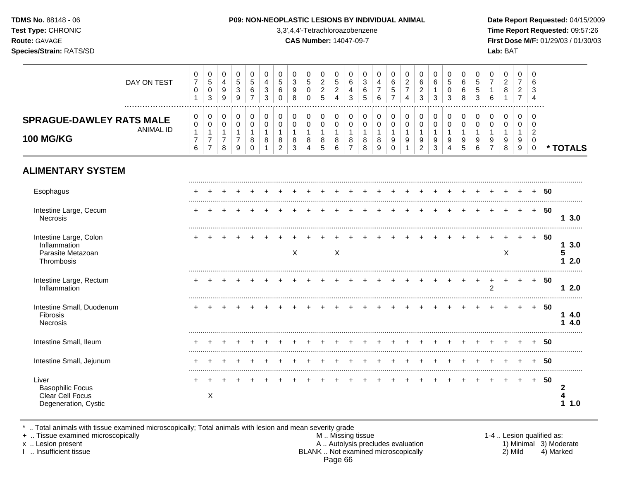| <b>TDMS No. 88148 - 06</b>     | <b>P09: NON-NEOPLASTIC LESIONS BY INDIVIDUAL ANIMAL</b> | Date Rep         |
|--------------------------------|---------------------------------------------------------|------------------|
| <b>Test Type: CHRONIC</b>      | 3,3',4,4'-Tetrachloroazobenzene                         | Time Rer         |
| <b>Route: GAVAGE</b>           | <b>CAS Number: 14047-09-7</b>                           | <b>First Dos</b> |
| <b>Species/Strain: RATS/SD</b> |                                                         | <b>Lab: BAT</b>  |

**Time Report Requested:** 09:57:26 **Route:** GAVAGE **CAS Number:** 14047-09-7 **First Dose M/F:** 01/29/03 / 01/30/03

| DAY ON TEST<br>.                                                             | 0<br>$\overline{7}$<br>0<br>$\mathbf{1}$      | 0<br>5<br>$\mathbf 0$<br>3                                 | 0<br>4<br>$\boldsymbol{9}$<br>$\boldsymbol{9}$          | $\mathbf 0$<br>$\sqrt{5}$<br>3<br>9                               | 0<br>$\sqrt{5}$<br>6<br>$\overline{7}$          | $\mathbf 0$<br>4<br>$\mathbf{3}$<br>3         | 0<br>$5\,$<br>$\,6$<br>$\Omega$                       | $\mathbf 0$<br>$\sqrt{3}$<br>9<br>8                  | $\mathbf 0$<br>$\sqrt{5}$<br>$\mathbf 0$<br>$\Omega$            | 0<br>$\sqrt{2}$<br>$\sqrt{2}$<br>5 | $\mathbf 0$<br>$\sqrt{5}$<br>$\overline{c}$<br>$\overline{4}$ | $\mathbf 0$<br>6<br>4<br>$\mathbf{3}$                   | $\mathbf 0$<br>$\mathbf{3}$<br>$\,6\,$<br>5 | 0<br>4<br>$\overline{7}$<br>6    | $\mathbf 0$<br>$\,6\,$<br>5<br>$\overline{7}$               | 0<br>$\boldsymbol{2}$<br>$\overline{7}$<br>4        | 0<br>$\,6\,$<br>$\overline{c}$<br>3                   | $\mathbf 0$<br>$\,6\,$<br>$\mathbf{1}$<br>3        | $\mathbf 0$<br>$\sqrt{5}$<br>$\mathbf 0$<br>3      | $\mathbf 0$<br>6<br>6<br>8                 | 0<br>$\sqrt{5}$<br>$\sqrt{5}$<br>$\mathbf{3}$ | $\mathbf 0$<br>$\overline{7}$<br>6           | 0<br>$\overline{c}$<br>$\bf 8$<br>$\mathbf{1}$ | 0<br>$\overline{7}$<br>$\overline{2}$<br>$\overline{7}$ | $\Omega$<br>6<br>3<br>$\overline{4}$                 |    |                        |             |
|------------------------------------------------------------------------------|-----------------------------------------------|------------------------------------------------------------|---------------------------------------------------------|-------------------------------------------------------------------|-------------------------------------------------|-----------------------------------------------|-------------------------------------------------------|------------------------------------------------------|-----------------------------------------------------------------|------------------------------------|---------------------------------------------------------------|---------------------------------------------------------|---------------------------------------------|----------------------------------|-------------------------------------------------------------|-----------------------------------------------------|-------------------------------------------------------|----------------------------------------------------|----------------------------------------------------|--------------------------------------------|-----------------------------------------------|----------------------------------------------|------------------------------------------------|---------------------------------------------------------|------------------------------------------------------|----|------------------------|-------------|
| <b>SPRAGUE-DAWLEY RATS MALE</b><br><b>ANIMAL ID</b><br><b>100 MG/KG</b>      | 0<br>0<br>$\mathbf{1}$<br>$\overline{7}$<br>6 | 0<br>0<br>$\mathbf{1}$<br>$\overline{7}$<br>$\overline{7}$ | 0<br>$\mathbf 0$<br>$\mathbf{1}$<br>$\overline{7}$<br>8 | $\mathbf 0$<br>$\mathbf 0$<br>$\mathbf{1}$<br>$\overline{7}$<br>9 | 0<br>$\pmb{0}$<br>$\mathbf{1}$<br>8<br>$\Omega$ | $\mathbf 0$<br>$\pmb{0}$<br>$\mathbf{1}$<br>8 | 0<br>$\pmb{0}$<br>$\mathbf{1}$<br>8<br>$\overline{2}$ | $\mathbf 0$<br>$\mathbf 0$<br>$\mathbf{1}$<br>8<br>3 | $\mathbf 0$<br>0<br>$\mathbf{1}$<br>8<br>$\boldsymbol{\Lambda}$ | 0<br>0<br>$\mathbf{1}$<br>8<br>5   | $\mathbf 0$<br>$\mathbf 0$<br>$\mathbf{1}$<br>8<br>6          | 0<br>$\mathbf 0$<br>$\mathbf{1}$<br>8<br>$\overline{7}$ | 0<br>$\mathbf 0$<br>$\mathbf{1}$<br>8<br>8  | 0<br>0<br>$\mathbf{1}$<br>8<br>9 | $\mathbf 0$<br>$\mathbf 0$<br>$\mathbf{1}$<br>9<br>$\Omega$ | 0<br>$\pmb{0}$<br>$\mathbf{1}$<br>9<br>$\mathbf{1}$ | 0<br>$\pmb{0}$<br>$\mathbf{1}$<br>9<br>$\overline{2}$ | $\mathbf 0$<br>$\pmb{0}$<br>$\mathbf{1}$<br>9<br>3 | $\mathbf 0$<br>$\pmb{0}$<br>$\mathbf{1}$<br>9<br>4 | 0<br>$\mathbf 0$<br>$\mathbf{1}$<br>9<br>5 | 0<br>0<br>$\mathbf{1}$<br>9<br>6              | 0<br>$\mathbf 0$<br>1<br>9<br>$\overline{7}$ | 0<br>0<br>$\mathbf 1$<br>9<br>8                | $\mathbf 0$<br>$\mathbf 0$<br>$\mathbf{1}$<br>9<br>9    | $\Omega$<br>$\Omega$<br>2<br>$\Omega$<br>$\mathbf 0$ |    |                        | * TOTALS    |
| <b>ALIMENTARY SYSTEM</b>                                                     |                                               |                                                            |                                                         |                                                                   |                                                 |                                               |                                                       |                                                      |                                                                 |                                    |                                                               |                                                         |                                             |                                  |                                                             |                                                     |                                                       |                                                    |                                                    |                                            |                                               |                                              |                                                |                                                         |                                                      |    |                        |             |
| Esophagus                                                                    |                                               |                                                            |                                                         |                                                                   |                                                 |                                               |                                                       |                                                      |                                                                 |                                    |                                                               |                                                         |                                             |                                  |                                                             |                                                     |                                                       |                                                    |                                                    |                                            |                                               |                                              |                                                |                                                         |                                                      | 50 |                        |             |
| Intestine Large, Cecum<br>Necrosis                                           |                                               |                                                            |                                                         |                                                                   |                                                 |                                               |                                                       |                                                      |                                                                 |                                    |                                                               |                                                         |                                             |                                  |                                                             |                                                     |                                                       |                                                    |                                                    |                                            |                                               |                                              | $\div$                                         | $\ddot{}$                                               | $+$                                                  | 50 |                        | 13.0        |
| Intestine Large, Colon<br>Inflammation<br>Parasite Metazoan<br>Thrombosis    |                                               |                                                            |                                                         |                                                                   |                                                 |                                               |                                                       | $\mathsf X$                                          |                                                                 |                                    | $\boldsymbol{X}$                                              |                                                         |                                             |                                  |                                                             |                                                     |                                                       |                                                    |                                                    |                                            |                                               |                                              | X                                              |                                                         |                                                      | 50 | 1<br>5<br>1            | 3.0<br>2.0  |
| Intestine Large, Rectum<br>Inflammation                                      |                                               |                                                            |                                                         |                                                                   |                                                 |                                               |                                                       |                                                      |                                                                 |                                    |                                                               |                                                         |                                             |                                  |                                                             |                                                     |                                                       |                                                    |                                                    |                                            |                                               | $\overline{2}$                               | $\div$                                         |                                                         | $+$                                                  | 50 |                        | 12.0        |
| Intestine Small, Duodenum<br>Fibrosis<br>Necrosis                            |                                               |                                                            |                                                         |                                                                   |                                                 |                                               |                                                       |                                                      |                                                                 |                                    |                                                               |                                                         |                                             |                                  |                                                             |                                                     |                                                       |                                                    |                                                    |                                            |                                               |                                              |                                                | $\ddot{}$                                               | $+$                                                  | 50 | 1                      | 14.0<br>4.0 |
| Intestine Small, Ileum                                                       |                                               |                                                            |                                                         |                                                                   |                                                 |                                               |                                                       |                                                      |                                                                 |                                    |                                                               |                                                         |                                             |                                  |                                                             |                                                     |                                                       |                                                    |                                                    |                                            |                                               |                                              | $\ddot{}$                                      | $\ddot{}$                                               | $+$                                                  | 50 |                        |             |
| Intestine Small, Jejunum                                                     |                                               |                                                            |                                                         |                                                                   |                                                 |                                               |                                                       |                                                      |                                                                 |                                    |                                                               |                                                         |                                             |                                  |                                                             | $\div$                                              | $\pm$                                                 |                                                    |                                                    |                                            |                                               |                                              | $\div$                                         | $\ddot{}$                                               | $+$                                                  | 50 |                        |             |
| Liver<br><b>Basophilic Focus</b><br>Clear Cell Focus<br>Degeneration, Cystic |                                               | X                                                          |                                                         |                                                                   |                                                 |                                               |                                                       |                                                      |                                                                 |                                    |                                                               |                                                         |                                             |                                  |                                                             |                                                     |                                                       |                                                    |                                                    |                                            |                                               |                                              |                                                |                                                         | $+$                                                  | 50 | $\mathbf{2}$<br>4<br>1 | 1.0         |

\* .. Total animals with tissue examined microscopically; Total animals with lesion and mean severity grade

+ .. Tissue examined microscopically M .. Missing tissue 1-4 .. Lesion qualified as: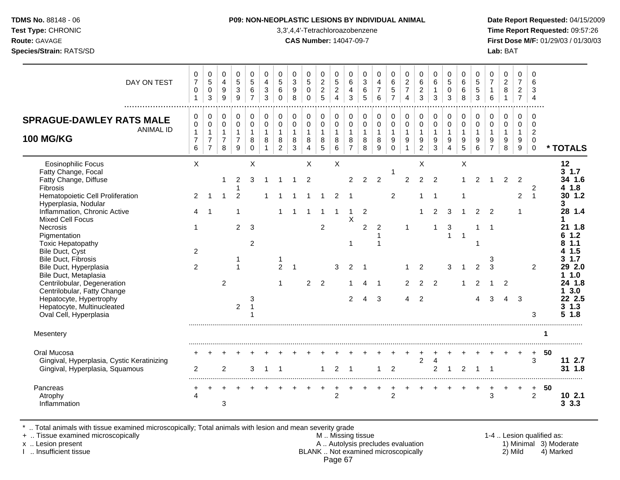#### **TDMS No.** 88148 - 06 **P09: NON-NEOPLASTIC LESIONS BY INDIVIDUAL ANIMAL Date Report Requested:** 04/15/2009

**Test Type:** CHRONIC 3,3',4,4'-Tetrachloroazobenzene **Time Report Requested:** 09:57:26 **Route:** GAVAGE **CAS Number:** 14047-09-7 **First Dose M/F:** 01/29/03 / 01/30/03 **Species/Strain:** RATS/SD **Lab:** BAT

| DAY ON TEST                                                                                                                                                                                          | 0<br>$\overline{7}$<br>$\pmb{0}$<br>$\mathbf{1}$                | 0<br>$\sqrt{5}$<br>$\mathbf 0$<br>$\mathbf{3}$                                 | $\mathbf 0$<br>$\overline{4}$<br>9<br>9                      | 0<br>$\sqrt{5}$<br>$\mathbf{3}$<br>9                           | 0<br>5<br>6<br>$\overline{7}$                            | 0<br>4<br>$\mathbf{3}$<br>3                                   | $\mathbf 0$<br>$\sqrt{5}$<br>$6\phantom{1}6$<br>$\Omega$          | 0<br>$\mathbf{3}$<br>9<br>8                       | 0<br>$\sqrt{5}$<br>$\mathbf 0$<br>$\mathbf 0$                         | $\mathbf 0$<br>$\sqrt{2}$<br>$\overline{2}$<br>5 | 0<br>$\sqrt{5}$<br>$\overline{2}$<br>$\overline{4}$ | 0<br>6<br>4<br>3                                                      | 0<br>$\mathbf{3}$<br>6<br>$\overline{5}$           | 0<br>$\overline{4}$<br>$\overline{7}$<br>$6\phantom{1}$ | 0<br>$\,6\,$<br>$\sqrt{5}$<br>$\overline{7}$                             | 0<br>$\overline{2}$<br>$\overline{7}$<br>$\overline{4}$       | 0<br>$\,6\,$<br>$\boldsymbol{2}$<br>$\mathbf{3}$             | $\Omega$<br>6<br>$\mathbf{1}$<br>3              | 0<br>5<br>$\mathbf 0$<br>3                                        | 0<br>6<br>6<br>8                                   | 0<br>5<br>5<br>3                                   | 0<br>$\overline{7}$<br>$\mathbf{1}$<br>6                          | 0<br>$\sqrt{2}$<br>8<br>$\mathbf{1}$               | $\mathbf 0$<br>$\overline{7}$<br>$\boldsymbol{2}$<br>$\overline{7}$ | 0<br>6<br>3<br>$\overline{4}$                                           |    |                                                                          |
|------------------------------------------------------------------------------------------------------------------------------------------------------------------------------------------------------|-----------------------------------------------------------------|--------------------------------------------------------------------------------|--------------------------------------------------------------|----------------------------------------------------------------|----------------------------------------------------------|---------------------------------------------------------------|-------------------------------------------------------------------|---------------------------------------------------|-----------------------------------------------------------------------|--------------------------------------------------|-----------------------------------------------------|-----------------------------------------------------------------------|----------------------------------------------------|---------------------------------------------------------|--------------------------------------------------------------------------|---------------------------------------------------------------|--------------------------------------------------------------|-------------------------------------------------|-------------------------------------------------------------------|----------------------------------------------------|----------------------------------------------------|-------------------------------------------------------------------|----------------------------------------------------|---------------------------------------------------------------------|-------------------------------------------------------------------------|----|--------------------------------------------------------------------------|
| <b>SPRAGUE-DAWLEY RATS MALE</b><br><b>ANIMAL ID</b><br><b>100 MG/KG</b>                                                                                                                              | $\mathbf 0$<br>$\pmb{0}$<br>$\mathbf{1}$<br>$\overline{7}$<br>6 | 0<br>$\mathsf{O}\xspace$<br>$\mathbf{1}$<br>$\boldsymbol{7}$<br>$\overline{7}$ | $\Omega$<br>$\pmb{0}$<br>$\mathbf{1}$<br>$\overline{7}$<br>8 | $\Omega$<br>$\mathbf 0$<br>$\mathbf{1}$<br>$\overline{7}$<br>9 | $\Omega$<br>$\mathbf 0$<br>$\mathbf{1}$<br>8<br>$\Omega$ | $\mathbf 0$<br>$\pmb{0}$<br>$\mathbf{1}$<br>8<br>$\mathbf{1}$ | $\mathbf 0$<br>$\mathbf 0$<br>$\mathbf{1}$<br>8<br>$\overline{2}$ | $\Omega$<br>$\mathsf 0$<br>$\mathbf{1}$<br>8<br>3 | $\mathbf 0$<br>$\pmb{0}$<br>$\mathbf{1}$<br>$\,8\,$<br>$\overline{4}$ | $\Omega$<br>$\pmb{0}$<br>$\mathbf{1}$<br>8<br>5  | $\Omega$<br>$\pmb{0}$<br>$\mathbf{1}$<br>8<br>6     | $\mathbf 0$<br>$\pmb{0}$<br>$\mathbf{1}$<br>$\,8\,$<br>$\overline{7}$ | $\mathbf 0$<br>$\pmb{0}$<br>$\mathbf{1}$<br>8<br>8 | $\mathbf 0$<br>$\pmb{0}$<br>$\mathbf{1}$<br>8<br>9      | $\mathbf 0$<br>$\pmb{0}$<br>$\mathbf{1}$<br>$\boldsymbol{9}$<br>$\Omega$ | $\mathbf 0$<br>$\pmb{0}$<br>$\mathbf{1}$<br>9<br>$\mathbf{1}$ | $\Omega$<br>$\pmb{0}$<br>$\mathbf{1}$<br>9<br>$\overline{c}$ | $\Omega$<br>$\pmb{0}$<br>$\mathbf{1}$<br>9<br>3 | $\mathbf 0$<br>$\pmb{0}$<br>$\overline{1}$<br>9<br>$\overline{4}$ | $\mathbf 0$<br>$\pmb{0}$<br>$\mathbf{1}$<br>9<br>5 | $\mathbf 0$<br>$\pmb{0}$<br>$\mathbf{1}$<br>9<br>6 | $\mathbf 0$<br>$\mathbf 0$<br>$\mathbf{1}$<br>9<br>$\overline{7}$ | $\mathbf 0$<br>$\pmb{0}$<br>$\mathbf{1}$<br>9<br>8 | $\Omega$<br>0<br>$\mathbf{1}$<br>9<br>$\boldsymbol{9}$              | $\Omega$<br>$\mathbf 0$<br>$\overline{2}$<br>$\Omega$<br>$\overline{0}$ |    | * TOTALS                                                                 |
| <b>Eosinophilic Focus</b><br>Fatty Change, Focal<br>Fatty Change, Diffuse<br>Fibrosis<br>Hematopoietic Cell Proliferation                                                                            | X<br>$\overline{2}$                                             |                                                                                | 1                                                            | $\overline{2}$<br>$\overline{2}$                               | $\sf X$<br>3                                             |                                                               |                                                                   |                                                   | X<br>$\overline{2}$                                                   |                                                  | X<br>$\overline{2}$                                 | $\overline{2}$<br>1                                                   | $\overline{2}$                                     | $\overline{2}$                                          | 1<br>2                                                                   | $\overline{c}$                                                | X<br>$\overline{2}$<br>1                                     | $\overline{2}$<br>$\mathbf 1$                   |                                                                   | X<br>1                                             | $\overline{2}$                                     |                                                                   | $\overline{2}$                                     | $\overline{2}$<br>2                                                 | 2<br>$\overline{1}$                                                     |    | 12<br>$3 \t1.7$<br>34 1.6<br>1.8<br>4<br>30 1.2<br>3                     |
| Hyperplasia, Nodular<br>Inflammation, Chronic Active<br><b>Mixed Cell Focus</b><br><b>Necrosis</b><br>Pigmentation<br>Toxic Hepatopathy<br>Bile Duct, Cyst                                           | 4<br>$\mathbf{1}$<br>$\overline{2}$                             | -1                                                                             |                                                              | 2                                                              | 3<br>2                                                   |                                                               |                                                                   |                                                   |                                                                       | $\overline{2}$                                   |                                                     | X<br>1                                                                | $\overline{c}$<br>$\overline{2}$                   | $\overline{2}$                                          |                                                                          | $\mathbf 1$                                                   |                                                              | 2<br>1                                          | 3<br>3<br>$\mathbf{1}$                                            | 1                                                  | 2                                                  | $\overline{2}$<br>$\overline{1}$                                  |                                                    | -1                                                                  |                                                                         |    | 28 1.4<br>21 1.8<br>1.2<br>1.1<br>1.5                                    |
| <b>Bile Duct, Fibrosis</b><br>Bile Duct, Hyperplasia<br>Bile Duct, Metaplasia<br>Centrilobular, Degeneration<br>Centrilobular, Fatty Change<br>Hepatocyte, Hypertrophy<br>Hepatocyte, Multinucleated | $\overline{2}$                                                  |                                                                                | 2                                                            | -1<br>$\overline{1}$<br>2                                      | 3<br>$\mathbf{1}$                                        |                                                               | -1<br>$\overline{2}$<br>1                                         | $\overline{1}$                                    | $\overline{2}$                                                        | 2                                                | 3                                                   | $\overline{2}$<br>$\overline{2}$                                      | Δ                                                  | -1<br>3                                                 |                                                                          | $\overline{2}$<br>4                                           | 2<br>$\overline{2}$<br>2                                     | $\overline{2}$                                  | 3                                                                 | 1                                                  | 2<br>2                                             | 3<br>3<br>$\mathbf 1$<br>3                                        | $\overline{2}$<br>4                                | 3                                                                   | 2                                                                       |    | 1.7<br>3<br>29 2.0<br>1.0<br>1.<br>24 1.8<br>3.0<br>22 2.5<br>$3 \; 1.3$ |
| Oval Cell, Hyperplasia<br>Mesentery                                                                                                                                                                  |                                                                 |                                                                                |                                                              |                                                                |                                                          |                                                               |                                                                   |                                                   |                                                                       |                                                  |                                                     |                                                                       |                                                    |                                                         |                                                                          |                                                               |                                                              |                                                 |                                                                   |                                                    |                                                    |                                                                   |                                                    |                                                                     | 3                                                                       | 1. | $5 \; 1.8$                                                               |
| Oral Mucosa<br>Gingival, Hyperplasia, Cystic Keratinizing<br>Gingival, Hyperplasia, Squamous                                                                                                         | 2                                                               |                                                                                | $\overline{2}$                                               |                                                                | 3                                                        |                                                               | -1                                                                |                                                   |                                                                       |                                                  | 2                                                   | $\mathbf{1}$                                                          |                                                    | $\mathbf{1}$                                            | $\overline{2}$                                                           | $\ddot{}$                                                     | $\ddot{}$<br>$\sqrt{2}$                                      | $\overline{4}$<br>2                             | $\overline{1}$                                                    | $\overline{2}$                                     |                                                    | $\mathbf 1$                                                       | $\ddot{}$                                          | $+$                                                                 | $+$<br>3                                                                | 50 | 11 2.7<br>31 1.8                                                         |
| Pancreas<br>Atrophy<br>Inflammation                                                                                                                                                                  | $\overline{4}$                                                  |                                                                                | 3                                                            |                                                                |                                                          |                                                               |                                                                   |                                                   |                                                                       |                                                  | $\overline{2}$                                      |                                                                       |                                                    |                                                         | $\overline{2}$                                                           |                                                               |                                                              |                                                 |                                                                   |                                                    |                                                    | $\ddot{}$<br>3                                                    |                                                    | $\pm$                                                               | $+$<br>$\overline{2}$                                                   | 50 | 10 2.1<br>3.3.3                                                          |

\* .. Total animals with tissue examined microscopically; Total animals with lesion and mean severity grade

+ .. Tissue examined microscopically M .. Missing tissue 1-4 .. Lesion qualified as: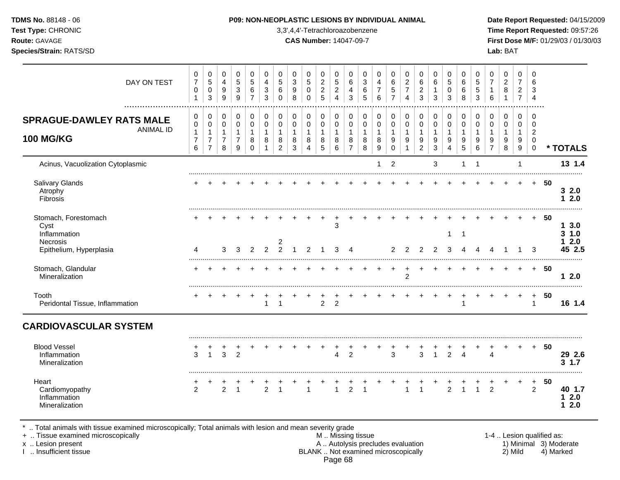#### **TDMS No.** 88148 - 06 **P09: NON-NEOPLASTIC LESIONS BY INDIVIDUAL ANIMAL Date Report Requested:** 04/15/2009

**Test Type:** CHRONIC 3,3',4,4'-Tetrachloroazobenzene **Time Report Requested:** 09:57:26 **Route:** GAVAGE **CAS Number:** 14047-09-7 **First Dose M/F:** 01/29/03 / 01/30/03

| DAY ON TEST<br>.                                                                    | 0<br>$\overline{7}$<br>$\pmb{0}$<br>$\mathbf{1}$            | 0<br>$\sqrt{5}$<br>$\mathbf 0$<br>$\sqrt{3}$                         | $\mathbf 0$<br>$\overline{4}$<br>9<br>9      | 0<br>$\sqrt{5}$<br>$\sqrt{3}$<br>9                     | 0<br>$\sqrt{5}$<br>6<br>$\overline{7}$    | 0<br>4<br>3<br>3                         | 0<br>$\,$ 5 $\,$<br>6<br>$\Omega$                  | 0<br>$\ensuremath{\mathsf{3}}$<br>$\boldsymbol{9}$<br>8 | 0<br>$\,$ 5 $\,$<br>0<br>$\Omega$         | 0<br>$\overline{c}$<br>$\overline{c}$<br>5 | $\mathbf 0$<br>$\,$ 5 $\,$<br>$\overline{2}$<br>$\overline{4}$ | 0<br>6<br>4<br>3                             | 0<br>$\sqrt{3}$<br>6<br>5        | $\mathbf 0$<br>$\overline{4}$<br>$\overline{7}$<br>6 | 0<br>$\,6$<br>$\sqrt{5}$<br>$\overline{7}$ | 0<br>$\overline{c}$<br>$\overline{7}$<br>$\overline{4}$ | $\mathbf 0$<br>$\,6\,$<br>$\overline{c}$<br>3                          | $\mathbf 0$<br>$\,6\,$<br>$\mathbf{1}$<br>3 | 0<br>$\,$ 5 $\,$<br>0<br>3      | 0<br>6<br>6<br>8                                          | $\mathbf 0$<br>$\sqrt{5}$<br>$\overline{5}$<br>3 | 0<br>$\overline{7}$<br>$\mathbf 1$<br>6 | 0<br>$\overline{2}$<br>8<br>$\mathbf{1}$ | 0<br>$\overline{7}$<br>$\overline{2}$<br>$\overline{7}$ | $\mathbf 0$<br>6<br>3<br>$\overline{4}$                          |    |                                |
|-------------------------------------------------------------------------------------|-------------------------------------------------------------|----------------------------------------------------------------------|----------------------------------------------|--------------------------------------------------------|-------------------------------------------|------------------------------------------|----------------------------------------------------|---------------------------------------------------------|-------------------------------------------|--------------------------------------------|----------------------------------------------------------------|----------------------------------------------|----------------------------------|------------------------------------------------------|--------------------------------------------|---------------------------------------------------------|------------------------------------------------------------------------|---------------------------------------------|---------------------------------|-----------------------------------------------------------|--------------------------------------------------|-----------------------------------------|------------------------------------------|---------------------------------------------------------|------------------------------------------------------------------|----|--------------------------------|
| <b>SPRAGUE-DAWLEY RATS MALE</b><br><b>ANIMAL ID</b><br><b>100 MG/KG</b>             | 0<br>$\pmb{0}$<br>$\mathbf{1}$<br>$\overline{7}$<br>$\,6\,$ | 0<br>$\mathbf 0$<br>$\mathbf{1}$<br>$\overline{7}$<br>$\overline{7}$ | 0<br>$\mathbf 0$<br>1<br>$\overline{7}$<br>8 | 0<br>$\mathbf 0$<br>$\mathbf 1$<br>$\overline{7}$<br>9 | 0<br>$\mathbf 0$<br>1<br>8<br>$\mathbf 0$ | $\pmb{0}$<br>$\mathbf 0$<br>-1<br>8<br>1 | $\pmb{0}$<br>$\mathbf 0$<br>$\mathbf{1}$<br>8<br>2 | $\mathbf 0$<br>0<br>1<br>8<br>3                         | 0<br>$\mathbf 0$<br>$\mathbf 1$<br>8<br>4 | 0<br>$\mathbf 0$<br>$\mathbf{1}$<br>8<br>5 | 0<br>$\mathbf 0$<br>$\mathbf{1}$<br>8<br>6                     | 0<br>$\mathbf 0$<br>1<br>8<br>$\overline{7}$ | 0<br>0<br>$\mathbf{1}$<br>8<br>8 | $\pmb{0}$<br>$\mathbf 0$<br>$\mathbf{1}$<br>8<br>9   | 0<br>$\mathbf 0$<br>1<br>9<br>$\Omega$     | 0<br>0<br>1<br>9<br>$\mathbf 1$                         | 0<br>$\pmb{0}$<br>$\overline{1}$<br>$\boldsymbol{9}$<br>$\overline{2}$ | 0<br>$\pmb{0}$<br>$\mathbf{1}$<br>9<br>3    | 0<br>0<br>$\mathbf 1$<br>9<br>4 | $\boldsymbol{0}$<br>$\mathbf 0$<br>$\mathbf{1}$<br>9<br>5 | 0<br>$\mathbf{0}$<br>1<br>9<br>6                 | 0<br>$\mathbf 0$<br>9<br>$\overline{7}$ | 0<br>0<br>$\mathbf{1}$<br>9<br>8         | 0<br>$\mathbf 0$<br>$\mathbf{1}$<br>9<br>9              | 0<br>$\mathbf 0$<br>$\overline{c}$<br>$\mathbf 0$<br>$\mathbf 0$ |    | * TOTALS                       |
| Acinus, Vacuolization Cytoplasmic                                                   |                                                             |                                                                      |                                              |                                                        |                                           |                                          |                                                    |                                                         |                                           |                                            |                                                                |                                              |                                  | $\mathbf 1$                                          | $\overline{2}$                             |                                                         |                                                                        | 3                                           |                                 | -1                                                        | -1                                               |                                         |                                          | $\mathbf 1$                                             |                                                                  |    | 13 1.4                         |
| Salivary Glands<br>Atrophy<br>Fibrosis                                              |                                                             |                                                                      |                                              |                                                        |                                           |                                          |                                                    |                                                         |                                           |                                            |                                                                |                                              |                                  |                                                      |                                            |                                                         |                                                                        |                                             |                                 |                                                           |                                                  |                                         |                                          |                                                         | $+$                                                              | 50 | 32.0<br>2.0<br>1               |
| Stomach, Forestomach<br>Cyst<br>Inflammation<br>Necrosis<br>Epithelium, Hyperplasia | Δ                                                           |                                                                      | 3                                            | 3                                                      | $\overline{2}$                            | $\overline{2}$                           | $\overline{\mathbf{c}}$<br>$\mathcal{P}$           |                                                         | $\overline{c}$                            |                                            | 3<br>3                                                         | 4                                            |                                  |                                                      | 2                                          | 2                                                       |                                                                        | 2                                           | 1<br>з                          | -1                                                        |                                                  |                                         |                                          |                                                         | 3                                                                | 50 | 13.0<br>3 1.0<br>2.0<br>45 2.5 |
| Stomach, Glandular<br>Mineralization                                                |                                                             |                                                                      |                                              |                                                        |                                           |                                          |                                                    |                                                         |                                           |                                            |                                                                |                                              |                                  |                                                      |                                            | $\overline{2}$                                          |                                                                        |                                             |                                 |                                                           |                                                  |                                         |                                          |                                                         | $+$                                                              | 50 | 12.0                           |
| Tooth<br>Peridontal Tissue, Inflammation                                            |                                                             |                                                                      |                                              |                                                        |                                           | 1                                        | -1                                                 |                                                         |                                           | $\overline{2}$                             | $\overline{2}$                                                 |                                              |                                  |                                                      |                                            |                                                         |                                                                        |                                             |                                 |                                                           |                                                  |                                         |                                          |                                                         | $\ddot{}$<br>$\mathbf{1}$                                        | 50 | 16 1.4                         |
| <b>CARDIOVASCULAR SYSTEM</b>                                                        |                                                             |                                                                      |                                              |                                                        |                                           |                                          |                                                    |                                                         |                                           |                                            |                                                                |                                              |                                  |                                                      |                                            |                                                         |                                                                        |                                             |                                 |                                                           |                                                  |                                         |                                          |                                                         |                                                                  |    |                                |
| <b>Blood Vessel</b><br>Inflammation<br>Mineralization                               | +<br>3                                                      | $\overline{1}$                                                       | $\overline{3}$                               | $\overline{2}$                                         |                                           |                                          |                                                    |                                                         |                                           |                                            | $\boldsymbol{\Lambda}$                                         | $\overline{2}$                               |                                  |                                                      | 3                                          |                                                         | 3                                                                      | $\overline{1}$                              | $\mathcal{P}$                   | $\lambda$                                                 |                                                  | $\Delta$                                |                                          |                                                         | $+$                                                              | 50 | 29 2.6<br>$3 \t1.7$            |
| Heart<br>Cardiomyopathy<br>Inflammation<br>Mineralization                           | +<br>2                                                      |                                                                      | $\overline{2}$                               | $\overline{1}$                                         |                                           | $\overline{2}$                           |                                                    |                                                         |                                           |                                            | 1                                                              | $\overline{2}$                               |                                  |                                                      |                                            | $\mathbf{1}$                                            | $\mathbf{1}$                                                           |                                             | $\overline{2}$                  |                                                           | 1                                                | $\overline{2}$                          |                                          |                                                         | $\ddot{}$<br>$\overline{2}$                                      | 50 | 40 1.7<br>2.0<br>1<br>2.0<br>1 |

\* .. Total animals with tissue examined microscopically; Total animals with lesion and mean severity grade

+ .. Tissue examined microscopically M .. Missing tissue 1-4 .. Lesion qualified as:

- x .. Lesion present **A .. Autolysis precludes evaluation** A .. Autolysis precludes evaluation 1) Minimal 3) Moderate I .. Insufficient tissue BLANK .. Not examined microscopically 2) Mild 4) Marked Page 68
-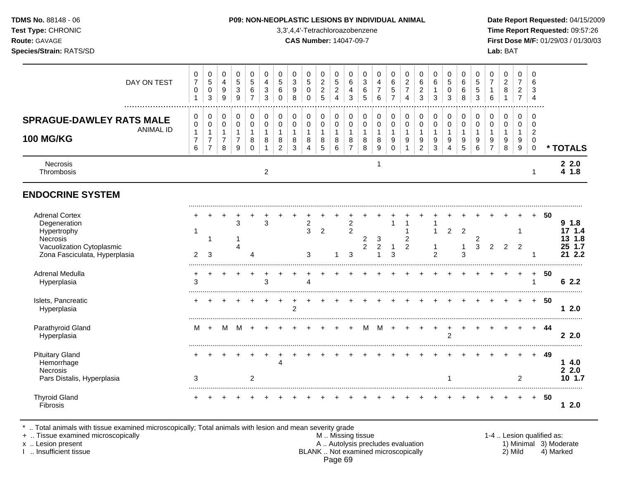| <b>TDMS No.</b> 88148 - 06 | <b>P09: NON-NEOPLASTIC LESIONS BY INDIVIDUAL ANIMAL</b> | Date Rep         |
|----------------------------|---------------------------------------------------------|------------------|
| Test Type: CHRONIC         | 3,3',4,4'-Tetrachloroazobenzene                         | Time Rer         |
| <b>Route: GAVAGE</b>       | <b>CAS Number: 14047-09-7</b>                           | <b>First Dos</b> |
| Species/Strain: RATS/SD    |                                                         | <b>Lab: BAT</b>  |

**Time Report Requested:** 09:57:26 **Route:** GAVAGE **CAS Number:** 14047-09-7 **First Dose M/F:** 01/29/03 / 01/30/03

| DAY ON TEST<br>.                                                                                                               | 0<br>$\boldsymbol{7}$<br>$\mathbf 0$<br>$\mathbf{1}$    | 0<br>$\sqrt{5}$<br>$\pmb{0}$<br>3                                              | 0<br>$\overline{4}$<br>$\boldsymbol{9}$<br>9            | 0<br>5<br>$\sqrt{3}$<br>9                                              | 0<br>$\,$ 5 $\,$<br>$\,6$<br>$\overline{7}$                    | 0<br>4<br>$\mathbf{3}$<br>3                | 0<br>$\sqrt{5}$<br>6<br>$\Omega$                                | 0<br>$\sqrt{3}$<br>$\boldsymbol{9}$<br>8             | 0<br>5<br>$\mathsf 0$<br>$\Omega$                                 | 0<br>$\boldsymbol{2}$<br>$\overline{c}$<br>5              | 0<br>$\sqrt{5}$<br>$\boldsymbol{2}$<br>$\overline{4}$ | 0<br>$\,6$<br>$\overline{\mathbf{4}}$<br>3                        | 0<br>$\mathbf{3}$<br>$\,6\,$<br>5          | 0<br>$\overline{4}$<br>$\overline{7}$<br>6 | 0<br>$\,6\,$<br>$\sqrt{5}$<br>$\overline{7}$              | 0<br>$\overline{c}$<br>$\overline{7}$<br>$\overline{4}$                        | 0<br>$\,6\,$<br>$\sqrt{2}$<br>$\mathbf{3}$                             | 0<br>$\,6\,$<br>$\mathbf{1}$<br>$\mathbf{3}$              | 0<br>$\sqrt{5}$<br>$\mathbf 0$<br>3                                              | 0<br>6<br>6<br>8                           | 0<br>$\sqrt{5}$<br>$\sqrt{5}$<br>3 | 0<br>$\overline{7}$<br>6                                       | 0<br>$\overline{c}$<br>8<br>$\mathbf{1}$                            | 0<br>$\overline{7}$<br>$\overline{2}$<br>$\overline{7}$ | 0<br>6<br>3<br>4                                                           |    |                                             |
|--------------------------------------------------------------------------------------------------------------------------------|---------------------------------------------------------|--------------------------------------------------------------------------------|---------------------------------------------------------|------------------------------------------------------------------------|----------------------------------------------------------------|--------------------------------------------|-----------------------------------------------------------------|------------------------------------------------------|-------------------------------------------------------------------|-----------------------------------------------------------|-------------------------------------------------------|-------------------------------------------------------------------|--------------------------------------------|--------------------------------------------|-----------------------------------------------------------|--------------------------------------------------------------------------------|------------------------------------------------------------------------|-----------------------------------------------------------|----------------------------------------------------------------------------------|--------------------------------------------|------------------------------------|----------------------------------------------------------------|---------------------------------------------------------------------|---------------------------------------------------------|----------------------------------------------------------------------------|----|---------------------------------------------|
| <b>SPRAGUE-DAWLEY RATS MALE</b><br><b>ANIMAL ID</b><br><b>100 MG/KG</b>                                                        | 0<br>$\pmb{0}$<br>$\mathbf{1}$<br>$\boldsymbol{7}$<br>6 | $\pmb{0}$<br>$\mathsf 0$<br>$\mathbf{1}$<br>$\boldsymbol{7}$<br>$\overline{7}$ | 0<br>$\mathbf 0$<br>$\mathbf{1}$<br>$\overline{7}$<br>8 | 0<br>$\mathbf 0$<br>$\mathbf{1}$<br>$\overline{7}$<br>$\boldsymbol{9}$ | $\mathbf 0$<br>$\mathbf 0$<br>$\mathbf{1}$<br>8<br>$\mathbf 0$ | 0<br>$\mathbf 0$<br>1<br>8<br>$\mathbf{1}$ | $\pmb{0}$<br>$\mathbf 0$<br>$\mathbf{1}$<br>8<br>$\overline{c}$ | $\pmb{0}$<br>$\mathbf 0$<br>$\overline{1}$<br>8<br>3 | $\mathsf 0$<br>$\mathsf 0$<br>$\mathbf{1}$<br>8<br>$\overline{4}$ | 0<br>$\mathbf 0$<br>$\mathbf{1}$<br>$\bf 8$<br>$\sqrt{5}$ | 0<br>$\mathbf 0$<br>$\mathbf{1}$<br>8<br>$\,6\,$      | $\mathbf 0$<br>$\mathbf 0$<br>$\mathbf{1}$<br>8<br>$\overline{7}$ | 0<br>$\mathbf 0$<br>$\mathbf{1}$<br>8<br>8 | $\pmb{0}$<br>0<br>$\mathbf{1}$<br>8<br>9   | $\pmb{0}$<br>$\mathbf 0$<br>$\mathbf{1}$<br>9<br>$\Omega$ | $\mathsf 0$<br>$\mathsf 0$<br>$\mathbf{1}$<br>$\boldsymbol{9}$<br>$\mathbf{1}$ | 0<br>$\mathbf 0$<br>$\mathbf{1}$<br>$\boldsymbol{9}$<br>$\overline{2}$ | 0<br>$\mathbf 0$<br>$\mathbf{1}$<br>$\boldsymbol{9}$<br>3 | $\mathbf 0$<br>$\mathbf 0$<br>$\mathbf{1}$<br>$\boldsymbol{9}$<br>$\overline{4}$ | 0<br>$\mathbf 0$<br>$\mathbf{1}$<br>9<br>5 | 0<br>0<br>$\mathbf{1}$<br>9<br>6   | $\pmb{0}$<br>$\Omega$<br>$\overline{1}$<br>9<br>$\overline{7}$ | $\mathsf 0$<br>$\mathbf 0$<br>$\mathbf{1}$<br>$\boldsymbol{9}$<br>8 | 0<br>$\mathbf 0$<br>$\mathbf 1$<br>9<br>9               | $\mathbf 0$<br>$\mathbf 0$<br>$\overline{2}$<br>$\mathbf 0$<br>$\mathbf 0$ |    | * TOTALS                                    |
| Necrosis<br>Thrombosis                                                                                                         |                                                         |                                                                                |                                                         |                                                                        |                                                                | $\overline{2}$                             |                                                                 |                                                      |                                                                   |                                                           |                                                       |                                                                   |                                            | $\mathbf 1$                                |                                                           |                                                                                |                                                                        |                                                           |                                                                                  |                                            |                                    |                                                                |                                                                     |                                                         | $\mathbf{1}$                                                               |    | 22.0<br>4 1.8                               |
| <b>ENDOCRINE SYSTEM</b>                                                                                                        |                                                         |                                                                                |                                                         |                                                                        |                                                                |                                            |                                                                 |                                                      |                                                                   |                                                           |                                                       |                                                                   |                                            |                                            |                                                           |                                                                                |                                                                        |                                                           |                                                                                  |                                            |                                    |                                                                |                                                                     |                                                         |                                                                            |    |                                             |
| <b>Adrenal Cortex</b><br>Degeneration<br>Hypertrophy<br>Necrosis<br>Vacuolization Cytoplasmic<br>Zona Fasciculata, Hyperplasia | 1<br>$\overline{2}$                                     | -1<br>3                                                                        |                                                         | 3<br>4                                                                 |                                                                | 3                                          |                                                                 |                                                      | $\overline{2}$<br>3<br>3                                          | $\overline{2}$                                            |                                                       | 2<br>$\overline{2}$<br>3                                          | 2<br>$\overline{2}$                        | 3<br>$\overline{2}$                        | -1<br>$\overline{1}$<br>3                                 | -1<br>1<br>$\overline{2}$<br>$\overline{2}$                                    |                                                                        | 1<br>$\mathbf{1}$<br>$\mathbf{1}$<br>$\overline{2}$       | $\overline{2}$                                                                   | $\overline{2}$<br>$\mathbf{1}$<br>3        | $\overline{\mathbf{c}}$<br>3       | $\overline{2}$                                                 | 2                                                                   | $\overline{2}$                                          |                                                                            | 50 | 9 1.8<br>171.4<br>13 1.8<br>25 1.7<br>212.2 |
| Adrenal Medulla<br>Hyperplasia                                                                                                 | 3                                                       |                                                                                |                                                         |                                                                        |                                                                | 3                                          |                                                                 |                                                      | $\overline{4}$                                                    |                                                           |                                                       |                                                                   |                                            |                                            |                                                           |                                                                                |                                                                        |                                                           |                                                                                  |                                            |                                    |                                                                |                                                                     | $\ddot{}$                                               | $+$<br>$\mathbf{1}$                                                        | 50 | 62.2                                        |
| Islets, Pancreatic<br>Hyperplasia                                                                                              |                                                         |                                                                                |                                                         |                                                                        |                                                                |                                            |                                                                 | $\overline{c}$                                       |                                                                   |                                                           |                                                       |                                                                   |                                            |                                            |                                                           |                                                                                |                                                                        |                                                           |                                                                                  |                                            |                                    |                                                                |                                                                     |                                                         | $+$                                                                        | 50 | 12.0                                        |
| Parathyroid Gland<br>Hyperplasia                                                                                               | M                                                       | $+$                                                                            | M                                                       | M                                                                      | $+$                                                            |                                            |                                                                 |                                                      |                                                                   |                                                           |                                                       | $\ddot{}$                                                         | м                                          | M                                          | $+$                                                       |                                                                                |                                                                        |                                                           | $\overline{2}$                                                                   |                                            |                                    |                                                                |                                                                     |                                                         | $+$                                                                        | 44 | 22.0                                        |
| <b>Pituitary Gland</b><br>Hemorrhage<br>Necrosis<br>Pars Distalis, Hyperplasia                                                 | 3                                                       |                                                                                |                                                         |                                                                        | 2                                                              |                                            |                                                                 |                                                      |                                                                   |                                                           |                                                       |                                                                   |                                            |                                            |                                                           |                                                                                |                                                                        |                                                           |                                                                                  |                                            |                                    |                                                                |                                                                     | 2                                                       |                                                                            | 49 | 14.0<br>22.0<br>10 1.7                      |
| <b>Thyroid Gland</b><br>Fibrosis                                                                                               |                                                         |                                                                                |                                                         |                                                                        |                                                                |                                            |                                                                 |                                                      |                                                                   |                                                           |                                                       |                                                                   |                                            |                                            |                                                           |                                                                                |                                                                        |                                                           |                                                                                  |                                            |                                    |                                                                |                                                                     | $+$                                                     | $+$                                                                        | 50 | 12.0                                        |

\* .. Total animals with tissue examined microscopically; Total animals with lesion and mean severity grade

- + .. Tissue examined microscopically M .. Missing tissue 1-4 .. Lesion qualified as: x .. Lesion present **A .. Autolysis precludes evaluation** A .. Autolysis precludes evaluation 1) Minimal 3) Moderate I .. Insufficient tissue BLANK .. Not examined microscopically 2) Mild 4) Marked Page 69
	-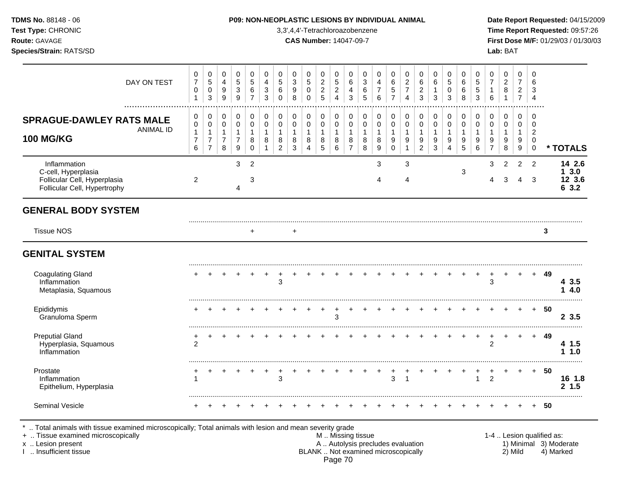# **TDMS No.** 88148 - 06 **P09: NON-NEOPLASTIC LESIONS BY INDIVIDUAL ANIMAL Date Report Requested:** 04/15/2009

**Test Type:** CHRONIC 3,3',4,4'-Tetrachloroazobenzene **Time Report Requested:** 09:57:26 **Route:** GAVAGE **CAS Number:** 14047-09-7 **First Dose M/F:** 01/29/03 / 01/30/03

| DAY ON TEST                                                                                         | 0<br>$\overline{7}$<br>0<br>1                         | 0<br>$\sqrt{5}$<br>$\pmb{0}$<br>3                                   | 0<br>$\overline{4}$<br>$9\,$<br>9                           | 0<br>5<br>3<br>9                                        | 0<br>$\sqrt{5}$<br>6<br>$\overline{7}$             | 0<br>4<br>3<br>3                                     | 0<br>5<br>6<br>$\mathbf 0$                    | 0<br>$\mathbf{3}$<br>9<br>8                          | 0<br>5<br>$\mathbf 0$<br>$\mathbf 0$       | 0<br>$\overline{\mathbf{c}}$<br>$\overline{c}$<br>5 | 0<br>$\,$ 5 $\,$<br>$\boldsymbol{2}$<br>$\overline{4}$ | 0<br>6<br>4<br>3                                        | 0<br>$\mathbf{3}$<br>6<br>5      | 0<br>4<br>$\overline{7}$<br>6   | 0<br>6<br>$\sqrt{5}$<br>$\overline{7}$                 | 0<br>$\sqrt{2}$<br>$\overline{7}$<br>$\overline{4}$ | 0<br>6<br>$\overline{c}$<br>3                                        | 0<br>$\,6\,$<br>$\mathbf{1}$<br>$\mathbf{3}$        | 0<br>5<br>$\mathbf 0$<br>3      | 0<br>6<br>6<br>8                          | 0<br>5<br>5<br>3                           | $\mathbf 0$<br>$\overline{7}$<br>1<br>6                 | 0<br>$\overline{c}$<br>8<br>$\mathbf{1}$ | 0<br>$\overline{7}$<br>$\overline{c}$<br>$\overline{7}$ | 0<br>6<br>3<br>$\overline{4}$                                    |    |                                  |
|-----------------------------------------------------------------------------------------------------|-------------------------------------------------------|---------------------------------------------------------------------|-------------------------------------------------------------|---------------------------------------------------------|----------------------------------------------------|------------------------------------------------------|-----------------------------------------------|------------------------------------------------------|--------------------------------------------|-----------------------------------------------------|--------------------------------------------------------|---------------------------------------------------------|----------------------------------|---------------------------------|--------------------------------------------------------|-----------------------------------------------------|----------------------------------------------------------------------|-----------------------------------------------------|---------------------------------|-------------------------------------------|--------------------------------------------|---------------------------------------------------------|------------------------------------------|---------------------------------------------------------|------------------------------------------------------------------|----|----------------------------------|
| <b>SPRAGUE-DAWLEY RATS MALE</b><br><b>ANIMAL ID</b><br><b>100 MG/KG</b>                             | 0<br>$\pmb{0}$<br>$\mathbf{1}$<br>$\overline{7}$<br>6 | 0<br>$\mathsf{O}\xspace$<br>1<br>$\boldsymbol{7}$<br>$\overline{7}$ | 0<br>$\mathbf 0$<br>$\overline{1}$<br>$\boldsymbol{7}$<br>8 | 0<br>$\mathbf 0$<br>$\mathbf{1}$<br>$\overline{7}$<br>9 | 0<br>$\pmb{0}$<br>$\mathbf{1}$<br>8<br>$\mathbf 0$ | 0<br>$\mathbf 0$<br>$\mathbf{1}$<br>8<br>$\mathbf 1$ | 0<br>0<br>$\mathbf{1}$<br>8<br>$\overline{2}$ | $\mathbf 0$<br>$\mathbf 0$<br>$\mathbf{1}$<br>8<br>3 | 0<br>$\mathbf 0$<br>$\mathbf{1}$<br>8<br>4 | 0<br>0<br>1<br>8<br>5                               | 0<br>$\mathbf 0$<br>$\mathbf{1}$<br>8<br>6             | 0<br>$\mathsf 0$<br>$\mathbf{1}$<br>8<br>$\overline{7}$ | 0<br>0<br>$\mathbf{1}$<br>8<br>8 | 0<br>$\mathbf 0$<br>1<br>8<br>9 | 0<br>$\pmb{0}$<br>1<br>$\boldsymbol{9}$<br>$\mathbf 0$ | 0<br>0<br>$\mathbf{1}$<br>9<br>$\mathbf{1}$         | 0<br>$\pmb{0}$<br>$\mathbf{1}$<br>$\boldsymbol{9}$<br>$\overline{2}$ | 0<br>$\pmb{0}$<br>$\mathbf{1}$<br>9<br>$\mathbf{3}$ | 0<br>$\mathbf 0$<br>1<br>9<br>4 | 0<br>$\mathbf 0$<br>$\mathbf 1$<br>9<br>5 | 0<br>$\mathbf 0$<br>$\mathbf{1}$<br>9<br>6 | 0<br>$\mathbf 0$<br>$\mathbf{1}$<br>9<br>$\overline{7}$ | 0<br>0<br>$\mathbf 1$<br>9<br>8          | 0<br>$\mathbf 0$<br>$\mathbf{1}$<br>9<br>9              | 0<br>$\mathbf 0$<br>$\overline{c}$<br>$\mathbf 0$<br>$\mathbf 0$ |    | * TOTALS                         |
| Inflammation<br>C-cell, Hyperplasia<br>Follicular Cell, Hyperplasia<br>Follicular Cell, Hypertrophy | $\overline{c}$                                        |                                                                     |                                                             | 3<br>4                                                  | $\overline{2}$<br>3                                |                                                      |                                               |                                                      |                                            |                                                     |                                                        |                                                         |                                  | 3<br>4                          |                                                        | 3<br>4                                              |                                                                      |                                                     |                                 | 3                                         |                                            | 3<br>Δ                                                  | 2<br>3                                   | 2<br>4                                                  | $\overline{2}$<br>-3                                             |    | 14 2.6<br>13.0<br>12 3.6<br>63.2 |
| <b>GENERAL BODY SYSTEM</b>                                                                          |                                                       |                                                                     |                                                             |                                                         |                                                    |                                                      |                                               |                                                      |                                            |                                                     |                                                        |                                                         |                                  |                                 |                                                        |                                                     |                                                                      |                                                     |                                 |                                           |                                            |                                                         |                                          |                                                         |                                                                  |    |                                  |
| <b>Tissue NOS</b>                                                                                   |                                                       |                                                                     |                                                             |                                                         | $\ddot{}$                                          |                                                      |                                               | $\ddot{}$                                            |                                            |                                                     |                                                        |                                                         |                                  |                                 |                                                        |                                                     |                                                                      |                                                     |                                 |                                           |                                            |                                                         |                                          |                                                         |                                                                  | 3  |                                  |
| <b>GENITAL SYSTEM</b>                                                                               |                                                       |                                                                     |                                                             |                                                         |                                                    |                                                      |                                               |                                                      |                                            |                                                     |                                                        |                                                         |                                  |                                 |                                                        |                                                     |                                                                      |                                                     |                                 |                                           |                                            |                                                         |                                          |                                                         |                                                                  |    |                                  |
| <b>Coagulating Gland</b><br>Inflammation<br>Metaplasia, Squamous                                    |                                                       |                                                                     |                                                             |                                                         |                                                    |                                                      | 3                                             |                                                      |                                            |                                                     |                                                        |                                                         |                                  |                                 |                                                        |                                                     |                                                                      |                                                     |                                 |                                           |                                            | 3                                                       |                                          |                                                         |                                                                  | 49 | 4 3.5<br>4.0<br>1.               |
| Epididymis<br>Granuloma Sperm                                                                       |                                                       |                                                                     |                                                             |                                                         |                                                    |                                                      |                                               |                                                      |                                            |                                                     | 3                                                      |                                                         |                                  |                                 |                                                        |                                                     |                                                                      |                                                     |                                 |                                           |                                            |                                                         |                                          |                                                         | $+$                                                              | 50 | 23.5                             |
| <b>Preputial Gland</b><br>Hyperplasia, Squamous<br>Inflammation                                     | $\mathfrak{p}$                                        |                                                                     |                                                             |                                                         |                                                    |                                                      |                                               |                                                      |                                            |                                                     |                                                        |                                                         |                                  |                                 |                                                        |                                                     |                                                                      |                                                     |                                 |                                           |                                            | $\ddot{}$<br>$\overline{2}$                             |                                          |                                                         | $\ddot{}$                                                        | 49 | 4 1.5<br>1.0                     |
| Prostate<br>Inflammation<br>Epithelium, Hyperplasia                                                 |                                                       |                                                                     |                                                             |                                                         |                                                    |                                                      | 3                                             |                                                      |                                            |                                                     |                                                        |                                                         |                                  |                                 | 3                                                      | $\overline{1}$                                      |                                                                      |                                                     |                                 |                                           | $\mathbf{1}$                               | $\overline{2}$                                          |                                          |                                                         | $\pm$                                                            | 50 | 16 1.8<br>2, 1.5                 |
| Seminal Vesicle                                                                                     |                                                       | $\div$                                                              | $\div$                                                      |                                                         |                                                    |                                                      |                                               |                                                      |                                            |                                                     |                                                        |                                                         |                                  |                                 |                                                        |                                                     | $\pm$                                                                |                                                     | $\pm$                           |                                           |                                            | $\overline{+}$                                          | $\ddot{}$                                | $+$                                                     | $+$                                                              | 50 |                                  |

+ .. Tissue examined microscopically M .. Missing tissue 1-4 .. Lesion qualified as: x .. Lesion present **A .. Autolysis precludes evaluation** A .. Autolysis precludes evaluation 1) Minimal 3) Moderate I .. Insufficient tissue BLANK .. Not examined microscopically 2) Mild 4) Marked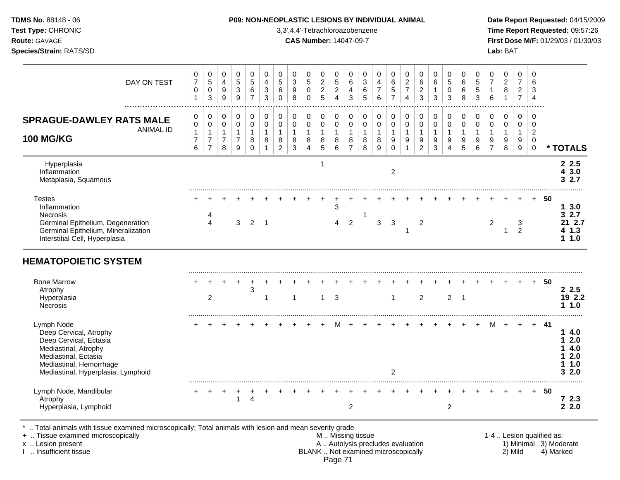| TDMS No. 88148 - 06<br>Test Type: CHRONIC<br>Route: GAVAGE<br>Species/Strain: RATS/SD                                                                                           |                                                         |                                                                      |                                                                   |                                                                 |                                                           |                                                                 |                                                       |                                                                 | 3,3',4,4'-Tetrachloroazobenzene<br><b>CAS Number: 14047-09-7</b> |                                                                 |                                                               |                                                                   |                                                          | P09: NON-NEOPLASTIC LESIONS BY INDIVIDUAL ANIMAL                |                                                                           |                                                                   |                                                                        |                                                                                |                                                                   |                                                                      |                                                                   |                                                                                | Lab: BAT                                                          |                                                               |                                                                       |        | Date Report Requested: 04/15/2009<br>Time Report Requested: 09:57:26<br>First Dose M/F: 01/29/03 / 01/30/03 |
|---------------------------------------------------------------------------------------------------------------------------------------------------------------------------------|---------------------------------------------------------|----------------------------------------------------------------------|-------------------------------------------------------------------|-----------------------------------------------------------------|-----------------------------------------------------------|-----------------------------------------------------------------|-------------------------------------------------------|-----------------------------------------------------------------|------------------------------------------------------------------|-----------------------------------------------------------------|---------------------------------------------------------------|-------------------------------------------------------------------|----------------------------------------------------------|-----------------------------------------------------------------|---------------------------------------------------------------------------|-------------------------------------------------------------------|------------------------------------------------------------------------|--------------------------------------------------------------------------------|-------------------------------------------------------------------|----------------------------------------------------------------------|-------------------------------------------------------------------|--------------------------------------------------------------------------------|-------------------------------------------------------------------|---------------------------------------------------------------|-----------------------------------------------------------------------|--------|-------------------------------------------------------------------------------------------------------------|
| DAY ON TEST                                                                                                                                                                     | $\pmb{0}$<br>$\boldsymbol{7}$<br>0<br>$\mathbf{1}$      | $\pmb{0}$<br>$\sqrt{5}$<br>$\pmb{0}$<br>3                            | $\mathsf 0$<br>$\overline{4}$<br>$\boldsymbol{9}$<br>$\mathsf g$  | $\mathsf 0$<br>5<br>3<br>9                                      | $\mathbf 0$<br>$\overline{5}$<br>6<br>$\overline{7}$      | $\mathbf 0$<br>$\overline{4}$<br>$\mathbf{3}$<br>$\mathbf{3}$   | $\mathsf 0$<br>5<br>6<br>$\mathbf 0$                  | $\pmb{0}$<br>$\mathfrak{Z}$<br>$\boldsymbol{9}$<br>8            | $\mathbf 0$<br>$\sqrt{5}$<br>$\mathbf 0$<br>$\mathbf 0$          | $\pmb{0}$<br>$\overline{2}$<br>$\overline{c}$<br>$\overline{5}$ | $\pmb{0}$<br>$\sqrt{5}$<br>$\boldsymbol{2}$<br>$\overline{4}$ | $\mathbf 0$<br>$6\phantom{1}$<br>$\overline{4}$<br>$\mathbf{3}$   | $\mathbf 0$<br>$\sqrt{3}$<br>6<br>5                      | $\Omega$<br>$\overline{4}$<br>$\overline{7}$<br>$6\phantom{1}6$ | 0<br>$\,6\,$<br>$\mathbf 5$<br>$\overline{7}$                             | $\mathbf 0$<br>$\overline{c}$<br>$\overline{7}$<br>$\overline{4}$ | $\mathbf 0$<br>6<br>$\overline{c}$<br>3                                | $\mathbf 0$<br>6<br>$\mathbf{1}$<br>3                                          | $\mathsf{O}$<br>$\overline{5}$<br>$\mathbf 0$<br>$\mathbf{3}$     | $\mathsf 0$<br>$\,6\,$<br>$\,6\,$<br>8                               | $\mathsf 0$<br>$\mathbf 5$<br>$\overline{5}$<br>$\overline{3}$    | $\Omega$<br>$\overline{7}$<br>$\mathbf{1}$<br>$6\phantom{1}$                   | $\mathbf 0$<br>$\boldsymbol{2}$<br>$\,8\,$<br>$\overline{1}$      | $\mathbf 0$<br>$\overline{7}$<br>$\sqrt{2}$<br>$\overline{7}$ | $\Omega$<br>6<br>3<br>$\overline{4}$                                  |        |                                                                                                             |
| <b>SPRAGUE-DAWLEY RATS MALE</b><br><b>ANIMAL ID</b><br><b>100 MG/KG</b>                                                                                                         | 0<br>$\mathbf 0$<br>$\mathbf{1}$<br>$\overline{7}$<br>6 | 0<br>$\mathbf 0$<br>$\mathbf{1}$<br>$\overline{7}$<br>$\overline{7}$ | $\mathbf 0$<br>$\mathbf 0$<br>$\mathbf{1}$<br>$\overline{7}$<br>8 | $\mathbf 0$<br>$\pmb{0}$<br>$\mathbf{1}$<br>$\overline{7}$<br>9 | $\mathbf 0$<br>$\pmb{0}$<br>$\mathbf{1}$<br>8<br>$\Omega$ | $\mathbf 0$<br>$\mathbf 0$<br>$\mathbf{1}$<br>8<br>$\mathbf{1}$ | 0<br>$\pmb{0}$<br>$\mathbf{1}$<br>8<br>$\overline{2}$ | $\mathbf 0$<br>$\pmb{0}$<br>$\mathbf{1}$<br>8<br>$\mathfrak{S}$ | $\mathbf 0$<br>$\pmb{0}$<br>$\mathbf{1}$<br>8<br>$\overline{4}$  | $\mathbf 0$<br>$\pmb{0}$<br>$\mathbf{1}$<br>$\,8\,$<br>5        | $\pmb{0}$<br>$\pmb{0}$<br>$\mathbf{1}$<br>$\bf 8$<br>$\,6\,$  | $\Omega$<br>$\pmb{0}$<br>$\mathbf{1}$<br>$\bf8$<br>$\overline{7}$ | $\mathbf 0$<br>$\pmb{0}$<br>$\mathbf{1}$<br>8<br>$\,8\,$ | $\mathbf 0$<br>$\mathbf 0$<br>$\mathbf{1}$<br>$\,8\,$<br>9      | $\mathbf 0$<br>$\pmb{0}$<br>$\mathbf{1}$<br>$\boldsymbol{9}$<br>$\pmb{0}$ | $\Omega$<br>$\mathbf 0$<br>$\mathbf{1}$<br>9<br>$\overline{1}$    | 0<br>$\mathbf 0$<br>$\mathbf{1}$<br>$\boldsymbol{9}$<br>$\overline{2}$ | $\mathbf 0$<br>$\pmb{0}$<br>$\mathbf{1}$<br>$\boldsymbol{9}$<br>$\overline{3}$ | $\mathbf 0$<br>$\mathbf 0$<br>$\mathbf{1}$<br>9<br>$\overline{4}$ | $\mathbf 0$<br>$\pmb{0}$<br>$\mathbf{1}$<br>$9\,$<br>$5\phantom{.0}$ | $\mathbf 0$<br>$\pmb{0}$<br>$\mathbf{1}$<br>$\boldsymbol{9}$<br>6 | $\mathbf 0$<br>$\pmb{0}$<br>$\mathbf{1}$<br>$\boldsymbol{9}$<br>$\overline{7}$ | $\mathbf 0$<br>$\pmb{0}$<br>$\mathbf{1}$<br>$\boldsymbol{9}$<br>8 | $\mathbf 0$<br>$\mathbf 0$<br>$\mathbf{1}$<br>9<br>9          | $\Omega$<br>$\mathbf 0$<br>$\overline{2}$<br>$\mathbf 0$<br>$\pmb{0}$ |        | * TOTALS                                                                                                    |
| Hyperplasia<br>Inflammation<br>Metaplasia, Squamous                                                                                                                             |                                                         |                                                                      |                                                                   |                                                                 |                                                           |                                                                 |                                                       |                                                                 |                                                                  | $\mathbf{1}$                                                    |                                                               |                                                                   |                                                          |                                                                 | $\overline{c}$                                                            |                                                                   |                                                                        |                                                                                |                                                                   |                                                                      |                                                                   |                                                                                |                                                                   |                                                               |                                                                       |        | 2.5<br>43.0<br>32.7                                                                                         |
| <b>Testes</b><br>Inflammation<br><b>Necrosis</b><br>Germinal Epithelium, Degeneration<br>Germinal Epithelium, Mineralization<br>Interstitial Cell, Hyperplasia                  |                                                         | 4<br>$\overline{4}$                                                  |                                                                   | 3                                                               |                                                           | $2 \quad 1$                                                     |                                                       |                                                                 |                                                                  |                                                                 | $+$<br>3<br>$\overline{4}$                                    | 2                                                                 | $\mathbf 1$                                              | 3                                                               | $\mathbf{3}$                                                              |                                                                   | 2                                                                      |                                                                                |                                                                   |                                                                      |                                                                   | $\overline{2}$                                                                 | 1                                                                 | $\sqrt{3}$<br>$\overline{2}$                                  |                                                                       | $+ 50$ | 13.0<br>32.7<br>21 2.7<br>41.3<br>11.0                                                                      |
| <b>HEMATOPOIETIC SYSTEM</b>                                                                                                                                                     |                                                         |                                                                      |                                                                   |                                                                 |                                                           |                                                                 |                                                       |                                                                 |                                                                  |                                                                 |                                                               |                                                                   |                                                          |                                                                 |                                                                           |                                                                   |                                                                        |                                                                                |                                                                   |                                                                      |                                                                   |                                                                                |                                                                   |                                                               |                                                                       |        |                                                                                                             |
| <b>Bone Marrow</b><br>Atrophy<br>Hyperplasia<br>Necrosis                                                                                                                        |                                                         | $\overline{2}$                                                       |                                                                   | $\ddot{}$                                                       | $\ddot{}$<br>3                                            | $\ddot{}$<br>$\mathbf{1}$                                       |                                                       | $\mathbf{1}$                                                    |                                                                  | $\mathbf{1}$                                                    | 3                                                             |                                                                   |                                                          |                                                                 | $\mathbf{1}$                                                              |                                                                   | 2                                                                      |                                                                                | $2 \quad 1$                                                       |                                                                      |                                                                   |                                                                                |                                                                   |                                                               | $+$                                                                   | 50     | 2.5<br>19 2.2<br>11.0                                                                                       |
| Lymph Node<br>Deep Cervical, Atrophy<br>Deep Cervical, Ectasia<br>Mediastinal, Atrophy<br>Mediastinal, Ectasia<br>Mediastinal, Hemorrhage<br>Mediastinal, Hyperplasia, Lymphoid |                                                         |                                                                      |                                                                   |                                                                 |                                                           |                                                                 |                                                       |                                                                 |                                                                  |                                                                 | M                                                             | $+$                                                               |                                                          |                                                                 | $\overline{c}$                                                            |                                                                   |                                                                        |                                                                                |                                                                   |                                                                      |                                                                   |                                                                                | M +                                                               | $+$                                                           | + 41                                                                  |        | 14.0<br>12.0<br>14.0<br>12.0<br>11.0<br>32.0<br>.                                                           |
| Lymph Node, Mandibular<br>Atrophy<br>Hyperplasia, Lymphoid                                                                                                                      |                                                         |                                                                      |                                                                   | $\ddot{}$<br>$\mathbf{1}$                                       | $\ddot{}$<br>$\overline{4}$                               | $\ddot{}$                                                       | $+$                                                   |                                                                 |                                                                  |                                                                 |                                                               | $\overline{2}$                                                    |                                                          |                                                                 |                                                                           |                                                                   |                                                                        |                                                                                | $\overline{2}$                                                    |                                                                      |                                                                   |                                                                                |                                                                   |                                                               | $+ 50$                                                                |        | 72.3<br>22.0                                                                                                |

\* .. Total animals with tissue examined microscopically; Total animals with lesion and mean severity grade

+ .. Tissue examined microscopically M .. Missing tissue 1-4 .. Lesion qualified as: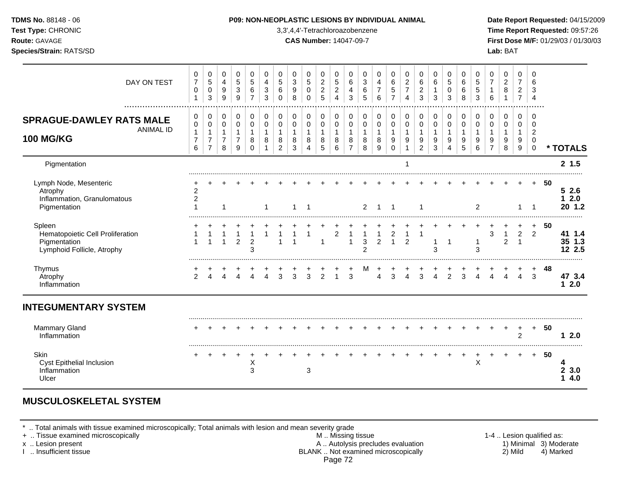## **TDMS No.** 88148 - 06 **P09: NON-NEOPLASTIC LESIONS BY INDIVIDUAL ANIMAL Date Report Requested:** 04/15/2009

**Test Type:** CHRONIC 3,3',4,4'-Tetrachloroazobenzene **Time Report Requested:** 09:57:26 **Route:** GAVAGE **CAS Number:** 14047-09-7 **First Dose M/F:** 01/29/03 / 01/30/03 **Species/Strain:** RATS/SD **Lab:** BAT

| DAY ON TEST                                                                                              | 0<br>$\overline{7}$<br>$\mathbf 0$<br>$\mathbf{1}$    | 0<br>5<br>0<br>3                                                   | 0<br>$\overline{4}$<br>9<br>9                                 | 0<br>$\overline{5}$<br>3<br>9                         | 0<br>$\sqrt{5}$<br>$\,6\,$<br>$\overline{7}$      | 0<br>$\overline{4}$<br>3<br>3   | 0<br>5<br>6<br>$\Omega$          | 0<br>$\mathbf{3}$<br>9<br>8        | 0<br>5<br>$\mathbf 0$<br>$\Omega$ | 0<br>$\overline{c}$<br>$\overline{c}$<br>5       | 0<br>$\overline{5}$<br>$\boldsymbol{2}$<br>$\overline{4}$ | 0<br>6<br>$\overline{4}$<br>3                           | 0<br>$\mathbf{3}$<br>6<br>5                 | 0<br>4<br>$\overline{7}$<br>6    | 0<br>6<br>$\sqrt{5}$<br>$\overline{7}$                    | 0<br>$\overline{2}$<br>$\overline{7}$<br>4          | 0<br>$\,6\,$<br>$\boldsymbol{2}$<br>$\mathbf{3}$ | 0<br>6<br>$\mathbf{1}$<br>3                            | 0<br>5<br>0<br>3                         | 0<br>6<br>6<br>8           | 0<br>5<br>5<br>3                        | 0<br>$\overline{7}$<br>$\mathbf{1}$<br>6              | 0<br>$\boldsymbol{2}$<br>$\bf 8$<br>$\overline{1}$ | 0<br>$\overline{7}$<br>$\overline{2}$<br>$\overline{7}$ | 0<br>6<br>3<br>$\boldsymbol{\Lambda}$               |    |                            |
|----------------------------------------------------------------------------------------------------------|-------------------------------------------------------|--------------------------------------------------------------------|---------------------------------------------------------------|-------------------------------------------------------|---------------------------------------------------|---------------------------------|----------------------------------|------------------------------------|-----------------------------------|--------------------------------------------------|-----------------------------------------------------------|---------------------------------------------------------|---------------------------------------------|----------------------------------|-----------------------------------------------------------|-----------------------------------------------------|--------------------------------------------------|--------------------------------------------------------|------------------------------------------|----------------------------|-----------------------------------------|-------------------------------------------------------|----------------------------------------------------|---------------------------------------------------------|-----------------------------------------------------|----|----------------------------|
| <b>SPRAGUE-DAWLEY RATS MALE</b><br><b>ANIMAL ID</b><br><b>100 MG/KG</b>                                  | 0<br>$\pmb{0}$<br>$\mathbf{1}$<br>$\overline{7}$<br>6 | 0<br>$\pmb{0}$<br>$\mathbf{1}$<br>$\overline{7}$<br>$\overline{7}$ | $\pmb{0}$<br>$\pmb{0}$<br>$\mathbf{1}$<br>$\overline{7}$<br>8 | 0<br>$\pmb{0}$<br>$\mathbf{1}$<br>$\overline{7}$<br>9 | 0<br>$\mathsf 0$<br>$\mathbf{1}$<br>8<br>$\Omega$ | $\mathbf 0$<br>$\mathbf 0$<br>8 | 0<br>0<br>$\mathbf{1}$<br>8<br>2 | $\mathbf 0$<br>$\pmb{0}$<br>8<br>3 | 0<br>$\pmb{0}$<br>8<br>4          | $\pmb{0}$<br>$\pmb{0}$<br>$\mathbf{1}$<br>8<br>5 | 0<br>$\pmb{0}$<br>$\mathbf{1}$<br>8<br>6                  | 0<br>$\mathbf 0$<br>$\mathbf{1}$<br>8<br>$\overline{7}$ | 0<br>$\mathbf 0$<br>$\mathbf{1}$<br>8<br>8  | 0<br>0<br>$\mathbf{1}$<br>8<br>9 | $\pmb{0}$<br>$\pmb{0}$<br>$\boldsymbol{9}$<br>$\mathbf 0$ | 0<br>$\pmb{0}$<br>$\mathbf{1}$<br>9<br>$\mathbf{1}$ | 0<br>0<br>$\mathbf{1}$<br>9<br>$\overline{c}$    | $\mathbf 0$<br>$\mathbf 0$<br>$\overline{1}$<br>9<br>3 | 0<br>$\pmb{0}$<br>$\mathbf{1}$<br>9<br>4 | 0<br>$\mathbf 0$<br>9<br>5 | $\pmb{0}$<br>$\mathbf 0$<br>1<br>9<br>6 | 0<br>$\pmb{0}$<br>$\mathbf{1}$<br>9<br>$\overline{7}$ | 0<br>$\mathsf{O}\xspace$<br>1<br>9<br>8            | 0<br>$\mathbf 0$<br>$\mathbf{1}$<br>9<br>9              | $\Omega$<br>$\mathbf 0$<br>$\overline{c}$<br>0<br>0 |    | * TOTALS                   |
| Pigmentation                                                                                             |                                                       |                                                                    |                                                               |                                                       |                                                   |                                 |                                  |                                    |                                   |                                                  |                                                           |                                                         |                                             |                                  |                                                           | 1                                                   |                                                  |                                                        |                                          |                            |                                         |                                                       |                                                    |                                                         |                                                     |    | 2, 1.5                     |
| Lymph Node, Mesenteric<br>Atrophy<br>Inflammation, Granulomatous                                         | 2<br>$\overline{2}$                                   |                                                                    |                                                               |                                                       |                                                   | 1                               |                                  | $\mathbf{1}$                       | 1                                 |                                                  |                                                           |                                                         | 2                                           | $\overline{1}$                   | $\overline{1}$                                            |                                                     |                                                  |                                                        |                                          |                            | 2                                       |                                                       |                                                    |                                                         | $\overline{\phantom{a}}$                            | 50 | 52.6<br>$12.0$<br>20 1.2   |
| Pigmentation<br>Spleen<br>Hematopoietic Cell Proliferation<br>Pigmentation<br>Lymphoid Follicle, Atrophy |                                                       |                                                                    |                                                               | $\overline{2}$                                        | $\overline{2}$<br>3                               |                                 |                                  |                                    | 1                                 |                                                  | $\overline{2}$                                            | 1                                                       | $\ensuremath{\mathsf{3}}$<br>$\overline{2}$ | $\overline{c}$                   | $\overline{c}$<br>$\mathbf{1}$                            | $\mathbf{1}$<br>$\overline{c}$                      | $\mathbf{1}$                                     | -1<br>3                                                | $\mathbf{1}$                             |                            | 3                                       | 3                                                     | $\mathbf{1}$<br>$\overline{c}$                     | $\overline{2}$                                          | $\ddot{}$<br>$\overline{2}$                         | 50 | 41 1.4<br>35 1.3<br>12 2.5 |
| Thymus<br>Atrophy<br>Inflammation                                                                        | $\mathcal{P}$                                         | $\overline{\mathbf{A}}$                                            | $\mathbf{A}$                                                  |                                                       | $\Delta$                                          | $\overline{\mathbf{A}}$         | $\mathcal{R}$                    | 3                                  | $\overline{3}$                    | $\overline{2}$                                   | $\mathbf{1}$                                              | +<br>$\overline{3}$                                     | м                                           | $\Delta$                         | $\overline{3}$                                            | $\Delta$                                            | 3                                                | 4                                                      | $\overline{2}$                           | 3                          |                                         | $\Delta$                                              | $\Delta$                                           | $\mathbf 4$                                             | $+$<br>3                                            | 48 | 47 3.4<br>$12.0$           |
| <b>INTEGUMENTARY SYSTEM</b>                                                                              |                                                       |                                                                    |                                                               |                                                       |                                                   |                                 |                                  |                                    |                                   |                                                  |                                                           |                                                         |                                             |                                  |                                                           |                                                     |                                                  |                                                        |                                          |                            |                                         |                                                       |                                                    |                                                         |                                                     |    |                            |
| Mammary Gland<br>Inflammation                                                                            |                                                       |                                                                    |                                                               |                                                       |                                                   |                                 |                                  |                                    |                                   |                                                  |                                                           |                                                         |                                             |                                  |                                                           |                                                     |                                                  |                                                        |                                          |                            |                                         |                                                       |                                                    | $\overline{c}$                                          |                                                     | 50 | 2.0<br>1                   |
| Skin<br>Cyst Epithelial Inclusion<br>Inflammation<br>Ulcer                                               |                                                       |                                                                    |                                                               |                                                       | X<br>3                                            |                                 |                                  |                                    | 3                                 |                                                  |                                                           |                                                         |                                             |                                  |                                                           |                                                     |                                                  |                                                        |                                          |                            | X                                       |                                                       |                                                    |                                                         | $\ddot{}$                                           | 50 | Δ<br>2<br>3.0<br>4.0       |

# **MUSCULOSKELETAL SYSTEM**

\* .. Total animals with tissue examined microscopically; Total animals with lesion and mean severity grade

+ .. Tissue examined microscopically M .. Missing tissue 1-4 .. Lesion qualified as:

- x .. Lesion present **A .. Autolysis precludes evaluation** A .. Autolysis precludes evaluation 1) Minimal 3) Moderate I .. Insufficient tissue BLANK .. Not examined microscopically 2) Mild 4) Marked Page 72
-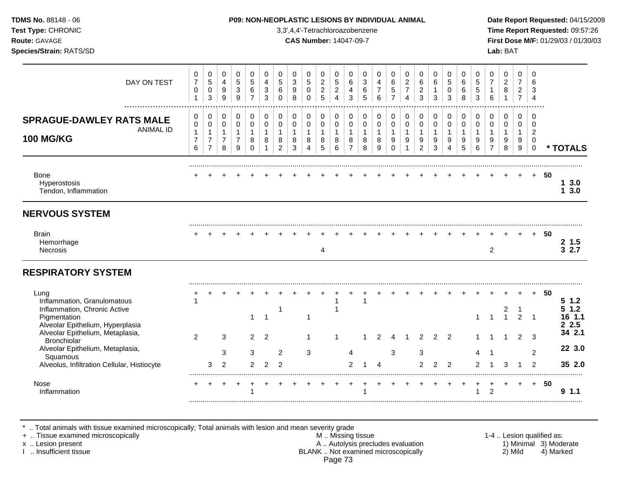| TDMS No. 88148 - 06<br>Test Type: CHRONIC<br>Route: GAVAGE<br>Species/Strain: RATS/SD      |                                                                   |                                                                            |                                                                       |                                                                 |                                                         |                                                              |                                                                 |                                          |                                                     | 3,3',4,4'-Tetrachloroazobenzene<br><b>CAS Number: 14047-09-7</b> |                                                       |                                                                       |                                                      | <b>P09: NON-NEOPLASTIC LESIONS BY INDIVIDUAL ANIMAL</b>         |                                                                   |                                                                      |                                                      |                                                                     |                                                                              |                                                                        |                                                      |                                                                     | Lab: BAT                                                  |                                                                   |                                                                        |     | Date Report Requested: 04/15/2009<br>Time Report Requested: 09:57:26<br>First Dose M/F: 01/29/03 / 01/30/03 |
|--------------------------------------------------------------------------------------------|-------------------------------------------------------------------|----------------------------------------------------------------------------|-----------------------------------------------------------------------|-----------------------------------------------------------------|---------------------------------------------------------|--------------------------------------------------------------|-----------------------------------------------------------------|------------------------------------------|-----------------------------------------------------|------------------------------------------------------------------|-------------------------------------------------------|-----------------------------------------------------------------------|------------------------------------------------------|-----------------------------------------------------------------|-------------------------------------------------------------------|----------------------------------------------------------------------|------------------------------------------------------|---------------------------------------------------------------------|------------------------------------------------------------------------------|------------------------------------------------------------------------|------------------------------------------------------|---------------------------------------------------------------------|-----------------------------------------------------------|-------------------------------------------------------------------|------------------------------------------------------------------------|-----|-------------------------------------------------------------------------------------------------------------|
| DAY ON TEST                                                                                | $\boldsymbol{0}$<br>$\overline{7}$<br>$\mathbf 0$<br>$\mathbf{1}$ | $\pmb{0}$<br>$\sqrt{5}$<br>$\mathsf{O}\xspace$<br>$\mathfrak{Z}$           | $\mathbf 0$<br>$\overline{4}$<br>$\boldsymbol{9}$<br>$\boldsymbol{9}$ | $\mathbf 0$<br>$\,$ 5 $\,$<br>$\ensuremath{\mathsf{3}}$<br>9    | $\mathbf 0$<br>$\,$ 5 $\,$<br>$\,6\,$<br>$\overline{7}$ | 0<br>$\overline{\mathbf{4}}$<br>$\sqrt{3}$<br>$\mathfrak{S}$ | $\mathbf 0$<br>$\overline{5}$<br>6<br>$\mathbf 0$               | $\mathbf 0$<br>$\mathbf{3}$<br>9<br>8    | $\Omega$<br>$\overline{5}$<br>$\pmb{0}$<br>$\Omega$ | $\mathbf 0$<br>$\overline{a}$<br>$\overline{a}$<br>5             | 0<br>$\sqrt{5}$<br>$\boldsymbol{2}$<br>$\overline{4}$ | $\mathbf 0$<br>$\,6\,$<br>$\overline{\mathbf{4}}$<br>$\mathbf{3}$     | $\mathbf 0$<br>$\mathbf{3}$<br>6<br>5                | $\Omega$<br>$\overline{4}$<br>$\overline{7}$<br>$6\phantom{1}6$ | $\Omega$<br>$\,6\,$<br>$\sqrt{5}$<br>$\overline{7}$               | $\mathbf 0$<br>$\boldsymbol{2}$<br>$\overline{7}$<br>$\overline{4}$  | $\mathbf 0$<br>6<br>$\overline{c}$<br>$\overline{3}$ | 0<br>6<br>$\mathbf{1}$<br>3                                         | 0<br>$\sqrt{5}$<br>$\pmb{0}$<br>3                                            | $\mathbf 0$<br>$6\phantom{a}$<br>6<br>8                                | $\mathbf 0$<br>$\overline{5}$<br>$\sqrt{5}$<br>3     | 0<br>$\overline{7}$<br>$\mathbf{1}$<br>6                            | $\Omega$<br>$\boldsymbol{2}$<br>8<br>$\overline{1}$       | $\mathbf 0$<br>$\overline{7}$<br>$\overline{2}$<br>$\overline{7}$ | $\Omega$<br>6<br>3<br>$\overline{4}$                                   |     |                                                                                                             |
| <b>SPRAGUE-DAWLEY RATS MALE</b><br><b>ANIMAL ID</b><br><b>100 MG/KG</b>                    | $\pmb{0}$<br>$\pmb{0}$<br>$\mathbf{1}$<br>$\overline{7}$<br>6     | $\pmb{0}$<br>$\pmb{0}$<br>$\mathbf{1}$<br>$\overline{7}$<br>$\overline{7}$ | $\mathbf 0$<br>$\pmb{0}$<br>$\mathbf{1}$<br>$\overline{7}$<br>8       | $\pmb{0}$<br>$\mathbf 0$<br>$\mathbf{1}$<br>$\overline{7}$<br>9 | $\pmb{0}$<br>$\pmb{0}$<br>$\mathbf{1}$<br>8<br>$\Omega$ | $\pmb{0}$<br>$\pmb{0}$<br>$\mathbf{1}$<br>8<br>$\mathbf{1}$  | $\pmb{0}$<br>$\mathbf 0$<br>$\mathbf{1}$<br>8<br>$\overline{c}$ | 0<br>$\pmb{0}$<br>$\mathbf{1}$<br>8<br>3 | 0<br>$\pmb{0}$<br>$\mathbf{1}$<br>8<br>4            | $\pmb{0}$<br>$\pmb{0}$<br>$\mathbf{1}$<br>8<br>5                 | 0<br>$\mathbf 0$<br>$\mathbf{1}$<br>8<br>6            | $\pmb{0}$<br>$\pmb{0}$<br>$\overline{1}$<br>$\bf 8$<br>$\overline{7}$ | $\mathbf 0$<br>$\pmb{0}$<br>$\overline{1}$<br>8<br>8 | $\pmb{0}$<br>$\mathbf 0$<br>$\mathbf{1}$<br>8<br>9              | 0<br>$\pmb{0}$<br>$\mathbf{1}$<br>$\boldsymbol{9}$<br>$\mathbf 0$ | 0<br>$\mathbf 0$<br>$\mathbf{1}$<br>$\boldsymbol{9}$<br>$\mathbf{1}$ | 0<br>0<br>$\mathbf{1}$<br>9<br>$\overline{2}$        | $\mathbf 0$<br>$\mathsf 0$<br>$\mathbf{1}$<br>$\boldsymbol{9}$<br>3 | $\pmb{0}$<br>$\pmb{0}$<br>$\mathbf{1}$<br>$\boldsymbol{9}$<br>$\overline{4}$ | $\mathsf 0$<br>$\mathbf 0$<br>$\mathbf{1}$<br>$9\,$<br>$5\phantom{.0}$ | 0<br>$\pmb{0}$<br>$\overline{1}$<br>$9\,$<br>$\,6\,$ | $\mathbf 0$<br>$\mathbf 0$<br>$\overline{1}$<br>9<br>$\overline{7}$ | 0<br>$\mathbf 0$<br>$\mathbf{1}$<br>$\boldsymbol{9}$<br>8 | $\mathbf 0$<br>$\mathbf 0$<br>1<br>9<br>9                         | $\mathbf 0$<br>$\mathbf 0$<br>$\sqrt{2}$<br>$\mathbf 0$<br>$\mathbf 0$ |     | * TOTALS                                                                                                    |
| <b>Bone</b><br>Hyperostosis<br>Tendon, Inflammation                                        |                                                                   |                                                                            |                                                                       |                                                                 |                                                         |                                                              |                                                                 |                                          |                                                     |                                                                  |                                                       |                                                                       |                                                      |                                                                 |                                                                   |                                                                      |                                                      |                                                                     |                                                                              |                                                                        |                                                      |                                                                     |                                                           |                                                                   | $+$                                                                    | -50 | 13.0<br>13.0                                                                                                |
| <b>NERVOUS SYSTEM</b>                                                                      |                                                                   |                                                                            |                                                                       |                                                                 |                                                         |                                                              |                                                                 |                                          |                                                     |                                                                  |                                                       |                                                                       |                                                      |                                                                 |                                                                   |                                                                      |                                                      |                                                                     |                                                                              |                                                                        |                                                      |                                                                     |                                                           |                                                                   |                                                                        |     |                                                                                                             |
| <b>Brain</b><br>Hemorrhage<br><b>Necrosis</b>                                              |                                                                   |                                                                            |                                                                       |                                                                 |                                                         |                                                              |                                                                 |                                          |                                                     | $\overline{4}$                                                   |                                                       |                                                                       |                                                      |                                                                 |                                                                   |                                                                      |                                                      |                                                                     |                                                                              |                                                                        |                                                      | $\overline{2}$                                                      |                                                           |                                                                   | $+$                                                                    | -50 | 2, 1.5<br>32.7                                                                                              |
| <b>RESPIRATORY SYSTEM</b>                                                                  |                                                                   |                                                                            |                                                                       |                                                                 |                                                         |                                                              |                                                                 |                                          |                                                     |                                                                  |                                                       |                                                                       |                                                      |                                                                 |                                                                   |                                                                      |                                                      |                                                                     |                                                                              |                                                                        |                                                      |                                                                     |                                                           |                                                                   |                                                                        |     |                                                                                                             |
| Lung<br>Inflammation, Granulomatous                                                        | $\mathbf{1}$                                                      |                                                                            |                                                                       |                                                                 |                                                         |                                                              |                                                                 |                                          |                                                     |                                                                  |                                                       |                                                                       | -1                                                   |                                                                 |                                                                   |                                                                      |                                                      |                                                                     |                                                                              |                                                                        |                                                      |                                                                     |                                                           |                                                                   | $+$                                                                    | 50  | 51.2                                                                                                        |
| Inflammation, Chronic Active<br>Pigmentation<br>Alveolar Epithelium, Hyperplasia           |                                                                   |                                                                            |                                                                       |                                                                 | $\mathbf{1}$                                            | $\overline{1}$                                               | $\mathbf{1}$                                                    |                                          | 1                                                   |                                                                  | 1                                                     |                                                                       |                                                      |                                                                 |                                                                   |                                                                      |                                                      |                                                                     |                                                                              |                                                                        | $\overline{1}$                                       | $\mathbf{1}$                                                        | 2<br>$\overline{1}$                                       | $\mathbf{1}$<br>$\overline{2}$                                    | $\overline{\phantom{0}}$                                               |     | 51.2<br>16 1.1<br>2.5                                                                                       |
| Alveolar Epithelium, Metaplasia,<br><b>Bronchiolar</b><br>Alveolar Epithelium, Metaplasia, | 2                                                                 |                                                                            | 3                                                                     |                                                                 | $\overline{2}$                                          | $\overline{2}$                                               |                                                                 |                                          | 1                                                   |                                                                  |                                                       |                                                                       |                                                      | $\overline{2}$                                                  | 4                                                                 |                                                                      | 2                                                    | 2                                                                   | $\overline{2}$                                                               |                                                                        |                                                      | $\mathbf 1$                                                         | $\overline{1}$                                            | 2                                                                 | 3                                                                      |     | 34 2.1<br>22 3.0                                                                                            |
| Squamous<br>Alveolus, Infiltration Cellular, Histiocyte                                    |                                                                   | 3                                                                          | 3<br>$\overline{2}$                                                   |                                                                 | 3<br>$\overline{2}$                                     | $\overline{2}$                                               | $\overline{c}$<br>$\overline{2}$                                |                                          | 3                                                   |                                                                  |                                                       | Δ<br>2                                                                | 1                                                    | $\overline{4}$                                                  | 3                                                                 |                                                                      | 3<br>$\overline{2}$                                  | 2 <sub>2</sub>                                                      |                                                                              |                                                                        | 4<br>2                                               | -1<br>$\mathbf{1}$                                                  | 3                                                         | $\overline{1}$                                                    | $\overline{2}$<br>$\overline{2}$                                       |     | 35 2.0                                                                                                      |
| Nose<br>Inflammation                                                                       |                                                                   |                                                                            |                                                                       |                                                                 | 1                                                       |                                                              |                                                                 |                                          |                                                     |                                                                  |                                                       |                                                                       | 1                                                    |                                                                 |                                                                   |                                                                      |                                                      |                                                                     |                                                                              |                                                                        | 1                                                    | $\ddot{}$<br>$\overline{2}$                                         |                                                           | $\overline{+}$                                                    | $+ 50$                                                                 |     | 9 1.1                                                                                                       |

\* .. Total animals with tissue examined microscopically; Total animals with lesion and mean severity grade

+ .. Tissue examined microscopically M .. Missing tissue 1-4 .. Lesion qualified as: x .. Lesion present **A .. Autolysis precludes evaluation** A .. Autolysis precludes evaluation 1) Minimal 3) Moderate I .. Insufficient tissue BLANK .. Not examined microscopically 2) Mild 4) Marked Page 73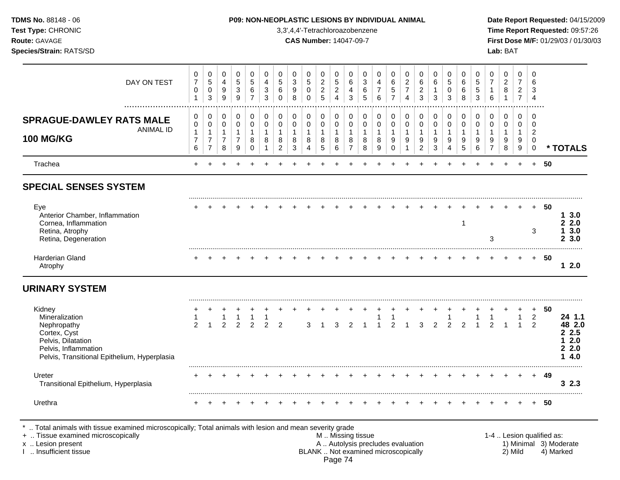# **TDMS No.** 88148 - 06 **P09: NON-NEOPLASTIC LESIONS BY INDIVIDUAL ANIMAL Date Report Requested:** 04/15/2009

**Test Type:** CHRONIC 3,3',4,4'-Tetrachloroazobenzene **Time Report Requested:** 09:57:26 **Route:** GAVAGE **CAS Number:** 14047-09-7 **First Dose M/F:** 01/29/03 / 01/30/03

| DAY ON TEST                                                                                                                                                                                | 0<br>$\overline{7}$<br>0<br>$\mathbf{1}$                    | 0<br>$\,$ 5 $\,$<br>$\mathsf 0$<br>3                       | 0<br>$\overline{4}$<br>$\boldsymbol{9}$<br>9  | 0<br>5<br>$\sqrt{3}$<br>$\boldsymbol{9}$                               | 0<br>$\sqrt{5}$<br>6<br>$\overline{7}$               | 0<br>4<br>$\mathbf{3}$<br>3                      | 0<br>5<br>6<br>$\mathbf 0$                    | $\mathbf 0$<br>3<br>9<br>8                             | $\mathbf 0$<br>$\mathbf 5$<br>$\pmb{0}$<br>$\Omega$ | 0<br>$\boldsymbol{2}$<br>$\mathbf 2$<br>5                     | 0<br>5<br>$\overline{2}$<br>$\overline{4}$ | 0<br>6<br>4<br>$\mathfrak{S}$                         | 0<br>$\sqrt{3}$<br>$\,6\,$<br>5                                  | 0<br>4<br>$\overline{7}$<br>6            | $\mathbf 0$<br>$\,6$<br>$\sqrt{5}$<br>$\overline{7}$                     | 0<br>$\boldsymbol{2}$<br>$\overline{7}$<br>$\overline{4}$ | 0<br>6<br>$\overline{2}$<br>3                 | 0<br>6<br>$\mathbf{1}$<br>$\mathbf{3}$              | 0<br>$\mathbf 5$<br>$\mathbf 0$<br>3                    | 0<br>6<br>6<br>8                         | $\mathbf 0$<br>5<br>5<br>3                           | 0<br>$\overline{7}$<br>$\mathbf{1}$<br>6 | 0<br>$\overline{2}$<br>8<br>$\mathbf{1}$   | 0<br>$\overline{7}$<br>$\overline{2}$<br>$\overline{7}$ | $\mathbf 0$<br>6<br>3<br>$\overline{4}$                                    |                           |                                                  |
|--------------------------------------------------------------------------------------------------------------------------------------------------------------------------------------------|-------------------------------------------------------------|------------------------------------------------------------|-----------------------------------------------|------------------------------------------------------------------------|------------------------------------------------------|--------------------------------------------------|-----------------------------------------------|--------------------------------------------------------|-----------------------------------------------------|---------------------------------------------------------------|--------------------------------------------|-------------------------------------------------------|------------------------------------------------------------------|------------------------------------------|--------------------------------------------------------------------------|-----------------------------------------------------------|-----------------------------------------------|-----------------------------------------------------|---------------------------------------------------------|------------------------------------------|------------------------------------------------------|------------------------------------------|--------------------------------------------|---------------------------------------------------------|----------------------------------------------------------------------------|---------------------------|--------------------------------------------------|
| <b>SPRAGUE-DAWLEY RATS MALE</b><br><b>ANIMAL ID</b><br><b>100 MG/KG</b>                                                                                                                    | 0<br>$\mathbf 0$<br>$\mathbf{1}$<br>$\overline{7}$<br>$\,6$ | 0<br>0<br>$\mathbf{1}$<br>$\overline{7}$<br>$\overline{7}$ | 0<br>0<br>$\mathbf{1}$<br>$\overline{7}$<br>8 | 0<br>$\mathbf 0$<br>$\mathbf{1}$<br>$\overline{7}$<br>$\boldsymbol{9}$ | 0<br>$\mathbf 0$<br>$\mathbf{1}$<br>8<br>$\mathbf 0$ | $\pmb{0}$<br>$\pmb{0}$<br>$\mathbf{1}$<br>8<br>1 | 0<br>0<br>$\mathbf{1}$<br>8<br>$\overline{2}$ | $\mathbf 0$<br>$\mathbf 0$<br>$\overline{1}$<br>8<br>3 | 0<br>0<br>$\mathbf{1}$<br>8<br>4                    | $\mathbf 0$<br>$\mathbf 0$<br>$\mathbf{1}$<br>8<br>$\sqrt{5}$ | 0<br>$\pmb{0}$<br>$\mathbf{1}$<br>8<br>6   | 0<br>$\pmb{0}$<br>$\mathbf{1}$<br>8<br>$\overline{7}$ | $\mathbf 0$<br>$\pmb{0}$<br>$\overline{1}$<br>$\,8\,$<br>$\,8\,$ | 0<br>$\pmb{0}$<br>$\mathbf{1}$<br>8<br>9 | 0<br>$\mathbf 0$<br>1<br>9<br>$\mathbf 0$                                | 0<br>$\mathbf 0$<br>$\mathbf{1}$<br>9<br>$\mathbf{1}$     | 0<br>0<br>$\mathbf{1}$<br>9<br>$\overline{2}$ | 0<br>$\mathbf 0$<br>$\mathbf{1}$<br>9<br>$\sqrt{3}$ | 0<br>$\mathbf 0$<br>$\mathbf{1}$<br>9<br>$\overline{4}$ | 0<br>$\pmb{0}$<br>$\mathbf{1}$<br>9<br>5 | $\mathbf 0$<br>$\mathbf 0$<br>$\mathbf{1}$<br>9<br>6 | 0<br>0<br>1<br>9<br>$\overline{7}$       | 0<br>$\mathbf 0$<br>$\mathbf{1}$<br>9<br>8 | 0<br>$\mathbf 0$<br>$\mathbf{1}$<br>9<br>9              | $\mathbf 0$<br>$\mathbf 0$<br>$\overline{c}$<br>$\mathbf 0$<br>$\mathbf 0$ |                           | * TOTALS                                         |
| Trachea                                                                                                                                                                                    | $\ddot{}$                                                   |                                                            |                                               |                                                                        |                                                      |                                                  |                                               |                                                        |                                                     |                                                               |                                            |                                                       |                                                                  |                                          |                                                                          |                                                           |                                               |                                                     |                                                         |                                          |                                                      |                                          |                                            | $\ddot{}$                                               | $+$                                                                        | 50                        |                                                  |
| <b>SPECIAL SENSES SYSTEM</b>                                                                                                                                                               |                                                             |                                                            |                                               |                                                                        |                                                      |                                                  |                                               |                                                        |                                                     |                                                               |                                            |                                                       |                                                                  |                                          |                                                                          |                                                           |                                               |                                                     |                                                         |                                          |                                                      |                                          |                                            |                                                         |                                                                            |                           |                                                  |
| Eye<br>Anterior Chamber, Inflammation<br>Cornea, Inflammation<br>Retina, Atrophy<br>Retina, Degeneration                                                                                   |                                                             |                                                            |                                               |                                                                        |                                                      |                                                  |                                               |                                                        |                                                     |                                                               |                                            |                                                       |                                                                  |                                          |                                                                          |                                                           |                                               |                                                     |                                                         | $\overline{1}$                           |                                                      | 3                                        |                                            |                                                         | 3                                                                          | 50                        | 3.0<br>1<br>2.2.0<br>3.0<br>1<br>23.0            |
| Harderian Gland<br>Atrophy                                                                                                                                                                 |                                                             |                                                            |                                               |                                                                        |                                                      |                                                  |                                               |                                                        |                                                     |                                                               |                                            |                                                       |                                                                  |                                          |                                                                          |                                                           |                                               |                                                     |                                                         |                                          |                                                      |                                          |                                            |                                                         | $+$                                                                        | 50                        | 12.0                                             |
| <b>URINARY SYSTEM</b>                                                                                                                                                                      |                                                             |                                                            |                                               |                                                                        |                                                      |                                                  |                                               |                                                        |                                                     |                                                               |                                            |                                                       |                                                                  |                                          |                                                                          |                                                           |                                               |                                                     |                                                         |                                          |                                                      |                                          |                                            |                                                         |                                                                            |                           |                                                  |
| Kidney<br>Mineralization<br>Nephropathy<br>Cortex, Cyst<br>Pelvis, Dilatation<br>Pelvis, Inflammation<br>Pelvis, Transitional Epithelium, Hyperplasia                                      | $\mathcal{P}$                                               | -1                                                         | $\mathbf{1}$<br>$\overline{2}$                | $\mathbf{1}$<br>2                                                      | $\mathbf{1}$<br>2                                    | $\mathbf{1}$<br>$\mathfrak{p}$                   | 2                                             |                                                        | 3                                                   |                                                               | 3                                          | $\overline{2}$                                        |                                                                  |                                          | 1<br>$\mathfrak{p}$                                                      |                                                           | 3                                             | $\overline{2}$                                      | 1<br>$\overline{2}$                                     | $\overline{2}$                           |                                                      | $\mathbf 1$<br>$\overline{2}$            | 1                                          | $\mathbf 1$<br>$\mathbf 1$                              | $\ddot{}$<br>$\overline{2}$<br>$\mathcal{P}$                               | 50                        | 24 1.1<br>48 2.0<br>2.5<br>12.0<br>2.2.0<br>14.0 |
| Ureter<br>Transitional Epithelium, Hyperplasia                                                                                                                                             |                                                             | $\pm$                                                      |                                               |                                                                        |                                                      |                                                  |                                               |                                                        |                                                     | $\ddot{}$                                                     |                                            | $\div$                                                |                                                                  |                                          |                                                                          |                                                           |                                               |                                                     |                                                         |                                          |                                                      |                                          |                                            | $\ddot{}$                                               | $+$                                                                        | -49                       | 3 2.3                                            |
| Urethra                                                                                                                                                                                    |                                                             |                                                            |                                               |                                                                        |                                                      |                                                  |                                               |                                                        |                                                     |                                                               |                                            |                                                       |                                                                  |                                          |                                                                          |                                                           |                                               |                                                     |                                                         |                                          |                                                      |                                          |                                            |                                                         |                                                                            | 50                        |                                                  |
| Total animals with tissue examined microscopically; Total animals with lesion and mean severity grade<br>+  Tissue examined microscopically<br>x  Lesion present<br>I  Insufficient tissue |                                                             |                                                            |                                               |                                                                        |                                                      |                                                  |                                               |                                                        |                                                     |                                                               |                                            |                                                       | M  Missing tissue                                                |                                          | A  Autolysis precludes evaluation<br>BLANK  Not examined microscopically |                                                           |                                               |                                                     |                                                         |                                          |                                                      |                                          |                                            | 2) Mild                                                 |                                                                            | 1-4  Lesion qualified as: | 1) Minimal 3) Moderate<br>4) Marked              |

Page 74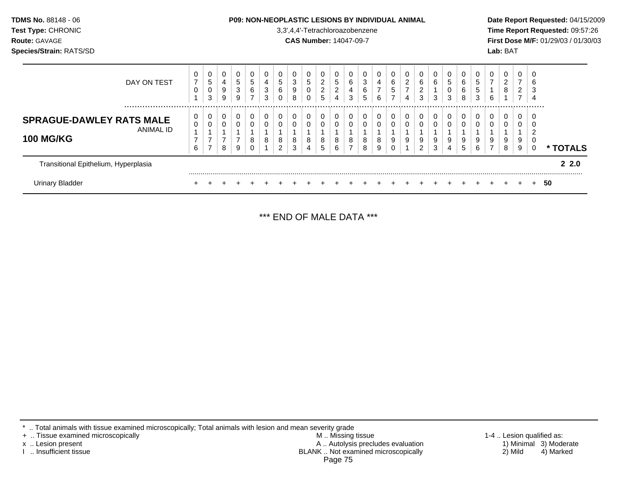| TDMS No. 88148 - 06<br>Test Type: CHRONIC<br><b>Route: GAVAGE</b><br>Species/Strain: RATS/SD |                          |                             |                  |                           |                                                      |                  |        |             | 3.3'.4.4'-Tetrachloroazobenzene<br><b>CAS Number: 14047-09-7</b> |                                                          |                               |                                     |                             | <b>P09: NON-NEOPLASTIC LESIONS BY INDIVIDUAL ANIMAL</b> |                                         |                          |                          |        |             |                  |                                    |                          | Lab: BAT    |                                            | Date Report Requested: 04/15/2009<br>Time Report Requested: 09:57:26<br><b>First Dose M/F: 01/29/03 / 01/30/03</b> |  |
|----------------------------------------------------------------------------------------------|--------------------------|-----------------------------|------------------|---------------------------|------------------------------------------------------|------------------|--------|-------------|------------------------------------------------------------------|----------------------------------------------------------|-------------------------------|-------------------------------------|-----------------------------|---------------------------------------------------------|-----------------------------------------|--------------------------|--------------------------|--------|-------------|------------------|------------------------------------|--------------------------|-------------|--------------------------------------------|--------------------------------------------------------------------------------------------------------------------|--|
| DAY ON TEST                                                                                  | 0<br>$\overline{7}$<br>0 | $\mathbf{0}$<br>5<br>0<br>3 | 0<br>4<br>9<br>9 | 0<br>$\sqrt{5}$<br>3<br>9 | 0<br>$\,$ 5 $\,$<br>$6\phantom{a}$<br>$\overline{ }$ | 0<br>4<br>3<br>3 | 5<br>6 | 3<br>9<br>8 | 5                                                                | 0<br>$\overline{a}$<br>$\overline{2}$<br>$5\phantom{.0}$ | 0<br>5<br>$\overline{2}$<br>4 | 0<br>$\,6\,$<br>$\overline{4}$<br>3 | 0<br>$\mathbf{3}$<br>6<br>5 | 0<br>$\overline{4}$<br>$\overline{ }$<br>6              | 0<br>6<br>5<br>$\overline{\phantom{a}}$ | 2<br>$\overline{ }$<br>4 | 6<br>$\overline{c}$<br>3 | 6<br>3 | 0<br>5<br>3 | 0<br>6<br>6<br>8 | 0<br>$\sqrt{5}$<br>$\sqrt{5}$<br>3 | 0<br>6                   | 0<br>2<br>8 | 0<br>⇁<br>$\overline{2}$<br>$\overline{ }$ |                                                                                                                    |  |
| <b>SPRAGUE-DAWLEY RATS MALE</b><br>ANIMAL ID<br><b>100 MG/KG</b>                             | $\mathbf{0}$<br>0<br>6   | 0                           | 0<br>0<br>8      | 0<br>0<br>9               | 0<br>8                                               | 0<br>0<br>8      | 8<br>2 | 3           |                                                                  | 0<br>8<br>5                                              | 0<br>0<br>8<br>6              | 0<br>0<br>8<br>$\overline{ }$       | 0<br>0<br>8<br>8            | 0<br>8<br>9                                             | 0<br>9<br>0                             |                          | 2                        | 3      | 0<br>9<br>4 | 0<br>0<br>9<br>5 | 0<br>0<br>9<br>6                   | 0<br>0<br>$\overline{ }$ | 0<br>8      | 0<br>0<br>9<br>9                           | <b>TOTALS</b>                                                                                                      |  |
| Transitional Epithelium, Hyperplasia                                                         |                          |                             |                  |                           |                                                      |                  |        |             |                                                                  |                                                          |                               |                                     |                             |                                                         |                                         |                          |                          |        |             |                  |                                    |                          |             |                                            | 22.0                                                                                                               |  |
| <b>Urinary Bladder</b>                                                                       |                          |                             |                  |                           |                                                      |                  |        |             |                                                                  |                                                          |                               |                                     |                             |                                                         |                                         |                          |                          |        |             |                  |                                    |                          |             |                                            | 50                                                                                                                 |  |

\*\*\* END OF MALE DATA \*\*\*

\* .. Total animals with tissue examined microscopically; Total animals with lesion and mean severity grade

+ .. Tissue examined microscopically M .. Missing tissue 1-4 .. Lesion qualified as: x .. Lesion present **A .. Autolysis precludes evaluation** A .. Autolysis precludes evaluation 1) Minimal 3) Moderate I .. Insufficient tissue BLANK .. Not examined microscopically 2) Mild 4) Marked Page 75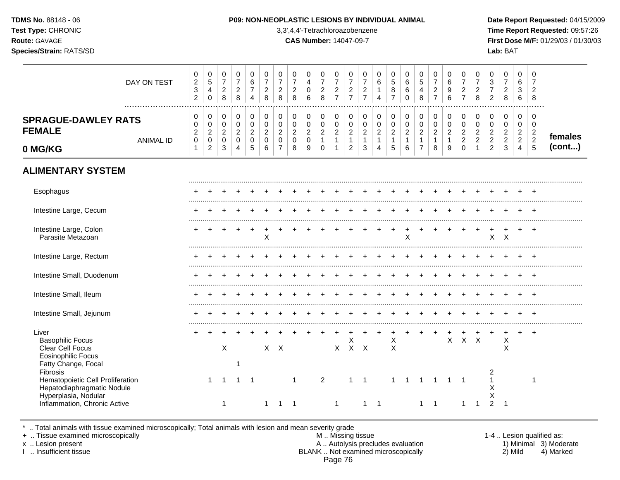| <b>TDMS No. 88148 - 06</b> |
|----------------------------|
| <b>Test Type: CHRONIC</b>  |
| <b>Route: GAVAGE</b>       |
| Species/Strain: RATS/SD    |

#### P09: NON-NEOPLASTIC LESIONS BY INDIVIDUAL ANIMAL

3,3',4,4'-Tetrachloroazobenzene

**CAS Number: 14047-09-7** 

Date Report Requested: 04/15/2009 Time Report Requested: 09:57:26 First Dose M/F: 01/29/03 / 01/30/03 Lab: BAT

| females<br>(cont) |
|-------------------|
|                   |
|                   |
|                   |
|                   |
|                   |
|                   |
|                   |
|                   |
|                   |
|                   |
|                   |
|                   |
|                   |

\* .. Total animals with tissue examined microscopically; Total animals with lesion and mean severity grade<br>+ .. Tissue examined microscopically

x .. Lesion present

I .. Insufficient tissue

A .. Autolysis precludes evaluation<br>BLANK .. Not examined microscopically Page 76

1-4 .. Lesion qualified as: 1) Minimal 3) Moderate  $2)$  Mild 4) Marked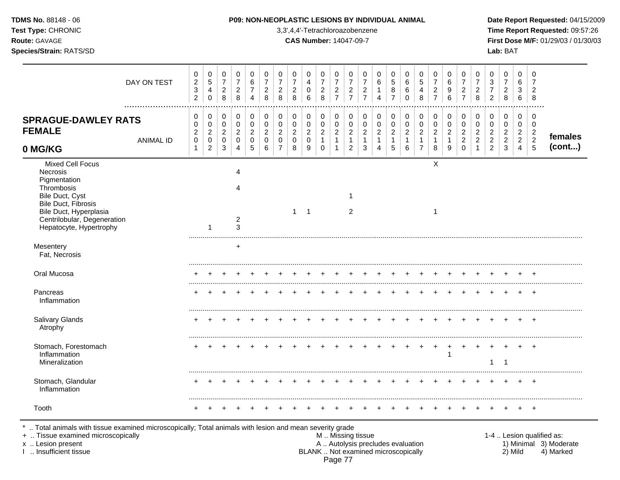| Test Type: CHRONIC<br>Route: GAVAGE<br>Species/Strain: RATS/SD                                                                                                                                                |                                                                      |                                                                        |                                                           |                                                   |                                                         |                                                         |                                                             |                                                         | 3,3',4,4'-Tetrachloroazobenzene<br><b>CAS Number: 14047-09-7</b> |                                                          |                                                              |                                                          |                                                         |                                                  |                                                            |                                                          |                                                            |                                                                     |                                                    |                                                                |                                                      |                                                                                | Lab: BAT                                                 |                                                                |                                                        | Time Report Requested: 09:57:26<br>First Dose M/F: 01/29/03 / 01/30/03 |
|---------------------------------------------------------------------------------------------------------------------------------------------------------------------------------------------------------------|----------------------------------------------------------------------|------------------------------------------------------------------------|-----------------------------------------------------------|---------------------------------------------------|---------------------------------------------------------|---------------------------------------------------------|-------------------------------------------------------------|---------------------------------------------------------|------------------------------------------------------------------|----------------------------------------------------------|--------------------------------------------------------------|----------------------------------------------------------|---------------------------------------------------------|--------------------------------------------------|------------------------------------------------------------|----------------------------------------------------------|------------------------------------------------------------|---------------------------------------------------------------------|----------------------------------------------------|----------------------------------------------------------------|------------------------------------------------------|--------------------------------------------------------------------------------|----------------------------------------------------------|----------------------------------------------------------------|--------------------------------------------------------|------------------------------------------------------------------------|
| DAY ON TEST                                                                                                                                                                                                   | 0<br>$\boldsymbol{2}$<br>$\ensuremath{\mathsf{3}}$<br>$\overline{2}$ | $\pmb{0}$<br>$\sqrt{5}$<br>$\overline{\mathbf{4}}$<br>$\boldsymbol{0}$ | 0<br>$\overline{7}$<br>$\sqrt{2}$<br>8                    | 0<br>$\overline{7}$<br>$\sqrt{2}$<br>8            | 0<br>6<br>$\overline{7}$<br>4                           | 0<br>$\overline{\mathbf{7}}$<br>$\sqrt{2}$<br>8         | 0<br>$\overline{7}$<br>$\overline{c}$<br>8                  | 0<br>$\overline{7}$<br>$\sqrt{2}$<br>8                  | 0<br>$\overline{4}$<br>$\mathbf 0$<br>$\,6\,$                    | 0<br>$\overline{7}$<br>$\boldsymbol{2}$<br>$\,8\,$       | 0<br>$\overline{7}$<br>$\sqrt{2}$<br>$\overline{7}$          | 0<br>$\overline{7}$<br>$\overline{c}$<br>$\overline{7}$  | 0<br>$\overline{7}$<br>$\overline{c}$<br>$\overline{7}$ | 0<br>$\,6\,$<br>$\mathbf{1}$<br>$\overline{4}$   | 0<br>$\overline{5}$<br>$\bf 8$<br>$\overline{7}$           | 0<br>$\,6\,$<br>$\,6\,$<br>$\mathbf 0$                   | 0<br>$\overline{5}$<br>4<br>8                              | 0<br>$\overline{7}$<br>$\sqrt{2}$<br>$\overline{7}$                 | 0<br>6<br>$9\,$<br>$\,6\,$                         | 0<br>$\overline{7}$<br>$\sqrt{2}$<br>$\overline{7}$            | 0<br>$\overline{7}$<br>$\sqrt{2}$<br>8               | $\mathbf 0$<br>$\ensuremath{\mathsf{3}}$<br>$\boldsymbol{7}$<br>$\overline{2}$ | 0<br>$\overline{7}$<br>$\sqrt{2}$<br>8                   | 0<br>6<br>$\mathbf{3}$<br>$6\phantom{1}$                       | 0<br>$\overline{7}$<br>$\boldsymbol{2}$<br>$\, 8$      |                                                                        |
| <b>SPRAGUE-DAWLEY RATS</b><br><b>FEMALE</b><br><b>ANIMAL ID</b>                                                                                                                                               | $\mathbf 0$<br>$\pmb{0}$<br>$\overline{c}$<br>$\pmb{0}$              | $\pmb{0}$<br>$\pmb{0}$<br>$\boldsymbol{2}$<br>$\pmb{0}$                | $\mathbf 0$<br>$\pmb{0}$<br>$\overline{2}$<br>$\mathbf 0$ | 0<br>$\mathbf 0$<br>$\overline{c}$<br>$\mathbf 0$ | $\pmb{0}$<br>$\pmb{0}$<br>$\overline{2}$<br>$\mathbf 0$ | $\pmb{0}$<br>$\pmb{0}$<br>$\overline{2}$<br>$\mathbf 0$ | $\mathbf 0$<br>$\mathsf 0$<br>$\overline{c}$<br>$\mathbf 0$ | $\pmb{0}$<br>$\pmb{0}$<br>$\overline{2}$<br>$\mathbf 0$ | $\pmb{0}$<br>$\pmb{0}$<br>$\overline{c}$<br>$\mathbf 0$          | $\pmb{0}$<br>$\pmb{0}$<br>$\overline{c}$<br>$\mathbf{1}$ | $\mathbf 0$<br>$\mathbf 0$<br>$\overline{c}$<br>$\mathbf{1}$ | $\pmb{0}$<br>$\pmb{0}$<br>$\overline{c}$<br>$\mathbf{1}$ | 0<br>$\mathbf 0$<br>$\overline{c}$<br>$\mathbf{1}$      | 0<br>$\pmb{0}$<br>$\overline{c}$<br>$\mathbf{1}$ | 0<br>$\mathsf{O}\xspace$<br>$\overline{c}$<br>$\mathbf{1}$ | $\pmb{0}$<br>$\pmb{0}$<br>$\overline{2}$<br>$\mathbf{1}$ | 0<br>$\mathsf{O}\xspace$<br>$\overline{c}$<br>$\mathbf{1}$ | $\boldsymbol{0}$<br>$\mathbf 0$<br>$\boldsymbol{2}$<br>$\mathbf{1}$ | 0<br>$\mathbf 0$<br>$\overline{c}$<br>$\mathbf{1}$ | $\mathbf 0$<br>$\mathbf 0$<br>$\overline{c}$<br>$\overline{2}$ | 0<br>$\mathbf 0$<br>$\overline{2}$<br>$\overline{2}$ | 0<br>$\mathbf 0$<br>$\frac{2}{2}$                                              | 0<br>$\mathsf{O}\xspace$<br>$\sqrt{2}$<br>$\overline{2}$ | $\mathbf 0$<br>$\mathbf 0$<br>$\overline{2}$<br>$\overline{2}$ | $\mathbf 0$<br>$\mathbf 0$<br>$\sqrt{2}$<br>$\sqrt{2}$ | females                                                                |
| 0 MG/KG                                                                                                                                                                                                       | $\mathbf{1}$                                                         | $\overline{2}$                                                         | $\sqrt{3}$                                                | $\overline{\mathbf{4}}$                           | 5                                                       | 6                                                       | $\overline{7}$                                              | 8                                                       | 9                                                                | $\mathbf 0$                                              | $\mathbf{1}$                                                 | $\boldsymbol{2}$                                         | 3                                                       | 4                                                | 5                                                          | 6                                                        | $\overline{7}$                                             | $\bf8$                                                              | 9                                                  | $\mathbf 0$                                                    | $\mathbf{1}$                                         | $\overline{2}$                                                                 | 3                                                        | $\overline{4}$                                                 | 5                                                      | (cont)                                                                 |
| <b>Mixed Cell Focus</b><br><b>Necrosis</b><br>Pigmentation<br>Thrombosis<br>Bile Duct, Cyst<br><b>Bile Duct, Fibrosis</b><br>Bile Duct, Hyperplasia<br>Centrilobular, Degeneration<br>Hepatocyte, Hypertrophy |                                                                      | $\mathbf 1$                                                            |                                                           | 4<br>4<br>$\overline{c}$<br>3                     |                                                         |                                                         |                                                             | $\mathbf{1}$                                            | $\overline{1}$                                                   |                                                          |                                                              | $\mathbf{1}$<br>$\overline{c}$                           |                                                         |                                                  |                                                            |                                                          |                                                            | $\mathsf X$<br>$\mathbf 1$                                          |                                                    |                                                                |                                                      |                                                                                |                                                          |                                                                |                                                        |                                                                        |
| Mesentery<br>Fat, Necrosis                                                                                                                                                                                    |                                                                      |                                                                        |                                                           | $\ddot{}$                                         |                                                         |                                                         |                                                             |                                                         |                                                                  |                                                          |                                                              |                                                          |                                                         |                                                  |                                                            |                                                          |                                                            |                                                                     |                                                    |                                                                |                                                      |                                                                                |                                                          |                                                                |                                                        |                                                                        |
| Oral Mucosa                                                                                                                                                                                                   |                                                                      |                                                                        |                                                           |                                                   |                                                         |                                                         |                                                             |                                                         |                                                                  |                                                          |                                                              |                                                          |                                                         |                                                  |                                                            |                                                          |                                                            |                                                                     |                                                    |                                                                |                                                      |                                                                                |                                                          |                                                                |                                                        |                                                                        |
| Pancreas<br>Inflammation                                                                                                                                                                                      |                                                                      |                                                                        |                                                           |                                                   |                                                         |                                                         |                                                             |                                                         |                                                                  |                                                          |                                                              |                                                          |                                                         |                                                  |                                                            |                                                          |                                                            |                                                                     |                                                    |                                                                |                                                      |                                                                                |                                                          |                                                                | $+$                                                    |                                                                        |
| Salivary Glands<br>Atrophy                                                                                                                                                                                    |                                                                      |                                                                        |                                                           |                                                   |                                                         |                                                         |                                                             |                                                         |                                                                  |                                                          |                                                              |                                                          |                                                         |                                                  |                                                            |                                                          |                                                            |                                                                     |                                                    |                                                                |                                                      |                                                                                |                                                          |                                                                |                                                        |                                                                        |
| Stomach, Forestomach<br>Inflammation<br>Mineralization                                                                                                                                                        |                                                                      |                                                                        |                                                           |                                                   |                                                         |                                                         |                                                             |                                                         |                                                                  |                                                          |                                                              |                                                          |                                                         |                                                  |                                                            |                                                          |                                                            |                                                                     | -1                                                 |                                                                | $\ddot{}$                                            | 1                                                                              | $\overline{1}$                                           |                                                                |                                                        |                                                                        |
| Stomach, Glandular<br>Inflammation                                                                                                                                                                            |                                                                      |                                                                        |                                                           |                                                   |                                                         |                                                         |                                                             |                                                         |                                                                  |                                                          |                                                              |                                                          |                                                         |                                                  |                                                            |                                                          |                                                            |                                                                     |                                                    |                                                                |                                                      |                                                                                |                                                          |                                                                |                                                        |                                                                        |
| Tooth                                                                                                                                                                                                         | $\ddot{}$                                                            |                                                                        |                                                           |                                                   |                                                         |                                                         |                                                             |                                                         |                                                                  |                                                          |                                                              |                                                          |                                                         |                                                  |                                                            |                                                          |                                                            |                                                                     |                                                    |                                                                |                                                      |                                                                                |                                                          |                                                                | $+$ $+$                                                |                                                                        |

P09: NON-NEOPLASTIC LESIONS BY INDIVIDUAL ANIMAL

Date Report Requested: 04/15/2009

\* .. Total animals with tissue examined microscopically; Total animals with lesion and mean severity grade

TDMS No. 88148 - 06

+ .. Tissue examined microscopically M .. Missing tissue 1-4 .. Lesion qualified as: A .. Autolysis precludes evaluation<br>BLANK .. Not examined microscopically 1) Minimal 3) Moderate<br>2) Mild 4) Marked x .. Lesion present I .. Insufficient tissue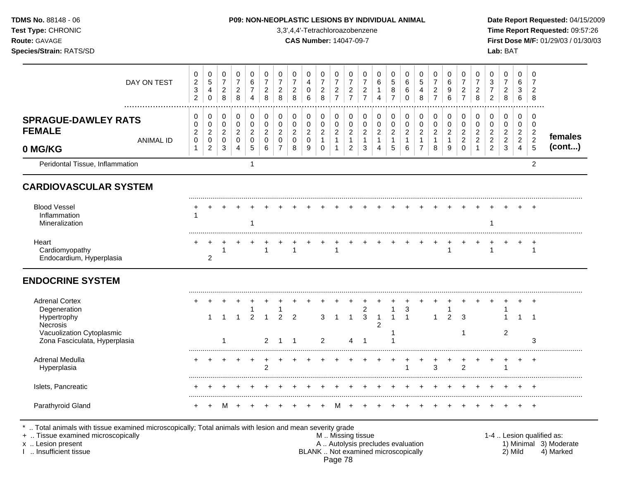### **TDMS No.** 88148 - 06 **P09: NON-NEOPLASTIC LESIONS BY INDIVIDUAL ANIMAL Date Report Requested:** 04/15/2009

**Test Type:** CHRONIC 3,3',4,4'-Tetrachloroazobenzene **Time Report Requested:** 09:57:26 **Route:** GAVAGE **CAS Number:** 14047-09-7 **First Dose M/F:** 01/29/03 / 01/30/03

| DAY ON TEST                                                                                   | 0<br>$\boldsymbol{2}$<br>$\ensuremath{\mathsf{3}}$<br>$\overline{2}$ | 0<br>$\sqrt{5}$<br>$\overline{4}$<br>$\mathbf 0$                  | 0<br>$\boldsymbol{7}$<br>$\overline{2}$<br>8                       | 0<br>$\overline{7}$<br>$\boldsymbol{2}$<br>8                              | 0<br>$\,6$<br>$\overline{7}$<br>4                                | 0<br>$\overline{7}$<br>$\overline{c}$<br>8 | 0<br>$\overline{7}$<br>$\boldsymbol{2}$<br>8                                  | 0<br>$\overline{7}$<br>$\overline{c}$<br>$\,8\,$       | 0<br>$\overline{\mathbf{4}}$<br>$\pmb{0}$<br>6       | 0<br>$\boldsymbol{7}$<br>$\sqrt{2}$<br>$\,8\,$             | 0<br>$\boldsymbol{7}$<br>$\overline{c}$<br>$\overline{7}$          | 0<br>$\overline{7}$<br>$\overline{2}$<br>$\overline{7}$    | $\mathbf 0$<br>$\overline{7}$<br>$\sqrt{2}$<br>$\overline{7}$     | 0<br>$\,6\,$<br>1<br>$\overline{4}$                                  | 0<br>$\mathbf 5$<br>8<br>$\overline{7}$                        | 0<br>$\,6\,$<br>6<br>$\mathbf 0$                                | 0<br>5<br>4<br>8                                                             | $\mathbf 0$<br>$\overline{7}$<br>$\sqrt{2}$<br>$\overline{7}$     | 0<br>6<br>9<br>$\,6$                          | $\mathbf 0$<br>$\overline{7}$<br>$\overline{c}$<br>$\overline{7}$          | 0<br>$\overline{7}$<br>$\overline{c}$<br>8                             | 0<br>$\ensuremath{\mathsf{3}}$<br>$\boldsymbol{7}$<br>$\overline{c}$   | 0<br>$\boldsymbol{7}$<br>$\overline{c}$<br>8                | 0<br>6<br>3<br>6                                                               | $\mathbf 0$<br>$\overline{7}$<br>$\overline{2}$<br>$\bf8$        |                   |
|-----------------------------------------------------------------------------------------------|----------------------------------------------------------------------|-------------------------------------------------------------------|--------------------------------------------------------------------|---------------------------------------------------------------------------|------------------------------------------------------------------|--------------------------------------------|-------------------------------------------------------------------------------|--------------------------------------------------------|------------------------------------------------------|------------------------------------------------------------|--------------------------------------------------------------------|------------------------------------------------------------|-------------------------------------------------------------------|----------------------------------------------------------------------|----------------------------------------------------------------|-----------------------------------------------------------------|------------------------------------------------------------------------------|-------------------------------------------------------------------|-----------------------------------------------|----------------------------------------------------------------------------|------------------------------------------------------------------------|------------------------------------------------------------------------|-------------------------------------------------------------|--------------------------------------------------------------------------------|------------------------------------------------------------------|-------------------|
| <b>SPRAGUE-DAWLEY RATS</b><br><b>FEMALE</b><br><b>ANIMAL ID</b><br>0 MG/KG                    | 0<br>0<br>$\overline{c}$<br>$\pmb{0}$<br>$\mathbf{1}$                | 0<br>$\mathbf 0$<br>$\overline{c}$<br>$\pmb{0}$<br>$\overline{2}$ | $\mathbf 0$<br>$\mathbf 0$<br>$\boldsymbol{2}$<br>$\mathbf 0$<br>3 | $\mathbf 0$<br>$\pmb{0}$<br>$\overline{c}$<br>$\pmb{0}$<br>$\overline{4}$ | $\mathbf 0$<br>$\mathbf 0$<br>$\overline{2}$<br>$\mathbf 0$<br>5 | 0<br>$\pmb{0}$<br>$\overline{c}$<br>0<br>6 | $\mathbf 0$<br>$\mathbf 0$<br>$\overline{c}$<br>$\mathbf 0$<br>$\overline{7}$ | 0<br>$\mathbf 0$<br>$\overline{2}$<br>$\mathbf 0$<br>8 | 0<br>$\pmb{0}$<br>$\overline{c}$<br>$\mathbf 0$<br>9 | $\Omega$<br>0<br>$\sqrt{2}$<br>$\mathbf{1}$<br>$\mathbf 0$ | 0<br>$\pmb{0}$<br>$\boldsymbol{2}$<br>$\mathbf{1}$<br>$\mathbf{1}$ | 0<br>0<br>$\overline{2}$<br>$\mathbf{1}$<br>$\overline{2}$ | $\mathbf 0$<br>$\mathbf 0$<br>$\overline{c}$<br>$\mathbf{1}$<br>3 | 0<br>$\pmb{0}$<br>$\boldsymbol{2}$<br>$\mathbf{1}$<br>$\overline{4}$ | 0<br>$\pmb{0}$<br>$\overline{2}$<br>$\mathbf{1}$<br>$\sqrt{5}$ | $\mathbf 0$<br>$\pmb{0}$<br>$\overline{2}$<br>$\mathbf{1}$<br>6 | $\mathbf 0$<br>$\pmb{0}$<br>$\overline{c}$<br>$\mathbf{1}$<br>$\overline{7}$ | $\mathbf 0$<br>$\mathbf 0$<br>$\overline{2}$<br>$\mathbf{1}$<br>8 | 0<br>0<br>$\overline{c}$<br>$\mathbf{1}$<br>9 | $\mathbf 0$<br>$\mathbf 0$<br>$\overline{c}$<br>$\overline{2}$<br>$\Omega$ | $\mathbf 0$<br>0<br>$\boldsymbol{2}$<br>$\overline{c}$<br>$\mathbf{1}$ | 0<br>$\pmb{0}$<br>$\boldsymbol{2}$<br>$\overline{a}$<br>$\overline{2}$ | 0<br>$\mathbf 0$<br>$\boldsymbol{2}$<br>$\overline{2}$<br>3 | $\mathbf 0$<br>$\pmb{0}$<br>$\overline{c}$<br>$\overline{c}$<br>$\overline{4}$ | $\mathbf 0$<br>0<br>$\sqrt{2}$<br>$\boldsymbol{2}$<br>$\sqrt{5}$ | females<br>(cont) |
| Peridontal Tissue, Inflammation                                                               |                                                                      |                                                                   |                                                                    |                                                                           | $\mathbf{1}$                                                     |                                            |                                                                               |                                                        |                                                      |                                                            |                                                                    |                                                            |                                                                   |                                                                      |                                                                |                                                                 |                                                                              |                                                                   |                                               |                                                                            |                                                                        |                                                                        |                                                             |                                                                                | $\overline{2}$                                                   |                   |
| <b>CARDIOVASCULAR SYSTEM</b>                                                                  |                                                                      |                                                                   |                                                                    |                                                                           |                                                                  |                                            |                                                                               |                                                        |                                                      |                                                            |                                                                    |                                                            |                                                                   |                                                                      |                                                                |                                                                 |                                                                              |                                                                   |                                               |                                                                            |                                                                        |                                                                        |                                                             |                                                                                |                                                                  |                   |
| <b>Blood Vessel</b><br>Inflammation<br>Mineralization                                         |                                                                      |                                                                   |                                                                    |                                                                           | 1                                                                |                                            |                                                                               |                                                        |                                                      |                                                            |                                                                    |                                                            |                                                                   |                                                                      |                                                                |                                                                 |                                                                              |                                                                   |                                               |                                                                            |                                                                        | 1                                                                      |                                                             |                                                                                |                                                                  |                   |
| Heart<br>Cardiomyopathy<br>Endocardium, Hyperplasia                                           | ٠                                                                    | $\overline{2}$                                                    | 1                                                                  |                                                                           |                                                                  |                                            |                                                                               | 1                                                      |                                                      |                                                            | 1                                                                  |                                                            |                                                                   |                                                                      |                                                                |                                                                 |                                                                              |                                                                   |                                               |                                                                            |                                                                        | 1                                                                      |                                                             |                                                                                | +<br>$\overline{1}$                                              |                   |
| <b>ENDOCRINE SYSTEM</b>                                                                       |                                                                      |                                                                   |                                                                    |                                                                           |                                                                  |                                            |                                                                               |                                                        |                                                      |                                                            |                                                                    |                                                            |                                                                   |                                                                      |                                                                |                                                                 |                                                                              |                                                                   |                                               |                                                                            |                                                                        |                                                                        |                                                             |                                                                                |                                                                  |                   |
| <b>Adrenal Cortex</b><br>Degeneration<br>Hypertrophy<br>Necrosis<br>Vacuolization Cytoplasmic |                                                                      | $\mathbf 1$                                                       | 1                                                                  | $\mathbf 1$                                                               | 1<br>$\overline{2}$                                              | 1                                          | 1<br>$\overline{2}$                                                           | $\overline{2}$                                         |                                                      | 3                                                          | $\mathbf 1$                                                        | $\mathbf{1}$                                               | 2<br>3                                                            | $\overline{1}$<br>$\mathcal{P}$                                      | 1<br>$\mathbf{1}$                                              | 3<br>$\overline{1}$                                             |                                                                              | $\mathbf{1}$                                                      | 2                                             | 3<br>$\overline{1}$                                                        |                                                                        |                                                                        | 1<br>$\overline{2}$                                         | -1                                                                             | $\ddot{}$<br>-1                                                  |                   |
| Zona Fasciculata, Hyperplasia                                                                 |                                                                      |                                                                   | 1                                                                  |                                                                           |                                                                  | $\overline{2}$                             | -1                                                                            | $\overline{1}$                                         |                                                      | $\overline{2}$                                             |                                                                    | 4                                                          | 1                                                                 |                                                                      |                                                                |                                                                 |                                                                              |                                                                   |                                               |                                                                            |                                                                        |                                                                        |                                                             |                                                                                | 3                                                                |                   |
| Adrenal Medulla<br>Hyperplasia                                                                |                                                                      |                                                                   |                                                                    |                                                                           |                                                                  | $\overline{2}$                             |                                                                               |                                                        |                                                      |                                                            |                                                                    |                                                            |                                                                   |                                                                      |                                                                |                                                                 |                                                                              | 3                                                                 |                                               | $\mathfrak{p}$                                                             |                                                                        |                                                                        |                                                             | $+$                                                                            | $\overline{+}$                                                   |                   |
| Islets, Pancreatic                                                                            |                                                                      |                                                                   |                                                                    |                                                                           |                                                                  |                                            |                                                                               |                                                        |                                                      |                                                            |                                                                    |                                                            |                                                                   |                                                                      |                                                                |                                                                 |                                                                              |                                                                   |                                               |                                                                            | $\div$                                                                 |                                                                        |                                                             |                                                                                | $\overline{ }$                                                   |                   |
| Parathyroid Gland                                                                             | $\ddot{}$                                                            | $\ddot{}$                                                         | M                                                                  | $\ddot{}$                                                                 |                                                                  |                                            |                                                                               |                                                        |                                                      |                                                            | м                                                                  |                                                            |                                                                   |                                                                      |                                                                |                                                                 |                                                                              |                                                                   |                                               |                                                                            | $\,^+$                                                                 |                                                                        |                                                             | $+$                                                                            | $^{+}$                                                           |                   |

+ .. Tissue examined microscopically examined microscopically with the state of the state of the state of the m<br>A .. Autolysis precludes evaluation and the state of the state of the state of the state of the state of the s x .. Lesion present **A .. Autolysis precludes evaluation** A .. Autolysis precludes evaluation 1) Minimal 3) Moderate I .. Insufficient tissue BLANK .. Not examined microscopically 2) Mild 4) Marked Page 78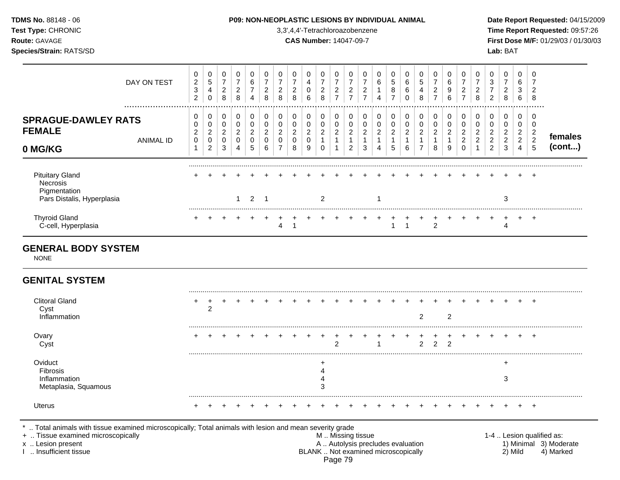# **TDMS No.** 88148 - 06 **P09: NON-NEOPLASTIC LESIONS BY INDIVIDUAL ANIMAL Date Report Requested:** 04/15/2009

**Test Type:** CHRONIC 3,3',4,4'-Tetrachloroazobenzene **Time Report Requested:** 09:57:26 **Route:** GAVAGE **CAS Number:** 14047-09-7 **First Dose M/F:** 01/29/03 / 01/30/03

|                                                                                                                                                                                            | DAY ON TEST<br>  | 0<br>$\overline{c}$<br>$\ensuremath{\mathsf{3}}$<br>$\overline{c}$ | 0<br>$\sqrt{5}$<br>$\overline{\mathbf{4}}$<br>$\mathbf 0$ | 0<br>$\overline{7}$<br>$\overline{c}$<br>$\,8\,$  | 0<br>$\boldsymbol{7}$<br>$\overline{2}$<br>$\,8\,$ | 0<br>$\,6\,$<br>7<br>$\overline{4}$           | 0<br>$\overline{7}$<br>$\overline{c}$<br>$\,8\,$  | 0<br>$\overline{7}$<br>$\overline{c}$<br>8        | 0<br>$\overline{7}$<br>$\overline{c}$<br>8        | 0<br>4<br>0<br>6                                  | 0<br>$\boldsymbol{7}$<br>$\boldsymbol{2}$<br>8 | 0<br>$\overline{7}$<br>$\boldsymbol{2}$<br>$\overline{7}$ | 0<br>$\overline{7}$<br>$\overline{c}$<br>$\overline{7}$                                       | 0<br>7<br>$\overline{c}$<br>$\overline{7}$ | 0<br>6<br>1<br>4                                   | 0<br>$\sqrt{5}$<br>$\,8\,$<br>$\overline{7}$       | 0<br>6<br>$\,6\,$<br>$\Omega$                      | 0<br>$\sqrt{5}$<br>4<br>8                          | 0<br>$\overline{7}$<br>$\overline{c}$<br>$\overline{7}$ | 0<br>6<br>9<br>$\,6\,$                             | 0<br>$\overline{7}$<br>$\overline{c}$<br>$\overline{7}$ | 0<br>$\overline{7}$<br>2<br>8                                  | 0<br>3<br>$\overline{7}$<br>$\overline{c}$       | 0<br>$\boldsymbol{7}$<br>$\overline{c}$<br>8 | 0<br>6<br>3<br>6                                               | 0<br>7<br>$\overline{\mathbf{c}}$<br>8               |                                                                  |
|--------------------------------------------------------------------------------------------------------------------------------------------------------------------------------------------|------------------|--------------------------------------------------------------------|-----------------------------------------------------------|---------------------------------------------------|----------------------------------------------------|-----------------------------------------------|---------------------------------------------------|---------------------------------------------------|---------------------------------------------------|---------------------------------------------------|------------------------------------------------|-----------------------------------------------------------|-----------------------------------------------------------------------------------------------|--------------------------------------------|----------------------------------------------------|----------------------------------------------------|----------------------------------------------------|----------------------------------------------------|---------------------------------------------------------|----------------------------------------------------|---------------------------------------------------------|----------------------------------------------------------------|--------------------------------------------------|----------------------------------------------|----------------------------------------------------------------|------------------------------------------------------|------------------------------------------------------------------|
| <b>SPRAGUE-DAWLEY RATS</b><br><b>FEMALE</b>                                                                                                                                                | <b>ANIMAL ID</b> | $\mathbf 0$<br>$\mathbf 0$<br>$\overline{\mathbf{c}}$<br>$\pmb{0}$ | 0<br>0<br>$\overline{c}$<br>$\mathsf{O}\xspace$           | 0<br>$\mathbf 0$<br>$\overline{2}$<br>$\mathbf 0$ | 0<br>0<br>$\overline{a}$<br>$\mathbf 0$            | 0<br>$\pmb{0}$<br>$\overline{c}$<br>$\pmb{0}$ | 0<br>$\mathbf 0$<br>$\overline{c}$<br>$\mathbf 0$ | 0<br>$\mathbf 0$<br>$\overline{2}$<br>$\mathbf 0$ | 0<br>$\mathbf 0$<br>$\overline{2}$<br>$\mathbf 0$ | 0<br>$\mathbf 0$<br>$\overline{c}$<br>$\mathbf 0$ | 0<br>0<br>$\overline{2}$<br>$\mathbf{1}$       | 0<br>$\mathbf 0$<br>$\sqrt{2}$<br>$\mathbf{1}$            | 0<br>$\mathbf 0$<br>$\overline{c}$<br>$\mathbf{1}$                                            | 0<br>0<br>$\overline{2}$<br>$\mathbf{1}$   | 0<br>$\mathbf 0$<br>$\overline{c}$<br>$\mathbf{1}$ | 0<br>$\mathbf 0$<br>$\overline{2}$<br>$\mathbf{1}$ | 0<br>$\mathbf 0$<br>$\overline{2}$<br>$\mathbf{1}$ | 0<br>$\mathbf 0$<br>$\overline{2}$<br>$\mathbf{1}$ | 0<br>$\pmb{0}$<br>$\overline{c}$<br>$\mathbf{1}$        | 0<br>$\mathbf 0$<br>$\overline{c}$<br>$\mathbf{1}$ | 0<br>$\mathbf 0$<br>$\overline{c}$<br>$\overline{2}$    | $\mathbf 0$<br>$\mathbf 0$<br>$\overline{2}$<br>$\overline{2}$ | 0<br>$\mathbf 0$<br>$\overline{c}$<br>$\sqrt{2}$ | 0<br>0<br>$\overline{2}$<br>$\overline{2}$   | $\mathbf 0$<br>$\mathbf 0$<br>$\overline{2}$<br>$\overline{2}$ | 0<br>$\mathbf 0$<br>$\overline{2}$<br>$\overline{2}$ | females                                                          |
| 0 MG/KG                                                                                                                                                                                    |                  | $\mathbf{1}$                                                       | $\overline{c}$                                            | 3                                                 | 4                                                  | 5                                             | 6                                                 | $\overline{7}$                                    | 8                                                 | 9                                                 | $\mathbf 0$                                    | $\mathbf{1}$                                              | $\overline{c}$                                                                                | 3                                          | 4                                                  | 5                                                  | 6                                                  | $\overline{7}$                                     | 8                                                       | 9                                                  | $\Omega$                                                |                                                                | $\overline{c}$                                   | $\mathbf{3}$                                 | $\overline{4}$                                                 | 5                                                    | (cont)                                                           |
| <b>Pituitary Gland</b><br><b>Necrosis</b><br>Pigmentation<br>Pars Distalis, Hyperplasia                                                                                                    |                  |                                                                    |                                                           |                                                   | $\mathbf 1$                                        | $\overline{2}$                                | $\overline{1}$                                    |                                                   |                                                   |                                                   | $\overline{2}$                                 |                                                           |                                                                                               |                                            | $\mathbf{1}$                                       |                                                    |                                                    |                                                    |                                                         |                                                    |                                                         |                                                                |                                                  | 3                                            |                                                                |                                                      |                                                                  |
| <b>Thyroid Gland</b><br>C-cell, Hyperplasia                                                                                                                                                |                  |                                                                    |                                                           |                                                   |                                                    |                                               |                                                   | 4                                                 | $\overline{1}$                                    |                                                   |                                                |                                                           |                                                                                               |                                            |                                                    | $\mathbf{1}$                                       | $\overline{1}$                                     |                                                    | $\overline{2}$                                          |                                                    |                                                         |                                                                | $\ddot{}$                                        | $\ddot{}$<br>$\overline{4}$                  | $+$                                                            | $^{+}$                                               |                                                                  |
| <b>GENERAL BODY SYSTEM</b><br><b>NONE</b>                                                                                                                                                  |                  |                                                                    |                                                           |                                                   |                                                    |                                               |                                                   |                                                   |                                                   |                                                   |                                                |                                                           |                                                                                               |                                            |                                                    |                                                    |                                                    |                                                    |                                                         |                                                    |                                                         |                                                                |                                                  |                                              |                                                                |                                                      |                                                                  |
| <b>GENITAL SYSTEM</b>                                                                                                                                                                      |                  |                                                                    |                                                           |                                                   |                                                    |                                               |                                                   |                                                   |                                                   |                                                   |                                                |                                                           |                                                                                               |                                            |                                                    |                                                    |                                                    |                                                    |                                                         |                                                    |                                                         |                                                                |                                                  |                                              |                                                                |                                                      |                                                                  |
| <b>Clitoral Gland</b><br>Cyst<br>Inflammation                                                                                                                                              |                  | +                                                                  | $\ddot{}$<br>$\overline{2}$                               |                                                   |                                                    |                                               |                                                   |                                                   |                                                   |                                                   |                                                |                                                           |                                                                                               |                                            |                                                    |                                                    |                                                    | $\overline{2}$                                     |                                                         | $\overline{2}$                                     |                                                         |                                                                |                                                  |                                              | $\div$                                                         | $+$                                                  |                                                                  |
| Ovary<br>Cyst                                                                                                                                                                              |                  |                                                                    |                                                           |                                                   |                                                    |                                               |                                                   |                                                   |                                                   |                                                   |                                                | $\overline{2}$                                            |                                                                                               |                                            |                                                    |                                                    |                                                    | $\overline{2}$                                     | 2                                                       | $\overline{2}$                                     |                                                         |                                                                |                                                  |                                              |                                                                | $\ddot{}$                                            |                                                                  |
| Oviduct<br>Fibrosis<br>Inflammation<br>Metaplasia, Squamous                                                                                                                                |                  |                                                                    |                                                           |                                                   |                                                    |                                               |                                                   |                                                   |                                                   |                                                   | $\ddot{}$<br>4<br>$\overline{4}$<br>3          |                                                           |                                                                                               |                                            |                                                    |                                                    |                                                    |                                                    |                                                         |                                                    |                                                         |                                                                |                                                  | ÷<br>3                                       |                                                                |                                                      |                                                                  |
| Uterus                                                                                                                                                                                     |                  |                                                                    |                                                           |                                                   |                                                    |                                               |                                                   |                                                   |                                                   |                                                   |                                                |                                                           |                                                                                               |                                            |                                                    |                                                    |                                                    |                                                    |                                                         |                                                    |                                                         |                                                                |                                                  | $\ddot{}$                                    | $^{+}$                                                         | $+$                                                  |                                                                  |
| Total animals with tissue examined microscopically; Total animals with lesion and mean severity grade<br>+  Tissue examined microscopically<br>x  Lesion present<br>I  Insufficient tissue |                  |                                                                    |                                                           |                                                   |                                                    |                                               |                                                   |                                                   |                                                   |                                                   |                                                |                                                           | M. Missing tissue<br>A  Autolysis precludes evaluation<br>BLANK  Not examined microscopically |                                            |                                                    |                                                    |                                                    |                                                    |                                                         |                                                    |                                                         |                                                                |                                                  |                                              | 2) Mild                                                        |                                                      | 1-4  Lesion qualified as:<br>1) Minimal 3) Moderate<br>4) Marked |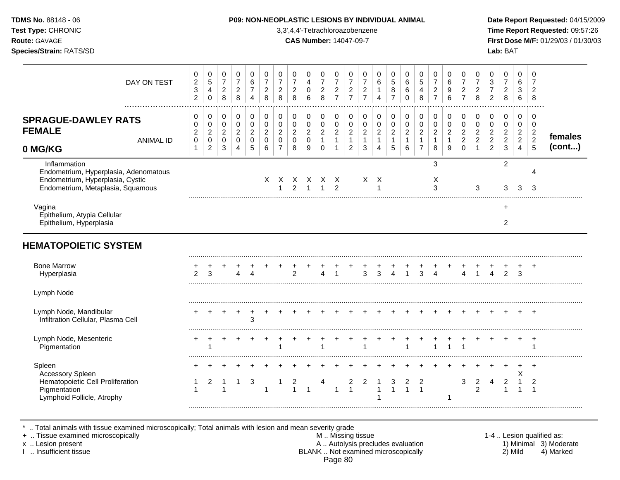| <b>TDMS No. 88148 - 06</b>     | <b>P09: NON-NEOPLASTIC LESIONS BY INDIVIDUAL ANIMAL</b> | Date Repo         |
|--------------------------------|---------------------------------------------------------|-------------------|
| <b>Test Type: CHRONIC</b>      | 3,3',4,4'-Tetrachloroazobenzene                         | Time Rep          |
| <b>Route: GAVAGE</b>           | <b>CAS Number: 14047-09-7</b>                           | <b>First Dose</b> |
| <b>Species/Strain: RATS/SD</b> |                                                         | Lab: BAT          |

### **TDMS No.** 88148 - 06 **P09: NON-NEOPLASTIC LESIONS BY INDIVIDUAL ANIMAL Date Report Requested:** 04/15/2009

**Test Type:** CHRONIC 3,3',4,4'-Tetrachloroazobenzene **Time Report Requested:** 09:57:26 **Route:** GAVAGE **CAS Number:** 14047-09-7 **First Dose M/F:** 01/29/03 / 01/30/03

| DAY ON TEST                                                                                                                    | 0<br>$\boldsymbol{2}$<br>$\ensuremath{\mathsf{3}}$<br>$\overline{2}$ | 0<br>$\,$ 5 $\,$<br>$\overline{\mathbf{4}}$<br>$\mathbf 0$      | $\pmb{0}$<br>$\overline{7}$<br>$\overline{c}$<br>8          | 0<br>$\overline{7}$<br>$\overline{2}$<br>8   | $\pmb{0}$<br>$\,6\,$<br>$\overline{7}$<br>4      | 0<br>$\overline{7}$<br>$\overline{2}$<br>8 | 0<br>$\overline{7}$<br>$\overline{c}$<br>8             | 0<br>$\overline{7}$<br>$\overline{c}$<br>8   | 0<br>$\overline{\mathbf{4}}$<br>$\pmb{0}$<br>6       | 0<br>$\overline{7}$<br>$\overline{c}$<br>8              | 0<br>$\overline{7}$<br>$\overline{c}$<br>$\overline{7}$    | 0<br>$\boldsymbol{7}$<br>$\overline{c}$<br>$\overline{7}$      | 0<br>$\overline{7}$<br>$\overline{2}$<br>$\overline{7}$ | 0<br>$\,6$<br>4                                              | 0<br>$\,$ 5 $\,$<br>8<br>$\overline{7}$           | 0<br>$\,6\,$<br>6<br>$\Omega$                         | 0<br>$\sqrt{5}$<br>$\overline{\mathbf{4}}$<br>8                    | 0<br>$\overline{7}$<br>$\overline{c}$<br>$\overline{7}$ | 0<br>$\,6$<br>9<br>6                                  | 0<br>$\overline{7}$<br>$\overline{2}$<br>$\overline{7}$  | 0<br>$\overline{7}$<br>$\overline{c}$<br>8                           | 0<br>$\mathbf{3}$<br>$\overline{7}$<br>$\overline{2}$                      | 0<br>$\overline{7}$<br>$\overline{c}$<br>8                 | 0<br>$\,6\,$<br>3<br>6                                       | 0<br>$\overline{7}$<br>$\overline{c}$<br>8                                         |                   |
|--------------------------------------------------------------------------------------------------------------------------------|----------------------------------------------------------------------|-----------------------------------------------------------------|-------------------------------------------------------------|----------------------------------------------|--------------------------------------------------|--------------------------------------------|--------------------------------------------------------|----------------------------------------------|------------------------------------------------------|---------------------------------------------------------|------------------------------------------------------------|----------------------------------------------------------------|---------------------------------------------------------|--------------------------------------------------------------|---------------------------------------------------|-------------------------------------------------------|--------------------------------------------------------------------|---------------------------------------------------------|-------------------------------------------------------|----------------------------------------------------------|----------------------------------------------------------------------|----------------------------------------------------------------------------|------------------------------------------------------------|--------------------------------------------------------------|------------------------------------------------------------------------------------|-------------------|
| <b>SPRAGUE-DAWLEY RATS</b><br><b>FEMALE</b><br><b>ANIMAL ID</b><br>0 MG/KG                                                     | 0<br>0<br>$\overline{c}$<br>$\pmb{0}$<br>$\mathbf{1}$                | 0<br>$\pmb{0}$<br>$\overline{a}$<br>$\pmb{0}$<br>$\overline{a}$ | 0<br>$\boldsymbol{0}$<br>$\overline{c}$<br>$\mathsf 0$<br>3 | 0<br>0<br>$\overline{2}$<br>$\mathbf 0$<br>4 | 0<br>$\pmb{0}$<br>$\sqrt{2}$<br>$\mathbf 0$<br>5 | 0<br>0<br>$\overline{2}$<br>$\Omega$<br>6  | 0<br>0<br>$\overline{c}$<br>$\Omega$<br>$\overline{7}$ | 0<br>0<br>$\overline{c}$<br>$\mathbf 0$<br>8 | 0<br>$\pmb{0}$<br>$\overline{c}$<br>$\mathbf 0$<br>9 | 0<br>0<br>$\overline{c}$<br>$\mathbf{1}$<br>$\mathbf 0$ | 0<br>0<br>$\boldsymbol{2}$<br>$\mathbf{1}$<br>$\mathbf{1}$ | 0<br>$\pmb{0}$<br>$\sqrt{2}$<br>$\mathbf{1}$<br>$\overline{2}$ | 0<br>0<br>$\overline{2}$<br>$\mathbf{1}$<br>3           | 0<br>0<br>$\boldsymbol{2}$<br>$\mathbf{1}$<br>$\overline{4}$ | 0<br>$\pmb{0}$<br>$\sqrt{2}$<br>$\mathbf{1}$<br>5 | 0<br>$\pmb{0}$<br>$\overline{a}$<br>$\mathbf{1}$<br>6 | 0<br>$\pmb{0}$<br>$\overline{2}$<br>$\mathbf{1}$<br>$\overline{7}$ | 0<br>$\mathbf 0$<br>$\sqrt{2}$<br>$\mathbf{1}$<br>8     | 0<br>$\pmb{0}$<br>$\overline{c}$<br>$\mathbf{1}$<br>9 | 0<br>0<br>$\overline{c}$<br>$\boldsymbol{2}$<br>$\Omega$ | 0<br>$\mathbf 0$<br>$\overline{c}$<br>$\overline{c}$<br>$\mathbf{1}$ | 0<br>$\mathbf 0$<br>$\boldsymbol{2}$<br>$\boldsymbol{2}$<br>$\overline{c}$ | 0<br>0<br>$\overline{c}$<br>$\overline{2}$<br>$\mathbf{3}$ | 0<br>0<br>$\overline{c}$<br>$\overline{2}$<br>$\overline{4}$ | $\mathbf 0$<br>$\mathbf 0$<br>$\overline{c}$<br>$\boldsymbol{2}$<br>$\overline{5}$ | females<br>(cont) |
| Inflammation<br>Endometrium, Hyperplasia, Adenomatous<br>Endometrium, Hyperplasia, Cystic<br>Endometrium, Metaplasia, Squamous |                                                                      |                                                                 |                                                             |                                              |                                                  | X                                          | X<br>$\mathbf{1}$                                      | $\mathcal{P}$                                | $\overline{1}$                                       | X X X X<br>$\overline{1}$                               | $\overline{2}$                                             |                                                                | X                                                       | Χ<br>$\overline{1}$                                          |                                                   |                                                       |                                                                    | 3<br>X<br>3                                             |                                                       |                                                          | 3                                                                    |                                                                            | $\overline{2}$<br>3                                        | 3                                                            | 4<br>3                                                                             |                   |
| Vagina<br>Epithelium, Atypia Cellular<br>Epithelium, Hyperplasia                                                               |                                                                      |                                                                 |                                                             |                                              |                                                  |                                            |                                                        |                                              |                                                      |                                                         |                                                            |                                                                |                                                         |                                                              |                                                   |                                                       |                                                                    |                                                         |                                                       |                                                          |                                                                      |                                                                            | $\ddot{}$<br>$\overline{2}$                                |                                                              |                                                                                    |                   |
| <b>HEMATOPOIETIC SYSTEM</b>                                                                                                    |                                                                      |                                                                 |                                                             |                                              |                                                  |                                            |                                                        |                                              |                                                      |                                                         |                                                            |                                                                |                                                         |                                                              |                                                   |                                                       |                                                                    |                                                         |                                                       |                                                          |                                                                      |                                                                            |                                                            |                                                              |                                                                                    |                   |
| <b>Bone Marrow</b><br>Hyperplasia                                                                                              | $\mathfrak{p}$                                                       | 3                                                               |                                                             |                                              |                                                  |                                            |                                                        | $\overline{2}$                               |                                                      | $\lambda$                                               |                                                            |                                                                | 3                                                       |                                                              |                                                   |                                                       | 3                                                                  | $\Delta$                                                |                                                       | Λ                                                        |                                                                      |                                                                            | $\mathcal{P}$                                              | 3                                                            | $\overline{+}$                                                                     |                   |
| Lymph Node                                                                                                                     |                                                                      |                                                                 |                                                             |                                              |                                                  |                                            |                                                        |                                              |                                                      |                                                         |                                                            |                                                                |                                                         |                                                              |                                                   |                                                       |                                                                    |                                                         |                                                       |                                                          |                                                                      |                                                                            |                                                            |                                                              |                                                                                    |                   |
| Lymph Node, Mandibular<br>Infiltration Cellular, Plasma Cell                                                                   |                                                                      |                                                                 |                                                             |                                              | $\ddot{}$<br>3                                   |                                            |                                                        |                                              |                                                      |                                                         |                                                            |                                                                |                                                         |                                                              |                                                   |                                                       |                                                                    |                                                         | $\ddot{}$                                             |                                                          |                                                                      |                                                                            |                                                            |                                                              | $^{+}$                                                                             |                   |
| Lymph Node, Mesenteric<br>Pigmentation                                                                                         |                                                                      |                                                                 |                                                             |                                              |                                                  |                                            |                                                        |                                              |                                                      |                                                         |                                                            |                                                                |                                                         |                                                              |                                                   |                                                       |                                                                    |                                                         |                                                       |                                                          |                                                                      |                                                                            |                                                            |                                                              | $\ddot{}$                                                                          |                   |
| Spleen<br>Accessory Spleen<br>Hematopoietic Cell Proliferation<br>Pigmentation<br>Lymphoid Follicle, Atrophy                   |                                                                      | 2                                                               |                                                             | 1                                            | 3                                                |                                            |                                                        | 2<br>$\overline{1}$                          |                                                      | 4                                                       | 1                                                          | 2<br>$\overline{1}$                                            | 2                                                       |                                                              | 3<br>$\overline{1}$                               | 2<br>$\mathbf{1}$                                     | $\overline{2}$<br>$\overline{1}$                                   |                                                         |                                                       | 3                                                        | 2<br>2                                                               | 4                                                                          | $\overline{c}$<br>1                                        | $\ddot{}$<br>Χ<br>$\overline{ }$                             | $\overline{+}$<br>$\overline{2}$<br>$\overline{1}$                                 |                   |

\* .. Total animals with tissue examined microscopically; Total animals with lesion and mean severity grade

+ .. Tissue examined microscopically M .. Missing tissue 1-4 .. Lesion qualified as:

- x .. Lesion present **A .. Autolysis precludes evaluation** A .. Autolysis precludes evaluation 1) Minimal 3) Moderate I .. Insufficient tissue BLANK .. Not examined microscopically 2) Mild 4) Marked Page 80
-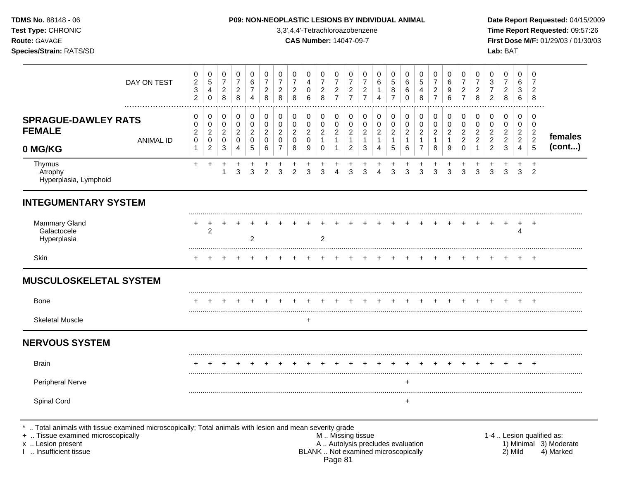# **TDMS No.** 88148 - 06 **P09: NON-NEOPLASTIC LESIONS BY INDIVIDUAL ANIMAL Date Report Requested:** 04/15/2009

**Test Type:** CHRONIC 3,3',4,4'-Tetrachloroazobenzene **Time Report Requested:** 09:57:26 **Route:** GAVAGE **CAS Number:** 14047-09-7 **First Dose M/F:** 01/29/03 / 01/30/03

| DAY ON TEST<br>                                                                                                                                                                               | 0<br>$\overline{c}$<br>$\sqrt{3}$<br>$\overline{2}$     | $\pmb{0}$<br>$\,$ 5 $\,$<br>$\overline{\mathbf{4}}$<br>$\mathbf 0$        | 0<br>$\boldsymbol{7}$<br>$\sqrt{2}$<br>$\,8\,$                          | 0<br>$\overline{7}$<br>$\overline{c}$<br>8                          | $\pmb{0}$<br>6<br>$\overline{7}$<br>$\overline{4}$   | 0<br>$\overline{7}$<br>$\overline{c}$<br>8                | 0<br>$\boldsymbol{7}$<br>$\overline{2}$<br>8                                | 0<br>$\overline{7}$<br>$\sqrt{2}$<br>8                                 | 0<br>$\overline{4}$<br>$\pmb{0}$<br>6                       | 0<br>$\boldsymbol{7}$<br>$\sqrt{2}$<br>8                          | 0<br>$\boldsymbol{7}$<br>$\frac{2}{7}$                               | 0<br>$\overline{7}$<br>$\overline{c}$<br>$\overline{7}$                                       | 0<br>$\overline{7}$<br>$\boldsymbol{2}$<br>$\overline{7}$ | $\mathbf 0$<br>$\,6\,$<br>$\mathbf{1}$<br>$\overline{4}$                   | 0<br>$\,$ 5 $\,$<br>$\bf 8$<br>$\overline{7}$           | 0<br>$\,6\,$<br>$\,6\,$<br>$\mathbf 0$                | 0<br>$\sqrt{5}$<br>4<br>8                                        | 0<br>$\overline{7}$<br>$\overline{a}$<br>$\overline{7}$ | 0<br>6<br>9<br>$6\phantom{a}$                                        | $\mathbf 0$<br>$\overline{7}$<br>$\sqrt{2}$<br>$\overline{7}$              | 0<br>$\overline{7}$<br>$\overline{c}$<br>8                                       | 0<br>$\ensuremath{\mathsf{3}}$<br>$\boldsymbol{7}$<br>$\overline{2}$ | 0<br>$\overline{7}$<br>$\overline{2}$<br>8                | 0<br>$\,6\,$<br>3<br>6                                                 | 0<br>$\overline{7}$<br>$\boldsymbol{2}$<br>8                                     |                                                                  |
|-----------------------------------------------------------------------------------------------------------------------------------------------------------------------------------------------|---------------------------------------------------------|---------------------------------------------------------------------------|-------------------------------------------------------------------------|---------------------------------------------------------------------|------------------------------------------------------|-----------------------------------------------------------|-----------------------------------------------------------------------------|------------------------------------------------------------------------|-------------------------------------------------------------|-------------------------------------------------------------------|----------------------------------------------------------------------|-----------------------------------------------------------------------------------------------|-----------------------------------------------------------|----------------------------------------------------------------------------|---------------------------------------------------------|-------------------------------------------------------|------------------------------------------------------------------|---------------------------------------------------------|----------------------------------------------------------------------|----------------------------------------------------------------------------|----------------------------------------------------------------------------------|----------------------------------------------------------------------|-----------------------------------------------------------|------------------------------------------------------------------------|----------------------------------------------------------------------------------|------------------------------------------------------------------|
| <b>SPRAGUE-DAWLEY RATS</b><br><b>FEMALE</b><br><b>ANIMAL ID</b><br>0 MG/KG                                                                                                                    | 0<br>0<br>$\overline{c}$<br>$\mathbf 0$<br>$\mathbf{1}$ | $\pmb{0}$<br>$\pmb{0}$<br>$\boldsymbol{2}$<br>$\pmb{0}$<br>$\overline{c}$ | $\pmb{0}$<br>$\mathbf 0$<br>$\overline{2}$<br>$\mathbf 0$<br>$\sqrt{3}$ | 0<br>$\mathbf 0$<br>$\overline{c}$<br>$\mathbf 0$<br>$\overline{4}$ | 0<br>$\pmb{0}$<br>$\overline{c}$<br>$\mathbf 0$<br>5 | $\pmb{0}$<br>$\pmb{0}$<br>$\overline{2}$<br>$\Omega$<br>6 | $\mathbf 0$<br>$\pmb{0}$<br>$\overline{2}$<br>$\mathbf 0$<br>$\overline{7}$ | $\mathbf 0$<br>$\mathbf 0$<br>$\overline{c}$<br>$\mathbf 0$<br>$\,8\,$ | 0<br>0<br>$\overline{2}$<br>$\mathbf 0$<br>$\boldsymbol{9}$ | 0<br>$\mathbf 0$<br>$\overline{2}$<br>$\mathbf{1}$<br>$\mathbf 0$ | 0<br>$\mathbf 0$<br>$\boldsymbol{2}$<br>$\mathbf{1}$<br>$\mathbf{1}$ | 0<br>$\mathbf 0$<br>$\overline{2}$<br>$\mathbf{1}$<br>$\overline{c}$                          | 0<br>0<br>$\overline{2}$<br>$\mathbf{1}$<br>3             | $\pmb{0}$<br>$\mathbf 0$<br>$\sqrt{2}$<br>$\overline{1}$<br>$\overline{4}$ | 0<br>$\mathbf 0$<br>$\overline{2}$<br>$\mathbf{1}$<br>5 | $\pmb{0}$<br>0<br>$\overline{2}$<br>$\mathbf{1}$<br>6 | 0<br>$\mathbf 0$<br>$\sqrt{2}$<br>$\mathbf{1}$<br>$\overline{7}$ | 0<br>$\pmb{0}$<br>$\overline{2}$<br>$\mathbf{1}$<br>8   | 0<br>$\pmb{0}$<br>$\overline{2}$<br>$\mathbf{1}$<br>$\boldsymbol{9}$ | $\mathbf 0$<br>$\mathbf 0$<br>$\overline{2}$<br>$\overline{c}$<br>$\Omega$ | $\mathbf 0$<br>$\mathbf 0$<br>$\boldsymbol{2}$<br>$\overline{2}$<br>$\mathbf{1}$ | 0<br>0<br>$\overline{c}$<br>$\sqrt{2}$<br>$\overline{2}$             | 0<br>$\mathbf 0$<br>$\overline{2}$<br>$\overline{c}$<br>3 | $\mathbf 0$<br>0<br>$\overline{2}$<br>$\overline{2}$<br>$\overline{4}$ | $\mathbf 0$<br>$\mathbf 0$<br>$\overline{c}$<br>$\overline{c}$<br>$\overline{5}$ | females<br>(cont)                                                |
| Thymus<br>Atrophy<br>Hyperplasia, Lymphoid                                                                                                                                                    | $+$                                                     | $\ddot{}$                                                                 | $\ddot{}$<br>$\mathbf{1}$                                               | 3                                                                   | $\,$<br>3                                            | $\overline{2}$                                            | 3                                                                           | $\overline{2}$                                                         | 3                                                           | 3                                                                 | $\Delta$                                                             | 3                                                                                             | 3                                                         | $\overline{A}$                                                             | 3                                                       | 3                                                     | 3                                                                | 3                                                       | 3                                                                    | 3                                                                          | 3                                                                                | +<br>3                                                               | 3                                                         | 3                                                                      | $\ddot{}$<br>2                                                                   |                                                                  |
| <b>INTEGUMENTARY SYSTEM</b>                                                                                                                                                                   |                                                         |                                                                           |                                                                         |                                                                     |                                                      |                                                           |                                                                             |                                                                        |                                                             |                                                                   |                                                                      |                                                                                               |                                                           |                                                                            |                                                         |                                                       |                                                                  |                                                         |                                                                      |                                                                            |                                                                                  |                                                                      |                                                           |                                                                        |                                                                                  |                                                                  |
| Mammary Gland<br>Galactocele<br>Hyperplasia                                                                                                                                                   |                                                         | $\overline{2}$                                                            |                                                                         |                                                                     | 2                                                    |                                                           |                                                                             |                                                                        |                                                             | 2                                                                 |                                                                      |                                                                                               |                                                           |                                                                            |                                                         |                                                       |                                                                  |                                                         |                                                                      |                                                                            |                                                                                  |                                                                      |                                                           | $\ddot{}$<br>4                                                         | $\div$                                                                           |                                                                  |
| Skin                                                                                                                                                                                          |                                                         |                                                                           |                                                                         |                                                                     |                                                      |                                                           |                                                                             |                                                                        |                                                             |                                                                   |                                                                      |                                                                                               |                                                           |                                                                            |                                                         |                                                       |                                                                  |                                                         |                                                                      |                                                                            |                                                                                  |                                                                      |                                                           |                                                                        | $\div$                                                                           |                                                                  |
| <b>MUSCULOSKELETAL SYSTEM</b>                                                                                                                                                                 |                                                         |                                                                           |                                                                         |                                                                     |                                                      |                                                           |                                                                             |                                                                        |                                                             |                                                                   |                                                                      |                                                                                               |                                                           |                                                                            |                                                         |                                                       |                                                                  |                                                         |                                                                      |                                                                            |                                                                                  |                                                                      |                                                           |                                                                        |                                                                                  |                                                                  |
| <b>Bone</b>                                                                                                                                                                                   |                                                         |                                                                           |                                                                         |                                                                     |                                                      |                                                           |                                                                             |                                                                        |                                                             |                                                                   |                                                                      |                                                                                               |                                                           |                                                                            |                                                         |                                                       |                                                                  |                                                         |                                                                      |                                                                            |                                                                                  |                                                                      |                                                           | ÷                                                                      |                                                                                  |                                                                  |
| <b>Skeletal Muscle</b>                                                                                                                                                                        |                                                         |                                                                           |                                                                         |                                                                     |                                                      |                                                           |                                                                             |                                                                        | $\ddot{}$                                                   |                                                                   |                                                                      |                                                                                               |                                                           |                                                                            |                                                         |                                                       |                                                                  |                                                         |                                                                      |                                                                            |                                                                                  |                                                                      |                                                           |                                                                        |                                                                                  |                                                                  |
| <b>NERVOUS SYSTEM</b>                                                                                                                                                                         |                                                         |                                                                           |                                                                         |                                                                     |                                                      |                                                           |                                                                             |                                                                        |                                                             |                                                                   |                                                                      |                                                                                               |                                                           |                                                                            |                                                         |                                                       |                                                                  |                                                         |                                                                      |                                                                            |                                                                                  |                                                                      |                                                           |                                                                        |                                                                                  |                                                                  |
| <b>Brain</b>                                                                                                                                                                                  |                                                         |                                                                           |                                                                         |                                                                     |                                                      |                                                           |                                                                             |                                                                        |                                                             |                                                                   |                                                                      |                                                                                               |                                                           |                                                                            |                                                         |                                                       |                                                                  |                                                         |                                                                      |                                                                            |                                                                                  |                                                                      |                                                           |                                                                        | $\ddot{}$                                                                        |                                                                  |
| <b>Peripheral Nerve</b>                                                                                                                                                                       |                                                         |                                                                           |                                                                         |                                                                     |                                                      |                                                           |                                                                             |                                                                        |                                                             |                                                                   |                                                                      |                                                                                               |                                                           |                                                                            |                                                         |                                                       |                                                                  |                                                         |                                                                      |                                                                            |                                                                                  |                                                                      |                                                           |                                                                        |                                                                                  |                                                                  |
| Spinal Cord                                                                                                                                                                                   |                                                         |                                                                           |                                                                         |                                                                     |                                                      |                                                           |                                                                             |                                                                        |                                                             |                                                                   |                                                                      |                                                                                               |                                                           |                                                                            |                                                         | +                                                     |                                                                  |                                                         |                                                                      |                                                                            |                                                                                  |                                                                      |                                                           |                                                                        |                                                                                  |                                                                  |
| *  Total animals with tissue examined microscopically; Total animals with lesion and mean severity grade<br>+  Tissue examined microscopically<br>x  Lesion present<br>1  Insufficient tissue |                                                         |                                                                           |                                                                         |                                                                     |                                                      |                                                           |                                                                             |                                                                        |                                                             |                                                                   | Page 81                                                              | M  Missing tissue<br>A  Autolysis precludes evaluation<br>BLANK  Not examined microscopically |                                                           |                                                                            |                                                         |                                                       |                                                                  |                                                         |                                                                      |                                                                            |                                                                                  |                                                                      | 2) Mild                                                   |                                                                        |                                                                                  | 1-4  Lesion qualified as:<br>1) Minimal 3) Moderate<br>4) Marked |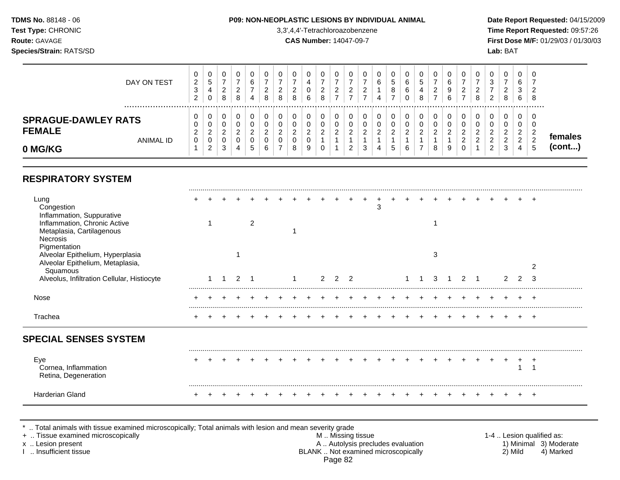#### **TDMS No.** 88148 - 06 **P09: NON-NEOPLASTIC LESIONS BY INDIVIDUAL ANIMAL Date Report Requested:** 04/15/2009

**Test Type:** CHRONIC 3,3',4,4'-Tetrachloroazobenzene **Time Report Requested:** 09:57:26 **Route:** GAVAGE **CAS Number:** 14047-09-7 **First Dose M/F:** 01/29/03 / 01/30/03

| DAY ON TEST                                                         | 2<br>$\sim$<br>J<br>2 | 0<br>5<br>4<br>0                                         | 0<br>_<br>8                     | υ<br>$\epsilon$<br>8       | 6<br>4        | 8 | υ<br>8             | ٠<br>c<br>8 | 0<br>4<br>0<br>6                  | 0<br>-<br>ົ<br>∼<br>8        | ◡<br><u>_</u> |   | U<br>6<br>4                       | ັບ<br>8<br>$\overline{ }$ | 0<br>6<br>6<br>0             | 0<br>G<br>4<br>8                  | 2      | 0<br>6<br>9<br>6 | _      | v<br>-<br><u>.</u><br>8                  | υ<br>ີ<br>J                | 0<br>-<br>ົ<br>▵<br>8           | $\cup$<br>6<br>3<br>6                                   | - ს<br>-8  |                   |
|---------------------------------------------------------------------|-----------------------|----------------------------------------------------------|---------------------------------|----------------------------|---------------|---|--------------------|-------------|-----------------------------------|------------------------------|---------------|---|-----------------------------------|---------------------------|------------------------------|-----------------------------------|--------|------------------|--------|------------------------------------------|----------------------------|---------------------------------|---------------------------------------------------------|------------|-------------------|
| <b>SPRAGUE-DAWLEY RATS</b><br><b>FEMALE</b><br>ANIMAL ID<br>0 MG/KG |                       | $\mathbf{0}$<br>0<br>റ<br><u>_</u><br>0<br>റ<br><u>.</u> | 0<br>0<br>ົ<br>_<br>0<br>ີ<br>ັ | u<br>u<br>ົ<br>▵<br>u<br>4 | ີ<br><u>5</u> | 6 | ⌒<br><u>_</u><br>u | ົ<br>8      | 0<br>0<br>ີ<br><u>.</u><br>0<br>9 | 0<br>U<br>ົ<br><u>_</u><br>0 | <u>_</u>      | ີ | u<br>C<br>u<br>ົ<br><u>_</u><br>4 | $\mathcal{P}$<br>$\sim$   | 0<br>0<br>ົ<br><u>.</u><br>6 | 0<br>0<br>$\sim$<br><u>_</u><br>- | _<br>8 | 0<br>0<br>റ<br>9 | $\sim$ | ∩<br>ົ<br><u>_</u><br>$\sim$<br><u>_</u> | u<br>ີ<br>$\sim$<br>ົ<br>_ | 0<br>0<br>റ<br>_<br>ົ<br>_<br>3 | 0<br>U<br>$\sim$<br><u>_</u><br>$\sim$<br><u>.</u><br>4 | $\epsilon$ | temales<br>(cont) |

# **RESPIRATORY SYSTEM**

| Lung<br>Congestion                                                                                 |  |               |   |  |  |               |               |   | 3 |  |   |               |  |   |   |  |
|----------------------------------------------------------------------------------------------------|--|---------------|---|--|--|---------------|---------------|---|---|--|---|---------------|--|---|---|--|
| Inflammation, Suppurative<br>Inflammation, Chronic Active<br>Metaplasia, Cartilagenous<br>Necrosis |  |               | 2 |  |  |               |               |   |   |  |   |               |  |   |   |  |
| Pigmentation<br>Alveolar Epithelium, Hyperplasia<br>Alveolar Epithelium, Metaplasia,               |  |               |   |  |  |               |               |   |   |  | 3 |               |  |   |   |  |
| Squamous<br>Alveolus, Infiltration Cellular, Histiocyte                                            |  | $\mathcal{P}$ |   |  |  | $\mathcal{P}$ | $\mathcal{P}$ | 2 |   |  | з | $\mathcal{P}$ |  | 2 | 2 |  |
| Nose                                                                                               |  |               |   |  |  |               |               |   |   |  |   |               |  |   |   |  |
| Trachea                                                                                            |  |               |   |  |  |               |               |   |   |  |   |               |  |   |   |  |
| <b>SPECIAL SENSES SYSTEM</b>                                                                       |  |               |   |  |  |               |               |   |   |  |   |               |  |   |   |  |
| Eye<br>Cornea, Inflammation<br>Retina, Degeneration                                                |  |               |   |  |  |               |               |   |   |  |   |               |  |   |   |  |
| Harderian Gland                                                                                    |  |               |   |  |  |               |               |   |   |  |   |               |  |   |   |  |

\* .. Total animals with tissue examined microscopically; Total animals with lesion and mean severity grade<br>+ .. Tissue examined microscopically

+ .. Tissue examined microscopically  $M$ .. Missing tissue 1-4 .. Lesion qualified as: x .. Lesion present **A .. Autolysis precludes evaluation** A .. Autolysis precludes evaluation 1) Minimal 3) Moderate I .. Insufficient tissue BLANK .. Not examined microscopically 2) Mild 4) Marked Page 82

.........................................................................................................................................................................................................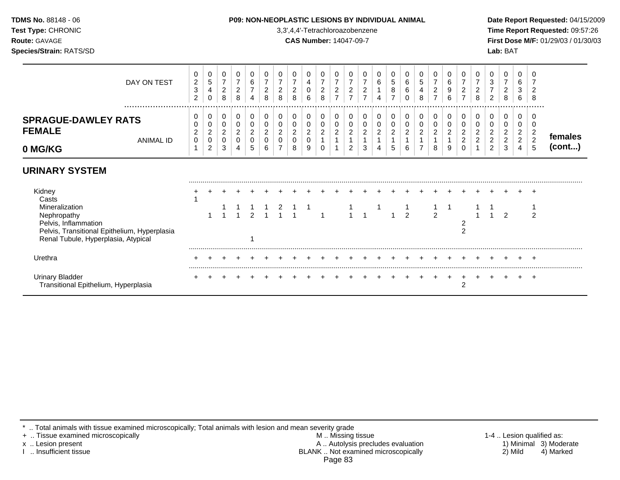#### **TDMS No.** 88148 - 06 **P09: NON-NEOPLASTIC LESIONS BY INDIVIDUAL ANIMAL Date Report Requested:** 04/15/2009

**Test Type:** CHRONIC 3,3',4,4'-Tetrachloroazobenzene **Time Report Requested:** 09:57:26 **Route:** GAVAGE **CAS Number:** 14047-09-7 **First Dose M/F:** 01/29/03 / 01/30/03

| DAY ON TEST<br>                                                                                                                                                 | 0<br>$\boldsymbol{2}$<br>$\ensuremath{\mathsf{3}}$<br>$\overline{c}$ | $\,0\,$<br>$\sqrt{5}$<br>4<br>0                                    | 0<br>$\overline{7}$<br>$\overline{2}$<br>8           | 0<br>$\overline{\mathbf{7}}$<br>$\boldsymbol{2}$<br>8 | 0<br>$\,6\,$<br>$\overline{7}$<br>4          | 0<br>2<br>8             | 0<br>$\overline{c}$<br>8                                 | 0<br>$\overline{7}$<br>$\overline{c}$<br>8 | 0<br>$\overline{4}$<br>0<br>6                  | 0<br>$\overline{7}$<br>$\overline{c}$<br>8 | 0<br>$\overline{7}$<br>$\overline{c}$<br>$\overline{7}$ | 0<br>$\overline{7}$<br>$\overline{c}$<br>$\overline{7}$ | 0<br>$\overline{7}$<br>$\overline{c}$ | 0<br>6<br>4         | 0<br>$\sqrt{5}$<br>8<br>$\overline{7}$ | 0<br>$\,6$<br>$\,6$<br>0        | 0<br>$\sqrt{5}$<br>4<br>8 | 0<br>$\overline{7}$<br>$\overline{2}$<br>$\overline{7}$ | 0<br>6<br>9<br>6              | 0<br>$\overline{7}$      | 0<br>2<br>8              | 0<br>3<br>2                                             | 0<br>$\overline{7}$<br>$\overline{c}$<br>8 | 0<br>6<br>3<br>6             | 8                       |                         |
|-----------------------------------------------------------------------------------------------------------------------------------------------------------------|----------------------------------------------------------------------|--------------------------------------------------------------------|------------------------------------------------------|-------------------------------------------------------|----------------------------------------------|-------------------------|----------------------------------------------------------|--------------------------------------------|------------------------------------------------|--------------------------------------------|---------------------------------------------------------|---------------------------------------------------------|---------------------------------------|---------------------|----------------------------------------|---------------------------------|---------------------------|---------------------------------------------------------|-------------------------------|--------------------------|--------------------------|---------------------------------------------------------|--------------------------------------------|------------------------------|-------------------------|-------------------------|
| <b>SPRAGUE-DAWLEY RATS</b><br><b>FEMALE</b><br>ANIMAL ID<br>0 MG/KG                                                                                             | 0<br>$\overline{\mathbf{c}}$<br>$\mathbf 0$                          | 0<br>0<br>$\overline{\mathbf{c}}$<br>$\mathbf 0$<br>$\overline{2}$ | 0<br>0<br>$\begin{array}{c} 2 \\ 0 \end{array}$<br>3 | 0<br>0<br>$\overline{\mathbf{c}}$<br>$\pmb{0}$        | 0<br>0<br>$\overline{c}$<br>$\mathbf 0$<br>5 | 0<br>$\Omega$<br>2<br>6 | 0<br>$\overline{2}$                                      | 0<br>0<br>$\overline{c}$<br>8              | 0<br>0<br>$\boldsymbol{2}$<br>$\mathbf 0$<br>9 | 0<br>0<br>$\overline{\mathbf{c}}$<br>0     | 0<br>0<br>$\overline{c}$                                | 0<br>0<br>$\overline{c}$<br>2                           | 0<br>0<br>$\overline{c}$<br>3         | 0<br>$\overline{c}$ | 0<br>0<br>$\boldsymbol{2}$             | 0<br>0<br>$\boldsymbol{2}$<br>6 | 0<br>0<br>$\overline{c}$  | 0<br>$\mathbf 0$<br>$\overline{c}$<br>8                 | 0<br>0<br>$\overline{2}$<br>9 | 0<br>2<br>$\overline{c}$ | 0<br>2<br>$\overline{2}$ | 0<br>$\overline{c}$<br>$\overline{2}$<br>$\overline{2}$ | 0<br>0<br>$\frac{2}{2}$<br>3               | 0<br>0<br>$\frac{2}{2}$<br>4 | 0<br>$\frac{2}{2}$<br>5 | females<br>$($ cont $)$ |
| <b>URINARY SYSTEM</b>                                                                                                                                           |                                                                      |                                                                    |                                                      |                                                       |                                              |                         |                                                          |                                            |                                                |                                            |                                                         |                                                         |                                       |                     |                                        |                                 |                           |                                                         |                               |                          |                          |                                                         |                                            |                              |                         |                         |
| Kidney<br>Casts<br>Mineralization<br>Nephropathy<br>Pelvis, Inflammation<br>Pelvis, Transitional Epithelium, Hyperplasia<br>Renal Tubule, Hyperplasia, Atypical |                                                                      |                                                                    |                                                      |                                                       | $\mathcal{P}$                                |                         | $\begin{array}{cccc} 1 & 2 & 1 \\ 1 & 1 & 1 \end{array}$ |                                            |                                                |                                            |                                                         |                                                         |                                       |                     | $\overline{1}$                         | $\overline{2}$                  |                           | $\overline{2}$                                          |                               | 2<br>$\mathcal{P}$       |                          |                                                         | $\overline{2}$                             |                              | $\overline{2}$          |                         |
| Urethra                                                                                                                                                         |                                                                      |                                                                    |                                                      |                                                       |                                              |                         |                                                          |                                            |                                                |                                            |                                                         |                                                         |                                       |                     |                                        |                                 |                           |                                                         |                               |                          |                          |                                                         |                                            |                              |                         |                         |
| <b>Urinary Bladder</b><br>Transitional Epithelium, Hyperplasia                                                                                                  |                                                                      |                                                                    |                                                      |                                                       |                                              |                         |                                                          |                                            |                                                |                                            |                                                         |                                                         |                                       |                     |                                        |                                 |                           |                                                         |                               | ÷<br>$\overline{2}$      |                          |                                                         |                                            |                              | $\pm$                   |                         |

\* .. Total animals with tissue examined microscopically; Total animals with lesion and mean severity grade

+ .. Tissue examined microscopically M .. Missing tissue 1-4 .. Lesion qualified as: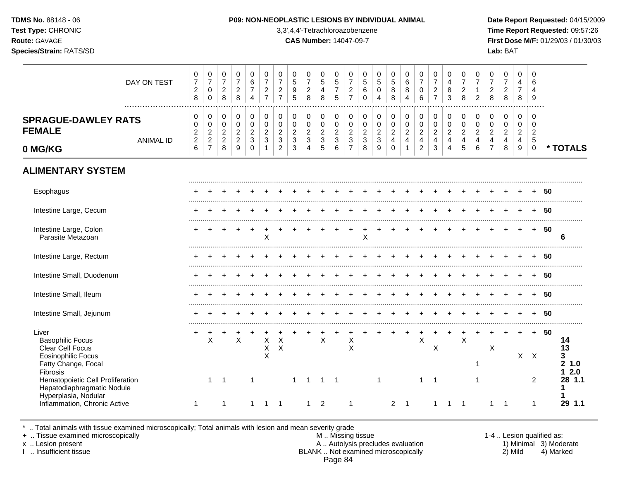| <b>TDMS No. 88148 - 06</b> |
|----------------------------|
| <b>Test Type: CHRONIC</b>  |
| <b>Route: GAVAGE</b>       |
| Species/Strain: RATS/SD    |

#### P09: NON-NEOPLASTIC LESIONS BY INDIVIDUAL ANIMAL

3,3',4,4'-Tetrachloroazobenzene

**CAS Number: 14047-09-7** 

Date Report Requested: 04/15/2009 Time Report Requested: 09:57:26 First Dose M/F: 01/29/03 / 01/30/03 Lab: BAT

| DAY ON TEST<br>                                                                                   | 0<br>$\overline{7}$<br>$\boldsymbol{2}$<br>8 | 0<br>$\overline{7}$<br>$\mathbf 0$<br>$\mathbf 0$ | 0<br>$\overline{7}$<br>$\overline{c}$<br>8                   | 0<br>$\overline{7}$<br>$\overline{c}$<br>8             | 0<br>6<br>$\overline{7}$<br>4           | 0<br>$\overline{7}$<br>$\overline{c}$<br>$\overline{7}$ | 0<br>$\overline{7}$<br>$\boldsymbol{2}$<br>$\overline{7}$ | $\pmb{0}$<br>$\sqrt{5}$<br>$\boldsymbol{9}$<br>5       | $\pmb{0}$<br>$\overline{7}$<br>$\sqrt{2}$<br>$\,8\,$ | 0<br>$\overline{5}$<br>$\overline{4}$<br>8 | $\mathbf 0$<br>$\sqrt{5}$<br>$\overline{7}$<br>5  | 0<br>$\overline{7}$<br>$\overline{c}$<br>$\overline{7}$ | 0<br>5<br>6<br>$\mathbf 0$    | 0<br>$\,$ 5 $\,$<br>$\mathbf 0$<br>$\overline{4}$          | 0<br>$\sqrt{5}$<br>$\bf 8$<br>8       | $\pmb{0}$<br>$\,6\,$<br>8<br>4                              | $\mathbf 0$<br>$\overline{7}$<br>$\mathbf 0$<br>6  | 0<br>$\overline{7}$<br>$\overline{c}$<br>$\overline{7}$ | 0<br>$\overline{4}$<br>8<br>3           | 0<br>$\overline{7}$<br>$\sqrt{2}$<br>8        | $\pmb{0}$<br>$\overline{7}$<br>$\mathbf{1}$<br>$\overline{c}$ | 0<br>$\overline{7}$<br>$\overline{c}$<br>$\,8\,$            | 0<br>$\overline{7}$<br>$\overline{c}$<br>8 | $\Omega$<br>4<br>$\overline{7}$<br>8          | $\Omega$<br>6<br>$\overline{4}$<br>9        |     |                             |
|---------------------------------------------------------------------------------------------------|----------------------------------------------|---------------------------------------------------|--------------------------------------------------------------|--------------------------------------------------------|-----------------------------------------|---------------------------------------------------------|-----------------------------------------------------------|--------------------------------------------------------|------------------------------------------------------|--------------------------------------------|---------------------------------------------------|---------------------------------------------------------|-------------------------------|------------------------------------------------------------|---------------------------------------|-------------------------------------------------------------|----------------------------------------------------|---------------------------------------------------------|-----------------------------------------|-----------------------------------------------|---------------------------------------------------------------|-------------------------------------------------------------|--------------------------------------------|-----------------------------------------------|---------------------------------------------|-----|-----------------------------|
| <b>SPRAGUE-DAWLEY RATS</b><br><b>FEMALE</b><br><b>ANIMAL ID</b>                                   | 0<br>$\mathbf 0$<br>$\sqrt{2}$<br>$\sqrt{2}$ | 0<br>$\mathbf 0$<br>$\sqrt{2}$<br>$\sqrt{2}$      | $\pmb{0}$<br>$\mathsf 0$<br>$\overline{c}$<br>$\overline{c}$ | 0<br>$\mathbf 0$<br>$\overline{c}$<br>$\boldsymbol{2}$ | 0<br>$\mathbf 0$<br>$\overline{2}$<br>3 | 0<br>$\mathbf 0$<br>$\overline{c}$<br>3                 | $\pmb{0}$<br>$\mathbf 0$<br>$\sqrt{2}$<br>3               | $\pmb{0}$<br>$\pmb{0}$<br>$\overline{c}$<br>$\sqrt{3}$ | 0<br>$\mathbf 0$<br>$\sqrt{2}$<br>$\mathsf 3$        | 0<br>$\mathbf 0$<br>$\overline{c}$<br>3    | $\mathbf 0$<br>$\mathbf 0$<br>$\overline{c}$<br>3 | 0<br>$\mathbf 0$<br>$\overline{2}$<br>3                 | 0<br>0<br>$\overline{a}$<br>3 | 0<br>$\mathsf{O}\xspace$<br>$\overline{c}$<br>$\mathbf{3}$ | 0<br>$\pmb{0}$<br>$\overline{a}$<br>4 | 0<br>$\pmb{0}$<br>$\overline{c}$<br>$\overline{\mathbf{4}}$ | 0<br>$\pmb{0}$<br>$\overline{c}$<br>$\overline{4}$ | 0<br>$\mathsf 0$<br>$\overline{c}$<br>4                 | 0<br>$\mathbf 0$<br>$\overline{2}$<br>4 | $\mathbf 0$<br>$\mathbf 0$<br>$\sqrt{2}$<br>4 | $\pmb{0}$<br>$\pmb{0}$<br>$\overline{c}$<br>4                 | 0<br>$\pmb{0}$<br>$\overline{c}$<br>$\overline{\mathbf{4}}$ | 0<br>$\mathbf 0$<br>$\overline{c}$<br>4    | $\Omega$<br>$\Omega$<br>$\boldsymbol{2}$<br>4 | $\Omega$<br>$\Omega$<br>$\overline{2}$<br>5 |     |                             |
| 0 MG/KG                                                                                           | $6\phantom{a}$                               | $\overline{7}$                                    | 8                                                            | 9                                                      | $\Omega$                                |                                                         | $\overline{2}$                                            | 3                                                      | $\overline{4}$                                       | 5                                          | 6                                                 | $\overline{7}$                                          | 8                             | 9                                                          | $\Omega$                              |                                                             | $\overline{2}$                                     | 3                                                       | 4                                       | 5                                             | 6                                                             | $\overline{7}$                                              | 8                                          | 9                                             | $\Omega$                                    |     | * TOTALS                    |
| <b>ALIMENTARY SYSTEM</b>                                                                          |                                              |                                                   |                                                              |                                                        |                                         |                                                         |                                                           |                                                        |                                                      |                                            |                                                   |                                                         |                               |                                                            |                                       |                                                             |                                                    |                                                         |                                         |                                               |                                                               |                                                             |                                            |                                               |                                             |     |                             |
| Esophagus                                                                                         |                                              |                                                   |                                                              |                                                        |                                         |                                                         |                                                           |                                                        |                                                      |                                            |                                                   |                                                         |                               |                                                            |                                       |                                                             |                                                    |                                                         |                                         |                                               |                                                               |                                                             |                                            |                                               |                                             | 50  |                             |
| Intestine Large, Cecum                                                                            |                                              |                                                   |                                                              |                                                        |                                         |                                                         |                                                           |                                                        |                                                      |                                            |                                                   |                                                         |                               |                                                            |                                       |                                                             |                                                    |                                                         |                                         |                                               |                                                               |                                                             |                                            |                                               |                                             | 50  |                             |
| Intestine Large, Colon<br>Parasite Metazoan                                                       |                                              |                                                   |                                                              |                                                        |                                         | X                                                       |                                                           |                                                        |                                                      |                                            |                                                   |                                                         | X                             |                                                            |                                       |                                                             |                                                    |                                                         |                                         |                                               |                                                               |                                                             |                                            |                                               | $\ddotmark$                                 | 50  | 6                           |
| Intestine Large, Rectum                                                                           |                                              |                                                   |                                                              |                                                        |                                         |                                                         |                                                           |                                                        |                                                      |                                            |                                                   |                                                         |                               |                                                            |                                       |                                                             |                                                    |                                                         |                                         |                                               |                                                               |                                                             |                                            |                                               |                                             | 50  |                             |
| Intestine Small, Duodenum                                                                         |                                              |                                                   |                                                              |                                                        |                                         |                                                         |                                                           |                                                        |                                                      |                                            |                                                   |                                                         |                               |                                                            |                                       |                                                             |                                                    |                                                         |                                         |                                               |                                                               |                                                             |                                            |                                               |                                             | -50 |                             |
| Intestine Small, Ileum                                                                            |                                              |                                                   |                                                              |                                                        |                                         |                                                         |                                                           |                                                        |                                                      |                                            |                                                   |                                                         |                               |                                                            |                                       |                                                             |                                                    |                                                         |                                         |                                               |                                                               |                                                             |                                            |                                               |                                             | 50  |                             |
| Intestine Small, Jejunum                                                                          |                                              |                                                   |                                                              |                                                        |                                         |                                                         |                                                           |                                                        |                                                      |                                            |                                                   |                                                         |                               |                                                            |                                       |                                                             |                                                    |                                                         |                                         |                                               |                                                               |                                                             |                                            |                                               |                                             | 50  |                             |
| Liver<br><b>Basophilic Focus</b><br>Clear Cell Focus<br><b>Eosinophilic Focus</b>                 |                                              | X                                                 | $\div$                                                       | X                                                      |                                         | X<br>X<br>X                                             | $\boldsymbol{X}$<br>$\boldsymbol{\mathsf{X}}$             |                                                        |                                                      | X                                          |                                                   | X<br>$\overline{\mathsf{x}}$                            |                               |                                                            |                                       |                                                             | X                                                  | $\ddot{}$<br>X                                          |                                         | X                                             |                                                               | X                                                           |                                            | $\mathsf{X}$                                  | $\ddot{}$<br>$\mathsf{X}$                   | 50  | 14<br>13<br>3               |
| Fatty Change, Focal<br>Fibrosis<br>Hematopoietic Cell Proliferation<br>Hepatodiaphragmatic Nodule |                                              | $\mathbf{1}$                                      | $\overline{1}$                                               |                                                        | $\mathbf 1$                             |                                                         |                                                           | $\mathbf{1}$                                           | $\overline{\mathbf{1}}$                              | $\mathbf 1$                                | - 1                                               |                                                         |                               | -1                                                         |                                       |                                                             | $\mathbf{1}$                                       | $\overline{1}$                                          |                                         |                                               | 1<br>1                                                        |                                                             |                                            |                                               | 2                                           |     | 21.0<br>2.0<br>1.<br>28 1.1 |
| Hyperplasia, Nodular<br>Inflammation, Chronic Active                                              | $\overline{1}$                               |                                                   | -1                                                           |                                                        | 1                                       |                                                         | -1                                                        |                                                        | -1                                                   | 2                                          |                                                   | $\mathbf{1}$                                            |                               |                                                            | $\overline{2}$                        | -1                                                          |                                                    | 1                                                       | -1                                      | -1                                            |                                                               | 1                                                           | $\overline{1}$                             |                                               | $\mathbf{1}$                                |     | 29 1.1                      |

\* .. Total animals with tissue examined microscopically; Total animals with lesion and mean severity grade<br>+ .. Tissue examined microscopically

x .. Lesion present

I .. Insufficient tissue

A .. Autolysis precludes evaluation<br>BLANK .. Not examined microscopically Page 84

1-4 .. Lesion qualified as: 1) Minimal 3) Moderate  $2)$  Mild 4) Marked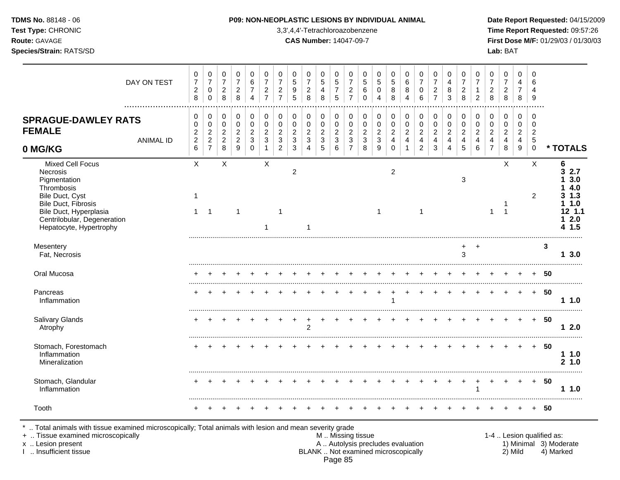**Test Type:** CHRONIC 3,3',4,4'-Tetrachloroazobenzene **Time Report Requested:** 09:57:26 **Route:** GAVAGE **CAS Number:** 14047-09-7 **First Dose M/F:** 01/29/03 / 01/30/03

| $\pmb{0}$<br>0<br>0<br>$\pmb{0}$<br>0<br>$\mathbf 0$<br>0<br>0<br>0<br>0<br>0<br>0<br>0<br>0<br>0<br>0<br>0<br>0<br>0<br>0<br>0<br>0<br>0<br>0<br>$\mathbf 0$<br><b>SPRAGUE-DAWLEY RATS</b><br>$\mathbf 0$<br>$\mathbf 0$<br>$\mathbf 0$<br>$\mathbf 0$<br>$\mathbf 0$<br>$\mathbf 0$<br>$\mathbf 0$<br>$\Omega$<br>$\mathbf 0$<br>$\mathbf 0$<br>$\mathbf 0$<br>$\Omega$<br>$\mathbf 0$<br>$\mathbf 0$<br>$\mathbf 0$<br>0<br>$\mathbf 0$<br>$\mathbf 0$<br>$\mathbf 0$<br>$\mathbf 0$<br>$\Omega$<br>$\mathbf 0$<br>$\mathbf 0$<br>$\mathbf 0$<br>$\Omega$<br><b>FEMALE</b><br>$\overline{c}$<br>$\boldsymbol{2}$<br>$\overline{c}$<br>$\overline{c}$<br>$\boldsymbol{2}$<br>$\overline{c}$<br>$\boldsymbol{2}$<br>$\overline{c}$<br>$\overline{c}$<br>$\overline{c}$<br>$\overline{2}$<br>$\overline{2}$<br>$\overline{c}$<br>$\overline{c}$<br>$\overline{2}$<br>$\overline{2}$<br>$\overline{c}$<br>$\overline{2}$<br>$\overline{c}$<br>$\overline{c}$<br>$\overline{c}$<br>$\overline{2}$<br>$\overline{2}$<br>$\overline{c}$<br>$\overline{c}$<br>$\mathbf{3}$<br>$\overline{c}$<br>$\sqrt{2}$<br>$\boldsymbol{2}$<br>$\overline{c}$<br>$\sqrt{3}$<br>$\sqrt{3}$<br>$\sqrt{3}$<br>$\sqrt{3}$<br>$\mathfrak{S}$<br>3<br>3<br>$\overline{\mathbf{4}}$<br>$\overline{\mathbf{4}}$<br>$\sqrt{3}$<br>$\mathbf{3}$<br>$\overline{4}$<br>$\overline{4}$<br>$\overline{4}$<br>$\overline{4}$<br>$\overline{4}$<br>$\overline{4}$<br>$\overline{\mathbf{4}}$<br>5<br>$\overline{4}$<br><b>ANIMAL ID</b><br>$\overline{7}$<br>6<br>9<br>$\overline{2}$<br>$\overline{7}$<br>$\mathbf 0$<br>8<br>3<br>5<br>6<br>$\overline{7}$<br>8<br>9<br>$\Omega$<br>2<br>3<br>5<br>6<br>8<br>9<br>* TOTALS<br>0 MG/KG<br>$\Omega$<br>$\mathbf{1}$<br>4<br>$\mathbf{1}$<br>4<br>$\mathsf{X}$<br>$\pmb{\times}$<br>$\boldsymbol{\mathsf{X}}$<br>X<br><b>Mixed Cell Focus</b><br>X<br>6<br>32.7<br>Necrosis<br>$\overline{2}$<br>$\overline{c}$<br>$\sqrt{3}$<br>3.0<br>Pigmentation<br>Thrombosis<br>4.0<br>Bile Duct, Cyst<br>1.3<br>2<br>1<br><b>Bile Duct, Fibrosis</b><br>1.0<br>Bile Duct, Hyperplasia<br>$\mathbf{1}$<br>1<br>$\overline{1}$<br>-1<br>$\overline{1}$<br>$\mathbf 1$<br>$\mathbf 1$<br>1<br>2.0<br>Centrilobular, Degeneration<br>1.5<br>Hepatocyte, Hypertrophy<br>4<br>Mesentery<br>3<br>+<br>$\ddot{}$<br>13.0<br>Fat, Necrosis<br>3<br>Oral Mucosa<br>50<br>Pancreas<br>50<br>$+$<br>$\ddot{}$<br>$\ddot{}$<br>$\ddot{}$<br>11.0<br>Inflammation<br>Salivary Glands<br>50<br>$+$<br>$\overline{c}$<br>12.0<br>Atrophy<br>Stomach, Forestomach<br>50<br>$\ddot{}$<br>Inflammation<br>11.0<br>$\mathbf{2}$<br>Mineralization<br>1.0<br>Stomach, Glandular<br>50<br>$+$<br>$\ddot{}$<br>$\ddot{}$<br>$\ddot{}$<br>$\ddot{}$<br>+<br>Inflammation<br>11.0<br>1 | DAY ON TEST<br>. | 0<br>$\overline{7}$<br>$\overline{2}$<br>8 | 0<br>$\overline{7}$<br>$\pmb{0}$<br>$\pmb{0}$ | 0<br>$\overline{7}$<br>$\overline{2}$<br>8 | 0<br>$\overline{7}$<br>$\overline{c}$<br>8 | 0<br>6<br>$\overline{7}$<br>4 | 0<br>$\overline{7}$<br>$\boldsymbol{2}$<br>$\overline{7}$ | $\Omega$<br>$\overline{7}$<br>$\sqrt{2}$<br>$\overline{7}$ | $\Omega$<br>5<br>$\boldsymbol{9}$<br>5 | 0<br>$\overline{7}$<br>$\boldsymbol{2}$<br>8 | $\Omega$<br>5<br>4<br>8 | $\Omega$<br>$\,$ 5 $\,$<br>$\overline{7}$<br>5 | 0<br>$\overline{7}$<br>$\overline{c}$<br>$\overline{7}$ | $\Omega$<br>5<br>6<br>$\Omega$ | $\Omega$<br>5<br>$\mathbf 0$<br>4 | 0<br>5<br>$\bf 8$<br>8 | 0<br>$\,6\,$<br>8<br>$\overline{\mathbf{4}}$ | 0<br>$\overline{7}$<br>$\mathbf 0$<br>6 | 0<br>$\overline{7}$<br>$\overline{2}$<br>$\overline{7}$ | 0<br>4<br>8<br>3 | $\Omega$<br>7<br>$\boldsymbol{2}$<br>8 | 0<br>$\overline{7}$<br>$\mathbf{1}$<br>$\overline{2}$ | 0<br>$\overline{7}$<br>$\overline{2}$<br>8 | $\mathbf 0$<br>$\overline{7}$<br>$\overline{2}$<br>8 | $\Omega$<br>4<br>$\overline{7}$<br>8 | 0<br>6<br>4<br>9 |  |
|-------------------------------------------------------------------------------------------------------------------------------------------------------------------------------------------------------------------------------------------------------------------------------------------------------------------------------------------------------------------------------------------------------------------------------------------------------------------------------------------------------------------------------------------------------------------------------------------------------------------------------------------------------------------------------------------------------------------------------------------------------------------------------------------------------------------------------------------------------------------------------------------------------------------------------------------------------------------------------------------------------------------------------------------------------------------------------------------------------------------------------------------------------------------------------------------------------------------------------------------------------------------------------------------------------------------------------------------------------------------------------------------------------------------------------------------------------------------------------------------------------------------------------------------------------------------------------------------------------------------------------------------------------------------------------------------------------------------------------------------------------------------------------------------------------------------------------------------------------------------------------------------------------------------------------------------------------------------------------------------------------------------------------------------------------------------------------------------------------------------------------------------------------------------------------------------------------------------------------------------------------------------------------------------------------------------------------------------------------------------------------------------------------------------------------------------------------------------------------------------------------------------------------------------------------------------------------------------------------------------------------------------------------------------------------------------------------------------------------------------------------------------|------------------|--------------------------------------------|-----------------------------------------------|--------------------------------------------|--------------------------------------------|-------------------------------|-----------------------------------------------------------|------------------------------------------------------------|----------------------------------------|----------------------------------------------|-------------------------|------------------------------------------------|---------------------------------------------------------|--------------------------------|-----------------------------------|------------------------|----------------------------------------------|-----------------------------------------|---------------------------------------------------------|------------------|----------------------------------------|-------------------------------------------------------|--------------------------------------------|------------------------------------------------------|--------------------------------------|------------------|--|
|                                                                                                                                                                                                                                                                                                                                                                                                                                                                                                                                                                                                                                                                                                                                                                                                                                                                                                                                                                                                                                                                                                                                                                                                                                                                                                                                                                                                                                                                                                                                                                                                                                                                                                                                                                                                                                                                                                                                                                                                                                                                                                                                                                                                                                                                                                                                                                                                                                                                                                                                                                                                                                                                                                                                                                   |                  |                                            |                                               |                                            |                                            |                               |                                                           |                                                            |                                        |                                              |                         |                                                |                                                         |                                |                                   |                        |                                              |                                         |                                                         |                  |                                        |                                                       |                                            |                                                      |                                      |                  |  |
|                                                                                                                                                                                                                                                                                                                                                                                                                                                                                                                                                                                                                                                                                                                                                                                                                                                                                                                                                                                                                                                                                                                                                                                                                                                                                                                                                                                                                                                                                                                                                                                                                                                                                                                                                                                                                                                                                                                                                                                                                                                                                                                                                                                                                                                                                                                                                                                                                                                                                                                                                                                                                                                                                                                                                                   |                  |                                            |                                               |                                            |                                            |                               |                                                           |                                                            |                                        |                                              |                         |                                                |                                                         |                                |                                   |                        |                                              |                                         |                                                         |                  |                                        |                                                       |                                            |                                                      |                                      |                  |  |
|                                                                                                                                                                                                                                                                                                                                                                                                                                                                                                                                                                                                                                                                                                                                                                                                                                                                                                                                                                                                                                                                                                                                                                                                                                                                                                                                                                                                                                                                                                                                                                                                                                                                                                                                                                                                                                                                                                                                                                                                                                                                                                                                                                                                                                                                                                                                                                                                                                                                                                                                                                                                                                                                                                                                                                   |                  |                                            |                                               |                                            |                                            |                               |                                                           |                                                            |                                        |                                              |                         |                                                |                                                         |                                |                                   |                        |                                              |                                         |                                                         |                  |                                        |                                                       |                                            |                                                      |                                      |                  |  |
|                                                                                                                                                                                                                                                                                                                                                                                                                                                                                                                                                                                                                                                                                                                                                                                                                                                                                                                                                                                                                                                                                                                                                                                                                                                                                                                                                                                                                                                                                                                                                                                                                                                                                                                                                                                                                                                                                                                                                                                                                                                                                                                                                                                                                                                                                                                                                                                                                                                                                                                                                                                                                                                                                                                                                                   |                  |                                            |                                               |                                            |                                            |                               |                                                           |                                                            |                                        |                                              |                         |                                                |                                                         |                                |                                   |                        |                                              |                                         |                                                         |                  |                                        |                                                       |                                            |                                                      |                                      |                  |  |
|                                                                                                                                                                                                                                                                                                                                                                                                                                                                                                                                                                                                                                                                                                                                                                                                                                                                                                                                                                                                                                                                                                                                                                                                                                                                                                                                                                                                                                                                                                                                                                                                                                                                                                                                                                                                                                                                                                                                                                                                                                                                                                                                                                                                                                                                                                                                                                                                                                                                                                                                                                                                                                                                                                                                                                   |                  |                                            |                                               |                                            |                                            |                               |                                                           |                                                            |                                        |                                              |                         |                                                |                                                         |                                |                                   |                        |                                              |                                         |                                                         |                  |                                        |                                                       |                                            |                                                      |                                      |                  |  |
|                                                                                                                                                                                                                                                                                                                                                                                                                                                                                                                                                                                                                                                                                                                                                                                                                                                                                                                                                                                                                                                                                                                                                                                                                                                                                                                                                                                                                                                                                                                                                                                                                                                                                                                                                                                                                                                                                                                                                                                                                                                                                                                                                                                                                                                                                                                                                                                                                                                                                                                                                                                                                                                                                                                                                                   |                  |                                            |                                               |                                            |                                            |                               |                                                           |                                                            |                                        |                                              |                         |                                                |                                                         |                                |                                   |                        |                                              |                                         |                                                         |                  |                                        |                                                       |                                            |                                                      |                                      |                  |  |
|                                                                                                                                                                                                                                                                                                                                                                                                                                                                                                                                                                                                                                                                                                                                                                                                                                                                                                                                                                                                                                                                                                                                                                                                                                                                                                                                                                                                                                                                                                                                                                                                                                                                                                                                                                                                                                                                                                                                                                                                                                                                                                                                                                                                                                                                                                                                                                                                                                                                                                                                                                                                                                                                                                                                                                   |                  |                                            |                                               |                                            |                                            |                               |                                                           |                                                            |                                        |                                              |                         |                                                |                                                         |                                |                                   |                        |                                              |                                         |                                                         |                  |                                        |                                                       |                                            |                                                      |                                      |                  |  |
|                                                                                                                                                                                                                                                                                                                                                                                                                                                                                                                                                                                                                                                                                                                                                                                                                                                                                                                                                                                                                                                                                                                                                                                                                                                                                                                                                                                                                                                                                                                                                                                                                                                                                                                                                                                                                                                                                                                                                                                                                                                                                                                                                                                                                                                                                                                                                                                                                                                                                                                                                                                                                                                                                                                                                                   |                  |                                            |                                               |                                            |                                            |                               |                                                           |                                                            |                                        |                                              |                         |                                                |                                                         |                                |                                   |                        |                                              |                                         |                                                         |                  |                                        |                                                       |                                            |                                                      |                                      |                  |  |
| Tooth<br>50                                                                                                                                                                                                                                                                                                                                                                                                                                                                                                                                                                                                                                                                                                                                                                                                                                                                                                                                                                                                                                                                                                                                                                                                                                                                                                                                                                                                                                                                                                                                                                                                                                                                                                                                                                                                                                                                                                                                                                                                                                                                                                                                                                                                                                                                                                                                                                                                                                                                                                                                                                                                                                                                                                                                                       |                  |                                            |                                               |                                            |                                            |                               |                                                           |                                                            |                                        |                                              |                         |                                                |                                                         |                                |                                   |                        |                                              |                                         |                                                         |                  |                                        |                                                       |                                            |                                                      |                                      |                  |  |

\* .. Total animals with tissue examined microscopically; Total animals with lesion and mean severity grade<br>+ .. Tissue examined microscopically + .. Tissue examined microscopically examined microscopically the state of the state of the state of the state M .. Missing tissue M .. Missing tissue M .. Missing tissue and the state of the state M .. Autolysis precludes x .. Lesion present **A .. Autolysis precludes evaluation** A .. Autolysis precludes evaluation 1) Minimal 3) Moderate I .. Insufficient tissue BLANK .. Not examined microscopically 2) Mild 4) Marked Page 85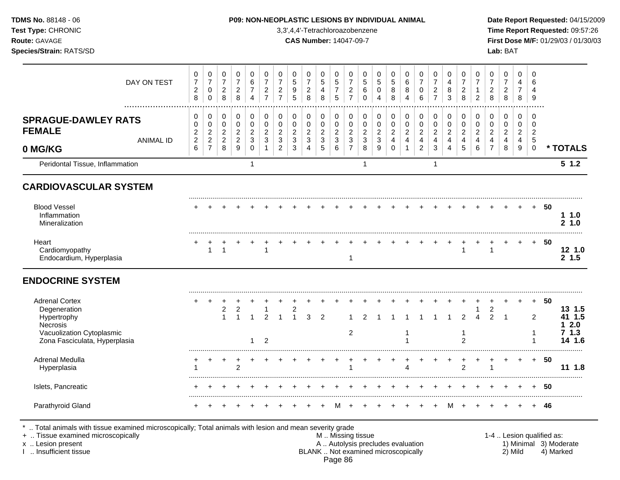#### **TDMS No.** 88148 - 06 **P09: NON-NEOPLASTIC LESIONS BY INDIVIDUAL ANIMAL Date Report Requested:** 04/15/2009

**Test Type:** CHRONIC 3,3',4,4'-Tetrachloroazobenzene **Time Report Requested:** 09:57:26 **Route:** GAVAGE **CAS Number:** 14047-09-7 **First Dose M/F:** 01/29/03 / 01/30/03

| 0                                       |                                 |                                                 |                                                 |                                                                   |                                                                                     |                                                         |                                               |                                            |                                                  |                                        |                                                                                   |                                      |                                               |                                                                  |                                                    |                                                      |                                                         |                                                          |                                            |                                                 |                                                                       |                                            |                                                          |                                                       |    |                                            |
|-----------------------------------------|---------------------------------|-------------------------------------------------|-------------------------------------------------|-------------------------------------------------------------------|-------------------------------------------------------------------------------------|---------------------------------------------------------|-----------------------------------------------|--------------------------------------------|--------------------------------------------------|----------------------------------------|-----------------------------------------------------------------------------------|--------------------------------------|-----------------------------------------------|------------------------------------------------------------------|----------------------------------------------------|------------------------------------------------------|---------------------------------------------------------|----------------------------------------------------------|--------------------------------------------|-------------------------------------------------|-----------------------------------------------------------------------|--------------------------------------------|----------------------------------------------------------|-------------------------------------------------------|----|--------------------------------------------|
| $\overline{7}$<br>$\boldsymbol{2}$<br>8 | 0<br>$\overline{7}$<br>$\Omega$ | 0<br>$\overline{7}$<br>$\overline{c}$<br>8      | 0<br>$\boldsymbol{7}$<br>$\sqrt{2}$<br>8        | 0<br>$\,6$<br>$\overline{7}$<br>4                                 | 0<br>$\overline{7}$<br>$\overline{c}$<br>$\overline{7}$                             | 0<br>$\overline{7}$<br>$\overline{c}$<br>$\overline{7}$ | 0<br>5<br>9<br>5                              | 0<br>$\overline{7}$<br>$\overline{c}$<br>8 | 0<br>$\,$ 5 $\,$<br>$\overline{\mathbf{4}}$<br>8 | 0<br>$\sqrt{5}$<br>$\overline{7}$<br>5 | 0<br>$\overline{7}$<br>$\overline{c}$<br>$\overline{7}$                           | 0<br>5<br>6<br>$\Omega$              | 0<br>5<br>0<br>$\overline{4}$                 | 0<br>$\sqrt{5}$<br>8<br>8                                        | 0<br>$\,6$<br>8<br>4                               | 0<br>$\overline{7}$<br>$\pmb{0}$<br>6                | 0<br>$\overline{7}$<br>$\overline{c}$<br>$\overline{7}$ | 0<br>4<br>8<br>3                                         | 0<br>$\overline{7}$<br>$\overline{c}$<br>8 | 0<br>$\overline{7}$<br>2                        | $\Omega$<br>$\overline{c}$<br>8                                       | 0<br>$\overline{7}$<br>$\overline{c}$<br>8 | 0<br>4<br>$\overline{7}$<br>8                            | $\Omega$<br>6<br>$\overline{4}$<br>9                  |    |                                            |
| 0<br>0<br>6                             | 0<br>$\overline{7}$             | 0<br>0<br>$\overline{c}$<br>$\overline{c}$<br>8 | 0<br>$\pmb{0}$<br>$\sqrt{2}$<br>$\sqrt{2}$<br>9 | 0<br>0<br>$\overline{c}$<br>$\ensuremath{\mathsf{3}}$<br>$\Omega$ | 0<br>$\mathbf 0$<br>$\boldsymbol{2}$<br>$\ensuremath{\mathsf{3}}$<br>$\overline{ }$ | 0<br>0<br>$\sqrt{2}$<br>$\mathbf{3}$<br>2               | 0<br>0<br>$\overline{2}$<br>$\mathbf{3}$<br>3 | 0<br>0<br>$\overline{c}$<br>3<br>4         | 0<br>0<br>$\overline{c}$<br>$\mathbf{3}$<br>5    | 0<br>0<br>$\overline{a}$<br>3<br>6     | 0<br>$\mathbf 0$<br>$\overline{c}$<br>$\ensuremath{\mathsf{3}}$<br>$\overline{7}$ | 0<br>0<br>$\boldsymbol{2}$<br>3<br>8 | 0<br>0<br>$\overline{c}$<br>$\mathbf{3}$<br>9 | 0<br>$\pmb{0}$<br>$\boldsymbol{2}$<br>$\overline{4}$<br>$\Omega$ | 0<br>$\pmb{0}$<br>$\overline{c}$<br>$\overline{4}$ | 0<br>0<br>$\sqrt{2}$<br>$\overline{\mathbf{4}}$<br>2 | 0<br>0<br>$\overline{2}$<br>$\overline{4}$<br>3         | 0<br>0<br>$\overline{c}$<br>$\overline{\mathbf{4}}$<br>4 | 0<br>0<br>$\sqrt{2}$<br>4<br>5             | 0<br>0<br>$\overline{c}$<br>$\overline{4}$<br>6 | 0<br>0<br>$\overline{c}$<br>$\overline{\mathbf{4}}$<br>$\overline{7}$ | 0<br>0<br>$\overline{c}$<br>4<br>8         | 0<br>0<br>$\overline{c}$<br>$\overline{\mathbf{4}}$<br>9 | 0<br>0<br>$\overline{2}$<br>$\sqrt{5}$<br>$\mathbf 0$ |    | * TOTALS                                   |
|                                         |                                 |                                                 |                                                 |                                                                   |                                                                                     |                                                         |                                               |                                            |                                                  |                                        |                                                                                   |                                      |                                               |                                                                  |                                                    |                                                      |                                                         |                                                          |                                            |                                                 |                                                                       |                                            |                                                          |                                                       |    | $5 \t1.2$                                  |
|                                         |                                 |                                                 |                                                 |                                                                   |                                                                                     |                                                         |                                               |                                            |                                                  |                                        |                                                                                   |                                      |                                               |                                                                  |                                                    |                                                      |                                                         |                                                          |                                            |                                                 |                                                                       |                                            |                                                          |                                                       |    |                                            |
|                                         |                                 |                                                 |                                                 |                                                                   |                                                                                     |                                                         |                                               |                                            |                                                  |                                        |                                                                                   |                                      |                                               |                                                                  |                                                    |                                                      |                                                         |                                                          |                                            |                                                 |                                                                       |                                            |                                                          |                                                       | 50 | 11.0<br>$\mathbf{2}$<br>1.0                |
|                                         |                                 |                                                 |                                                 |                                                                   | -1                                                                                  |                                                         |                                               |                                            |                                                  |                                        | -1                                                                                |                                      |                                               |                                                                  |                                                    |                                                      |                                                         |                                                          |                                            |                                                 |                                                                       |                                            |                                                          | $+$                                                   | 50 | 12 1.0<br>2, 1.5                           |
|                                         |                                 |                                                 |                                                 |                                                                   |                                                                                     |                                                         |                                               |                                            |                                                  |                                        |                                                                                   |                                      |                                               |                                                                  |                                                    |                                                      |                                                         |                                                          |                                            |                                                 |                                                                       |                                            |                                                          |                                                       |    |                                            |
|                                         | $\pm$                           | +<br>$\overline{c}$                             | $\overline{c}$                                  |                                                                   | $\mathfrak{p}$                                                                      |                                                         | 2                                             | 3                                          | $\overline{2}$                                   |                                        | $\overline{2}$                                                                    |                                      |                                               |                                                                  |                                                    |                                                      |                                                         |                                                          | $\mathfrak{p}$                             |                                                 | $\overline{\mathbf{c}}$<br>$\mathcal{P}$                              | -1                                         |                                                          | $+$<br>2                                              | 50 | 13 1.5<br>41 1.5<br>2.0<br>$1.3$<br>14 1.6 |
|                                         |                                 | $\overline{c}$<br>$\sqrt{2}$<br>$\ddot{}$       | $\pmb{0}$<br>0<br>$\overline{c}$<br>$\sqrt{2}$  |                                                                   | $\mathbf{1}$                                                                        | 2                                                       |                                               |                                            |                                                  |                                        |                                                                                   |                                      |                                               |                                                                  |                                                    |                                                      |                                                         |                                                          |                                            |                                                 |                                                                       | $\overline{2}$                             |                                                          |                                                       |    |                                            |

| Zona Fasciculata, Hyperpiasia |  |   |  |  |  |  |  |               |                     |  |     |  |  |      | 14 1.O |
|-------------------------------|--|---|--|--|--|--|--|---------------|---------------------|--|-----|--|--|------|--------|
| Adrenal Medulla               |  | ີ |  |  |  |  |  |               | $+$ $+$ $+$ $+$ $+$ |  |     |  |  | 50   | 1 R    |
| Islets, Pancreatic            |  |   |  |  |  |  |  |               |                     |  |     |  |  | + 50 |        |
| Parathyroid Gland             |  |   |  |  |  |  |  | M + + + + + + |                     |  | M + |  |  | + 46 |        |

\* .. Total animals with tissue examined microscopically; Total animals with lesion and mean severity grade

+ .. Tissue examined microscopically M .. Missing tissue 1-4 .. Lesion qualified as: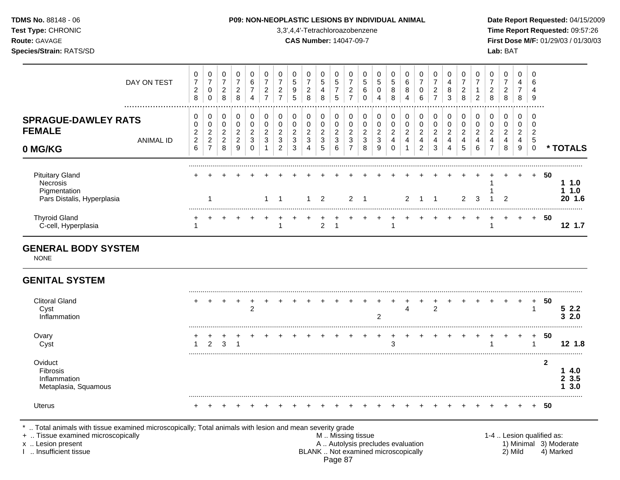#### **TDMS No.** 88148 - 06 **P09: NON-NEOPLASTIC LESIONS BY INDIVIDUAL ANIMAL Date Report Requested:** 04/15/2009

**Test Type:** CHRONIC 3,3',4,4'-Tetrachloroazobenzene **Time Report Requested:** 09:57:26 **Route:** GAVAGE **CAS Number:** 14047-09-7 **First Dose M/F:** 01/29/03 / 01/30/03 **Species/Strain:** RATS/SD **Lab:** BAT

|                                                                                  | DAY ON TEST           | 0<br>$\boldsymbol{7}$<br>$\overline{c}$<br>8                      | 0<br>$\overline{7}$<br>$\pmb{0}$<br>$\mathbf 0$                        | 0<br>$\overline{7}$<br>$\boldsymbol{2}$<br>8                  | 0<br>$\overline{7}$<br>$\sqrt{2}$<br>8                | 0<br>6<br>$\overline{7}$<br>4                                      | 0<br>$\overline{7}$<br>$\overline{c}$<br>$\overline{7}$ | 0<br>$\overline{7}$<br>$\overline{c}$<br>$\overline{7}$ | $\mathbf 0$<br>$\sqrt{5}$<br>$9\,$<br>5                         | 0<br>$\overline{7}$<br>$\sqrt{2}$<br>8     | 0<br>$\sqrt{5}$<br>$\overline{\mathbf{4}}$<br>8     | $\mathbf 0$<br>$\sqrt{5}$<br>$\boldsymbol{7}$<br>5    | 0<br>$\overline{7}$<br>$\boldsymbol{2}$<br>$\overline{7}$           | 0<br>$\sqrt{5}$<br>$\,6$<br>$\mathbf 0$                   | $\mathbf 0$<br>$\sqrt{5}$<br>0<br>4                   | $\pmb{0}$<br>5<br>8<br>8                                             | 0<br>$\,6\,$<br>8<br>$\overline{4}$                     | 0<br>$\overline{7}$<br>$\pmb{0}$<br>6                                                 | 0<br>$\overline{7}$<br>$\overline{c}$<br>$\overline{7}$ | 0<br>$\overline{4}$<br>8<br>3   | 0<br>$\overline{7}$<br>$\overline{c}$<br>8                      | $\mathbf 0$<br>$\overline{7}$<br>1<br>$\overline{2}$      | 0<br>$\overline{7}$<br>$\overline{c}$<br>8                             | 0<br>$\overline{7}$<br>$\overline{\mathbf{c}}$<br>8       | 0<br>4<br>$\overline{7}$<br>8                | 0<br>6<br>$\overline{4}$<br>9                          |              |                          |
|----------------------------------------------------------------------------------|-----------------------|-------------------------------------------------------------------|------------------------------------------------------------------------|---------------------------------------------------------------|-------------------------------------------------------|--------------------------------------------------------------------|---------------------------------------------------------|---------------------------------------------------------|-----------------------------------------------------------------|--------------------------------------------|-----------------------------------------------------|-------------------------------------------------------|---------------------------------------------------------------------|-----------------------------------------------------------|-------------------------------------------------------|----------------------------------------------------------------------|---------------------------------------------------------|---------------------------------------------------------------------------------------|---------------------------------------------------------|---------------------------------|-----------------------------------------------------------------|-----------------------------------------------------------|------------------------------------------------------------------------|-----------------------------------------------------------|----------------------------------------------|--------------------------------------------------------|--------------|--------------------------|
| <b>SPRAGUE-DAWLEY RATS</b><br><b>FEMALE</b><br>0 MG/KG                           | .<br><b>ANIMAL ID</b> | $\pmb{0}$<br>$\mathbf 0$<br>$\overline{c}$<br>$\overline{c}$<br>6 | 0<br>$\mathbf 0$<br>$\overline{c}$<br>$\overline{2}$<br>$\overline{7}$ | 0<br>$\mathsf{O}\xspace$<br>$\overline{2}$<br>$\sqrt{2}$<br>8 | 0<br>$\mathsf 0$<br>$\overline{2}$<br>$\sqrt{2}$<br>9 | $\,0\,$<br>$\pmb{0}$<br>$\overline{c}$<br>$\mathbf{3}$<br>$\Omega$ | $\,0\,$<br>$\mathbf 0$<br>$\overline{2}$<br>3<br>1      | 0<br>$\mathbf 0$<br>$\overline{c}$<br>$\sqrt{3}$<br>2   | $\pmb{0}$<br>$\mathbf 0$<br>$\overline{2}$<br>$\mathbf{3}$<br>3 | 0<br>$\pmb{0}$<br>$\overline{2}$<br>3<br>4 | 0<br>$\pmb{0}$<br>$\overline{c}$<br>$\sqrt{3}$<br>5 | 0<br>$\pmb{0}$<br>$\overline{c}$<br>$\mathbf{3}$<br>6 | $\mathbf 0$<br>$\mathsf 0$<br>$\overline{c}$<br>3<br>$\overline{7}$ | 0<br>$\mathbf 0$<br>$\overline{c}$<br>$\mathfrak{S}$<br>8 | 0<br>$\mathbf 0$<br>$\overline{c}$<br>$\sqrt{3}$<br>9 | $\,0\,$<br>$\pmb{0}$<br>$\overline{c}$<br>$\overline{4}$<br>$\Omega$ | 0<br>$\pmb{0}$<br>$\overline{2}$<br>4<br>$\overline{1}$ | $\pmb{0}$<br>$\pmb{0}$<br>$\overline{c}$<br>$\overline{\mathbf{4}}$<br>$\overline{2}$ | 0<br>$\pmb{0}$<br>$\overline{c}$<br>$\overline{4}$<br>3 | 0<br>$\mathbf 0$<br>2<br>4<br>4 | $\,0\,$<br>$\mathbf 0$<br>$\overline{2}$<br>$\overline{4}$<br>5 | 0<br>$\mathbf 0$<br>$\overline{c}$<br>$\overline{4}$<br>6 | 0<br>$\mathbf 0$<br>$\overline{c}$<br>$\overline{4}$<br>$\overline{7}$ | 0<br>$\mathbf 0$<br>$\overline{c}$<br>$\overline{4}$<br>8 | 0<br>$\mathbf 0$<br>$\overline{c}$<br>4<br>9 | 0<br>$\mathbf 0$<br>$\overline{c}$<br>5<br>$\mathbf 0$ |              | * TOTALS                 |
| <b>Pituitary Gland</b><br>Necrosis<br>Pigmentation<br>Pars Distalis, Hyperplasia |                       |                                                                   | 1                                                                      |                                                               |                                                       |                                                                    | 1                                                       | -1                                                      |                                                                 | 1                                          | $\overline{2}$                                      |                                                       | $\overline{2}$                                                      | $\mathbf 1$                                               |                                                       |                                                                      | 2                                                       | -1                                                                                    | -1                                                      |                                 | $\overline{2}$                                                  | 3                                                         | $\mathbf 1$                                                            | $\overline{2}$                                            |                                              | $+$                                                    | 50           | 11.0<br>11.0<br>20 1.6   |
| <b>Thyroid Gland</b><br>C-cell, Hyperplasia                                      |                       | 1                                                                 |                                                                        |                                                               |                                                       |                                                                    |                                                         |                                                         |                                                                 |                                            | $\overline{2}$                                      |                                                       |                                                                     |                                                           |                                                       | 1                                                                    |                                                         |                                                                                       |                                                         |                                 | ÷                                                               | $\ddot{}$                                                 | $\ddot{}$                                                              | $\pm$                                                     | $\pm$                                        | $+$                                                    | 50           | 12 1.7                   |
| <b>GENERAL BODY SYSTEM</b><br><b>NONE</b>                                        |                       |                                                                   |                                                                        |                                                               |                                                       |                                                                    |                                                         |                                                         |                                                                 |                                            |                                                     |                                                       |                                                                     |                                                           |                                                       |                                                                      |                                                         |                                                                                       |                                                         |                                 |                                                                 |                                                           |                                                                        |                                                           |                                              |                                                        |              |                          |
| <b>GENITAL SYSTEM</b>                                                            |                       |                                                                   |                                                                        |                                                               |                                                       |                                                                    |                                                         |                                                         |                                                                 |                                            |                                                     |                                                       |                                                                     |                                                           |                                                       |                                                                      |                                                         |                                                                                       |                                                         |                                 |                                                                 |                                                           |                                                                        |                                                           |                                              |                                                        |              |                          |
| <b>Clitoral Gland</b><br>Cyst<br>Inflammation                                    |                       |                                                                   |                                                                        |                                                               |                                                       | $\ddot{}$<br>$\overline{a}$                                        |                                                         |                                                         |                                                                 |                                            |                                                     |                                                       |                                                                     |                                                           | $\overline{c}$                                        |                                                                      | 4                                                       |                                                                                       | $\overline{2}$                                          |                                 |                                                                 |                                                           |                                                                        |                                                           |                                              | $\ddot{}$<br>$\mathbf{1}$                              | 50           | 52.2<br>32.0             |
| Ovary<br>Cyst                                                                    |                       | 1                                                                 | $\overline{2}$                                                         | 3                                                             |                                                       |                                                                    |                                                         |                                                         |                                                                 |                                            |                                                     |                                                       |                                                                     |                                                           |                                                       | 3                                                                    |                                                         |                                                                                       |                                                         |                                 |                                                                 |                                                           |                                                                        |                                                           |                                              | $\ddot{}$<br>$\overline{1}$                            | 50           | 12 1.8                   |
| Oviduct<br>Fibrosis<br>Inflammation<br>Metaplasia, Squamous                      |                       |                                                                   |                                                                        |                                                               |                                                       |                                                                    |                                                         |                                                         |                                                                 |                                            |                                                     |                                                       |                                                                     |                                                           |                                                       |                                                                      |                                                         |                                                                                       |                                                         |                                 |                                                                 |                                                           |                                                                        |                                                           |                                              |                                                        | $\mathbf{2}$ | 14.0<br>23.5<br>3.0<br>1 |
| Uterus                                                                           |                       |                                                                   |                                                                        |                                                               |                                                       |                                                                    |                                                         |                                                         |                                                                 |                                            |                                                     |                                                       |                                                                     |                                                           |                                                       |                                                                      |                                                         |                                                                                       |                                                         |                                 |                                                                 |                                                           |                                                                        |                                                           |                                              |                                                        | 50           |                          |

\* .. Total animals with tissue examined microscopically; Total animals with lesion and mean severity grade

+ .. Tissue examined microscopically M .. Missing tissue 1-4 .. Lesion qualified as: x .. Lesion present **A .. Autolysis precludes evaluation** A .. Autolysis precludes evaluation 1) Minimal 3) Moderate I .. Insufficient tissue BLANK .. Not examined microscopically 2) Mild 4) Marked Page 87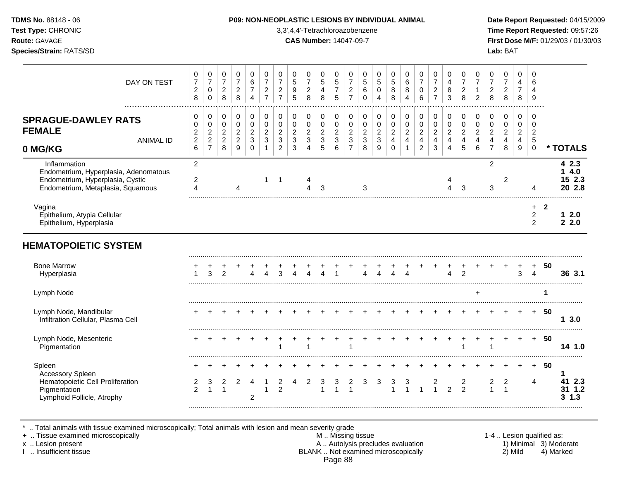#### **TDMS No.** 88148 - 06 **P09: NON-NEOPLASTIC LESIONS BY INDIVIDUAL ANIMAL Date Report Requested:** 04/15/2009

**Test Type:** CHRONIC 3,3',4,4'-Tetrachloroazobenzene **Time Report Requested:** 09:57:26 **Route:** GAVAGE **CAS Number:** 14047-09-7 **First Dose M/F:** 01/29/03 / 01/30/03 **Species/Strain:** RATS/SD **Lab:** BAT

| DAY ON TEST                                                                                                                    | 0<br>$\overline{7}$<br>$\boldsymbol{2}$<br>8      | 0<br>$\overline{7}$<br>$\mathbf 0$<br>$\mathbf 0$                    | 0<br>$\overline{7}$<br>$\boldsymbol{2}$<br>8            | 0<br>$\overline{7}$<br>$\overline{2}$<br>$\,8\,$          | 0<br>6<br>$\overline{7}$<br>4                                  | 0<br>$\overline{7}$<br>$\overline{c}$<br>$\overline{7}$ | 0<br>$\overline{7}$<br>$\boldsymbol{2}$<br>$\overline{7}$ | 0<br>5<br>9<br>5                             | 0<br>$\overline{7}$<br>$\boldsymbol{2}$<br>8                         | 0<br>5<br>4<br>8                                        | 0<br>5<br>$\overline{7}$<br>5                                  | 0<br>$\overline{7}$<br>$\overline{c}$<br>$\overline{7}$              | 0<br>5<br>6<br>$\mathbf 0$         | 0<br>$\sqrt{5}$<br>$\mathbf 0$<br>$\boldsymbol{\Lambda}$ | 0<br>$\sqrt{5}$<br>$\bf 8$<br>8                                         | 0<br>$\,6\,$<br>$\bf 8$<br>4                                  | 0<br>$\overline{7}$<br>0<br>6                                    | 0<br>$\overline{7}$<br>$\overline{c}$<br>$\overline{7}$   | 0<br>4<br>8<br>3                     | 0<br>$\overline{7}$<br>$\overline{c}$<br>$\,8\,$ | 0<br>$\overline{7}$<br>$\overline{c}$                   | 0<br>$\overline{7}$<br>$\overline{c}$<br>8                      | 0<br>$\overline{7}$<br>$\boldsymbol{2}$<br>8               | 0<br>4<br>$\overline{7}$<br>8                            | 0<br>6<br>$\boldsymbol{\Lambda}$<br>9                                 |                |                                       |
|--------------------------------------------------------------------------------------------------------------------------------|---------------------------------------------------|----------------------------------------------------------------------|---------------------------------------------------------|-----------------------------------------------------------|----------------------------------------------------------------|---------------------------------------------------------|-----------------------------------------------------------|----------------------------------------------|----------------------------------------------------------------------|---------------------------------------------------------|----------------------------------------------------------------|----------------------------------------------------------------------|------------------------------------|----------------------------------------------------------|-------------------------------------------------------------------------|---------------------------------------------------------------|------------------------------------------------------------------|-----------------------------------------------------------|--------------------------------------|--------------------------------------------------|---------------------------------------------------------|-----------------------------------------------------------------|------------------------------------------------------------|----------------------------------------------------------|-----------------------------------------------------------------------|----------------|---------------------------------------|
| .<br><b>SPRAGUE-DAWLEY RATS</b><br><b>FEMALE</b><br><b>ANIMAL ID</b><br>0 MG/KG                                                | 0<br>0<br>$\boldsymbol{2}$<br>$\overline{c}$<br>6 | 0<br>$\pmb{0}$<br>$\overline{c}$<br>$\overline{c}$<br>$\overline{7}$ | 0<br>$\mathbf 0$<br>$\boldsymbol{2}$<br>$\sqrt{2}$<br>8 | 0<br>$\pmb{0}$<br>$\boldsymbol{2}$<br>$\overline{2}$<br>9 | 0<br>$\mathbf 0$<br>$\overline{2}$<br>$\mathbf{3}$<br>$\Omega$ | 0<br>0<br>$\overline{c}$<br>3                           | 0<br>0<br>$\boldsymbol{2}$<br>$\mathbf{3}$<br>2           | 0<br>0<br>$\overline{c}$<br>$\mathbf 3$<br>3 | 0<br>$\pmb{0}$<br>$\boldsymbol{2}$<br>$\ensuremath{\mathsf{3}}$<br>4 | 0<br>$\mathbf 0$<br>$\boldsymbol{2}$<br>$\sqrt{3}$<br>5 | 0<br>$\pmb{0}$<br>$\sqrt{2}$<br>$\ensuremath{\mathsf{3}}$<br>6 | 0<br>$\pmb{0}$<br>$\boldsymbol{2}$<br>$\mathbf{3}$<br>$\overline{7}$ | 0<br>0<br>$\overline{c}$<br>3<br>8 | 0<br>$\pmb{0}$<br>$\boldsymbol{2}$<br>3<br>9             | 0<br>$\pmb{0}$<br>$\overline{2}$<br>$\overline{\mathbf{4}}$<br>$\Omega$ | 0<br>$\pmb{0}$<br>$\sqrt{2}$<br>$\overline{\mathbf{4}}$<br>-1 | 0<br>$\pmb{0}$<br>$\overline{2}$<br>$\overline{\mathbf{4}}$<br>2 | 0<br>$\mathbf 0$<br>$\overline{c}$<br>$\overline{4}$<br>3 | 0<br>0<br>$\boldsymbol{2}$<br>4<br>4 | 0<br>0<br>$\sqrt{2}$<br>4<br>5                   | 0<br>$\pmb{0}$<br>$\overline{c}$<br>$\overline{4}$<br>6 | $\,0\,$<br>$\pmb{0}$<br>$\boldsymbol{2}$<br>4<br>$\overline{7}$ | 0<br>0<br>$\boldsymbol{2}$<br>$\overline{\mathbf{4}}$<br>8 | 0<br>0<br>$\overline{c}$<br>$\overline{\mathbf{4}}$<br>9 | $\mathbf 0$<br>$\mathbf 0$<br>$\sqrt{2}$<br>$\sqrt{5}$<br>$\mathbf 0$ |                | * TOTALS                              |
| Inflammation<br>Endometrium, Hyperplasia, Adenomatous<br>Endometrium, Hyperplasia, Cystic<br>Endometrium, Metaplasia, Squamous | $\overline{2}$<br>$\overline{\mathbf{c}}$<br>4    |                                                                      |                                                         | 4                                                         |                                                                | 1                                                       | -1                                                        |                                              | 4<br>4                                                               | 3                                                       |                                                                |                                                                      | 3                                  |                                                          |                                                                         |                                                               |                                                                  |                                                           | 4<br>$\overline{4}$                  | $\sqrt{3}$                                       |                                                         | $\overline{2}$<br>3                                             | $\overline{\mathbf{c}}$                                    |                                                          | 4                                                                     |                | 42.3<br>4.0<br>1.<br>15 2.3<br>20 2.8 |
| Vagina<br>Epithelium, Atypia Cellular<br>Epithelium, Hyperplasia                                                               |                                                   |                                                                      |                                                         |                                                           |                                                                |                                                         |                                                           |                                              |                                                                      |                                                         |                                                                |                                                                      |                                    |                                                          |                                                                         |                                                               |                                                                  |                                                           |                                      |                                                  |                                                         |                                                                 |                                                            |                                                          | $\ddot{}$<br>$\overline{c}$<br>$\overline{c}$                         | $\overline{2}$ | 2.0<br>1<br>2.0<br>$\mathbf{2}$       |
| <b>HEMATOPOIETIC SYSTEM</b>                                                                                                    |                                                   |                                                                      |                                                         |                                                           |                                                                |                                                         |                                                           |                                              |                                                                      |                                                         |                                                                |                                                                      |                                    |                                                          |                                                                         |                                                               |                                                                  |                                                           |                                      |                                                  |                                                         |                                                                 |                                                            |                                                          |                                                                       |                |                                       |
| <b>Bone Marrow</b><br>Hyperplasia                                                                                              |                                                   | 3                                                                    | 2                                                       |                                                           | Λ                                                              |                                                         | 3                                                         |                                              | Δ                                                                    |                                                         |                                                                |                                                                      |                                    |                                                          | Δ                                                                       | Δ                                                             |                                                                  |                                                           | 4                                    | 2                                                |                                                         |                                                                 |                                                            | 3                                                        | $\ddot{}$<br>$\overline{A}$                                           | 50             | 36 3.1                                |
| Lymph Node                                                                                                                     |                                                   |                                                                      |                                                         |                                                           |                                                                |                                                         |                                                           |                                              |                                                                      |                                                         |                                                                |                                                                      |                                    |                                                          |                                                                         |                                                               |                                                                  |                                                           |                                      |                                                  |                                                         |                                                                 |                                                            |                                                          |                                                                       | 1              |                                       |
| Lymph Node, Mandibular<br>Infiltration Cellular, Plasma Cell                                                                   |                                                   |                                                                      |                                                         |                                                           |                                                                |                                                         |                                                           |                                              |                                                                      |                                                         |                                                                |                                                                      |                                    |                                                          |                                                                         |                                                               |                                                                  |                                                           |                                      |                                                  |                                                         |                                                                 |                                                            |                                                          | $\ddot{}$                                                             | 50             | 13.0                                  |
| Lymph Node, Mesenteric<br>Pigmentation                                                                                         |                                                   |                                                                      |                                                         |                                                           |                                                                |                                                         |                                                           |                                              |                                                                      |                                                         |                                                                |                                                                      |                                    |                                                          |                                                                         |                                                               |                                                                  |                                                           |                                      |                                                  |                                                         |                                                                 | $\ddot{}$                                                  | $\ddot{}$                                                | $\ddot{}$                                                             | 50             | 14 1.0                                |
| Spleen<br><b>Accessory Spleen</b><br>Hematopoietic Cell Proliferation<br>Pigmentation<br>Lymphoid Follicle, Atrophy            | 2<br>$\mathfrak{D}$                               | 3<br>1                                                               | 2<br>$\overline{1}$                                     | 2                                                         | 4<br>$\overline{c}$                                            |                                                         | 2<br>$\mathcal{P}$                                        | 4                                            | 2                                                                    | 3<br>1                                                  | 3<br>$\overline{1}$                                            | 2<br>$\mathbf{1}$                                                    | 3                                  | 3                                                        | 3<br>$\overline{1}$                                                     | 3<br>$\overline{1}$                                           |                                                                  | $\frac{2}{1}$                                             | $\mathcal{P}$                        | $\frac{2}{2}$                                    |                                                         | 2<br>$\overline{1}$                                             | $\overline{c}$<br>$\overline{1}$                           |                                                          | 4                                                                     | 50             | 1<br>41 2.3<br>1.2<br>31<br>1.3<br>3  |

\* .. Total animals with tissue examined microscopically; Total animals with lesion and mean severity grade

+ .. Tissue examined microscopically M .. Missing tissue 1-4 .. Lesion qualified as: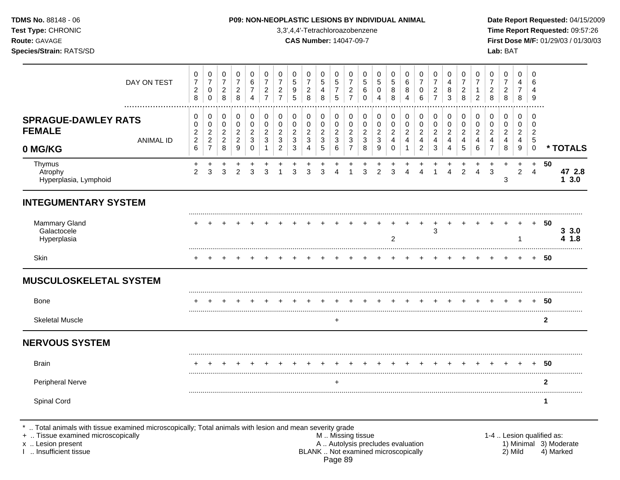# **TDMS No.** 88148 - 06 **P09: NON-NEOPLASTIC LESIONS BY INDIVIDUAL ANIMAL Date Report Requested:** 04/15/2009

**Test Type:** CHRONIC 3,3',4,4'-Tetrachloroazobenzene **Time Report Requested:** 09:57:26 **Route:** GAVAGE **CAS Number:** 14047-09-7 **First Dose M/F:** 01/29/03 / 01/30/03

|                                                                                                                                                                  | DAY ON TEST      | 0<br>$\overline{7}$<br>$\overline{c}$<br>8     | 0<br>$\overline{7}$<br>0<br>$\mathbf 0$         | 0<br>$\overline{7}$<br>$\overline{c}$<br>$\,8\,$                 | 0<br>$\overline{7}$<br>$\overline{\mathbf{c}}$<br>8  | 0<br>6<br>$\overline{7}$<br>$\overline{4}$               | 0<br>$\overline{7}$<br>$\overline{c}$<br>$\overline{7}$ | 0<br>$\overline{7}$<br>$\overline{c}$<br>$\overline{7}$ | 0<br>5<br>9<br>5                    | 0<br>$\overline{7}$<br>2<br>8         | 0<br>5<br>4<br>8                               | $\mathbf 0$<br>$\overline{5}$<br>$\overline{7}$<br>$\overline{5}$ | 0<br>$\overline{7}$<br>$\overline{2}$<br>$\overline{7}$ | 0<br>5<br>6<br>$\mathbf 0$                            | 0<br>5<br>$\Omega$<br>4                 | 0<br>$\sqrt{5}$<br>8<br>8                                   | 0<br>$\,6$<br>8<br>4                  | 0<br>$\overline{7}$<br>0<br>6           | $\pmb{0}$<br>$\overline{7}$<br>$\boldsymbol{2}$<br>$\overline{7}$ | 0<br>4<br>8<br>3                                  | 0<br>$\overline{7}$<br>2<br>8              | 0<br>$\overline{7}$<br>$\overline{c}$ | 0<br>$\overline{7}$<br>2<br>8           | 0<br>$\overline{7}$<br>$\overline{c}$<br>$\bf 8$     | $\mathbf 0$<br>$\overline{4}$<br>7<br>8 | 0<br>6<br>4<br>9                        |                           |                        |
|------------------------------------------------------------------------------------------------------------------------------------------------------------------|------------------|------------------------------------------------|-------------------------------------------------|------------------------------------------------------------------|------------------------------------------------------|----------------------------------------------------------|---------------------------------------------------------|---------------------------------------------------------|-------------------------------------|---------------------------------------|------------------------------------------------|-------------------------------------------------------------------|---------------------------------------------------------|-------------------------------------------------------|-----------------------------------------|-------------------------------------------------------------|---------------------------------------|-----------------------------------------|-------------------------------------------------------------------|---------------------------------------------------|--------------------------------------------|---------------------------------------|-----------------------------------------|------------------------------------------------------|-----------------------------------------|-----------------------------------------|---------------------------|------------------------|
| <b>SPRAGUE-DAWLEY RATS</b><br><b>FEMALE</b>                                                                                                                      | <b>ANIMAL ID</b> | 0<br>0<br>$\boldsymbol{2}$<br>$\boldsymbol{2}$ | 0<br>0<br>$\overline{\mathbf{c}}$<br>$\sqrt{2}$ | $\mathbf 0$<br>$\mathbf 0$<br>$\overline{c}$<br>$\boldsymbol{2}$ | 0<br>$\pmb{0}$<br>$\overline{c}$<br>$\boldsymbol{2}$ | $\pmb{0}$<br>$\pmb{0}$<br>$\overline{c}$<br>$\mathbf{3}$ | $\mathbf 0$<br>$\mathbf 0$<br>2<br>3                    | $\pmb{0}$<br>0<br>$\overline{c}$<br>$\sqrt{3}$          | 0<br>$\mathbf 0$<br>2<br>$\sqrt{3}$ | 0<br>$\mathbf 0$<br>2<br>$\mathbf{3}$ | 0<br>$\pmb{0}$<br>$\overline{c}$<br>$\sqrt{3}$ | 0<br>$\mathbf 0$<br>$\overline{c}$<br>$\ensuremath{\mathsf{3}}$   | 0<br>0<br>2<br>$\ensuremath{\mathsf{3}}$                | 0<br>0<br>$\overline{c}$<br>$\ensuremath{\mathsf{3}}$ | 0<br>$\mathbf 0$<br>$\overline{c}$<br>3 | 0<br>$\pmb{0}$<br>$\overline{c}$<br>$\overline{\mathbf{4}}$ | 0<br>$\pmb{0}$<br>$\overline{c}$<br>4 | 0<br>$\mathbf 0$<br>$\overline{c}$<br>4 | $\mathbf 0$<br>$\pmb{0}$<br>$\boldsymbol{2}$<br>$\overline{4}$    | $\mathbf 0$<br>$\mathbf 0$<br>2<br>$\overline{4}$ | 0<br>0<br>$\overline{2}$<br>$\overline{4}$ | 0<br>$\mathbf 0$<br>2<br>4            | 0<br>$\mathbf 0$<br>$\overline{2}$<br>4 | 0<br>$\mathbf 0$<br>$\overline{c}$<br>$\overline{4}$ | $\mathbf 0$<br>0<br>2<br>4              | $\mathbf 0$<br>0<br>$\overline{2}$<br>5 |                           |                        |
| 0 MG/KG                                                                                                                                                          |                  | 6                                              | $\overline{7}$                                  | $\bf8$                                                           | 9                                                    | $\mathbf 0$                                              | 1                                                       | $\overline{2}$                                          | 3                                   | $\overline{4}$                        | 5                                              | 6                                                                 | $\overline{7}$                                          | 8                                                     | 9                                       | $\Omega$                                                    | $\overline{1}$                        | $\overline{c}$                          | $\mathbf{3}$                                                      | 4                                                 | 5                                          | 6                                     | $\overline{7}$                          | 8                                                    | 9                                       | $\mathbf 0$                             |                           | * TOTALS               |
| Thymus<br>Atrophy<br>Hyperplasia, Lymphoid                                                                                                                       |                  | $\ddot{}$<br>$\overline{2}$                    | $\ddot{}$<br>3                                  | +<br>3                                                           | $\overline{2}$                                       | $\ddot{}$<br>3                                           | $\ddot{}$<br>3                                          |                                                         | 3                                   | 3                                     | 3                                              | 4                                                                 | $\ddot{}$<br>$\overline{1}$                             | +<br>3                                                | +<br>$\overline{2}$                     | $\ddot{}$<br>3                                              | $\ddot{}$<br>$\overline{A}$           | 4                                       | $\ddot{}$<br>$\overline{1}$                                       | $\ddot{}$<br>4                                    | $\ddot{}$<br>$\overline{2}$                | $\ddot{}$<br>$\boldsymbol{\Lambda}$   | $\ddot{}$<br>3                          | $\ddot{}$<br>3                                       | $\ddot{}$<br>$\overline{2}$             | $\ddot{}$<br>$\overline{4}$             | 50                        | 47 2.8<br>13.0         |
| <b>INTEGUMENTARY SYSTEM</b>                                                                                                                                      |                  |                                                |                                                 |                                                                  |                                                      |                                                          |                                                         |                                                         |                                     |                                       |                                                |                                                                   |                                                         |                                                       |                                         |                                                             |                                       |                                         |                                                                   |                                                   |                                            |                                       |                                         |                                                      |                                         |                                         |                           |                        |
| Mammary Gland<br>Galactocele<br>Hyperplasia                                                                                                                      |                  |                                                |                                                 |                                                                  |                                                      |                                                          |                                                         |                                                         |                                     |                                       |                                                |                                                                   |                                                         |                                                       |                                         | 2                                                           |                                       |                                         | 3                                                                 |                                                   |                                            |                                       |                                         |                                                      | -1                                      | $+$                                     | 50                        | 3.3.0<br>4 1.8         |
| Skin                                                                                                                                                             |                  |                                                |                                                 |                                                                  |                                                      |                                                          |                                                         |                                                         |                                     |                                       |                                                |                                                                   |                                                         |                                                       |                                         |                                                             |                                       |                                         |                                                                   |                                                   |                                            |                                       |                                         |                                                      |                                         | $+$                                     | 50                        |                        |
| <b>MUSCULOSKELETAL SYSTEM</b>                                                                                                                                    |                  |                                                |                                                 |                                                                  |                                                      |                                                          |                                                         |                                                         |                                     |                                       |                                                |                                                                   |                                                         |                                                       |                                         |                                                             |                                       |                                         |                                                                   |                                                   |                                            |                                       |                                         |                                                      |                                         |                                         |                           |                        |
| Bone                                                                                                                                                             |                  |                                                |                                                 |                                                                  |                                                      |                                                          |                                                         |                                                         |                                     |                                       |                                                |                                                                   |                                                         |                                                       |                                         |                                                             |                                       |                                         |                                                                   |                                                   |                                            |                                       |                                         |                                                      |                                         | $\div$                                  | -50                       |                        |
| <b>Skeletal Muscle</b>                                                                                                                                           |                  |                                                |                                                 |                                                                  |                                                      |                                                          |                                                         |                                                         |                                     |                                       |                                                | $\ddot{}$                                                         |                                                         |                                                       |                                         |                                                             |                                       |                                         |                                                                   |                                                   |                                            |                                       |                                         |                                                      |                                         |                                         | $\mathbf{2}$              |                        |
| <b>NERVOUS SYSTEM</b>                                                                                                                                            |                  |                                                |                                                 |                                                                  |                                                      |                                                          |                                                         |                                                         |                                     |                                       |                                                |                                                                   |                                                         |                                                       |                                         |                                                             |                                       |                                         |                                                                   |                                                   |                                            |                                       |                                         |                                                      |                                         |                                         |                           |                        |
| <b>Brain</b>                                                                                                                                                     |                  |                                                |                                                 |                                                                  |                                                      |                                                          |                                                         |                                                         |                                     |                                       |                                                |                                                                   |                                                         |                                                       |                                         |                                                             |                                       |                                         |                                                                   |                                                   |                                            |                                       |                                         |                                                      |                                         |                                         | 50                        |                        |
| <b>Peripheral Nerve</b>                                                                                                                                          |                  |                                                |                                                 |                                                                  |                                                      |                                                          |                                                         |                                                         |                                     |                                       |                                                |                                                                   |                                                         |                                                       |                                         |                                                             |                                       |                                         |                                                                   |                                                   |                                            |                                       |                                         |                                                      |                                         |                                         | $\mathbf{2}$              |                        |
| Spinal Cord                                                                                                                                                      |                  |                                                |                                                 |                                                                  |                                                      |                                                          |                                                         |                                                         |                                     |                                       |                                                |                                                                   |                                                         |                                                       |                                         |                                                             |                                       |                                         |                                                                   |                                                   |                                            |                                       |                                         |                                                      |                                         |                                         | 1                         |                        |
| Total animals with tissue examined microscopically; Total animals with lesion and mean severity grade<br>+  Tissue examined microscopically<br>x  Lesion present |                  |                                                |                                                 |                                                                  |                                                      |                                                          |                                                         |                                                         |                                     |                                       |                                                |                                                                   | M  Missing tissue<br>A  Autolysis precludes evaluation  |                                                       |                                         |                                                             |                                       |                                         |                                                                   |                                                   |                                            |                                       |                                         |                                                      |                                         |                                         | 1-4  Lesion qualified as: | 1) Minimal 3) Moderate |

I ... Insufficient tissue and the state of methods of the BLANK ... Not examined microscopically 2) Mild 4) Marked Page 89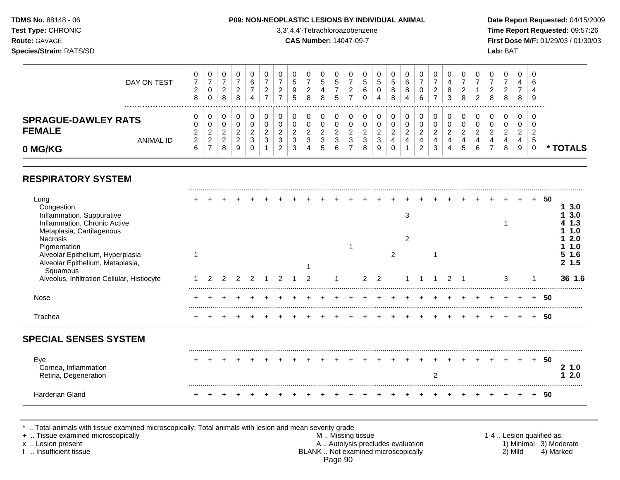### **TDMS No.** 88148 - 06 **P09: NON-NEOPLASTIC LESIONS BY INDIVIDUAL ANIMAL Date Report Requested:** 04/15/2009

**Test Type:** CHRONIC 3,3',4,4'-Tetrachloroazobenzene **Time Report Requested:** 09:57:26 **Route:** GAVAGE **CAS Number:** 14047-09-7 **First Dose M/F:** 01/29/03 / 01/30/03

| <b>SPRAGUE-DAWLEY RATS</b><br><b>FEMALE</b> | ∠<br>8<br>_         |   | 0<br><u>_</u><br>0<br>8<br>0<br>v<br>0<br>v<br>ົ<br>$\sim$<br>$\sim$<br><u>_</u> | ົ<br>∠<br>8<br>υ<br>u<br>ົ<br><u>.</u> | 4<br>U<br>u | $\sim$      | ົ<br><u>_</u><br>0<br>0<br>◠<br><u>_</u> | 9<br>Đ<br>⌒      | ີ<br>∠<br>8<br>0<br>0<br>റ<br><u>.</u> | 4<br>8<br>0<br>0<br>$\sim$<br><u>_</u> | b<br><u>_</u>     | 0<br>0<br>c | 6                | U<br>4<br>0<br>0<br>ີ<br><u>_</u> | 8<br>8<br>U<br>U<br>ົ | 8<br>0<br>0<br>ົ | 0<br>6<br>0<br>0<br>$\sim$<br><u>_</u> | ె<br>∠<br>- | 8<br>3 | <u>_</u><br>8<br>0<br>0<br>◠ | 2<br>◠<br><u>_</u> | ົ<br><u>.</u><br>8<br>ົ<br><u>_</u> | 8 | 8<br>0<br>U<br>ົ<br>$\sim$ | -9<br>0<br>ັບ |               |
|---------------------------------------------|---------------------|---|----------------------------------------------------------------------------------|----------------------------------------|-------------|-------------|------------------------------------------|------------------|----------------------------------------|----------------------------------------|-------------------|-------------|------------------|-----------------------------------|-----------------------|------------------|----------------------------------------|-------------|--------|------------------------------|--------------------|-------------------------------------|---|----------------------------|---------------|---------------|
| 0 MG/KG                                     | 2<br>ANIMAL ID<br>6 | - | ົ<br>$\sim$<br>_<br>8                                                            | $\sim$<br>∠<br>9                       | 3<br>v      | $\sim$<br>J | 3<br>ົ<br><u>.</u>                       | $\sim$<br>J<br>3 | 3<br>4                                 | 3<br>D.                                | $\sim$<br>د.<br>6 | 3<br>-      | $\sim$<br>J<br>8 | વ<br>J<br>9                       | υ                     |                  | 4<br>ົ<br>$\epsilon$                   | 4<br>3      | 4      | C                            | 6                  | 4<br>-                              | 8 | 4<br>9                     | . ე           | <b>TOTALS</b> |

# **RESPIRATORY SYSTEM**

| Lung<br>Congestion<br>Inflammation, Suppurative<br>Inflammation, Chronic Active<br>Metaplasia, Cartilagenous<br>Necrosis<br>Pigmentation<br>Alveolar Epithelium, Hyperplasia<br>Alveolar Epithelium, Metaplasia, |   |  |  |  |   |  |               |               | $\mathcal{P}$ | 3<br>$\overline{2}$ |   |   |  |   |     | 50 | 3.0<br>3.0<br>1.0<br>2.0<br>1.0<br>5 1.6<br>2, 1.5 |
|------------------------------------------------------------------------------------------------------------------------------------------------------------------------------------------------------------------|---|--|--|--|---|--|---------------|---------------|---------------|---------------------|---|---|--|---|-----|----|----------------------------------------------------|
| Squamous<br>Alveolus, Infiltration Cellular, Histiocyte                                                                                                                                                          | 2 |  |  |  | 2 |  | $\mathcal{P}$ | $\mathcal{P}$ |               |                     |   | 2 |  | 3 |     |    | 36 1.6                                             |
| Nose                                                                                                                                                                                                             |   |  |  |  |   |  |               |               |               |                     |   |   |  |   |     | 50 |                                                    |
| Trachea                                                                                                                                                                                                          |   |  |  |  |   |  |               |               |               |                     |   |   |  |   |     | 50 |                                                    |
| <b>SPECIAL SENSES SYSTEM</b>                                                                                                                                                                                     |   |  |  |  |   |  |               |               |               |                     |   |   |  |   |     |    |                                                    |
| Eye<br>Cornea, Inflammation<br>Retina, Degeneration                                                                                                                                                              |   |  |  |  |   |  |               |               |               |                     | 2 |   |  |   | $+$ | 50 | 2 1.0<br>2.0                                       |
| Harderian Gland                                                                                                                                                                                                  |   |  |  |  |   |  |               |               |               |                     |   |   |  |   |     | 50 |                                                    |

\* .. Total animals with tissue examined microscopically; Total animals with lesion and mean severity grade<br>+ .. Tissue examined microscopically

+ .. Tissue examined microscopically  $M$ .. Missing tissue 1-4 .. Lesion qualified as:

x .. Lesion present **A .. Autolysis precludes evaluation** A .. Autolysis precludes evaluation 1) Minimal 3) Moderate I .. Insufficient tissue BLANK .. Not examined microscopically 2) Mild 4) Marked Page 90

.........................................................................................................................................................................................................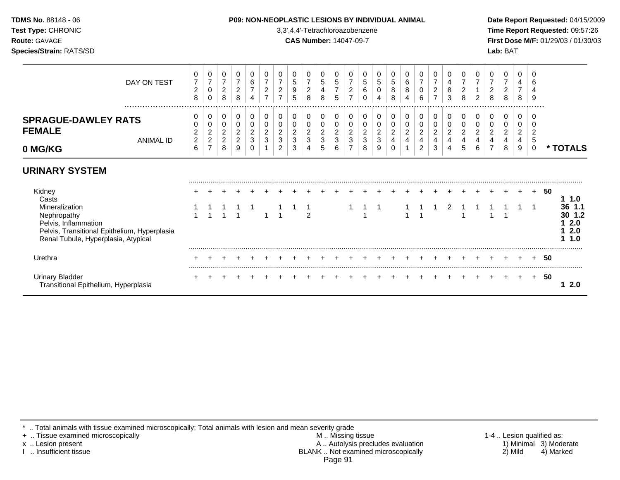#### **TDMS No.** 88148 - 06 **P09: NON-NEOPLASTIC LESIONS BY INDIVIDUAL ANIMAL Date Report Requested:** 04/15/2009

**Test Type:** CHRONIC 3,3',4,4'-Tetrachloroazobenzene **Time Report Requested:** 09:57:26 **Route:** GAVAGE **CAS Number:** 14047-09-7 **First Dose M/F:** 01/29/03 / 01/30/03

| DAY ON TEST                                                                                                                                                     | 0<br>$\overline{7}$<br>$\overline{c}$<br>8 | 0<br>$\overline{7}$<br>0<br>0                            | 0<br>7<br>$\overline{c}$<br>8              | 0<br>$\overline{7}$<br>$\overline{c}$<br>8      | 0<br>6<br>$\overline{7}$<br>4 | 2      | $\overline{7}$<br>$\overline{c}$<br>$\overline{ }$ | 0<br>5<br>9<br>5                   | 0<br>$\overline{7}$<br>$\overline{c}$<br>8 | 5<br>4<br>8                   | 0<br>5<br>$\overline{7}$<br>5      | $\overline{7}$<br>2<br>$\overline{7}$ | 5<br>6<br>0                   | 5<br>0<br>4              | 0<br>$\,$ 5 $\,$<br>8<br>8         | 0<br>6<br>8<br>4              | 0<br>$\overline{7}$<br>0<br>6           | $\overline{7}$<br>$\overline{2}$<br>$\overline{ }$ | 0<br>4<br>8<br>3 | 0<br>$\overline{ }$<br>$\overline{2}$<br>8 | ົ      | 0<br>$\overline{c}$<br>8 | 0<br>7<br>$\overline{c}$<br>8               | 0<br>4<br>$\overline{7}$<br>8      | 6<br>$\overline{4}$<br>9                    |    |                                              |
|-----------------------------------------------------------------------------------------------------------------------------------------------------------------|--------------------------------------------|----------------------------------------------------------|--------------------------------------------|-------------------------------------------------|-------------------------------|--------|----------------------------------------------------|------------------------------------|--------------------------------------------|-------------------------------|------------------------------------|---------------------------------------|-------------------------------|--------------------------|------------------------------------|-------------------------------|-----------------------------------------|----------------------------------------------------|------------------|--------------------------------------------|--------|--------------------------|---------------------------------------------|------------------------------------|---------------------------------------------|----|----------------------------------------------|
| <br><b>SPRAGUE-DAWLEY RATS</b><br><b>FEMALE</b><br><b>ANIMAL ID</b><br>0 MG/KG                                                                                  | 2<br>$\overline{c}$<br>6                   | 0<br>0<br>$\overline{c}$<br>$\sqrt{2}$<br>$\overline{7}$ | 0<br>$\overline{2}$<br>$\overline{c}$<br>8 | 0<br>0<br>$\overline{2}$<br>$\overline{2}$<br>9 | 0<br>0<br>2<br>3              | 2<br>3 | $\overline{2}$<br>3<br>2                           | 0<br>0<br>$\overline{c}$<br>3<br>3 | 0<br>0<br>$\overline{c}$<br>3<br>4         | 0<br>$\overline{c}$<br>3<br>5 | 0<br>0<br>$\overline{c}$<br>3<br>6 | 0<br>0<br>$\overline{c}$<br>3         | 0<br>$\overline{c}$<br>3<br>8 | $\overline{c}$<br>3<br>9 | 0<br>0<br>$\overline{c}$<br>4<br>0 | 0<br>0<br>$\overline{a}$<br>4 | $\boldsymbol{2}$<br>4<br>$\overline{c}$ | $\overline{c}$<br>$\overline{4}$<br>3              | 0<br>2           | 0<br>0<br>2<br>4<br>5                      | 2<br>6 | 0<br>0<br>2<br>4         | 0<br>0<br>$\overline{\mathbf{c}}$<br>4<br>8 | 0<br>0<br>$\overline{c}$<br>4<br>9 | <br>O<br>$\overline{2}$<br>5<br>$\mathbf 0$ |    | * TOTALS                                     |
| <b>URINARY SYSTEM</b>                                                                                                                                           |                                            |                                                          |                                            |                                                 |                               |        |                                                    |                                    |                                            |                               |                                    |                                       |                               |                          |                                    |                               |                                         |                                                    |                  |                                            |        |                          |                                             |                                    |                                             |    |                                              |
| Kidney<br>Casts<br>Mineralization<br>Nephropathy<br>Pelvis, Inflammation<br>Pelvis, Transitional Epithelium, Hyperplasia<br>Renal Tubule, Hyperplasia, Atypical |                                            |                                                          |                                            | $1 \quad 1$                                     |                               |        | $1 \quad 1 \quad$                                  |                                    | $\overline{2}$                             |                               |                                    |                                       |                               |                          |                                    |                               |                                         |                                                    |                  |                                            |        |                          |                                             |                                    |                                             | 50 | 1.0<br>36 1.1<br>30 1.2<br>2.0<br>2.0<br>1.0 |
| Urethra                                                                                                                                                         |                                            |                                                          |                                            |                                                 |                               |        |                                                    |                                    |                                            |                               |                                    |                                       |                               |                          |                                    |                               |                                         |                                                    |                  |                                            |        |                          |                                             |                                    |                                             | 50 |                                              |
| <b>Urinary Bladder</b><br>Transitional Epithelium, Hyperplasia                                                                                                  |                                            |                                                          |                                            |                                                 |                               |        |                                                    |                                    |                                            |                               |                                    |                                       |                               |                          |                                    |                               |                                         |                                                    |                  |                                            |        |                          |                                             | $\pm$                              | $+$                                         | 50 | 2.0                                          |

\* .. Total animals with tissue examined microscopically; Total animals with lesion and mean severity grade

+ .. Tissue examined microscopically M .. Missing tissue 1-4 .. Lesion qualified as: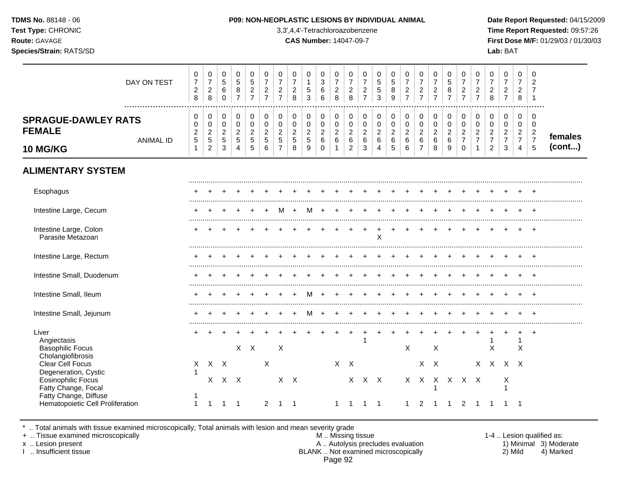| <b>TDMS No. 88148 - 06</b> |
|----------------------------|
| <b>Test Type: CHRONIC</b>  |
| <b>Route: GAVAGE</b>       |
| Species/Strain: RATS/SD    |

#### P09: NON-NEOPLASTIC LESIONS BY INDIVIDUAL ANIMAL

3,3',4,4'-Tetrachloroazobenzene

**CAS Number: 14047-09-7** 

Date Report Requested: 04/15/2009 Time Report Requested: 09:57:26 First Dose M/F: 01/29/03 / 01/30/03 Lab: BAT

| DAY ON TEST<br>.                                                                                  | $\boldsymbol{0}$<br>$\overline{7}$<br>$\sqrt{2}$<br>8 | $\,0\,$<br>$\overline{7}$<br>$\overline{c}$<br>8 | 0<br>5<br>$\,6\,$<br>$\mathbf 0$       | $\mathbf 0$<br>5<br>$\,8\,$<br>$\overline{7}$             | $\pmb{0}$<br>5<br>$\boldsymbol{2}$<br>$\overline{7}$ | 0<br>$\overline{7}$<br>$\overline{c}$<br>$\overline{7}$ | 0<br>$\overline{7}$<br>$\boldsymbol{2}$<br>$\overline{7}$ | 0<br>$\overline{7}$<br>$\boldsymbol{2}$<br>8     | 0<br>$\mathbf{1}$<br>$\mathbf 5$<br>3   | 0<br>$\mathbf{3}$<br>$\,6\,$<br>6     | 0<br>$\overline{7}$<br>$\overline{c}$<br>8 | $\pmb{0}$<br>$\overline{7}$<br>$\boldsymbol{2}$<br>8 | 0<br>$\overline{7}$<br>$\sqrt{2}$<br>$\overline{7}$ | 0<br>$5\phantom{.0}$<br>$\,$ 5 $\,$<br>$\mathbf{3}$ | $\pmb{0}$<br>$\sqrt{5}$<br>8<br>9                     | 0<br>$\overline{7}$<br>$\overline{c}$<br>$\overline{7}$ | $\pmb{0}$<br>$\overline{7}$<br>$\sqrt{2}$<br>$\overline{7}$ | 0<br>$\overline{7}$<br>$\overline{c}$<br>$\overline{7}$ | $\,0\,$<br>5<br>8<br>$\overline{7}$   | 0<br>$\overline{7}$<br>$\overline{c}$<br>$\overline{7}$ | 0<br>$\overline{7}$<br>$\boldsymbol{2}$<br>$\overline{7}$ | $\pmb{0}$<br>$\overline{7}$<br>$\boldsymbol{2}$<br>8   | 0<br>$\overline{7}$<br>$\overline{\mathbf{c}}$<br>$\overline{7}$ | $\pmb{0}$<br>$\overline{7}$<br>$\overline{c}$<br>8   | 0<br>$\overline{2}$<br>$\overline{7}$<br>$\overline{1}$  |         |
|---------------------------------------------------------------------------------------------------|-------------------------------------------------------|--------------------------------------------------|----------------------------------------|-----------------------------------------------------------|------------------------------------------------------|---------------------------------------------------------|-----------------------------------------------------------|--------------------------------------------------|-----------------------------------------|---------------------------------------|--------------------------------------------|------------------------------------------------------|-----------------------------------------------------|-----------------------------------------------------|-------------------------------------------------------|---------------------------------------------------------|-------------------------------------------------------------|---------------------------------------------------------|---------------------------------------|---------------------------------------------------------|-----------------------------------------------------------|--------------------------------------------------------|------------------------------------------------------------------|------------------------------------------------------|----------------------------------------------------------|---------|
| <b>SPRAGUE-DAWLEY RATS</b><br><b>FEMALE</b><br><b>ANIMAL ID</b>                                   | 0<br>$\mathbf 0$<br>$\overline{c}$<br>$\sqrt{5}$      | 0<br>$\mathbf 0$<br>$\overline{c}$<br>$\sqrt{5}$ | 0<br>0<br>$\overline{2}$<br>$\sqrt{5}$ | $\mathbf 0$<br>$\overline{0}$<br>$\sqrt{2}$<br>$\sqrt{5}$ | $\pmb{0}$<br>$\pmb{0}$<br>$\overline{c}$<br>5        | 0<br>$\mathbf 0$<br>$\overline{2}$<br>5                 | 0<br>0<br>$\overline{2}$<br>5                             | 0<br>$\mathbf 0$<br>$\sqrt{2}$<br>$\overline{5}$ | 0<br>$\mathbf 0$<br>$\overline{c}$<br>5 | 0<br>0<br>$\boldsymbol{2}$<br>$\,6\,$ | 0<br>$\overline{0}$<br>$\sqrt{2}$<br>6     | 0<br>$\mathbf 0$<br>$\overline{c}$<br>6              | 0<br>$\mathbf 0$<br>$\overline{c}$<br>$\,6\,$       | 0<br>0<br>$\overline{2}$<br>6                       | 0<br>$\mathsf{O}\xspace$<br>$\overline{2}$<br>$\,6\,$ | 0<br>$\pmb{0}$<br>$\overline{2}$<br>$\,6$               | 0<br>$\mathsf 0$<br>$\overline{2}$<br>6                     | 0<br>$\pmb{0}$<br>$\overline{2}$<br>6                   | 0<br>$\pmb{0}$<br>$\overline{c}$<br>6 | 0<br>$\pmb{0}$<br>$\overline{2}$<br>$\overline{7}$      | 0<br>$\mathsf 0$<br>$\overline{2}$<br>$\overline{7}$      | 0<br>$\mathbf 0$<br>$\boldsymbol{2}$<br>$\overline{7}$ | 0<br>$\pmb{0}$<br>$\overline{2}$<br>$\overline{7}$               | 0<br>$\mathbf 0$<br>$\overline{2}$<br>$\overline{7}$ | $\Omega$<br>$\Omega$<br>$\overline{2}$<br>$\overline{7}$ | females |
| <b>10 MG/KG</b>                                                                                   | $\mathbf{1}$                                          | $\overline{2}$                                   | 3                                      | 4                                                         | 5                                                    | 6                                                       | $\overline{7}$                                            | 8                                                | 9                                       | $\Omega$                              | 1                                          | 2                                                    | 3                                                   | 4                                                   | 5                                                     | 6                                                       | $\overline{7}$                                              | 8                                                       | 9                                     | $\Omega$                                                | 1                                                         | 2                                                      | 3                                                                | $\overline{4}$                                       | 5                                                        | (cont)  |
| <b>ALIMENTARY SYSTEM</b>                                                                          |                                                       |                                                  |                                        |                                                           |                                                      |                                                         |                                                           |                                                  |                                         |                                       |                                            |                                                      |                                                     |                                                     |                                                       |                                                         |                                                             |                                                         |                                       |                                                         |                                                           |                                                        |                                                                  |                                                      |                                                          |         |
| Esophagus                                                                                         |                                                       |                                                  |                                        |                                                           |                                                      |                                                         |                                                           |                                                  |                                         |                                       |                                            |                                                      |                                                     |                                                     |                                                       |                                                         |                                                             |                                                         |                                       |                                                         |                                                           |                                                        |                                                                  |                                                      |                                                          |         |
| Intestine Large, Cecum                                                                            |                                                       |                                                  |                                        |                                                           |                                                      |                                                         |                                                           |                                                  |                                         |                                       |                                            |                                                      |                                                     |                                                     |                                                       |                                                         |                                                             |                                                         |                                       |                                                         |                                                           |                                                        |                                                                  |                                                      |                                                          |         |
| Intestine Large, Colon<br>Parasite Metazoan                                                       |                                                       |                                                  |                                        |                                                           |                                                      |                                                         |                                                           |                                                  |                                         |                                       |                                            |                                                      |                                                     | X                                                   |                                                       |                                                         |                                                             |                                                         |                                       |                                                         |                                                           |                                                        |                                                                  |                                                      |                                                          |         |
| Intestine Large, Rectum                                                                           |                                                       |                                                  |                                        |                                                           |                                                      |                                                         |                                                           |                                                  |                                         |                                       |                                            |                                                      |                                                     |                                                     |                                                       |                                                         |                                                             |                                                         |                                       |                                                         |                                                           |                                                        |                                                                  |                                                      |                                                          |         |
| Intestine Small, Duodenum                                                                         |                                                       |                                                  |                                        |                                                           |                                                      |                                                         |                                                           |                                                  |                                         |                                       |                                            |                                                      |                                                     |                                                     |                                                       |                                                         |                                                             |                                                         |                                       |                                                         |                                                           |                                                        |                                                                  |                                                      |                                                          |         |
| Intestine Small, Ileum                                                                            |                                                       |                                                  |                                        |                                                           |                                                      |                                                         |                                                           |                                                  |                                         |                                       |                                            |                                                      |                                                     |                                                     |                                                       |                                                         |                                                             |                                                         |                                       |                                                         |                                                           |                                                        |                                                                  |                                                      |                                                          |         |
| Intestine Small, Jejunum                                                                          |                                                       |                                                  |                                        |                                                           |                                                      |                                                         |                                                           |                                                  |                                         |                                       |                                            |                                                      |                                                     |                                                     |                                                       |                                                         |                                                             |                                                         |                                       |                                                         |                                                           |                                                        |                                                                  |                                                      |                                                          |         |
| Liver<br>Angiectasis<br><b>Basophilic Focus</b>                                                   |                                                       |                                                  |                                        |                                                           | $X \times$                                           |                                                         | $\times$                                                  |                                                  |                                         |                                       |                                            | $\pm$                                                | 1                                                   | ٠                                                   |                                                       | X                                                       |                                                             | $\times$                                                |                                       |                                                         | $\pm$                                                     | -1<br>X                                                |                                                                  | ÷<br>X                                               | $\overline{ }$                                           |         |
| Cholangiofibrosis<br><b>Clear Cell Focus</b><br>Degeneration, Cystic<br><b>Eosinophilic Focus</b> | $\times$<br>$\overline{1}$                            |                                                  | $X$ $X$<br>X X X                       |                                                           |                                                      | $\boldsymbol{\mathsf{X}}$                               |                                                           | $X \times$                                       |                                         |                                       |                                            | $X$ $X$<br>X.                                        |                                                     | X X                                                 |                                                       |                                                         | X X X                                                       | $X$ $X$                                                 | $\mathsf{X}$                          |                                                         | x x                                                       | $X$ $X$                                                | X X<br>X                                                         |                                                      |                                                          |         |
| Fatty Change, Focal<br>Fatty Change, Diffuse<br>Hematopoietic Cell Proliferation                  | 1                                                     |                                                  | -1                                     | $\overline{\mathbf{1}}$                                   |                                                      | 2                                                       |                                                           | -1                                               |                                         |                                       |                                            |                                                      |                                                     | -1                                                  |                                                       | 1                                                       | 2                                                           | -1                                                      |                                       | 2                                                       |                                                           | -1                                                     |                                                                  |                                                      |                                                          |         |

\* .. Total animals with tissue examined microscopically; Total animals with lesion and mean severity grade<br>+ .. Tissue examined microscopically

x .. Lesion present

I .. Insufficient tissue

A .. Autolysis precludes evaluation<br>BLANK .. Not examined microscopically Page 92

1-4 .. Lesion qualified as: 1) Minimal 3) Moderate  $2)$  Mild 4) Marked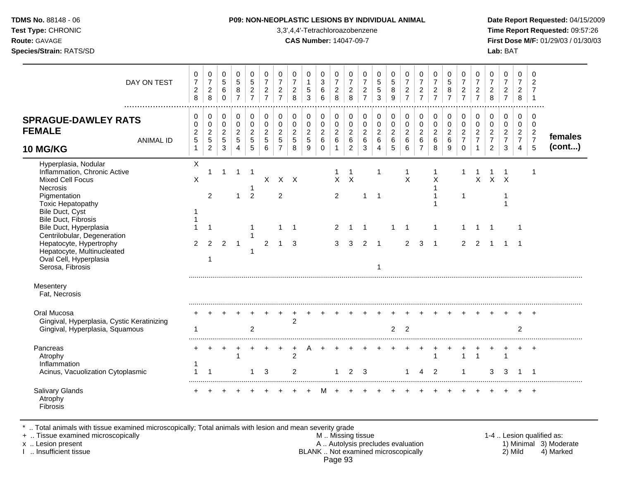#### **TDMS No.** 88148 - 06 **P09: NON-NEOPLASTIC LESIONS BY INDIVIDUAL ANIMAL Date Report Requested:** 04/15/2009

**Test Type:** CHRONIC 3,3',4,4'-Tetrachloroazobenzene **Time Report Requested:** 09:57:26 **Route:** GAVAGE **CAS Number:** 14047-09-7 **First Dose M/F:** 01/29/03 / 01/30/03 **Species/Strain:** RATS/SD **Lab:** BAT

| DAY ON TEST                                                                                                                                                                                                                                                                                                                                       | 0<br>$\boldsymbol{7}$<br>$\overline{c}$<br>8  | $\mathbf 0$<br>$\overline{7}$<br>$\overline{2}$<br>8                       | 0<br>5<br>6<br>$\mathbf 0$                                  | 0<br>$\sqrt{5}$<br>8<br>$\overline{7}$                       | 0<br>$\sqrt{5}$<br>$\overline{c}$<br>$\overline{7}$ | 0<br>$\boldsymbol{7}$<br>$\overline{c}$<br>$\overline{7}$ | 0<br>$\overline{7}$<br>$\overline{c}$<br>$\overline{7}$   | 0<br>$\overline{7}$<br>$\boldsymbol{2}$<br>8                  | 0<br>$\mathbf{1}$<br>$\sqrt{5}$<br>$\mathbf{3}$           | 0<br>$\ensuremath{\mathsf{3}}$<br>6<br>6                | 0<br>$\boldsymbol{7}$<br>$\overline{c}$<br>8               | $\pmb{0}$<br>$\overline{7}$<br>$\overline{c}$<br>8            | 0<br>$\overline{7}$<br>$\sqrt{2}$<br>$\overline{7}$               | 0<br>$\sqrt{5}$<br>$\mathbf 5$<br>$\mathbf{3}$                         | 0<br>$\,$ 5 $\,$<br>$\bf8$<br>9                          | 0<br>$\overline{7}$<br>$\overline{c}$<br>$\overline{7}$ | 0<br>$\boldsymbol{7}$<br>$\overline{c}$<br>$\overline{7}$ | 0<br>$\boldsymbol{7}$<br>$\overline{a}$<br>$\overline{7}$    | 0<br>$\sqrt{5}$<br>8<br>$\overline{7}$                 | 0<br>$\overline{7}$<br>$\overline{c}$<br>$\overline{7}$          | 0<br>$\overline{7}$<br>$\overline{c}$<br>$\overline{7}$ | 0<br>$\overline{7}$<br>$\overline{c}$<br>8                                     | 0<br>$\overline{7}$<br>$\overline{c}$<br>$\overline{7}$ | 0<br>$\overline{7}$<br>$\overline{2}$<br>8                   | 0<br>$\overline{2}$<br>$\overline{7}$<br>$\mathbf{1}$ |                   |
|---------------------------------------------------------------------------------------------------------------------------------------------------------------------------------------------------------------------------------------------------------------------------------------------------------------------------------------------------|-----------------------------------------------|----------------------------------------------------------------------------|-------------------------------------------------------------|--------------------------------------------------------------|-----------------------------------------------------|-----------------------------------------------------------|-----------------------------------------------------------|---------------------------------------------------------------|-----------------------------------------------------------|---------------------------------------------------------|------------------------------------------------------------|---------------------------------------------------------------|-------------------------------------------------------------------|------------------------------------------------------------------------|----------------------------------------------------------|---------------------------------------------------------|-----------------------------------------------------------|--------------------------------------------------------------|--------------------------------------------------------|------------------------------------------------------------------|---------------------------------------------------------|--------------------------------------------------------------------------------|---------------------------------------------------------|--------------------------------------------------------------|-------------------------------------------------------|-------------------|
| <b>SPRAGUE-DAWLEY RATS</b><br><b>FEMALE</b><br><b>ANIMAL ID</b><br>10 MG/KG                                                                                                                                                                                                                                                                       | 0<br>$\,0\,$<br>$\frac{2}{5}$<br>$\mathbf{1}$ | 0<br>$\mathsf{O}\xspace$<br>$\overline{2}$<br>$\sqrt{5}$<br>$\overline{2}$ | 0<br>0<br>$\overline{a}$<br>$5\phantom{.0}$<br>$\mathbf{3}$ | $\Omega$<br>$\mathbf 0$<br>$\sqrt{2}$<br>5<br>$\overline{4}$ | 0<br>0<br>$\overline{2}$<br>5<br>5                  | 0<br>$\mathbf 0$<br>$\overline{c}$<br>5<br>6              | 0<br>$\mathbf 0$<br>$\overline{c}$<br>5<br>$\overline{7}$ | $\mathbf 0$<br>$\pmb{0}$<br>$\overline{c}$<br>$\sqrt{5}$<br>8 | 0<br>$\mathbf 0$<br>$\overline{2}$<br>$\overline{5}$<br>9 | 0<br>$\pmb{0}$<br>$\overline{2}$<br>$\,6\,$<br>$\Omega$ | 0<br>0<br>$\overline{2}$<br>$6\phantom{1}$<br>$\mathbf{1}$ | 0<br>$\pmb{0}$<br>$\overline{c}$<br>$\,6\,$<br>$\overline{c}$ | 0<br>$\mathsf{O}\xspace$<br>$\overline{2}$<br>$6\phantom{1}$<br>3 | 0<br>$\mathsf 0$<br>$\overline{2}$<br>$6\phantom{a}$<br>$\overline{4}$ | $\mathbf 0$<br>$\mathbf 0$<br>$\sqrt{2}$<br>$\,6\,$<br>5 | $\mathbf 0$<br>$\pmb{0}$<br>$\overline{c}$<br>6<br>6    | 0<br>$\pmb{0}$<br>$\sqrt{2}$<br>$\,6\,$<br>$\overline{7}$ | $\mathbf 0$<br>$\mathsf 0$<br>$\overline{a}$<br>$\,6\,$<br>8 | $\mathbf 0$<br>$\pmb{0}$<br>$\boldsymbol{2}$<br>6<br>9 | 0<br>$\mathbf 0$<br>$\overline{c}$<br>$\overline{7}$<br>$\Omega$ | 0<br>$\mathbf 0$<br>$\overline{c}$<br>$\overline{7}$    | $\pmb{0}$<br>$\mathbf 0$<br>$\overline{c}$<br>$\overline{7}$<br>$\overline{2}$ | 0<br>0<br>$\overline{2}$<br>$\overline{7}$<br>3         | 0<br>0<br>$\overline{2}$<br>$\overline{7}$<br>$\overline{4}$ | 0<br>$\mathbf 0$<br>$\frac{2}{7}$<br>$5\phantom{.0}$  | females<br>(cont) |
| Hyperplasia, Nodular<br>Inflammation, Chronic Active<br><b>Mixed Cell Focus</b><br>Necrosis<br>Pigmentation<br>Toxic Hepatopathy<br>Bile Duct, Cyst<br><b>Bile Duct, Fibrosis</b><br>Bile Duct, Hyperplasia<br>Centrilobular, Degeneration<br>Hepatocyte, Hypertrophy<br>Hepatocyte, Multinucleated<br>Oval Cell, Hyperplasia<br>Serosa, Fibrosis | X<br>X<br>$\overline{2}$                      | 1<br>2<br>1<br>2<br>1                                                      | 1<br>$\overline{2}$                                         | $\overline{1}$<br>$\mathbf{1}$<br>$\overline{\mathbf{1}}$    | $\overline{1}$<br>1<br>2<br>1<br>1<br>1             | $\times$<br>2                                             | $X \times$<br>$\overline{c}$<br>$\mathbf{1}$              | $\overline{1}$<br>3                                           |                                                           |                                                         | 1<br>$\sf X$<br>2<br>2<br>3                                | $\mathbf 1$<br>$\mathsf{X}$<br>3                              | 1<br>1<br>2                                                       | 1<br>$\mathbf{1}$<br>$\overline{1}$                                    | $\overline{1}$                                           | $\mathbf 1$<br>X<br>$\mathbf 1$<br>2                    | 3                                                         | 1<br>X<br>$\mathbf 1$<br>$\overline{1}$                      |                                                        | 1<br>2                                                           | X<br>2                                                  | $\times$<br>-1                                                                 | 1<br>$\times$                                           | -1<br>-1                                                     | $\mathbf 1$                                           |                   |
| Mesentery<br>Fat, Necrosis                                                                                                                                                                                                                                                                                                                        |                                               |                                                                            |                                                             |                                                              |                                                     |                                                           |                                                           |                                                               |                                                           |                                                         |                                                            |                                                               |                                                                   |                                                                        |                                                          |                                                         |                                                           |                                                              |                                                        |                                                                  |                                                         |                                                                                |                                                         |                                                              |                                                       |                   |
| Oral Mucosa<br>Gingival, Hyperplasia, Cystic Keratinizing<br>Gingival, Hyperplasia, Squamous                                                                                                                                                                                                                                                      |                                               |                                                                            |                                                             |                                                              | 2                                                   |                                                           |                                                           | $\overline{2}$                                                |                                                           |                                                         |                                                            |                                                               |                                                                   |                                                                        | $\overline{2}$                                           | $\overline{2}$                                          |                                                           |                                                              |                                                        |                                                                  |                                                         |                                                                                |                                                         | $\overline{2}$                                               |                                                       |                   |
| Pancreas<br>Atrophy<br>Inflammation<br>Acinus, Vacuolization Cytoplasmic                                                                                                                                                                                                                                                                          | -1<br>1                                       |                                                                            |                                                             | $\overline{1}$                                               | 1                                                   | 3                                                         |                                                           | $\overline{2}$<br>2                                           |                                                           |                                                         |                                                            | 2                                                             | 3                                                                 |                                                                        |                                                          | 1                                                       | 4                                                         | $\overline{1}$<br>2                                          |                                                        | 1<br>1                                                           |                                                         | 3                                                                              | 1<br>3                                                  |                                                              | $\overline{+}$                                        |                   |
| <b>Salivary Glands</b><br>Atrophy<br>Fibrosis                                                                                                                                                                                                                                                                                                     |                                               |                                                                            |                                                             |                                                              |                                                     |                                                           |                                                           |                                                               |                                                           | м                                                       |                                                            |                                                               |                                                                   |                                                                        |                                                          |                                                         |                                                           |                                                              |                                                        |                                                                  |                                                         |                                                                                |                                                         |                                                              | $+$                                                   |                   |

\* .. Total animals with tissue examined microscopically; Total animals with lesion and mean severity grade

+ .. Tissue examined microscopically M .. Missing tissue 1-4 .. Lesion qualified as: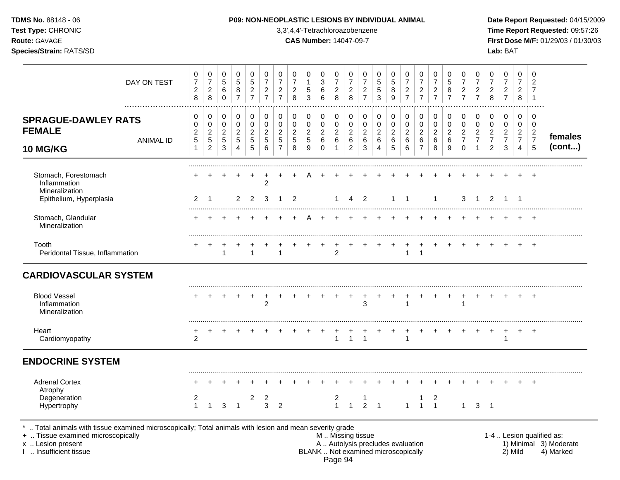| Test Type: CHRONIC<br>Route: GAVAGE<br>Species/Strain: RATS/SD                     |                                                          |                                                          |                                                  |                                                      |                                                       |                                                                   |                                                                      |                                                                        |                                                        | 3,3',4,4'-Tetrachloroazobenzene<br><b>CAS Number: 14047-09-7</b> |                                                                                   |                                                                     |                                                            |                                                           |                                                        |                                                                   |                                                 |                                                              |                                                              |                                                                            |                                                                              |                                                              | Lab: BAT                                                                    |                                                                        |                                                                     | Time Report Requested: 09:57:26<br>First Dose M/F: 01/29/03 / 01/30/03 |
|------------------------------------------------------------------------------------|----------------------------------------------------------|----------------------------------------------------------|--------------------------------------------------|------------------------------------------------------|-------------------------------------------------------|-------------------------------------------------------------------|----------------------------------------------------------------------|------------------------------------------------------------------------|--------------------------------------------------------|------------------------------------------------------------------|-----------------------------------------------------------------------------------|---------------------------------------------------------------------|------------------------------------------------------------|-----------------------------------------------------------|--------------------------------------------------------|-------------------------------------------------------------------|-------------------------------------------------|--------------------------------------------------------------|--------------------------------------------------------------|----------------------------------------------------------------------------|------------------------------------------------------------------------------|--------------------------------------------------------------|-----------------------------------------------------------------------------|------------------------------------------------------------------------|---------------------------------------------------------------------|------------------------------------------------------------------------|
| DAY ON TEST                                                                        | $\pmb{0}$<br>$\overline{7}$<br>$\overline{c}$<br>$\,8\,$ | $\pmb{0}$<br>$\overline{7}$<br>$\overline{c}$<br>$\,8\,$ | 0<br>$5\phantom{.0}$<br>6<br>$\mathsf{O}\xspace$ | $\mathbf 0$<br>$\overline{5}$<br>8<br>$\overline{7}$ | $\mathbf 0$<br>$\sqrt{5}$<br>$\frac{2}{7}$            | $\pmb{0}$<br>$\overline{7}$<br>$\boldsymbol{2}$<br>$\overline{7}$ | $\,0\,$<br>$\overline{7}$<br>$\overline{c}$<br>$\overline{7}$        | $\mathbf 0$<br>$\overline{7}$<br>$\begin{array}{c} 2 \\ 8 \end{array}$ | 0<br>$\mathbf{1}$<br>5<br>3                            | 0<br>3<br>$\,6\,$<br>6                                           | $\pmb{0}$<br>$\overline{7}$<br>$\sqrt{2}$<br>$\bf8$                               | $\pmb{0}$<br>$\overline{7}$<br>$_{\rm 8}^2$                         | $\mathbf 0$<br>$\overline{7}$<br>$\frac{2}{7}$             | $\mathbf 0$<br>5<br>$\sqrt{5}$<br>3                       | 0<br>5<br>$\bf 8$<br>$\overline{9}$                    | $\pmb{0}$<br>$\overline{7}$<br>$\boldsymbol{2}$<br>$\overline{7}$ | $\pmb{0}$<br>$\overline{7}$<br>$\frac{2}{7}$    | $\mathbf 0$<br>$\overline{7}$<br>$\frac{2}{7}$               | $\mathbf 0$<br>$\sqrt{5}$<br>$\,8\,$<br>$\overline{7}$       | $\mathbf 0$<br>$\overline{7}$<br>$\overline{c}$<br>$\overline{7}$          | 0<br>$\overline{7}$<br>$\frac{2}{7}$                                         | $\pmb{0}$<br>$\overline{7}$<br>$_{8}^{\rm 2}$                | $\mathbf 0$<br>$\overline{7}$<br>$\frac{2}{7}$                              | $\pmb{0}$<br>$\overline{7}$<br>$\overline{c}$<br>$\,8\,$               | $\mathbf 0$<br>$\overline{2}$<br>$\overline{7}$<br>$\overline{1}$   |                                                                        |
| <b>SPRAGUE-DAWLEY RATS</b><br><b>FEMALE</b><br><b>ANIMAL ID</b><br><b>10 MG/KG</b> | 0<br>0<br>$\overline{c}$<br>5<br>$\mathbf{1}$            | 0<br>$\pmb{0}$<br>$\overline{c}$<br>$\sqrt{5}$<br>2      | 0<br>0<br>$\overline{2}$<br>$5\phantom{.0}$<br>3 | $\pmb{0}$<br>$\pmb{0}$<br>$\overline{c}$<br>5<br>4   | $\mathbf 0$<br>0<br>$\overline{2}$<br>$\sqrt{5}$<br>5 | $\mathbf 0$<br>$\mathbf 0$<br>$\boldsymbol{2}$<br>$\sqrt{5}$<br>6 | $\pmb{0}$<br>0<br>$\overline{c}$<br>$\overline{5}$<br>$\overline{7}$ | $\mathbf 0$<br>$\mathbf 0$<br>$\overline{2}$<br>5<br>8                 | $\mathbf 0$<br>$\mathbf 0$<br>$\overline{a}$<br>5<br>9 | 0<br>0<br>$\overline{2}$<br>6<br>$\Omega$                        | $\mathbf 0$<br>$\mathsf{O}\xspace$<br>$\overline{2}$<br>$\,6\,$<br>$\overline{1}$ | $\mathbf 0$<br>$\mathbf 0$<br>$\overline{c}$<br>6<br>$\overline{2}$ | $\mathbf 0$<br>$\pmb{0}$<br>$\overline{2}$<br>$\,6\,$<br>3 | 0<br>$\mathsf 0$<br>$\overline{2}$<br>6<br>$\overline{4}$ | $\mathbf 0$<br>$\mathbf 0$<br>$\overline{2}$<br>6<br>5 | 0<br>$\pmb{0}$<br>$\overline{a}$<br>6<br>6                        | 0<br>0<br>$\overline{2}$<br>6<br>$\overline{7}$ | $\mathbf 0$<br>$\mathbf 0$<br>$\overline{2}$<br>$\,6\,$<br>8 | $\mathbf 0$<br>$\mathbf 0$<br>$\overline{c}$<br>$\,6\,$<br>9 | $\mathbf 0$<br>$\mathbf 0$<br>$\overline{2}$<br>$\overline{7}$<br>$\Omega$ | 0<br>$\mathsf{O}\xspace$<br>$\overline{2}$<br>$\overline{7}$<br>$\mathbf{1}$ | 0<br>0<br>$\overline{2}$<br>$\overline{7}$<br>$\overline{2}$ | $\mathbf 0$<br>$\mathsf{O}\xspace$<br>$\overline{2}$<br>$\overline{7}$<br>3 | $\mathbf 0$<br>0<br>$\overline{2}$<br>$\overline{7}$<br>$\overline{4}$ | $\mathbf 0$<br>$\mathbf 0$<br>$\overline{2}$<br>$\overline{7}$<br>5 | females<br>(cont)                                                      |
| Stomach, Forestomach<br>Inflammation<br>Mineralization<br>Epithelium, Hyperplasia  | $\overline{2}$                                           | $\overline{1}$                                           |                                                  | 2                                                    | 2                                                     | $\overline{2}$<br>3                                               | $\overline{1}$                                                       | $\overline{2}$                                                         |                                                        |                                                                  | $\mathbf{1}$                                                                      | $\overline{4}$                                                      | $\overline{2}$                                             |                                                           | $\mathbf 1$                                            | $\overline{1}$                                                    |                                                 | $\overline{1}$                                               |                                                              | 3                                                                          | $\overline{1}$                                                               | $\overline{2}$                                               | $\overline{1}$                                                              | $\overline{1}$                                                         |                                                                     |                                                                        |
| Stomach, Glandular<br>Mineralization                                               |                                                          |                                                          |                                                  |                                                      |                                                       |                                                                   |                                                                      |                                                                        |                                                        |                                                                  |                                                                                   |                                                                     |                                                            |                                                           |                                                        |                                                                   |                                                 |                                                              |                                                              |                                                                            |                                                                              |                                                              |                                                                             |                                                                        | $+$                                                                 |                                                                        |
| Tooth<br>Peridontal Tissue, Inflammation                                           |                                                          |                                                          | $\mathbf{1}$                                     |                                                      | $\mathbf{1}$                                          |                                                                   | $\mathbf{1}$                                                         |                                                                        |                                                        |                                                                  | $\overline{2}$                                                                    | $\ddot{}$                                                           |                                                            |                                                           |                                                        | $\overline{1}$                                                    | $\ddot{}$<br>$\overline{1}$                     | $+$                                                          |                                                              |                                                                            |                                                                              |                                                              |                                                                             |                                                                        |                                                                     |                                                                        |
| <b>CARDIOVASCULAR SYSTEM</b>                                                       |                                                          |                                                          |                                                  |                                                      |                                                       |                                                                   |                                                                      |                                                                        |                                                        |                                                                  |                                                                                   |                                                                     |                                                            |                                                           |                                                        |                                                                   |                                                 |                                                              |                                                              |                                                                            |                                                                              |                                                              |                                                                             |                                                                        |                                                                     |                                                                        |
| <b>Blood Vessel</b><br>Inflammation<br>Mineralization                              |                                                          |                                                          |                                                  |                                                      | $\ddot{}$                                             | $\overline{2}$                                                    |                                                                      |                                                                        |                                                        |                                                                  |                                                                                   |                                                                     | 3                                                          |                                                           |                                                        | $\mathbf{1}$                                                      |                                                 |                                                              |                                                              | $\mathbf{1}$                                                               | $+$                                                                          | $+$                                                          |                                                                             |                                                                        | $\ddot{}$                                                           |                                                                        |
| Heart<br>Cardiomyopathy                                                            | ٠<br>$\mathcal{P}$                                       | $\ddot{}$                                                |                                                  |                                                      |                                                       |                                                                   |                                                                      |                                                                        |                                                        |                                                                  | $\mathbf{1}$                                                                      | $+$<br>$\mathbf{1}$                                                 | $+$<br>$\overline{1}$                                      | $+$                                                       | $\ddot{}$                                              | $\ddot{}$<br>$\overline{1}$                                       | $\ddot{}$                                       | $+$                                                          |                                                              |                                                                            | $+$                                                                          | $+$                                                          | $\ddot{}$<br>$\mathbf{1}$                                                   |                                                                        | $+$ $+$                                                             |                                                                        |
| <b>ENDOCRINE SYSTEM</b>                                                            |                                                          |                                                          |                                                  |                                                      |                                                       |                                                                   |                                                                      |                                                                        |                                                        |                                                                  |                                                                                   |                                                                     |                                                            |                                                           |                                                        |                                                                   |                                                 |                                                              |                                                              |                                                                            |                                                                              |                                                              |                                                                             |                                                                        |                                                                     |                                                                        |
| <b>Adrenal Cortex</b><br>Atrophy<br>Degeneration<br>Hypertrophy                    | 2<br>$\mathbf{1}$                                        | $\overline{1}$                                           | 3                                                | $\overline{1}$                                       | $\overline{2}$                                        | $\overline{c}$<br>3                                               | $\overline{2}$                                                       |                                                                        |                                                        |                                                                  | 2<br>$\mathbf{1}$                                                                 | $\overline{1}$                                                      | 1<br>$\overline{2}$                                        | $\overline{1}$                                            |                                                        | $\mathbf 1$                                                       | $\mathbf{1}$                                    | $\overline{2}$<br>$\overline{1}$                             |                                                              | $\mathbf{1}$                                                               | $\ddot{}$<br>$3 \quad 1$                                                     | $+$                                                          |                                                                             |                                                                        | $\pm$                                                               |                                                                        |

\* .. Total animals with tissue examined microscopically; Total animals with lesion and mean severity grade<br>+ .. Tissue examined microscopically

+ .. Tissue examined microscopically M.. Missing tissue M.. Missing tissue 1-4 .. Lesion qualified as:<br>
This insufficient tissue 1-4 .. Lesion present A .. Autolysis precludes evaluation A .. Autolysis precludes evaluatio x .. Lesion present **A .. Autolysis precludes evaluation** A .. Autolysis precludes evaluation 1) Minimal 3) Moderate I .. Insufficient tissue BLANK .. Not examined microscopically 2) Mild 4) Marked Page 94

#### **TDMS No.** 88148 - 06 **P09: NON-NEOPLASTIC LESIONS BY INDIVIDUAL ANIMAL Date Report Requested:** 04/15/2009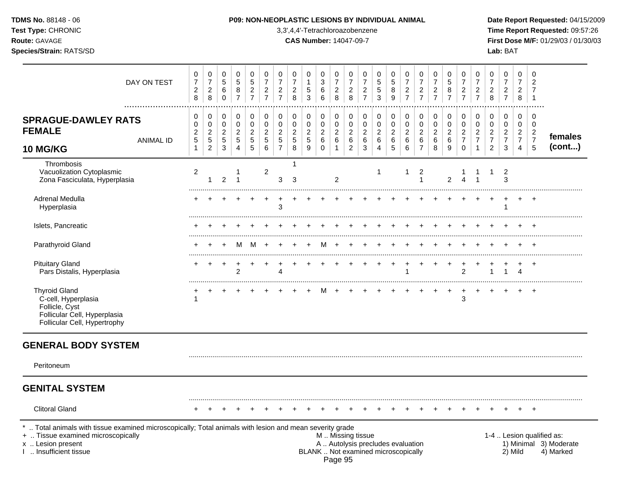# **TDMS No.** 88148 - 06 **P09: NON-NEOPLASTIC LESIONS BY INDIVIDUAL ANIMAL Date Report Requested:** 04/15/2009

**Test Type:** CHRONIC 3,3',4,4'-Tetrachloroazobenzene **Time Report Requested:** 09:57:26 **Route:** GAVAGE **CAS Number:** 14047-09-7 **First Dose M/F:** 01/29/03 / 01/30/03

| DAY ON TEST                                                                                                                                                                                | 0<br>$\boldsymbol{7}$<br>$\sqrt{2}$<br>8 | $\pmb{0}$<br>$\overline{7}$<br>$\sqrt{2}$<br>8    | 0<br>$\sqrt{5}$<br>6<br>$\mathbf 0$               | 0<br>$\,$ 5 $\,$<br>8<br>$\overline{7}$                     | $\mathbf 0$<br>$\overline{5}$<br>$\overline{c}$<br>$\overline{7}$ | 0<br>$\overline{7}$<br>$\overline{c}$<br>$\overline{7}$ | 0<br>$\overline{7}$<br>$\boldsymbol{2}$<br>$\overline{7}$  | 0<br>$\overline{7}$<br>$\boldsymbol{2}$<br>8 | 0<br>$\mathbf{1}$<br>$\sqrt{5}$<br>3        | $\mathbf 0$<br>$\ensuremath{\mathsf{3}}$<br>6<br>6 | $\mathbf 0$<br>$\overline{7}$<br>$\overline{2}$<br>8 | 0<br>$\overline{7}$<br>$\overline{2}$<br>8                                                    | 0<br>$\overline{7}$<br>$\boldsymbol{2}$<br>$\overline{7}$ | 0<br>5<br>5<br>3                    | 0<br>$\overline{5}$<br>$\,8\,$<br>$\overline{9}$  | 0<br>$\overline{7}$<br>$\overline{a}$<br>$\overline{7}$ | 0<br>$\overline{7}$<br>$\overline{2}$<br>$\overline{7}$ | 0<br>$\overline{7}$<br>$\overline{c}$<br>$\overline{7}$ | 0<br>$\,$ 5 $\,$<br>8<br>$\overline{7}$         | 0<br>$\overline{7}$<br>$\sqrt{2}$<br>$\overline{7}$            | 0<br>$\overline{7}$<br>$\boldsymbol{2}$<br>$\overline{7}$ | 0<br>$\overline{7}$<br>$\overline{2}$<br>8             | $\mathbf 0$<br>$\overline{7}$<br>$\overline{c}$<br>$\overline{7}$ | $\mathbf 0$<br>$\overline{7}$<br>$\overline{c}$<br>8 | $\mathbf 0$<br>$\overline{c}$<br>$\overline{7}$<br>$\overline{1}$ |                                                                  |
|--------------------------------------------------------------------------------------------------------------------------------------------------------------------------------------------|------------------------------------------|---------------------------------------------------|---------------------------------------------------|-------------------------------------------------------------|-------------------------------------------------------------------|---------------------------------------------------------|------------------------------------------------------------|----------------------------------------------|---------------------------------------------|----------------------------------------------------|------------------------------------------------------|-----------------------------------------------------------------------------------------------|-----------------------------------------------------------|-------------------------------------|---------------------------------------------------|---------------------------------------------------------|---------------------------------------------------------|---------------------------------------------------------|-------------------------------------------------|----------------------------------------------------------------|-----------------------------------------------------------|--------------------------------------------------------|-------------------------------------------------------------------|------------------------------------------------------|-------------------------------------------------------------------|------------------------------------------------------------------|
| <b>SPRAGUE-DAWLEY RATS</b><br><b>FEMALE</b><br><b>ANIMAL ID</b>                                                                                                                            | 0<br>$\mathbf 0$<br>$\overline{c}$<br>5  | $\pmb{0}$<br>0<br>$\boldsymbol{2}$<br>$\mathbf 5$ | $\mathbf 0$<br>$\mathbf 0$<br>$\overline{c}$<br>5 | $\pmb{0}$<br>$\pmb{0}$<br>$\overline{c}$<br>$5\phantom{.0}$ | $\pmb{0}$<br>$\mathbf 0$<br>$\overline{c}$<br>$\sqrt{5}$          | $\mathbf 0$<br>$\mathbf 0$<br>$\overline{c}$<br>5       | $\mathbf 0$<br>$\mathbf 0$<br>$\overline{c}$<br>$\sqrt{5}$ | 0<br>0<br>$\overline{c}$<br>$\sqrt{5}$       | 0<br>0<br>$\overline{c}$<br>$5\phantom{.0}$ | $\mathbf 0$<br>$\mathbf 0$<br>$\overline{c}$<br>6  | $\mathbf 0$<br>$\mathbf 0$<br>$\overline{c}$<br>6    | $\mathbf 0$<br>$\mathbf 0$<br>$\overline{c}$<br>6                                             | 0<br>$\mathbf 0$<br>$\overline{c}$<br>6                   | 0<br>0<br>$\overline{c}$<br>$\,6\,$ | $\mathbf 0$<br>$\pmb{0}$<br>$\sqrt{2}$<br>$\,6\,$ | $\mathbf 0$<br>$\pmb{0}$<br>$\overline{2}$<br>6         | $\mathbf 0$<br>$\mathbf 0$<br>$\overline{c}$<br>$\,6\,$ | 0<br>$\mathbf 0$<br>$\overline{2}$<br>6                 | 0<br>$\mathbf 0$<br>$\boldsymbol{2}$<br>$\,6\,$ | $\mathbf 0$<br>$\mathbf 0$<br>$\overline{2}$<br>$\overline{7}$ | 0<br>0<br>$\overline{c}$<br>$\overline{7}$                | $\mathbf 0$<br>0<br>$\overline{c}$<br>$\boldsymbol{7}$ | $\mathbf 0$<br>$\mathbf 0$<br>$\overline{c}$<br>$\overline{7}$    | $\pmb{0}$<br>0<br>$\overline{c}$<br>$\overline{7}$   | $\mathbf 0$<br>$\mathbf 0$<br>$\overline{c}$<br>$\overline{7}$    | females                                                          |
| <b>10 MG/KG</b>                                                                                                                                                                            | $\mathbf{1}$                             | $\overline{2}$                                    | 3                                                 | 4                                                           | 5                                                                 | 6                                                       | $\overline{7}$                                             | 8                                            | 9                                           | $\mathbf 0$                                        | $\mathbf{1}$                                         | $\overline{c}$                                                                                | 3                                                         | 4                                   | 5                                                 | 6                                                       | $\overline{7}$                                          | 8                                                       | 9                                               | $\Omega$                                                       | $\mathbf{1}$                                              | $\overline{2}$                                         | $\mathbf{3}$                                                      | 4                                                    | 5                                                                 | (cont)                                                           |
| Thrombosis<br>Vacuolization Cytoplasmic<br>Zona Fasciculata, Hyperplasia                                                                                                                   | 2                                        | 1                                                 | 2                                                 | -1<br>$\overline{1}$                                        |                                                                   | $\overline{c}$                                          | 3                                                          | 1<br>3                                       |                                             |                                                    | $\overline{2}$                                       |                                                                                               |                                                           | 1                                   |                                                   | 1                                                       | $\overline{c}$<br>$\mathbf{1}$                          |                                                         | $\overline{2}$                                  | Δ                                                              | $\mathbf{1}$                                              |                                                        | 2<br>3                                                            |                                                      |                                                                   |                                                                  |
| Adrenal Medulla<br>Hyperplasia                                                                                                                                                             |                                          |                                                   |                                                   |                                                             |                                                                   |                                                         | 3                                                          |                                              |                                             |                                                    |                                                      |                                                                                               |                                                           |                                     |                                                   |                                                         |                                                         |                                                         |                                                 |                                                                |                                                           |                                                        |                                                                   |                                                      |                                                                   |                                                                  |
| Islets, Pancreatic                                                                                                                                                                         |                                          |                                                   |                                                   |                                                             |                                                                   |                                                         |                                                            |                                              |                                             |                                                    |                                                      |                                                                                               |                                                           |                                     |                                                   |                                                         |                                                         |                                                         |                                                 |                                                                |                                                           |                                                        |                                                                   |                                                      |                                                                   |                                                                  |
| Parathyroid Gland                                                                                                                                                                          |                                          |                                                   |                                                   |                                                             |                                                                   |                                                         |                                                            |                                              |                                             |                                                    |                                                      |                                                                                               |                                                           |                                     |                                                   |                                                         |                                                         |                                                         |                                                 |                                                                |                                                           |                                                        |                                                                   |                                                      |                                                                   |                                                                  |
| <b>Pituitary Gland</b><br>Pars Distalis, Hyperplasia                                                                                                                                       |                                          |                                                   |                                                   | $\overline{2}$                                              |                                                                   |                                                         | $\boldsymbol{\Lambda}$                                     |                                              |                                             |                                                    |                                                      |                                                                                               |                                                           |                                     |                                                   |                                                         |                                                         |                                                         |                                                 | $\overline{2}$                                                 |                                                           |                                                        |                                                                   | $\overline{4}$                                       | $\ddot{}$                                                         |                                                                  |
| <b>Thyroid Gland</b><br>C-cell, Hyperplasia<br>Follicle, Cyst<br>Follicular Cell, Hyperplasia<br>Follicular Cell, Hypertrophy                                                              |                                          |                                                   |                                                   |                                                             |                                                                   |                                                         |                                                            |                                              |                                             |                                                    |                                                      |                                                                                               |                                                           |                                     |                                                   |                                                         |                                                         |                                                         |                                                 | 3                                                              |                                                           |                                                        |                                                                   |                                                      |                                                                   |                                                                  |
| <b>GENERAL BODY SYSTEM</b>                                                                                                                                                                 |                                          |                                                   |                                                   |                                                             |                                                                   |                                                         |                                                            |                                              |                                             |                                                    |                                                      |                                                                                               |                                                           |                                     |                                                   |                                                         |                                                         |                                                         |                                                 |                                                                |                                                           |                                                        |                                                                   |                                                      |                                                                   |                                                                  |
| Peritoneum                                                                                                                                                                                 |                                          |                                                   |                                                   |                                                             |                                                                   |                                                         |                                                            |                                              |                                             |                                                    |                                                      |                                                                                               |                                                           |                                     |                                                   |                                                         |                                                         |                                                         |                                                 |                                                                |                                                           |                                                        |                                                                   |                                                      |                                                                   |                                                                  |
| <b>GENITAL SYSTEM</b>                                                                                                                                                                      |                                          |                                                   |                                                   |                                                             |                                                                   |                                                         |                                                            |                                              |                                             |                                                    |                                                      |                                                                                               |                                                           |                                     |                                                   |                                                         |                                                         |                                                         |                                                 |                                                                |                                                           |                                                        |                                                                   |                                                      |                                                                   |                                                                  |
| <b>Clitoral Gland</b>                                                                                                                                                                      |                                          |                                                   |                                                   |                                                             |                                                                   |                                                         |                                                            |                                              |                                             |                                                    |                                                      |                                                                                               |                                                           |                                     |                                                   |                                                         |                                                         |                                                         |                                                 |                                                                |                                                           |                                                        |                                                                   |                                                      | $\ddot{}$                                                         |                                                                  |
| Total animals with tissue examined microscopically; Total animals with lesion and mean severity grade<br>+  Tissue examined microscopically<br>x  Lesion present<br>I. Insufficient tissue |                                          |                                                   |                                                   |                                                             |                                                                   |                                                         |                                                            |                                              |                                             |                                                    | Page 95                                              | M  Missing tissue<br>A  Autolysis precludes evaluation<br>BLANK  Not examined microscopically |                                                           |                                     |                                                   |                                                         |                                                         |                                                         |                                                 |                                                                |                                                           |                                                        | 2) Mild                                                           |                                                      |                                                                   | 1-4  Lesion qualified as:<br>1) Minimal 3) Moderate<br>4) Marked |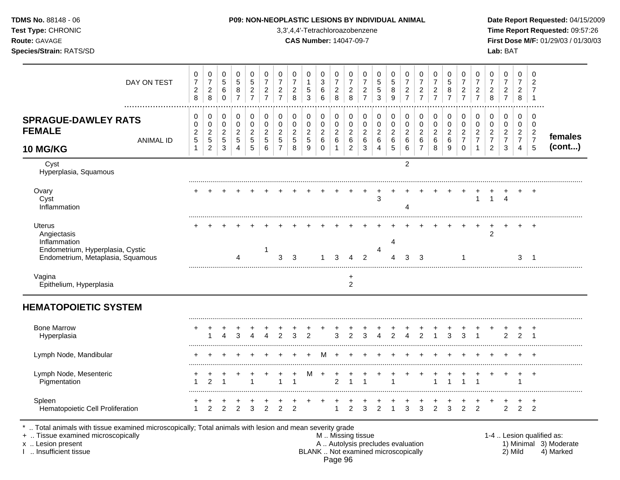| TDMS No. 88148 - 06<br>Test Type: CHRONIC<br>Route: GAVAGE<br>Species/Strain: RATS/SD                                 |                                                         |                                                                     |                                                   |                                                                            |                                                                |                                                                   |                                                                                 |                                                           | 3,3',4,4'-Tetrachloroazobenzene<br><b>CAS Number: 14047-09-7</b> |                                                  |                                                             |                                                               |                                                                  | P09: NON-NEOPLASTIC LESIONS BY INDIVIDUAL ANIMAL              |                                                   |                                                  |                                                                  |                                                         |                                                    |                                                                       |                                                              |                                                              | Lab: BAT                                                        |                                                                      |                                                               | Date Report Requested: 04/15/2009<br>Time Report Requested: 09:57:26<br>First Dose M/F: 01/29/03 / 01/30/03 |
|-----------------------------------------------------------------------------------------------------------------------|---------------------------------------------------------|---------------------------------------------------------------------|---------------------------------------------------|----------------------------------------------------------------------------|----------------------------------------------------------------|-------------------------------------------------------------------|---------------------------------------------------------------------------------|-----------------------------------------------------------|------------------------------------------------------------------|--------------------------------------------------|-------------------------------------------------------------|---------------------------------------------------------------|------------------------------------------------------------------|---------------------------------------------------------------|---------------------------------------------------|--------------------------------------------------|------------------------------------------------------------------|---------------------------------------------------------|----------------------------------------------------|-----------------------------------------------------------------------|--------------------------------------------------------------|--------------------------------------------------------------|-----------------------------------------------------------------|----------------------------------------------------------------------|---------------------------------------------------------------|-------------------------------------------------------------------------------------------------------------|
| DAY ON TEST                                                                                                           | 0<br>$\boldsymbol{7}$<br>$\overline{c}$<br>8            | $\pmb{0}$<br>$\overline{7}$<br>$\boldsymbol{2}$<br>8                | $\mathbf 0$<br>$\sqrt{5}$<br>$\,6\,$<br>$\pmb{0}$ | $\mathbf 0$<br>$\sqrt{5}$<br>$\bf 8$<br>$\overline{7}$                     | 0<br>$\,$ 5 $\,$<br>$\sqrt{2}$<br>$\overline{7}$               | $\mathbf 0$<br>$\overline{7}$<br>$\overline{c}$<br>$\overline{7}$ | 0<br>$\boldsymbol{7}$<br>$\frac{2}{7}$                                          | 0<br>$\boldsymbol{7}$<br>$\overline{c}$<br>8              | 0<br>$\sqrt{5}$<br>3                                             | 0<br>$\ensuremath{\mathsf{3}}$<br>6<br>6         | 0<br>$\boldsymbol{7}$<br>$\overline{c}$<br>$\boldsymbol{8}$ | 0<br>$\boldsymbol{7}$<br>$\overline{\mathbf{c}}$<br>8         | 0<br>$\overline{7}$<br>$\overline{\mathbf{c}}$<br>$\overline{7}$ | 0<br>5<br>$\mathbf 5$<br>$\mathbf{3}$                         | 0<br>5<br>8<br>9                                  | 0<br>$\boldsymbol{7}$<br>$\frac{2}{7}$           | 0<br>$\overline{7}$<br>$\overline{\mathbf{c}}$<br>$\overline{7}$ | 0<br>$\overline{7}$<br>$\overline{c}$<br>$\overline{7}$ | 0<br>$\sqrt{5}$<br>8<br>$\overline{7}$             | 0<br>$\overline{7}$<br>$\overline{a}$<br>$\overline{7}$               | 0<br>$\overline{7}$<br>$\overline{c}$<br>$\overline{7}$      | 0<br>$\overline{7}$<br>$\overline{c}$<br>8                   | 0<br>$\overline{7}$<br>$\overline{c}$<br>$\overline{7}$         | 0<br>$\overline{7}$<br>$\overline{c}$<br>$\,8\,$                     | 0<br>$\overline{c}$<br>7<br>-1                                |                                                                                                             |
| .<br><b>SPRAGUE-DAWLEY RATS</b><br><b>FEMALE</b><br><b>ANIMAL ID</b><br><b>10 MG/KG</b>                               | 0<br>0<br>$\overline{c}$<br>$\mathbf 5$<br>$\mathbf{1}$ | 0<br>$\pmb{0}$<br>$\boldsymbol{2}$<br>$\mathbf 5$<br>$\overline{c}$ | 0<br>0<br>$\overline{2}$<br>$\sqrt{5}$<br>3       | $\pmb{0}$<br>$\pmb{0}$<br>$\boldsymbol{2}$<br>$\sqrt{5}$<br>$\overline{4}$ | $\pmb{0}$<br>$\mathbf 0$<br>$\overline{c}$<br>$\,$ 5 $\,$<br>5 | $\boldsymbol{0}$<br>$\pmb{0}$<br>$\sqrt{2}$<br>$\sqrt{5}$<br>6    | $\pmb{0}$<br>$\boldsymbol{0}$<br>$\overline{c}$<br>$\sqrt{5}$<br>$\overline{7}$ | 0<br>$\mathbf 0$<br>$\overline{c}$<br>$\overline{5}$<br>8 | 0<br>0<br>$\overline{2}$<br>5<br>9                               | $\pmb{0}$<br>$\mathbf 0$<br>$\sqrt{2}$<br>6<br>0 | $\pmb{0}$<br>$\pmb{0}$<br>$\boldsymbol{2}$<br>$\,6\,$<br>1  | 0<br>$\pmb{0}$<br>$\overline{c}$<br>$\,6\,$<br>$\overline{c}$ | 0<br>0<br>$\overline{c}$<br>6<br>3                               | $\boldsymbol{0}$<br>$\mathbf 0$<br>$\boldsymbol{2}$<br>6<br>4 | 0<br>$\boldsymbol{0}$<br>$\overline{a}$<br>6<br>5 | 0<br>$\pmb{0}$<br>$\overline{c}$<br>$\,6\,$<br>6 | 0<br>0<br>$\overline{c}$<br>6<br>$\overline{7}$                  | 0<br>0<br>$\boldsymbol{2}$<br>$\,6$<br>8                | $\pmb{0}$<br>$\pmb{0}$<br>$\overline{c}$<br>6<br>9 | $\mathbf 0$<br>$\pmb{0}$<br>$\boldsymbol{2}$<br>$\boldsymbol{7}$<br>0 | $\pmb{0}$<br>$\pmb{0}$<br>$\boldsymbol{2}$<br>$\overline{7}$ | 0<br>0<br>$\overline{c}$<br>$\overline{7}$<br>$\overline{c}$ | $\mathbf 0$<br>$\mathbf 0$<br>$\sqrt{2}$<br>$\overline{7}$<br>3 | $\pmb{0}$<br>0<br>$\overline{c}$<br>$\overline{7}$<br>$\overline{4}$ | 0<br>0<br>$\overline{c}$<br>$\overline{7}$<br>$5\phantom{.0}$ | females<br>(cont)                                                                                           |
| Cyst<br>Hyperplasia, Squamous                                                                                         |                                                         |                                                                     |                                                   |                                                                            |                                                                |                                                                   |                                                                                 |                                                           |                                                                  |                                                  |                                                             |                                                               |                                                                  |                                                               |                                                   | $\overline{2}$                                   |                                                                  |                                                         |                                                    |                                                                       |                                                              |                                                              |                                                                 |                                                                      |                                                               |                                                                                                             |
| Ovary<br>Cyst<br>Inflammation                                                                                         |                                                         |                                                                     |                                                   |                                                                            |                                                                |                                                                   |                                                                                 |                                                           |                                                                  |                                                  |                                                             |                                                               |                                                                  | 3                                                             |                                                   |                                                  |                                                                  |                                                         |                                                    |                                                                       | -1                                                           | $\mathbf{1}$                                                 | 4                                                               |                                                                      | $^{+}$                                                        |                                                                                                             |
| <b>Uterus</b><br>Angiectasis<br>Inflammation<br>Endometrium, Hyperplasia, Cystic<br>Endometrium, Metaplasia, Squamous |                                                         |                                                                     |                                                   |                                                                            |                                                                |                                                                   | 3                                                                               | 3                                                         |                                                                  |                                                  | 3                                                           | 4                                                             | 2                                                                | 4                                                             | 4                                                 | З                                                | 3                                                                |                                                         |                                                    |                                                                       | $\div$                                                       | $\overline{2}$                                               |                                                                 | 3                                                                    | $+$<br>-1                                                     |                                                                                                             |
| Vagina<br>Epithelium, Hyperplasia                                                                                     |                                                         |                                                                     |                                                   |                                                                            |                                                                |                                                                   |                                                                                 |                                                           |                                                                  |                                                  |                                                             | $\ddot{}$<br>$\overline{c}$                                   |                                                                  |                                                               |                                                   |                                                  |                                                                  |                                                         |                                                    |                                                                       |                                                              |                                                              |                                                                 |                                                                      |                                                               |                                                                                                             |
| <b>HEMATOPOIETIC SYSTEM</b>                                                                                           |                                                         |                                                                     |                                                   |                                                                            |                                                                |                                                                   |                                                                                 |                                                           |                                                                  |                                                  |                                                             |                                                               |                                                                  |                                                               |                                                   |                                                  |                                                                  |                                                         |                                                    |                                                                       |                                                              |                                                              |                                                                 |                                                                      |                                                               |                                                                                                             |
| <b>Bone Marrow</b><br>Hyperplasia                                                                                     |                                                         |                                                                     | Δ                                                 | 3                                                                          |                                                                |                                                                   | $\mathcal{P}$                                                                   |                                                           | $\mathcal{P}$                                                    |                                                  | 3                                                           | 2                                                             | 3                                                                |                                                               | $\mathcal{P}$                                     |                                                  | $\mathfrak{p}$                                                   |                                                         | 3                                                  | 3                                                                     |                                                              |                                                              | $\mathfrak{p}$                                                  | 2                                                                    | $\overline{\mathbf{1}}$                                       |                                                                                                             |
| Lymph Node, Mandibular                                                                                                |                                                         |                                                                     |                                                   |                                                                            |                                                                |                                                                   |                                                                                 |                                                           |                                                                  |                                                  |                                                             |                                                               |                                                                  |                                                               |                                                   |                                                  |                                                                  |                                                         |                                                    |                                                                       |                                                              |                                                              |                                                                 |                                                                      | $^{+}$                                                        |                                                                                                             |
| Lymph Node, Mesenteric<br>Pigmentation                                                                                |                                                         |                                                                     |                                                   |                                                                            |                                                                |                                                                   |                                                                                 |                                                           | м                                                                | $+$                                              | 2                                                           |                                                               |                                                                  |                                                               |                                                   |                                                  |                                                                  |                                                         |                                                    |                                                                       |                                                              |                                                              |                                                                 |                                                                      | $^{+}$                                                        |                                                                                                             |
| Spleen<br>Hematopoietic Cell Proliferation                                                                            |                                                         | 2                                                                   | $\overline{2}$                                    | $\mathcal{P}$                                                              | 3                                                              | $\mathcal{P}$                                                     | $\mathcal{P}$                                                                   | 2                                                         |                                                                  |                                                  | 1                                                           | $\overline{2}$                                                | 3                                                                | 2                                                             | $\mathbf{1}$                                      | 3                                                | 3                                                                | $\overline{2}$                                          | 3                                                  | $\overline{2}$                                                        | 2                                                            |                                                              | $\overline{2}$                                                  | $\overline{2}$                                                       | 2                                                             |                                                                                                             |

+ .. Tissue examined microscopically and the set of the set of the set of the M. Missing tissue M .. Missing tissue<br>
M .. Missing tissue and M .. Missing tissue A .. Autolysis precludes evaluation and the set of the set o x .. Lesion present **A .. Autolysis precludes evaluation** A .. Autolysis precludes evaluation 1) Minimal 3) Moderate I .. Insufficient tissue BLANK .. Not examined microscopically 2) Mild 4) Marked Page 96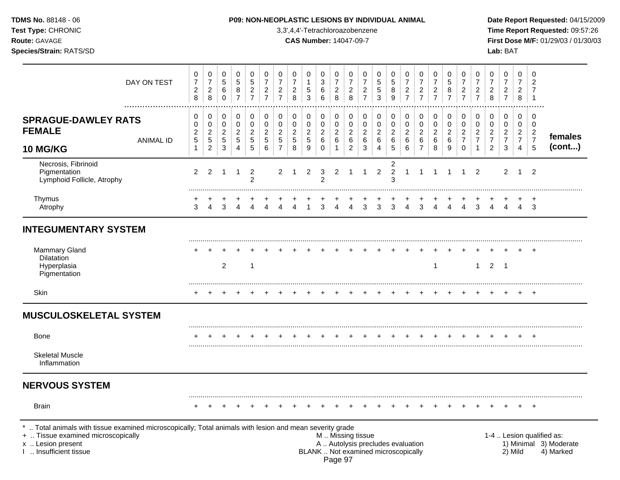| <b>TDMS No. 88148 - 06</b>     | <b>P09: NON-NEOPLASTIC LESIONS BY INDIVIDUAL ANIMAL</b> | Date Repo         |
|--------------------------------|---------------------------------------------------------|-------------------|
| <b>Test Type: CHRONIC</b>      | 3,3',4,4'-Tetrachloroazobenzene                         | Time Rep          |
| <b>Route: GAVAGE</b>           | <b>CAS Number: 14047-09-7</b>                           | <b>First Dose</b> |
| <b>Species/Strain: RATS/SD</b> |                                                         | Lab: BAT          |

# **P09: NON-NEOPLASTIC LESIONS BY INDIVIDUAL ANIMAL Date Report Requested:** 04/15/2009

**Time Report Requested:** 09:57:26 **CAS Number:** 14047-09-7 **First Dose M/F:** 01/29/03 / 01/30/03

|                                                                                                                                                                                               | DAY ON TEST | 0<br>$\overline{7}$<br>$\overline{c}$<br>8                         | $\pmb{0}$<br>$\overline{7}$<br>$\boldsymbol{2}$<br>$\,8\,$ | 0<br>$\sqrt{5}$<br>$\,6\,$<br>$\pmb{0}$                                  | $\mathbf 0$<br>$\sqrt{5}$<br>$\,8\,$<br>$\overline{7}$                        | $\mathbf 0$<br>$\sqrt{5}$<br>$\overline{c}$<br>$\overline{7}$   | $\mathbf 0$<br>$\overline{7}$<br>$\sqrt{2}$<br>$\overline{7}$ | 0<br>$\overline{7}$<br>$\overline{c}$<br>$\overline{7}$               | $\,0\,$<br>$\overline{7}$<br>$\overline{c}$<br>8    | $\pmb{0}$<br>$\mathbf{1}$<br>$\,$ 5 $\,$<br>$\sqrt{3}$                         | $\pmb{0}$<br>$\mathbf{3}$<br>6<br>6                                | 0<br>$\overline{7}$<br>$\overline{2}$<br>$\,8\,$       | 0<br>$\overline{7}$<br>$\overline{c}$<br>8                                                    | 0<br>$\overline{7}$<br>$\overline{2}$<br>$\overline{7}$ | 0<br>$\sqrt{5}$<br>$\overline{5}$<br>$\mathbf{3}$                     | 0<br>$\sqrt{5}$<br>8<br>$9\,$                                   | $\pmb{0}$<br>$\overline{7}$<br>$\boldsymbol{2}$<br>$\overline{7}$ | 0<br>$\overline{7}$<br>$\overline{\mathbf{c}}$<br>$\overline{7}$  | 0<br>$\overline{7}$<br>$\overline{c}$<br>$\overline{7}$ | 0<br>5<br>8<br>$\overline{7}$                           | 0<br>$\overline{7}$<br>$\sqrt{2}$<br>$\overline{7}$                           | 0<br>$\overline{7}$<br>$\boldsymbol{2}$<br>$\overline{7}$                      | $\pmb{0}$<br>$\overline{7}$<br>$\overline{c}$<br>8                                   | $\pmb{0}$<br>$\overline{7}$<br>$\boldsymbol{2}$<br>$\overline{7}$                | $\mathbf 0$<br>$\overline{7}$<br>$\overline{c}$<br>8                             | 0<br>$\overline{2}$<br>$\overline{7}$<br>$\overline{1}$                      |                                                                  |
|-----------------------------------------------------------------------------------------------------------------------------------------------------------------------------------------------|-------------|--------------------------------------------------------------------|------------------------------------------------------------|--------------------------------------------------------------------------|-------------------------------------------------------------------------------|-----------------------------------------------------------------|---------------------------------------------------------------|-----------------------------------------------------------------------|-----------------------------------------------------|--------------------------------------------------------------------------------|--------------------------------------------------------------------|--------------------------------------------------------|-----------------------------------------------------------------------------------------------|---------------------------------------------------------|-----------------------------------------------------------------------|-----------------------------------------------------------------|-------------------------------------------------------------------|-------------------------------------------------------------------|---------------------------------------------------------|---------------------------------------------------------|-------------------------------------------------------------------------------|--------------------------------------------------------------------------------|--------------------------------------------------------------------------------------|----------------------------------------------------------------------------------|----------------------------------------------------------------------------------|------------------------------------------------------------------------------|------------------------------------------------------------------|
| <b>SPRAGUE-DAWLEY RATS</b><br><b>FEMALE</b><br><b>10 MG/KG</b>                                                                                                                                | ANIMAL ID   | 0<br>$\mathbf 0$<br>$\overline{\mathbf{c}}$<br>$\overline{5}$<br>1 | 0<br>$\pmb{0}$<br>$\frac{2}{5}$<br>$\overline{2}$          | $\pmb{0}$<br>$\pmb{0}$<br>$\boldsymbol{2}$<br>$\sqrt{5}$<br>$\mathbf{3}$ | $\mathbf 0$<br>$\mathbf 0$<br>$\sqrt{2}$<br>$5\phantom{.0}$<br>$\overline{4}$ | $\mathbf 0$<br>$\pmb{0}$<br>$\boldsymbol{2}$<br>$\sqrt{5}$<br>5 | $\mathbf 0$<br>$\pmb{0}$<br>$\sqrt{2}$<br>$\sqrt{5}$<br>6     | $\mathbf 0$<br>$\mathbf 0$<br>$\boldsymbol{2}$<br>5<br>$\overline{7}$ | 0<br>$\pmb{0}$<br>$\overline{c}$<br>$\sqrt{5}$<br>8 | $\mathbf 0$<br>$\pmb{0}$<br>$\boldsymbol{2}$<br>$\sqrt{5}$<br>$\boldsymbol{9}$ | $\mathbf 0$<br>$\boldsymbol{0}$<br>$\overline{c}$<br>6<br>$\Omega$ | $\mathbf 0$<br>$\pmb{0}$<br>$\boldsymbol{2}$<br>6<br>1 | $\mathbf 0$<br>$\pmb{0}$<br>$\overline{2}$<br>6<br>$\overline{2}$                             | 0<br>$\mathbf 0$<br>$\overline{c}$<br>6<br>3            | $\pmb{0}$<br>$\pmb{0}$<br>$\boldsymbol{2}$<br>$\,6$<br>$\overline{A}$ | 0<br>$\mathbf 0$<br>$\overline{c}$<br>$\,6\,$<br>$\overline{5}$ | $\mathbf 0$<br>$\pmb{0}$<br>$\boldsymbol{2}$<br>$\,6\,$<br>6      | $\mathbf 0$<br>$\pmb{0}$<br>$\overline{c}$<br>6<br>$\overline{7}$ | $\mathbf 0$<br>$\pmb{0}$<br>$\overline{c}$<br>6<br>8    | 0<br>$\boldsymbol{0}$<br>$\overline{c}$<br>$\,6\,$<br>9 | $\mathbf 0$<br>$\mathbf 0$<br>$\overline{c}$<br>$\overline{7}$<br>$\mathbf 0$ | $\mathbf 0$<br>$\mathbf 0$<br>$\overline{c}$<br>$\overline{7}$<br>$\mathbf{1}$ | $\mathbf 0$<br>$\mathsf{O}\xspace$<br>$\sqrt{2}$<br>$\overline{7}$<br>$\overline{2}$ | $\mathbf 0$<br>$\mathbf 0$<br>$\boldsymbol{2}$<br>$\overline{7}$<br>$\mathbf{3}$ | $\mathbf 0$<br>$\mathbf 0$<br>$\overline{c}$<br>$\overline{7}$<br>$\overline{4}$ | $\mathbf 0$<br>$\mathbf 0$<br>$\overline{c}$<br>$\overline{7}$<br>$\sqrt{5}$ | females<br>(cont)                                                |
| Necrosis, Fibrinoid<br>Pigmentation<br>Lymphoid Follicle, Atrophy                                                                                                                             |             | $\overline{2}$                                                     | 2                                                          | $\overline{1}$                                                           | -1                                                                            | $\overline{2}$<br>$\overline{2}$                                |                                                               | $\overline{2}$                                                        |                                                     | $\overline{c}$                                                                 | 3<br>$\overline{2}$                                                | 2                                                      | 1                                                                                             | 1                                                       | $\overline{2}$                                                        | 2<br>$\overline{2}$<br>3                                        | $\mathbf{1}$                                                      | $\overline{1}$                                                    | 1                                                       |                                                         | $\mathbf{1}$                                                                  | $\overline{2}$                                                                 |                                                                                      | $\overline{2}$                                                                   | 1                                                                                | 2                                                                            |                                                                  |
| Thymus<br>Atrophy                                                                                                                                                                             |             | 3                                                                  | $\boldsymbol{\Lambda}$                                     | 3                                                                        |                                                                               |                                                                 |                                                               |                                                                       |                                                     |                                                                                | 3                                                                  | $\Delta$                                               | $\Delta$                                                                                      | 3                                                       | 3                                                                     | 3                                                               | 4                                                                 | 3                                                                 | $\Lambda$                                               | Λ                                                       | Δ                                                                             | 3                                                                              | $\overline{4}$                                                                       | $\overline{4}$                                                                   | $\overline{4}$                                                                   | 3                                                                            |                                                                  |
| <b>INTEGUMENTARY SYSTEM</b>                                                                                                                                                                   |             |                                                                    |                                                            |                                                                          |                                                                               |                                                                 |                                                               |                                                                       |                                                     |                                                                                |                                                                    |                                                        |                                                                                               |                                                         |                                                                       |                                                                 |                                                                   |                                                                   |                                                         |                                                         |                                                                               |                                                                                |                                                                                      |                                                                                  |                                                                                  |                                                                              |                                                                  |
| <b>Mammary Gland</b><br><b>Dilatation</b><br>Hyperplasia<br>Pigmentation                                                                                                                      |             |                                                                    |                                                            | $\overline{2}$                                                           |                                                                               | $\mathbf{1}$                                                    |                                                               |                                                                       |                                                     |                                                                                |                                                                    |                                                        |                                                                                               |                                                         |                                                                       |                                                                 |                                                                   |                                                                   | 1                                                       |                                                         |                                                                               | $\mathbf{1}$                                                                   | $2 \quad 1$                                                                          |                                                                                  | ÷                                                                                | $\ddot{}$                                                                    |                                                                  |
| Skin                                                                                                                                                                                          |             |                                                                    |                                                            |                                                                          |                                                                               |                                                                 |                                                               |                                                                       |                                                     |                                                                                |                                                                    |                                                        |                                                                                               |                                                         |                                                                       |                                                                 |                                                                   |                                                                   |                                                         |                                                         |                                                                               |                                                                                |                                                                                      |                                                                                  | $\div$                                                                           | $+$                                                                          |                                                                  |
| <b>MUSCULOSKELETAL SYSTEM</b>                                                                                                                                                                 |             |                                                                    |                                                            |                                                                          |                                                                               |                                                                 |                                                               |                                                                       |                                                     |                                                                                |                                                                    |                                                        |                                                                                               |                                                         |                                                                       |                                                                 |                                                                   |                                                                   |                                                         |                                                         |                                                                               |                                                                                |                                                                                      |                                                                                  |                                                                                  |                                                                              |                                                                  |
| <b>Bone</b>                                                                                                                                                                                   |             |                                                                    |                                                            |                                                                          |                                                                               |                                                                 |                                                               |                                                                       |                                                     |                                                                                |                                                                    |                                                        |                                                                                               |                                                         |                                                                       |                                                                 |                                                                   |                                                                   |                                                         |                                                         |                                                                               |                                                                                |                                                                                      |                                                                                  |                                                                                  |                                                                              |                                                                  |
| <b>Skeletal Muscle</b><br>Inflammation                                                                                                                                                        |             |                                                                    |                                                            |                                                                          |                                                                               |                                                                 |                                                               |                                                                       |                                                     |                                                                                |                                                                    |                                                        |                                                                                               |                                                         |                                                                       |                                                                 |                                                                   |                                                                   |                                                         |                                                         |                                                                               |                                                                                |                                                                                      |                                                                                  |                                                                                  |                                                                              |                                                                  |
| <b>NERVOUS SYSTEM</b>                                                                                                                                                                         |             |                                                                    |                                                            |                                                                          |                                                                               |                                                                 |                                                               |                                                                       |                                                     |                                                                                |                                                                    |                                                        |                                                                                               |                                                         |                                                                       |                                                                 |                                                                   |                                                                   |                                                         |                                                         |                                                                               |                                                                                |                                                                                      |                                                                                  |                                                                                  |                                                                              |                                                                  |
| <b>Brain</b>                                                                                                                                                                                  |             |                                                                    |                                                            |                                                                          |                                                                               |                                                                 |                                                               |                                                                       |                                                     |                                                                                |                                                                    |                                                        |                                                                                               |                                                         |                                                                       |                                                                 |                                                                   |                                                                   |                                                         |                                                         |                                                                               |                                                                                |                                                                                      |                                                                                  |                                                                                  | $\div$                                                                       |                                                                  |
| *  Total animals with tissue examined microscopically; Total animals with lesion and mean severity grade<br>+  Tissue examined microscopically<br>x  Lesion present<br>I  Insufficient tissue |             |                                                                    |                                                            |                                                                          |                                                                               |                                                                 |                                                               |                                                                       |                                                     |                                                                                |                                                                    | Page 97                                                | M  Missing tissue<br>A  Autolysis precludes evaluation<br>BLANK  Not examined microscopically |                                                         |                                                                       |                                                                 |                                                                   |                                                                   |                                                         |                                                         |                                                                               |                                                                                |                                                                                      |                                                                                  | 2) Mild                                                                          |                                                                              | 1-4  Lesion qualified as:<br>1) Minimal 3) Moderate<br>4) Marked |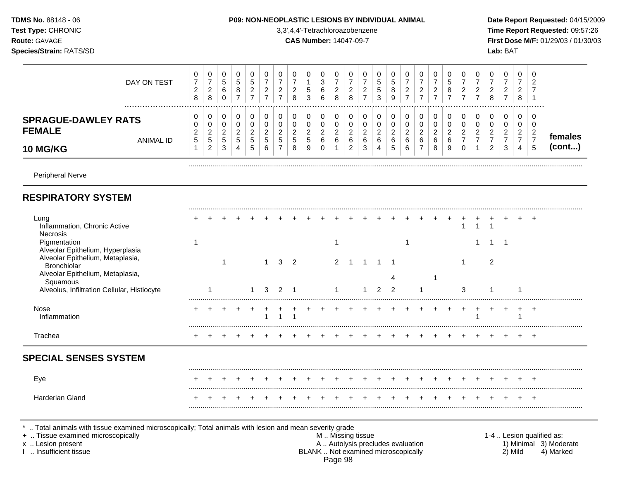### **TDMS No.** 88148 - 06 **P09: NON-NEOPLASTIC LESIONS BY INDIVIDUAL ANIMAL Date Report Requested:** 04/15/2009

.........................................................................................................................................................................................................

**Test Type:** CHRONIC 3,3',4,4'-Tetrachloroazobenzene **Time Report Requested:** 09:57:26 **Route:** GAVAGE **CAS Number:** 14047-09-7 **First Dose M/F:** 01/29/03 / 01/30/03

| DAY ON TEST                                                                 | ີ<br>O        | ◠<br><u>.</u><br>8                             | 5<br>6<br>v                               | b.<br>8                           | υ<br><sub>5</sub><br>າ<br>_      | 0<br>റ<br><u>_</u>         | 0<br>ົ<br>∼           | υ<br>$\sim$<br>8           | U<br>.5<br>3               | 0<br>ົ<br>دت<br>6<br>6 | U<br><u>_</u><br>8                 | U                      | ັ<br>5<br>ົ  | U<br>∽<br>N<br>8<br>9                | ◡<br>າ<br>_<br>– | 0<br>ົ<br>∠                | 0<br>C<br><u>_</u>                | U<br>ა<br>8                | U<br><u>_</u>           | U<br>ົ<br><u>_</u> | υ<br>ົ<br><u>_</u><br>8 | - C<br>Ξ. | 0<br>-<br>ົ<br><u>.</u><br>8 | 0 |                   |
|-----------------------------------------------------------------------------|---------------|------------------------------------------------|-------------------------------------------|-----------------------------------|----------------------------------|----------------------------|-----------------------|----------------------------|----------------------------|------------------------|------------------------------------|------------------------|--------------|--------------------------------------|------------------|----------------------------|-----------------------------------|----------------------------|-------------------------|--------------------|-------------------------|-----------|------------------------------|---|-------------------|
| <b>SPRAGUE-DAWLEY RATS</b><br><b>FEMALE</b><br>ANIMAL ID<br><b>10 MG/KG</b> | <u>_</u><br>G | 0<br>0<br>ົ<br>$\epsilon$<br><sub>5</sub><br>ົ | υ<br>$\sim$<br>$\sim$<br>∼<br>5<br>$\sim$ | U<br>$\sim$<br><u>_</u><br>5<br>4 | υ<br>υ<br>◠<br>_<br>đ<br>∽<br>ັບ | 0<br>0<br>◠<br>▵<br>ა<br>6 | 0<br>0<br>ົ<br>∼<br>G | υ<br>υ<br>◠<br>∼<br>G<br>8 | U<br>U<br>ົ<br>∼<br>৩<br>9 | 0<br>$\sim$<br>6<br>υ  | U<br><sup>o</sup><br><u>.</u><br>6 | 0<br>U<br>ົ<br>6<br>-0 | ⌒<br>-6<br>4 | U<br>∩<br>U<br>ົ<br>$\sim$<br>6<br>5 | າ<br>_<br>R<br>6 | 0<br>0<br>ົ<br>∠<br>6<br>– | 0<br>0<br>ົ<br><u>_</u><br>6<br>8 | υ<br>U<br>ົ<br>∠<br>6<br>9 | U<br>ν<br>ົ<br><u>_</u> | 0<br>υ<br>ົ<br>∼   | υ<br>ົ<br>∼<br>ົ        | 2<br>3    | 0<br>0<br>ົ<br>▵<br>⇁<br>4   | 0 | temales<br>(cont) |

Peripheral Nerve

# **RESPIRATORY SYSTEM**

|  |  |   | 3 | 2 |  | 2 |  |  |  |  |   |  |  |  |
|--|--|---|---|---|--|---|--|--|--|--|---|--|--|--|
|  |  |   |   |   |  |   |  |  |  |  |   |  |  |  |
|  |  | 3 | 2 |   |  |   |  |  |  |  | 3 |  |  |  |
|  |  |   |   |   |  |   |  |  |  |  |   |  |  |  |
|  |  |   |   |   |  |   |  |  |  |  |   |  |  |  |
|  |  |   |   |   |  |   |  |  |  |  |   |  |  |  |
|  |  |   |   |   |  |   |  |  |  |  |   |  |  |  |
|  |  |   |   |   |  |   |  |  |  |  |   |  |  |  |
|  |  |   |   |   |  |   |  |  |  |  |   |  |  |  |

\* .. Total animals with tissue examined microscopically; Total animals with lesion and mean severity grade

+ .. Tissue examined microscopically M .. Missing tissue 1-4 .. Lesion qualified as: x .. Lesion present **A .. Autolysis precludes evaluation** A .. Autolysis precludes evaluation 1) Minimal 3) Moderate I .. Insufficient tissue BLANK .. Not examined microscopically 2) Mild 4) Marked Page 98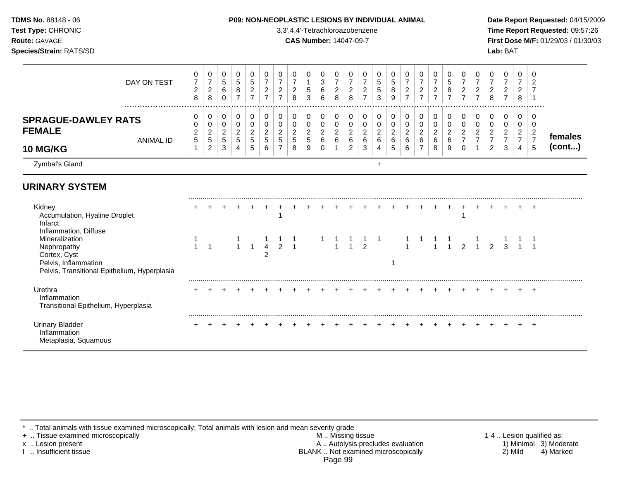#### **TDMS No.** 88148 - 06 **P09: NON-NEOPLASTIC LESIONS BY INDIVIDUAL ANIMAL Date Report Requested:** 04/15/2009

**Test Type:** CHRONIC 3,3',4,4'-Tetrachloroazobenzene **Time Report Requested:** 09:57:26 **Route:** GAVAGE **CAS Number:** 14047-09-7 **First Dose M/F:** 01/29/03 / 01/30/03

| DAY ON TEST                                                                     | 0<br>$\overline{7}$<br>$\overline{2}$<br>8 | 0<br>$\overline{\phantom{a}}$<br>2<br>8 | 0<br>5<br>6<br>0      | 0<br>5<br>8<br>$\overline{\phantom{a}}$ | 0<br>5<br>$\overline{2}$<br>$\overline{ }$ | 0<br>⇁<br>$\overline{2}$<br>$\overline{ }$ | 0<br>2<br>7                   | 0<br>⇁<br>2<br>8      | 0<br>5<br>3           | 0<br>3<br>6<br>6                   | 0<br>$\overline{ }$<br>$\overline{\mathbf{c}}$<br>8 | 0<br>$\overline{ }$<br>2<br>8      | 0<br>$\overline{ }$<br>2<br>$\overline{\phantom{a}}$ | $\mathbf 0$<br>5<br>5<br>3    | 0<br>5<br>8<br>9                   | 0<br>$\overline{\phantom{a}}$<br>2<br>$\overline{\phantom{a}}$ | 0<br>⇁<br>$\overline{2}$<br>⇁      | 0<br>⇁<br>$\overline{\mathbf{c}}$<br>$\overline{ }$ | 0<br>5<br>8<br>⇁           | 0<br>2<br>$\overline{ }$           | 0<br>⇁<br>$\overline{c}$<br>$\overline{\phantom{a}}$ | 0<br>⇁<br>$\overline{2}$<br>8                   | 0<br>⇁<br>2<br>$\overline{ }$      | 0<br>2<br>8                   | 0<br>n                                  |                         |
|---------------------------------------------------------------------------------|--------------------------------------------|-----------------------------------------|-----------------------|-----------------------------------------|--------------------------------------------|--------------------------------------------|-------------------------------|-----------------------|-----------------------|------------------------------------|-----------------------------------------------------|------------------------------------|------------------------------------------------------|-------------------------------|------------------------------------|----------------------------------------------------------------|------------------------------------|-----------------------------------------------------|----------------------------|------------------------------------|------------------------------------------------------|-------------------------------------------------|------------------------------------|-------------------------------|-----------------------------------------|-------------------------|
| <br><b>SPRAGUE-DAWLEY RATS</b><br><b>FEMALE</b><br>ANIMAL ID<br><b>10 MG/KG</b> | 0<br>0<br>$\overline{\mathbf{c}}$<br>5     | 0<br>0<br>2<br>5<br>2                   | 0<br>0<br>2<br>5<br>3 | $\mathbf 0$<br>0<br>2<br>5<br>4         | 0<br>0<br>$\overline{2}$<br>5<br>5         | 0<br>0<br>2<br>5<br>6                      | 0<br>$\overline{2}$<br>5<br>⇁ | 0<br>0<br>2<br>5<br>8 | 0<br>0<br>2<br>5<br>9 | 0<br>0<br>$\overline{2}$<br>6<br>0 | 0<br>0<br>2<br>6                                    | 0<br>0<br>$\overline{c}$<br>6<br>2 | 0<br>0<br>2<br>6<br>3                                | 0<br>$\overline{c}$<br>6<br>4 | 0<br>0<br>$\overline{2}$<br>6<br>5 | 0<br>0<br>2<br>6<br>6                                          | 0<br>0<br>$\overline{2}$<br>6<br>⇁ | 0<br>0<br>$\overline{2}$<br>6<br>8                  | 0<br>0<br>◠<br>∠<br>6<br>9 | 0<br>0<br>$\overline{c}$<br>-<br>0 | 0<br>0<br>$\overline{2}$<br>$\overline{ }$           | 0<br>0<br>$\overline{2}$<br>⇁<br>$\overline{2}$ | 0<br>0<br>2<br>$\overline{ }$<br>3 | 0<br>0<br>$\overline{2}$<br>4 | .<br>0<br>0<br>$\overline{2}$<br>-<br>5 | females<br>$($ cont $)$ |
| Zymbal's Gland                                                                  |                                            |                                         |                       |                                         |                                            |                                            |                               |                       |                       |                                    |                                                     |                                    |                                                      | $\ddot{}$                     |                                    |                                                                |                                    |                                                     |                            |                                    |                                                      |                                                 |                                    |                               |                                         |                         |
| <b>URINARY SYSTEM</b>                                                           |                                            |                                         |                       |                                         |                                            |                                            |                               |                       |                       |                                    |                                                     |                                    |                                                      |                               |                                    |                                                                |                                    |                                                     |                            |                                    |                                                      |                                                 |                                    |                               |                                         |                         |
| Kidney<br>Accumulation, Hyaline Droplet<br>Infarct                              |                                            |                                         |                       |                                         | $+$                                        |                                            |                               |                       |                       |                                    |                                                     |                                    |                                                      |                               |                                    |                                                                | $+$                                | $+$                                                 |                            |                                    | $\pm$                                                | $+$                                             |                                    | $+$                           | $+$                                     |                         |

| Inflammation, Diffuse<br>Mineralization<br>Nephropathy<br>Cortex, Cyst<br>Pelvis, Inflammation<br>Pelvis, Transitional Epithelium, Hyperplasia |  |  | 4<br>◠ | $\mathcal{P}$ | $\overline{1}$ |  | -1 | $1\quad 2$ |  |  |  | $\mathcal{P}$ |  |  |  |  |
|------------------------------------------------------------------------------------------------------------------------------------------------|--|--|--------|---------------|----------------|--|----|------------|--|--|--|---------------|--|--|--|--|
| Urethra<br>Inflammation<br>Transitional Epithelium, Hyperplasia                                                                                |  |  |        |               |                |  |    |            |  |  |  |               |  |  |  |  |
| <b>Urinary Bladder</b><br>Inflammation<br>Metaplasia, Squamous                                                                                 |  |  |        |               |                |  |    |            |  |  |  |               |  |  |  |  |

\* .. Total animals with tissue examined microscopically; Total animals with lesion and mean severity grade

+ .. Tissue examined microscopically M .. Missing tissue 1-4 .. Lesion qualified as: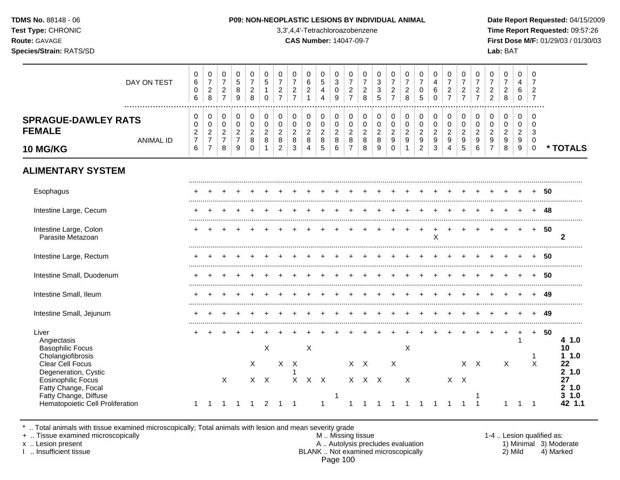| <b>TDMS No. 88148 - 06</b>     |
|--------------------------------|
| <b>Test Type: CHRONIC</b>      |
| <b>Route: GAVAGE</b>           |
| <b>Species/Strain: RATS/SD</b> |

#### P09: NON-NEOPLASTIC LESIONS BY INDIVIDUAL ANIMAL

3,3',4,4'-Tetrachloroazobenzene

**CAS Number: 14047-09-7** 

Date Report Requested: 04/15/2009 Time Report Requested: 09:57:26 First Dose M/F: 01/29/03 / 01/30/03 Lab: BAT

| DAY ON TEST                                                                                | 0<br>6<br>0<br>$\,6\,$                 | $\,0\,$<br>$\boldsymbol{7}$<br>$\overline{2}$<br>8 | $\,0\,$<br>$\boldsymbol{7}$<br>$\overline{2}$<br>$\overline{7}$ | $\mathbf 0$<br>$\sqrt{5}$<br>$\,8\,$<br>9                  | 0<br>$\overline{7}$<br>$\overline{c}$<br>8        | 0<br>$\sqrt{5}$<br>$\mathbf{1}$<br>$\mathbf 0$          | 0<br>$\overline{7}$<br>$\boldsymbol{2}$<br>$\overline{7}$ | $\pmb{0}$<br>$\overline{7}$<br>$\boldsymbol{2}$<br>$\overline{7}$ | $\mathbf 0$<br>$\,6\,$<br>$\boldsymbol{2}$<br>$\overline{1}$ | 0<br>$\sqrt{5}$<br>$\overline{4}$<br>$\overline{4}$ | 0<br>$\sqrt{3}$<br>$\mathbf 0$<br>9       | 0<br>$\overline{7}$<br>$\overline{c}$<br>$\overline{7}$ | 0<br>$\boldsymbol{7}$<br>$\overline{c}$<br>8 | $\pmb{0}$<br>$\sqrt{3}$<br>$\sqrt{3}$<br>$\overline{5}$    | 0<br>$\overline{7}$<br>$\overline{c}$<br>$\overline{7}$        | $\pmb{0}$<br>$\boldsymbol{7}$<br>$\overline{c}$<br>8 | 0<br>$\overline{7}$<br>$\mathbf 0$<br>5                | 0<br>4<br>6<br>$\Omega$       | 0<br>$\overline{7}$<br>$\sqrt{2}$<br>$\overline{7}$        | 0<br>$\overline{7}$<br>$\overline{c}$<br>$\overline{7}$            | 0<br>$\overline{7}$<br>$\overline{c}$<br>$\overline{7}$ | 0<br>$\overline{7}$<br>$\overline{c}$<br>$\overline{c}$ | 0<br>$\overline{7}$<br>$\overline{a}$<br>8 | $\Omega$<br>4<br>6<br>$\mathbf 0$        | 0<br>7<br>$\overline{c}$<br>$\overline{7}$ |    |                           |
|--------------------------------------------------------------------------------------------|----------------------------------------|----------------------------------------------------|-----------------------------------------------------------------|------------------------------------------------------------|---------------------------------------------------|---------------------------------------------------------|-----------------------------------------------------------|-------------------------------------------------------------------|--------------------------------------------------------------|-----------------------------------------------------|-------------------------------------------|---------------------------------------------------------|----------------------------------------------|------------------------------------------------------------|----------------------------------------------------------------|------------------------------------------------------|--------------------------------------------------------|-------------------------------|------------------------------------------------------------|--------------------------------------------------------------------|---------------------------------------------------------|---------------------------------------------------------|--------------------------------------------|------------------------------------------|--------------------------------------------|----|---------------------------|
| <b>SPRAGUE-DAWLEY RATS</b><br><b>FEMALE</b><br><b>ANIMAL ID</b>                            | 0<br>0<br>$\sqrt{2}$<br>$\overline{7}$ | 0<br>$\mathbf 0$<br>$\sqrt{2}$<br>$\overline{7}$   | $\,0\,$<br>0<br>$\overline{a}$<br>$\overline{7}$                | $\mathbf 0$<br>$\mathbf 0$<br>$\sqrt{2}$<br>$\overline{7}$ | $\pmb{0}$<br>$\mathbf 0$<br>$\boldsymbol{2}$<br>8 | $\pmb{0}$<br>$\mathbf 0$<br>$\boldsymbol{2}$<br>$\,8\,$ | 0<br>$\mathbf 0$<br>$\sqrt{2}$<br>8                       | $\mathbf 0$<br>$\mathbf 0$<br>$\sqrt{2}$<br>$\bf 8$               | 0<br>$\pmb{0}$<br>$\sqrt{2}$<br>$\bf 8$                      | 0<br>$\mathbf 0$<br>$\boldsymbol{2}$<br>8           | 0<br>$\mathbf 0$<br>$\sqrt{2}$<br>$\bf 8$ | 0<br>$\mathbf 0$<br>$\sqrt{2}$<br>$\,8\,$               | 0<br>0<br>$\overline{a}$<br>8                | $\pmb{0}$<br>$\mathbf 0$<br>$\sqrt{2}$<br>$\boldsymbol{8}$ | $\pmb{0}$<br>$\mathbf 0$<br>$\overline{a}$<br>$\boldsymbol{9}$ | 0<br>0<br>$\sqrt{2}$<br>$\boldsymbol{9}$             | 0<br>$\mathbf 0$<br>$\overline{c}$<br>$\boldsymbol{9}$ | 0<br>0<br>$\overline{c}$<br>9 | $\pmb{0}$<br>$\mathbf 0$<br>$\sqrt{2}$<br>$\boldsymbol{9}$ | $\mathbf 0$<br>$\mathbf 0$<br>$\boldsymbol{2}$<br>$\boldsymbol{9}$ | 0<br>$\mathbf 0$<br>$\overline{c}$<br>$\boldsymbol{9}$  | 0<br>$\mathbf 0$<br>$\overline{c}$<br>$\boldsymbol{9}$  | 0<br>0<br>$\overline{2}$<br>9              | 0<br>$\mathbf{0}$<br>$\overline{2}$<br>9 | $\Omega$<br>$\Omega$<br>3<br>0             |    |                           |
| 10 MG/KG                                                                                   | 6                                      | $\overline{7}$                                     | 8                                                               | 9                                                          | $\Omega$                                          |                                                         | $\overline{2}$                                            | 3                                                                 | $\overline{4}$                                               | 5                                                   | 6                                         | $\overline{7}$                                          | 8                                            | 9                                                          | $\Omega$                                                       |                                                      | $\overline{2}$                                         | 3                             | $\overline{4}$                                             | 5                                                                  | 6                                                       | $\overline{7}$                                          | 8                                          | 9                                        | $\mathbf 0$                                |    | * TOTALS                  |
| <b>ALIMENTARY SYSTEM</b>                                                                   |                                        |                                                    |                                                                 |                                                            |                                                   |                                                         |                                                           |                                                                   |                                                              |                                                     |                                           |                                                         |                                              |                                                            |                                                                |                                                      |                                                        |                               |                                                            |                                                                    |                                                         |                                                         |                                            |                                          |                                            |    |                           |
| Esophagus                                                                                  |                                        |                                                    |                                                                 |                                                            |                                                   |                                                         |                                                           |                                                                   |                                                              |                                                     |                                           |                                                         |                                              |                                                            |                                                                |                                                      |                                                        |                               |                                                            |                                                                    |                                                         |                                                         |                                            |                                          |                                            | 50 |                           |
| Intestine Large, Cecum                                                                     |                                        |                                                    |                                                                 |                                                            |                                                   |                                                         |                                                           |                                                                   |                                                              |                                                     |                                           |                                                         |                                              |                                                            |                                                                |                                                      |                                                        |                               |                                                            |                                                                    |                                                         |                                                         |                                            |                                          |                                            | 48 |                           |
| Intestine Large, Colon<br>Parasite Metazoan                                                |                                        |                                                    |                                                                 |                                                            |                                                   |                                                         |                                                           |                                                                   |                                                              |                                                     |                                           |                                                         |                                              |                                                            |                                                                |                                                      |                                                        | Х                             |                                                            |                                                                    |                                                         |                                                         |                                            |                                          | $\div$                                     | 50 | 2                         |
| Intestine Large, Rectum                                                                    |                                        |                                                    |                                                                 |                                                            |                                                   |                                                         |                                                           |                                                                   |                                                              |                                                     |                                           |                                                         |                                              |                                                            |                                                                |                                                      |                                                        |                               |                                                            |                                                                    |                                                         |                                                         |                                            |                                          |                                            | 50 |                           |
| Intestine Small, Duodenum                                                                  |                                        |                                                    |                                                                 |                                                            |                                                   |                                                         |                                                           |                                                                   |                                                              |                                                     |                                           |                                                         |                                              |                                                            |                                                                |                                                      |                                                        |                               |                                                            |                                                                    |                                                         |                                                         |                                            |                                          |                                            | 50 |                           |
| Intestine Small, Ileum                                                                     |                                        |                                                    |                                                                 |                                                            |                                                   |                                                         |                                                           |                                                                   |                                                              |                                                     |                                           |                                                         |                                              |                                                            |                                                                |                                                      |                                                        |                               |                                                            |                                                                    |                                                         |                                                         |                                            |                                          |                                            | 49 |                           |
| Intestine Small, Jejunum                                                                   |                                        |                                                    |                                                                 |                                                            |                                                   |                                                         |                                                           |                                                                   |                                                              |                                                     |                                           |                                                         |                                              |                                                            |                                                                |                                                      |                                                        |                               |                                                            |                                                                    |                                                         |                                                         |                                            |                                          |                                            | 49 |                           |
| Liver<br>Angiectasis<br><b>Basophilic Focus</b>                                            |                                        |                                                    |                                                                 |                                                            |                                                   | X                                                       |                                                           |                                                                   | $\boldsymbol{\mathsf{X}}$                                    |                                                     |                                           |                                                         |                                              |                                                            |                                                                | X                                                    |                                                        |                               |                                                            |                                                                    |                                                         |                                                         | $\ddot{}$                                  | $\ddot{}$<br>$\overline{\mathbf{1}}$     | $+$                                        | 50 | 4 1.0<br>10               |
| Cholangiofibrosis<br>Clear Cell Focus<br>Degeneration, Cystic<br><b>Eosinophilic Focus</b> |                                        |                                                    | $\mathsf{X}$                                                    |                                                            | X                                                 | $X$ $X$                                                 | $\mathsf X$                                               | X                                                                 | X X X                                                        |                                                     |                                           | $\mathsf{X}$                                            | $\mathsf{X}$<br>X X X                        |                                                            | X                                                              | X                                                    |                                                        |                               |                                                            | $X$ $X$                                                            | $X$ $X$                                                 |                                                         | X                                          |                                          | 1<br>X                                     |    | 1.0<br>22<br>2, 1.0<br>27 |
| Fatty Change, Focal<br>Fatty Change, Diffuse<br>Hematopoietic Cell Proliferation           | $\mathbf 1$                            |                                                    | 1                                                               |                                                            | 1                                                 | 2                                                       |                                                           | $\overline{1}$                                                    |                                                              | $\mathbf 1$                                         | -1                                        | 1                                                       |                                              | -1                                                         | 1                                                              |                                                      |                                                        |                               |                                                            |                                                                    |                                                         |                                                         |                                            | -1                                       | $\mathbf 1$                                |    | 21.0<br>1.0<br>42 1.1     |

\* .. Total animals with tissue examined microscopically; Total animals with lesion and mean severity grade<br>+ .. Tissue examined microscopically

x .. Lesion present

I .. Insufficient tissue

A .. Autolysis precludes evaluation<br>BLANK .. Not examined microscopically Page 100

1-4 .. Lesion qualified as: 1) Minimal 3) Moderate  $2)$  Mild 4) Marked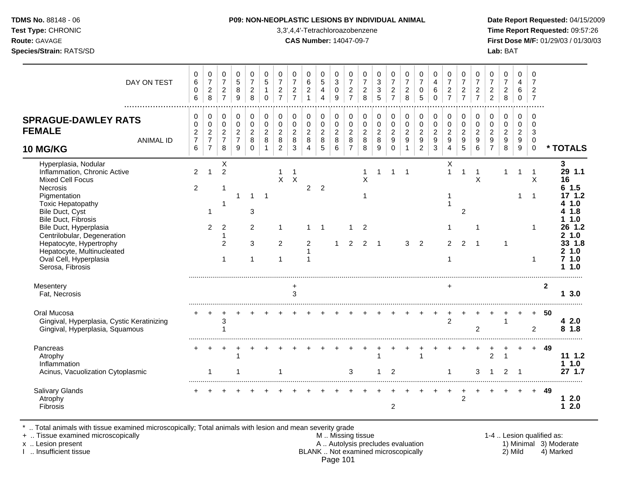#### **TDMS No.** 88148 - 06 **P09: NON-NEOPLASTIC LESIONS BY INDIVIDUAL ANIMAL Date Report Requested:** 04/15/2009

**Test Type:** CHRONIC 3,3',4,4'-Tetrachloroazobenzene **Time Report Requested:** 09:57:26 **Route:** GAVAGE **CAS Number:** 14047-09-7 **First Dose M/F:** 01/29/03 / 01/30/03 **Species/Strain:** RATS/SD **Lab:** BAT

| DAY ON TEST                                                                                                                                                                                                                                                                                                                                              | 0<br>$\,6\,$<br>$\mathbf 0$<br>6                          | 0<br>$\overline{7}$<br>$\overline{c}$<br>8                           | 0<br>$\overline{7}$<br>$\boldsymbol{2}$<br>$\overline{7}$                 | 0<br>$\sqrt{5}$<br>8<br>9                                 | 0<br>$\overline{7}$<br>$\overline{2}$<br>8                    | 0<br>5<br>$\mathbf{1}$<br>$\Omega$                  | 0<br>$\overline{7}$<br>$\overline{c}$<br>$\overline{7}$           | 0<br>$\overline{7}$<br>$\overline{c}$<br>$\overline{7}$ | 0<br>6<br>$\overline{c}$<br>$\mathbf{1}$                  | 0<br>$\overline{5}$<br>4<br>4                  | 0<br>3<br>0<br>9                                  | 0<br>$\overline{7}$<br>$\sqrt{2}$<br>$\overline{7}$         | 0<br>$\overline{7}$<br>$\overline{c}$<br>8   | 0<br>$\mathfrak{Z}$<br>$\mathbf{3}$<br>5     | 0<br>$\overline{7}$<br>$\overline{2}$<br>$\overline{7}$               | 0<br>$\overline{7}$<br>$\overline{c}$<br>8            | 0<br>$\overline{7}$<br>$\mathbf 0$<br>5                   | 0<br>$\overline{\mathbf{4}}$<br>6<br>$\mathbf 0$                       | 0<br>$\overline{7}$<br>$\overline{c}$<br>$\overline{7}$     | 0<br>$\overline{7}$<br>$\boldsymbol{2}$<br>$\overline{7}$ | 0<br>$\overline{7}$<br>$\overline{2}$<br>$\overline{7}$ | 0<br>$\overline{7}$<br>$\boldsymbol{2}$<br>$\overline{2}$      | 0<br>$\overline{7}$<br>$\sqrt{2}$<br>8            | 0<br>$\overline{4}$<br>6<br>$\mathbf 0$      | 0<br>$\overline{7}$<br>$\overline{2}$<br>$\overline{7}$ |                |                                                                                                                                   |
|----------------------------------------------------------------------------------------------------------------------------------------------------------------------------------------------------------------------------------------------------------------------------------------------------------------------------------------------------------|-----------------------------------------------------------|----------------------------------------------------------------------|---------------------------------------------------------------------------|-----------------------------------------------------------|---------------------------------------------------------------|-----------------------------------------------------|-------------------------------------------------------------------|---------------------------------------------------------|-----------------------------------------------------------|------------------------------------------------|---------------------------------------------------|-------------------------------------------------------------|----------------------------------------------|----------------------------------------------|-----------------------------------------------------------------------|-------------------------------------------------------|-----------------------------------------------------------|------------------------------------------------------------------------|-------------------------------------------------------------|-----------------------------------------------------------|---------------------------------------------------------|----------------------------------------------------------------|---------------------------------------------------|----------------------------------------------|---------------------------------------------------------|----------------|-----------------------------------------------------------------------------------------------------------------------------------|
| <b>SPRAGUE-DAWLEY RATS</b><br><b>FEMALE</b><br><b>ANIMAL ID</b><br>10 MG/KG                                                                                                                                                                                                                                                                              | 0<br>$\mathbf 0$<br>$\overline{c}$<br>$\overline{7}$<br>6 | 0<br>$\pmb{0}$<br>$\overline{2}$<br>$\overline{7}$<br>$\overline{7}$ | 0<br>$\mathbf 0$<br>$\sqrt{2}$<br>$\overline{7}$<br>8                     | 0<br>$\mathbf 0$<br>$\overline{c}$<br>$\overline{7}$<br>9 | $\mathbf 0$<br>$\mathbf 0$<br>$\overline{2}$<br>8<br>$\Omega$ | 0<br>$\Omega$<br>$\overline{2}$<br>8<br>$\mathbf 1$ | $\mathbf 0$<br>$\pmb{0}$<br>$\overline{c}$<br>8<br>$\overline{2}$ | 0<br>$\mathbf 0$<br>$\overline{2}$<br>8<br>$\mathbf{3}$ | 0<br>$\mathsf 0$<br>$\overline{c}$<br>8<br>$\overline{4}$ | 0<br>$\mathbf 0$<br>$\boldsymbol{2}$<br>8<br>5 | 0<br>0<br>$\boldsymbol{2}$<br>8<br>$6\phantom{1}$ | 0<br>$\mathbf 0$<br>$\sqrt{2}$<br>$\,8\,$<br>$\overline{7}$ | 0<br>$\mathbf 0$<br>$\overline{2}$<br>8<br>8 | 0<br>$\pmb{0}$<br>$\boldsymbol{2}$<br>8<br>9 | 0<br>$\pmb{0}$<br>$\boldsymbol{2}$<br>$\boldsymbol{9}$<br>$\mathbf 0$ | 0<br>$\pmb{0}$<br>$\overline{c}$<br>9<br>$\mathbf{1}$ | 0<br>$\mathsf 0$<br>$\overline{2}$<br>9<br>$\overline{2}$ | 0<br>$\pmb{0}$<br>$\overline{c}$<br>$\boldsymbol{9}$<br>$\mathfrak{S}$ | 0<br>$\pmb{0}$<br>$\overline{2}$<br>9<br>$\overline{4}$     | $\mathbf 0$<br>$\mathbf 0$<br>$\overline{c}$<br>9<br>5    | $\mathbf 0$<br>$\mathbf 0$<br>$\overline{2}$<br>9<br>6  | 0<br>0<br>$\overline{c}$<br>$\boldsymbol{9}$<br>$\overline{7}$ | 0<br>0<br>$\overline{2}$<br>$\boldsymbol{9}$<br>8 | 0<br>$\mathbf 0$<br>$\overline{2}$<br>9<br>9 | 0<br>$\mathbf 0$<br>3<br>0<br>$\pmb{0}$                 |                | * TOTALS                                                                                                                          |
| Hyperplasia, Nodular<br>Inflammation, Chronic Active<br><b>Mixed Cell Focus</b><br><b>Necrosis</b><br>Pigmentation<br>Toxic Hepatopathy<br>Bile Duct, Cyst<br><b>Bile Duct, Fibrosis</b><br>Bile Duct, Hyperplasia<br>Centrilobular, Degeneration<br>Hepatocyte, Hypertrophy<br>Hepatocyte, Multinucleated<br>Oval Cell, Hyperplasia<br>Serosa, Fibrosis | $\overline{2}$<br>$\overline{2}$                          | 1<br>$\overline{2}$                                                  | X<br>$\overline{2}$<br>1<br>1<br>2<br>1<br>$\overline{2}$<br>$\mathbf{1}$ | 1                                                         | $\mathbf{1}$<br>3<br>2<br>3<br>$\mathbf{1}$                   | $\mathbf 1$                                         | 1<br>$\mathsf{X}$<br>1<br>$\overline{2}$<br>$\mathbf{1}$          | -1<br>$\boldsymbol{\mathsf{X}}$                         | $\overline{c}$<br>1<br>2<br>1                             | $\overline{2}$<br>$\overline{\mathbf{1}}$      | 1                                                 | 1<br>2                                                      | 1<br>$\sf X$<br>2<br>2                       | $\overline{1}$<br>-1                         | 1                                                                     | $\mathbf 1$<br>3                                      | 2                                                         |                                                                        | X<br>$\mathbf{1}$<br>$\mathbf{1}$<br>1<br>2<br>$\mathbf{1}$ | 2<br>2                                                    | $\overline{1}$<br>$\boldsymbol{\mathsf{X}}$<br>-1<br>-1 |                                                                | 1                                                 | -1                                           | X<br>$\overline{1}$<br>-1<br>$\mathbf 1$                |                | 3<br>29 1.1<br>16<br>6 1.5<br>17 1.2<br>1.0<br>1.8<br>1.0<br>26 1.2<br>$\mathbf{2}$<br>1.0<br>33 1.8<br>21.0<br>71.0<br>1.0<br>1. |
| Mesentery<br>Fat, Necrosis                                                                                                                                                                                                                                                                                                                               |                                                           |                                                                      |                                                                           |                                                           |                                                               |                                                     |                                                                   | 3                                                       |                                                           |                                                |                                                   |                                                             |                                              |                                              |                                                                       |                                                       |                                                           |                                                                        | $\ddot{}$                                                   |                                                           |                                                         |                                                                |                                                   |                                              |                                                         | $\overline{2}$ | 3.0<br>1                                                                                                                          |
| Oral Mucosa<br>Gingival, Hyperplasia, Cystic Keratinizing<br>Gingival, Hyperplasia, Squamous                                                                                                                                                                                                                                                             |                                                           |                                                                      | 3                                                                         |                                                           |                                                               |                                                     |                                                                   |                                                         |                                                           |                                                |                                                   |                                                             |                                              |                                              |                                                                       |                                                       |                                                           |                                                                        | $\overline{c}$                                              |                                                           | 2                                                       |                                                                | 1                                                 |                                              | $+$<br>2                                                | 50             | 42.0<br>81.8                                                                                                                      |
| Pancreas<br>Atrophy<br>Inflammation<br>Acinus, Vacuolization Cytoplasmic                                                                                                                                                                                                                                                                                 |                                                           |                                                                      |                                                                           | 1                                                         |                                                               |                                                     |                                                                   |                                                         |                                                           |                                                |                                                   | 3                                                           |                                              | -1                                           | $\overline{2}$                                                        |                                                       |                                                           |                                                                        | $\mathbf 1$                                                 |                                                           | 3                                                       | $\overline{2}$<br>-1                                           | 2                                                 | -1                                           | $\ddot{}$                                               | 49             | 111.2<br>11.0<br>27, 1.7                                                                                                          |
| Salivary Glands<br>Atrophy<br><b>Fibrosis</b>                                                                                                                                                                                                                                                                                                            |                                                           |                                                                      |                                                                           |                                                           |                                                               |                                                     |                                                                   |                                                         |                                                           |                                                |                                                   |                                                             |                                              |                                              | $\overline{c}$                                                        |                                                       |                                                           |                                                                        |                                                             | $\overline{2}$                                            |                                                         |                                                                |                                                   |                                              |                                                         | 49             | 2.0<br>1<br>2.0<br>1                                                                                                              |

\* .. Total animals with tissue examined microscopically; Total animals with lesion and mean severity grade

+ .. Tissue examined microscopically M .. Missing tissue 1-4 .. Lesion qualified as: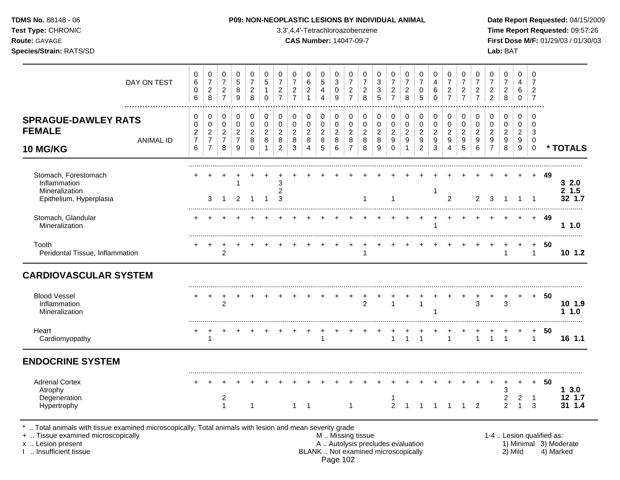| TDMS No. 88148 - 06<br>Test Type: CHRONIC<br>Route: GAVAGE<br>Species/Strain: RATS/SD |                                                                 |                                                                      |                                                           | P09: NON-NEOPLASTIC LESIONS BY INDIVIDUAL ANIMAL<br>3,3',4,4'-Tetrachloroazobenzene<br><b>CAS Number: 14047-09-7</b><br>0<br>$\mathbf 0$<br>$\pmb{0}$<br>0<br>$\mathbf 0$<br>0<br>0<br>$\mathbf 0$<br>$\mathbf 0$<br>0<br>0<br>$\mathbf 0$<br>0<br>0 |                                                           |                                                       |                                                           |                                                             |                                                                 |                                                        |                                                                 |                                                                        |                                                      |                                                      |                                                        |                                                                                |                                                           |                                                       |                                                                   |                                                                     |                                                                       | Lab: BAT                                                            |                                                                    |                                                           |                                                         | Date Report Requested: 04/15/2009<br>Time Report Requested: 09:57:26<br>First Dose M/F: 01/29/03 / 01/30/03 |                          |
|---------------------------------------------------------------------------------------|-----------------------------------------------------------------|----------------------------------------------------------------------|-----------------------------------------------------------|------------------------------------------------------------------------------------------------------------------------------------------------------------------------------------------------------------------------------------------------------|-----------------------------------------------------------|-------------------------------------------------------|-----------------------------------------------------------|-------------------------------------------------------------|-----------------------------------------------------------------|--------------------------------------------------------|-----------------------------------------------------------------|------------------------------------------------------------------------|------------------------------------------------------|------------------------------------------------------|--------------------------------------------------------|--------------------------------------------------------------------------------|-----------------------------------------------------------|-------------------------------------------------------|-------------------------------------------------------------------|---------------------------------------------------------------------|-----------------------------------------------------------------------|---------------------------------------------------------------------|--------------------------------------------------------------------|-----------------------------------------------------------|---------------------------------------------------------|-------------------------------------------------------------------------------------------------------------|--------------------------|
| DAY ON TEST<br>                                                                       | $\mathbf 0$<br>$\,6\,$<br>0<br>$\,6\,$                          | 0<br>$\overline{7}$<br>$\boldsymbol{2}$<br>8                         | $\overline{7}$<br>$\overline{c}$<br>$\overline{7}$        | $\sqrt{5}$<br>8<br>9                                                                                                                                                                                                                                 | $\overline{7}$<br>$\overline{c}$<br>8                     | 5<br>$\mathbf{1}$<br>$\mathbf 0$                      | $\overline{7}$<br>$\boldsymbol{2}$<br>$\overline{7}$      | $\overline{7}$<br>$\frac{2}{7}$                             | $\,6\,$<br>$\boldsymbol{2}$<br>$\mathbf{1}$                     | $\overline{5}$<br>$\overline{4}$<br>$\overline{4}$     | $\sqrt{3}$<br>$\pmb{0}$<br>9                                    | $\overline{7}$<br>$\frac{2}{7}$                                        | $\overline{7}$<br>$\boldsymbol{2}$<br>8              | $\sqrt{3}$<br>$\sqrt{3}$<br>$\overline{5}$           | $\overline{7}$<br>$\boldsymbol{2}$<br>$\overline{7}$   | $\overline{7}$<br>$\boldsymbol{2}$<br>$\bf8$                                   | $\mathbf 0$<br>$\overline{7}$<br>0<br>5                   | $\mathbf 0$<br>$\overline{4}$<br>$\,6$<br>$\mathbf 0$ | 0<br>$\overline{7}$<br>$\boldsymbol{2}$<br>$\overline{7}$         | 0<br>$\overline{7}$<br>$\boldsymbol{2}$<br>$\overline{7}$           | $\mathbf 0$<br>$\overline{7}$<br>$\frac{2}{7}$                        | $\mathbf 0$<br>$\overline{7}$<br>$\boldsymbol{2}$<br>$\overline{2}$ | 0<br>$\overline{7}$<br>$\boldsymbol{2}$<br>8                       | 0<br>$\overline{4}$<br>6<br>$\mathbf 0$                   | 0<br>$\overline{7}$<br>$\overline{2}$<br>$\overline{7}$ |                                                                                                             |                          |
| <b>SPRAGUE-DAWLEY RATS</b><br><b>FEMALE</b><br><b>ANIMAL ID</b><br>10 MG/KG           | 0<br>$\Omega$<br>$\overline{\mathbf{c}}$<br>$\overline{7}$<br>6 | 0<br>$\pmb{0}$<br>$\overline{c}$<br>$\overline{7}$<br>$\overline{7}$ | 0<br>$\mathbf 0$<br>$\overline{c}$<br>$\overline{7}$<br>8 | $\mathbf 0$<br>$\mathsf 0$<br>$\overline{a}$<br>$\overline{7}$<br>9                                                                                                                                                                                  | $\pmb{0}$<br>$\pmb{0}$<br>$\overline{2}$<br>8<br>$\Omega$ | $\mathbf 0$<br>$\pmb{0}$<br>$\overline{c}$<br>8<br>-1 | 0<br>$\mathbf 0$<br>$\overline{c}$<br>8<br>$\overline{c}$ | $\mathbf 0$<br>$\pmb{0}$<br>$\sqrt{2}$<br>8<br>$\mathbf{3}$ | $\pmb{0}$<br>$\pmb{0}$<br>$\overline{2}$<br>8<br>$\overline{4}$ | $\mathbf 0$<br>$\mathbf 0$<br>$\overline{c}$<br>8<br>5 | 0<br>$\mathbf 0$<br>$\overline{c}$<br>$\,8\,$<br>$6\phantom{a}$ | $\mathbf 0$<br>$\pmb{0}$<br>$\overline{c}$<br>$\bf8$<br>$\overline{7}$ | $\mathbf 0$<br>$\pmb{0}$<br>$\overline{c}$<br>8<br>8 | $\mathbf 0$<br>$\pmb{0}$<br>$\overline{c}$<br>8<br>9 | 0<br>$\mathsf 0$<br>$\overline{2}$<br>9<br>$\mathbf 0$ | 0<br>$\mathsf{O}\xspace$<br>$\overline{c}$<br>$\boldsymbol{9}$<br>$\mathbf{1}$ | 0<br>$\mathsf 0$<br>$\overline{2}$<br>9<br>$\overline{2}$ | $\mathbf 0$<br>0<br>$\overline{c}$<br>9<br>3          | $\mathbf 0$<br>$\pmb{0}$<br>$\overline{c}$<br>9<br>$\overline{4}$ | $\mathbf 0$<br>$\mathsf 0$<br>$\overline{a}$<br>9<br>$\overline{5}$ | $\mathbf 0$<br>$\mathbf 0$<br>$\sqrt{2}$<br>$\overline{9}$<br>$\,6\,$ | $\mathbf 0$<br>$\mathbf 0$<br>$\overline{2}$<br>9<br>$\overline{7}$ | $\mathbf 0$<br>$\Omega$<br>$\overline{c}$<br>$\boldsymbol{9}$<br>8 | $\mathbf 0$<br>0<br>$\overline{c}$<br>9<br>$\overline{9}$ | $\Omega$<br>$\Omega$<br>3<br>0<br>$\mathbf 0$           |                                                                                                             | * TOTALS                 |
| Stomach, Forestomach<br>Inflammation<br>Mineralization<br>Epithelium, Hyperplasia     |                                                                 | 3                                                                    | $\mathbf 1$                                               | 1<br>$\overline{2}$                                                                                                                                                                                                                                  | $\overline{1}$                                            | $\overline{1}$                                        | 3<br>$\overline{c}$<br>3                                  |                                                             |                                                                 |                                                        |                                                                 |                                                                        | $\mathbf{1}$                                         |                                                      | $\mathbf{1}$                                           |                                                                                |                                                           | 1                                                     | $\overline{2}$                                                    |                                                                     | 2                                                                     | 3                                                                   | $\overline{1}$                                                     | $\overline{1}$                                            | $\overline{1}$                                          | 49                                                                                                          | 32.0<br>2, 1.5<br>32 1.7 |
| Stomach, Glandular<br>Mineralization                                                  |                                                                 |                                                                      |                                                           |                                                                                                                                                                                                                                                      |                                                           |                                                       |                                                           |                                                             |                                                                 |                                                        |                                                                 |                                                                        |                                                      |                                                      |                                                        |                                                                                |                                                           | 1                                                     |                                                                   |                                                                     |                                                                       |                                                                     |                                                                    |                                                           |                                                         | + 49                                                                                                        | 11.0                     |
| Tooth<br>Peridontal Tissue, Inflammation                                              |                                                                 | $\ddot{}$                                                            | 2                                                         |                                                                                                                                                                                                                                                      |                                                           |                                                       |                                                           |                                                             |                                                                 |                                                        |                                                                 |                                                                        | 1                                                    |                                                      |                                                        |                                                                                |                                                           |                                                       |                                                                   |                                                                     |                                                                       |                                                                     | -1                                                                 |                                                           | $\ddot{}$<br>$\mathbf{1}$                               | 50                                                                                                          | $10 \t1.2$               |
| <b>CARDIOVASCULAR SYSTEM</b>                                                          |                                                                 |                                                                      |                                                           |                                                                                                                                                                                                                                                      |                                                           |                                                       |                                                           |                                                             |                                                                 |                                                        |                                                                 |                                                                        |                                                      |                                                      |                                                        |                                                                                |                                                           |                                                       |                                                                   |                                                                     |                                                                       |                                                                     |                                                                    |                                                           |                                                         |                                                                                                             |                          |
| <b>Blood Vessel</b><br>Inflammation<br>Mineralization                                 |                                                                 |                                                                      | $\overline{c}$                                            |                                                                                                                                                                                                                                                      |                                                           |                                                       |                                                           |                                                             |                                                                 |                                                        |                                                                 | $+$                                                                    | $\overline{2}$                                       |                                                      | $\mathbf{1}$                                           |                                                                                | $\mathbf{1}$                                              | 1                                                     |                                                                   |                                                                     | 3                                                                     |                                                                     | 3                                                                  | $+$                                                       | $+$                                                     | 50                                                                                                          | 10 1.9<br>11.0           |
| Heart<br>Cardiomyopathy                                                               |                                                                 | 1                                                                    |                                                           |                                                                                                                                                                                                                                                      |                                                           |                                                       |                                                           |                                                             |                                                                 | $\overline{\mathbf{1}}$                                |                                                                 |                                                                        |                                                      |                                                      | $\mathbf{1}$                                           | $\mathbf{1}$                                                                   | $\ddot{}$<br>$\overline{1}$                               |                                                       | $\overline{1}$                                                    |                                                                     | $\overline{1}$                                                        | $\mathbf{1}$                                                        | $\overline{1}$                                                     |                                                           | $\mathbf{1}$                                            | 50                                                                                                          | 16 1.1                   |
| <b>ENDOCRINE SYSTEM</b>                                                               |                                                                 |                                                                      |                                                           |                                                                                                                                                                                                                                                      |                                                           |                                                       |                                                           |                                                             |                                                                 |                                                        |                                                                 |                                                                        |                                                      |                                                      |                                                        |                                                                                |                                                           |                                                       |                                                                   |                                                                     |                                                                       |                                                                     |                                                                    |                                                           |                                                         |                                                                                                             |                          |
| <b>Adrenal Cortex</b><br>Atrophy<br>Degeneration<br>Hypertrophy                       |                                                                 |                                                                      | 2<br>$\mathbf{1}$                                         |                                                                                                                                                                                                                                                      | $\mathbf{1}$                                              |                                                       |                                                           | $\mathbf{1}$                                                | $\overline{1}$                                                  |                                                        |                                                                 | $\mathbf{1}$                                                           |                                                      |                                                      | 1<br>2                                                 | $\overline{1}$                                                                 | $\mathbf{1}$                                              | $\mathbf{1}$                                          | $\overline{1}$                                                    | $\overline{1}$                                                      | $\overline{2}$                                                        |                                                                     | 3<br>2<br>2                                                        | $\overline{c}$<br>$\mathbf{1}$                            | $\overline{1}$<br>3                                     | 50                                                                                                          | 13.0<br>12 1.7<br>31 1.4 |

.. Total animals with tissue examined microscopically; Total animals with lesion and mean severity grade<br>Tissue examined microscopically diesty be animals with lesion and mean severity grade.

+ .. Tissue examined microscopically M.. Missing tissue M.. Missing tissue 1-4 .. Lesion qualified as:<br>
This insufficient tissue 1-4 .. Lesion present A .. Autolysis precludes evaluation A .. Autolysis precludes evaluatio x .. Lesion present **A .. Autolysis precludes evaluation** A .. Autolysis precludes evaluation 1) Minimal 3) Moderate I .. Insufficient tissue BLANK .. Not examined microscopically 2) Mild 4) Marked Page 102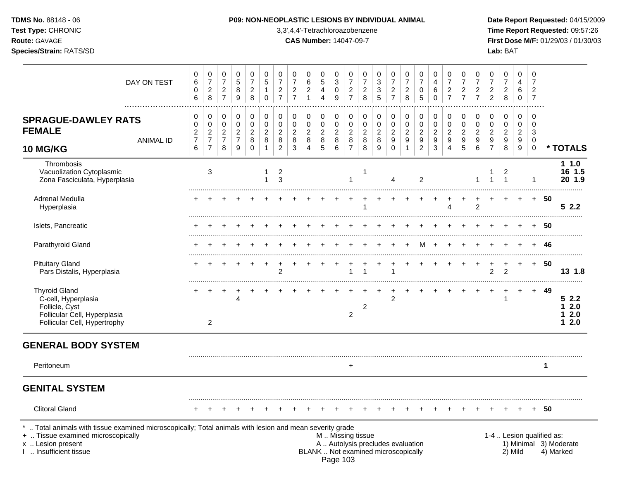Thrombosis **1 1.0** Vacuolization Cytoplasmic 3 1 2 1 1 2 **16 1.5** Zona Fasciculata, Hyperplasia 1 3 1 4 2 1 1 1 1 **20 1.9** ......................................................................................................................................................................................................... Adrenal Medulla + + + + + + + + + + + + + + + + + + + + + + + + + **50** Hyperplasia 1 4 2 **5 2.2** ......................................................................................................................................................................................................... Islets, Pancreatic + + + + + + + + + + + + + + + + + + + + + + + + + **50** ......................................................................................................................................................................................................... Parathyroid Gland + + + + + + + + + + + + + + + + M + + + + + + + + **46** ......................................................................................................................................................................................................... Pituitary Gland + + + + + + + + + + + + + + + + + + + + + + + + + **50** Pars Distalis, Hyperplasia 2 1 1 1 2 2 **13 1.8** ......................................................................................................................................................................................................... Thyroid Gland + + + + + + + + + + + + + + + + + + + + + + + + + **49** C-cell, Hyperplasia 4 2 1 **5 2.2** Follicle, Cyst 2 **1 2.0** Follicular Cell, Hyperplasia 2 **1 2.0** Follicular Cell, Hypertrophy **GENERAL BODY SYSTEM** ......................................................................................................................................................................................................... Peritoneum + **1 GENITAL SYSTEM** ......................................................................................................................................................................................................... Clitoral Gland + + + + + + + + + + + + + + + + + + + + + + + + + **50 Test Type:** CHRONIC 3,3',4,4'-Tetrachloroazobenzene **Time Report Requested:** 09:57:26 **Route:** GAVAGE **CAS Number:** 14047-09-7 **First Dose M/F:** 01/29/03 / 01/30/03 **Species/Strain:** RATS/SD **Lab:** BAT DAY ON TEST  $\overline{7}$   $\bar{7}$   $\Omega$  ................................................................................................................................................................. **SPRAGUE-DAWLEY RATS FEMALE** ANIMAL ID **10 MG/KG**  $\Omega$  **\* TOTALS** .. Total animals with tissue examined microscopically; Total animals with lesion and mean severity grade + .. Tissue examined microscopically examined microscopically and the state of the state of the M .. Missing tissue the M .. Missing tissue the matrix of the M .. Missing tissue the matrix of the M .. Lesion qualified as: x .. Lesion present 1) Minimal 3) Moderate<br>A .. Autolysis precludes evaluation 1 and 1) Minimal 3) Moderate<br>BLANK .. Not examined microscopically 1 and 1) Minimal 3) Marked BLANK .. Not examined microscopically

**TDMS No.** 88148 - 06 **P09: NON-NEOPLASTIC LESIONS BY INDIVIDUAL ANIMAL Date Report Requested:** 04/15/2009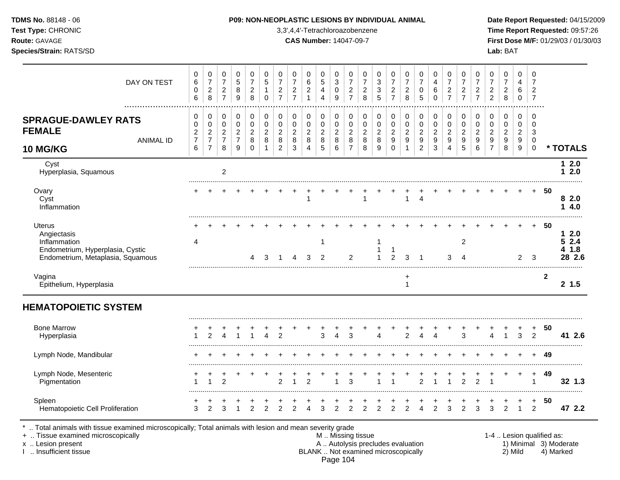| Test Type: CHRONIC<br>Route: GAVAGE<br>Species/Strain: RATS/SD                                                 |                                                                  |                                                                                       |                                                         |                                                               |                                                   |                                                       |                                                               |                                                                  |                                                   | 3,3',4,4'-Tetrachloroazobenzene<br><b>CAS Number: 14047-09-7</b> |                                                      |                                                                      |                                                           |                                                          |                                                         |                                               |                                                                   |                                                                          |                                                            |                                                           |                                                                          |                                                                                  | Lab: BAT                                                                  |                                              |                                                      |              | Time Report Requested: 09:57:26<br>First Dose M/F: 01/29/03 / 01/30/03 |
|----------------------------------------------------------------------------------------------------------------|------------------------------------------------------------------|---------------------------------------------------------------------------------------|---------------------------------------------------------|---------------------------------------------------------------|---------------------------------------------------|-------------------------------------------------------|---------------------------------------------------------------|------------------------------------------------------------------|---------------------------------------------------|------------------------------------------------------------------|------------------------------------------------------|----------------------------------------------------------------------|-----------------------------------------------------------|----------------------------------------------------------|---------------------------------------------------------|-----------------------------------------------|-------------------------------------------------------------------|--------------------------------------------------------------------------|------------------------------------------------------------|-----------------------------------------------------------|--------------------------------------------------------------------------|----------------------------------------------------------------------------------|---------------------------------------------------------------------------|----------------------------------------------|------------------------------------------------------|--------------|------------------------------------------------------------------------|
| DAY ON TEST<br>                                                                                                | 0<br>6<br>$\mathbf 0$<br>6                                       | 0<br>$\overline{7}$<br>$\overline{c}$<br>8                                            | 0<br>$\overline{7}$<br>$\overline{c}$<br>$\overline{7}$ | 0<br>$\sqrt{5}$<br>$\bf8$<br>9                                | 0<br>$\overline{7}$<br>$\sqrt{2}$<br>8            | $\mathbf 0$<br>$\sqrt{5}$<br>$\mathbf{1}$<br>$\Omega$ | 0<br>$\overline{7}$<br>$\boldsymbol{2}$<br>$\overline{7}$     | 0<br>$\overline{7}$<br>$\overline{\mathbf{c}}$<br>$\overline{7}$ | 0<br>6<br>$\overline{\mathbf{c}}$<br>$\mathbf{1}$ | 0<br>5<br>4<br>$\overline{4}$                                    | $\mathbf 0$<br>$\sqrt{3}$<br>$\pmb{0}$<br>9          | 0<br>$\overline{7}$<br>$\overline{c}$<br>$\overline{7}$              | $\mathbf 0$<br>$\overline{7}$<br>$\boldsymbol{2}$<br>8    | 0<br>$\mathbf{3}$<br>$\ensuremath{\mathsf{3}}$<br>5      | 0<br>$\overline{7}$<br>$\overline{c}$<br>$\overline{7}$ | 0<br>$\overline{7}$<br>$\overline{c}$<br>8    | 0<br>$\overline{7}$<br>0<br>5                                     | 0<br>$\overline{4}$<br>$\,6\,$<br>$\Omega$                               | 0<br>$\overline{7}$<br>$\sqrt{2}$<br>$\overline{7}$        | 0<br>$\overline{7}$<br>$\boldsymbol{2}$<br>$\overline{7}$ | 0<br>$\overline{7}$<br>$rac{2}{7}$                                       | 0<br>$\overline{7}$<br>$\overline{c}$<br>$\overline{2}$                          | 0<br>$\overline{7}$<br>$\overline{\mathbf{c}}$<br>8                       | $\mathbf 0$<br>4<br>6<br>$\mathbf 0$         | $\mathbf 0$<br>7<br>$\overline{c}$<br>$\overline{7}$ |              |                                                                        |
| <b>SPRAGUE-DAWLEY RATS</b><br><b>FEMALE</b><br><b>ANIMAL ID</b><br><b>10 MG/KG</b>                             | $\pmb{0}$<br>0<br>$\overline{\mathbf{c}}$<br>$\overline{7}$<br>6 | $\pmb{0}$<br>$\pmb{0}$<br>$\overline{c}$<br>$\overline{\mathbf{7}}$<br>$\overline{7}$ | 0<br>0<br>$\overline{a}$<br>$\overline{7}$<br>8         | $\,0\,$<br>$\pmb{0}$<br>$\overline{c}$<br>$\overline{7}$<br>9 | $\pmb{0}$<br>0<br>$\overline{2}$<br>8<br>$\Omega$ | 0<br>$\pmb{0}$<br>$\overline{2}$<br>8                 | 0<br>$\pmb{0}$<br>$\overline{2}$<br>$\bf 8$<br>$\overline{2}$ | $\pmb{0}$<br>$\mathbf 0$<br>$\overline{c}$<br>$\bf 8$<br>3       | 0<br>0<br>$\overline{c}$<br>8<br>4                | $\pmb{0}$<br>0<br>$\overline{c}$<br>8<br>5                       | $\pmb{0}$<br>$\pmb{0}$<br>$\sqrt{2}$<br>$\bf 8$<br>6 | $\pmb{0}$<br>$\pmb{0}$<br>$\overline{c}$<br>$\bf8$<br>$\overline{7}$ | 0<br>$\mathsf{O}\xspace$<br>$\overline{2}$<br>$\bf8$<br>8 | $\pmb{0}$<br>$\pmb{0}$<br>$\overline{c}$<br>$\,8\,$<br>9 | 0<br>$\pmb{0}$<br>$\overline{c}$<br>9<br>$\Omega$       | $\pmb{0}$<br>$\pmb{0}$<br>$\overline{c}$<br>9 | $\pmb{0}$<br>$\mathbf 0$<br>$\overline{a}$<br>9<br>$\overline{2}$ | 0<br>$\mathbf 0$<br>$\boldsymbol{2}$<br>$\boldsymbol{9}$<br>$\mathbf{3}$ | $\mathbf 0$<br>$\mathbf 0$<br>$\overline{2}$<br>$9\,$<br>4 | $\pmb{0}$<br>$\pmb{0}$<br>$\overline{c}$<br>9<br>5        | 0<br>$\mathbf 0$<br>$\overline{a}$<br>$\boldsymbol{9}$<br>$6\phantom{1}$ | $\pmb{0}$<br>$\mathbf 0$<br>$\overline{a}$<br>$\boldsymbol{9}$<br>$\overline{7}$ | $\pmb{0}$<br>$\mathbf 0$<br>$\overline{c}$<br>$\boldsymbol{9}$<br>$\,8\,$ | $\mathbf 0$<br>0<br>$\overline{2}$<br>9<br>9 | $\mathbf 0$<br>$\mathbf 0$<br>3<br>0<br>$\mathbf 0$  |              | * TOTALS                                                               |
| Cyst<br>Hyperplasia, Squamous                                                                                  |                                                                  |                                                                                       | $\overline{2}$                                          |                                                               |                                                   |                                                       |                                                               |                                                                  |                                                   |                                                                  |                                                      |                                                                      |                                                           |                                                          |                                                         |                                               |                                                                   |                                                                          |                                                            |                                                           |                                                                          |                                                                                  |                                                                           |                                              |                                                      |              | $12.0$<br>12.0                                                         |
| Ovary<br>Cyst<br>Inflammation                                                                                  |                                                                  |                                                                                       |                                                         |                                                               |                                                   |                                                       |                                                               |                                                                  | 1                                                 |                                                                  |                                                      |                                                                      | $\mathbf{1}$                                              |                                                          |                                                         | $\mathbf{1}$                                  | $\overline{4}$                                                    |                                                                          |                                                            |                                                           |                                                                          |                                                                                  |                                                                           |                                              |                                                      | + 50         | 82.0<br>14.0                                                           |
| Uterus<br>Angiectasis<br>Inflammation<br>Endometrium, Hyperplasia, Cystic<br>Endometrium, Metaplasia, Squamous | 4                                                                |                                                                                       |                                                         |                                                               |                                                   | 3                                                     |                                                               |                                                                  | 3                                                 | $\mathbf 1$<br>$\mathfrak{p}$                                    |                                                      | $\overline{2}$                                                       |                                                           | $\mathbf 1$<br>1<br>$\overline{1}$                       | -1<br>2                                                 | 3                                             |                                                                   |                                                                          | 3                                                          | $\overline{2}$                                            |                                                                          |                                                                                  |                                                                           | $\overline{2}$                               | 3                                                    | 50           | 12.0<br>52.4<br>4 1.8<br>28 2.6                                        |
| Vagina<br>Epithelium, Hyperplasia                                                                              |                                                                  |                                                                                       |                                                         |                                                               |                                                   |                                                       |                                                               |                                                                  |                                                   |                                                                  |                                                      |                                                                      |                                                           |                                                          |                                                         | +<br>$\mathbf{1}$                             |                                                                   |                                                                          |                                                            |                                                           |                                                                          |                                                                                  |                                                                           |                                              |                                                      | $\mathbf{2}$ | 2, 1.5                                                                 |
| <b>HEMATOPOIETIC SYSTEM</b>                                                                                    |                                                                  |                                                                                       |                                                         |                                                               |                                                   |                                                       |                                                               |                                                                  |                                                   |                                                                  |                                                      |                                                                      |                                                           |                                                          |                                                         |                                               |                                                                   |                                                                          |                                                            |                                                           |                                                                          |                                                                                  |                                                                           |                                              |                                                      |              |                                                                        |
| <b>Bone Marrow</b><br>Hyperplasia                                                                              |                                                                  | $\mathfrak{p}$                                                                        |                                                         |                                                               |                                                   |                                                       | $\mathcal{P}$                                                 |                                                                  |                                                   | 3                                                                | $\overline{4}$                                       | 3                                                                    |                                                           | $\overline{A}$                                           |                                                         | $\overline{2}$                                | 4                                                                 | 4                                                                        |                                                            | 3                                                         |                                                                          | 4                                                                                |                                                                           | 3                                            | 2                                                    | 50           | 41 2.6                                                                 |
| Lymph Node, Mandibular                                                                                         |                                                                  |                                                                                       |                                                         |                                                               |                                                   |                                                       |                                                               |                                                                  |                                                   |                                                                  |                                                      |                                                                      |                                                           |                                                          |                                                         |                                               |                                                                   |                                                                          |                                                            |                                                           |                                                                          |                                                                                  |                                                                           |                                              |                                                      | -49          |                                                                        |
| Lymph Node, Mesenteric<br>Pigmentation                                                                         |                                                                  | $\mathbf{1}$                                                                          | 2                                                       |                                                               |                                                   |                                                       | $\overline{2}$                                                | $\mathbf{1}$                                                     | $\overline{2}$                                    |                                                                  | $\overline{1}$                                       | 3                                                                    |                                                           |                                                          |                                                         |                                               | $\overline{2}$                                                    | $\overline{1}$                                                           | $\mathbf{1}$                                               | $\overline{2}$                                            | $\overline{2}$                                                           | $\overline{1}$                                                                   |                                                                           | $\ddot{}$                                    | $\overline{1}$                                       | 49           | 32 1.3                                                                 |
| Spleen<br>Hematopoietic Cell Proliferation                                                                     | 3                                                                | $\overline{2}$                                                                        | 3                                                       | $\overline{1}$                                                | $\overline{2}$                                    | $\mathcal{P}$                                         | $\overline{2}$                                                | $\overline{2}$                                                   | $\boldsymbol{\Lambda}$                            | 3                                                                | $\overline{2}$                                       | $\overline{2}$                                                       | $\overline{c}$                                            | $\mathfrak{p}$                                           | $\mathfrak{p}$                                          | $\overline{2}$                                | $\overline{4}$                                                    | $\overline{2}$                                                           | 3                                                          | $\mathfrak{p}$                                            | 3                                                                        | 3                                                                                | $\overline{c}$                                                            | $\mathbf{1}$                                 | $+$<br>$\overline{2}$                                | 50           | 47 2.2                                                                 |

**TDMS No.** 88148 - 06 **P09: NON-NEOPLASTIC LESIONS BY INDIVIDUAL ANIMAL Date Report Requested:** 04/15/2009

\* .. Total animals with tissue examined microscopically; Total animals with lesion and mean severity grade

+ .. Tissue examined microscopically M .. Missing tissue 1-4 .. Lesion qualified as: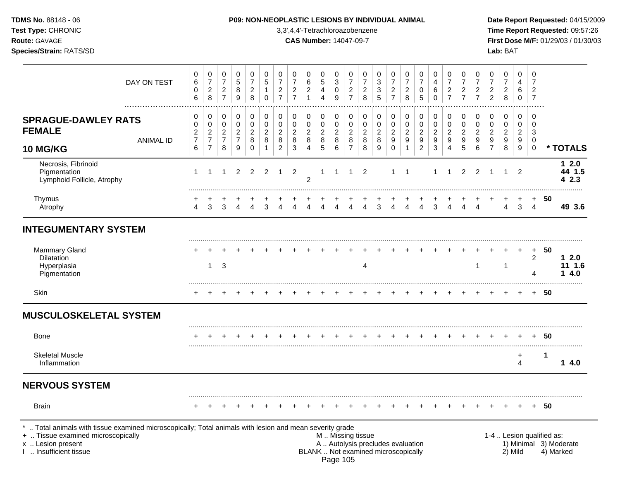| 0<br>6<br>$\pmb{0}$<br>6                              | 0<br>$\boldsymbol{7}$<br>$\overline{c}$<br>$\,8\,$ | 0<br>$\boldsymbol{7}$<br>$\sqrt{2}$<br>$\overline{7}$ | 0<br>$\mathbf 5$<br>$\bf8$<br>$\boldsymbol{9}$     | 0<br>$\overline{7}$<br>$\sqrt{2}$<br>8 | $\Omega$<br>$\sqrt{5}$<br>$\mathbf{1}$<br>$\Omega$ | 0<br>$\overline{7}$<br>$\sqrt{2}$<br>$\overline{7}$ | 0<br>$\overline{7}$<br>$\frac{2}{7}$    | 0<br>6<br>$\overline{a}$                | 0<br>$\,$ 5 $\,$<br>$\overline{\mathbf{4}}$<br>$\overline{4}$ | 0<br>$\ensuremath{\mathsf{3}}$<br>$\mathsf 0$<br>9 | 0<br>$\boldsymbol{7}$<br>$\boldsymbol{2}$<br>$\overline{7}$ | 0<br>$\overline{7}$<br>$\boldsymbol{2}$<br>8 | 0<br>3<br>3<br>5                        | 0<br>$\overline{7}$<br>$\boldsymbol{2}$<br>$\overline{7}$ | 0<br>$\overline{7}$<br>$\boldsymbol{2}$<br>8 | 0<br>$\overline{7}$<br>$\mathbf 0$<br>5 | 0<br>$\overline{4}$<br>6<br>$\Omega$    | 0<br>$\overline{7}$<br>$\overline{c}$<br>$\overline{7}$ | 0<br>$\overline{7}$<br>$\overline{c}$<br>$\overline{7}$ | 0<br>$\overline{7}$<br>$\frac{2}{7}$ | 0<br>$\boldsymbol{7}$<br>$\frac{2}{2}$ | 0<br>$\overline{7}$<br>$\sqrt{2}$<br>$\,8\,$ | 0<br>4<br>6<br>0              | $\mathbf 0$<br>7<br>$\overline{c}$<br>$\overline{7}$ |             |                                                                                                |
|-------------------------------------------------------|----------------------------------------------------|-------------------------------------------------------|----------------------------------------------------|----------------------------------------|----------------------------------------------------|-----------------------------------------------------|-----------------------------------------|-----------------------------------------|---------------------------------------------------------------|----------------------------------------------------|-------------------------------------------------------------|----------------------------------------------|-----------------------------------------|-----------------------------------------------------------|----------------------------------------------|-----------------------------------------|-----------------------------------------|---------------------------------------------------------|---------------------------------------------------------|--------------------------------------|----------------------------------------|----------------------------------------------|-------------------------------|------------------------------------------------------|-------------|------------------------------------------------------------------------------------------------|
| 0<br>0<br>$\overline{\mathbf{c}}$<br>$\boldsymbol{7}$ | 0<br>0<br>$\overline{c}$<br>$\overline{7}$         | 0<br>0<br>$\overline{c}$<br>$\overline{7}$            | 0<br>$\pmb{0}$<br>$\overline{c}$<br>$\overline{7}$ | 0<br>0<br>$\overline{c}$<br>8          | 0<br>$\mathbf 0$<br>$\boldsymbol{2}$<br>8          | 0<br>0<br>$\overline{c}$<br>8                       | 0<br>$\mathbf 0$<br>$\overline{c}$<br>8 | 0<br>$\mathbf 0$<br>$\overline{c}$<br>8 | 0<br>0<br>$\overline{c}$<br>8                                 | 0<br>$\mathsf 0$<br>$\overline{2}$<br>8            | 0<br>$\mathbf 0$<br>$\sqrt{2}$<br>8                         | 0<br>$\mathbf 0$<br>$\overline{2}$<br>8      | 0<br>$\mathbf 0$<br>$\overline{c}$<br>8 | 0<br>0<br>$\overline{c}$<br>9                             | 0<br>$\mathbf 0$<br>$\overline{c}$<br>9      | 0<br>0<br>$\overline{c}$<br>9           | 0<br>$\mathbf 0$<br>$\overline{2}$<br>9 | 0<br>0<br>$\overline{c}$<br>9                           | 0<br>$\mathbf 0$<br>$\overline{2}$<br>9                 | 0<br>0<br>$\overline{a}$<br>9        | 0<br>$\pmb{0}$<br>$\overline{c}$<br>9  | 0<br>$\mathbf 0$<br>$\sqrt{2}$<br>9          | 0<br>0<br>$\overline{c}$<br>9 | 0<br>0<br>3<br>0                                     |             | * TOTALS                                                                                       |
|                                                       |                                                    |                                                       |                                                    |                                        |                                                    |                                                     |                                         |                                         |                                                               |                                                    |                                                             |                                              |                                         |                                                           |                                              |                                         |                                         |                                                         |                                                         |                                      |                                        |                                              |                               |                                                      |             |                                                                                                |
| 1                                                     | -1                                                 | -1                                                    | 2                                                  | $\overline{2}$                         | 2                                                  | 1                                                   | $\overline{2}$                          | $\overline{c}$                          |                                                               | -1                                                 | $\overline{1}$                                              | 2                                            |                                         | 1                                                         | $\overline{\mathbf{1}}$                      |                                         | $\overline{1}$                          | 1                                                       | $\overline{2}$                                          | $\overline{2}$                       | $\overline{1}$                         | $\mathbf{1}$                                 | $\overline{2}$                |                                                      |             | $12.0$<br>44 1.5<br>42.3                                                                       |
|                                                       | 3                                                  | 3                                                     |                                                    |                                        |                                                    |                                                     |                                         |                                         |                                                               |                                                    | 4                                                           |                                              | 3                                       |                                                           |                                              |                                         |                                         |                                                         |                                                         | $\boldsymbol{\Lambda}$               |                                        | 4                                            | 3                             | $\ddot{}$<br>$\overline{4}$                          | 50          | 49 3.6                                                                                         |
|                                                       |                                                    |                                                       |                                                    |                                        |                                                    |                                                     |                                         |                                         |                                                               |                                                    |                                                             |                                              |                                         |                                                           |                                              |                                         |                                         |                                                         |                                                         |                                      |                                        |                                              |                               |                                                      |             |                                                                                                |
|                                                       | $\mathbf{1}$                                       | $\mathbf{3}$                                          |                                                    |                                        |                                                    |                                                     |                                         |                                         |                                                               |                                                    |                                                             | 4                                            |                                         |                                                           |                                              |                                         |                                         |                                                         |                                                         | $\mathbf{1}$                         |                                        | $\overline{1}$                               |                               | $+$<br>$\overline{2}$<br>4                           | 50          | 12.0<br>11 1.6<br>14.0                                                                         |
|                                                       |                                                    |                                                       |                                                    |                                        |                                                    |                                                     |                                         |                                         |                                                               |                                                    |                                                             |                                              |                                         |                                                           |                                              |                                         |                                         |                                                         |                                                         |                                      |                                        |                                              |                               |                                                      |             |                                                                                                |
|                                                       |                                                    |                                                       |                                                    |                                        |                                                    |                                                     |                                         |                                         |                                                               |                                                    |                                                             |                                              |                                         |                                                           |                                              |                                         |                                         |                                                         |                                                         |                                      |                                        |                                              |                               |                                                      |             |                                                                                                |
|                                                       |                                                    |                                                       |                                                    |                                        |                                                    |                                                     |                                         | $\ddot{}$                               | $\ddot{}$                                                     | $\ddot{}$                                          | $^+$                                                        |                                              | $\ddot{}$                               | $\ddot{}$                                                 | $\ddot{}$                                    | $\ddot{}$                               |                                         |                                                         |                                                         | $+$                                  | $^{+}$                                 | $\pm$                                        |                               |                                                      |             |                                                                                                |
|                                                       |                                                    |                                                       |                                                    |                                        |                                                    |                                                     |                                         |                                         |                                                               |                                                    |                                                             |                                              |                                         |                                                           |                                              |                                         |                                         |                                                         |                                                         |                                      |                                        |                                              | +<br>4                        |                                                      | -1          | 14.0                                                                                           |
|                                                       |                                                    |                                                       |                                                    |                                        |                                                    |                                                     |                                         |                                         |                                                               |                                                    |                                                             |                                              |                                         |                                                           |                                              |                                         |                                         |                                                         |                                                         |                                      |                                        |                                              |                               |                                                      |             |                                                                                                |
|                                                       |                                                    |                                                       |                                                    |                                        |                                                    |                                                     |                                         |                                         |                                                               |                                                    |                                                             |                                              |                                         |                                                           |                                              |                                         |                                         |                                                         |                                                         |                                      |                                        |                                              |                               |                                                      |             |                                                                                                |
|                                                       | 6                                                  | $\overline{7}$                                        | 8                                                  | 9                                      | $\Omega$                                           |                                                     | $\boldsymbol{2}$                        | 3                                       | 4                                                             | 5                                                  | 6                                                           | $\overline{7}$                               | <b>CAS Number: 14047-09-7</b><br>8      | 9                                                         | $\Omega$                                     | 3,3',4,4'-Tetrachloroazobenzene         | $\overline{2}$                          | 3                                                       | 4                                                       | 5                                    | $\,6\,$                                | $\overline{7}$                               | 8                             | Lab: BAT<br>9                                        | $\mathbf 0$ | Time Report Requested: 09:57:26<br>First Dose M/F: 01/29/03 / 01/30/03<br>+ 50<br>- 50<br>+ 50 |

I .. Insufficient tissue BLANK .. Not examined microscopically 2) Mild 4) Marked Page 105

### **TDMS No.** 88148 - 06 **P09: NON-NEOPLASTIC LESIONS BY INDIVIDUAL ANIMAL Date Report Requested:** 04/15/2009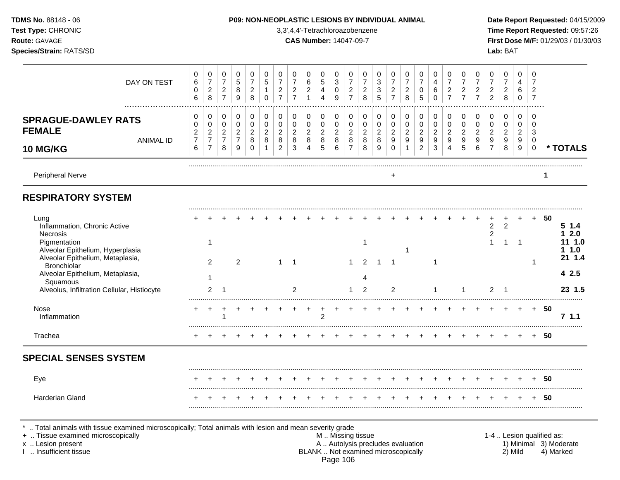| <b>TDMS No. 88148 - 06</b><br>Test Type: CHRONIC<br>Route: GAVAGE<br>Species/Strain: RATS/SD           |                                                   |                                                                        |                                                               |                                                                          |                                                            |                                                           | <b>P09: NON-NEOPLASTIC LESIONS BY INDIVIDUAL ANIMAL</b>                 |                                              | 3,3',4,4'-Tetrachloroazobenzene<br><b>CAS Number: 14047-09-7</b> |                                                              |                                                            |                                                           |                                            |                                                            |                                                                     |                                                                      |                                                 |                                                     |                                                                                |                                                         |                                                                     |                                                           | Lab: BAT                                                |                                    |                                            |     | Date Report Requested: 04/15/2009<br>Time Report Requested: 09:57:26<br>First Dose M/F: 01/29/03 / 01/30/03 |
|--------------------------------------------------------------------------------------------------------|---------------------------------------------------|------------------------------------------------------------------------|---------------------------------------------------------------|--------------------------------------------------------------------------|------------------------------------------------------------|-----------------------------------------------------------|-------------------------------------------------------------------------|----------------------------------------------|------------------------------------------------------------------|--------------------------------------------------------------|------------------------------------------------------------|-----------------------------------------------------------|--------------------------------------------|------------------------------------------------------------|---------------------------------------------------------------------|----------------------------------------------------------------------|-------------------------------------------------|-----------------------------------------------------|--------------------------------------------------------------------------------|---------------------------------------------------------|---------------------------------------------------------------------|-----------------------------------------------------------|---------------------------------------------------------|------------------------------------|--------------------------------------------|-----|-------------------------------------------------------------------------------------------------------------|
| DAY ON TEST                                                                                            | 0<br>6<br>0<br>6                                  | 0<br>$\overline{7}$<br>$\boldsymbol{2}$<br>8                           | 0<br>$\overline{7}$<br>$\overline{a}$<br>$\overline{7}$       | $\mathbf 0$<br>$\sqrt{5}$<br>8<br>$\boldsymbol{9}$                       | 0<br>$\overline{7}$<br>$\overline{c}$<br>8                 | $\mathbf 0$<br>$\sqrt{5}$<br>$\mathbf{1}$<br>$\mathbf 0$  | 0<br>$\boldsymbol{7}$<br>$\frac{2}{7}$                                  | 0<br>$\boldsymbol{7}$<br>$\frac{2}{7}$       | 0<br>6<br>$\overline{2}$<br>$\mathbf{1}$                         | 0<br>$\sqrt{5}$<br>$\overline{\mathbf{4}}$<br>$\overline{4}$ | 0<br>$\sqrt{3}$<br>$\pmb{0}$<br>$\overline{9}$             | 0<br>$\overline{7}$<br>$\frac{2}{7}$                      | 0<br>$\overline{7}$<br>$\overline{c}$<br>8 | 0<br>$\mathbf{3}$<br>$\sqrt{3}$<br>5                       | 0<br>$\overline{7}$<br>$\overline{\mathbf{c}}$<br>$\overline{7}$    | 0<br>$\boldsymbol{7}$<br>$\begin{array}{c} 2 \\ 8 \end{array}$       | 0<br>$\overline{7}$<br>0<br>5                   | 0<br>4<br>6<br>$\mathbf 0$                          | 0<br>$\overline{7}$<br>$\overline{c}$<br>$\overline{7}$                        | 0<br>$\overline{7}$<br>$\overline{a}$<br>$\overline{7}$ | 0<br>$\overline{7}$<br>$\overline{c}$<br>$\overline{7}$             | 0<br>$\overline{7}$<br>$\overline{c}$<br>$\overline{2}$   | 0<br>$\overline{7}$<br>$\boldsymbol{2}$<br>8            | 0<br>4<br>6<br>$\mathbf 0$         | 0<br>7<br>$\overline{2}$<br>$\overline{7}$ |     |                                                                                                             |
| .<br><b>SPRAGUE-DAWLEY RATS</b><br><b>FEMALE</b><br><b>ANIMAL ID</b><br><b>10 MG/KG</b>                | 0<br>0<br>$\overline{c}$<br>$\boldsymbol{7}$<br>6 | 0<br>$\pmb{0}$<br>$\boldsymbol{2}$<br>$\overline{7}$<br>$\overline{7}$ | 0<br>$\mathbf 0$<br>$\boldsymbol{2}$<br>$\boldsymbol{7}$<br>8 | $\pmb{0}$<br>$\pmb{0}$<br>$\overline{\mathbf{c}}$<br>$\overline{7}$<br>9 | $\pmb{0}$<br>$\mathbf 0$<br>$\sqrt{2}$<br>8<br>$\mathbf 0$ | $\pmb{0}$<br>$\mathsf{O}\xspace$<br>$\sqrt{2}$<br>$\bf 8$ | $\pmb{0}$<br>$\mathbf 0$<br>$\overline{c}$<br>$\,8\,$<br>$\overline{c}$ | 0<br>$\mathbf 0$<br>$\overline{c}$<br>8<br>3 | 0<br>0<br>$\overline{2}$<br>8<br>4                               | $\pmb{0}$<br>$\mathbf 0$<br>$\sqrt{2}$<br>8<br>5             | $\pmb{0}$<br>$\pmb{0}$<br>$\boldsymbol{2}$<br>$\bf 8$<br>6 | 0<br>$\pmb{0}$<br>$\boldsymbol{2}$<br>8<br>$\overline{7}$ | 0<br>$\pmb{0}$<br>$\overline{c}$<br>8<br>8 | $\pmb{0}$<br>$\pmb{0}$<br>$\boldsymbol{2}$<br>$\bf 8$<br>9 | 0<br>$\pmb{0}$<br>$\overline{a}$<br>$\boldsymbol{9}$<br>$\mathbf 0$ | 0<br>$\pmb{0}$<br>$\overline{c}$<br>$\boldsymbol{9}$<br>$\mathbf{1}$ | 0<br>0<br>$\overline{c}$<br>9<br>$\overline{2}$ | 0<br>0<br>$\boldsymbol{2}$<br>$\boldsymbol{9}$<br>3 | $\pmb{0}$<br>$\pmb{0}$<br>$\overline{c}$<br>$\boldsymbol{9}$<br>$\overline{4}$ | 0<br>$\pmb{0}$<br>$\sqrt{2}$<br>$\boldsymbol{9}$<br>5   | $\pmb{0}$<br>$\pmb{0}$<br>$\boldsymbol{2}$<br>$\boldsymbol{9}$<br>6 | 0<br>0<br>$\overline{c}$<br>9<br>$\overline{7}$           | 0<br>$\mathbf 0$<br>$\sqrt{2}$<br>$\boldsymbol{9}$<br>8 | 0<br>0<br>$\overline{c}$<br>9<br>9 | 0<br>$\mathbf 0$<br>3<br>0<br>$\mathbf 0$  |     | * TOTALS                                                                                                    |
| Peripheral Nerve                                                                                       |                                                   |                                                                        |                                                               |                                                                          |                                                            |                                                           |                                                                         |                                              |                                                                  |                                                              |                                                            |                                                           |                                            |                                                            | $\ddot{}$                                                           |                                                                      |                                                 |                                                     |                                                                                |                                                         |                                                                     |                                                           |                                                         |                                    |                                            | 1   |                                                                                                             |
| <b>RESPIRATORY SYSTEM</b>                                                                              |                                                   |                                                                        |                                                               |                                                                          |                                                            |                                                           |                                                                         |                                              |                                                                  |                                                              |                                                            |                                                           |                                            |                                                            |                                                                     |                                                                      |                                                 |                                                     |                                                                                |                                                         |                                                                     |                                                           |                                                         |                                    |                                            |     |                                                                                                             |
| Lung<br>Inflammation, Chronic Active<br>Necrosis<br>Pigmentation<br>Alveolar Epithelium, Hyperplasia   |                                                   | $\mathbf 1$                                                            |                                                               |                                                                          |                                                            |                                                           |                                                                         |                                              |                                                                  |                                                              |                                                            |                                                           | 1                                          |                                                            |                                                                     |                                                                      |                                                 |                                                     |                                                                                |                                                         |                                                                     | $\overline{2}$<br>$\overline{\mathbf{c}}$<br>$\mathbf{1}$ | $\overline{c}$<br>$\overline{1}$                        | - 1                                | $\ddot{}$                                  | 50  | $5 \t1.4$<br>12.0<br>11 1.0<br>11.0                                                                         |
| Alveolar Epithelium, Metaplasia,<br><b>Bronchiolar</b><br>Alveolar Epithelium, Metaplasia,<br>Squamous |                                                   | 2                                                                      |                                                               | 2                                                                        |                                                            |                                                           | 1                                                                       | - 1                                          |                                                                  |                                                              |                                                            | 1                                                         | 2<br>4                                     | -1                                                         | $\overline{\mathbf{1}}$                                             |                                                                      |                                                 |                                                     |                                                                                |                                                         |                                                                     |                                                           |                                                         |                                    |                                            |     | 21 1.4<br>4 2.5                                                                                             |
| Alveolus, Infiltration Cellular, Histiocyte                                                            |                                                   | $\overline{2}$                                                         |                                                               |                                                                          |                                                            |                                                           |                                                                         | 2                                            |                                                                  |                                                              |                                                            | 1                                                         | 2                                          |                                                            | $\overline{c}$                                                      |                                                                      |                                                 | $\mathbf 1$                                         |                                                                                |                                                         |                                                                     | $\overline{2}$                                            | $\overline{\phantom{0}}$ 1                              |                                    |                                            |     | 23 1.5                                                                                                      |
| Nose<br>Inflammation                                                                                   |                                                   |                                                                        |                                                               |                                                                          |                                                            |                                                           |                                                                         |                                              |                                                                  | 2                                                            |                                                            |                                                           |                                            |                                                            |                                                                     |                                                                      |                                                 |                                                     |                                                                                |                                                         |                                                                     |                                                           |                                                         |                                    | $+$                                        | 50  | 7.1.1                                                                                                       |
| Trachea                                                                                                | $\ddot{}$                                         |                                                                        |                                                               |                                                                          |                                                            |                                                           |                                                                         |                                              |                                                                  |                                                              |                                                            |                                                           |                                            |                                                            |                                                                     |                                                                      |                                                 |                                                     |                                                                                |                                                         |                                                                     |                                                           |                                                         | $\ddot{}$                          | $+$                                        | 50  |                                                                                                             |
| <b>SPECIAL SENSES SYSTEM</b>                                                                           |                                                   |                                                                        |                                                               |                                                                          |                                                            |                                                           |                                                                         |                                              |                                                                  |                                                              |                                                            |                                                           |                                            |                                                            |                                                                     |                                                                      |                                                 |                                                     |                                                                                |                                                         |                                                                     |                                                           |                                                         |                                    |                                            |     |                                                                                                             |
| Eye                                                                                                    |                                                   |                                                                        |                                                               |                                                                          |                                                            |                                                           |                                                                         |                                              |                                                                  |                                                              |                                                            |                                                           |                                            |                                                            |                                                                     |                                                                      |                                                 |                                                     |                                                                                |                                                         |                                                                     |                                                           |                                                         |                                    |                                            | -50 |                                                                                                             |
| Harderian Gland                                                                                        |                                                   |                                                                        |                                                               |                                                                          |                                                            |                                                           |                                                                         |                                              |                                                                  |                                                              |                                                            |                                                           |                                            |                                                            |                                                                     |                                                                      |                                                 |                                                     |                                                                                |                                                         |                                                                     |                                                           |                                                         |                                    |                                            | -50 |                                                                                                             |

I .. Insufficient tissue BLANK .. Not examined microscopically 2) Mild 4) Marked Page 106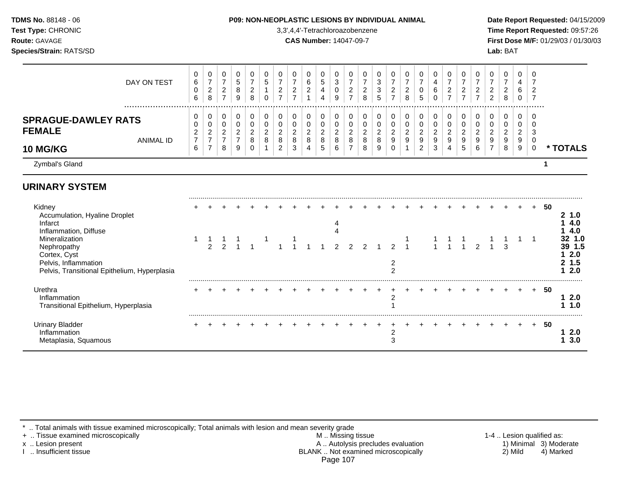#### **TDMS No.** 88148 - 06 **P09: NON-NEOPLASTIC LESIONS BY INDIVIDUAL ANIMAL Date Report Requested:** 04/15/2009

**Test Type:** CHRONIC 3,3',4,4'-Tetrachloroazobenzene **Time Report Requested:** 09:57:26 **Route:** GAVAGE **CAS Number:** 14047-09-7 **First Dose M/F:** 01/29/03 / 01/30/03

| DAY ON TEST                                                                                   | 0<br>6<br>0<br>6              | 0<br>$\overline{ }$<br>$\overline{2}$<br>8 | 0<br>$\overline{ }$<br>$\overline{2}$<br>$\overline{ }$ | 0<br>5<br>8<br>9                                | 0<br>$\overline{\phantom{a}}$<br>$\overline{\mathbf{c}}$<br>8 | 0<br>5<br>0      | $\mathbf 0$<br>$\overline{2}$ | $\mathbf 0$<br>⇁<br>◠<br>∠ | 0<br>6<br>ົ<br>∠           | 0<br>5<br>4<br>4      | 0<br>3<br>0<br>9      | 0<br>$\overline{z}$<br>$\overline{2}$<br>⇁ | 0<br>$\overline{\phantom{a}}$<br>2<br>8 | 0<br>3<br>3<br>5                   | $\overline{ }$<br>$\overline{c}$<br>⇁ | 0<br>$\overline{ }$<br>$\overline{2}$<br>8 | 0<br>$\overline{ }$<br>0<br>5 | 0<br>4<br>6                        | 0<br>$\overline{ }$<br>$\overline{2}$<br>$\overline{ }$ | 0<br>$\overline{ }$<br>2 | 0<br>2                | $\overline{ }$<br>$\sim$<br>∠<br>2 | 0<br>$\overline{ }$<br>$\overline{2}$<br>8 | 0<br>4<br>6<br>0      | 0<br>∠<br>$\overline{7}$ |    |                             |
|-----------------------------------------------------------------------------------------------|-------------------------------|--------------------------------------------|---------------------------------------------------------|-------------------------------------------------|---------------------------------------------------------------|------------------|-------------------------------|----------------------------|----------------------------|-----------------------|-----------------------|--------------------------------------------|-----------------------------------------|------------------------------------|---------------------------------------|--------------------------------------------|-------------------------------|------------------------------------|---------------------------------------------------------|--------------------------|-----------------------|------------------------------------|--------------------------------------------|-----------------------|--------------------------|----|-----------------------------|
| <br><b>SPRAGUE-DAWLEY RATS</b><br><b>FEMALE</b><br><b>ANIMAL ID</b><br><b>10 MG/KG</b>        | c<br>∠<br>$\overline{7}$<br>6 | 0<br>0<br>ົ<br>⇁                           | 0<br>0<br>2<br>$\overline{ }$<br>8                      | 0<br>0<br>$\overline{c}$<br>$\overline{ }$<br>9 | 0<br>0<br>2<br>8                                              | 0<br>0<br>2<br>8 | 0<br>0<br>C<br>8<br>2         | 0<br>ö<br>3                | 0<br>0<br>◠<br>∠<br>8<br>4 | 0<br>0<br>2<br>8<br>5 | 0<br>0<br>2<br>8<br>6 | 0<br>$\overline{\mathbf{c}}$<br>8          | 0<br>0<br>$\overline{c}$<br>8<br>8      | 0<br>0<br>$\overline{c}$<br>8<br>9 | 0<br>◠<br>∠<br>9                      | 0<br>0<br>2<br>9                           | 0<br>0<br>2<br>9<br>2         | 0<br>0<br>$\overline{2}$<br>9<br>3 | 0<br>0<br>$\overline{c}$<br>9<br>4                      | 0<br>ົ<br>9<br>5         | 0<br>ົ<br>∠<br>9<br>6 | 0<br>ົ<br>9<br>⇁                   | 0<br>0<br>2<br>9<br>8                      | 0<br>0<br>2<br>9<br>9 | .<br>0<br>دت<br>0        |    | <b>TOTALS</b>               |
| Zymbal's Gland                                                                                |                               |                                            |                                                         |                                                 |                                                               |                  |                               |                            |                            |                       |                       |                                            |                                         |                                    |                                       |                                            |                               |                                    |                                                         |                          |                       |                                    |                                            |                       |                          |    |                             |
| <b>URINARY SYSTEM</b>                                                                         |                               |                                            |                                                         |                                                 |                                                               |                  |                               |                            |                            |                       |                       |                                            |                                         |                                    |                                       |                                            |                               |                                    |                                                         |                          |                       |                                    |                                            |                       |                          |    |                             |
| Kidney<br>Accumulation, Hyaline Droplet<br>Infarct<br>Inflammation, Diffuse<br>Mineralization |                               |                                            |                                                         |                                                 |                                                               |                  |                               |                            |                            |                       | 4<br>4                |                                            |                                         |                                    |                                       |                                            |                               |                                    |                                                         |                          |                       |                                    |                                            |                       | $+$                      | 50 | 1.0<br>4.0<br>4.0<br>32 1.0 |

Nephropathy 2 2 1 1 1 1 1 1 2 2 2 1 2 1 1 1 1 2 1 3 **39 1.5** Cortex, Cyst **1 2.0**

| ------<br>Pelvis, Inflammation<br>Pelvis, Transitional Epithelium, Hyperplasia |  |  |  |  |             |  |  |   |  |  |  |  |  |      | : 1.5<br>2.0 |
|--------------------------------------------------------------------------------|--|--|--|--|-------------|--|--|---|--|--|--|--|--|------|--------------|
| Urethra<br>Inflammation<br>Transitional Epithelium, Hyperplasia                |  |  |  |  | $+ + + + +$ |  |  | ◠ |  |  |  |  |  | -50  | 2 O          |
| Urinary Bladder<br>Inflammation<br>Metaplasia, Squamous                        |  |  |  |  |             |  |  | ◠ |  |  |  |  |  | + 50 | 2 O          |

\* .. Total animals with tissue examined microscopically; Total animals with lesion and mean severity grade<br>+ .. Tissue examined microscopically

+ .. Tissue examined microscopically the state of the state of the M .. Missing tissue 1-4 .. Lesion qualified as:

x .. Lesion present A .. Autolysis precludes evaluation 1) Minimal 3) Moderate<br>I .. Insufficient tissue BLANK .. Not examined microscopically 2) M BLANK .. Not examined microscopically Page 107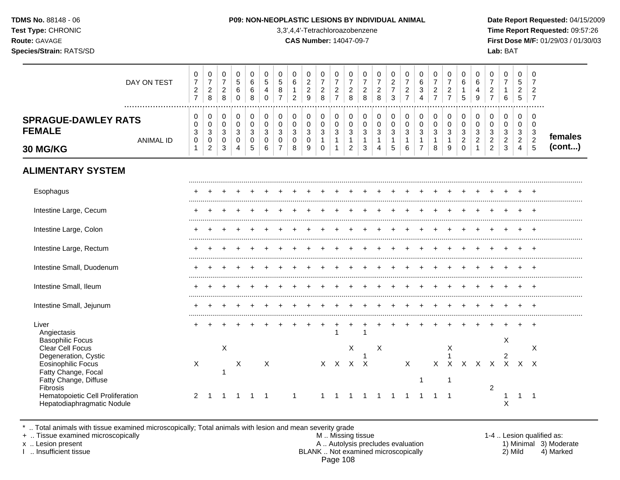| <b>TDMS No. 88148 - 06</b> |
|----------------------------|
| <b>Test Type: CHRONIC</b>  |
| <b>Route: GAVAGE</b>       |
| Species/Strain: RATS/SD    |

#### P09: NON-NEOPLASTIC LESIONS BY INDIVIDUAL ANIMAL

3,3',4,4'-Tetrachloroazobenzene

**CAS Number: 14047-09-7** 

Date Report Requested: 04/15/2009 Time Report Requested: 09:57:26 First Dose M/F: 01/29/03 / 01/30/03 Lab: BAT

| DAY ON TEST                                                                                       | 0<br>$\overline{7}$<br>$\overline{c}$<br>$\overline{7}$ | $\pmb{0}$<br>$\overline{7}$<br>$\sqrt{2}$<br>$\,8\,$         | $\pmb{0}$<br>$\overline{7}$<br>$\sqrt{2}$<br>8 | $\pmb{0}$<br>$\overline{5}$<br>6<br>$\mathbf 0$ | 0<br>$\,6\,$<br>$\,6\,$<br>8                  | $\mathbf 0$<br>$\sqrt{5}$<br>4<br>$\Omega$           | 0<br>5<br>8<br>$\overline{7}$                   | 0<br>$\,6\,$<br>1<br>$\overline{2}$        | $\,0\,$<br>$\boldsymbol{2}$<br>$\sqrt{2}$<br>9  | $\,0\,$<br>$\overline{7}$<br>$\boldsymbol{2}$<br>8 | 0<br>$\overline{7}$<br>$\sqrt{2}$<br>$\overline{7}$ | 0<br>$\overline{7}$<br>$\sqrt{2}$<br>8         | 0<br>$\overline{7}$<br>$\overline{c}$<br>8                       | 0<br>$\overline{7}$<br>$\boldsymbol{2}$<br>8 | 0<br>$\overline{2}$<br>$\overline{7}$<br>3 | 0<br>$\overline{7}$<br>$\overline{\mathbf{c}}$<br>$\overline{7}$ | $\,0\,$<br>$\,6\,$<br>$\ensuremath{\mathsf{3}}$<br>$\overline{4}$ | 0<br>$\overline{7}$<br>$\sqrt{2}$<br>$\overline{7}$ | 0<br>$\overline{7}$<br>$\boldsymbol{2}$<br>$\overline{7}$  | 0<br>6<br>$\mathbf{1}$<br>5                        | 0<br>6<br>4<br>9                              | $\,0\,$<br>$\overline{7}$<br>$\overline{c}$<br>$\overline{7}$ | $\,0\,$<br>$\overline{7}$<br>1<br>6             | 0<br>5<br>$\overline{\mathbf{c}}$<br>$\overline{5}$   | 0<br>7<br>$\overline{c}$<br>$\overline{7}$             |         |
|---------------------------------------------------------------------------------------------------|---------------------------------------------------------|--------------------------------------------------------------|------------------------------------------------|-------------------------------------------------|-----------------------------------------------|------------------------------------------------------|-------------------------------------------------|--------------------------------------------|-------------------------------------------------|----------------------------------------------------|-----------------------------------------------------|------------------------------------------------|------------------------------------------------------------------|----------------------------------------------|--------------------------------------------|------------------------------------------------------------------|-------------------------------------------------------------------|-----------------------------------------------------|------------------------------------------------------------|----------------------------------------------------|-----------------------------------------------|---------------------------------------------------------------|-------------------------------------------------|-------------------------------------------------------|--------------------------------------------------------|---------|
| <b>SPRAGUE-DAWLEY RATS</b><br><b>FEMALE</b><br><b>ANIMAL ID</b>                                   | 0<br>$\Omega$<br>$\sqrt{3}$<br>0                        | 0<br>$\mathbf 0$<br>$\ensuremath{\mathsf{3}}$<br>$\mathbf 0$ | $\pmb{0}$<br>$\pmb{0}$<br>$\mathbf{3}$<br>0    | 0<br>$\mathbf 0$<br>$\sqrt{3}$<br>$\mathbf 0$   | 0<br>$\mathbf 0$<br>$\sqrt{3}$<br>$\mathbf 0$ | $\mathbf 0$<br>$\Omega$<br>$\sqrt{3}$<br>$\mathbf 0$ | $\pmb{0}$<br>$\Omega$<br>$\sqrt{3}$<br>$\Omega$ | 0<br>$\Omega$<br>$\sqrt{3}$<br>$\mathbf 0$ | 0<br>$\mathbf 0$<br>$\mathbf{3}$<br>$\mathbf 0$ | 0<br>0<br>$\mathbf{3}$<br>$\mathbf{1}$             | 0<br>$\mathbf 0$<br>$\mathbf{3}$<br>$\mathbf{1}$    | 0<br>$\mathbf 0$<br>$\sqrt{3}$<br>$\mathbf{1}$ | 0<br>$\mathbf{0}$<br>$\ensuremath{\mathsf{3}}$<br>$\overline{1}$ | 0<br>$\Omega$<br>$\sqrt{3}$<br>$\mathbf{1}$  | $\mathbf 0$<br>$\mathbf 0$<br>$\sqrt{3}$   | 0<br>$\mathbf 0$<br>3<br>$\mathbf{1}$                            | 0<br>$\pmb{0}$<br>3<br>$\mathbf{1}$                               | 0<br>$\mathbf 0$<br>$\sqrt{3}$<br>$\mathbf{1}$      | 0<br>$\Omega$<br>$\ensuremath{\mathsf{3}}$<br>$\mathbf{1}$ | 0<br>$\mathbf 0$<br>$\mathbf{3}$<br>$\overline{2}$ | 0<br>$\Omega$<br>$\sqrt{3}$<br>$\overline{c}$ | 0<br>$\Omega$<br>$\ensuremath{\mathsf{3}}$<br>$\overline{c}$  | 0<br>$\Omega$<br>$\mathbf{3}$<br>$\overline{2}$ | 0<br>0<br>$\ensuremath{\mathsf{3}}$<br>$\overline{2}$ | $\Omega$<br>$\Omega$<br>$\mathbf{3}$<br>$\overline{2}$ | females |
| 30 MG/KG                                                                                          |                                                         | $\overline{c}$                                               | 3                                              | 4                                               | 5                                             | 6                                                    | $\overline{7}$                                  | 8                                          | 9                                               | $\mathbf 0$                                        | $\mathbf{1}$                                        | $\sqrt{2}$                                     | 3                                                                | $\overline{4}$                               | 5                                          | 6                                                                | $\overline{7}$                                                    | 8                                                   | 9                                                          | $\Omega$                                           | 1                                             | $\overline{2}$                                                | $\mathfrak{S}$                                  | $\overline{4}$                                        | $\sqrt{5}$                                             | (cont)  |
| <b>ALIMENTARY SYSTEM</b>                                                                          |                                                         |                                                              |                                                |                                                 |                                               |                                                      |                                                 |                                            |                                                 |                                                    |                                                     |                                                |                                                                  |                                              |                                            |                                                                  |                                                                   |                                                     |                                                            |                                                    |                                               |                                                               |                                                 |                                                       |                                                        |         |
| Esophagus                                                                                         |                                                         |                                                              |                                                |                                                 |                                               |                                                      |                                                 |                                            |                                                 |                                                    |                                                     |                                                |                                                                  |                                              |                                            |                                                                  |                                                                   |                                                     |                                                            |                                                    |                                               |                                                               |                                                 |                                                       |                                                        |         |
| Intestine Large, Cecum                                                                            |                                                         |                                                              |                                                |                                                 |                                               |                                                      |                                                 |                                            |                                                 |                                                    |                                                     |                                                |                                                                  |                                              |                                            |                                                                  |                                                                   |                                                     |                                                            |                                                    |                                               |                                                               |                                                 |                                                       |                                                        |         |
| Intestine Large, Colon                                                                            |                                                         |                                                              |                                                |                                                 |                                               |                                                      |                                                 |                                            |                                                 |                                                    |                                                     |                                                |                                                                  |                                              |                                            |                                                                  |                                                                   |                                                     |                                                            |                                                    |                                               |                                                               |                                                 |                                                       |                                                        |         |
| Intestine Large, Rectum                                                                           |                                                         |                                                              |                                                |                                                 |                                               |                                                      |                                                 |                                            |                                                 |                                                    |                                                     |                                                |                                                                  |                                              |                                            |                                                                  |                                                                   |                                                     |                                                            |                                                    |                                               |                                                               |                                                 |                                                       |                                                        |         |
| Intestine Small, Duodenum                                                                         |                                                         |                                                              |                                                |                                                 |                                               |                                                      |                                                 |                                            |                                                 |                                                    |                                                     |                                                |                                                                  |                                              |                                            |                                                                  |                                                                   |                                                     |                                                            |                                                    |                                               |                                                               |                                                 |                                                       |                                                        |         |
| Intestine Small, Ileum                                                                            |                                                         |                                                              |                                                |                                                 |                                               |                                                      |                                                 |                                            |                                                 |                                                    |                                                     |                                                |                                                                  |                                              |                                            |                                                                  |                                                                   |                                                     |                                                            |                                                    |                                               |                                                               |                                                 |                                                       |                                                        |         |
| Intestine Small, Jejunum                                                                          |                                                         |                                                              |                                                |                                                 |                                               |                                                      |                                                 |                                            |                                                 |                                                    |                                                     |                                                |                                                                  |                                              |                                            |                                                                  |                                                                   |                                                     |                                                            |                                                    |                                               |                                                               |                                                 | +                                                     | $+$                                                    |         |
| Liver<br>Angiectasis                                                                              |                                                         |                                                              |                                                |                                                 |                                               |                                                      |                                                 |                                            |                                                 | ÷                                                  | 1                                                   |                                                | 1                                                                |                                              |                                            |                                                                  |                                                                   |                                                     |                                                            |                                                    |                                               |                                                               |                                                 |                                                       | $+$                                                    |         |
| <b>Basophilic Focus</b><br>Clear Cell Focus                                                       |                                                         |                                                              | $\mathsf X$                                    |                                                 |                                               |                                                      |                                                 |                                            |                                                 |                                                    |                                                     | X                                              |                                                                  | X                                            |                                            |                                                                  |                                                                   |                                                     | Х                                                          |                                                    |                                               |                                                               | X                                               |                                                       | $\sf X$                                                |         |
| Degeneration, Cystic<br><b>Eosinophilic Focus</b><br>Fatty Change, Focal<br>Fatty Change, Diffuse | $\mathsf X$                                             |                                                              |                                                | X                                               |                                               | $\times$                                             |                                                 |                                            |                                                 |                                                    |                                                     | $X$ $X$ $X$ $X$                                |                                                                  |                                              |                                            | X                                                                | $\mathbf 1$                                                       | $\times$                                            | $\mathsf{X}$<br>$\mathbf 1$                                | X                                                  | $\boldsymbol{\mathsf{X}}$                     | $\mathsf{X}$                                                  | 2<br>$\mathsf{X}$                               | X X                                                   |                                                        |         |
| Fibrosis<br>Hematopoietic Cell Proliferation<br>Hepatodiaphragmatic Nodule                        | 2                                                       |                                                              |                                                |                                                 |                                               | -1                                                   |                                                 | -1                                         |                                                 |                                                    |                                                     |                                                |                                                                  |                                              |                                            | -1                                                               | 1                                                                 | $\overline{1}$                                      | -1                                                         |                                                    |                                               | $\overline{c}$                                                | 1<br>Χ                                          | 1                                                     | -1                                                     |         |

\* .. Total animals with tissue examined microscopically; Total animals with lesion and mean severity grade<br>+ .. Tissue examined microscopically

x .. Lesion present

I .. Insufficient tissue

A .. Autolysis precludes evaluation<br>BLANK .. Not examined microscopically Page 108

1-4 .. Lesion qualified as: 1) Minimal 3) Moderate  $2)$  Mild 4) Marked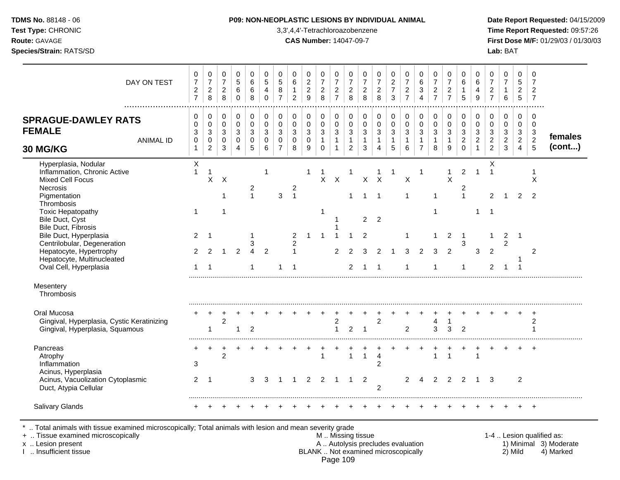**Test Type:** CHRONIC 3,3',4,4'-Tetrachloroazobenzene **Time Report Requested:** 09:57:26 **Route:** GAVAGE **CAS Number:** 14047-09-7 **First Dose M/F:** 01/29/03 / 01/30/03 **Species/Strain:** RATS/SD **Lab:** BAT

| DAY ON TEST<br>                                                                                                                                                                                                       | 0<br>$\boldsymbol{7}$<br>$\boldsymbol{2}$<br>$\overline{7}$       | 0<br>$\overline{7}$<br>$\overline{c}$<br>8                    | 0<br>$\overline{7}$<br>$\boldsymbol{2}$<br>8       | $\mathbf 0$<br>$\sqrt{5}$<br>6<br>$\mathbf 0$      | 0<br>6<br>6<br>8                                                     | $\mathbf 0$<br>$\sqrt{5}$<br>4<br>$\mathbf 0$ | 0<br>$\sqrt{5}$<br>8<br>$\overline{7}$       | $\mathbf 0$<br>$\,6\,$<br>$\overline{2}$                          | 0<br>$\mathbf 2$<br>$\overline{c}$<br>9              | 0<br>$\overline{7}$<br>$\overline{2}$<br>8                      | 0<br>$\overline{7}$<br>$\overline{2}$<br>$\overline{7}$        | 0<br>$\overline{7}$<br>$\overline{c}$<br>8                       | 0<br>$\overline{7}$<br>$\overline{c}$<br>8            | 0<br>$\overline{7}$<br>$\boldsymbol{2}$<br>8        | 0<br>$\boldsymbol{2}$<br>$\overline{7}$<br>3                  | 0<br>$\overline{7}$<br>$\overline{c}$<br>$\overline{7}$ | 0<br>$\,6\,$<br>$\mathbf{3}$<br>$\overline{4}$                   | 0<br>$\overline{7}$<br>$\overline{c}$<br>$\overline{7}$            | $\Omega$<br>$\overline{7}$<br>$\boldsymbol{2}$<br>$\overline{7}$ | 0<br>6<br>$\mathbf{1}$<br>5                            | 0<br>6<br>$\overline{4}$<br>9           | 0<br>$\overline{7}$<br>$\overline{c}$<br>$\overline{7}$          | 0<br>$\overline{7}$<br>1<br>6                                                | $\mathbf 0$<br>$\overline{5}$<br>$\overline{2}$<br>$5\phantom{.0}$ | 0<br>$\overline{7}$<br>$\overline{c}$<br>$\overline{7}$   |                   |
|-----------------------------------------------------------------------------------------------------------------------------------------------------------------------------------------------------------------------|-------------------------------------------------------------------|---------------------------------------------------------------|----------------------------------------------------|----------------------------------------------------|----------------------------------------------------------------------|-----------------------------------------------|----------------------------------------------|-------------------------------------------------------------------|------------------------------------------------------|-----------------------------------------------------------------|----------------------------------------------------------------|------------------------------------------------------------------|-------------------------------------------------------|-----------------------------------------------------|---------------------------------------------------------------|---------------------------------------------------------|------------------------------------------------------------------|--------------------------------------------------------------------|------------------------------------------------------------------|--------------------------------------------------------|-----------------------------------------|------------------------------------------------------------------|------------------------------------------------------------------------------|--------------------------------------------------------------------|-----------------------------------------------------------|-------------------|
| <b>SPRAGUE-DAWLEY RATS</b><br><b>FEMALE</b><br><b>ANIMAL ID</b><br><b>30 MG/KG</b>                                                                                                                                    | 0<br>$\Omega$<br>3<br>$\pmb{0}$<br>$\mathbf{1}$                   | 0<br>$\mathsf 0$<br>$\sqrt{3}$<br>$\pmb{0}$<br>$\overline{2}$ | 0<br>$\mathbf 0$<br>$\mathbf{3}$<br>$\pmb{0}$<br>3 | 0<br>$\mathbf 0$<br>$\sqrt{3}$<br>$\mathbf 0$<br>4 | 0<br>$\mathbf 0$<br>$\mathfrak{S}$<br>$\mathbf 0$<br>$5\phantom{.0}$ | 0<br>$\mathbf 0$<br>3<br>$\Omega$<br>6        | 0<br>0<br>3<br>$\mathbf 0$<br>$\overline{7}$ | $\mathbf 0$<br>$\mathbf 0$<br>$\sqrt{3}$<br>$\mathbf 0$<br>8      | 0<br>$\mathsf 0$<br>$\mathbf{3}$<br>$\mathsf 0$<br>9 | 0<br>$\mathbf 0$<br>$\mathbf{3}$<br>$\mathbf{1}$<br>$\mathbf 0$ | 0<br>$\mathbf 0$<br>$\sqrt{3}$<br>$\mathbf{1}$<br>$\mathbf{1}$ | 0<br>$\mathbf 0$<br>$\sqrt{3}$<br>$\mathbf{1}$<br>$\overline{2}$ | 0<br>$\mathbf 0$<br>$\mathbf{3}$<br>$\mathbf{1}$<br>3 | $\pmb{0}$<br>0<br>$\mathbf{3}$<br>$\mathbf{1}$<br>4 | $\pmb{0}$<br>$\pmb{0}$<br>$\mathfrak{Z}$<br>$\mathbf{1}$<br>5 | 0<br>0<br>3<br>$\mathbf{1}$<br>6                        | 0<br>$\mathbf 0$<br>$\sqrt{3}$<br>$\mathbf{1}$<br>$\overline{7}$ | 0<br>$\mathbf 0$<br>$\ensuremath{\mathsf{3}}$<br>$\mathbf{1}$<br>8 | 0<br>$\mathbf 0$<br>$\mathbf{3}$<br>$\mathbf{1}$<br>9            | 0<br>$\mathbf 0$<br>3<br>$\overline{2}$<br>$\mathbf 0$ | 0<br>$\mathbf 0$<br>3<br>$\overline{2}$ | 0<br>$\mathbf 0$<br>$\mathbf{3}$<br>$\sqrt{2}$<br>$\overline{2}$ | $\pmb{0}$<br>$\mathbf 0$<br>$\mathbf{3}$<br>$\overline{c}$<br>$\overline{3}$ | 0<br>$\mathbf 0$<br>3<br>$\overline{2}$<br>$\overline{4}$          | 0<br>$\mathbf 0$<br>3<br>$\overline{2}$<br>$\overline{5}$ | females<br>(cont) |
| Hyperplasia, Nodular<br>Inflammation, Chronic Active<br><b>Mixed Cell Focus</b><br><b>Necrosis</b><br>Pigmentation<br>Thrombosis                                                                                      | $\mathsf X$<br>$\mathbf{1}$                                       | $\mathbf{1}$<br>$\mathsf{X}$                                  | X<br>$\mathbf 1$                                   |                                                    | $\overline{c}$<br>$\mathbf{1}$                                       | 1                                             | 3                                            | $\overline{2}$<br>$\mathbf{1}$                                    | 1                                                    | $\mathsf{X}$                                                    | $\mathsf{X}$                                                   | 1                                                                | $\mathsf{X}$                                          | 1<br>$\mathsf X$                                    | 1                                                             | $\boldsymbol{\mathsf{X}}$<br>$\mathbf{1}$               | 1                                                                |                                                                    | $\overline{1}$<br>X                                              | 2<br>2<br>1                                            | $\mathbf 1$                             | X<br>$\mathbf{1}$<br>2                                           |                                                                              | $\overline{2}$                                                     | 1<br>Х<br>2                                               |                   |
| <b>Toxic Hepatopathy</b><br>Bile Duct, Cyst<br><b>Bile Duct, Fibrosis</b><br>Bile Duct, Hyperplasia<br>Centrilobular, Degeneration<br>Hepatocyte, Hypertrophy<br>Hepatocyte, Multinucleated<br>Oval Cell, Hyperplasia | $\overline{1}$<br>$\overline{2}$<br>$\overline{2}$<br>$\mathbf 1$ | $\overline{1}$<br>$\mathcal{P}$<br>-1                         | $\overline{1}$                                     | $\mathcal{P}$                                      | 3<br>4<br>-1                                                         | $\overline{2}$                                | 1                                            | $\overline{c}$<br>$\overline{c}$<br>$\overline{\mathbf{1}}$<br>-1 |                                                      | -1                                                              | 2                                                              | $\mathcal{P}$<br>2                                               | $\overline{2}$<br>$\overline{2}$<br>3                 | 2<br>$\mathcal{P}$                                  |                                                               | 3<br>1                                                  | 2                                                                | 3                                                                  | 2<br>$\overline{2}$                                              | -1<br>3<br>$\mathbf 1$                                 | 1<br>3                                  | $\overline{\mathbf{1}}$<br>2<br>2                                | $\overline{2}$<br>$\overline{2}$<br>$\overline{1}$                           | $\overline{1}$<br>$\overline{1}$                                   | 2                                                         |                   |
| Mesentery<br>Thrombosis                                                                                                                                                                                               |                                                                   |                                                               |                                                    |                                                    |                                                                      |                                               |                                              |                                                                   |                                                      |                                                                 |                                                                |                                                                  |                                                       |                                                     |                                                               |                                                         |                                                                  |                                                                    |                                                                  |                                                        |                                         |                                                                  |                                                                              |                                                                    |                                                           |                   |
| Oral Mucosa<br>Gingival, Hyperplasia, Cystic Keratinizing<br>Gingival, Hyperplasia, Squamous                                                                                                                          |                                                                   | $\mathbf{1}$                                                  | $\overline{2}$                                     | 1                                                  | 2                                                                    |                                               |                                              |                                                                   |                                                      |                                                                 | $\overline{2}$                                                 | 2                                                                | -1                                                    | $\overline{2}$                                      |                                                               | $\overline{2}$                                          |                                                                  | 4<br>3                                                             | $\overline{1}$<br>3                                              | $\overline{2}$                                         |                                         |                                                                  |                                                                              |                                                                    | $\overline{c}$                                            |                   |
| Pancreas<br>Atrophy<br>Inflammation<br>Acinus, Hyperplasia<br>Acinus, Vacuolization Cytoplasmic<br>Duct, Atypia Cellular                                                                                              | 3<br>$\overline{2}$                                               | +<br>-1                                                       | $\ddot{}$<br>$\overline{2}$                        |                                                    | 3                                                                    | 3                                             |                                              |                                                                   | 2                                                    | 2                                                               | -1                                                             | 1<br>1                                                           | $\mathbf{1}$<br>$\overline{2}$                        | 4<br>$\overline{2}$<br>$\overline{c}$               |                                                               | $\overline{2}$                                          | 4                                                                | 2                                                                  | +<br>$\overline{1}$<br>2                                         | $\ddot{}$<br>2                                         |                                         | 3                                                                |                                                                              | 2                                                                  | $\div$                                                    |                   |
| Salivary Glands                                                                                                                                                                                                       |                                                                   |                                                               |                                                    |                                                    |                                                                      |                                               |                                              |                                                                   |                                                      |                                                                 |                                                                |                                                                  |                                                       |                                                     |                                                               |                                                         |                                                                  |                                                                    |                                                                  |                                                        |                                         |                                                                  |                                                                              |                                                                    | $+$                                                       |                   |

\* .. Total animals with tissue examined microscopically; Total animals with lesion and mean severity grade

+ .. Tissue examined microscopically M .. Missing tissue 1-4 .. Lesion qualified as:

- x .. Lesion present **A .. Autolysis precludes evaluation** A .. Autolysis precludes evaluation 1) Minimal 3) Moderate I .. Insufficient tissue BLANK .. Not examined microscopically 2) Mild 4) Marked Page 109
-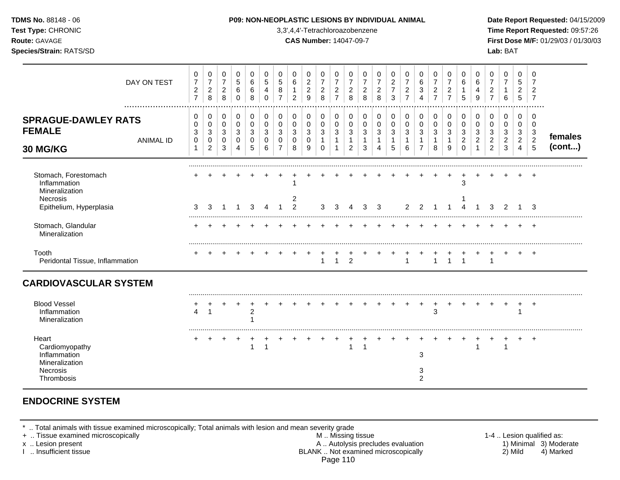| TDMS No. 88148 - 06<br>Test Type: CHRONIC<br>Route: GAVAGE<br>Species/Strain: RATS/SD |                  |                                                         |                                            |                                              |                                           |                                       |                                                  |                                        |                                 | 3,3',4,4'-Tetrachloroazobenzene<br><b>CAS Number: 14047-09-7</b> |                                              |                                                     |                                        |                                                   | <b>P09: NON-NEOPLASTIC LESIONS BY INDIVIDUAL ANIMAL</b> |                                                     |                                       |                         |                                                         |                                                           |                               |                                         |                                                         | Lab: BAT      |                                            |                               | Date Report Requested: 04/15/2009<br>Time Report Requested: 09:57:26<br>First Dose M/F: 01/29/03 / 01/30/03 |
|---------------------------------------------------------------------------------------|------------------|---------------------------------------------------------|--------------------------------------------|----------------------------------------------|-------------------------------------------|---------------------------------------|--------------------------------------------------|----------------------------------------|---------------------------------|------------------------------------------------------------------|----------------------------------------------|-----------------------------------------------------|----------------------------------------|---------------------------------------------------|---------------------------------------------------------|-----------------------------------------------------|---------------------------------------|-------------------------|---------------------------------------------------------|-----------------------------------------------------------|-------------------------------|-----------------------------------------|---------------------------------------------------------|---------------|--------------------------------------------|-------------------------------|-------------------------------------------------------------------------------------------------------------|
|                                                                                       | DAY ON TEST      | 0<br>$\overline{7}$<br>$\overline{c}$<br>$\overline{7}$ | 0<br>$\overline{7}$<br>$\overline{a}$<br>8 | 0<br>$\overline{7}$<br>$\sqrt{2}$<br>$\,8\,$ | 0<br>$\sqrt{5}$<br>$\,6\,$<br>$\mathbf 0$ | 0<br>$\,6$<br>$\,6\,$<br>8            | 0<br>$\sqrt{5}$<br>$\overline{4}$<br>$\mathbf 0$ | 0<br>$\sqrt{5}$<br>8<br>$\overline{7}$ | $\Omega$<br>6<br>$\overline{2}$ | 0<br>$\overline{c}$<br>$\sqrt{2}$<br>9                           | 0<br>$\overline{7}$<br>$\boldsymbol{2}$<br>8 | 0<br>$\overline{7}$<br>$\sqrt{2}$<br>$\overline{7}$ | 0<br>$\overline{7}$<br>$\sqrt{2}$<br>8 | $\Omega$<br>$\overline{7}$<br>$\overline{c}$<br>8 | 0<br>$\overline{7}$<br>$\sqrt{2}$<br>8                  | 0<br>$\overline{\mathbf{c}}$<br>$\overline{7}$<br>3 | 0<br>$\overline{a}$<br>$\overline{7}$ | $\Omega$<br>6<br>3<br>4 | 0<br>$\overline{7}$<br>$\overline{a}$<br>$\overline{7}$ | 0<br>$\overline{7}$<br>$\boldsymbol{2}$<br>$\overline{7}$ | 0<br>6<br>5                   | $\mathbf 0$<br>$\,6\,$<br>4<br>9        | 0<br>$\overline{7}$<br>$\overline{2}$<br>$\overline{7}$ | $\Omega$<br>6 | 0<br>5<br>$\overline{a}$<br>$\overline{5}$ | $\Omega$<br>$\overline{7}$    |                                                                                                             |
| <b>SPRAGUE-DAWLEY RATS</b><br><b>FEMALE</b>                                           | <b>ANIMAL ID</b> | 0<br>0<br>3<br>0                                        | 0<br>0<br>$\mathbf{3}$<br>0                | 0<br>$\mathbf 0$<br>3<br>0                   | 0<br>$\mathbf 0$<br>3<br>$\Omega$         | 0<br>$\mathbf 0$<br>$\mathbf{3}$<br>0 | 0<br>$\mathbf 0$<br>3<br>0                       | 0<br>0<br>3<br>0                       | 0<br>0<br>3<br>$\Omega$         | 0<br>0<br>3<br>$\Omega$                                          | 0<br>$\pmb{0}$<br>3                          | 0<br>0<br>3                                         | 0<br>$\pmb{0}$<br>3<br>$\mathbf 1$     | 0<br>0<br>3                                       | 0<br>0<br>3                                             | 0<br>0<br>3                                         | 0<br>$\mathbf 0$<br>3<br>1            | 0<br>0<br>3             | 0<br>0<br>3                                             | 0<br>0<br>3                                               | 0<br>0<br>3<br>$\overline{a}$ | 0<br>$\mathbf 0$<br>3<br>$\overline{c}$ | 0<br>$\Omega$<br>3<br>$\overline{c}$                    | 0<br>0        | 0<br>0<br>3<br>$\overline{2}$              | 0<br>0<br>3<br>$\overline{2}$ | females                                                                                                     |
| <b>30 MG/KG</b>                                                                       |                  | 1                                                       | $\overline{2}$                             | 3                                            |                                           | 5                                     | 6                                                | $\overline{7}$                         | 8                               | 9                                                                | 0                                            |                                                     | 2                                      | 3                                                 |                                                         | 5                                                   | 6                                     | $\overline{7}$          | 8                                                       | 9                                                         | $\Omega$                      |                                         | $\overline{2}$                                          | 3             | $\overline{4}$                             | $\sqrt{5}$                    | (cont)                                                                                                      |
| Stomach, Forestomach<br>Inflammation<br>Mineralization                                |                  |                                                         |                                            |                                              |                                           |                                       |                                                  |                                        |                                 |                                                                  |                                              |                                                     |                                        |                                                   |                                                         |                                                     |                                       |                         |                                                         |                                                           | 3                             |                                         |                                                         |               |                                            | $\ddot{}$                     |                                                                                                             |
| Necrosis<br>Epithelium, Hyperplasia                                                   |                  | 3                                                       | 3                                          |                                              |                                           | 3                                     | 4                                                |                                        | 2<br>$\mathcal{P}$              |                                                                  | 3                                            | 3                                                   |                                        | 3                                                 | 3                                                       |                                                     | $\mathcal{P}$                         | 2                       |                                                         |                                                           |                               |                                         | 3                                                       |               |                                            | 3                             |                                                                                                             |
| Stomach, Glandular<br>Mineralization                                                  |                  |                                                         |                                            |                                              |                                           |                                       |                                                  |                                        |                                 |                                                                  |                                              |                                                     |                                        |                                                   |                                                         |                                                     |                                       |                         |                                                         |                                                           |                               |                                         |                                                         |               |                                            | $\ddot{}$                     |                                                                                                             |
| Tooth<br>Peridontal Tissue, Inflammation                                              |                  |                                                         |                                            |                                              |                                           |                                       |                                                  |                                        |                                 |                                                                  | $\overline{1}$                               | $\overline{1}$                                      | $\overline{2}$                         |                                                   |                                                         |                                                     |                                       |                         | $\mathbf{1}$                                            | $\mathbf{1}$                                              | $\overline{1}$                |                                         | $\overline{1}$                                          |               |                                            | $+$                           |                                                                                                             |
| <b>CARDIOVASCULAR SYSTEM</b>                                                          |                  |                                                         |                                            |                                              |                                           |                                       |                                                  |                                        |                                 |                                                                  |                                              |                                                     |                                        |                                                   |                                                         |                                                     |                                       |                         |                                                         |                                                           |                               |                                         |                                                         |               |                                            |                               |                                                                                                             |
| <b>Blood Vessel</b><br>Inflammation<br>Mineralization                                 |                  |                                                         |                                            |                                              |                                           | 2                                     |                                                  |                                        |                                 |                                                                  |                                              |                                                     |                                        |                                                   |                                                         |                                                     |                                       | $+$                     | +<br>3                                                  |                                                           |                               |                                         |                                                         |               | $\div$                                     | $^{+}$                        |                                                                                                             |

| Heart<br>$\div$                |                |  |  |  |  |  |  |  |  |  |  |  |  |  |  |
|--------------------------------|----------------|--|--|--|--|--|--|--|--|--|--|--|--|--|--|
| Inflammation<br>Mineralization | Cardiomyopathy |  |  |  |  |  |  |  |  |  |  |  |  |  |  |
| <b>Necrosis</b><br>Thrombosis  |                |  |  |  |  |  |  |  |  |  |  |  |  |  |  |

# **ENDOCRINE SYSTEM**

\* .. Total animals with tissue examined microscopically; Total animals with lesion and mean severity grade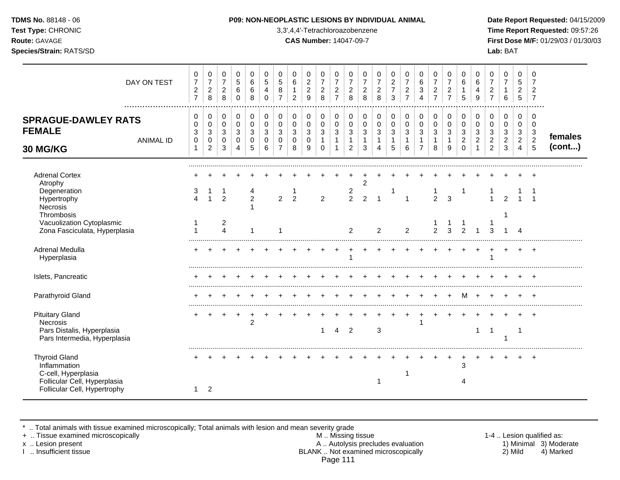| <b>TDMS No. 88148 - 06</b>         |
|------------------------------------|
| <b>Test Type: CHRONIC</b>          |
| $R$ $O$ ute: $C\Delta V\Delta C$ F |

#### **P09: NON-NEOPLASTIC LESIONS BY INDIVIDUAL ANIMAL Date Report Requested: 04/15/2009**

**Time Report Requested:** 09:57:26 **Route:** GAVAGE **CAS Number:** 14047-09-7 **First Dose M/F:** 01/29/03 / 01/30/03

|                                                                                                                             | DAY ON TEST      | 0<br>$\overline{7}$<br>$\overline{c}$<br>$\overline{7}$ | 0<br>$\overline{7}$<br>$\overline{c}$<br>8 | $\mathbf 0$<br>$\overline{7}$<br>$\boldsymbol{2}$<br>8 | 0<br>$\,$ 5 $\,$<br>6<br>$\mathbf 0$                 | 0<br>6<br>6<br>8                       | 0<br>$\overline{5}$<br>4<br>$\mathbf 0$ | 0<br>$\,$ 5 $\,$<br>8<br>$\overline{7}$       | 0<br>$\,6\,$<br>$\mathbf 1$<br>$\overline{2}$ | 0<br>$\overline{c}$<br>$\overline{a}$<br>9 | 0<br>$\overline{7}$<br>$\boldsymbol{2}$<br>$\,8\,$         | 0<br>$\overline{7}$<br>$\overline{c}$<br>$\overline{7}$ | 0<br>$\overline{7}$<br>$\overline{c}$<br>8          | 0<br>$\overline{7}$<br>$\boldsymbol{2}$<br>8                       | 0<br>$\overline{7}$<br>$\boldsymbol{2}$<br>8 | 0<br>$\overline{c}$<br>$\overline{7}$<br>3 | 0<br>$\overline{7}$<br>$\overline{2}$<br>$\overline{7}$ | 0<br>$\,6\,$<br>3<br>4                                           | 0<br>$\overline{7}$<br>$\overline{c}$<br>$\overline{7}$ | 0<br>$\overline{7}$<br>$\overline{c}$<br>$\overline{7}$ | 0<br>$\,6\,$<br>5                                              | $\pmb{0}$<br>6<br>$\overline{4}$<br>9    | 0<br>$\overline{7}$<br>$\overline{c}$<br>$\overline{7}$ | $\mathbf 0$<br>$\overline{7}$<br>$\mathbf{1}$<br>6                 | 0<br>$\sqrt{5}$<br>$\overline{2}$<br>$\sqrt{5}$                      | 0<br>7<br>2<br>7                                       |                   |
|-----------------------------------------------------------------------------------------------------------------------------|------------------|---------------------------------------------------------|--------------------------------------------|--------------------------------------------------------|------------------------------------------------------|----------------------------------------|-----------------------------------------|-----------------------------------------------|-----------------------------------------------|--------------------------------------------|------------------------------------------------------------|---------------------------------------------------------|-----------------------------------------------------|--------------------------------------------------------------------|----------------------------------------------|--------------------------------------------|---------------------------------------------------------|------------------------------------------------------------------|---------------------------------------------------------|---------------------------------------------------------|----------------------------------------------------------------|------------------------------------------|---------------------------------------------------------|--------------------------------------------------------------------|----------------------------------------------------------------------|--------------------------------------------------------|-------------------|
| <b>SPRAGUE-DAWLEY RATS</b><br><b>FEMALE</b><br>30 MG/KG                                                                     | <b>ANIMAL ID</b> | 0<br>0<br>3<br>0<br>1                                   | 0<br>$\pmb{0}$<br>3<br>0<br>$\overline{2}$ | 0<br>$\mathbf 0$<br>$\mathbf{3}$<br>$\mathbf 0$<br>3   | 0<br>$\mathbf 0$<br>$\mathbf{3}$<br>$\mathbf 0$<br>4 | 0<br>$\mathbf 0$<br>3<br>$\Omega$<br>5 | 0<br>$\mathbf 0$<br>3<br>$\Omega$<br>6  | 0<br>$\mathbf 0$<br>$\sqrt{3}$<br>$\mathbf 0$ | 0<br>$\mathbf 0$<br>3<br>$\mathbf 0$<br>8     | 0<br>0<br>3<br>0<br>9                      | 0<br>$\mathbf 0$<br>$\sqrt{3}$<br>$\mathbf{1}$<br>$\Omega$ | 0<br>0<br>$\mathbf{3}$<br>$\mathbf{1}$<br>1             | 0<br>$\mathbf 0$<br>$\sqrt{3}$<br>$\mathbf{1}$<br>2 | 0<br>$\mathbf 0$<br>$\ensuremath{\mathsf{3}}$<br>$\mathbf{1}$<br>3 | 0<br>$\pmb{0}$<br>$\mathbf{3}$               | 0<br>$\pmb{0}$<br>3<br>$\mathbf{1}$<br>5   | 0<br>$\pmb{0}$<br>$\mathbf{3}$<br>$\mathbf{1}$<br>6     | 0<br>$\mathbf 0$<br>$\sqrt{3}$<br>$\mathbf{1}$<br>$\overline{7}$ | 0<br>$\mathbf 0$<br>3<br>$\mathbf{1}$<br>8              | 0<br>$\mathbf 0$<br>3<br>$\mathbf{1}$<br>9              | 0<br>$\mathbf 0$<br>$\mathbf{3}$<br>$\overline{2}$<br>$\Omega$ | 0<br>0<br>$\mathbf{3}$<br>$\overline{c}$ | 0<br>0<br>3<br>$\overline{a}$<br>$\overline{2}$         | 0<br>$\mathbf 0$<br>$\mathbf{3}$<br>$\overline{a}$<br>$\mathbf{3}$ | 0<br>$\mathbf 0$<br>$\mathbf{3}$<br>$\overline{2}$<br>$\overline{4}$ | 0<br>$\Omega$<br>3<br>$\overline{2}$<br>$\overline{5}$ | females<br>(cont) |
| <b>Adrenal Cortex</b><br>Atrophy<br>Degeneration<br>Hypertrophy<br>Necrosis<br>Thrombosis<br>Vacuolization Cytoplasmic      |                  | 3<br>$\overline{\mathbf{A}}$                            |                                            | 1<br>$\overline{2}$<br>$\overline{2}$                  |                                                      | 4<br>$\overline{2}$                    |                                         | $\mathcal{P}$                                 | $\mathcal{P}$                                 |                                            | $\overline{2}$                                             |                                                         | $\frac{2}{2}$                                       | 2<br>$\mathcal{P}$                                                 |                                              | 1                                          | $\mathbf 1$                                             |                                                                  | 1<br>$\mathcal{P}$                                      | 3                                                       | -1                                                             |                                          |                                                         |                                                                    |                                                                      | $\ddot{}$                                              |                   |
| Zona Fasciculata, Hyperplasia<br>Adrenal Medulla<br>Hyperplasia                                                             |                  |                                                         |                                            | $\Delta$                                               |                                                      | $\overline{1}$                         |                                         |                                               |                                               |                                            |                                                            |                                                         | 2                                                   |                                                                    | $\overline{2}$                               |                                            | $\overline{2}$                                          |                                                                  | $\overline{2}$                                          | 3                                                       | $\mathfrak{p}$                                                 |                                          | 3                                                       |                                                                    | $\pm$                                                                | $\pm$                                                  |                   |
| Islets, Pancreatic<br>Parathyroid Gland                                                                                     |                  |                                                         |                                            |                                                        |                                                      |                                        |                                         |                                               |                                               |                                            |                                                            |                                                         |                                                     |                                                                    |                                              |                                            |                                                         |                                                                  |                                                         |                                                         |                                                                |                                          |                                                         |                                                                    |                                                                      |                                                        |                   |
| <b>Pituitary Gland</b><br>Necrosis<br>Pars Distalis, Hyperplasia<br>Pars Intermedia, Hyperplasia                            |                  | $\ddot{}$                                               | +                                          | +                                                      | $\ddot{}$                                            | ٠<br>$\overline{2}$                    |                                         |                                               |                                               |                                            | 1                                                          | $\overline{4}$                                          | 2                                                   |                                                                    | 3                                            |                                            | $\ddot{}$                                               | $\ddot{}$                                                        | $\ddot{}$                                               |                                                         |                                                                | $\mathbf 1$                              | $\overline{1}$                                          |                                                                    | $\overline{\mathbf{1}}$                                              | $\overline{ }$                                         |                   |
| <b>Thyroid Gland</b><br>Inflammation<br>C-cell, Hyperplasia<br>Follicular Cell, Hyperplasia<br>Follicular Cell, Hypertrophy |                  | 1                                                       | $\overline{2}$                             |                                                        |                                                      |                                        |                                         |                                               |                                               |                                            |                                                            |                                                         |                                                     |                                                                    |                                              |                                            | 1                                                       |                                                                  |                                                         |                                                         | 3                                                              | ٠                                        |                                                         |                                                                    |                                                                      | $\div$                                                 |                   |

\* .. Total animals with tissue examined microscopically; Total animals with lesion and mean severity grade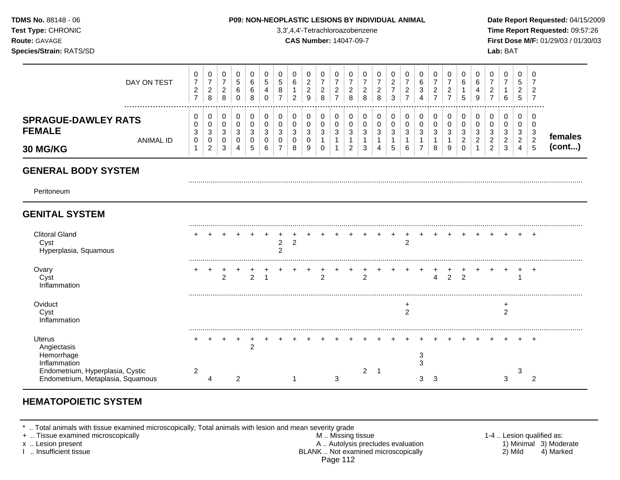#### **TDMS No.** 88148 - 06 **P09: NON-NEOPLASTIC LESIONS BY INDIVIDUAL ANIMAL Date Report Requested:** 04/15/2009

**Test Type:** CHRONIC 3,3',4,4'-Tetrachloroazobenzene **Time Report Requested:** 09:57:26 **Route:** GAVAGE **CAS Number:** 14047-09-7 **First Dose M/F:** 01/29/03 / 01/30/03

|                                             | DAY ON TEST | ◡<br>$\sqrt{2}$ | 0<br>റ<br><u>.</u><br>8 | 0<br>ົ<br>_<br>8 | ັ<br>đ<br>6<br>U | ັບ<br>6<br>я |   | <sub>5</sub><br>$\circ$ |          | Ü<br><u>_</u><br>◠<br><u>.</u><br>9 | $\epsilon$<br>8 | U<br><u>_</u> | я      | 0<br>റ<br><u>.</u><br>8 | υ<br>n<br>8      | ν<br>∼ | ν<br><u>_</u><br>- | 0<br>6<br>◠<br>دت | O<br>◠<br><u>_</u><br>⇁ |   | 0<br>6<br>đ | - 0<br>-6<br>4<br>9 | 0<br>ີ<br><u>.</u>   | υ<br>6      | 0<br>5<br>ົ<br><u>.</u><br>$5\phantom{.0}$ | 0<br>ົ<br><u>.</u><br>-      |         |
|---------------------------------------------|-------------|-----------------|-------------------------|------------------|------------------|--------------|---|-------------------------|----------|-------------------------------------|-----------------|---------------|--------|-------------------------|------------------|--------|--------------------|-------------------|-------------------------|---|-------------|---------------------|----------------------|-------------|--------------------------------------------|------------------------------|---------|
| <b>SPRAGUE-DAWLEY RATS</b><br><b>FEMALE</b> |             | $\sim$<br>ں     | $\mathbf{0}$<br>0<br>3  | 0<br>0<br>◠<br>ບ |                  |              |   | ົ<br>ັບ                 | <b>ت</b> | 0<br>っ<br>۰J                        | $\sim$<br>J     | ລ<br>ບ        | $\sim$ | 0<br>0<br>3             | 0<br>υ<br>◠<br>ັ |        | 3                  | 3                 | 3                       | 3 | 3<br>⌒      | ◠<br>J              | າ                    | ົ<br>J      | 0<br>0<br>3<br>ົ                           | 0<br>U<br>ົ<br>◡<br>$\Omega$ | temales |
| <b>30 MG/KG</b>                             | ANIMAL ID   | υ               | 0<br>ົ<br>∠             | υ<br>◠<br>◡      | u<br>4           | ν<br>C       | 6 |                         |          | 0<br>9                              |                 |               |        | 3                       | 4                | b      |                    |                   | 8                       |   | U           | ∼                   | <u>_</u><br><u>.</u> | $\sim$<br>J | <u>.</u><br>4                              | G                            | (cont)  |

### **GENERAL BODY SYSTEM**

Peritoneum

# **GENITAL SYSTEM**

| <b>Clitoral Gland</b><br>Cyst<br>Hyperplasia, Squamous                |  |   |   |  | ⌒ |  |            |          |  | ⌒ |   |  |   |  |   |   |            |  |
|-----------------------------------------------------------------------|--|---|---|--|---|--|------------|----------|--|---|---|--|---|--|---|---|------------|--|
| Ovary<br>Cyst<br>Inflammation                                         |  | ົ |   |  |   |  |            | $\Omega$ |  |   |   |  | 2 |  |   |   |            |  |
| Oviduct<br>Cyst<br>Inflammation                                       |  |   |   |  |   |  |            |          |  | ◠ |   |  |   |  | ◠ |   |            |  |
| Uterus<br>Angiectasis<br>Hemorrhage<br>Inflammation                   |  |   |   |  |   |  |            |          |  |   | 3 |  |   |  |   |   |            |  |
| Endometrium, Hyperplasia, Cystic<br>Endometrium, Metaplasia, Squamous |  |   | c |  |   |  | $\sqrt{2}$ |          |  |   |   |  |   |  |   | З | $\sqrt{2}$ |  |

# **HEMATOPOIETIC SYSTEM**

\* .. Total animals with tissue examined microscopically; Total animals with lesion and mean severity grade<br>+ .. Tissue examined microscopically

+ .. Tissue examined microscopically the state of the state of the M .. Missing tissue 1-4 .. Lesion qualified as: x .. Lesion present 1) Minimal 3) Moderate<br>A .. Autolysis precludes evaluation 1 and 1) Minimal 3) Moderate<br>BLANK .. Not examined microscopically 2) Mild 4) Marked BLANK .. Not examined microscopically Page 112

.........................................................................................................................................................................................................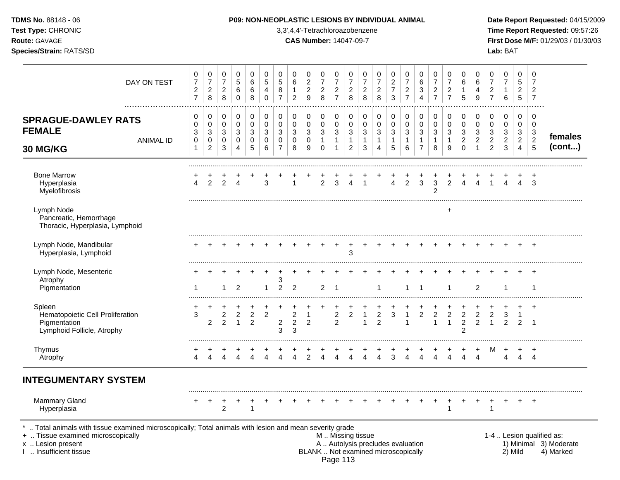......................................................................................................................................................................................................... Bone Marrow + + + + + + + + + + + + + + + + + + + + + + + + + Hyperplasia 4 2 2 4 3 1 2 3 4 1 4 2 3 3 2 4 4 1 4 4 3 Myelofibrosis 2 ......................................................................................................................................................................................................... Lymph Node + Pancreatic, Hemorrhage Thoracic, Hyperplasia, Lymphoid ......................................................................................................................................................................................................... Lymph Node, Mandibular Hyperplasia, Lymphoid 3 ......................................................................................................................................................................................................... Lymph Node, Mesenteric + + + + + + + + + + + + + + + + + + + + + + + + + Atrophy 3 Pigmentation 1 1 2 1 2 2 2 1 1 1 1 1 2 1 1 ......................................................................................................................................................................................................... Spleen + + + + + + + + + + + + + + + + + + + + + + + + + Hematopoietic Cell Proliferation 3 2 2 2 2 2 1 2 2 1 2 3 1 2 2 2 2 2 2 3 1 Pigmentation 2 2 1 2 2 2 2 2 1 2 1 1 1 2 2 1 2 2 1 Lymphoid Follicle, Atrophy 3 3 2 ......................................................................................................................................................................................................... Thymus + + + + + + + + + + + + + + + + + + + + + M + + + Atrophy 4 4 4 4 4 4 4 4 2 4 4 4 4 4 3 4 4 4 4 4 4 4 4 4 **INTEGUMENTARY SYSTEM** ......................................................................................................................................................................................................... Mammary Gland + + + + + + + + + + + + + + + + + + + + + + + + + Hyperplasia 2 1 1 1 **TDMS No.** 88148 - 06 **P09: NON-NEOPLASTIC LESIONS BY INDIVIDUAL ANIMAL Date Report Requested:** 04/15/2009 **Test Type:** CHRONIC 3,3',4,4'-Tetrachloroazobenzene **Time Report Requested:** 09:57:26 **Route:** GAVAGE **CAS Number:** 14047-09-7 **First Dose M/F:** 01/29/03 / 01/30/03 **Species/Strain:** RATS/SD **Lab:** BAT DAY ON TEST  $\overline{7}$   $\overline{7}$   $\overline{7}$   $\overline{7}$   $\overline{7}$   $\bar{7}$   $\overline{7}$   $\Omega$  ................................................................................................................................................................. **SPRAGUE-DAWLEY RATS FEMALE** ANIMAL ID **30 MG/KG females (cont...)** .. Total animals with tissue examined microscopically; Total animals with lesion and mean severity grade<br>Tissue examined microscopically. + .. Tissue examined microscopically examined microscopically and the state of the state of the M .. Missing tissue the M .. Missing tissue the matrix of the M .. Missing tissue the matrix of the M .. Lesion qualified as:

- x .. Lesion present 1) Minimal 3) Moderate<br>A .. Autolysis precludes evaluation 1 and 1) Minimal 3) Moderate<br>BLANK .. Not examined microscopically 1 and 1) Mild 4) Marked BLANK .. Not examined microscopically Page 113
-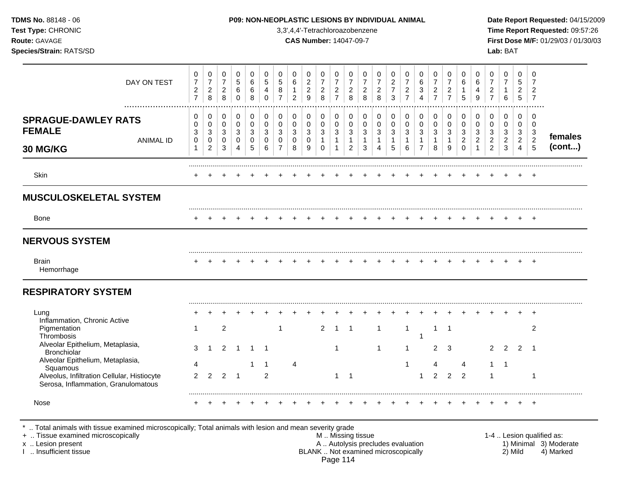| TDMS No. 88148 - 06<br>Test Type: CHRONIC<br><b>Route: GAVAGE</b><br>Species/Strain: RATS/SD |                                                                 |                                                                   |                                                              | P09: NON-NEOPLASTIC LESIONS BY INDIVIDUAL ANIMAL                 |                                                              |                                                                |                                                                           |                                                     | 3,3',4,4'-Tetrachloroazobenzene<br><b>CAS Number: 14047-09-7</b> |                                                                             |                                                          |                                                                              |                                                      |                                                                              |                                                      |                                                                              |                                                      |                                                                 |                                                                 |                                                                          |                                                                                |                                                                     | Lab: BAT                                                       |                                                                                |                                                                  | Date Report Requested: 04/15/2009<br>Time Report Requested: 09:57:26<br>First Dose M/F: 01/29/03 / 01/30/03 |
|----------------------------------------------------------------------------------------------|-----------------------------------------------------------------|-------------------------------------------------------------------|--------------------------------------------------------------|------------------------------------------------------------------|--------------------------------------------------------------|----------------------------------------------------------------|---------------------------------------------------------------------------|-----------------------------------------------------|------------------------------------------------------------------|-----------------------------------------------------------------------------|----------------------------------------------------------|------------------------------------------------------------------------------|------------------------------------------------------|------------------------------------------------------------------------------|------------------------------------------------------|------------------------------------------------------------------------------|------------------------------------------------------|-----------------------------------------------------------------|-----------------------------------------------------------------|--------------------------------------------------------------------------|--------------------------------------------------------------------------------|---------------------------------------------------------------------|----------------------------------------------------------------|--------------------------------------------------------------------------------|------------------------------------------------------------------|-------------------------------------------------------------------------------------------------------------|
| DAY ON TEST<br>                                                                              | $\pmb{0}$<br>$\overline{7}$<br>$\overline{c}$<br>$\overline{7}$ | $\pmb{0}$<br>$\overline{7}$<br>$\boldsymbol{2}$<br>$\bf 8$        | 0<br>$\overline{7}$<br>$\begin{array}{c} 2 \\ 8 \end{array}$ | $\mathbf 0$<br>$\,$ 5 $\,$<br>$\,6$<br>$\mathbf 0$               | $\Omega$<br>$\,6$<br>$\,6$<br>8                              | 0<br>$\sqrt{5}$<br>$\overline{4}$<br>$\pmb{0}$                 | $\Omega$<br>$\sqrt{5}$<br>$\bf 8$<br>$\overline{7}$                       | $\Omega$<br>6<br>1<br>$\overline{c}$                | 0<br>$\overline{2}$<br>$\overline{c}$<br>9                       | $\pmb{0}$<br>$\overline{7}$<br>$\overline{c}$<br>8                          | 0<br>$\overline{7}$<br>$\frac{2}{7}$                     | $\mathbf 0$<br>$\overline{7}$<br>$_{\rm 8}^2$                                | 0<br>$\overline{7}$<br>$\boldsymbol{2}$<br>8         | $\mathbf 0$<br>$\overline{7}$<br>$\overline{c}$<br>8                         | 0<br>$\overline{c}$<br>$\overline{7}$<br>3           | 0<br>$\overline{7}$<br>$\frac{2}{7}$                                         | $\Omega$<br>6<br>3<br>$\overline{4}$                 | 0<br>$\overline{7}$<br>$\overline{c}$<br>$\overline{7}$         | $\mathbf 0$<br>$\overline{7}$<br>$\frac{2}{7}$                  | 0<br>$6\phantom{a}$<br>$\mathbf{1}$<br>$\overline{5}$                    | $\Omega$<br>$\,6\,$<br>$\overline{4}$<br>$\overline{9}$                        | 0<br>$\overline{7}$<br>$\sqrt{2}$<br>$\overline{7}$                 | $\Omega$<br>$\overline{7}$<br>1<br>$6\phantom{1}$              | $\Omega$<br>5<br>$\overline{c}$<br>5                                           | $\Omega$<br>$\overline{7}$<br>$\overline{c}$<br>$\overline{7}$   |                                                                                                             |
| <b>SPRAGUE-DAWLEY RATS</b><br><b>FEMALE</b><br><b>ANIMAL ID</b>                              | 0<br>$\Omega$<br>3<br>$\mathsf 0$<br>$\mathbf{1}$               | $\mathbf 0$<br>$\mathbf 0$<br>$\mathbf{3}$<br>0<br>$\overline{2}$ | $\mathbf 0$<br>$\mathbf 0$<br>$\sqrt{3}$<br>$\mathbf 0$<br>3 | $\mathbf 0$<br>$\mathbf 0$<br>3<br>$\mathbf 0$<br>$\overline{4}$ | $\mathbf 0$<br>$\mathbf 0$<br>$\sqrt{3}$<br>$\mathbf 0$<br>5 | $\mathbf 0$<br>$\mathbf 0$<br>$\mathbf{3}$<br>$\mathbf 0$<br>6 | $\mathbf 0$<br>$\mathbf 0$<br>$\sqrt{3}$<br>$\mathbf 0$<br>$\overline{7}$ | $\mathbf 0$<br>$\mathbf 0$<br>3<br>$\mathbf 0$<br>8 | $\mathbf 0$<br>$\mathbf 0$<br>$\sqrt{3}$<br>$\mathbf 0$<br>9     | $\mathbf 0$<br>$\mathbf 0$<br>$\mathfrak{S}$<br>$\mathbf{1}$<br>$\mathbf 0$ | 0<br>0<br>$\mathbf{3}$<br>$\mathbf{1}$<br>$\overline{1}$ | $\mathbf 0$<br>$\mathbf 0$<br>$\mathbf{3}$<br>$\mathbf{1}$<br>$\overline{2}$ | $\mathbf 0$<br>$\mathbf 0$<br>3<br>$\mathbf{1}$<br>3 | $\mathbf 0$<br>$\mathbf 0$<br>$\mathbf{3}$<br>$\mathbf{1}$<br>$\overline{4}$ | $\mathbf 0$<br>$\mathbf 0$<br>3<br>$\mathbf{1}$<br>5 | $\mathbf 0$<br>$\mathbf 0$<br>$\mathbf{3}$<br>$\mathbf{1}$<br>$6\phantom{1}$ | 0<br>$\Omega$<br>3<br>$\mathbf{1}$<br>$\overline{7}$ | $\mathbf 0$<br>$\mathbf 0$<br>$\mathbf{3}$<br>$\mathbf{1}$<br>8 | $\mathbf 0$<br>$\mathbf 0$<br>$\mathbf{3}$<br>$\mathbf{1}$<br>9 | $\mathbf 0$<br>$\mathbf 0$<br>$\mathbf{3}$<br>$\overline{2}$<br>$\Omega$ | $\mathbf 0$<br>$\mathbf 0$<br>$\mathbf{3}$<br>$\overline{c}$<br>$\overline{1}$ | $\mathbf 0$<br>$\mathbf 0$<br>3<br>$\overline{c}$<br>$\overline{2}$ | $\mathbf 0$<br>$\Omega$<br>$\mathbf{3}$<br>$\overline{2}$<br>3 | $\mathbf 0$<br>$\mathbf 0$<br>$\mathbf{3}$<br>$\overline{2}$<br>$\overline{4}$ | $\Omega$<br>$\mathbf 0$<br>3<br>$\overline{2}$<br>$\overline{5}$ | females<br>(cont)                                                                                           |
| 30 MG/KG                                                                                     |                                                                 |                                                                   |                                                              |                                                                  |                                                              |                                                                |                                                                           |                                                     |                                                                  |                                                                             |                                                          |                                                                              |                                                      |                                                                              |                                                      |                                                                              |                                                      |                                                                 |                                                                 |                                                                          |                                                                                |                                                                     |                                                                |                                                                                |                                                                  |                                                                                                             |
| <b>Skin</b>                                                                                  |                                                                 |                                                                   |                                                              |                                                                  |                                                              |                                                                |                                                                           |                                                     |                                                                  |                                                                             |                                                          |                                                                              |                                                      |                                                                              |                                                      |                                                                              |                                                      |                                                                 |                                                                 |                                                                          |                                                                                |                                                                     |                                                                |                                                                                |                                                                  |                                                                                                             |
| <b>MUSCULOSKELETAL SYSTEM</b>                                                                |                                                                 |                                                                   |                                                              |                                                                  |                                                              |                                                                |                                                                           |                                                     |                                                                  |                                                                             |                                                          |                                                                              |                                                      |                                                                              |                                                      |                                                                              |                                                      |                                                                 |                                                                 |                                                                          |                                                                                |                                                                     |                                                                |                                                                                |                                                                  |                                                                                                             |
| <b>Bone</b>                                                                                  |                                                                 |                                                                   |                                                              |                                                                  |                                                              |                                                                |                                                                           |                                                     |                                                                  |                                                                             |                                                          |                                                                              |                                                      |                                                                              |                                                      |                                                                              |                                                      |                                                                 |                                                                 |                                                                          |                                                                                |                                                                     |                                                                |                                                                                |                                                                  |                                                                                                             |
| <b>NERVOUS SYSTEM</b>                                                                        |                                                                 |                                                                   |                                                              |                                                                  |                                                              |                                                                |                                                                           |                                                     |                                                                  |                                                                             |                                                          |                                                                              |                                                      |                                                                              |                                                      |                                                                              |                                                      |                                                                 |                                                                 |                                                                          |                                                                                |                                                                     |                                                                |                                                                                |                                                                  |                                                                                                             |
| Brain<br>Hemorrhage                                                                          |                                                                 |                                                                   |                                                              |                                                                  |                                                              |                                                                |                                                                           |                                                     |                                                                  |                                                                             |                                                          |                                                                              |                                                      |                                                                              |                                                      |                                                                              |                                                      |                                                                 |                                                                 |                                                                          |                                                                                |                                                                     |                                                                |                                                                                |                                                                  |                                                                                                             |
| <b>RESPIRATORY SYSTEM</b>                                                                    |                                                                 |                                                                   |                                                              |                                                                  |                                                              |                                                                |                                                                           |                                                     |                                                                  |                                                                             |                                                          |                                                                              |                                                      |                                                                              |                                                      |                                                                              |                                                      |                                                                 |                                                                 |                                                                          |                                                                                |                                                                     |                                                                |                                                                                |                                                                  |                                                                                                             |
| Lung<br>Inflammation, Chronic Active                                                         |                                                                 | $\pm$                                                             |                                                              |                                                                  |                                                              |                                                                |                                                                           |                                                     |                                                                  |                                                                             |                                                          |                                                                              |                                                      |                                                                              |                                                      |                                                                              |                                                      |                                                                 |                                                                 |                                                                          |                                                                                |                                                                     |                                                                |                                                                                | $\overline{+}$                                                   |                                                                                                             |
| Pigmentation<br>Thrombosis                                                                   | 1                                                               |                                                                   | 2                                                            |                                                                  |                                                              |                                                                | $\mathbf{1}$                                                              |                                                     |                                                                  | $\overline{2}$                                                              | $\overline{1}$                                           | $\overline{\phantom{0}}$ 1                                                   |                                                      | $\mathbf{1}$                                                                 |                                                      | $\mathbf{1}$                                                                 | 1                                                    | $\mathbf{1}$                                                    | $\mathbf 1$                                                     |                                                                          |                                                                                |                                                                     |                                                                |                                                                                | $\overline{2}$                                                   |                                                                                                             |
| Alveolar Epithelium, Metaplasia,<br><b>Bronchiolar</b>                                       | 3                                                               | $\mathbf{1}$                                                      |                                                              |                                                                  | $2 \quad 1 \quad 1 \quad 1$                                  |                                                                |                                                                           |                                                     |                                                                  |                                                                             | 1                                                        |                                                                              |                                                      | $\mathbf{1}$                                                                 |                                                      | $\mathbf{1}$                                                                 |                                                      | $\overline{2}$                                                  | $\overline{\mathbf{3}}$                                         |                                                                          |                                                                                | $\overline{2}$                                                      | 2                                                              | 2                                                                              | $\overline{\phantom{0}}$ 1                                       |                                                                                                             |
| Alveolar Epithelium, Metaplasia,<br>Squamous                                                 | 4                                                               |                                                                   |                                                              |                                                                  | 1                                                            | $\overline{1}$                                                 |                                                                           | 4                                                   |                                                                  |                                                                             |                                                          |                                                                              |                                                      |                                                                              |                                                      | $\mathbf{1}$                                                                 |                                                      | 4                                                               |                                                                 | 4                                                                        |                                                                                | 1                                                                   | $\overline{1}$                                                 |                                                                                |                                                                  |                                                                                                             |
| Alveolus, Infiltration Cellular, Histiocyte<br>Serosa, Inflammation, Granulomatous           | $\overline{2}$                                                  | $\overline{2}$                                                    |                                                              | $2 \quad 1$                                                      |                                                              | $\overline{2}$                                                 |                                                                           |                                                     |                                                                  |                                                                             | $\mathbf{1}$                                             | $\overline{\phantom{0}}$                                                     |                                                      |                                                                              |                                                      |                                                                              | $\mathbf{1}$                                         | $\overline{2}$                                                  | $\overline{2}$                                                  | $\overline{2}$                                                           |                                                                                | $\mathbf{1}$                                                        |                                                                |                                                                                | $\overline{1}$                                                   |                                                                                                             |
| Nose                                                                                         |                                                                 |                                                                   |                                                              |                                                                  |                                                              |                                                                |                                                                           |                                                     |                                                                  |                                                                             |                                                          |                                                                              |                                                      |                                                                              |                                                      |                                                                              |                                                      |                                                                 |                                                                 |                                                                          |                                                                                |                                                                     |                                                                |                                                                                | $+$                                                              |                                                                                                             |

\* .. Total animals with tissue examined microscopically; Total animals with lesion and mean severity grade

+ .. Tissue examined microscopically M .. Missing tissue 1-4 .. Lesion qualified as: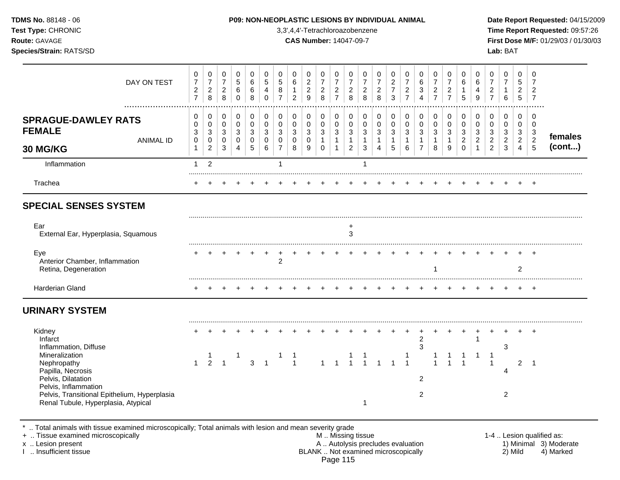**Test Type:** CHRONIC 3,3',4,4'-Tetrachloroazobenzene **Time Report Requested:** 09:57:26 **Route:** GAVAGE **CAS Number:** 14047-09-7 **First Dose M/F:** 01/29/03 / 01/30/03 **Species/Strain:** RATS/SD **Lab:** BAT

| 0                                                  | 0                                              |                                            |                                                 |                                                |                                               |                                 |                                                   |                                              |                                               |                                                         |                                                    |                                                    |                                                |                                              |                                                         |                                                |                                                         |                                                         |                                     |                                       |                                                         |                                                    |                               |                                                           |                                            |
|----------------------------------------------------|------------------------------------------------|--------------------------------------------|-------------------------------------------------|------------------------------------------------|-----------------------------------------------|---------------------------------|---------------------------------------------------|----------------------------------------------|-----------------------------------------------|---------------------------------------------------------|----------------------------------------------------|----------------------------------------------------|------------------------------------------------|----------------------------------------------|---------------------------------------------------------|------------------------------------------------|---------------------------------------------------------|---------------------------------------------------------|-------------------------------------|---------------------------------------|---------------------------------------------------------|----------------------------------------------------|-------------------------------|-----------------------------------------------------------|--------------------------------------------|
| $\overline{7}$<br>$\overline{c}$<br>$\overline{7}$ | $\overline{\mathbf{7}}$<br>$\overline{2}$<br>8 | 0<br>$\overline{7}$<br>$\overline{a}$<br>8 | 0<br>$\sqrt{5}$<br>6<br>$\mathbf 0$             | 0<br>$\,6\,$<br>6<br>8                         | $\mathbf 0$<br>$\sqrt{5}$<br>4<br>$\mathbf 0$ | 0<br>5<br>8<br>$\overline{7}$   | 0<br>$\,6\,$<br>$\overline{2}$                    | 0<br>$\boldsymbol{2}$<br>$\overline{c}$<br>9 | 0<br>$\overline{7}$<br>$\overline{c}$<br>8    | 0<br>$\overline{7}$<br>$\overline{c}$<br>$\overline{7}$ | 0<br>$\overline{7}$<br>$\sqrt{2}$<br>8             | 0<br>$\boldsymbol{7}$<br>$\overline{c}$<br>8       | 0<br>$\boldsymbol{7}$<br>$\boldsymbol{2}$<br>8 | 0<br>$\boldsymbol{2}$<br>$\overline{7}$<br>3 | 0<br>$\overline{7}$<br>$\overline{a}$<br>$\overline{7}$ | 0<br>$\,6\,$<br>3<br>$\overline{4}$            | 0<br>$\overline{7}$<br>$\overline{c}$<br>$\overline{7}$ | 0<br>$\overline{7}$<br>$\overline{c}$<br>$\overline{7}$ | 0<br>6<br>$\overline{1}$<br>5       | 0<br>6<br>4<br>9                      | 0<br>$\overline{7}$<br>$\overline{c}$<br>$\overline{7}$ | 0<br>$\overline{7}$<br>6                           | 0<br>5<br>$\overline{c}$<br>5 | 0<br>$\overline{7}$<br>$\overline{2}$<br>$\overline{7}$   |                                            |
| 0<br>0<br>3<br>$\mathbf 0$                         | 0<br>$\mathbf 0$<br>3<br>$\mathbf 0$           | 0<br>$\pmb{0}$<br>3<br>0                   | 0<br>$\mathbf 0$<br>$\mathbf{3}$<br>$\mathbf 0$ | $\mathbf 0$<br>$\mathbf 0$<br>3<br>$\mathbf 0$ | 0<br>$\mathbf 0$<br>3<br>$\Omega$             | 0<br>$\pmb{0}$<br>3<br>$\Omega$ | 0<br>$\mathbf 0$<br>$\mathfrak{Z}$<br>$\mathbf 0$ | 0<br>$\pmb{0}$<br>$\mathsf 3$<br>$\mathbf 0$ | 0<br>$\pmb{0}$<br>$\mathsf 3$<br>$\mathbf{1}$ | 0<br>$\mathbf 0$<br>$\mathbf{3}$<br>$\mathbf{1}$        | $\mathbf 0$<br>0<br>$\mathfrak{S}$<br>$\mathbf{1}$ | 0<br>$\mathbf 0$<br>$\mathbf{3}$<br>$\overline{1}$ | 0<br>0<br>3<br>$\mathbf{1}$                    | 0<br>$\pmb{0}$<br>$\sqrt{3}$<br>$\mathbf{1}$ | 0<br>$\pmb{0}$<br>$\mathbf{3}$                          | 0<br>$\pmb{0}$<br>$\mathbf{3}$<br>$\mathbf{1}$ | 0<br>$\pmb{0}$<br>$\mathbf{3}$<br>$\mathbf{1}$          | 0<br>$\mathbf 0$<br>$\sqrt{3}$<br>$\mathbf{1}$          | 0<br>$\mathbf 0$<br>3<br>$\sqrt{2}$ | 0<br>$\pmb{0}$<br>3<br>$\overline{c}$ | 0<br>$\mathbf 0$<br>$\mathbf{3}$<br>$\boldsymbol{2}$    | 0<br>$\mathbf 0$<br>$\mathbf{3}$<br>$\overline{2}$ | 0<br>0<br>3<br>$\overline{c}$ | $\Omega$<br>$\mathbf 0$<br>$\mathbf{3}$<br>$\overline{2}$ | females<br>(cont)                          |
|                                                    |                                                |                                            |                                                 |                                                |                                               |                                 |                                                   |                                              |                                               |                                                         |                                                    |                                                    |                                                |                                              |                                                         |                                                |                                                         |                                                         |                                     |                                       |                                                         |                                                    |                               |                                                           |                                            |
|                                                    |                                                |                                            |                                                 |                                                |                                               |                                 |                                                   |                                              |                                               |                                                         |                                                    |                                                    |                                                |                                              |                                                         |                                                |                                                         |                                                         |                                     |                                       |                                                         |                                                    |                               |                                                           |                                            |
|                                                    |                                                |                                            |                                                 |                                                |                                               |                                 |                                                   |                                              |                                               |                                                         |                                                    |                                                    |                                                |                                              |                                                         |                                                |                                                         |                                                         |                                     |                                       |                                                         |                                                    |                               |                                                           |                                            |
|                                                    |                                                |                                            |                                                 |                                                |                                               |                                 |                                                   |                                              |                                               |                                                         |                                                    |                                                    |                                                |                                              |                                                         |                                                |                                                         |                                                         |                                     |                                       |                                                         |                                                    |                               |                                                           |                                            |
|                                                    |                                                |                                            |                                                 |                                                |                                               |                                 |                                                   |                                              |                                               |                                                         | ÷<br>3                                             |                                                    |                                                |                                              |                                                         |                                                |                                                         |                                                         |                                     |                                       |                                                         |                                                    |                               |                                                           |                                            |
|                                                    |                                                |                                            |                                                 |                                                |                                               | $\overline{c}$                  |                                                   |                                              |                                               |                                                         |                                                    |                                                    |                                                |                                              |                                                         |                                                | 1                                                       |                                                         |                                     |                                       |                                                         |                                                    | 2                             |                                                           |                                            |
|                                                    |                                                |                                            |                                                 |                                                |                                               |                                 |                                                   |                                              |                                               |                                                         |                                                    |                                                    |                                                |                                              |                                                         |                                                |                                                         |                                                         |                                     |                                       |                                                         |                                                    |                               | $^{+}$                                                    |                                            |
|                                                    |                                                |                                            |                                                 |                                                |                                               |                                 |                                                   |                                              |                                               |                                                         |                                                    |                                                    |                                                |                                              |                                                         |                                                |                                                         |                                                         |                                     |                                       |                                                         |                                                    |                               |                                                           |                                            |
| $\mathbf{1}$                                       | $\overline{2}$                                 | $\overline{1}$                             |                                                 | 3                                              |                                               |                                 | $\mathbf{1}$<br>$\overline{1}$                    |                                              |                                               |                                                         |                                                    | $\overline{1}$<br>-1                               |                                                | $\overline{1}$                               | 1<br>$\overline{1}$                                     | $\overline{2}$<br>3<br>2<br>$\overline{c}$     | -1<br>$\overline{1}$                                    |                                                         | -1                                  | 1                                     | -1<br>$\mathbf{1}$                                      | 3<br>Δ<br>$\overline{c}$                           | $\overline{2}$                | $\div$                                                    |                                            |
|                                                    | $\mathbf{1}$<br>1                              | $\overline{c}$<br>$\overline{2}$           | 3                                               | $\overline{4}$                                 | 5                                             | 6                               | $\overline{7}$<br>1                               | 8                                            | 9                                             | $\mathbf 0$                                             | $\mathbf{1}$                                       | $\overline{2}$                                     | 3                                              | $\overline{A}$                               | 5                                                       | 6                                              | $\overline{7}$                                          | 8                                                       | 9                                   | $\Omega$                              | $\mathbf{1}$                                            | $\overline{2}$                                     | 3                             | $\overline{4}$                                            | $\overline{5}$<br>$\overline{\phantom{0}}$ |

\* .. Total animals with tissue examined microscopically; Total animals with lesion and mean severity grade

+ .. Tissue examined microscopically M .. Missing tissue 1-4 .. Lesion qualified as: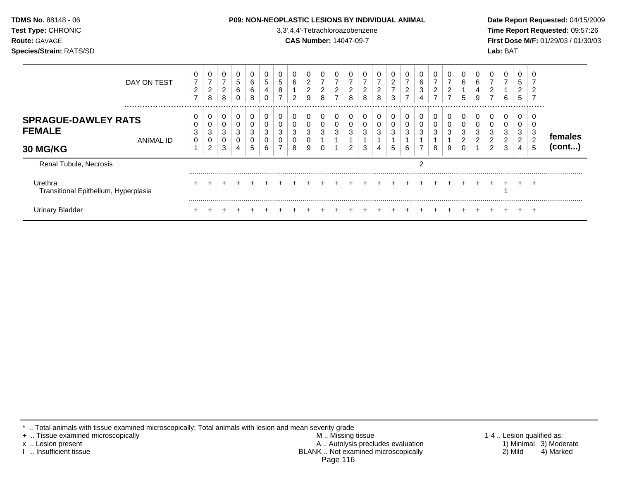| <b>TDMS No. 88148 - 06</b><br><b>Test Type: CHRONIC</b><br><b>Route: GAVAGE</b><br>Species/Strain: RATS/SD |                 |                                                         |                               |                  |        |             |                  |                               |        | <b>P09: NON-NEOPLASTIC LESIONS BY INDIVIDUAL ANIMAL</b><br>3,3',4,4'-Tetrachloroazobenzene<br><b>CAS Number: 14047-09-7</b> |                                            |                                                           |                                            |                          |                                       |                               |                |             |                |                                            |             |             |                | Lab: BAT                 |                                    |                                    | Date Report Requested: 04/15/2009<br>Time Report Requested: 09:57:26<br><b>First Dose M/F: 01/29/03 / 01/30/03</b> |
|------------------------------------------------------------------------------------------------------------|-----------------|---------------------------------------------------------|-------------------------------|------------------|--------|-------------|------------------|-------------------------------|--------|-----------------------------------------------------------------------------------------------------------------------------|--------------------------------------------|-----------------------------------------------------------|--------------------------------------------|--------------------------|---------------------------------------|-------------------------------|----------------|-------------|----------------|--------------------------------------------|-------------|-------------|----------------|--------------------------|------------------------------------|------------------------------------|--------------------------------------------------------------------------------------------------------------------|
|                                                                                                            | DAY ON TEST<br> | 0<br>$\overline{7}$<br>$\overline{2}$<br>$\overline{ }$ | 0<br>7<br>$\overline{c}$<br>8 | 0<br>7<br>2<br>8 | 5<br>6 | 6<br>6<br>8 | 0<br>5<br>4<br>0 | 0<br>5<br>8<br>$\overline{7}$ | 6<br>2 | $\frac{2}{2}$<br>9                                                                                                          | 0<br>$\overline{7}$<br>$\overline{2}$<br>8 | 0<br>$\overline{7}$<br>$\boldsymbol{2}$<br>$\overline{7}$ | 0<br>$\overline{7}$<br>$\overline{c}$<br>8 | 7<br>$\overline{c}$<br>8 | $\overline{7}$<br>$\overline{c}$<br>8 | 0<br>2<br>$\overline{7}$<br>3 | $\overline{2}$ | 6<br>3<br>4 | $\overline{ }$ | 0<br>7<br>$\overline{c}$<br>$\overline{ }$ | 6<br>5      | 6<br>4<br>9 | $\overline{c}$ | 0<br>$\overline{ }$<br>6 | 0<br>5<br>$\overline{c}$<br>5      | 2                                  |                                                                                                                    |
| <b>SPRAGUE-DAWLEY RATS</b><br><b>FEMALE</b><br><b>30 MG/KG</b>                                             | ANIMAL ID       | 0<br>0<br>3<br>0                                        | 0<br>0<br>3<br>0<br>2         | 0<br>3<br>3      | 0<br>3 |             | 0<br>3<br>6      | 0<br>3                        | 3<br>8 | 3<br>9                                                                                                                      | 0<br>0<br>3<br>$\Omega$                    | $\mathbf 0$<br>$\mathbf 0$<br>3                           | 0<br>0<br>3<br>2                           | 0<br>3<br>3              | 0<br>3<br>4                           | 0<br>0<br>3<br>5              | 0<br>3<br>6    | 0           |                | 0<br>0<br>3<br>9                           | 0<br>3<br>2 | 0<br>3      |                | 0<br>0<br>3<br>2<br>3    | 0<br>0<br>3<br>$\overline{2}$<br>4 | 0<br>0<br>3<br>$\overline{2}$<br>5 | females<br>$($ cont $)$                                                                                            |
| Renal Tubule, Necrosis                                                                                     |                 |                                                         |                               |                  |        |             |                  |                               |        |                                                                                                                             |                                            |                                                           |                                            |                          |                                       |                               |                | 2           |                |                                            |             |             |                |                          |                                    |                                    |                                                                                                                    |
| Urethra<br>Transitional Epithelium, Hyperplasia                                                            |                 |                                                         |                               |                  |        |             |                  |                               |        |                                                                                                                             |                                            |                                                           |                                            |                          |                                       |                               |                |             |                |                                            |             |             |                |                          |                                    |                                    |                                                                                                                    |
| <b>Urinary Bladder</b>                                                                                     |                 |                                                         |                               |                  |        |             |                  |                               |        |                                                                                                                             |                                            |                                                           |                                            |                          |                                       |                               |                |             |                |                                            |             |             |                |                          |                                    |                                    |                                                                                                                    |

\* .. Total animals with tissue examined microscopically; Total animals with lesion and mean severity grade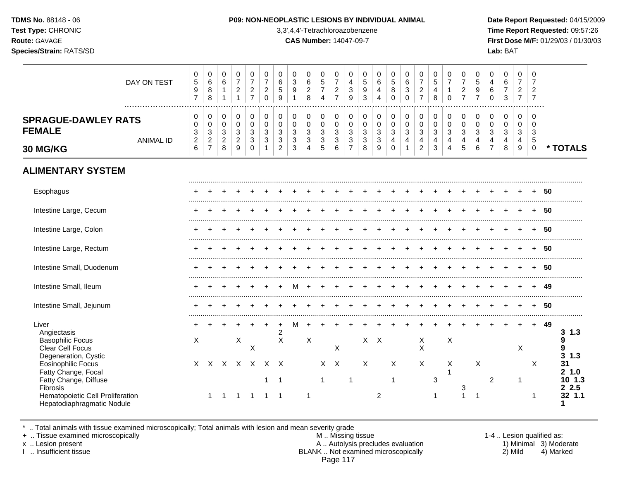| <b>TDMS No. 88148 - 06</b>     | <b>P09: NON-NEOPLASTIC LESIONS BY INDIVIDUAL ANIMAL</b> | Date Rep         |
|--------------------------------|---------------------------------------------------------|------------------|
| <b>Test Type: CHRONIC</b>      | 3,3',4,4'-Tetrachloroazobenzene                         | Time Rep         |
| <b>Route: GAVAGE</b>           | <b>CAS Number: 14047-09-7</b>                           | <b>First Dos</b> |
| <b>Species/Strain: RATS/SD</b> |                                                         | <b>Lab: BAT</b>  |

#### **P09: NON-NEOPLASTIC LESIONS BY INDIVIDUAL ANIMAL Date Report Requested:** 04/15/2009

**Time Report Requested:** 09:57:26 **Route:** GAVAGE **CAS Number:** 14047-09-7 **First Dose M/F:** 01/29/03 / 01/30/03

|                                                                                                                            | DAY ON TEST<br>. | 0<br>$\sqrt{5}$<br>$\boldsymbol{9}$<br>$\overline{7}$                                      | 0<br>$\,6\,$<br>8<br>8                                 | 0<br>$\,6\,$<br>$\mathbf{1}$<br>$\mathbf{1}$               | 0<br>$\overline{7}$<br>$\boldsymbol{2}$<br>$\mathbf{1}$           | 0<br>$\overline{7}$<br>$\overline{c}$<br>$\overline{7}$ | 0<br>$\overline{7}$<br>$\boldsymbol{2}$<br>$\Omega$ | 0<br>6<br>$\sqrt{5}$<br>9                                                  | $\pmb{0}$<br>$\mathbf{3}$<br>9                                     | 0<br>$\,6\,$<br>$\overline{c}$<br>8           | 0<br>$5\phantom{.0}$<br>$\boldsymbol{7}$<br>$\overline{4}$               | 0<br>$\overline{7}$<br>$\overline{c}$<br>$\overline{7}$ | 0<br>4<br>$\sqrt{3}$<br>9                                      | 0<br>$\sqrt{5}$<br>$\boldsymbol{9}$<br>3                      | 0<br>6<br>$\overline{\mathbf{4}}$<br>$\overline{4}$         | $\pmb{0}$<br>$\sqrt{5}$<br>8<br>$\mathbf 0$                  | 0<br>$\,6\,$<br>$\sqrt{3}$<br>$\mathbf 0$         | $\pmb{0}$<br>$\overline{7}$<br>$\overline{c}$<br>$\overline{7}$                              | 0<br>$\overline{5}$<br>$\overline{4}$<br>8                        | 0<br>$\overline{7}$<br>$\mathbf{1}$<br>$\Omega$ | 0<br>$\overline{7}$<br>$\overline{c}$<br>$\overline{7}$ | 0<br>$\overline{5}$<br>$\boldsymbol{9}$<br>7       | 0<br>$\overline{4}$<br>$\,6$<br>$\mathbf{0}$ | 0<br>$\,6$<br>$\boldsymbol{7}$<br>$\mathfrak{S}$                 | 0<br>$\overline{7}$<br>$\overline{2}$<br>$\overline{7}$ | $\Omega$<br>$\overline{c}$<br>$\overline{7}$  |     |                                                    |
|----------------------------------------------------------------------------------------------------------------------------|------------------|--------------------------------------------------------------------------------------------|--------------------------------------------------------|------------------------------------------------------------|-------------------------------------------------------------------|---------------------------------------------------------|-----------------------------------------------------|----------------------------------------------------------------------------|--------------------------------------------------------------------|-----------------------------------------------|--------------------------------------------------------------------------|---------------------------------------------------------|----------------------------------------------------------------|---------------------------------------------------------------|-------------------------------------------------------------|--------------------------------------------------------------|---------------------------------------------------|----------------------------------------------------------------------------------------------|-------------------------------------------------------------------|-------------------------------------------------|---------------------------------------------------------|----------------------------------------------------|----------------------------------------------|------------------------------------------------------------------|---------------------------------------------------------|-----------------------------------------------|-----|----------------------------------------------------|
| <b>SPRAGUE-DAWLEY RATS</b><br><b>FEMALE</b><br><b>30 MG/KG</b>                                                             | <b>ANIMAL ID</b> | $\boldsymbol{0}$<br>$\pmb{0}$<br>$\ensuremath{\mathsf{3}}$<br>$\sqrt{2}$<br>$6\phantom{a}$ | 0<br>0<br>$\mathbf{3}$<br>$\sqrt{2}$<br>$\overline{7}$ | 0<br>0<br>$\ensuremath{\mathsf{3}}$<br>$\overline{a}$<br>8 | $\mathbf 0$<br>$\mathbf 0$<br>$\sqrt{3}$<br>$\boldsymbol{2}$<br>9 | 0<br>$\mathbf 0$<br>$\mathbf{3}$<br>3<br>$\Omega$       | 0<br>$\mathbf 0$<br>3<br>3                          | $\mathbf 0$<br>$\mathbf 0$<br>$\mathbf{3}$<br>$\sqrt{3}$<br>$\overline{2}$ | 0<br>$\mathbf 0$<br>$\mathbf{3}$<br>$\ensuremath{\mathsf{3}}$<br>3 | 0<br>0<br>3<br>$\mathbf{3}$<br>$\overline{4}$ | 0<br>0<br>$\ensuremath{\mathsf{3}}$<br>$\mathfrak{Z}$<br>$5\phantom{.0}$ | $\mathbf 0$<br>$\mathbf 0$<br>3<br>3<br>6               | 0<br>$\mathbf 0$<br>$\sqrt{3}$<br>$\sqrt{3}$<br>$\overline{7}$ | $\mathbf 0$<br>$\mathbf 0$<br>$\mathbf{3}$<br>$\sqrt{3}$<br>8 | $\pmb{0}$<br>$\mathbf 0$<br>$\sqrt{3}$<br>$\mathbf{3}$<br>9 | 0<br>$\pmb{0}$<br>$\mathbf{3}$<br>$\overline{4}$<br>$\Omega$ | 0<br>$\pmb{0}$<br>$\sqrt{3}$<br>4<br>$\mathbf{1}$ | $\boldsymbol{0}$<br>$\mathbf 0$<br>$\mathbf{3}$<br>$\overline{\mathbf{4}}$<br>$\overline{2}$ | $\pmb{0}$<br>$\mathbf 0$<br>$\mathfrak{Z}$<br>$\overline{4}$<br>3 | 0<br>$\mathbf 0$<br>3<br>4<br>4                 | $\mathbf 0$<br>$\mathbf 0$<br>$\mathbf{3}$<br>4<br>5    | $\pmb{0}$<br>$\mathbf 0$<br>$\mathbf{3}$<br>4<br>6 | 0<br>$\mathbf 0$<br>3<br>4<br>$\overline{7}$ | $\mathbf 0$<br>$\mathbf 0$<br>$\mathsf 3$<br>$\overline{4}$<br>8 | $\mathbf 0$<br>$\mathbf 0$<br>3<br>$\overline{4}$<br>9  | $\Omega$<br>$\Omega$<br>3<br>5<br>$\mathbf 0$ |     | * TOTALS                                           |
| <b>ALIMENTARY SYSTEM</b>                                                                                                   |                  |                                                                                            |                                                        |                                                            |                                                                   |                                                         |                                                     |                                                                            |                                                                    |                                               |                                                                          |                                                         |                                                                |                                                               |                                                             |                                                              |                                                   |                                                                                              |                                                                   |                                                 |                                                         |                                                    |                                              |                                                                  |                                                         |                                               |     |                                                    |
| Esophagus                                                                                                                  |                  |                                                                                            |                                                        |                                                            |                                                                   |                                                         |                                                     |                                                                            |                                                                    |                                               |                                                                          |                                                         |                                                                |                                                               |                                                             |                                                              |                                                   |                                                                                              |                                                                   |                                                 |                                                         |                                                    |                                              |                                                                  |                                                         |                                               | 50  |                                                    |
| Intestine Large, Cecum                                                                                                     |                  |                                                                                            |                                                        |                                                            |                                                                   |                                                         |                                                     |                                                                            |                                                                    |                                               |                                                                          |                                                         |                                                                |                                                               |                                                             |                                                              |                                                   |                                                                                              |                                                                   |                                                 |                                                         |                                                    |                                              |                                                                  |                                                         |                                               | 50  |                                                    |
| Intestine Large, Colon                                                                                                     |                  |                                                                                            |                                                        |                                                            |                                                                   |                                                         |                                                     |                                                                            |                                                                    |                                               |                                                                          |                                                         |                                                                |                                                               |                                                             |                                                              |                                                   |                                                                                              |                                                                   |                                                 |                                                         |                                                    |                                              |                                                                  |                                                         |                                               | 50  |                                                    |
| Intestine Large, Rectum                                                                                                    |                  |                                                                                            |                                                        |                                                            |                                                                   |                                                         |                                                     |                                                                            |                                                                    |                                               |                                                                          |                                                         |                                                                |                                                               |                                                             |                                                              |                                                   |                                                                                              |                                                                   |                                                 |                                                         |                                                    |                                              |                                                                  |                                                         |                                               | 50  |                                                    |
| Intestine Small, Duodenum                                                                                                  |                  |                                                                                            |                                                        |                                                            |                                                                   |                                                         |                                                     |                                                                            |                                                                    |                                               |                                                                          |                                                         |                                                                |                                                               |                                                             |                                                              |                                                   |                                                                                              |                                                                   |                                                 |                                                         |                                                    |                                              |                                                                  |                                                         |                                               | 50  |                                                    |
| Intestine Small, Ileum                                                                                                     |                  |                                                                                            |                                                        |                                                            |                                                                   |                                                         |                                                     |                                                                            | м                                                                  |                                               |                                                                          |                                                         |                                                                |                                                               |                                                             |                                                              |                                                   |                                                                                              |                                                                   |                                                 |                                                         |                                                    |                                              |                                                                  |                                                         |                                               | -49 |                                                    |
| Intestine Small, Jejunum                                                                                                   |                  |                                                                                            |                                                        |                                                            |                                                                   |                                                         |                                                     |                                                                            |                                                                    |                                               |                                                                          |                                                         |                                                                |                                                               |                                                             |                                                              |                                                   |                                                                                              |                                                                   |                                                 |                                                         |                                                    |                                              |                                                                  |                                                         | $\ddot{}$                                     | 50  |                                                    |
| Liver<br>Angiectasis<br><b>Basophilic Focus</b><br>Clear Cell Focus<br>Degeneration, Cystic<br>Eosinophilic Focus          |                  | X<br>$X -$                                                                                 |                                                        | X X X X                                                    | $\sf X$                                                           | X                                                       |                                                     | $\overline{c}$<br>X<br>$X$ $X$                                             | м                                                                  | X                                             |                                                                          | X<br>$X$ $X$                                            |                                                                | $\mathsf{X}$<br>X                                             | $\mathsf{X}$                                                | X                                                            |                                                   | $_{\rm X}^{\rm X}$<br>X                                                                      |                                                                   | X<br>X                                          |                                                         | $\mathsf X$                                        |                                              |                                                                  | X                                                       | Χ                                             | 49  | 1.3<br>3<br>9<br>9<br>3<br>1.3<br>31               |
| Fatty Change, Focal<br>Fatty Change, Diffuse<br>Fibrosis<br>Hematopoietic Cell Proliferation<br>Hepatodiaphragmatic Nodule |                  |                                                                                            | 1                                                      |                                                            | -1                                                                | 1                                                       | $\mathbf{1}$                                        | $\overline{1}$<br>-1                                                       |                                                                    | 1                                             | $\mathbf{1}$                                                             |                                                         | $\mathbf{1}$                                                   |                                                               | 2                                                           | $\mathbf{1}$                                                 |                                                   |                                                                                              | 3<br>-1                                                           | $\mathbf{1}$                                    | 3                                                       | -1                                                 | $\overline{2}$                               |                                                                  | $\mathbf 1$                                             | -1                                            |     | $\mathbf 2$<br>1.0<br>10 1.3<br>2.5<br>32 1.1<br>1 |

\* .. Total animals with tissue examined microscopically; Total animals with lesion and mean severity grade

+ .. Tissue examined microscopically M .. Missing tissue 1-4 .. Lesion qualified as: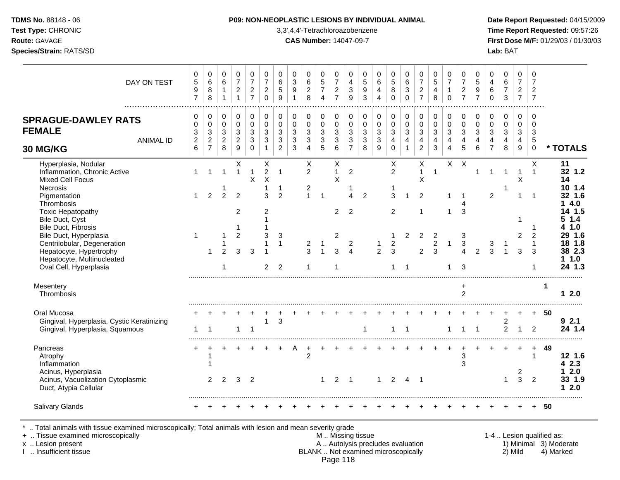**Test Type:** CHRONIC 3,3',4,4'-Tetrachloroazobenzene **Time Report Requested:** 09:57:26 **Route:** GAVAGE **CAS Number:** 14047-09-7 **First Dose M/F:** 01/29/03 / 01/30/03 **Species/Strain:** RATS/SD **Lab:** BAT

| DAY ON TEST<br>.                                                                                                                                                                                                                                                                                                                                   | 0<br>$\mathbf 5$<br>$\mathsf g$<br>$\overline{7}$                                   | 0<br>$\,6\,$<br>8<br>8                                                         | 0<br>$\,6\,$<br>$\mathbf{1}$<br>$\mathbf{1}$          | $\mathbf 0$<br>$\overline{7}$<br>$\sqrt{2}$<br>$\mathbf{1}$       | $\Omega$<br>$\overline{7}$<br>$\overline{2}$<br>$\overline{7}$ | 0<br>$\overline{7}$<br>$\overline{c}$<br>$\mathbf 0$                 | 0<br>$\,6\,$<br>5<br>9                                                                  | 0<br>$\mathsf 3$<br>$\boldsymbol{9}$<br>$\mathbf{1}$             | 0<br>$\,6\,$<br>$\overline{2}$<br>8                                                        | 0<br>$\sqrt{5}$<br>$\overline{7}$<br>$\overline{4}$       | $\mathbf 0$<br>$\overline{7}$<br>$\sqrt{2}$<br>$\overline{7}$                      | $\Omega$<br>$\overline{4}$<br>$\ensuremath{\mathsf{3}}$<br>9                                                | 0<br>$\sqrt{5}$<br>$\boldsymbol{9}$<br>$\mathbf{3}$   | 0<br>$\,6\,$<br>4<br>$\overline{4}$                       | 0<br>$\overline{5}$<br>$\,8\,$<br>$\Omega$                                  | 0<br>$\,6\,$<br>$\mathbf{3}$<br>$\mathbf 0$ | 0<br>$\overline{7}$<br>$\overline{c}$<br>$\overline{7}$                                  | $\mathbf 0$<br>$\sqrt{5}$<br>$\overline{4}$<br>8                 | $\mathbf 0$<br>$\overline{7}$<br>$\mathbf 1$<br>$\mathbf 0$   | $\mathbf 0$<br>$\overline{7}$<br>$\overline{c}$<br>$\overline{7}$ | 0<br>$\overline{5}$<br>$\boldsymbol{9}$<br>$\overline{7}$ | 0<br>4<br>6<br>$\mathbf 0$                             | 0<br>$\,6\,$<br>$\overline{7}$<br>3 | $\mathbf 0$<br>$\overline{7}$<br>$\overline{2}$<br>$\overline{7}$ | $\Omega$<br>$\overline{7}$<br>$\overline{2}$<br>$\overline{7}$                                 |                      |                                                                                                                           |
|----------------------------------------------------------------------------------------------------------------------------------------------------------------------------------------------------------------------------------------------------------------------------------------------------------------------------------------------------|-------------------------------------------------------------------------------------|--------------------------------------------------------------------------------|-------------------------------------------------------|-------------------------------------------------------------------|----------------------------------------------------------------|----------------------------------------------------------------------|-----------------------------------------------------------------------------------------|------------------------------------------------------------------|--------------------------------------------------------------------------------------------|-----------------------------------------------------------|------------------------------------------------------------------------------------|-------------------------------------------------------------------------------------------------------------|-------------------------------------------------------|-----------------------------------------------------------|-----------------------------------------------------------------------------|---------------------------------------------|------------------------------------------------------------------------------------------|------------------------------------------------------------------|---------------------------------------------------------------|-------------------------------------------------------------------|-----------------------------------------------------------|--------------------------------------------------------|-------------------------------------|-------------------------------------------------------------------|------------------------------------------------------------------------------------------------|----------------------|---------------------------------------------------------------------------------------------------------------------------|
| <b>SPRAGUE-DAWLEY RATS</b><br><b>FEMALE</b><br><b>ANIMAL ID</b><br>30 MG/KG                                                                                                                                                                                                                                                                        | 0<br>$\mathbf 0$<br>$\ensuremath{\mathsf{3}}$<br>$\boldsymbol{2}$<br>$6\phantom{a}$ | $\mathbf 0$<br>$\mathbf 0$<br>$\mathbf{3}$<br>$\overline{c}$<br>$\overline{7}$ | 0<br>$\mathbf 0$<br>$\sqrt{3}$<br>$\overline{2}$<br>8 | $\mathbf 0$<br>$\mathbf 0$<br>$\sqrt{3}$<br>$\sqrt{2}$<br>9       | 0<br>$\mathbf 0$<br>$\mathbf{3}$<br>3<br>$\Omega$              | 0<br>$\mathbf 0$<br>$\mathbf{3}$<br>3<br>$\mathbf{1}$                | $\mathbf 0$<br>$\mathbf 0$<br>$\sqrt{3}$<br>$\ensuremath{\mathsf{3}}$<br>$\overline{2}$ | $\pmb{0}$<br>0<br>$\mathbf{3}$<br>$\ensuremath{\mathsf{3}}$<br>3 | 0<br>0<br>$\mathbf{3}$<br>$\mathbf{3}$<br>$\overline{4}$                                   | $\pmb{0}$<br>$\mathbf 0$<br>$\sqrt{3}$<br>$\sqrt{3}$<br>5 | 0<br>$\mathbf 0$<br>$\sqrt{3}$<br>$\sqrt{3}$<br>6                                  | 0<br>0<br>$\mathbf{3}$<br>$\ensuremath{\mathsf{3}}$<br>$\overline{7}$                                       | 0<br>$\mathbf 0$<br>$\mathfrak{Z}$<br>$\sqrt{3}$<br>8 | $\mathbf 0$<br>$\pmb{0}$<br>$\sqrt{3}$<br>$\sqrt{3}$<br>9 | $\mathbf 0$<br>$\mathbf 0$<br>$\mathbf{3}$<br>4<br>$\Omega$                 | 0<br>$\mathbf 0$<br>3<br>4<br>$\mathbf{1}$  | $\pmb{0}$<br>$\pmb{0}$<br>$\sqrt{3}$<br>$\overline{4}$<br>$\overline{c}$                 | 0<br>$\mathbf 0$<br>$\sqrt{3}$<br>4<br>3                         | $\pmb{0}$<br>$\mathbf 0$<br>$\sqrt{3}$<br>4<br>$\overline{4}$ | $\mathbf 0$<br>$\mathbf 0$<br>$\mathbf{3}$<br>$\overline{4}$<br>5 | $\pmb{0}$<br>$\mathbf 0$<br>$\mathbf{3}$<br>4<br>6        | $\mathbf 0$<br>$\mathbf 0$<br>3<br>4<br>$\overline{7}$ | 0<br>$\mathbf 0$<br>3<br>4<br>8     | 0<br>0<br>$\sqrt{3}$<br>$\overline{4}$<br>9                       | 0<br>$\mathbf 0$<br>3<br>5<br>$\mathbf 0$                                                      |                      | * TOTALS                                                                                                                  |
| Hyperplasia, Nodular<br>Inflammation, Chronic Active<br><b>Mixed Cell Focus</b><br>Necrosis<br>Pigmentation<br>Thrombosis<br><b>Toxic Hepatopathy</b><br>Bile Duct, Cyst<br><b>Bile Duct, Fibrosis</b><br>Bile Duct, Hyperplasia<br>Centrilobular, Degeneration<br>Hepatocyte, Hypertrophy<br>Hepatocyte, Multinucleated<br>Oval Cell, Hyperplasia | $\mathbf{1}$<br>1<br>$\mathbf 1$                                                    | 1<br>$\overline{2}$<br>1                                                       | $\mathbf{1}$<br>2<br>$\overline{2}$                   | X<br>$\overline{1}$<br>$\overline{2}$<br>2<br>$\overline{2}$<br>3 | $\mathbf{1}$<br>X<br>3                                         | X<br>$\overline{c}$<br>$\sf X$<br>1<br>3<br>$\overline{2}$<br>3<br>2 | $\mathbf{1}$<br>1<br>$\overline{2}$<br>3<br>$\mathbf{1}$<br>$\overline{2}$              |                                                                  | X<br>$\overline{c}$<br>$\overline{c}$<br>$\mathbf{1}$<br>$\overline{\mathbf{c}}$<br>3<br>1 | -1<br>$\mathbf 1$                                         | $\boldsymbol{\mathsf{X}}$<br>$\overline{1}$<br>X<br>2<br>$\overline{2}$<br>3<br>-1 | $\overline{c}$<br>-1<br>$\boldsymbol{\Lambda}$<br>$\overline{2}$<br>$\overline{c}$<br>$\boldsymbol{\Delta}$ | $\overline{2}$                                        | 1<br>$\overline{2}$                                       | X<br>$\overline{2}$<br>1<br>3<br>$\overline{2}$<br>$\overline{c}$<br>3<br>1 | 1<br>2<br>$\mathbf 1$                       | $\mathsf X$<br>$\mathbf{1}$<br>X<br>2<br>$\mathbf 1$<br>$\overline{2}$<br>$\overline{2}$ | $\overline{1}$<br>$\overline{\mathbf{c}}$<br>$\overline{c}$<br>3 | 1<br>1<br>1<br>1                                              | $X$ $X$<br>-1<br>4<br>3<br>3<br>3<br>4<br>3                       | 1<br>$\mathcal{P}$                                        | $\mathbf{1}$<br>2<br>3<br>3                            | 1<br>1<br>1                         | $\mathbf{1}$<br>$\mathsf X$<br>1<br>1<br>$\overline{2}$<br>3      | X<br>$\overline{1}$<br>$\overline{1}$<br>$\overline{2}$<br>$\mathbf{1}$<br>3<br>$\overline{1}$ |                      | 11<br>32 1.2<br>14<br>10 1.4<br>32 1.6<br>4.0<br>14 1.5<br>1.4<br>1.0<br>4<br>29 1.6<br>18 1.8<br>38 2.3<br>1.0<br>24 1.3 |
| Mesentery<br><b>Thrombosis</b>                                                                                                                                                                                                                                                                                                                     |                                                                                     |                                                                                |                                                       |                                                                   |                                                                |                                                                      |                                                                                         |                                                                  |                                                                                            |                                                           |                                                                                    |                                                                                                             |                                                       |                                                           |                                                                             |                                             |                                                                                          |                                                                  |                                                               | +<br>$\overline{2}$                                               |                                                           |                                                        |                                     |                                                                   |                                                                                                | $\blacktriangleleft$ | 12.0                                                                                                                      |
| Oral Mucosa<br>Gingival, Hyperplasia, Cystic Keratinizing<br>Gingival, Hyperplasia, Squamous                                                                                                                                                                                                                                                       | $\mathbf{1}$                                                                        | $\mathbf 1$                                                                    |                                                       | -1                                                                | $\mathbf 1$                                                    | 1                                                                    | 3                                                                                       |                                                                  |                                                                                            |                                                           |                                                                                    |                                                                                                             |                                                       |                                                           |                                                                             |                                             |                                                                                          |                                                                  | 1                                                             | 1                                                                 | $\mathbf 1$                                               |                                                        | $\boldsymbol{2}$<br>$\overline{2}$  | $\mathbf{1}$                                                      | $\ddot{}$<br>$\overline{2}$                                                                    | 50                   | 92.1<br>24 1.4                                                                                                            |
| Pancreas<br>Atrophy<br>Inflammation<br>Acinus, Hyperplasia<br>Acinus, Vacuolization Cytoplasmic<br>Duct, Atypia Cellular                                                                                                                                                                                                                           |                                                                                     | $\overline{2}$                                                                 | $\overline{2}$                                        | 3                                                                 | $\overline{2}$                                                 |                                                                      |                                                                                         | A                                                                | $\ddot{}$<br>$\overline{2}$                                                                | +<br>1                                                    | $\overline{2}$                                                                     | $\overline{1}$                                                                                              |                                                       | $\mathbf 1$                                               | $\overline{2}$                                                              | $\overline{4}$                              | - 1                                                                                      |                                                                  |                                                               | 3<br>3                                                            |                                                           |                                                        | 1                                   | $\ddot{}$<br>2<br>3                                               | $\ddot{}$<br>1<br>2                                                                            | 49                   | 12 1.6<br>2.3<br>4<br>2.0<br>1.<br>33 1.9<br>2.0<br>1                                                                     |
| Salivary Glands                                                                                                                                                                                                                                                                                                                                    |                                                                                     |                                                                                |                                                       |                                                                   |                                                                |                                                                      |                                                                                         |                                                                  |                                                                                            |                                                           |                                                                                    |                                                                                                             |                                                       |                                                           |                                                                             |                                             |                                                                                          |                                                                  |                                                               |                                                                   |                                                           |                                                        |                                     |                                                                   |                                                                                                | 50                   |                                                                                                                           |

\* .. Total animals with tissue examined microscopically; Total animals with lesion and mean severity grade<br>+ .. Tissue examined microscopically

- + .. Tissue examined microscopically examined microscopically the state of the state of the state of the state M .. Missing tissue M .. Missing tissue M .. Missing tissue and the state of the state M .. Autolysis precludes x .. Lesion present **A .. Autolysis precludes evaluation** A .. Autolysis precludes evaluation 1) Minimal 3) Moderate I .. Insufficient tissue BLANK .. Not examined microscopically 2) Mild 4) Marked Page 118
	-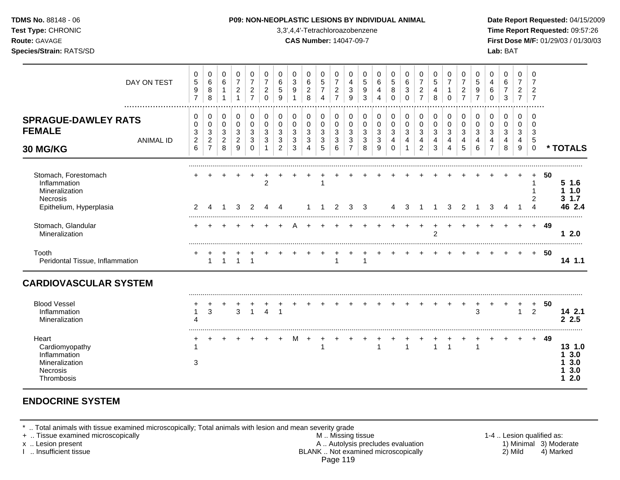| TDMS No. 88148 - 06<br>Test Type: CHRONIC<br>Route: GAVAGE<br>Species/Strain: RATS/SD         |                                                        |                                                                      |                                                        |                                                       |                                                                      |                                                                         |                                                                |                                                                        | P09: NON-NEOPLASTIC LESIONS BY INDIVIDUAL ANIMAL<br>3,3',4,4'-Tetrachloroazobenzene<br><b>CAS Number: 14047-09-7</b> |                                                                 |                                                         |                                                                          |                                                             |                                                                 |                                                   |                                                                      |                                                                      |                                                         |                                                                   |                                                                    |                                                                          |                                                                     | Lab: BAT                                                 |                                                         |                                                                   |      | Date Report Requested: 04/15/2009<br>Time Report Requested: 09:57:26<br>First Dose M/F: 01/29/03 / 01/30/03 |
|-----------------------------------------------------------------------------------------------|--------------------------------------------------------|----------------------------------------------------------------------|--------------------------------------------------------|-------------------------------------------------------|----------------------------------------------------------------------|-------------------------------------------------------------------------|----------------------------------------------------------------|------------------------------------------------------------------------|----------------------------------------------------------------------------------------------------------------------|-----------------------------------------------------------------|---------------------------------------------------------|--------------------------------------------------------------------------|-------------------------------------------------------------|-----------------------------------------------------------------|---------------------------------------------------|----------------------------------------------------------------------|----------------------------------------------------------------------|---------------------------------------------------------|-------------------------------------------------------------------|--------------------------------------------------------------------|--------------------------------------------------------------------------|---------------------------------------------------------------------|----------------------------------------------------------|---------------------------------------------------------|-------------------------------------------------------------------|------|-------------------------------------------------------------------------------------------------------------|
| DAY ON TEST                                                                                   | $\mathbf 0$<br>5<br>$\boldsymbol{9}$<br>$\overline{7}$ | $\mathbf 0$<br>$\,6\,$<br>$\bf 8$<br>8                               | $\mathbf 0$<br>$\,6\,$<br>$\mathbf{1}$<br>$\mathbf{1}$ | 0<br>$\overline{7}$<br>$\overline{c}$<br>$\mathbf{1}$ | 0<br>$\overline{7}$<br>$\overline{2}$<br>$\overline{7}$              | $\pmb{0}$<br>$\overline{7}$<br>$\boldsymbol{2}$<br>$\mathbf 0$          | 0<br>$\,6\,$<br>$\sqrt{5}$<br>$\boldsymbol{9}$                 | 0<br>$\sqrt{3}$<br>$\boldsymbol{9}$<br>$\mathbf{1}$                    | $\mathbf 0$<br>$\,6\,$<br>$_{\rm 8}^2$                                                                               | $\mathbf 0$<br>$\sqrt{5}$<br>$\overline{7}$<br>$\overline{4}$   | 0<br>$\overline{7}$<br>$\overline{c}$<br>$\overline{7}$ | 0<br>$\overline{4}$<br>$\ensuremath{\mathsf{3}}$<br>$\overline{9}$       | $\mathbf 0$<br>5<br>$\boldsymbol{9}$<br>3                   | $\mathbf 0$<br>$\,6\,$<br>4<br>$\overline{4}$                   | 0<br>5<br>$\bf 8$<br>$\mathbf 0$                  | 0<br>$\,6$<br>$\mathbf{3}$<br>$\mathbf 0$                            | 0<br>$\overline{7}$<br>$\overline{c}$<br>$\overline{7}$              | 0<br>$\sqrt{5}$<br>4<br>8                               | $\mathbf 0$<br>$\overline{7}$<br>$\mathbf{1}$<br>$\pmb{0}$        | 0<br>$\overline{7}$<br>$\boldsymbol{2}$<br>$\overline{7}$          | $\mathbf 0$<br>$\sqrt{5}$<br>$\boldsymbol{9}$<br>$\overline{7}$          | $\mathbf 0$<br>$\overline{4}$<br>6<br>$\mathbf 0$                   | $\mathbf 0$<br>$\,6\,$<br>$\overline{7}$<br>$\mathbf{3}$ | 0<br>$\overline{7}$<br>$\overline{2}$<br>$\overline{7}$ | $\mathbf 0$<br>$\overline{7}$<br>$\overline{2}$<br>$\overline{7}$ |      |                                                                                                             |
| <b>SPRAGUE-DAWLEY RATS</b><br><b>FEMALE</b><br><b>ANIMAL ID</b><br>30 MG/KG                   | 0<br>0<br>3<br>$\sqrt{2}$<br>6                         | 0<br>$\mathsf 0$<br>$\mathbf{3}$<br>$\overline{c}$<br>$\overline{7}$ | 0<br>$\mathbf 0$<br>$\sqrt{3}$<br>$\overline{2}$<br>8  | 0<br>$\mathbf 0$<br>3<br>$\overline{a}$<br>9          | $\pmb{0}$<br>$\mathbf 0$<br>$\mathbf{3}$<br>$\mathbf{3}$<br>$\Omega$ | $\mathbf 0$<br>$\mathbf 0$<br>$\mathbf{3}$<br>$\ensuremath{\mathsf{3}}$ | 0<br>$\pmb{0}$<br>$\mathbf{3}$<br>$\sqrt{3}$<br>$\overline{2}$ | $\mathbf 0$<br>$\mathsf 0$<br>$\sqrt{3}$<br>$\sqrt{3}$<br>$\mathbf{3}$ | $\mathbf 0$<br>$\mathbf 0$<br>3<br>$\ensuremath{\mathsf{3}}$<br>4                                                    | $\mathbf 0$<br>$\mathbf 0$<br>$\mathfrak{Z}$<br>$\sqrt{3}$<br>5 | 0<br>$\pmb{0}$<br>3<br>$\mathbf{3}$<br>$\,6\,$          | $\mathbf 0$<br>$\pmb{0}$<br>$\mathbf{3}$<br>$\sqrt{3}$<br>$\overline{7}$ | $\mathbf 0$<br>$\pmb{0}$<br>$\mathbf{3}$<br>$\sqrt{3}$<br>8 | $\mathbf 0$<br>$\mathbf 0$<br>$\mathbf{3}$<br>$\mathbf{3}$<br>9 | 0<br>$\pmb{0}$<br>3<br>$\overline{4}$<br>$\Omega$ | 0<br>$\mathbf 0$<br>$\mathfrak{Z}$<br>$\overline{4}$<br>$\mathbf{1}$ | 0<br>$\mathbf 0$<br>$\mathbf{3}$<br>$\overline{4}$<br>$\overline{c}$ | $\mathbf 0$<br>0<br>$\mathbf{3}$<br>$\overline{4}$<br>3 | $\mathbf 0$<br>$\pmb{0}$<br>$\mathfrak{Z}$<br>4<br>$\overline{A}$ | 0<br>$\mathbf 0$<br>$\mathfrak{Z}$<br>$\overline{4}$<br>$\sqrt{5}$ | $\mathbf 0$<br>$\pmb{0}$<br>$\mathbf{3}$<br>$\overline{\mathbf{4}}$<br>6 | $\mathbf 0$<br>$\mathbf 0$<br>3<br>$\overline{4}$<br>$\overline{7}$ | $\mathbf 0$<br>$\mathbf 0$<br>$\mathbf{3}$<br>4<br>8     | 0<br>$\mathbf 0$<br>$\mathbf{3}$<br>4<br>9              | $\Omega$<br>$\Omega$<br>3<br>5<br>$\overline{0}$                  |      | * TOTALS                                                                                                    |
| Stomach, Forestomach<br>Inflammation<br>Mineralization<br>Necrosis<br>Epithelium, Hyperplasia | 2                                                      | $\overline{4}$                                                       | $\overline{1}$                                         | $\ddot{}$<br>3                                        | +<br>2                                                               | $\overline{2}$<br>4                                                     | $\overline{4}$                                                 |                                                                        | $\mathbf 1$                                                                                                          | 1<br>$\overline{1}$                                             | 2                                                       | 3                                                                        | 3                                                           |                                                                 | 4                                                 | 3                                                                    | -1                                                                   | $\mathbf{1}$                                            | 3                                                                 | $\overline{2}$                                                     | $\overline{1}$                                                           | 3                                                                   | 4                                                        | $\ddot{}$<br>$\mathbf 1$                                | $\ddot{}$<br>-1<br>$\overline{\mathbf{4}}$                        | 50   | 51.6<br>11.0<br>31.7<br>46 2.4                                                                              |
| Stomach, Glandular<br>Mineralization                                                          |                                                        |                                                                      |                                                        |                                                       |                                                                      |                                                                         |                                                                |                                                                        |                                                                                                                      |                                                                 |                                                         |                                                                          |                                                             |                                                                 |                                                   |                                                                      | $\ddot{}$                                                            | $\overline{2}$                                          |                                                                   |                                                                    |                                                                          |                                                                     |                                                          |                                                         | $+$                                                               | 49   | $12.0$                                                                                                      |
| Tooth<br>Peridontal Tissue, Inflammation                                                      |                                                        | $\mathbf{1}$                                                         | $\overline{1}$                                         | $\mathbf{1}$                                          | $\overline{1}$                                                       |                                                                         |                                                                |                                                                        |                                                                                                                      |                                                                 | $\mathbf{1}$                                            |                                                                          | $\mathbf{1}$                                                |                                                                 |                                                   |                                                                      |                                                                      |                                                         |                                                                   |                                                                    |                                                                          |                                                                     |                                                          |                                                         | $+$                                                               | 50   | 14 1.1                                                                                                      |
| <b>CARDIOVASCULAR SYSTEM</b>                                                                  |                                                        |                                                                      |                                                        |                                                       |                                                                      |                                                                         |                                                                |                                                                        |                                                                                                                      |                                                                 |                                                         |                                                                          |                                                             |                                                                 |                                                   |                                                                      |                                                                      |                                                         |                                                                   |                                                                    |                                                                          |                                                                     |                                                          |                                                         |                                                                   |      |                                                                                                             |
| <b>Blood Vessel</b><br>Inflammation<br>Mineralization                                         | 4                                                      | 3                                                                    |                                                        | 3                                                     | $\mathbf{1}$                                                         | $\overline{4}$                                                          | $\overline{1}$                                                 |                                                                        |                                                                                                                      |                                                                 |                                                         |                                                                          |                                                             |                                                                 |                                                   |                                                                      |                                                                      |                                                         |                                                                   | $+$                                                                | 3                                                                        |                                                                     |                                                          | $\mathbf{1}$                                            | $+$<br>$\overline{2}$                                             | 50   | 14 2.1<br>2.5                                                                                               |
| Heart<br>Cardiomyopathy<br>Inflammation<br>Mineralization<br>Necrosis<br>Thrombosis           | 3                                                      | $\ddot{}$                                                            |                                                        |                                                       |                                                                      |                                                                         | $+$                                                            | M                                                                      | $+$                                                                                                                  | $+$<br>$\overline{1}$                                           | $+$                                                     | $+$                                                                      | $+$                                                         |                                                                 | $\ddot{}$                                         | $\frac{+}{1}$                                                        |                                                                      | $\frac{+}{1}$                                           | $\overline{1}$                                                    | $+$                                                                | $+$<br>$\overline{1}$                                                    | $+$                                                                 | $+$                                                      | $+$                                                     |                                                                   | + 49 | 13 1.0<br>13.0<br>13.0<br>13.0<br>12.0                                                                      |

# **ENDOCRINE SYSTEM**

\* .. Total animals with tissue examined microscopically; Total animals with lesion and mean severity grade

- + .. Tissue examined microscopically M .. Missing tissue 1-4 .. Lesion qualified as: x .. Lesion present **A .. Autolysis precludes evaluation** A .. Autolysis precludes evaluation 1) Minimal 3) Moderate I .. Insufficient tissue BLANK .. Not examined microscopically 2) Mild 4) Marked Page 119
-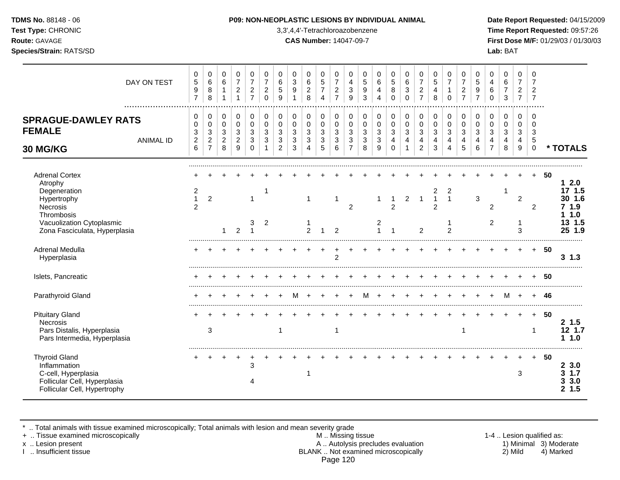| <b>TDMS No. 88148 - 06</b> |
|----------------------------|
| <b>Test Type: CHRONIC</b>  |
| <b>Route: GAVAGE</b>       |

#### **P09: NON-NEOPLASTIC LESIONS BY INDIVIDUAL ANIMAL Date Report Requested: 04/15/2009**

**Time Report Requested:** 09:57:26 **Route:** GAVAGE **CAS Number:** 14047-09-7 **First Dose M/F:** 01/29/03 / 01/30/03 **Species/Strain:** RATS/SD **Lab:** BAT

|                                                                                                                             | DAY ON TEST      | 0<br>$\,$ 5 $\,$<br>9<br>$\overline{7}$ | 0<br>$\,6\,$<br>8<br>8                                             | $\mathbf 0$<br>$6\phantom{1}6$<br>$\mathbf{1}$<br>1     | 0<br>$\overline{7}$<br>$\overline{c}$                 | 0<br>$\overline{7}$<br>$\overline{c}$<br>$\overline{7}$ | 0<br>$\overline{7}$<br>$\overline{2}$<br>$\mathbf 0$ | 0<br>6<br>5<br>9      | 0<br>3<br>9           | 0<br>$\,6\,$<br>$\sqrt{2}$<br>8                        | 0<br>$\sqrt{5}$<br>$\overline{7}$<br>4      | $\Omega$<br>$\overline{7}$<br>$\overline{c}$<br>$\overline{7}$ | $\Omega$<br>4<br>3<br>9            | 0<br>5<br>9<br>3                            | 0<br>6<br>4<br>4               | 0<br>$\sqrt{5}$<br>8<br>0                                    | 0<br>6<br>3<br>$\mathbf 0$            | 0<br>$\overline{7}$<br>$\overline{c}$<br>$\overline{7}$          | 0<br>$\overline{5}$<br>4<br>8            | 0<br>$\overline{7}$<br>1<br>0  | 0<br>$\overline{7}$<br>$\overline{c}$<br>$\overline{7}$ | 0<br>5<br>9<br>$\overline{7}$      | $\Omega$<br>4<br>6<br>0            | 0<br>6<br>$\overline{7}$<br>3 | 0<br>$\overline{7}$<br>$\overline{2}$<br>$\overline{7}$ | $\Omega$<br>$\overline{7}$<br>$\overline{2}$<br>$\overline{7}$ |    |                                                      |
|-----------------------------------------------------------------------------------------------------------------------------|------------------|-----------------------------------------|--------------------------------------------------------------------|---------------------------------------------------------|-------------------------------------------------------|---------------------------------------------------------|------------------------------------------------------|-----------------------|-----------------------|--------------------------------------------------------|---------------------------------------------|----------------------------------------------------------------|------------------------------------|---------------------------------------------|--------------------------------|--------------------------------------------------------------|---------------------------------------|------------------------------------------------------------------|------------------------------------------|--------------------------------|---------------------------------------------------------|------------------------------------|------------------------------------|-------------------------------|---------------------------------------------------------|----------------------------------------------------------------|----|------------------------------------------------------|
| <b>SPRAGUE-DAWLEY RATS</b><br><b>FEMALE</b><br>30 MG/KG                                                                     | <b>ANIMAL ID</b> | 0<br>0<br>3<br>$\overline{c}$<br>6      | 0<br>$\pmb{0}$<br>$\sqrt{3}$<br>$\boldsymbol{2}$<br>$\overline{7}$ | 0<br>$\mathbf 0$<br>$\mathbf{3}$<br>$\overline{c}$<br>8 | 0<br>$\,0\,$<br>$\mathbf{3}$<br>$\boldsymbol{2}$<br>9 | 0<br>0<br>3<br>3<br>$\Omega$                            | 0<br>0<br>3<br>3                                     | 0<br>0<br>3<br>3<br>2 | 0<br>0<br>3<br>3<br>3 | 0<br>0<br>$\mathbf{3}$<br>$\sqrt{3}$<br>$\overline{4}$ | 0<br>0<br>$\mathbf{3}$<br>$\mathbf{3}$<br>5 | $\mathbf 0$<br>0<br>3<br>3<br>6                                | 0<br>0<br>3<br>3<br>$\overline{7}$ | 0<br>0<br>$\mathbf{3}$<br>$\mathbf{3}$<br>8 | 0<br>0<br>$\sqrt{3}$<br>3<br>9 | 0<br>$\pmb{0}$<br>$\mathbf{3}$<br>$\overline{4}$<br>$\Omega$ | 0<br>$\pmb{0}$<br>3<br>$\overline{4}$ | 0<br>$\pmb{0}$<br>3<br>$\overline{\mathbf{4}}$<br>$\overline{2}$ | 0<br>$\pmb{0}$<br>$\mathbf{3}$<br>4<br>3 | 0<br>$\pmb{0}$<br>3<br>4<br>4  | 0<br>$\mathbf 0$<br>3<br>$\overline{4}$<br>5            | 0<br>0<br>3<br>$\overline{4}$<br>6 | 0<br>0<br>3<br>4<br>$\overline{7}$ | 0<br>0<br>3<br>4<br>8         | 0<br>0<br>$\mathbf{3}$<br>4<br>9                        | $\Omega$<br>$\mathbf 0$<br>3<br>5<br>$\mathbf 0$               |    | * TOTALS                                             |
| <b>Adrenal Cortex</b><br>Atrophy<br>Degeneration<br>Hypertrophy<br><b>Necrosis</b>                                          |                  | 2<br>$\mathbf{1}$<br>$\overline{2}$     | $\overline{2}$                                                     |                                                         |                                                       | $\mathbf{1}$                                            | -1                                                   |                       |                       | $\mathbf 1$                                            |                                             | -1                                                             | $\overline{2}$                     |                                             | 1                              | $\mathbf{1}$<br>$\overline{2}$                               | $\overline{c}$                        | $\mathbf 1$                                                      | 2<br>$\mathbf{1}$<br>$\overline{2}$      | $\overline{c}$<br>$\mathbf{1}$ |                                                         | $\mathbf{3}$                       | 2                                  | 1                             | $\overline{2}$                                          | $\overline{2}$                                                 | 50 | 12.0<br>17 1.5<br>30 1.6<br>1.9                      |
| Thrombosis<br>Vacuolization Cytoplasmic<br>Zona Fasciculata, Hyperplasia                                                    |                  |                                         |                                                                    |                                                         | 2                                                     | 3                                                       | 2                                                    |                       |                       | 2                                                      |                                             | $\mathcal{P}$                                                  |                                    |                                             | 2<br>$\overline{1}$            | $\overline{1}$                                               |                                       | 2                                                                |                                          | 1<br>$\overline{2}$            |                                                         |                                    | 2                                  |                               | 1<br>3                                                  |                                                                |    | 1.0<br>13 1.5<br>25 1.9                              |
| Adrenal Medulla<br>Hyperplasia                                                                                              |                  |                                         |                                                                    |                                                         |                                                       |                                                         |                                                      |                       |                       |                                                        | $\pm$                                       | $\overline{2}$                                                 |                                    |                                             |                                |                                                              |                                       |                                                                  |                                          |                                |                                                         |                                    |                                    |                               |                                                         | $+$                                                            | 50 | $3 \; 1.3$                                           |
| Islets, Pancreatic                                                                                                          |                  |                                         |                                                                    |                                                         |                                                       |                                                         |                                                      |                       |                       |                                                        |                                             |                                                                |                                    |                                             |                                |                                                              |                                       |                                                                  |                                          |                                |                                                         |                                    |                                    |                               |                                                         |                                                                | 50 |                                                      |
| Parathyroid Gland                                                                                                           |                  |                                         |                                                                    |                                                         |                                                       |                                                         |                                                      |                       | м                     |                                                        |                                             |                                                                |                                    | м                                           |                                |                                                              |                                       |                                                                  |                                          |                                |                                                         |                                    |                                    | м                             |                                                         | $+$                                                            | 46 |                                                      |
| <b>Pituitary Gland</b><br><b>Necrosis</b><br>Pars Distalis, Hyperplasia<br>Pars Intermedia, Hyperplasia                     |                  |                                         | 3                                                                  |                                                         |                                                       |                                                         |                                                      | $\mathbf{1}$          |                       |                                                        |                                             | $\overline{1}$                                                 |                                    |                                             |                                |                                                              |                                       |                                                                  |                                          |                                | 1                                                       |                                    |                                    |                               |                                                         | $+$<br>1                                                       | 50 | 2, 1.5<br>12 1.7<br>11.0                             |
| <b>Thyroid Gland</b><br>Inflammation<br>C-cell, Hyperplasia<br>Follicular Cell, Hyperplasia<br>Follicular Cell, Hypertrophy |                  |                                         |                                                                    |                                                         | $\div$                                                | +<br>3<br>4                                             |                                                      |                       |                       |                                                        |                                             |                                                                |                                    |                                             |                                |                                                              |                                       |                                                                  |                                          |                                |                                                         |                                    |                                    |                               | 3                                                       |                                                                | 50 | 23.0<br>$3 \t1.7$<br>3.0<br>3<br>1.5<br>$\mathbf{2}$ |

\* .. Total animals with tissue examined microscopically; Total animals with lesion and mean severity grade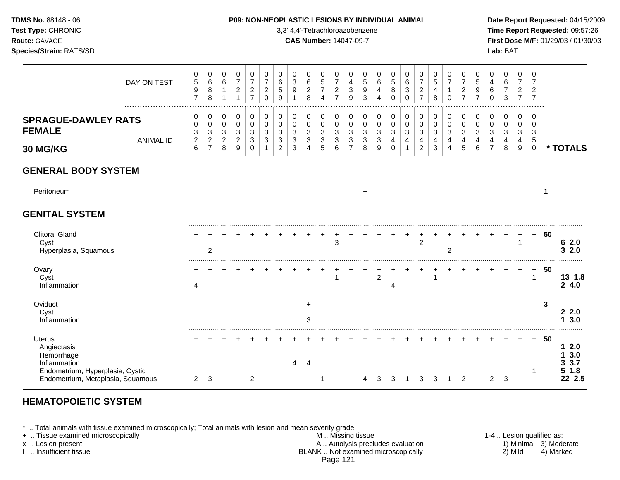| TDMS No. 88148 - 06<br>Test Type: CHRONIC<br>Route: GAVAGE<br>Species/Strain: RATS/SD |                                                            |                                                                    |                                                        |                                                                            |                                                                   |                                                                |                                                                               |                                                                    | 3,3',4,4'-Tetrachloroazobenzene<br><b>CAS Number: 14047-09-7</b> |                                                             |                                                                   |                                                                     |                                                               | <b>P09: NON-NEOPLASTIC LESIONS BY INDIVIDUAL ANIMAL</b>              |                                      |                                                    |                                      |                                                       |                                                    |                                                |                                                           |                                                           | Lab: BAT                                     |                                                                   |                                                         |             | Date Report Requested: 04/15/2009<br>Time Report Requested: 09:57:26<br>First Dose M/F: 01/29/03 / 01/30/03 |
|---------------------------------------------------------------------------------------|------------------------------------------------------------|--------------------------------------------------------------------|--------------------------------------------------------|----------------------------------------------------------------------------|-------------------------------------------------------------------|----------------------------------------------------------------|-------------------------------------------------------------------------------|--------------------------------------------------------------------|------------------------------------------------------------------|-------------------------------------------------------------|-------------------------------------------------------------------|---------------------------------------------------------------------|---------------------------------------------------------------|----------------------------------------------------------------------|--------------------------------------|----------------------------------------------------|--------------------------------------|-------------------------------------------------------|----------------------------------------------------|------------------------------------------------|-----------------------------------------------------------|-----------------------------------------------------------|----------------------------------------------|-------------------------------------------------------------------|---------------------------------------------------------|-------------|-------------------------------------------------------------------------------------------------------------|
| DAY ON TEST                                                                           | 0<br>$\sqrt{5}$<br>$\boldsymbol{9}$<br>$\overline{7}$      | 0<br>$\,6\,$<br>$\bf 8$<br>8                                       | $\mathbf 0$<br>$\,6\,$<br>$\mathbf{1}$<br>$\mathbf{1}$ | $\mathbf 0$<br>$\overline{7}$<br>$\begin{array}{c} 2 \\ 1 \end{array}$     | $\pmb{0}$<br>$\overline{7}$<br>$\boldsymbol{2}$<br>$\overline{7}$ | 0<br>$\boldsymbol{7}$<br>$\sqrt{2}$<br>$\mathbf 0$             | 0<br>$\,6\,$<br>$\sqrt{5}$<br>$\boldsymbol{9}$                                | 0<br>$\ensuremath{\mathsf{3}}$<br>$\boldsymbol{9}$<br>$\mathbf{1}$ | 0<br>6<br>$\boldsymbol{2}$<br>8                                  | $\pmb{0}$<br>$\sqrt{5}$<br>$\overline{7}$<br>$\overline{4}$ | $\mathbf 0$<br>$\overline{7}$<br>$\overline{c}$<br>$\overline{7}$ | $\mathbf 0$<br>$\overline{4}$<br>$\ensuremath{\mathsf{3}}$<br>$9\,$ | $\mathbf 0$<br>$\sqrt{5}$<br>$\boldsymbol{9}$<br>$\mathbf{3}$ | $\mathbf 0$<br>$\,6\,$<br>$\overline{4}$<br>$\boldsymbol{\varDelta}$ | 0<br>$\overline{5}$<br>8<br>$\Omega$ | 0<br>6<br>$\ensuremath{\mathsf{3}}$<br>$\mathbf 0$ | 0<br>$\overline{7}$<br>$\frac{2}{7}$ | 0<br>$\sqrt{5}$<br>$\overline{\mathbf{4}}$<br>8       | 0<br>$\overline{7}$<br>$\mathbf{1}$<br>$\mathbf 0$ | $\mathbf 0$<br>$\overline{7}$<br>$\frac{2}{7}$ | 0<br>5<br>$\boldsymbol{9}$<br>$\overline{7}$              | $\mathbf 0$<br>4<br>$\,6\,$<br>$\Omega$                   | $\pmb{0}$<br>$\,6$<br>$\overline{7}$<br>3    | $\mathbf 0$<br>$\overline{7}$<br>$\overline{c}$<br>$\overline{7}$ | 0<br>$\overline{7}$<br>$\overline{2}$<br>$\overline{7}$ |             |                                                                                                             |
| <b>SPRAGUE-DAWLEY RATS</b><br><b>FEMALE</b><br><b>ANIMAL ID</b><br>30 MG/KG           | 0<br>0<br>$\mathbf{3}$<br>$\overline{c}$<br>$6\phantom{a}$ | 0<br>$\mathbf 0$<br>$\sqrt{3}$<br>$\overline{a}$<br>$\overline{7}$ | 0<br>$\pmb{0}$<br>$\sqrt{3}$<br>$\boldsymbol{2}$<br>8  | $\mathbf 0$<br>$\mathbf 0$<br>$\ensuremath{\mathsf{3}}$<br>$\sqrt{2}$<br>9 | $\pmb{0}$<br>$\mathbf 0$<br>$\sqrt{3}$<br>$\sqrt{3}$<br>$\Omega$  | 0<br>$\pmb{0}$<br>$\ensuremath{\mathsf{3}}$<br>$\sqrt{3}$<br>1 | 0<br>$\mathbf 0$<br>$\sqrt{3}$<br>$\ensuremath{\mathsf{3}}$<br>$\overline{2}$ | 0<br>0<br>3<br>$\ensuremath{\mathsf{3}}$<br>3                      | 0<br>0<br>3<br>3                                                 | $\pmb{0}$<br>$\pmb{0}$<br>$\sqrt{3}$<br>$\sqrt{3}$<br>5     | 0<br>$\mathbf 0$<br>3<br>$\mathbf{3}$<br>6                        | 0<br>$\pmb{0}$<br>$\mathbf{3}$<br>$\sqrt{3}$<br>$\overline{7}$      | 0<br>$\mathbf 0$<br>$\mathbf{3}$<br>$\mathbf{3}$<br>8         | $\pmb{0}$<br>$\pmb{0}$<br>$\mathbf{3}$<br>$\mathbf{3}$<br>9          | 0<br>0<br>3<br>4<br>$\Omega$         | 0<br>$\pmb{0}$<br>$\mathbf{3}$<br>$\overline{4}$   | 0<br>0<br>3<br>4<br>$\overline{2}$   | 0<br>$\pmb{0}$<br>$\mathbf{3}$<br>$\overline{4}$<br>3 | 0<br>$\pmb{0}$<br>$\mathbf{3}$<br>$\overline{4}$   | 0<br>$\mathsf{O}\xspace$<br>3<br>4<br>5        | 0<br>$\mathbf 0$<br>$\mathfrak{Z}$<br>$\overline{4}$<br>6 | 0<br>$\mathbf 0$<br>3<br>$\overline{4}$<br>$\overline{7}$ | 0<br>$\mathbf 0$<br>3<br>$\overline{4}$<br>8 | 0<br>0<br>3<br>$\overline{4}$<br>9                                | $\Omega$<br>0<br>3<br>5<br>$\mathbf 0$                  |             | * TOTALS                                                                                                    |
| <b>GENERAL BODY SYSTEM</b>                                                            |                                                            |                                                                    |                                                        |                                                                            |                                                                   |                                                                |                                                                               |                                                                    |                                                                  |                                                             |                                                                   |                                                                     |                                                               |                                                                      |                                      |                                                    |                                      |                                                       |                                                    |                                                |                                                           |                                                           |                                              |                                                                   |                                                         |             |                                                                                                             |
| Peritoneum                                                                            |                                                            |                                                                    |                                                        |                                                                            |                                                                   |                                                                |                                                                               |                                                                    |                                                                  |                                                             |                                                                   |                                                                     | $\ddot{}$                                                     |                                                                      |                                      |                                                    |                                      |                                                       |                                                    |                                                |                                                           |                                                           |                                              |                                                                   |                                                         | $\mathbf 1$ |                                                                                                             |
| <b>GENITAL SYSTEM</b>                                                                 |                                                            |                                                                    |                                                        |                                                                            |                                                                   |                                                                |                                                                               |                                                                    |                                                                  |                                                             |                                                                   |                                                                     |                                                               |                                                                      |                                      |                                                    |                                      |                                                       |                                                    |                                                |                                                           |                                                           |                                              |                                                                   |                                                         |             |                                                                                                             |
| <b>Clitoral Gland</b><br>Cyst<br>Hyperplasia, Squamous                                |                                                            | $\overline{2}$                                                     |                                                        |                                                                            |                                                                   |                                                                |                                                                               |                                                                    |                                                                  |                                                             | 3                                                                 |                                                                     |                                                               |                                                                      |                                      |                                                    | 2                                    |                                                       | $\overline{2}$                                     |                                                |                                                           |                                                           |                                              | $\mathbf{1}$                                                      | $+$                                                     | 50          | 62.0<br>32.0                                                                                                |
| Ovary<br>Cyst<br>Inflammation                                                         | 4                                                          |                                                                    |                                                        |                                                                            |                                                                   |                                                                |                                                                               |                                                                    |                                                                  | ÷                                                           | $\ddot{}$<br>$\mathbf{1}$                                         | $\ddot{}$                                                           |                                                               | $\overline{2}$                                                       | Δ                                    |                                                    | $\ddot{}$                            | $\mathbf{1}$                                          | $\ddot{}$                                          | $+$                                            |                                                           |                                                           |                                              | $+$                                                               | $+$<br>$\mathbf{1}$                                     | 50          | 13 1.8<br>24.0                                                                                              |
| Oviduct<br>Cyst<br>Inflammation                                                       |                                                            |                                                                    |                                                        |                                                                            |                                                                   |                                                                |                                                                               |                                                                    | $\ddot{}$<br>3                                                   |                                                             |                                                                   |                                                                     |                                                               |                                                                      |                                      |                                                    |                                      |                                                       |                                                    |                                                |                                                           |                                                           |                                              |                                                                   |                                                         | 3           | 22.0<br>3.0<br>1.                                                                                           |
| Uterus<br>Angiectasis<br>Hemorrhage<br>Inflammation                                   |                                                            |                                                                    |                                                        |                                                                            |                                                                   |                                                                |                                                                               | $\overline{4}$                                                     | $\overline{4}$                                                   |                                                             |                                                                   |                                                                     |                                                               |                                                                      |                                      |                                                    |                                      |                                                       |                                                    |                                                |                                                           |                                                           |                                              |                                                                   | + 50                                                    |             | 12.0<br>3.0<br>1<br>3.3.7                                                                                   |
| Endometrium, Hyperplasia, Cystic<br>Endometrium, Metaplasia, Squamous                 |                                                            | $2 \quad 3$                                                        |                                                        |                                                                            | $\overline{c}$                                                    |                                                                |                                                                               |                                                                    |                                                                  | $\mathbf 1$                                                 |                                                                   |                                                                     | 4                                                             | 3                                                                    | 3                                    | $\overline{1}$                                     | 3                                    | 3                                                     | $\overline{1}$                                     | $\overline{2}$                                 |                                                           |                                                           | $2 \quad 3$                                  |                                                                   | -1                                                      |             | 5<br>1.8<br>22 2.5                                                                                          |

# **HEMATOPOIETIC SYSTEM**

\* .. Total animals with tissue examined microscopically; Total animals with lesion and mean severity grade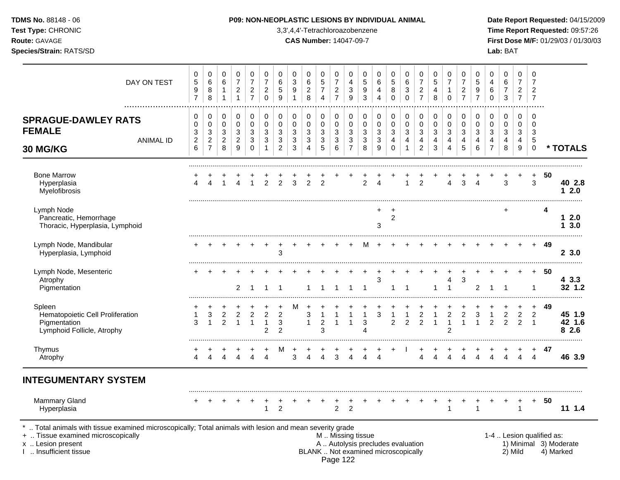**Test Type:** CHRONIC 3,3',4,4'-Tetrachloroazobenzene **Time Report Requested:** 09:57:26 **Route:** GAVAGE **CAS Number:** 14047-09-7 **First Dose M/F:** 01/29/03 / 01/30/03 **Species/Strain:** RATS/SD **Lab:** BAT

| DAY ON TEST                                                                                                                                                                             | 0<br>$\mathbf 5$<br>$\boldsymbol{9}$<br>$\overline{7}$      | 0<br>$\,6\,$<br>8<br>8                                               | 0<br>6<br>$\mathbf{1}$<br>$\mathbf{1}$       | 0<br>$\overline{7}$<br>$\boldsymbol{2}$<br>$\mathbf{1}$              | 0<br>$\overline{7}$<br>$\boldsymbol{2}$<br>$\overline{7}$ | 0<br>$\overline{7}$<br>$\overline{c}$<br>0 | $\mathbf 0$<br>$6\phantom{1}6$<br>5<br>9                                 | 0<br>$\ensuremath{\mathsf{3}}$<br>$\mathsf g$<br>$\mathbf{1}$ | 0<br>$\,6$<br>$\sqrt{2}$<br>8                                  | $\mathbf 0$<br>5<br>$\overline{7}$<br>$\overline{4}$          | 0<br>$\overline{7}$<br>$\sqrt{2}$<br>$\overline{7}$     | 0<br>$\overline{4}$<br>$\ensuremath{\mathsf{3}}$<br>9                                         | 0<br>5<br>9<br>3                        | 0<br>$\,6$<br>$\overline{4}$<br>$\overline{4}$                     | 0<br>$\sqrt{5}$<br>$\bf8$<br>$\mathbf 0$               | 0<br>$\,6\,$<br>$\ensuremath{\mathsf{3}}$<br>$\mathsf 0$ | 0<br>$\boldsymbol{7}$<br>$\boldsymbol{2}$<br>$\overline{7}$ | $\pmb{0}$<br>$\overline{5}$<br>$\overline{\mathbf{4}}$<br>8 | 0<br>$\overline{7}$<br>$\mathbf{1}$<br>0                        | 0<br>$\overline{7}$<br>$\overline{c}$<br>$\overline{7}$ | 0<br>$\overline{5}$<br>$\boldsymbol{9}$<br>$\overline{7}$ | 0<br>4<br>$\,6$<br>$\mathbf 0$               | 0<br>$\,6\,$<br>$\boldsymbol{7}$<br>$\mathbf{3}$      | $\mathbf 0$<br>$\overline{7}$<br>$\boldsymbol{2}$<br>$\overline{7}$ | 0<br>$\overline{7}$<br>$\overline{c}$<br>$\overline{7}$ |                           |                                     |
|-----------------------------------------------------------------------------------------------------------------------------------------------------------------------------------------|-------------------------------------------------------------|----------------------------------------------------------------------|----------------------------------------------|----------------------------------------------------------------------|-----------------------------------------------------------|--------------------------------------------|--------------------------------------------------------------------------|---------------------------------------------------------------|----------------------------------------------------------------|---------------------------------------------------------------|---------------------------------------------------------|-----------------------------------------------------------------------------------------------|-----------------------------------------|--------------------------------------------------------------------|--------------------------------------------------------|----------------------------------------------------------|-------------------------------------------------------------|-------------------------------------------------------------|-----------------------------------------------------------------|---------------------------------------------------------|-----------------------------------------------------------|----------------------------------------------|-------------------------------------------------------|---------------------------------------------------------------------|---------------------------------------------------------|---------------------------|-------------------------------------|
| <b>SPRAGUE-DAWLEY RATS</b><br><b>FEMALE</b><br><b>ANIMAL ID</b><br>30 MG/KG                                                                                                             | 0<br>0<br>$\ensuremath{\mathsf{3}}$<br>$\mathbf 2$<br>$\,6$ | 0<br>$\mathbf 0$<br>$\mathbf{3}$<br>$\overline{c}$<br>$\overline{7}$ | 0<br>$\mathbf 0$<br>3<br>$\overline{c}$<br>8 | 0<br>$\mathsf 0$<br>$\sqrt{3}$<br>$\overline{2}$<br>$\boldsymbol{9}$ | 0<br>$\mathbf 0$<br>3<br>3<br>0                           | 0<br>0<br>3<br>3<br>$\mathbf{1}$           | $\mathbf 0$<br>$\mathsf 0$<br>$\sqrt{3}$<br>$\sqrt{3}$<br>$\overline{2}$ | 0<br>$\mathbf 0$<br>3<br>$\mathbf{3}$<br>3                    | 0<br>$\pmb{0}$<br>$\mathbf{3}$<br>$\sqrt{3}$<br>$\overline{4}$ | $\mathbf 0$<br>$\mathbf 0$<br>$\sqrt{3}$<br>$\mathbf{3}$<br>5 | 0<br>$\pmb{0}$<br>$\mathfrak{S}$<br>$\mathfrak{S}$<br>6 | 0<br>$\pmb{0}$<br>$\mathbf{3}$<br>$\sqrt{3}$<br>$\overline{7}$                                | 0<br>0<br>$\sqrt{3}$<br>$\sqrt{3}$<br>8 | 0<br>$\mathbf 0$<br>$\mathbf{3}$<br>$\ensuremath{\mathsf{3}}$<br>9 | 0<br>$\mathbf 0$<br>$\mathfrak{S}$<br>4<br>$\mathbf 0$ | 0<br>$\mathsf 0$<br>3<br>4<br>$\mathbf{1}$               | 0<br>$\mathbf 0$<br>$\mathbf{3}$<br>4<br>$\overline{c}$     | $\pmb{0}$<br>$\pmb{0}$<br>3<br>$\overline{4}$<br>3          | $\pmb{0}$<br>$\mathbf 0$<br>$\mathbf{3}$<br>$\overline{4}$<br>4 | 0<br>$\mathbf 0$<br>3<br>$\overline{4}$<br>5            | 0<br>$\mathbf 0$<br>3<br>4<br>6                           | 0<br>$\mathbf 0$<br>3<br>4<br>$\overline{7}$ | 0<br>$\pmb{0}$<br>$\mathbf{3}$<br>$\overline{4}$<br>8 | 0<br>$\mathbf 0$<br>3<br>$\overline{4}$<br>$\boldsymbol{9}$         | 0<br>$\mathbf 0$<br>3<br>5<br>$\pmb{0}$                 |                           | * TOTALS                            |
| <b>Bone Marrow</b><br>Hyperplasia<br>Myelofibrosis                                                                                                                                      | $\boldsymbol{\Lambda}$                                      | 4                                                                    |                                              |                                                                      |                                                           | $\overline{2}$                             | $\mathfrak{p}$                                                           | 3                                                             | $\mathfrak{p}$                                                 | $\mathfrak{p}$                                                |                                                         |                                                                                               | $\overline{2}$                          | Δ                                                                  |                                                        |                                                          | $\mathcal{P}$                                               |                                                             | $\overline{4}$                                                  | 3                                                       | $\Delta$                                                  |                                              | 3                                                     |                                                                     | $\ddot{}$<br>3                                          | 50                        | 40 2.8<br>$12.0$                    |
| Lymph Node<br>Pancreatic, Hemorrhage<br>Thoracic, Hyperplasia, Lymphoid                                                                                                                 |                                                             |                                                                      |                                              |                                                                      |                                                           |                                            |                                                                          |                                                               |                                                                |                                                               |                                                         |                                                                                               |                                         | +<br>3                                                             | $\ddot{}$<br>$\overline{c}$                            |                                                          |                                                             |                                                             |                                                                 |                                                         |                                                           |                                              | +                                                     |                                                                     |                                                         | 4                         | 12.0<br>13.0                        |
| Lymph Node, Mandibular<br>Hyperplasia, Lymphoid                                                                                                                                         |                                                             |                                                                      |                                              |                                                                      |                                                           |                                            | 3                                                                        |                                                               |                                                                |                                                               |                                                         |                                                                                               |                                         |                                                                    |                                                        |                                                          |                                                             |                                                             |                                                                 |                                                         |                                                           |                                              |                                                       |                                                                     | $+$                                                     | 49                        | 23.0                                |
| Lymph Node, Mesenteric<br>Atrophy<br>Pigmentation                                                                                                                                       |                                                             |                                                                      |                                              | 2                                                                    | 1                                                         | 1                                          | $\overline{1}$                                                           |                                                               |                                                                | 1                                                             | $\mathbf 1$                                             | 1                                                                                             | 1                                       | 3                                                                  | 1                                                      |                                                          |                                                             | $\mathbf{1}$                                                | 4<br>1                                                          | 3                                                       | $\overline{2}$                                            | 1                                            |                                                       |                                                                     | $\ddot{}$<br>$\mathbf{1}$                               | 50                        | 43.3<br>32 1.2                      |
| Spleen<br>Hematopoietic Cell Proliferation<br>Pigmentation<br>Lymphoid Follicle, Atrophy                                                                                                | 1<br>3                                                      | 3<br>$\overline{1}$                                                  | $\overline{c}$<br>$\overline{2}$             | $\overline{c}$<br>$\overline{1}$                                     | $\overline{c}$<br>$\mathbf 1$                             | 2<br>$\mathbf{1}$<br>$\overline{2}$        | $\overline{c}$<br>3<br>$\overline{2}$                                    | М                                                             | 3<br>$\mathbf{1}$                                              | $\overline{2}$<br>3                                           | $\overline{1}$                                          | $\mathbf{1}$                                                                                  | 1<br>3                                  | 3                                                                  | $\mathbf{1}$<br>2                                      | 1<br>$\overline{2}$                                      | $\overline{c}$<br>$\overline{c}$                            | $\mathbf{1}$<br>$\overline{1}$                              | $\overline{c}$<br>$\mathbf{1}$<br>$\overline{2}$                | $\overline{c}$<br>$\mathbf{1}$                          | 3<br>$\overline{1}$                                       | 1<br>$\overline{c}$                          | $\overline{c}$<br>$\overline{2}$                      | $\overline{c}$<br>2                                                 | $\ddot{}$<br>$\overline{2}$<br>$\overline{1}$           | 49                        | 45 1.9<br>42 1.6<br>8 2.6           |
| Thymus<br>Atrophy                                                                                                                                                                       | $\overline{\mathbf{4}}$                                     | 4                                                                    | 4                                            | $\boldsymbol{\Lambda}$                                               | Δ                                                         | Δ                                          |                                                                          | 3                                                             | 4                                                              | 4                                                             | 3                                                       | Δ                                                                                             |                                         | Δ                                                                  |                                                        |                                                          |                                                             |                                                             | Δ                                                               |                                                         |                                                           |                                              |                                                       |                                                                     | $\overline{\mathbf{4}}$                                 | 47                        | 46 3.9                              |
| <b>INTEGUMENTARY SYSTEM</b>                                                                                                                                                             |                                                             |                                                                      |                                              |                                                                      |                                                           |                                            |                                                                          |                                                               |                                                                |                                                               |                                                         |                                                                                               |                                         |                                                                    |                                                        |                                                          |                                                             |                                                             |                                                                 |                                                         |                                                           |                                              |                                                       |                                                                     |                                                         |                           |                                     |
| Mammary Gland<br>Hyperplasia                                                                                                                                                            |                                                             |                                                                      |                                              |                                                                      |                                                           | $\mathbf{1}$                               | $\overline{c}$                                                           |                                                               |                                                                |                                                               | $\overline{c}$                                          | $\overline{2}$                                                                                |                                         |                                                                    |                                                        |                                                          |                                                             |                                                             | 1                                                               |                                                         |                                                           |                                              |                                                       | 1                                                                   | $+$                                                     | 50                        | 111.4                               |
| Total animals with tissue examined microscopically; Total animals with lesion and mean severity grade<br>+  Tissue examined microscopically<br>x  Lesion present<br>Insufficient tissue |                                                             |                                                                      |                                              |                                                                      |                                                           |                                            |                                                                          |                                                               |                                                                |                                                               |                                                         | M  Missing tissue<br>A  Autolysis precludes evaluation<br>BLANK  Not examined microscopically |                                         |                                                                    |                                                        |                                                          |                                                             |                                                             |                                                                 |                                                         |                                                           |                                              |                                                       | 2) Mild                                                             |                                                         | 1-4  Lesion qualified as: | 1) Minimal 3) Moderate<br>4) Marked |

Page 122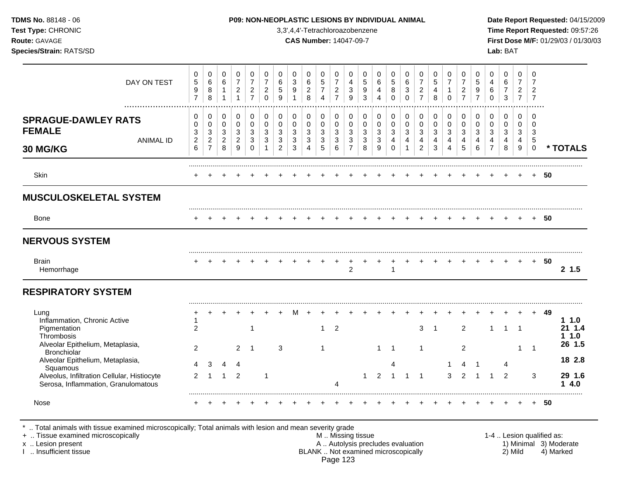| TDMS No. 88148 - 06<br>Test Type: CHRONIC<br>Route: GAVAGE<br>Species/Strain: RATS/SD          |                                                      |                                                  |                                                                    | P09: NON-NEOPLASTIC LESIONS BY INDIVIDUAL ANIMAL                          |                                                                |                                                      |                                                 |                                                                |                                      | 3,3',4,4'-Tetrachloroazobenzene<br><b>CAS Number: 14047-09-7</b> |                                                     |                                                                           |                                                      |                                                                 |                                                            |                                                                      |                                             |                                                    |                                               |                                          |                                                                  |                                      | Lab: BAT                             |                                                                |                                                                |      | Date Report Requested: 04/15/2009<br>Time Report Requested: 09:57:26<br>First Dose M/F: 01/29/03 / 01/30/03 |
|------------------------------------------------------------------------------------------------|------------------------------------------------------|--------------------------------------------------|--------------------------------------------------------------------|---------------------------------------------------------------------------|----------------------------------------------------------------|------------------------------------------------------|-------------------------------------------------|----------------------------------------------------------------|--------------------------------------|------------------------------------------------------------------|-----------------------------------------------------|---------------------------------------------------------------------------|------------------------------------------------------|-----------------------------------------------------------------|------------------------------------------------------------|----------------------------------------------------------------------|---------------------------------------------|----------------------------------------------------|-----------------------------------------------|------------------------------------------|------------------------------------------------------------------|--------------------------------------|--------------------------------------|----------------------------------------------------------------|----------------------------------------------------------------|------|-------------------------------------------------------------------------------------------------------------|
| DAY ON TEST                                                                                    | $\pmb{0}$<br>5<br>$\boldsymbol{9}$<br>$\overline{7}$ | $\pmb{0}$<br>$\,6\,$<br>$\bf 8$<br>$\bf 8$       | $\Omega$<br>$\,6\,$<br>$\mathbf{1}$<br>$\mathbf{1}$                | $\mathsf{O}\xspace$<br>$\overline{7}$<br>$\sqrt{2}$<br>$\overline{1}$     | $\Omega$<br>$\overline{7}$<br>$\overline{c}$<br>$\overline{7}$ | 0<br>$\overline{7}$<br>$\overline{c}$<br>$\mathbf 0$ | $\Omega$<br>6<br>$\sqrt{5}$<br>$\boldsymbol{9}$ | $\Omega$<br>$\mathfrak{S}$<br>$\boldsymbol{9}$<br>$\mathbf{1}$ | $\Omega$<br>6<br>$\overline{c}$<br>8 | $\mathbf 0$<br>5<br>$\overline{7}$<br>$\overline{4}$             | 0<br>$\overline{7}$<br>$\sqrt{2}$<br>$\overline{7}$ | $\Omega$<br>$\overline{4}$<br>$\ensuremath{\mathsf{3}}$<br>$\overline{9}$ | $\Omega$<br>$5\phantom{.0}$<br>$\boldsymbol{9}$<br>3 | $\Omega$<br>$6\phantom{1}6$<br>$\overline{4}$<br>$\overline{4}$ | $\Omega$<br>$\overline{5}$<br>$\bf 8$<br>$\mathbf 0$       | $\Omega$<br>$\,6\,$<br>$\ensuremath{\mathsf{3}}$<br>$\mathbf 0$      | $\Omega$<br>$\overline{7}$<br>$\frac{2}{7}$ | $\Omega$<br>5<br>$\overline{4}$<br>8               | $\mathbf 0$<br>$\overline{7}$<br>$\mathbf 0$  | 0<br>$\overline{7}$<br>$\frac{2}{7}$     | $\Omega$<br>$\overline{5}$<br>$\boldsymbol{9}$<br>$\overline{7}$ | $\Omega$<br>4<br>6<br>$\mathbf 0$    | $\Omega$<br>6<br>$\overline{7}$<br>3 | $\Omega$<br>$\overline{7}$<br>$\overline{2}$<br>$\overline{7}$ | $\Omega$<br>$\overline{7}$<br>$\overline{c}$<br>$\overline{7}$ |      |                                                                                                             |
| <b>SPRAGUE-DAWLEY RATS</b><br><b>FEMALE</b><br><b>ANIMAL ID</b>                                | 0<br>$\mathbf 0$<br>3<br>$\overline{c}$              | $\mathbf 0$<br>0<br>$\sqrt{3}$<br>$\overline{2}$ | $\mathbf 0$<br>$\mathsf{O}\xspace$<br>$\sqrt{3}$<br>$\overline{c}$ | $\mathbf 0$<br>$\mathbf 0$<br>$\ensuremath{\mathsf{3}}$<br>$\overline{2}$ | $\pmb{0}$<br>$\mathsf 0$<br>$\sqrt{3}$<br>3                    | $\pmb{0}$<br>$\pmb{0}$<br>$\sqrt{3}$<br>3            | $\mathbf 0$<br>$\mathbf 0$<br>$\sqrt{3}$<br>3   | $\mathbf 0$<br>$\mathbf 0$<br>3<br>3                           | 0<br>$\mathbf 0$<br>3<br>3           | 0<br>$\pmb{0}$<br>$\sqrt{3}$<br>$\sqrt{3}$                       | 0<br>0<br>$\mathbf{3}$<br>3                         | $\mathbf 0$<br>$\pmb{0}$<br>$\sqrt{3}$<br>$\sqrt{3}$                      | $\mathbf 0$<br>$\mathbf 0$<br>3<br>$\mathbf{3}$      | $\mathbf 0$<br>$\mathbf 0$<br>$\mathsf 3$<br>$\sqrt{3}$         | 0<br>$\mathsf{O}\xspace$<br>$\mathbf{3}$<br>$\overline{4}$ | $\mathbf 0$<br>$\mathsf{O}\xspace$<br>$\mathbf{3}$<br>$\overline{4}$ | 0<br>$\mathbf 0$<br>3<br>4                  | 0<br>$\mathbf 0$<br>$\mathbf{3}$<br>$\overline{4}$ | $\mathbf 0$<br>$\mathbf 0$<br>$\sqrt{3}$<br>4 | 0<br>0<br>$\mathbf{3}$<br>$\overline{4}$ | $\mathbf 0$<br>$\mathbf 0$<br>$\mathbf{3}$<br>$\overline{4}$     | $\mathbf 0$<br>$\mathbf 0$<br>3<br>4 | $\pmb{0}$<br>$\Omega$<br>3<br>4      | 0<br>$\mathbf 0$<br>3<br>$\overline{4}$                        | $\Omega$<br>$\Omega$<br>3<br>5                                 |      |                                                                                                             |
| 30 MG/KG                                                                                       | $6\phantom{a}$                                       | $\overline{7}$                                   | 8                                                                  | 9                                                                         | $\Omega$                                                       | $\mathbf{1}$                                         | $\overline{2}$                                  | 3                                                              | $\overline{4}$                       | 5                                                                | 6                                                   | $\overline{7}$                                                            | 8                                                    | 9                                                               | $\mathbf 0$                                                | $\mathbf{1}$                                                         | $\overline{2}$                              | 3                                                  | $\overline{4}$                                | 5                                        | $6\phantom{1}6$                                                  | $\overline{7}$                       | 8                                    | 9                                                              | $\mathbf 0$                                                    |      | * TOTALS                                                                                                    |
| <b>Skin</b>                                                                                    |                                                      |                                                  |                                                                    |                                                                           |                                                                |                                                      |                                                 |                                                                |                                      |                                                                  |                                                     |                                                                           |                                                      |                                                                 |                                                            |                                                                      |                                             |                                                    |                                               | $+$                                      |                                                                  |                                      |                                      |                                                                | $+$                                                            | -50  |                                                                                                             |
| <b>MUSCULOSKELETAL SYSTEM</b>                                                                  |                                                      |                                                  |                                                                    |                                                                           |                                                                |                                                      |                                                 |                                                                |                                      |                                                                  |                                                     |                                                                           |                                                      |                                                                 |                                                            |                                                                      |                                             |                                                    |                                               |                                          |                                                                  |                                      |                                      |                                                                |                                                                |      |                                                                                                             |
| <b>Bone</b>                                                                                    |                                                      |                                                  |                                                                    |                                                                           |                                                                |                                                      |                                                 |                                                                |                                      |                                                                  |                                                     | $+$                                                                       |                                                      | $+$ $+$ $+$                                                     |                                                            |                                                                      |                                             | + + + + + + +                                      |                                               |                                          |                                                                  |                                      |                                      |                                                                |                                                                | -50  |                                                                                                             |
| <b>NERVOUS SYSTEM</b>                                                                          |                                                      |                                                  |                                                                    |                                                                           |                                                                |                                                      |                                                 |                                                                |                                      |                                                                  |                                                     |                                                                           |                                                      |                                                                 |                                                            |                                                                      |                                             |                                                    |                                               |                                          |                                                                  |                                      |                                      |                                                                |                                                                |      |                                                                                                             |
| <b>Brain</b><br>Hemorrhage                                                                     |                                                      |                                                  |                                                                    |                                                                           |                                                                |                                                      |                                                 |                                                                |                                      |                                                                  | $+$                                                 | $\ddot{}$<br>$\overline{2}$                                               | $+$                                                  | $+$                                                             | $\mathbf{1}$                                               |                                                                      | $+$                                         |                                                    |                                               |                                          |                                                                  |                                      |                                      | $+$                                                            | $+$                                                            | 50   | 2, 1.5                                                                                                      |
| <b>RESPIRATORY SYSTEM</b>                                                                      |                                                      |                                                  |                                                                    |                                                                           |                                                                |                                                      |                                                 |                                                                |                                      |                                                                  |                                                     |                                                                           |                                                      |                                                                 |                                                            |                                                                      |                                             |                                                    |                                               |                                          |                                                                  |                                      |                                      |                                                                |                                                                |      |                                                                                                             |
| Lung<br>Inflammation, Chronic Active                                                           | +<br>$\mathbf{1}$                                    |                                                  |                                                                    |                                                                           |                                                                |                                                      |                                                 | M                                                              | $\ddot{}$                            | $\ddot{}$                                                        | $\ddot{}$                                           |                                                                           |                                                      |                                                                 |                                                            |                                                                      |                                             |                                                    |                                               |                                          |                                                                  |                                      |                                      |                                                                |                                                                | - 49 | 11.0                                                                                                        |
| Pigmentation<br>Thrombosis<br>Alveolar Epithelium, Metaplasia,                                 | 2<br>$\overline{2}$                                  |                                                  |                                                                    | $\overline{2}$                                                            | $\mathbf{1}$<br>$\overline{1}$                                 |                                                      | 3                                               |                                                                |                                      | $\mathbf{1}$<br>$\mathbf{1}$                                     | $\overline{2}$                                      |                                                                           |                                                      | $\mathbf{1}$                                                    | $\overline{1}$                                             |                                                                      | 3<br>$\mathbf{1}$                           | $\mathbf{1}$                                       |                                               | $\overline{c}$<br>$\overline{2}$         |                                                                  | $\mathbf{1}$                         | $1 \quad 1$                          | $\mathbf{1}$                                                   | $\overline{\phantom{0}}$                                       |      | $21 \t1.4$<br>11.0<br>26 1.5                                                                                |
| <b>Bronchiolar</b><br>Alveolar Epithelium, Metaplasia,                                         | 4                                                    | 3                                                | 4                                                                  | 4                                                                         |                                                                |                                                      |                                                 |                                                                |                                      |                                                                  |                                                     |                                                                           |                                                      |                                                                 | 4                                                          |                                                                      |                                             |                                                    | -1                                            | $\overline{4}$                           | $\overline{\phantom{0}}$                                         |                                      | $\overline{4}$                       |                                                                |                                                                |      | 18 2.8                                                                                                      |
| Squamous<br>Alveolus, Infiltration Cellular, Histiocyte<br>Serosa, Inflammation, Granulomatous | $\overline{2}$                                       | $\mathbf{1}$                                     | $\mathbf{1}$                                                       | $\overline{2}$                                                            |                                                                | $\mathbf{1}$                                         |                                                 |                                                                |                                      |                                                                  | 4                                                   |                                                                           | $\mathbf{1}$                                         | 2                                                               | $\overline{1}$                                             | $\overline{1}$                                                       | $\overline{1}$                              |                                                    | 3                                             | $\overline{2}$                           | $\overline{1}$                                                   | $\overline{1}$                       | $\overline{2}$                       |                                                                | 3                                                              |      | 29 1.6<br>14.0                                                                                              |
| Nose                                                                                           |                                                      |                                                  |                                                                    |                                                                           |                                                                |                                                      |                                                 |                                                                |                                      |                                                                  |                                                     |                                                                           |                                                      |                                                                 |                                                            |                                                                      |                                             |                                                    |                                               |                                          |                                                                  |                                      |                                      |                                                                |                                                                | + 50 |                                                                                                             |

\* .. Total animals with tissue examined microscopically; Total animals with lesion and mean severity grade

+ .. Tissue examined microscopically M .. Missing tissue 1-4 .. Lesion qualified as:

- x .. Lesion present **A .. Autolysis precludes evaluation** A .. Autolysis precludes evaluation 1) Minimal 3) Moderate I .. Insufficient tissue BLANK .. Not examined microscopically 2) Mild 4) Marked Page 123
-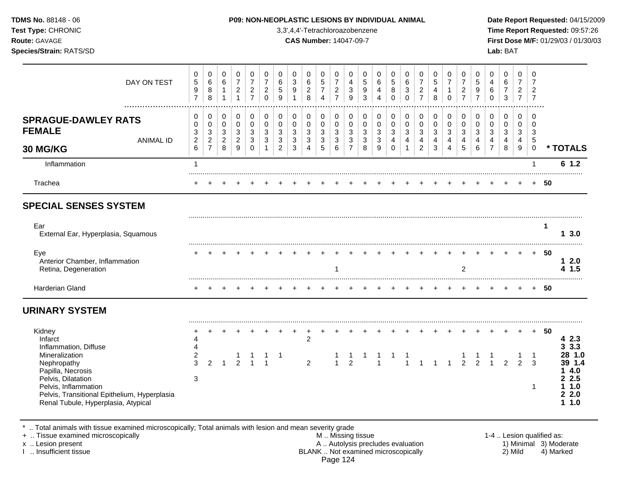#### **TDMS No.** 88148 - 06 **P09: NON-NEOPLASTIC LESIONS BY INDIVIDUAL ANIMAL Date Report Requested:** 04/15/2009

**Test Type:** CHRONIC 3,3',4,4'-Tetrachloroazobenzene **Time Report Requested:** 09:57:26 **Route:** GAVAGE **CAS Number:** 14047-09-7 **First Dose M/F:** 01/29/03 / 01/30/03

|                                                                | DAY ON TEST      | 0<br>5<br>9<br>$\overline{7}$          | 0<br>6<br>8<br>8                                             | 0<br>6                             | 0<br>$\overline{7}$<br>$\overline{c}$ | 0<br>$\overline{7}$<br>$\overline{c}$<br>$\overline{7}$ | 0<br>$\overline{7}$<br>$\boldsymbol{2}$<br>$\Omega$ | 0<br>6<br>5<br>9                   | 3<br>9                | 0<br>6<br>$\overline{c}$<br>8 | 0<br>5<br>7<br>$\overline{\mathbf{4}}$ | 0<br>$\overline{7}$<br>$\overline{c}$<br>$\overline{7}$ | 0<br>4<br>3<br>9      | 0<br>5<br>9<br>3      | 0<br>6<br>4<br>4      | 0<br>5<br>8<br>n        | 0<br>6<br>3<br>$\Omega$ | 0<br>$\overline{c}$<br>$\overline{7}$ | 0<br>5<br>4<br>8      | 0<br>$\Omega$         | 0<br>2                | 0<br>5<br>9           | 0<br>4<br>6<br><sup>0</sup> | 0<br>6<br>$\overline{7}$<br>3 | 0<br>$\overline{7}$<br>$\overline{c}$<br>$\overline{7}$ |                                     |      |            |
|----------------------------------------------------------------|------------------|----------------------------------------|--------------------------------------------------------------|------------------------------------|---------------------------------------|---------------------------------------------------------|-----------------------------------------------------|------------------------------------|-----------------------|-------------------------------|----------------------------------------|---------------------------------------------------------|-----------------------|-----------------------|-----------------------|-------------------------|-------------------------|---------------------------------------|-----------------------|-----------------------|-----------------------|-----------------------|-----------------------------|-------------------------------|---------------------------------------------------------|-------------------------------------|------|------------|
| <b>SPRAGUE-DAWLEY RATS</b><br><b>FEMALE</b><br><b>30 MG/KG</b> | <b>ANIMAL ID</b> | 0<br>3<br>$\overline{\mathbf{c}}$<br>6 | 0<br>0<br>$\mathbf{3}$<br>$\boldsymbol{2}$<br>$\overline{ }$ | 0<br>0<br>3<br>$\overline{c}$<br>8 | 0<br>0<br>3<br>$\overline{c}$<br>9    | 0<br>0<br>3<br>3<br>0                                   | 0<br>0<br>3<br>3                                    | 0<br>0<br>3<br>3<br>$\overline{2}$ | 0<br>0<br>3<br>3<br>3 | 0<br>0<br>3<br>3<br>4         | 0<br>0<br>3<br>3<br>5                  | 0<br>0<br>3<br>3<br>6                                   | 0<br>0<br>3<br>3<br>7 | 0<br>0<br>3<br>3<br>8 | 0<br>0<br>3<br>3<br>9 | 0<br>3<br>4<br>$\Omega$ | 0<br>0<br>3<br>4        | 0<br>0<br>3<br>4<br>$\overline{2}$    | 0<br>0<br>3<br>4<br>3 | 0<br>0<br>3<br>4<br>4 | 0<br>0<br>3<br>4<br>5 | 0<br>0<br>3<br>4<br>6 | 0<br>0<br>3                 | 0<br>0<br>3<br>4<br>8         | 0<br>0<br>3<br>4<br>9                                   | O<br>3<br>$\sqrt{5}$<br>$\mathbf 0$ |      | * TOTALS   |
| Inflammation                                                   |                  |                                        |                                                              |                                    |                                       |                                                         |                                                     |                                    |                       |                               |                                        |                                                         |                       |                       |                       |                         |                         |                                       |                       |                       |                       |                       |                             |                               |                                                         |                                     |      | 61.2       |
| Trachea                                                        |                  |                                        |                                                              |                                    |                                       |                                                         |                                                     |                                    |                       |                               |                                        |                                                         |                       |                       |                       |                         |                         |                                       |                       |                       |                       |                       |                             |                               |                                                         | ÷.                                  | 50   |            |
| <b>SPECIAL SENSES SYSTEM</b><br>Ear                            |                  |                                        |                                                              |                                    |                                       |                                                         |                                                     |                                    |                       |                               |                                        |                                                         |                       |                       |                       |                         |                         |                                       |                       |                       |                       |                       |                             |                               |                                                         |                                     | 1    |            |
| External Ear, Hyperplasia, Squamous                            |                  |                                        |                                                              |                                    |                                       |                                                         |                                                     |                                    |                       |                               |                                        |                                                         |                       |                       |                       |                         |                         |                                       |                       |                       |                       |                       |                             |                               |                                                         |                                     |      | 13.0       |
| Eye<br>Anterior Chamber, Inflammation<br>Retina, Degeneration  |                  |                                        |                                                              |                                    |                                       |                                                         |                                                     |                                    |                       |                               |                                        |                                                         |                       |                       |                       |                         |                         |                                       |                       |                       | 2                     |                       |                             |                               |                                                         | $+$                                 | 50   | 2.0<br>1.5 |
| Harderian Gland                                                |                  |                                        |                                                              |                                    |                                       |                                                         |                                                     |                                    |                       |                               |                                        |                                                         |                       |                       |                       |                         |                         |                                       |                       |                       |                       |                       |                             |                               |                                                         |                                     | - 50 |            |
| <b>URINARY SYSTEM</b>                                          |                  |                                        |                                                              |                                    |                                       |                                                         |                                                     |                                    |                       |                               |                                        |                                                         |                       |                       |                       |                         |                         |                                       |                       |                       |                       |                       |                             |                               |                                                         |                                     |      |            |

| Kidnev                                       |   |  |  |  | ົ |  |  |  |  |  |  |  | $+$ | 50 |                |
|----------------------------------------------|---|--|--|--|---|--|--|--|--|--|--|--|-----|----|----------------|
| Infarct<br>Inflammation, Diffuse             | 4 |  |  |  |   |  |  |  |  |  |  |  |     |    | 4 2.3<br>3.3.3 |
| Mineralization                               | ົ |  |  |  |   |  |  |  |  |  |  |  |     |    | 28 1.0         |
| Nephropathy                                  | 3 |  |  |  |   |  |  |  |  |  |  |  |     |    | 39 1.4         |
| Papilla, Necrosis                            |   |  |  |  |   |  |  |  |  |  |  |  |     |    | 14.0<br>2 2.5  |
| Pelvis, Dilatation<br>Pelvis, Inflammation   | 3 |  |  |  |   |  |  |  |  |  |  |  |     |    | 1.0            |
| Pelvis, Transitional Epithelium, Hyperplasia |   |  |  |  |   |  |  |  |  |  |  |  |     |    | 2.2.0          |
| Renal Tubule, Hyperplasia, Atypical          |   |  |  |  |   |  |  |  |  |  |  |  |     |    | 1.0            |

\* .. Total animals with tissue examined microscopically; Total animals with lesion and mean severity grade

+ .. Tissue examined microscopically M .. Missing tissue 1-4 .. Lesion qualified as: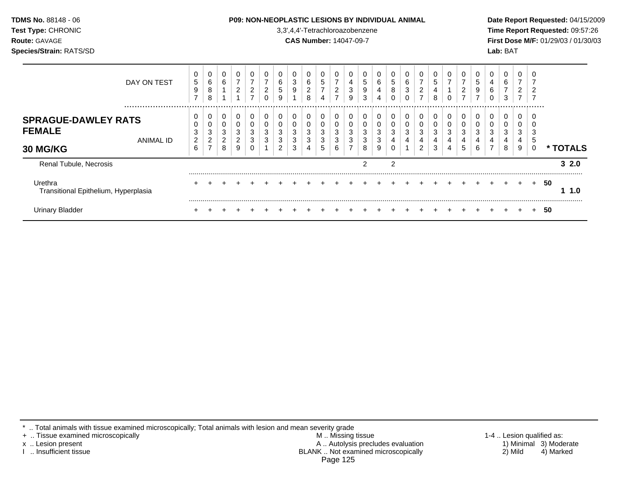| <b>TDMS No. 88148 - 06</b>                      |               |                               |                                        |             |        |                                            |                      |             | <b>P09: NON-NEOPLASTIC LESIONS BY INDIVIDUAL ANIMAL</b> |                                         |                                                                  |                             |             |             |                  |        |        |        |                          |                                                      |        |        |                                   |                                                         |                     |    | Date Report Requested: 04/15/2009          |  |
|-------------------------------------------------|---------------|-------------------------------|----------------------------------------|-------------|--------|--------------------------------------------|----------------------|-------------|---------------------------------------------------------|-----------------------------------------|------------------------------------------------------------------|-----------------------------|-------------|-------------|------------------|--------|--------|--------|--------------------------|------------------------------------------------------|--------|--------|-----------------------------------|---------------------------------------------------------|---------------------|----|--------------------------------------------|--|
| Test Type: CHRONIC                              |               |                               |                                        |             |        |                                            |                      |             | 3,3',4,4'-Tetrachloroazobenzene                         |                                         |                                                                  |                             |             |             |                  |        |        |        |                          |                                                      |        |        |                                   |                                                         |                     |    | Time Report Requested: 09:57:26            |  |
| Route: GAVAGE                                   |               |                               |                                        |             |        |                                            |                      |             | <b>CAS Number: 14047-09-7</b>                           |                                         |                                                                  |                             |             |             |                  |        |        |        |                          |                                                      |        |        |                                   |                                                         |                     |    | <b>First Dose M/F: 01/29/03 / 01/30/03</b> |  |
| Species/Strain: RATS/SD                         |               |                               |                                        |             |        |                                            |                      |             |                                                         |                                         |                                                                  |                             |             |             |                  |        |        |        |                          |                                                      |        |        | Lab: BAT                          |                                                         |                     |    |                                            |  |
|                                                 | DAY ON TEST   | 0<br>5<br>9<br>$\overline{ }$ | 0<br>6<br>8<br>8                       | 0<br>6      | ⇁<br>2 | 0<br>$\overline{ }$<br>$\overline{2}$<br>0 | 6<br>$\sqrt{5}$<br>9 | 3<br>9      | 6<br>$\overline{c}$<br>8                                | 0<br>$\,$ 5 $\,$<br>$\overline{z}$<br>4 | 0<br>$\overline{7}$<br>$\overline{\mathbf{c}}$<br>$\overline{7}$ | 0<br>4<br>$\mathbf{3}$<br>9 | 5<br>9<br>3 | 6<br>4      | 0<br>5<br>8<br>0 | 6<br>3 |        | 5<br>8 | 0<br>$\overline{7}$<br>0 | $\overline{7}$<br>$\boldsymbol{2}$<br>$\overline{ }$ | 5<br>9 | 6<br>0 | 0<br>$\,6$<br>$\overline{ }$<br>3 | 0<br>$\overline{7}$<br>$\overline{c}$<br>$\overline{ }$ | 2<br>$\overline{ }$ |    |                                            |  |
| <b>SPRAGUE-DAWLEY RATS</b><br><b>FEMALE</b>     | <br>ANIMAL ID | 0<br>0<br>3<br>$\overline{c}$ | 0<br>0<br>3<br>$\overline{\mathbf{c}}$ | 0<br>3<br>2 | 0<br>3 | 0<br>3<br>3                                | 0<br>3<br>3          | 0<br>3<br>3 | 3<br>3                                                  | 0<br>0<br>$\sqrt{3}$<br>3               | 0<br>0<br>$\ensuremath{\mathsf{3}}$<br>$\mathbf{3}$              | 0<br>0<br>$\mathbf{3}$<br>3 | 0<br>3<br>3 | 0<br>3<br>3 | 0<br>0<br>3<br>4 | 0<br>3 | 0<br>3 |        | 0<br>0<br>3              | 0<br>3                                               | 0<br>3 | 3      | 0<br>0<br>$\sqrt{3}$<br>4         | 0<br>0<br>3<br>4                                        | 0<br>0<br>3<br>5    |    |                                            |  |
| <b>30 MG/KG</b>                                 |               | 6                             | $\overline{ }$                         | 8           | 9      |                                            | 2                    | 3           |                                                         | 5                                       | 6                                                                |                             | 8           | 9           | 0                |        |        |        |                          |                                                      | 6      |        | 8                                 | 9                                                       | 0                   | *  | <b>TOTALS</b>                              |  |
| Renal Tubule, Necrosis                          |               |                               |                                        |             |        |                                            |                      |             |                                                         |                                         |                                                                  |                             | 2           |             | 2                |        |        |        |                          |                                                      |        |        |                                   |                                                         |                     |    | 32.0                                       |  |
| Urethra<br>Transitional Epithelium, Hyperplasia |               | $\pm$                         |                                        |             |        |                                            |                      |             |                                                         |                                         |                                                                  |                             |             |             |                  |        |        |        |                          |                                                      |        |        |                                   |                                                         | $+$                 | 50 | 1.0                                        |  |
| <b>Urinary Bladder</b>                          |               |                               |                                        |             |        |                                            |                      |             |                                                         |                                         |                                                                  |                             |             |             |                  |        |        |        |                          |                                                      |        |        |                                   |                                                         |                     | 50 |                                            |  |

\* .. Total animals with tissue examined microscopically; Total animals with lesion and mean severity grade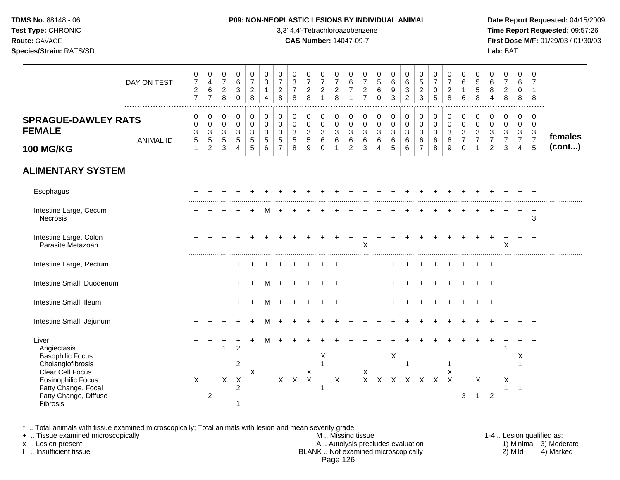| <b>TDMS No.</b> 88148 - 06 | <b>P09: NON-NEOPLASTIC LESIONS BY INDIVIDUAL ANIMAL</b> | Date Rep         |
|----------------------------|---------------------------------------------------------|------------------|
| Test Type: CHRONIC         | 3,3',4,4'-Tetrachloroazobenzene                         | Time Rep         |
| <b>Route: GAVAGE</b>       | <b>CAS Number: 14047-09-7</b>                           | <b>First Dos</b> |
| Species/Strain: RATS/SD    |                                                         | <b>Lab: BAT</b>  |

#### **P09: NON-NEOPLASTIC LESIONS BY INDIVIDUAL ANIMAL Date Report Requested:** 04/15/2009

 $\overline{\phantom{a}}$ 

**Time Report Requested:** 09:57:26 **Route:** GAVAGE **CAS Number:** 14047-09-7 **First Dose M/F:** 01/29/03 / 01/30/03

 $\overline{\phantom{a}}$ 

 $\overline{\phantom{a}}$  $\overline{\phantom{a}}$ 

| DAY ON TEST                                                                                               | 0<br>$\overline{7}$<br>$\boldsymbol{2}$<br>$\overline{7}$ | 0<br>$\overline{\mathbf{4}}$<br>$\,6$<br>$\overline{7}$ | 0<br>$\overline{7}$<br>$\sqrt{2}$<br>8               | 0<br>6<br>3<br>$\Omega$               | 0<br>$\overline{7}$<br>$\boldsymbol{2}$<br>8 | $\mathbf 0$<br>3<br>4                         | 0<br>$\overline{7}$<br>$\overline{c}$<br>8 | $\pmb{0}$<br>3<br>$\overline{7}$<br>8                  | 0<br>$\overline{7}$<br>$\overline{\mathbf{c}}$<br>8 | 0<br>$\overline{7}$<br>$\sqrt{2}$<br>$\overline{1}$ | 0<br>$\overline{7}$<br>$\overline{c}$<br>8 | $\Omega$<br>6<br>7<br>1                   | 0<br>$\overline{7}$<br>$\overline{c}$<br>$\overline{7}$ | 0<br>$\sqrt{5}$<br>6<br>$\Omega$   | $\pmb{0}$<br>$\,6\,$<br>9<br>3                           | 0<br>$\,6\,$<br>3<br>$\overline{2}$ | 0<br>$\sqrt{5}$<br>$\overline{c}$<br>3            | 0<br>$\overline{7}$<br>0<br>5 | 0<br>$\overline{7}$<br>$\overline{c}$<br>8 | 0<br>6<br>6                                        | 0<br>5<br>5<br>8                                | 0<br>6<br>8<br>4                                       | 0<br>$\overline{7}$<br>$\overline{c}$<br>8 | 0<br>6<br>0<br>8                        | $\Omega$<br>7<br>8                                     |         |
|-----------------------------------------------------------------------------------------------------------|-----------------------------------------------------------|---------------------------------------------------------|------------------------------------------------------|---------------------------------------|----------------------------------------------|-----------------------------------------------|--------------------------------------------|--------------------------------------------------------|-----------------------------------------------------|-----------------------------------------------------|--------------------------------------------|-------------------------------------------|---------------------------------------------------------|------------------------------------|----------------------------------------------------------|-------------------------------------|---------------------------------------------------|-------------------------------|--------------------------------------------|----------------------------------------------------|-------------------------------------------------|--------------------------------------------------------|--------------------------------------------|-----------------------------------------|--------------------------------------------------------|---------|
| <b>SPRAGUE-DAWLEY RATS</b><br><b>FEMALE</b><br><b>ANIMAL ID</b>                                           | 0<br>0<br>$\sqrt{3}$<br>$\sqrt{5}$                        | 0<br>0<br>3<br>$\sqrt{5}$                               | $\pmb{0}$<br>$\mathbf 0$<br>$\sqrt{3}$<br>$\sqrt{5}$ | $\pmb{0}$<br>$\mathbf 0$<br>3<br>5    | 0<br>$\mathbf 0$<br>$\sqrt{3}$<br>$\sqrt{5}$ | $\pmb{0}$<br>$\mathbf 0$<br>$\mathbf{3}$<br>5 | 0<br>$\mathbf 0$<br>3<br>5                 | $\,0\,$<br>$\mathbf 0$<br>$\sqrt{3}$<br>$\overline{5}$ | 0<br>0<br>3<br>$\sqrt{5}$                           | $\pmb{0}$<br>$\mathbf 0$<br>$\sqrt{3}$<br>$\,6\,$   | 0<br>$\mathbf 0$<br>3<br>6                 | 0<br>$\mathbf 0$<br>$\sqrt{3}$<br>$\,6\,$ | 0<br>$\mathbf 0$<br>$\sqrt{3}$<br>6                     | $\pmb{0}$<br>0<br>$\mathsf 3$<br>6 | $\,0\,$<br>$\mathbf 0$<br>$\ensuremath{\mathsf{3}}$<br>6 | 0<br>0<br>3<br>$\,6\,$              | $\pmb{0}$<br>$\mathbf 0$<br>$\sqrt{3}$<br>$\,6\,$ | 0<br>$\mathbf 0$<br>3<br>6    | 0<br>$\mathbf 0$<br>$\sqrt{3}$<br>6        | 0<br>$\mathbf 0$<br>$\mathbf{3}$<br>$\overline{7}$ | $\pmb{0}$<br>$\mathbf 0$<br>3<br>$\overline{7}$ | $\,0\,$<br>$\mathbf 0$<br>$\sqrt{3}$<br>$\overline{7}$ | 0<br>$\mathbf 0$<br>3<br>$\overline{7}$    | 0<br>$\mathbf 0$<br>3<br>$\overline{7}$ | $\Omega$<br>$\Omega$<br>$\mathbf{3}$<br>$\overline{7}$ | females |
| <b>100 MG/KG</b><br><b>ALIMENTARY SYSTEM</b>                                                              | $\mathbf{1}$                                              | $\overline{2}$                                          | 3                                                    | $\overline{4}$                        | 5                                            | 6                                             | $\overline{7}$                             | 8                                                      | 9                                                   | $\Omega$                                            | 1                                          | $\overline{2}$                            | 3                                                       | $\overline{4}$                     | 5                                                        | 6                                   | $\overline{7}$                                    | 8                             | 9                                          | $\Omega$                                           |                                                 | $\overline{2}$                                         | 3                                          | $\overline{4}$                          | 5                                                      | (cont)  |
| Esophagus                                                                                                 |                                                           |                                                         |                                                      |                                       |                                              |                                               |                                            |                                                        |                                                     |                                                     |                                            |                                           |                                                         |                                    |                                                          |                                     |                                                   |                               |                                            |                                                    |                                                 |                                                        |                                            |                                         |                                                        |         |
| Intestine Large, Cecum<br>Necrosis                                                                        |                                                           |                                                         |                                                      |                                       |                                              | м                                             |                                            |                                                        |                                                     |                                                     |                                            |                                           |                                                         |                                    |                                                          |                                     |                                                   |                               |                                            |                                                    |                                                 |                                                        |                                            |                                         | 3                                                      |         |
| Intestine Large, Colon<br>Parasite Metazoan                                                               |                                                           |                                                         |                                                      |                                       |                                              |                                               |                                            |                                                        |                                                     |                                                     |                                            |                                           | X                                                       |                                    |                                                          |                                     |                                                   |                               |                                            |                                                    |                                                 |                                                        | X                                          |                                         |                                                        |         |
| Intestine Large, Rectum                                                                                   |                                                           |                                                         |                                                      |                                       |                                              |                                               |                                            |                                                        |                                                     |                                                     |                                            |                                           |                                                         |                                    |                                                          |                                     |                                                   |                               |                                            |                                                    |                                                 |                                                        |                                            |                                         |                                                        |         |
| Intestine Small, Duodenum                                                                                 |                                                           |                                                         |                                                      |                                       |                                              | м                                             |                                            |                                                        |                                                     |                                                     |                                            |                                           |                                                         |                                    |                                                          |                                     |                                                   |                               |                                            |                                                    |                                                 |                                                        |                                            |                                         |                                                        |         |
| Intestine Small, Ileum                                                                                    |                                                           |                                                         |                                                      |                                       |                                              |                                               |                                            |                                                        |                                                     |                                                     |                                            |                                           |                                                         |                                    |                                                          |                                     |                                                   |                               |                                            |                                                    |                                                 |                                                        |                                            |                                         |                                                        |         |
| Intestine Small, Jejunum                                                                                  |                                                           |                                                         |                                                      |                                       |                                              |                                               |                                            |                                                        |                                                     |                                                     |                                            |                                           |                                                         |                                    |                                                          |                                     |                                                   |                               |                                            |                                                    |                                                 |                                                        |                                            |                                         |                                                        |         |
| Liver<br>Angiectasis<br><b>Basophilic Focus</b><br>Cholangiofibrosis                                      | +                                                         | $\ddot{}$                                               | $\ddot{}$<br>1                                       | +<br>$\overline{2}$<br>$\overline{2}$ | $\ddot{}$                                    | M                                             |                                            |                                                        |                                                     | Х                                                   |                                            |                                           |                                                         |                                    | X                                                        |                                     |                                                   |                               |                                            |                                                    |                                                 |                                                        |                                            | $\ddot{}$<br>х                          | $\ddot{}$                                              |         |
| Clear Cell Focus<br><b>Eosinophilic Focus</b><br>Fatty Change, Focal<br>Fatty Change, Diffuse<br>Fibrosis | $\boldsymbol{\mathsf{X}}$                                 | $\overline{2}$                                          | $\sf X$                                              | $\mathsf{X}$<br>$\overline{2}$        | X                                            |                                               | $\mathsf{X}$                               | $X$ $X$                                                | Х                                                   |                                                     | X                                          |                                           | X<br>$\mathsf{X}$                                       |                                    | X X X X X                                                |                                     |                                                   |                               | х<br>$\mathsf{X}$                          | 3                                                  | X                                               | 2                                                      | X<br>$\mathbf{1}$                          | -1                                      |                                                        |         |

\* .. Total animals with tissue examined microscopically; Total animals with lesion and mean severity grade

 $\overline{\phantom{a}}$ 

+ .. Tissue examined microscopically M .. Missing tissue 1-4 .. Lesion qualified as:

- x .. Lesion present **A .. Autolysis precludes evaluation** A .. Autolysis precludes evaluation 1) Minimal 3) Moderate I .. Insufficient tissue BLANK .. Not examined microscopically 2) Mild 4) Marked Page 126
-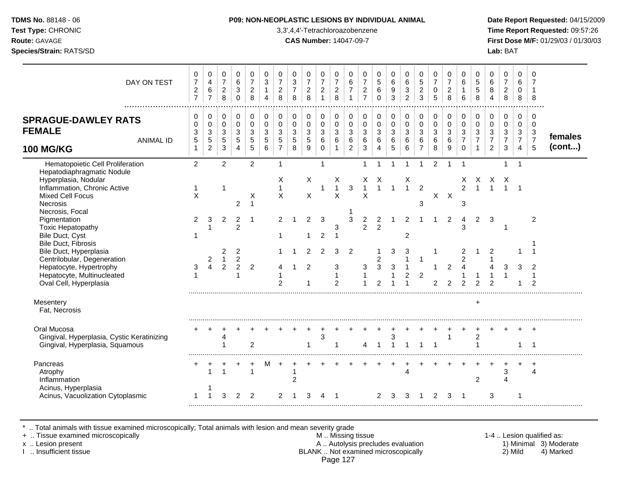**Test Type:** CHRONIC 3,3',4,4'-Tetrachloroazobenzene **Time Report Requested:** 09:57:26 **Route:** GAVAGE **CAS Number:** 14047-09-7 **First Dose M/F:** 01/29/03 / 01/30/03 **Species/Strain:** RATS/SD **Lab:** BAT

| DAY ON TEST                                                                                                                                                            | $\pmb{0}$<br>$\boldsymbol{7}$<br>$\boldsymbol{2}$<br>$\overline{7}$         | 0<br>$\overline{\mathbf{4}}$<br>6<br>$\overline{7}$               | 0<br>$\boldsymbol{7}$<br>$\overline{c}$<br>8    | $\mathbf 0$<br>$\,6$<br>$\mathbf{3}$<br>$\mathbf 0$                 | $\mathbf 0$<br>$\overline{7}$<br>$\overline{c}$<br>8 | 0<br>3<br>$\mathbf{1}$<br>4                | $\pmb{0}$<br>$\overline{7}$<br>$\sqrt{2}$<br>8 | $\pmb{0}$<br>$\mathbf{3}$<br>$\overline{7}$<br>8     | 0<br>$\overline{7}$<br>$\overline{c}$<br>8          | $\pmb{0}$<br>$\overline{7}$<br>$\overline{a}$<br>$\mathbf{1}$ | $\mathbf 0$<br>$\overline{7}$<br>$\sqrt{2}$<br>8             | 0<br>$\,6$<br>$\overline{7}$<br>$\mathbf{1}$                   | 0<br>$\boldsymbol{7}$<br>$\boldsymbol{2}$<br>$\overline{7}$ | 0<br>$\,$ 5 $\,$<br>6<br>$\Omega$                     | 0<br>$\,6\,$<br>$\boldsymbol{9}$<br>$\mathbf{3}$   | 0<br>$\,6\,$<br>$\mathsf 3$<br>$\overline{2}$     | 0<br>$\sqrt{5}$<br>$\overline{c}$<br>3                      | $\mathbf 0$<br>$\overline{7}$<br>$\mathbf 0$<br>5 | $\mathbf 0$<br>$\overline{7}$<br>$\sqrt{2}$<br>8             | 0<br>6<br>$\overline{1}$<br>6                           | 0<br>$\overline{5}$<br>5<br>8                             | 0<br>$\,6\,$<br>8<br>$\overline{4}$                          | 0<br>$\overline{7}$<br>$\overline{c}$<br>8              | 0<br>6<br>0<br>8                                                     | $\mathbf 0$<br>$\overline{7}$<br>$\mathbf 1$<br>8               |                   |
|------------------------------------------------------------------------------------------------------------------------------------------------------------------------|-----------------------------------------------------------------------------|-------------------------------------------------------------------|-------------------------------------------------|---------------------------------------------------------------------|------------------------------------------------------|--------------------------------------------|------------------------------------------------|------------------------------------------------------|-----------------------------------------------------|---------------------------------------------------------------|--------------------------------------------------------------|----------------------------------------------------------------|-------------------------------------------------------------|-------------------------------------------------------|----------------------------------------------------|---------------------------------------------------|-------------------------------------------------------------|---------------------------------------------------|--------------------------------------------------------------|---------------------------------------------------------|-----------------------------------------------------------|--------------------------------------------------------------|---------------------------------------------------------|----------------------------------------------------------------------|-----------------------------------------------------------------|-------------------|
| <b>SPRAGUE-DAWLEY RATS</b><br><b>FEMALE</b><br><b>ANIMAL ID</b><br><b>100 MG/KG</b>                                                                                    | 0<br>$\mathbf 0$<br>$\ensuremath{\mathsf{3}}$<br>$\sqrt{5}$<br>$\mathbf{1}$ | 0<br>$\mathsf{O}$<br>$\mathbf{3}$<br>$\sqrt{5}$<br>$\overline{2}$ | 0<br>$\pmb{0}$<br>$\sqrt{3}$<br>$\sqrt{5}$<br>3 | $\Omega$<br>$\pmb{0}$<br>$\sqrt{3}$<br>$\sqrt{5}$<br>$\overline{4}$ | $\Omega$<br>$\mathbf 0$<br>3<br>5<br>5               | 0<br>$\mathbf 0$<br>$\mathbf{3}$<br>5<br>6 | 0<br>$\mathbf 0$<br>3<br>5<br>$\overline{7}$   | $\mathbf 0$<br>$\mathsf 0$<br>$\mathbf{3}$<br>5<br>8 | 0<br>$\mathsf 0$<br>$\mathbf{3}$<br>$\sqrt{5}$<br>9 | 0<br>$\pmb{0}$<br>$\mathbf{3}$<br>$\,6\,$<br>$\Omega$         | $\Omega$<br>$\mathbf 0$<br>$\sqrt{3}$<br>6<br>$\overline{1}$ | $\Omega$<br>$\mathbf 0$<br>$\mathbf{3}$<br>6<br>$\overline{2}$ | 0<br>0<br>$\sqrt{3}$<br>$\,6\,$<br>3                        | 0<br>$\mathbf 0$<br>$\sqrt{3}$<br>6<br>$\overline{4}$ | 0<br>$\mathbf 0$<br>$\mathfrak{S}$<br>$\,6\,$<br>5 | 0<br>$\mathsf{O}$<br>$\mathbf{3}$<br>$\,6\,$<br>6 | 0<br>$\pmb{0}$<br>$\mathbf{3}$<br>$\,6\,$<br>$\overline{7}$ | $\mathbf 0$<br>$\pmb{0}$<br>$\sqrt{3}$<br>6<br>8  | $\mathbf 0$<br>$\mathbf 0$<br>$\mathfrak{S}$<br>$\,6\,$<br>9 | 0<br>$\mathbf 0$<br>3<br>$\overline{7}$<br>$\mathbf{0}$ | 0<br>$\mathbf 0$<br>3<br>$\overline{7}$<br>$\overline{1}$ | 0<br>0<br>$\mathfrak{Z}$<br>$\overline{7}$<br>$\overline{2}$ | 0<br>$\mathsf 0$<br>$\mathbf{3}$<br>$\overline{7}$<br>3 | 0<br>$\mathsf 0$<br>$\mathbf{3}$<br>$\overline{7}$<br>$\overline{4}$ | $\Omega$<br>$\Omega$<br>$\mathbf{3}$<br>$\overline{7}$<br>5     | females<br>(cont) |
| Hematopoietic Cell Proliferation                                                                                                                                       | $\overline{2}$                                                              |                                                                   | $\overline{c}$                                  |                                                                     | $\overline{c}$                                       |                                            | $\mathbf{1}$                                   |                                                      |                                                     | 1                                                             |                                                              |                                                                | $\overline{1}$                                              |                                                       |                                                    |                                                   |                                                             | $\overline{c}$                                    |                                                              |                                                         |                                                           |                                                              | 1                                                       | $\mathbf{1}$                                                         |                                                                 |                   |
| Hepatodiaphragmatic Nodule<br>Hyperplasia, Nodular<br>Inflammation, Chronic Active<br><b>Mixed Cell Focus</b><br>Necrosis<br>Necrosis, Focal                           | $\mathsf{X}$                                                                |                                                                   | 1                                               | 2                                                                   | X<br>$\mathbf{1}$                                    |                                            | X<br>$\mathbf{1}$<br>X                         |                                                      | X<br>$\mathsf{X}$                                   | 1                                                             | X<br>$\overline{1}$<br>Χ                                     | 3                                                              | X<br>$\mathsf X$                                            | X                                                     | $\overline{1}$                                     | Х<br>$\mathbf{1}$                                 | $\overline{2}$<br>3                                         | X                                                 | $\boldsymbol{\mathsf{X}}$                                    | Χ<br>$\mathfrak{D}$<br>3                                | X                                                         | $\times$<br>$\overline{1}$                                   | $\times$<br>$\mathbf{1}$                                | $\overline{1}$                                                       |                                                                 |                   |
| Pigmentation<br><b>Toxic Hepatopathy</b><br>Bile Duct, Cyst                                                                                                            | $\overline{2}$                                                              | 3<br>1                                                            | 2                                               | 2<br>$\overline{2}$                                                 | -1                                                   |                                            | $\overline{2}$                                 |                                                      | $\overline{2}$<br>1                                 | 3<br>2                                                        | 3<br>$\overline{1}$                                          | 3                                                              | 2<br>$\overline{2}$                                         | 2<br>$\overline{2}$                                   |                                                    | 2<br>2                                            |                                                             |                                                   | 2                                                            | 4<br>3                                                  | $\overline{2}$                                            | 3                                                            |                                                         |                                                                      | $\overline{2}$                                                  |                   |
| <b>Bile Duct, Fibrosis</b><br>Bile Duct, Hyperplasia<br>Centrilobular, Degeneration<br>Hepatocyte, Hypertrophy<br>Hepatocyte, Multinucleated<br>Oval Cell, Hyperplasia | 3                                                                           | 2<br>$\overline{4}$                                               | 2<br>$\mathbf{1}$<br>$\overline{2}$             | 2<br>$\overline{c}$<br>$\overline{2}$<br>1                          | $\overline{2}$                                       |                                            | 4<br>1<br>$\mathcal{P}$                        |                                                      | 2<br>1                                              | $\overline{2}$                                                | 3<br>3<br>$\mathbf{1}$<br>$\mathcal{P}$                      | $\overline{2}$                                                 | 3<br>1                                                      | $\overline{c}$<br>3<br>$\mathfrak{p}$                 | 3<br>3<br>1                                        | 3<br>1<br>1<br>$\overline{c}$                     | $\mathbf 1$<br>$\boldsymbol{2}$                             | 1<br>$\overline{2}$                               | $\overline{2}$<br>$\overline{2}$                             | 2<br>2<br>4<br>$\mathfrak{p}$                           | 1<br>$\mathfrak{p}$                                       | 2<br>Δ<br>2                                                  | 3                                                       | 3                                                                    | $\mathbf 1$<br>$\overline{2}$<br>$\mathbf{1}$<br>$\mathfrak{p}$ |                   |
| Mesentery<br>Fat, Necrosis                                                                                                                                             |                                                                             |                                                                   |                                                 |                                                                     |                                                      |                                            |                                                |                                                      |                                                     |                                                               |                                                              |                                                                |                                                             |                                                       |                                                    |                                                   |                                                             |                                                   |                                                              |                                                         | $+$                                                       |                                                              |                                                         |                                                                      |                                                                 |                   |
| Oral Mucosa<br>Gingival, Hyperplasia, Cystic Keratinizing<br>Gingival, Hyperplasia, Squamous                                                                           |                                                                             |                                                                   |                                                 |                                                                     | 2                                                    |                                            |                                                |                                                      | 1                                                   | 3                                                             |                                                              |                                                                | 4                                                           |                                                       | 3                                                  |                                                   |                                                             |                                                   | 1                                                            |                                                         | $\overline{2}$<br>$\overline{1}$                          |                                                              |                                                         |                                                                      |                                                                 |                   |
| Pancreas<br>Atrophy<br>Inflammation<br>Acinus, Hyperplasia                                                                                                             |                                                                             | 1                                                                 | $\mathbf{1}$                                    |                                                                     | 1                                                    | м                                          |                                                | $\overline{2}$                                       |                                                     |                                                               |                                                              |                                                                |                                                             |                                                       |                                                    | $\overline{4}$                                    |                                                             |                                                   |                                                              |                                                         | $\overline{2}$                                            |                                                              | 3<br>4                                                  |                                                                      | $\ddot{}$<br>$\overline{4}$                                     |                   |
| Acinus, Vacuolization Cytoplasmic                                                                                                                                      |                                                                             |                                                                   | 3                                               | 2                                                                   | $\overline{2}$                                       |                                            | 2                                              |                                                      | 3                                                   | Δ                                                             |                                                              |                                                                |                                                             | 2                                                     | 3                                                  | 3                                                 |                                                             | 2                                                 | 3                                                            |                                                         |                                                           | 3                                                            |                                                         |                                                                      |                                                                 |                   |

\* .. Total animals with tissue examined microscopically; Total animals with lesion and mean severity grade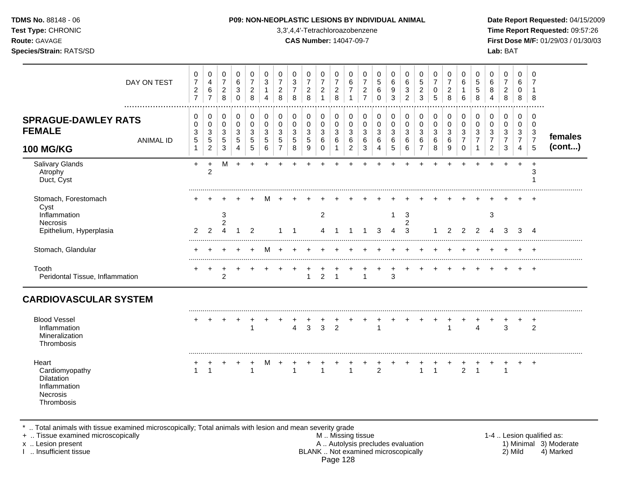**Test Type:** CHRONIC 3,3',4,4'-Tetrachloroazobenzene **Time Report Requested:** 09:57:26 **Route:** GAVAGE **CAS Number:** 14047-09-7 **First Dose M/F:** 01/29/03 / 01/30/03 **Species/Strain:** RATS/SD **Lab:** BAT

|                                                                                        | DAY ON TEST          | 0<br>$\overline{7}$<br>$\overline{c}$<br>$\overline{7}$ | 0<br>4<br>6<br>$\overline{7}$                                      | 0<br>$\overline{7}$<br>$\boldsymbol{2}$<br>8 | 0<br>$\,6\,$<br>$\sqrt{3}$<br>0 | 0<br>$\overline{7}$<br>$\overline{2}$<br>8 | 0<br>3<br>$\mathbf{1}$<br>4  | 0<br>$\overline{7}$<br>$\overline{c}$<br>8 | 0<br>$\ensuremath{\mathsf{3}}$<br>$\overline{7}$<br>8 | 0<br>$\overline{7}$<br>$\boldsymbol{2}$<br>8 | 0<br>$\overline{7}$<br>$\sqrt{2}$<br>$\mathbf{1}$ | 0<br>$\overline{7}$<br>$\overline{c}$<br>8 | 0<br>6<br>$\overline{7}$                     | 0<br>$\overline{7}$<br>$\overline{c}$<br>$\overline{7}$ | 0<br>5<br>6<br>$\Omega$                               | 0<br>$\,6\,$<br>$\boldsymbol{9}$<br>3 | 0<br>6<br>$\mathbf{3}$<br>$\overline{2}$         | $\Omega$<br>$\overline{5}$<br>$\overline{2}$<br>3 | 0<br>$\overline{7}$<br>0<br>5   | 0<br>$\overline{7}$<br>$\overline{c}$<br>8 | 0<br>6<br>6                               | 0<br>5<br>$\sqrt{5}$<br>8                             | 0<br>$\,6$<br>8<br>$\overline{4}$                                | 0<br>$\overline{7}$<br>$\overline{c}$<br>8              | $\Omega$<br>6<br>0<br>8                      | 0<br>7<br>8                               |                   |
|----------------------------------------------------------------------------------------|----------------------|---------------------------------------------------------|--------------------------------------------------------------------|----------------------------------------------|---------------------------------|--------------------------------------------|------------------------------|--------------------------------------------|-------------------------------------------------------|----------------------------------------------|---------------------------------------------------|--------------------------------------------|----------------------------------------------|---------------------------------------------------------|-------------------------------------------------------|---------------------------------------|--------------------------------------------------|---------------------------------------------------|---------------------------------|--------------------------------------------|-------------------------------------------|-------------------------------------------------------|------------------------------------------------------------------|---------------------------------------------------------|----------------------------------------------|-------------------------------------------|-------------------|
| <b>SPRAGUE-DAWLEY RATS</b><br><b>FEMALE</b><br><b>100 MG/KG</b>                        | <br><b>ANIMAL ID</b> | 0<br>$\mathbf 0$<br>3<br>5<br>1                         | 0<br>$\mathbf 0$<br>$\mathbf{3}$<br>$\sqrt{5}$<br>$\boldsymbol{2}$ | 0<br>$\mathbf 0$<br>3<br>5<br>3              | 0<br>$\pmb{0}$<br>3<br>5<br>4   | 0<br>$\mathbf 0$<br>3<br>5<br>5            | 0<br>$\Omega$<br>3<br>5<br>6 | 0<br>$\mathbf 0$<br>3<br>5                 | 0<br>$\mathbf 0$<br>3<br>5<br>8                       | 0<br>0<br>$\mathbf{3}$<br>5<br>9             | 0<br>$\mathbf 0$<br>3<br>6<br>$\mathbf 0$         | 0<br>$\mathbf 0$<br>3<br>6<br>1            | 0<br>$\mathbf 0$<br>3<br>6<br>$\overline{c}$ | 0<br>0<br>3<br>6<br>3                                   | 0<br>$\pmb{0}$<br>$\mathbf{3}$<br>6<br>$\overline{4}$ | 0<br>0<br>3<br>6<br>$\overline{5}$    | 0<br>$\mathbf 0$<br>$\mathbf{3}$<br>6<br>$\,6\,$ | 0<br>$\mathbf 0$<br>3<br>6<br>$\overline{7}$      | 0<br>$\mathbf 0$<br>3<br>6<br>8 | 0<br>$\mathbf 0$<br>3<br>6<br>9            | 0<br>0<br>3<br>$\overline{7}$<br>$\Omega$ | 0<br>$\pmb{0}$<br>3<br>$\overline{7}$<br>$\mathbf{1}$ | 0<br>$\mathbf 0$<br>$\mathbf{3}$<br>$\overline{7}$<br>$\sqrt{2}$ | 0<br>$\mathbf 0$<br>3<br>$\overline{7}$<br>$\mathbf{3}$ | 0<br>$\mathbf 0$<br>3<br>$\overline{7}$<br>4 | 0<br>$\Omega$<br>3<br>$\overline{7}$<br>5 | females<br>(cont) |
| <b>Salivary Glands</b><br>Atrophy<br>Duct, Cyst                                        |                      | $+$                                                     | $\ddot{}$<br>$\overline{c}$                                        | м                                            | $+$                             | $+$                                        |                              |                                            |                                                       |                                              |                                                   |                                            |                                              |                                                         |                                                       |                                       |                                                  |                                                   |                                 |                                            |                                           |                                                       | ÷                                                                |                                                         | $+$                                          | $\ddot{}$<br>3                            |                   |
| Stomach, Forestomach<br>Cyst<br>Inflammation<br>Necrosis<br>Epithelium, Hyperplasia    |                      | 2                                                       | 2                                                                  | $\sqrt{3}$<br>$\overline{2}$<br>4            | 1                               | 2                                          |                              |                                            | -1                                                    |                                              | 2<br>Δ                                            |                                            |                                              |                                                         | 3                                                     | $\mathbf{1}$<br>4                     | 3<br>$\overline{c}$<br>3                         |                                                   |                                 | 2                                          | 2                                         | 2                                                     | 3<br>4                                                           | 3                                                       | 3                                            | $\ddot{}$<br>4                            |                   |
| Stomach, Glandular                                                                     |                      |                                                         |                                                                    |                                              |                                 |                                            |                              |                                            |                                                       |                                              |                                                   |                                            |                                              |                                                         |                                                       |                                       |                                                  |                                                   |                                 |                                            |                                           |                                                       |                                                                  |                                                         |                                              | $\ddot{}$                                 |                   |
| Tooth<br>Peridontal Tissue, Inflammation                                               |                      |                                                         | $\pm$                                                              | $\overline{2}$                               | $\div$                          |                                            |                              |                                            |                                                       | 1                                            | 2                                                 | $\overline{1}$                             |                                              | -1                                                      |                                                       | 3                                     |                                                  |                                                   |                                 |                                            |                                           |                                                       |                                                                  |                                                         |                                              | $\overline{+}$                            |                   |
| <b>CARDIOVASCULAR SYSTEM</b>                                                           |                      |                                                         |                                                                    |                                              |                                 |                                            |                              |                                            |                                                       |                                              |                                                   |                                            |                                              |                                                         |                                                       |                                       |                                                  |                                                   |                                 |                                            |                                           |                                                       |                                                                  |                                                         |                                              |                                           |                   |
| <b>Blood Vessel</b><br>Inflammation<br>Mineralization<br>Thrombosis                    |                      |                                                         |                                                                    |                                              |                                 | 1                                          |                              |                                            | $\overline{4}$                                        | 3                                            | 3                                                 | 2                                          |                                              |                                                         | 1                                                     |                                       |                                                  |                                                   |                                 |                                            |                                           | $\Delta$                                              |                                                                  | 3                                                       |                                              | $\overline{ }$<br>$\overline{2}$          |                   |
| Heart<br>Cardiomyopathy<br><b>Dilatation</b><br>Inflammation<br>Necrosis<br>Thrombosis |                      | +                                                       |                                                                    |                                              | $+$                             | +<br>$\overline{1}$                        |                              | M +                                        | $\ddot{}$<br>$\mathbf{1}$                             | $^{+}$                                       | $\overline{1}$                                    | +                                          | $\mathbf{1}$                                 | +                                                       | $\frac{+}{2}$                                         | $\ddot{}$                             | $\ddot{}$                                        | $\ddot{}$<br>$\overline{1}$                       | +<br>$\mathbf{1}$               |                                            | $\overline{2}$                            | $\ddot{}$<br>$\overline{1}$                           | ÷                                                                | $\ddot{}$<br>$\mathbf{1}$                               | $+$                                          | $^{+}$                                    |                   |

\* .. Total animals with tissue examined microscopically; Total animals with lesion and mean severity grade

+ .. Tissue examined microscopically M .. Missing tissue 1-4 .. Lesion qualified as: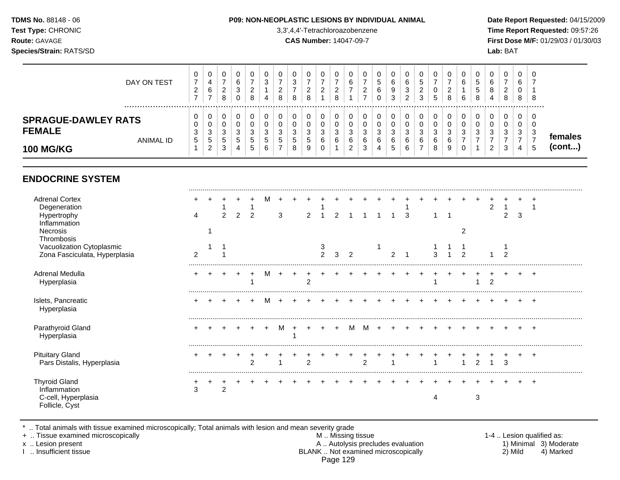#### **TDMS No.** 88148 - 06 **P09: NON-NEOPLASTIC LESIONS BY INDIVIDUAL ANIMAL Date Report Requested:** 04/15/2009

**Test Type:** CHRONIC 3,3',4,4'-Tetrachloroazobenzene **Time Report Requested:** 09:57:26 **Route:** GAVAGE **CAS Number:** 14047-09-7 **First Dose M/F:** 01/29/03 / 01/30/03

|                                                                 | v<br>$\overline{ }$<br>DAY ON TEST<br>റ<br><u>_</u> | 0<br>4<br>6<br>-                                   | 0<br>-<br>ົ<br><u>_</u><br>8 | ⌒             | 0<br>ົ<br>8                      | 4                     | υ<br>⇁<br>◠<br>$\epsilon$<br>8 | υ<br>ົ<br>ູບ<br>-<br>8     | 0<br>-<br>ົ<br>$\epsilon$<br>8 | $\mathbf{0}$<br>ົ<br><u>_</u> |   | 0<br>6      | υ<br><u>_</u>          | υ<br>5<br>6<br>0      | 0<br>6<br>9<br>3                | 0<br>6<br>3<br>$\overline{2}$ | 0<br><sub>5</sub><br>ົ<br>∠<br>3 | $\mathbf{p}$ | 0<br>റ<br>8           | 6<br>6                  | 0<br>5<br>5<br>8 | 0<br>6<br>8<br>4      | 0<br>$\rightarrow$<br>ົ<br>$\sim$<br>8 | 0<br>6<br>v<br>8 | - 6<br>-8 |                   |
|-----------------------------------------------------------------|-----------------------------------------------------|----------------------------------------------------|------------------------------|---------------|----------------------------------|-----------------------|--------------------------------|----------------------------|--------------------------------|-------------------------------|---|-------------|------------------------|-----------------------|---------------------------------|-------------------------------|----------------------------------|--------------|-----------------------|-------------------------|------------------|-----------------------|----------------------------------------|------------------|-----------|-------------------|
| <b>SPRAGUE-DAWLEY RATS</b><br><b>FEMALE</b><br><b>100 MG/KG</b> | υ<br>υ<br>3<br>ANIMAL ID<br><sub>5</sub>            | 0<br>0<br>3<br>-<br>$\mathbf{p}$<br>$\overline{2}$ | 0<br>0<br>3<br>b.<br>3       | 3<br><u>5</u> | 0<br>0<br>3<br>$\mathbf{p}$<br>১ | $\sim$<br>J<br>5<br>6 | 0<br>0<br>3<br>5<br>⇁          | 0<br>વ<br>J<br>∽<br>ັ<br>8 | 0<br>0<br>3<br>-<br>5<br>9     | 0<br>U<br>3<br>6<br>U         | చ | 3<br>6<br>ີ | J<br>-6<br>$\sim$<br>J | 0<br>U<br>3<br>6<br>4 | 0<br>0<br>າ<br>J<br>6<br>∽<br>J | 0<br>0<br>3<br>6<br>6         | 0<br>0<br>3<br>6<br>-            | 3<br>6<br>8  | 0<br>0<br>3<br>6<br>9 | $\sim$<br>ັ<br><b>U</b> | 0<br>0<br>વ<br>◡ | 0<br>0<br>3<br>າ<br>_ | 0<br>0<br>3<br>3                       | 0<br>U<br>3<br>4 | ĸ<br>€    | temales<br>(cont) |

### **ENDOCRINE SYSTEM**

| <b>Adrenal Cortex</b><br>Degeneration<br>Hypertrophy<br>Inflammation<br>Necrosis<br>Thrombosis<br>Vacuolization Cytoplasmic<br>Zona Fasciculata, Hyperplasia | 4<br>$\overline{2}$ | ⌒ |   | 3 | $\overline{2}$ | 3<br>C | 3 | 2 |   | ົ | 3 | 3 | 2<br>$\mathcal{D}$ |   | $\overline{2}$ | 2<br>ົ | 3 |  |
|--------------------------------------------------------------------------------------------------------------------------------------------------------------|---------------------|---|---|---|----------------|--------|---|---|---|---|---|---|--------------------|---|----------------|--------|---|--|
| Adrenal Medulla<br>Hyperplasia                                                                                                                               |                     |   |   |   | 2              |        |   |   |   |   |   |   |                    |   | $\overline{2}$ |        |   |  |
| Islets, Pancreatic<br>Hyperplasia                                                                                                                            |                     |   |   |   |                |        |   |   |   |   |   |   |                    |   |                |        |   |  |
| Parathyroid Gland<br>Hyperplasia                                                                                                                             |                     |   |   |   |                |        |   | M |   |   |   |   |                    |   |                |        |   |  |
| <b>Pituitary Gland</b><br>Pars Distalis, Hyperplasia                                                                                                         |                     |   | c |   |                |        |   |   | ◠ |   |   |   |                    | 2 |                | 3      |   |  |
| <b>Thyroid Gland</b><br>Inflammation<br>C-cell, Hyperplasia<br>Follicle, Cyst                                                                                | 3                   | 2 |   |   |                |        |   |   |   |   |   |   |                    | 3 |                |        |   |  |

\* .. Total animals with tissue examined microscopically; Total animals with lesion and mean severity grade<br>+ .. Tissue examined microscopically

+ .. Tissue examined microscopically  $M$ .. Missing tissue 1-4 .. Lesion qualified as:

x .. Lesion present **A .. Autolysis precludes evaluation** A .. Autolysis precludes evaluation 1) Minimal 3) Moderate I .. Insufficient tissue BLANK .. Not examined microscopically 2) Mild 4) Marked Page 129

.........................................................................................................................................................................................................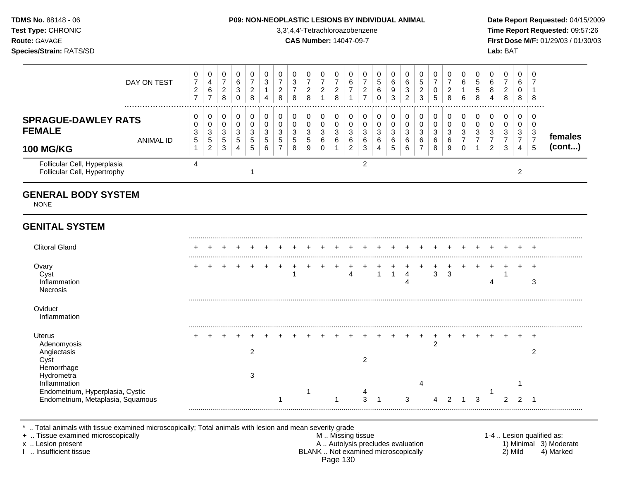#### **TDMS No.** 88148 - 06 **P09: NON-NEOPLASTIC LESIONS BY INDIVIDUAL ANIMAL Date Report Requested:** 04/15/2009

**Test Type:** CHRONIC 3,3',4,4'-Tetrachloroazobenzene **Time Report Requested:** 09:57:26 **Route:** GAVAGE **CAS Number:** 14047-09-7 **First Dose M/F:** 01/29/03 / 01/30/03

| DAY ON TEST<br>                                                                       | 0<br>$\overline{7}$<br>$\sqrt{2}$<br>$\overline{7}$ | 0<br>4<br>$\,6\,$<br>$\overline{7}$                            | $\mathbf 0$<br>$\overline{7}$<br>$\overline{c}$<br>8 | 0<br>$\,6$<br>$\sqrt{3}$<br>$\Omega$                | 0<br>7<br>$\overline{c}$<br>8 | 0<br>3<br>4                     | 0<br>$\overline{7}$<br>$\boldsymbol{2}$<br>8 | 0<br>$\sqrt{3}$<br>$\overline{7}$<br>8           | 0<br>$\boldsymbol{7}$<br>$\boldsymbol{2}$<br>8                            | 0<br>$\overline{7}$<br>$\overline{c}$<br>$\mathbf{1}$ | 0<br>7<br>$\sqrt{2}$<br>8                  | 0<br>6<br>$\overline{7}$<br>1      | 0<br>$\overline{7}$<br>$\overline{c}$<br>$\overline{7}$ | 0<br>5<br>6<br>$\Omega$                    | 0<br>6<br>$\boldsymbol{9}$<br>3          | 0<br>6<br>$\ensuremath{\mathsf{3}}$<br>$\overline{2}$   | 0<br>$\sqrt{5}$<br>$\boldsymbol{2}$<br>3     | 0<br>$\overline{7}$<br>0<br>5 | 0<br>$\overline{7}$<br>$\sqrt{2}$<br>8 | 0<br>6<br>1<br>6                                    | 0<br>$\sqrt{5}$<br>$\sqrt{5}$<br>8      | 0<br>6<br>8<br>4                                | 0<br>$\overline{7}$<br>$\overline{c}$<br>8              | 0<br>6<br>0<br>8                                          | 0<br>7<br>8                                  |                   |
|---------------------------------------------------------------------------------------|-----------------------------------------------------|----------------------------------------------------------------|------------------------------------------------------|-----------------------------------------------------|-------------------------------|---------------------------------|----------------------------------------------|--------------------------------------------------|---------------------------------------------------------------------------|-------------------------------------------------------|--------------------------------------------|------------------------------------|---------------------------------------------------------|--------------------------------------------|------------------------------------------|---------------------------------------------------------|----------------------------------------------|-------------------------------|----------------------------------------|-----------------------------------------------------|-----------------------------------------|-------------------------------------------------|---------------------------------------------------------|-----------------------------------------------------------|----------------------------------------------|-------------------|
| <b>SPRAGUE-DAWLEY RATS</b><br><b>FEMALE</b><br><b>ANIMAL ID</b><br><b>100 MG/KG</b>   | 0<br>0<br>3<br>$\sqrt{5}$<br>1                      | 0<br>$\pmb{0}$<br>$\mathbf{3}$<br>$\sqrt{5}$<br>$\overline{c}$ | 0<br>$\mathbf 0$<br>3<br>$\sqrt{5}$<br>3             | 0<br>$\pmb{0}$<br>3<br>$\sqrt{5}$<br>$\overline{4}$ | 0<br>0<br>3<br>5<br>5         | 0<br>$\mathbf 0$<br>3<br>5<br>6 | 0<br>$\mathbf 0$<br>3<br>5<br>$\overline{7}$ | 0<br>$\pmb{0}$<br>$\mathfrak{S}$<br>5<br>$\,8\,$ | $\mathbf 0$<br>$\pmb{0}$<br>$\sqrt{3}$<br>$\,$ 5 $\,$<br>$\boldsymbol{9}$ | 0<br>$\pmb{0}$<br>3<br>6<br>$\mathbf 0$               | 0<br>$\mathbf 0$<br>3<br>6<br>$\mathbf{1}$ | 0<br>0<br>3<br>6<br>$\overline{2}$ | 0<br>0<br>3<br>6<br>3                                   | 0<br>$\mathbf 0$<br>$\mathbf{3}$<br>6<br>4 | 0<br>$\pmb{0}$<br>$\mathbf{3}$<br>6<br>5 | 0<br>$\mathbf 0$<br>$\ensuremath{\mathsf{3}}$<br>6<br>6 | 0<br>$\mathbf 0$<br>3<br>6<br>$\overline{7}$ | 0<br>$\pmb{0}$<br>3<br>6<br>8 | 0<br>$\mathbf 0$<br>3<br>6<br>9        | 0<br>$\mathbf 0$<br>3<br>$\overline{7}$<br>$\Omega$ | 0<br>$\mathbf 0$<br>3<br>$\overline{7}$ | 0<br>0<br>3<br>$\overline{7}$<br>$\overline{2}$ | 0<br>$\mathbf 0$<br>$\mathbf{3}$<br>$\overline{7}$<br>3 | 0<br>$\mathbf 0$<br>3<br>$\overline{7}$<br>$\overline{4}$ | 0<br>$\mathbf 0$<br>3<br>$\overline{7}$<br>5 | females<br>(cont) |
| Follicular Cell, Hyperplasia<br>Follicular Cell, Hypertrophy                          | $\overline{4}$                                      |                                                                |                                                      |                                                     | $\mathbf{1}$                  |                                 |                                              |                                                  |                                                                           |                                                       |                                            |                                    | $\overline{c}$                                          |                                            |                                          |                                                         |                                              |                               |                                        |                                                     |                                         |                                                 |                                                         | 2                                                         |                                              |                   |
| <b>GENERAL BODY SYSTEM</b><br><b>NONE</b>                                             |                                                     |                                                                |                                                      |                                                     |                               |                                 |                                              |                                                  |                                                                           |                                                       |                                            |                                    |                                                         |                                            |                                          |                                                         |                                              |                               |                                        |                                                     |                                         |                                                 |                                                         |                                                           |                                              |                   |
| <b>GENITAL SYSTEM</b>                                                                 |                                                     |                                                                |                                                      |                                                     |                               |                                 |                                              |                                                  |                                                                           |                                                       |                                            |                                    |                                                         |                                            |                                          |                                                         |                                              |                               |                                        |                                                     |                                         |                                                 |                                                         |                                                           |                                              |                   |
| <b>Clitoral Gland</b>                                                                 |                                                     |                                                                |                                                      |                                                     |                               |                                 |                                              |                                                  |                                                                           |                                                       |                                            |                                    |                                                         |                                            |                                          |                                                         |                                              |                               |                                        |                                                     |                                         |                                                 |                                                         |                                                           |                                              |                   |
| Ovary<br>Cyst<br>Inflammation<br>Necrosis                                             |                                                     |                                                                |                                                      |                                                     |                               |                                 |                                              | 1                                                |                                                                           |                                                       |                                            | $\overline{\mathbf{4}}$            |                                                         | $\overline{1}$                             | $\mathbf{1}$                             | $\overline{4}$<br>Λ                                     |                                              | 3                             | 3                                      |                                                     |                                         | +<br>4                                          |                                                         |                                                           | $\ddot{}$<br>3                               |                   |
| Oviduct<br>Inflammation                                                               |                                                     |                                                                |                                                      |                                                     |                               |                                 |                                              |                                                  |                                                                           |                                                       |                                            |                                    |                                                         |                                            |                                          |                                                         |                                              |                               |                                        |                                                     |                                         |                                                 |                                                         |                                                           |                                              |                   |
| <b>Uterus</b><br>Adenomyosis<br>Angiectasis<br>Cyst<br>Hemorrhage<br>Hydrometra       |                                                     |                                                                |                                                      |                                                     | $\overline{c}$<br>3           |                                 |                                              |                                                  |                                                                           |                                                       |                                            |                                    | $\overline{c}$                                          |                                            |                                          |                                                         |                                              | +<br>$\overline{2}$           |                                        |                                                     |                                         |                                                 |                                                         |                                                           | $\div$<br>$\overline{2}$                     |                   |
| Inflammation<br>Endometrium, Hyperplasia, Cystic<br>Endometrium, Metaplasia, Squamous |                                                     |                                                                |                                                      |                                                     |                               |                                 |                                              |                                                  | -1                                                                        |                                                       |                                            |                                    | 3                                                       |                                            |                                          | 3                                                       | 4                                            |                               |                                        |                                                     | 3                                       |                                                 | 2                                                       | -1                                                        |                                              |                   |

\* .. Total animals with tissue examined microscopically; Total animals with lesion and mean severity grade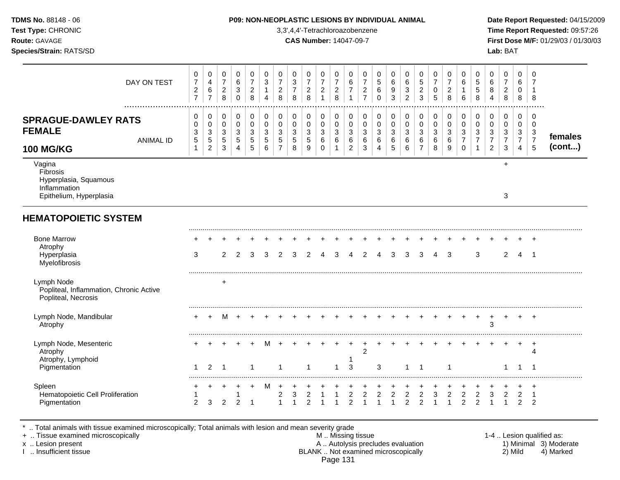| TDMS No. 88148 - 06<br>Test Type: CHRONIC<br>Route: GAVAGE<br>Species/Strain: RATS/SD  |                                                                                          |                                                                                                 |                                                                                    |                                                                            |                                                   |                                                                      |                                                                                       |                                        | 3,3',4,4'-Tetrachloroazobenzene<br><b>CAS Number: 14047-09-7</b> |                                                                |                                                                                  |                                                               |                                                |                                                                       |                                                | P09: NON-NEOPLASTIC LESIONS BY INDIVIDUAL ANIMAL                 |                                                     |                                                            |                                                        |                                                                                                          |                                                                                           |                                                                    | Lab: BAT                                                                                  |                                                           |                                                                          | Date Report Requested: 04/15/2009<br>Time Report Requested: 09:57:26<br>First Dose M/F: 01/29/03 / 01/30/03 |
|----------------------------------------------------------------------------------------|------------------------------------------------------------------------------------------|-------------------------------------------------------------------------------------------------|------------------------------------------------------------------------------------|----------------------------------------------------------------------------|---------------------------------------------------|----------------------------------------------------------------------|---------------------------------------------------------------------------------------|----------------------------------------|------------------------------------------------------------------|----------------------------------------------------------------|----------------------------------------------------------------------------------|---------------------------------------------------------------|------------------------------------------------|-----------------------------------------------------------------------|------------------------------------------------|------------------------------------------------------------------|-----------------------------------------------------|------------------------------------------------------------|--------------------------------------------------------|----------------------------------------------------------------------------------------------------------|-------------------------------------------------------------------------------------------|--------------------------------------------------------------------|-------------------------------------------------------------------------------------------|-----------------------------------------------------------|--------------------------------------------------------------------------|-------------------------------------------------------------------------------------------------------------|
| DAY ON TEST                                                                            | $\mathbf 0$<br>$\overline{7}$<br>$\overline{c}$<br>$\overline{7}$                        | $\pmb{0}$<br>$\overline{4}$<br>$\,6\,$<br>$\overline{7}$                                        | $\mathbf 0$<br>$\overline{7}$<br>$_{\rm 2}^2$                                      | $\mathbf 0$<br>$\,6\,$<br>$\ensuremath{\mathsf{3}}$<br>$\mathbf 0$         | $\mathbf 0$<br>$\overline{7}$<br>$\sqrt{2}$<br>8  | $\mathbf 0$<br>$\sqrt{3}$<br>$\mathbf{1}$<br>$\overline{4}$          | 0<br>$\overline{7}$<br>$\overline{c}$<br>8                                            | 0<br>$\sqrt{3}$<br>$\overline{7}$<br>8 | 0<br>$\overline{7}$<br>$\overline{c}$<br>8                       | $\pmb{0}$<br>$\overline{7}$<br>$\overline{c}$<br>$\mathbf{1}$  | $\mathbf 0$<br>$\overline{7}$<br>$_{\rm 2}^2$                                    | $\mathbf 0$<br>6<br>$\overline{7}$<br>$\mathbf{1}$            | $\mathbf 0$<br>$\overline{7}$<br>$\frac{2}{7}$ | $\mathbf 0$<br>$\sqrt{5}$<br>6<br>$\mathbf 0$                         | 0<br>$\,6\,$<br>9<br>3                         | 0<br>6<br>$\frac{3}{2}$                                          | 0<br>$\sqrt{5}$<br>$\overline{a}$<br>$\overline{3}$ | 0<br>$\overline{7}$<br>0<br>5                              | $\mathbf 0$<br>$\overline{7}$<br>$\boldsymbol{2}$<br>8 | 0<br>6<br>$\mathbf{1}$<br>$6\phantom{a}$                                                                 | $\mathbf 0$<br>$\overline{5}$<br>$\sqrt{5}$<br>8                                          | $\mathbf 0$<br>6<br>8<br>$\overline{4}$                            | $\mathbf 0$<br>$\overline{7}$<br>$\boldsymbol{2}$<br>$\,8\,$                              | 0<br>6<br>0<br>8                                          | 0<br>$\overline{7}$<br>$\mathbf{1}$<br>8                                 |                                                                                                             |
| <b>SPRAGUE-DAWLEY RATS</b><br><b>FEMALE</b><br><b>ANIMAL ID</b><br><b>100 MG/KG</b>    | $\boldsymbol{0}$<br>$\Omega$<br>$\ensuremath{\mathsf{3}}$<br>$\mathbf 5$<br>$\mathbf{1}$ | $\pmb{0}$<br>$\mathsf{O}\xspace$<br>$\ensuremath{\mathsf{3}}$<br>$\sqrt{5}$<br>$\boldsymbol{2}$ | $\pmb{0}$<br>$\mathbf 0$<br>$\ensuremath{\mathsf{3}}$<br>$\sqrt{5}$<br>$\mathsf 3$ | $\mathbf 0$<br>$\mathbf 0$<br>$\ensuremath{\mathsf{3}}$<br>$\sqrt{5}$<br>4 | 0<br>$\mathbf 0$<br>$\sqrt{3}$<br>$\sqrt{5}$<br>5 | 0<br>$\pmb{0}$<br>$\ensuremath{\mathsf{3}}$<br>$\sqrt{5}$<br>$\,6\,$ | $\pmb{0}$<br>$\mathbf 0$<br>$\ensuremath{\mathsf{3}}$<br>$\sqrt{5}$<br>$\overline{7}$ | $\mathbf 0$<br>0<br>3<br>5<br>8        | $\mathbf 0$<br>0<br>3<br>$\sqrt{5}$<br>9                         | $\pmb{0}$<br>$\pmb{0}$<br>$\sqrt{3}$<br>$\,6\,$<br>$\mathbf 0$ | 0<br>$\mathsf{O}\xspace$<br>$\ensuremath{\mathsf{3}}$<br>$\,6\,$<br>$\mathbf{1}$ | $\pmb{0}$<br>$\pmb{0}$<br>$\sqrt{3}$<br>$\,6\,$<br>$\sqrt{2}$ | 0<br>$\mathbf 0$<br>$\sqrt{3}$<br>6<br>3       | 0<br>$\mathsf{O}\xspace$<br>$\ensuremath{\mathsf{3}}$<br>$\,6\,$<br>4 | 0<br>$\mathbf 0$<br>$\sqrt{3}$<br>$\,6\,$<br>5 | $\boldsymbol{0}$<br>$\mathsf{O}\xspace$<br>$\mathbf 3$<br>6<br>6 | $\mathbf 0$<br>$\Omega$<br>3<br>6<br>$\overline{7}$ | $\mathbf 0$<br>$\mathsf 0$<br>$\mathbf{3}$<br>$\,6\,$<br>8 | $\pmb{0}$<br>$\mathbf 0$<br>$\sqrt{3}$<br>$\,6\,$<br>9 | $\mathbf 0$<br>$\mathsf{O}\xspace$<br>$\ensuremath{\mathsf{3}}$<br>$\overline{7}$<br>$\mathsf{O}\xspace$ | $\mathbf 0$<br>$\pmb{0}$<br>$\ensuremath{\mathsf{3}}$<br>$\overline{7}$<br>$\overline{1}$ | $\mathbf 0$<br>0<br>$\sqrt{3}$<br>$\overline{7}$<br>$\overline{c}$ | $\mathbf 0$<br>$\mathbf 0$<br>$\ensuremath{\mathsf{3}}$<br>$\overline{7}$<br>$\mathbf{3}$ | 0<br>$\mathsf 0$<br>3<br>$\overline{7}$<br>$\overline{4}$ | $\Omega$<br>$\mathbf{0}$<br>$\mathbf{3}$<br>$\overline{7}$<br>$\sqrt{5}$ | females<br>(cont)                                                                                           |
| Vagina<br>Fibrosis<br>Hyperplasia, Squamous<br>Inflammation<br>Epithelium, Hyperplasia |                                                                                          |                                                                                                 |                                                                                    |                                                                            |                                                   |                                                                      |                                                                                       |                                        |                                                                  |                                                                |                                                                                  |                                                               |                                                |                                                                       |                                                |                                                                  |                                                     |                                                            |                                                        |                                                                                                          |                                                                                           |                                                                    | $\ddot{}$<br>3                                                                            |                                                           |                                                                          |                                                                                                             |
| <b>HEMATOPOIETIC SYSTEM</b>                                                            |                                                                                          |                                                                                                 |                                                                                    |                                                                            |                                                   |                                                                      |                                                                                       |                                        |                                                                  |                                                                |                                                                                  |                                                               |                                                |                                                                       |                                                |                                                                  |                                                     |                                                            |                                                        |                                                                                                          |                                                                                           |                                                                    |                                                                                           |                                                           |                                                                          |                                                                                                             |
| <b>Bone Marrow</b><br>Atrophy<br>Hyperplasia<br>Myelofibrosis                          | 3                                                                                        |                                                                                                 | $\mathfrak{p}$                                                                     | $\mathcal{P}$                                                              | 3                                                 | 3                                                                    | $\mathcal{P}$                                                                         | 3                                      | $\mathcal{P}$                                                    | 4                                                              | 3                                                                                | 4                                                             | $\overline{2}$                                 | 4                                                                     | 3                                              | 3                                                                | 3                                                   | $\overline{A}$                                             | 3                                                      |                                                                                                          | 3                                                                                         |                                                                    | $\overline{2}$                                                                            | 4                                                         | $\overline{1}$                                                           |                                                                                                             |
| Lymph Node<br>Popliteal, Inflammation, Chronic Active<br>Popliteal, Necrosis           |                                                                                          |                                                                                                 | $\ddot{}$                                                                          |                                                                            |                                                   |                                                                      |                                                                                       |                                        |                                                                  |                                                                |                                                                                  |                                                               |                                                |                                                                       |                                                |                                                                  |                                                     |                                                            |                                                        |                                                                                                          |                                                                                           |                                                                    |                                                                                           |                                                           |                                                                          |                                                                                                             |
| Lymph Node, Mandibular<br>Atrophy                                                      | $+$                                                                                      | $+$                                                                                             | M                                                                                  | $+$                                                                        |                                                   |                                                                      |                                                                                       |                                        |                                                                  |                                                                |                                                                                  |                                                               |                                                |                                                                       |                                                |                                                                  |                                                     |                                                            |                                                        |                                                                                                          |                                                                                           | $\ddot{}$<br>3                                                     | $+$                                                                                       |                                                           | $+$                                                                      |                                                                                                             |
| Lymph Node, Mesenteric<br>Atrophy<br>Atrophy, Lymphoid<br>Pigmentation                 | $\mathbf{1}$                                                                             | $\overline{2}$                                                                                  | $\overline{\phantom{0}}$                                                           |                                                                            | $\mathbf{1}$                                      | M                                                                    | 1                                                                                     |                                        | 1                                                                |                                                                | $\mathbf{1}$                                                                     | $+$<br>1<br>$\mathbf{3}$                                      | $\ddot{}$<br>$\overline{2}$                    | 3                                                                     |                                                | 1                                                                | $\overline{1}$                                      |                                                            | $\mathbf{1}$                                           |                                                                                                          |                                                                                           |                                                                    | $\mathbf{1}$                                                                              | -1                                                        | $\ddot{}$<br>$\overline{4}$<br>- 1                                       |                                                                                                             |
| Spleen<br>Hematopoietic Cell Proliferation<br>Pigmentation                             | $\mathcal{P}$                                                                            | 3                                                                                               | $\overline{2}$                                                                     | 2                                                                          | $\ddot{}$<br>$\overline{1}$                       | M                                                                    | $+$<br>2                                                                              | $\ddot{}$<br>3<br>$\mathbf{1}$         | ÷<br>$\overline{c}$<br>2                                         | $\ddot{}$<br>$\mathbf{1}$<br>$\overline{1}$                    | $\ddot{}$<br>$\mathbf{1}$<br>$\mathbf{1}$                                        | $\overline{2}$<br>$\overline{2}$                              | $\ddot{}$<br>$\overline{2}$<br>$\overline{1}$  | $\ddot{}$<br>$\overline{2}$<br>$\overline{1}$                         | $\overline{c}$<br>$\overline{1}$               | $\ddot{}$<br>$\overline{2}$<br>2                                 | $\ddot{}$<br>$\boldsymbol{2}$<br>$\overline{2}$     | $\ddot{}$<br>3<br>$\mathbf{1}$                             | $\ddot{}$<br>$\overline{2}$<br>$\overline{1}$          | $\ddot{}$<br>$\overline{2}$<br>2                                                                         | $\overline{+}$<br>$\overline{2}$<br>$\overline{2}$                                        | $\overline{+}$<br>3<br>$\mathbf{1}$                                | $\overline{2}$<br>$\overline{1}$                                                          | $\overline{2}$<br>$\overline{2}$                          | $+$<br>$\overline{1}$<br>$\overline{2}$                                  |                                                                                                             |

\* .. Total animals with tissue examined microscopically; Total animals with lesion and mean severity grade

+ .. Tissue examined microscopically M .. Missing tissue 1-4 .. Lesion qualified as: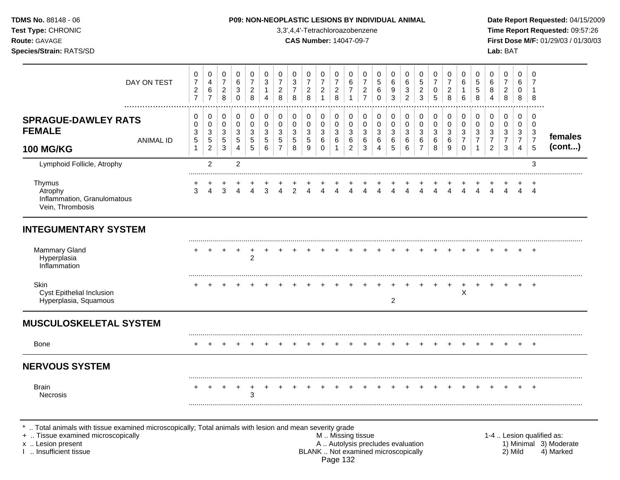### **TDMS No.** 88148 - 06 **P09: NON-NEOPLASTIC LESIONS BY INDIVIDUAL ANIMAL Date Report Requested:** 04/15/2009

**Test Type:** CHRONIC 3,3',4,4'-Tetrachloroazobenzene **Time Report Requested:** 09:57:26 **Route:** GAVAGE **CAS Number:** 14047-09-7 **First Dose M/F:** 01/29/03 / 01/30/03

| DAY ON TEST                                                                                                                                                                                   | 0<br>$\boldsymbol{7}$<br>$\sqrt{2}$<br>$\overline{7}$ | 0<br>$\overline{\mathbf{4}}$<br>$\,6$<br>$\overline{7}$ | 0<br>$\boldsymbol{7}$<br>$\sqrt{2}$<br>$\,8\,$ | 0<br>6<br>$\sqrt{3}$<br>$\mathbf 0$   | 0<br>$\overline{7}$<br>$\overline{c}$<br>8 | $\mathbf 0$<br>3<br>$\overline{1}$<br>4 | 0<br>$\overline{7}$<br>$\overline{c}$<br>8 | 0<br>$\sqrt{3}$<br>$\overline{7}$<br>8           | 0<br>$\overline{7}$<br>$\sqrt{2}$<br>8     | 0<br>$\boldsymbol{7}$<br>$\overline{c}$<br>$\overline{1}$ | $\mathbf 0$<br>$\overline{7}$<br>$\overline{c}$<br>8 | 0<br>6<br>$\overline{7}$<br>1    | 0<br>$\overline{7}$<br>$\overline{\mathbf{c}}$<br>$\overline{7}$ | $\mathbf 0$<br>$\overline{5}$<br>6<br>$\Omega$                           | 0<br>6<br>$\boldsymbol{9}$<br>3  | 0<br>6<br>$\ensuremath{\mathsf{3}}$<br>$\overline{2}$ | $\mathbf 0$<br>$\sqrt{5}$<br>$\sqrt{2}$<br>$\overline{3}$ | 0<br>$\overline{7}$<br>$\mathbf 0$<br>5 | 0<br>$\overline{7}$<br>$\overline{c}$<br>8 | 0<br>6<br>$\mathbf 1$<br>6              | $\mathbf 0$<br>$\sqrt{5}$<br>$\sqrt{5}$<br>8         | 0<br>$\,6$<br>$\,8\,$<br>$\overline{4}$            | 0<br>$\overline{7}$<br>$\boldsymbol{2}$<br>8       | 0<br>6<br>0<br>8                                   | $\mathbf 0$<br>7<br>-1<br>8                       |                                                                  |
|-----------------------------------------------------------------------------------------------------------------------------------------------------------------------------------------------|-------------------------------------------------------|---------------------------------------------------------|------------------------------------------------|---------------------------------------|--------------------------------------------|-----------------------------------------|--------------------------------------------|--------------------------------------------------|--------------------------------------------|-----------------------------------------------------------|------------------------------------------------------|----------------------------------|------------------------------------------------------------------|--------------------------------------------------------------------------|----------------------------------|-------------------------------------------------------|-----------------------------------------------------------|-----------------------------------------|--------------------------------------------|-----------------------------------------|------------------------------------------------------|----------------------------------------------------|----------------------------------------------------|----------------------------------------------------|---------------------------------------------------|------------------------------------------------------------------|
| <b>SPRAGUE-DAWLEY RATS</b><br><b>FEMALE</b><br><b>ANIMAL ID</b>                                                                                                                               | 0<br>$\mathbf 0$<br>3<br>$\sqrt{5}$                   | 0<br>$\mathbf 0$<br>$\mathfrak{S}$<br>$\sqrt{5}$        | 0<br>$\pmb{0}$<br>$\mathbf{3}$<br>$\sqrt{5}$   | 0<br>$\mathbf 0$<br>$\mathbf{3}$<br>5 | 0<br>$\pmb{0}$<br>3<br>5                   | $\mathbf 0$<br>$\mathbf 0$<br>3<br>5    | 0<br>$\mathbf 0$<br>3<br>5                 | 0<br>$\mathbf 0$<br>$\mathfrak{S}$<br>$\sqrt{5}$ | 0<br>$\pmb{0}$<br>$\sqrt{3}$<br>$\sqrt{5}$ | 0<br>$\pmb{0}$<br>$\mathbf{3}$<br>6                       | 0<br>$\mathbf 0$<br>$\sqrt{3}$<br>$\,6\,$            | 0<br>$\mathbf 0$<br>3<br>$\,6\,$ | 0<br>0<br>3<br>6                                                 | $\mathbf 0$<br>$\mathbf 0$<br>3<br>$\,6\,$                               | 0<br>$\mathbf 0$<br>3<br>$\,6\,$ | 0<br>$\pmb{0}$<br>$\mathbf{3}$<br>6                   | 0<br>$\mathbf 0$<br>$\sqrt{3}$<br>6                       | 0<br>$\mathbf 0$<br>3<br>6              | 0<br>$\mathbf 0$<br>$\sqrt{3}$<br>$\,6\,$  | 0<br>$\mathbf 0$<br>3<br>$\overline{7}$ | 0<br>$\mathbf 0$<br>$\mathfrak{S}$<br>$\overline{7}$ | 0<br>$\mathbf 0$<br>$\sqrt{3}$<br>$\boldsymbol{7}$ | 0<br>$\mathbf 0$<br>$\mathbf{3}$<br>$\overline{7}$ | 0<br>$\mathbf 0$<br>$\mathbf{3}$<br>$\overline{7}$ | $\mathbf 0$<br>$\mathbf 0$<br>3<br>$\overline{7}$ | females                                                          |
| <b>100 MG/KG</b>                                                                                                                                                                              | $\mathbf{1}$                                          | $\overline{2}$                                          | $\mathfrak{Z}$                                 | $\overline{4}$                        | 5                                          | 6                                       | $\overline{7}$                             | 8                                                | $\boldsymbol{9}$                           | $\mathbf 0$                                               | $\mathbf{1}$                                         | $\overline{2}$                   | 3                                                                | $\overline{4}$                                                           | 5                                | 6                                                     | $\overline{7}$                                            | 8                                       | 9                                          | $\Omega$                                | $\mathbf{1}$                                         | $\overline{2}$                                     | 3                                                  | $\overline{4}$                                     | $\sqrt{5}$                                        | (cont)                                                           |
| Lymphoid Follicle, Atrophy                                                                                                                                                                    |                                                       | $\overline{c}$                                          |                                                | $\overline{c}$                        |                                            |                                         |                                            |                                                  |                                            |                                                           |                                                      |                                  |                                                                  |                                                                          |                                  |                                                       |                                                           |                                         |                                            |                                         |                                                      |                                                    |                                                    |                                                    | 3                                                 |                                                                  |
| Thymus<br>Atrophy<br>Inflammation, Granulomatous<br>Vein, Thrombosis                                                                                                                          | 3                                                     | <br>$\overline{4}$                                      | 3                                              | $\overline{4}$                        | $\overline{4}$                             | 3                                       | $\overline{4}$                             | $\overline{2}$                                   | $\overline{4}$                             | $\overline{4}$                                            | $\overline{4}$                                       | $\overline{4}$                   | $\overline{4}$                                                   | $\overline{4}$                                                           | $\overline{4}$                   | $\overline{4}$                                        | $\overline{4}$                                            | $\overline{4}$                          | $\overline{4}$                             | $\overline{4}$                          | $\overline{4}$                                       | $\overline{4}$                                     | $\overline{4}$                                     | $\overline{4}$                                     | $\overline{4}$                                    |                                                                  |
| <b>INTEGUMENTARY SYSTEM</b>                                                                                                                                                                   |                                                       |                                                         |                                                |                                       |                                            |                                         |                                            |                                                  |                                            |                                                           |                                                      |                                  |                                                                  |                                                                          |                                  |                                                       |                                                           |                                         |                                            |                                         |                                                      |                                                    |                                                    |                                                    |                                                   |                                                                  |
| <b>Mammary Gland</b><br>Hyperplasia<br>Inflammation                                                                                                                                           |                                                       |                                                         | $\ddot{}$                                      | $\overline{+}$                        | $\div$<br>2                                |                                         |                                            |                                                  |                                            |                                                           |                                                      |                                  |                                                                  |                                                                          |                                  |                                                       |                                                           |                                         |                                            |                                         |                                                      |                                                    |                                                    |                                                    | $\overline{ }$                                    |                                                                  |
| Skin<br><b>Cyst Epithelial Inclusion</b><br>Hyperplasia, Squamous                                                                                                                             |                                                       |                                                         |                                                |                                       |                                            |                                         |                                            |                                                  |                                            |                                                           |                                                      |                                  |                                                                  |                                                                          | $\overline{c}$                   |                                                       |                                                           |                                         |                                            | $\mathsf X$                             |                                                      |                                                    |                                                    | $\ddot{}$                                          | $\ddot{}$                                         |                                                                  |
| <b>MUSCULOSKELETAL SYSTEM</b>                                                                                                                                                                 |                                                       |                                                         |                                                |                                       |                                            |                                         |                                            |                                                  |                                            |                                                           |                                                      |                                  |                                                                  |                                                                          |                                  |                                                       |                                                           |                                         |                                            |                                         |                                                      |                                                    |                                                    |                                                    |                                                   |                                                                  |
| Bone                                                                                                                                                                                          | +                                                     | $\,^+$                                                  |                                                |                                       |                                            |                                         |                                            |                                                  |                                            |                                                           |                                                      |                                  |                                                                  |                                                                          |                                  |                                                       |                                                           |                                         |                                            |                                         |                                                      |                                                    |                                                    |                                                    | $\overline{ }$                                    |                                                                  |
| <b>NERVOUS SYSTEM</b>                                                                                                                                                                         |                                                       |                                                         |                                                |                                       |                                            |                                         |                                            |                                                  |                                            |                                                           |                                                      |                                  |                                                                  |                                                                          |                                  |                                                       |                                                           |                                         |                                            |                                         |                                                      |                                                    |                                                    |                                                    |                                                   |                                                                  |
| <b>Brain</b><br>Necrosis                                                                                                                                                                      |                                                       |                                                         |                                                |                                       | 3                                          |                                         |                                            |                                                  |                                            |                                                           |                                                      |                                  |                                                                  |                                                                          |                                  |                                                       |                                                           |                                         |                                            |                                         |                                                      |                                                    |                                                    |                                                    |                                                   |                                                                  |
| *  Total animals with tissue examined microscopically; Total animals with lesion and mean severity grade<br>+  Tissue examined microscopically<br>x  Lesion present<br>I  Insufficient tissue |                                                       |                                                         |                                                |                                       |                                            |                                         |                                            |                                                  |                                            |                                                           |                                                      | M  Missing tissue                |                                                                  | A  Autolysis precludes evaluation<br>BLANK  Not examined microscopically |                                  |                                                       |                                                           |                                         |                                            |                                         |                                                      |                                                    |                                                    | 2) Mild                                            |                                                   | 1-4  Lesion qualified as:<br>1) Minimal 3) Moderate<br>4) Marked |

Page 132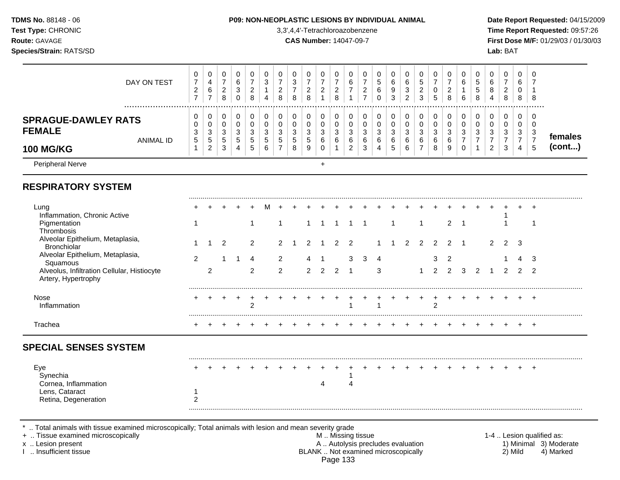| <b>TDMS No. 88148 - 06</b>     | <b>P09: NON-NEOPLASTIC LESIONS BY INDIVIDUAL ANIMAL</b> | Date Rep         |
|--------------------------------|---------------------------------------------------------|------------------|
| <b>Test Type: CHRONIC</b>      | 3,3',4,4'-Tetrachloroazobenzene                         | Time Rep         |
| <b>Route: GAVAGE</b>           | <b>CAS Number: 14047-09-7</b>                           | <b>First Dos</b> |
| <b>Species/Strain: RATS/SD</b> |                                                         | <b>Lab: BAT</b>  |

#### **P09: NON-NEOPLASTIC LESIONS BY INDIVIDUAL ANIMAL Date Report Requested: 04/15/2009**

**Time Report Requested:** 09:57:26 **Route:** GAVAGE **CAS Number:** 14047-09-7 **First Dose M/F:** 01/29/03 / 01/30/03

| DAY ON TEST<br>.                                                                    | $\pmb{0}$<br>$\overline{7}$<br>$\boldsymbol{2}$<br>$\overline{7}$ | 0<br>4<br>$\,6\,$<br>$\overline{7}$                           | 0<br>$\overline{7}$<br>$\overline{2}$<br>8  | $\mathbf 0$<br>$\,6\,$<br>$\mathbf{3}$<br>$\Omega$ | $\mathbf 0$<br>$\overline{7}$<br>$\overline{2}$<br>8 | 0<br>$\mathbf{3}$<br>$\mathbf{1}$<br>$\overline{4}$ | $\mathbf 0$<br>$\overline{7}$<br>$\sqrt{2}$<br>8                           | 0<br>$\sqrt{3}$<br>$\overline{7}$<br>8   | 0<br>$\overline{7}$<br>$\overline{c}$<br>8                       | $\mathbf 0$<br>$\overline{7}$<br>$\boldsymbol{2}$<br>$\mathbf{1}$ | 0<br>$\overline{7}$<br>$\overline{a}$<br>8              | $\mathbf 0$<br>6<br>$\overline{7}$ | 0<br>$\overline{7}$<br>$\overline{c}$<br>$\overline{7}$ | $\pmb{0}$<br>5<br>6<br>$\Omega$                | 0<br>$6\phantom{1}6$<br>$9\,$<br>3                        | 0<br>6<br>$\sqrt{3}$<br>$\overline{2}$     | $\mathbf 0$<br>$\,$ 5 $\,$<br>$\boldsymbol{2}$<br>3 | 0<br>$\overline{7}$<br>$\mathbf 0$<br>5 | 0<br>$\overline{7}$<br>$\overline{c}$<br>8 | $\mathbf 0$<br>$\,6\,$<br>6                                              | 0<br>5<br>$\overline{5}$<br>8                                    | 0<br>6<br>8<br>$\overline{4}$                              | $\mathbf 0$<br>$\overline{7}$<br>$\boldsymbol{2}$<br>8 | $\mathbf 0$<br>6<br>0<br>8                                                        | $\Omega$<br>$\overline{7}$<br>-1<br>8                  |                   |
|-------------------------------------------------------------------------------------|-------------------------------------------------------------------|---------------------------------------------------------------|---------------------------------------------|----------------------------------------------------|------------------------------------------------------|-----------------------------------------------------|----------------------------------------------------------------------------|------------------------------------------|------------------------------------------------------------------|-------------------------------------------------------------------|---------------------------------------------------------|------------------------------------|---------------------------------------------------------|------------------------------------------------|-----------------------------------------------------------|--------------------------------------------|-----------------------------------------------------|-----------------------------------------|--------------------------------------------|--------------------------------------------------------------------------|------------------------------------------------------------------|------------------------------------------------------------|--------------------------------------------------------|-----------------------------------------------------------------------------------|--------------------------------------------------------|-------------------|
| <b>SPRAGUE-DAWLEY RATS</b><br><b>FEMALE</b><br><b>ANIMAL ID</b><br><b>100 MG/KG</b> | 0<br>0<br>$\ensuremath{\mathsf{3}}$<br>$\sqrt{5}$<br>$\mathbf{1}$ | 0<br>$\pmb{0}$<br>$\mathbf 3$<br>$\sqrt{5}$<br>$\overline{2}$ | 0<br>0<br>$\mathbf{3}$<br>5<br>$\mathbf{3}$ | 0<br>$\pmb{0}$<br>$\sqrt{3}$<br>$\sqrt{5}$<br>4    | 0<br>$\mathbf 0$<br>3<br>5<br>5                      | $\pmb{0}$<br>0<br>3<br>5<br>6                       | $\mathbf 0$<br>$\mathbf 0$<br>$\mathbf{3}$<br>$\sqrt{5}$<br>$\overline{7}$ | 0<br>$\pmb{0}$<br>$\mathbf{3}$<br>5<br>8 | 0<br>$\mathbf 0$<br>$\ensuremath{\mathsf{3}}$<br>$\sqrt{5}$<br>9 | $\mathbf 0$<br>0<br>$\sqrt{3}$<br>$\,6$<br>$\mathbf 0$            | 0<br>$\pmb{0}$<br>$\sqrt{3}$<br>$\,6\,$<br>$\mathbf{1}$ | 0<br>$\mathbf 0$<br>3<br>6<br>2    | 0<br>$\mathbf 0$<br>3<br>6<br>3                         | $\pmb{0}$<br>$\pmb{0}$<br>$\sqrt{3}$<br>6<br>4 | 0<br>$\pmb{0}$<br>$\mathbf{3}$<br>$\,6$<br>$\overline{5}$ | 0<br>$\mathsf 0$<br>$\mathbf{3}$<br>6<br>6 | 0<br>$\pmb{0}$<br>$\sqrt{3}$<br>6<br>$\overline{7}$ | 0<br>$\mathbf 0$<br>3<br>6<br>8         | $\pmb{0}$<br>0<br>3<br>6<br>9              | $\mathbf 0$<br>$\mathbf 0$<br>$\mathbf{3}$<br>$\overline{7}$<br>$\Omega$ | 0<br>$\pmb{0}$<br>$\mathbf{3}$<br>$\overline{7}$<br>$\mathbf{1}$ | 0<br>0<br>$\mathbf{3}$<br>$\overline{7}$<br>$\overline{2}$ | 0<br>0<br>$\sqrt{3}$<br>$\overline{7}$<br>3            | 0<br>$\mathbf 0$<br>$\ensuremath{\mathsf{3}}$<br>$\overline{7}$<br>$\overline{4}$ | $\mathbf 0$<br>$\mathbf 0$<br>3<br>$\overline{7}$<br>5 | females<br>(cont) |
| Peripheral Nerve                                                                    |                                                                   |                                                               |                                             |                                                    |                                                      |                                                     |                                                                            |                                          |                                                                  | $+$                                                               |                                                         |                                    |                                                         |                                                |                                                           |                                            |                                                     |                                         |                                            |                                                                          |                                                                  |                                                            |                                                        |                                                                                   |                                                        |                   |
| <b>RESPIRATORY SYSTEM</b>                                                           |                                                                   |                                                               |                                             |                                                    |                                                      |                                                     |                                                                            |                                          |                                                                  |                                                                   |                                                         |                                    |                                                         |                                                |                                                           |                                            |                                                     |                                         |                                            |                                                                          |                                                                  |                                                            |                                                        |                                                                                   |                                                        |                   |
| Lung<br>Inflammation, Chronic Active<br>Pigmentation<br>Thrombosis                  |                                                                   |                                                               |                                             |                                                    | 1                                                    | M                                                   | -1                                                                         |                                          |                                                                  | 1                                                                 | 1                                                       | -1                                 | -1                                                      |                                                | 1                                                         |                                            | $\mathbf{1}$                                        |                                         | $\overline{2}$                             | $\overline{\mathbf{1}}$                                                  |                                                                  |                                                            |                                                        |                                                                                   | +<br>-1                                                |                   |
| Alveolar Epithelium, Metaplasia,<br>Bronchiolar<br>Alveolar Epithelium, Metaplasia, | 1<br>$\overline{2}$                                               | $\mathbf{1}$                                                  | 2                                           |                                                    | 2<br>$\overline{4}$                                  |                                                     | 2<br>2                                                                     |                                          | $\overline{2}$                                                   |                                                                   | $\overline{2}$                                          | $\overline{2}$<br>3                | 3                                                       | 1<br>$\overline{4}$                            | $\overline{ }$                                            | 2                                          | $\mathcal{P}$                                       | $\overline{2}$<br>3                     | 2<br>2                                     | $\overline{1}$                                                           |                                                                  | 2                                                          | 2                                                      | -3                                                                                | 3                                                      |                   |
| Squamous<br>Alveolus, Infiltration Cellular, Histiocyte<br>Artery, Hypertrophy      |                                                                   | $\overline{c}$                                                |                                             |                                                    | $\overline{2}$                                       |                                                     | $\overline{2}$                                                             |                                          | 2                                                                | $\overline{2}$                                                    | 2                                                       | $\overline{1}$                     |                                                         | 3                                              |                                                           |                                            | $\overline{1}$                                      | 2                                       | 2                                          | 3                                                                        | $\overline{2}$                                                   | $\mathbf{1}$                                               | 2                                                      | 2                                                                                 | $\mathcal{P}$                                          |                   |
| Nose<br>Inflammation                                                                |                                                                   |                                                               |                                             |                                                    | $\overline{2}$                                       |                                                     |                                                                            |                                          |                                                                  |                                                                   |                                                         |                                    |                                                         |                                                |                                                           |                                            |                                                     | $\overline{2}$                          |                                            |                                                                          |                                                                  |                                                            |                                                        | $\pm$                                                                             | $\pm$                                                  |                   |
| Trachea                                                                             | $+$                                                               |                                                               |                                             |                                                    |                                                      |                                                     |                                                                            |                                          |                                                                  |                                                                   |                                                         |                                    |                                                         |                                                |                                                           |                                            |                                                     |                                         |                                            |                                                                          |                                                                  |                                                            |                                                        | $\pm$                                                                             | $\overline{+}$                                         |                   |
| <b>SPECIAL SENSES SYSTEM</b>                                                        |                                                                   |                                                               |                                             |                                                    |                                                      |                                                     |                                                                            |                                          |                                                                  |                                                                   |                                                         |                                    |                                                         |                                                |                                                           |                                            |                                                     |                                         |                                            |                                                                          |                                                                  |                                                            |                                                        |                                                                                   |                                                        |                   |
| Eye<br>Synechia<br>Cornea, Inflammation<br>Lens, Cataract                           | -1                                                                |                                                               |                                             |                                                    |                                                      |                                                     |                                                                            |                                          |                                                                  | 4                                                                 |                                                         | 4                                  |                                                         |                                                |                                                           |                                            |                                                     |                                         |                                            |                                                                          |                                                                  |                                                            |                                                        |                                                                                   | $\div$                                                 |                   |
| Retina, Degeneration                                                                | $\overline{2}$                                                    |                                                               |                                             |                                                    |                                                      |                                                     |                                                                            |                                          |                                                                  |                                                                   |                                                         |                                    |                                                         |                                                |                                                           |                                            |                                                     |                                         |                                            |                                                                          |                                                                  |                                                            |                                                        |                                                                                   |                                                        |                   |

\* .. Total animals with tissue examined microscopically; Total animals with lesion and mean severity grade

+ .. Tissue examined microscopically M .. Missing tissue 1-4 .. Lesion qualified as: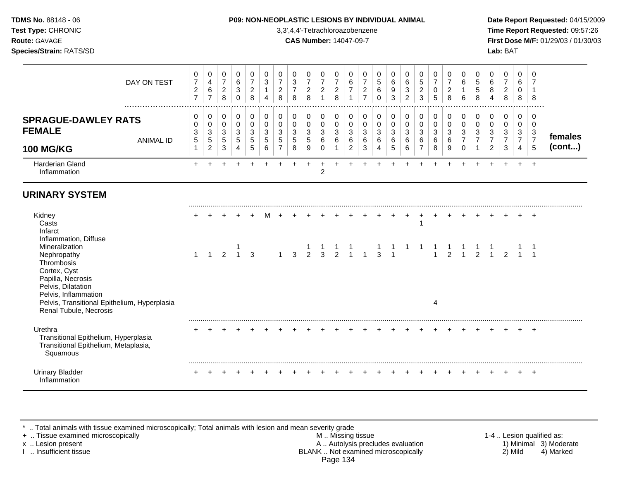#### **TDMS No.** 88148 - 06 **P09: NON-NEOPLASTIC LESIONS BY INDIVIDUAL ANIMAL Date Report Requested:** 04/15/2009

**Test Type:** CHRONIC 3,3',4,4'-Tetrachloroazobenzene **Time Report Requested:** 09:57:26 **Route:** GAVAGE **CAS Number:** 14047-09-7 **First Dose M/F:** 01/29/03 / 01/30/03

| DAY ON TEST                                                                                                                    | 0<br>$\overline{7}$<br>$\overline{c}$<br>$\overline{7}$        | 0<br>$\overline{4}$<br>$\,6\,$<br>$\overline{7}$ | 0<br>$\overline{7}$<br>$\sqrt{2}$<br>8             | 0<br>$\,6$<br>3<br>$\mathbf 0$               | 0<br>$\overline{7}$<br>$\overline{2}$<br>$\,8\,$ | 0<br>3<br>4                     | 0<br>$\overline{7}$<br>$\overline{c}$<br>8 | 0<br>$\sqrt{3}$<br>$\overline{7}$<br>8                        | 0<br>$\overline{7}$<br>$\overline{a}$<br>8 | 0<br>$\boldsymbol{7}$<br>$\sqrt{2}$<br>$\overline{1}$ | 0<br>$\boldsymbol{7}$<br>$\overline{c}$<br>$\bf8$     | 0<br>$\,6$<br>$\overline{7}$<br>$\mathbf{1}$          | 0<br>$\overline{7}$<br>$\sqrt{2}$<br>$\overline{7}$ | 0<br>$\overline{5}$<br>6<br>$\mathbf 0$ | 0<br>$\,6\,$<br>$\boldsymbol{9}$<br>$\sqrt{3}$ | 0<br>$\,6$<br>$\mathbf{3}$<br>$\overline{2}$ | 0<br>$5\phantom{.0}$<br>$\overline{c}$<br>$\mathbf{3}$ | 0<br>$\overline{7}$<br>$\mathbf 0$<br>$\sqrt{5}$ | 0<br>$\overline{7}$<br>$\overline{2}$<br>8 | 0<br>6<br>6                                       | 0<br>$\sqrt{5}$<br>$\sqrt{5}$<br>8                     | 0<br>6<br>8<br>4                                      | 0<br>$\overline{7}$<br>$\overline{2}$<br>8    | 0<br>$6\phantom{1}$<br>$\mathbf 0$<br>8                              | 0<br>$\overline{7}$<br>$\overline{1}$<br>8           |                   |
|--------------------------------------------------------------------------------------------------------------------------------|----------------------------------------------------------------|--------------------------------------------------|----------------------------------------------------|----------------------------------------------|--------------------------------------------------|---------------------------------|--------------------------------------------|---------------------------------------------------------------|--------------------------------------------|-------------------------------------------------------|-------------------------------------------------------|-------------------------------------------------------|-----------------------------------------------------|-----------------------------------------|------------------------------------------------|----------------------------------------------|--------------------------------------------------------|--------------------------------------------------|--------------------------------------------|---------------------------------------------------|--------------------------------------------------------|-------------------------------------------------------|-----------------------------------------------|----------------------------------------------------------------------|------------------------------------------------------|-------------------|
| <b>SPRAGUE-DAWLEY RATS</b><br><b>FEMALE</b><br><b>ANIMAL ID</b><br><b>100 MG/KG</b>                                            | 0<br>$\pmb{0}$<br>$\sqrt{3}$<br>$\overline{5}$<br>$\mathbf{1}$ | 0<br>0<br>3<br>$5\,$<br>$\overline{a}$           | 0<br>$\mathbf 0$<br>$\sqrt{3}$<br>$\,$ 5 $\,$<br>3 | 0<br>$\mathsf 0$<br>$\mathfrak{Z}$<br>5<br>4 | 0<br>$\pmb{0}$<br>$\mathbf{3}$<br>5<br>5         | 0<br>$\mathbf 0$<br>3<br>5<br>6 | 0<br>0<br>3<br>5<br>$\overline{7}$         | $\mathbf 0$<br>$\mathbf 0$<br>$\mathbf{3}$<br>$\sqrt{5}$<br>8 | $\mathbf 0$<br>$\mathbf 0$<br>3<br>5<br>9  | 0<br>0<br>$\mathbf{3}$<br>6<br>$\Omega$               | 0<br>$\mathbf 0$<br>$\mathbf{3}$<br>6<br>$\mathbf{1}$ | 0<br>$\pmb{0}$<br>$\mathbf{3}$<br>6<br>$\overline{2}$ | 0<br>$\mathbf 0$<br>$\mathbf{3}$<br>6<br>3          | 0<br>0<br>3<br>6<br>$\overline{4}$      | 0<br>$\pmb{0}$<br>$\mathbf{3}$<br>6<br>5       | 0<br>$\mathbf 0$<br>3<br>6<br>6              | 0<br>$\pmb{0}$<br>$\mathbf{3}$<br>6<br>$\overline{7}$  | 0<br>$\mathbf 0$<br>$\mathbf{3}$<br>6<br>8       | 0<br>$\pmb{0}$<br>3<br>6<br>9              | 0<br>$\pmb{0}$<br>3<br>$\overline{7}$<br>$\Omega$ | $\mathbf 0$<br>$\boldsymbol{0}$<br>3<br>$\overline{7}$ | 0<br>$\pmb{0}$<br>$\mathbf{3}$<br>$\overline{7}$<br>2 | 0<br>0<br>$\mathbf{3}$<br>$\overline{7}$<br>3 | 0<br>$\mathbf 0$<br>$\ensuremath{\mathsf{3}}$<br>$\overline{7}$<br>4 | $\Omega$<br>0<br>$\mathbf{3}$<br>$\overline{7}$<br>5 | females<br>(cont) |
| Harderian Gland<br>Inflammation                                                                                                | $+$                                                            |                                                  |                                                    |                                              |                                                  |                                 |                                            |                                                               |                                            | $\overline{2}$                                        |                                                       |                                                       |                                                     |                                         |                                                |                                              |                                                        |                                                  |                                            |                                                   |                                                        |                                                       |                                               | $\ddot{}$                                                            | $+$                                                  |                   |
| <b>URINARY SYSTEM</b>                                                                                                          |                                                                |                                                  |                                                    |                                              |                                                  |                                 |                                            |                                                               |                                            |                                                       |                                                       |                                                       |                                                     |                                         |                                                |                                              |                                                        |                                                  |                                            |                                                   |                                                        |                                                       |                                               |                                                                      |                                                      |                   |
| Kidney<br>Casts<br>Infarct<br>Inflammation, Diffuse                                                                            |                                                                |                                                  |                                                    |                                              |                                                  | M                               |                                            |                                                               |                                            |                                                       |                                                       |                                                       |                                                     |                                         |                                                |                                              |                                                        |                                                  |                                            |                                                   |                                                        |                                                       |                                               |                                                                      | $+$                                                  |                   |
| Mineralization<br>Nephropathy<br>Thrombosis<br>Cortex, Cyst<br>Papilla, Necrosis<br>Pelvis, Dilatation<br>Pelvis, Inflammation |                                                                | $1 \quad 1 \quad 2$                              |                                                    | $\ddot{1}$                                   | $\overline{3}$                                   |                                 |                                            |                                                               |                                            |                                                       |                                                       |                                                       |                                                     |                                         |                                                |                                              |                                                        |                                                  |                                            |                                                   |                                                        |                                                       | $\overline{2}$                                |                                                                      |                                                      |                   |
| Pelvis, Transitional Epithelium, Hyperplasia<br>Renal Tubule, Necrosis                                                         |                                                                |                                                  |                                                    |                                              |                                                  |                                 |                                            |                                                               |                                            |                                                       |                                                       |                                                       |                                                     |                                         |                                                |                                              |                                                        | $\overline{4}$                                   |                                            |                                                   |                                                        |                                                       |                                               |                                                                      |                                                      |                   |
| Urethra<br>Transitional Epithelium, Hyperplasia<br>Transitional Epithelium, Metaplasia,<br>Squamous                            |                                                                |                                                  |                                                    |                                              |                                                  |                                 |                                            |                                                               |                                            |                                                       |                                                       |                                                       |                                                     |                                         |                                                |                                              |                                                        |                                                  |                                            |                                                   |                                                        |                                                       |                                               |                                                                      |                                                      |                   |
| <b>Urinary Bladder</b><br>Inflammation                                                                                         |                                                                |                                                  |                                                    |                                              |                                                  |                                 |                                            |                                                               |                                            |                                                       |                                                       |                                                       |                                                     |                                         |                                                |                                              |                                                        |                                                  |                                            |                                                   |                                                        |                                                       |                                               |                                                                      | $+$                                                  |                   |

\* .. Total animals with tissue examined microscopically; Total animals with lesion and mean severity grade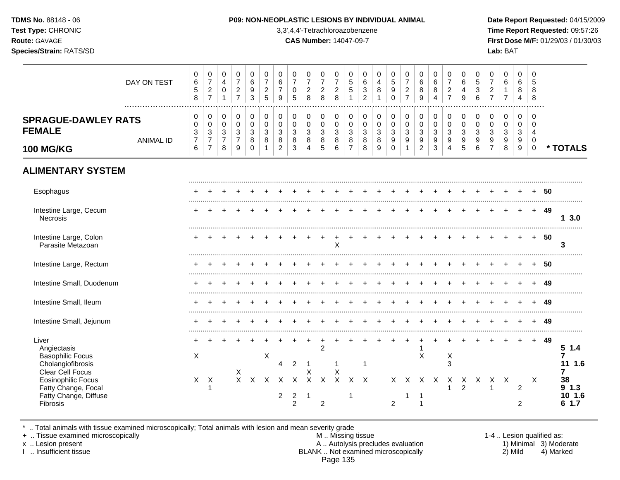| <b>TDMS No.</b> 88148 - 06 | <b>P09: NON-NEOPLASTIC LESIONS BY INDIVIDUAL ANIMAL</b> | Date Rep         |
|----------------------------|---------------------------------------------------------|------------------|
| Test Type: CHRONIC         | 3,3',4,4'-Tetrachloroazobenzene                         | Time Rep         |
| <b>Route: GAVAGE</b>       | <b>CAS Number: 14047-09-7</b>                           | <b>First Dos</b> |
| Species/Strain: RATS/SD    |                                                         | <b>Lab: BAT</b>  |

**Test Type:** CHRONIC 3,3',4,4'-Tetrachloroazobenzene **Time Report Requested:** 09:57:26 **Route:** GAVAGE **CAS Number:** 14047-09-7 **First Dose M/F:** 01/29/03 / 01/30/03

| DAY ON TEST                                                                                                                                         | 0<br>$\,6$<br>$\sqrt{5}$<br>8                | 0<br>$\boldsymbol{7}$<br>$\boldsymbol{2}$<br>$\overline{7}$          | $\mathbf 0$<br>4<br>$\pmb{0}$<br>$\mathbf{1}$   | $\mathbf 0$<br>$\overline{7}$<br>$\overline{c}$<br>$\overline{7}$ | 0<br>$\,6\,$<br>9<br>3                 | 0<br>$\boldsymbol{7}$<br>$\overline{c}$<br>5 | 0<br>6<br>$\overline{7}$<br>9                      | 0<br>$\overline{7}$<br>0<br>5   | 0<br>$\overline{7}$<br>$\sqrt{2}$<br>8                  | 0<br>$\overline{7}$<br>$\overline{2}$<br>8 | $\pmb{0}$<br>$\overline{7}$<br>$\overline{c}$<br>8 | 0<br>$\sqrt{5}$<br>$\sqrt{5}$<br>$\overline{1}$         | 0<br>6<br>$\mathbf{3}$<br>$\overline{2}$ | 0<br>$\overline{4}$<br>8                     | 0<br>$\sqrt{5}$<br>$\boldsymbol{9}$<br>$\mathbf 0$ | $\pmb{0}$<br>$\overline{7}$<br>$\overline{c}$<br>$\overline{7}$ | 0<br>6<br>8<br>9                                                       | 0<br>$\,6\,$<br>8<br>$\overline{\mathbf{4}}$ | 0<br>$\overline{7}$<br>$\overline{2}$<br>$\overline{7}$ | 0<br>6<br>4<br>9                | 0<br>$\,$ 5 $\,$<br>$\sqrt{3}$<br>6            | 0<br>$\overline{7}$<br>$\overline{2}$<br>$\overline{7}$ | 0<br>6<br>$\mathbf{1}$<br>$\overline{7}$ | 0<br>6<br>8<br>4                | $\Omega$<br>5<br>8<br>8                                 |    |                                        |
|-----------------------------------------------------------------------------------------------------------------------------------------------------|----------------------------------------------|----------------------------------------------------------------------|-------------------------------------------------|-------------------------------------------------------------------|----------------------------------------|----------------------------------------------|----------------------------------------------------|---------------------------------|---------------------------------------------------------|--------------------------------------------|----------------------------------------------------|---------------------------------------------------------|------------------------------------------|----------------------------------------------|----------------------------------------------------|-----------------------------------------------------------------|------------------------------------------------------------------------|----------------------------------------------|---------------------------------------------------------|---------------------------------|------------------------------------------------|---------------------------------------------------------|------------------------------------------|---------------------------------|---------------------------------------------------------|----|----------------------------------------|
| <b>SPRAGUE-DAWLEY RATS</b><br><b>FEMALE</b><br><b>ANIMAL ID</b><br><b>100 MG/KG</b>                                                                 | 0<br>$\mathbf 0$<br>3<br>$\overline{7}$<br>6 | 0<br>$\mathbf 0$<br>$\mathbf{3}$<br>$\overline{7}$<br>$\overline{7}$ | 0<br>$\overline{0}$<br>3<br>$\overline{7}$<br>8 | 0<br>$\mathbf 0$<br>3<br>$\overline{7}$<br>9                      | 0<br>$\mathbf 0$<br>3<br>8<br>$\Omega$ | 0<br>$\mathbf 0$<br>3<br>8                   | 0<br>$\mathbf 0$<br>3<br>$\,8\,$<br>$\overline{2}$ | 0<br>$\mathbf 0$<br>3<br>8<br>3 | 0<br>$\mathbf 0$<br>$\mathbf{3}$<br>8<br>$\overline{4}$ | 0<br>$\mathbf 0$<br>3<br>8<br>5            | 0<br>$\pmb{0}$<br>$\sqrt{3}$<br>8<br>6             | 0<br>$\mathbf 0$<br>$\mathbf{3}$<br>8<br>$\overline{7}$ | 0<br>$\mathbf 0$<br>3<br>8<br>8          | 0<br>$\pmb{0}$<br>$\sqrt{3}$<br>$\,8\,$<br>9 | 0<br>$\mathbf 0$<br>3<br>$9\,$<br>$\mathbf 0$      | 0<br>$\pmb{0}$<br>3<br>9                                        | 0<br>$\mathbf 0$<br>$\mathbf{3}$<br>$\boldsymbol{9}$<br>$\overline{2}$ | 0<br>$\pmb{0}$<br>3<br>$\boldsymbol{9}$<br>3 | 0<br>$\mathbf 0$<br>3<br>9<br>4                         | 0<br>$\mathbf 0$<br>3<br>9<br>5 | 0<br>$\mathbf 0$<br>3<br>$\boldsymbol{9}$<br>6 | 0<br>$\mathbf 0$<br>3<br>9<br>$\overline{7}$            | 0<br>0<br>3<br>9<br>8                    | 0<br>$\mathbf 0$<br>3<br>9<br>9 | $\Omega$<br>$\Omega$<br>4<br>$\mathbf 0$<br>$\mathbf 0$ |    | * TOTALS                               |
| <b>ALIMENTARY SYSTEM</b>                                                                                                                            |                                              |                                                                      |                                                 |                                                                   |                                        |                                              |                                                    |                                 |                                                         |                                            |                                                    |                                                         |                                          |                                              |                                                    |                                                                 |                                                                        |                                              |                                                         |                                 |                                                |                                                         |                                          |                                 |                                                         |    |                                        |
| Esophagus                                                                                                                                           |                                              |                                                                      |                                                 |                                                                   |                                        |                                              |                                                    |                                 |                                                         |                                            |                                                    |                                                         |                                          |                                              |                                                    |                                                                 |                                                                        |                                              |                                                         |                                 |                                                |                                                         |                                          |                                 |                                                         | 50 |                                        |
| Intestine Large, Cecum<br>Necrosis                                                                                                                  |                                              |                                                                      |                                                 |                                                                   |                                        |                                              |                                                    |                                 |                                                         |                                            |                                                    |                                                         |                                          |                                              |                                                    |                                                                 |                                                                        |                                              |                                                         |                                 |                                                |                                                         |                                          | $\ddot{}$                       | $+$                                                     | 49 | 13.0                                   |
| Intestine Large, Colon<br>Parasite Metazoan                                                                                                         | $\pm$                                        |                                                                      |                                                 |                                                                   |                                        |                                              |                                                    |                                 |                                                         |                                            | +<br>X                                             |                                                         |                                          |                                              |                                                    |                                                                 |                                                                        |                                              |                                                         |                                 |                                                |                                                         |                                          |                                 | $+$                                                     | 50 | 3                                      |
| Intestine Large, Rectum                                                                                                                             |                                              |                                                                      |                                                 |                                                                   |                                        |                                              |                                                    |                                 |                                                         |                                            |                                                    |                                                         |                                          |                                              |                                                    |                                                                 |                                                                        |                                              |                                                         |                                 |                                                |                                                         |                                          |                                 |                                                         | 50 |                                        |
| Intestine Small, Duodenum                                                                                                                           |                                              |                                                                      |                                                 |                                                                   |                                        |                                              |                                                    |                                 |                                                         |                                            |                                                    |                                                         |                                          |                                              |                                                    |                                                                 |                                                                        |                                              |                                                         |                                 |                                                |                                                         |                                          |                                 |                                                         | 49 |                                        |
| Intestine Small, Ileum                                                                                                                              |                                              |                                                                      |                                                 |                                                                   |                                        |                                              |                                                    |                                 |                                                         |                                            |                                                    |                                                         |                                          |                                              |                                                    |                                                                 |                                                                        |                                              |                                                         |                                 |                                                |                                                         |                                          |                                 |                                                         | 49 |                                        |
| Intestine Small, Jejunum                                                                                                                            |                                              |                                                                      |                                                 |                                                                   |                                        |                                              |                                                    |                                 |                                                         |                                            |                                                    |                                                         |                                          |                                              |                                                    |                                                                 |                                                                        |                                              |                                                         |                                 |                                                |                                                         |                                          |                                 | ÷                                                       | 49 |                                        |
| Liver<br>Angiectasis<br><b>Basophilic Focus</b><br>Cholangiofibrosis<br><b>Clear Cell Focus</b><br><b>Eosinophilic Focus</b><br>Fatty Change, Focal | +<br>X<br>X                                  | $\boldsymbol{\mathsf{X}}$<br>1                                       |                                                 | X                                                                 |                                        | X                                            | 4<br>X X X X X X X X                               | $\overline{2}$                  | Χ                                                       | $\overline{2}$                             | $\mathbf 1$<br>X                                   | $X$ $X$                                                 | $\mathbf{1}$                             |                                              | X.                                                 | ÷                                                               | 1<br>X<br>X X X X                                                      |                                              | Χ<br>$\mathbf{3}$                                       | $\mathsf{X}$<br>$\mathfrak{D}$  | $\mathsf{X}$                                   | X<br>$\mathbf{1}$                                       | $\mathsf{X}$                             | $\overline{2}$                  | $\ddot{}$<br>$\mathsf{X}$                               | 49 | 51.4<br>7<br>11 1.6<br>7<br>38<br>91.3 |
| Fatty Change, Diffuse<br>Fibrosis                                                                                                                   |                                              |                                                                      |                                                 |                                                                   |                                        |                                              | 2                                                  | 2<br>$\mathfrak{p}$             |                                                         | 2                                          |                                                    | -1                                                      |                                          |                                              | $\overline{2}$                                     |                                                                 |                                                                        |                                              |                                                         |                                 |                                                |                                                         |                                          | 2                               |                                                         |    | 10 1.6<br>$1.7$<br>6                   |

\* .. Total animals with tissue examined microscopically; Total animals with lesion and mean severity grade

+ .. Tissue examined microscopically M .. Missing tissue 1-4 .. Lesion qualified as: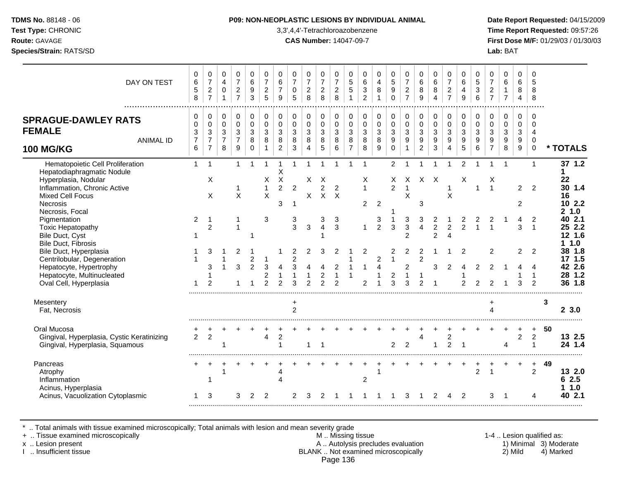**Test Type:** CHRONIC 3,3',4,4'-Tetrachloroazobenzene **Time Report Requested:** 09:57:26 **Route:** GAVAGE **CAS Number:** 14047-09-7 **First Dose M/F:** 01/29/03 / 01/30/03 **Species/Strain:** RATS/SD **Lab:** BAT

| DAY ON TEST                                                                                                                                                            | 0<br>$\,6\,$<br>$\sqrt{5}$<br>8                       | 0<br>$\boldsymbol{7}$<br>$\overline{c}$<br>$\overline{7}$ | $\mathbf 0$<br>$\overline{4}$<br>0<br>$\mathbf{1}$             | 0<br>$\overline{7}$<br>$\overline{2}$<br>$\overline{7}$ | 0<br>$\,6\,$<br>9<br>3                            | 0<br>$\overline{7}$<br>$\overline{c}$<br>5             | 0<br>6<br>$\overline{7}$<br>9                        | 0<br>$\overline{7}$<br>0<br>5              | 0<br>$\overline{7}$<br>$\overline{2}$<br>8            | 0<br>$\overline{7}$<br>$\sqrt{2}$<br>8           | 0<br>$\overline{7}$<br>$\boldsymbol{2}$<br>8             | 0<br>$\,$ 5 $\,$<br>$\sqrt{5}$                                        | 0<br>6<br>$\ensuremath{\mathsf{3}}$<br>$\overline{2}$ | 0<br>$\overline{\mathbf{4}}$<br>8<br>$\overline{1}$ | 0<br>5<br>$\boldsymbol{9}$<br>$\Omega$     | 0<br>$\boldsymbol{7}$<br>$\overline{\mathbf{c}}$<br>$\overline{7}$              | $\mathbf 0$<br>6<br>8<br>9                                        | 0<br>$\,6\,$<br>8<br>$\overline{4}$                  | 0<br>$\overline{7}$<br>$\overline{2}$<br>$\overline{7}$ | 0<br>6<br>4<br>9      | 0<br>$\sqrt{5}$<br>$\sqrt{3}$<br>6                 | 0<br>$\overline{7}$<br>$\overline{2}$<br>$\overline{7}$               | 0<br>$\,6\,$<br>$\mathbf{1}$<br>$\overline{7}$     | $\mathbf 0$<br>6<br>8<br>$\overline{4}$ | 0<br>5<br>8<br>8                                        |              |                                                            |
|------------------------------------------------------------------------------------------------------------------------------------------------------------------------|-------------------------------------------------------|-----------------------------------------------------------|----------------------------------------------------------------|---------------------------------------------------------|---------------------------------------------------|--------------------------------------------------------|------------------------------------------------------|--------------------------------------------|-------------------------------------------------------|--------------------------------------------------|----------------------------------------------------------|-----------------------------------------------------------------------|-------------------------------------------------------|-----------------------------------------------------|--------------------------------------------|---------------------------------------------------------------------------------|-------------------------------------------------------------------|------------------------------------------------------|---------------------------------------------------------|-----------------------|----------------------------------------------------|-----------------------------------------------------------------------|----------------------------------------------------|-----------------------------------------|---------------------------------------------------------|--------------|------------------------------------------------------------|
| <b>SPRAGUE-DAWLEY RATS</b><br><b>FEMALE</b><br><b>ANIMAL ID</b><br><b>100 MG/KG</b>                                                                                    | 0<br>$\mathbf 0$<br>$\sqrt{3}$<br>$\overline{7}$<br>6 | $\mathbf 0$<br>0<br>3<br>$\overline{7}$<br>$\overline{7}$ | $\Omega$<br>$\mathbf 0$<br>$\mathbf{3}$<br>$\overline{7}$<br>8 | 0<br>$\mathbf 0$<br>3<br>$\overline{7}$<br>9            | 0<br>$\mathbf 0$<br>$\mathbf{3}$<br>8<br>$\Omega$ | $\mathbf 0$<br>$\mathbf 0$<br>3<br>8<br>$\overline{1}$ | $\mathbf 0$<br>$\pmb{0}$<br>3<br>8<br>$\overline{2}$ | 0<br>0<br>3<br>8<br>3                      | 0<br>$\pmb{0}$<br>$\mathbf{3}$<br>8<br>$\overline{4}$ | $\Omega$<br>$\mathbf 0$<br>$\sqrt{3}$<br>8<br>5  | $\mathbf 0$<br>$\mathbf 0$<br>$\sqrt{3}$<br>$\,8\,$<br>6 | $\mathbf 0$<br>$\mathbf 0$<br>$\sqrt{3}$<br>$\,8\,$<br>$\overline{7}$ | $\mathbf 0$<br>0<br>3<br>8<br>8                       | 0<br>$\pmb{0}$<br>$\mathfrak{Z}$<br>8<br>9          | 0<br>$\pmb{0}$<br>3<br>9<br>$\mathbf 0$    | 0<br>$\pmb{0}$<br>$\ensuremath{\mathsf{3}}$<br>$\boldsymbol{9}$<br>$\mathbf{1}$ | $\mathbf 0$<br>$\mathbf 0$<br>$\mathbf{3}$<br>9<br>$\overline{2}$ | $\mathbf 0$<br>$\pmb{0}$<br>$\mathbf{3}$<br>9<br>3   | 0<br>0<br>3<br>9<br>$\overline{4}$                      | 0<br>0<br>3<br>9<br>5 | $\mathbf 0$<br>$\mathbf 0$<br>$\sqrt{3}$<br>9<br>6 | $\mathbf 0$<br>$\mathbf 0$<br>3<br>$\boldsymbol{9}$<br>$\overline{7}$ | $\mathbf 0$<br>$\mathbf 0$<br>$\sqrt{3}$<br>9<br>8 | $\Omega$<br>$\mathbf 0$<br>3<br>9<br>9  | $\Omega$<br>$\Omega$<br>$\overline{4}$<br>0<br>$\Omega$ |              | * TOTALS                                                   |
| Hematopoietic Cell Proliferation                                                                                                                                       | $\mathbf{1}$                                          | $\overline{1}$                                            |                                                                | 1                                                       |                                                   |                                                        |                                                      |                                            |                                                       |                                                  |                                                          |                                                                       |                                                       |                                                     | $\overline{2}$                             |                                                                                 |                                                                   |                                                      |                                                         | 2                     |                                                    |                                                                       |                                                    |                                         | $\overline{1}$                                          |              | 37 1.2                                                     |
| Hepatodiaphragmatic Nodule<br>Hyperplasia, Nodular<br>Inflammation, Chronic Active<br><b>Mixed Cell Focus</b>                                                          |                                                       | X<br>X                                                    |                                                                | $\mathbf{1}$<br>X                                       |                                                   | Х<br>$\mathbf{1}$<br>X                                 | X<br>X<br>$\mathfrak{p}$                             | $\overline{2}$                             | X<br>$\mathsf X$                                      | Χ<br>$\overline{2}$<br>$\boldsymbol{\mathsf{X}}$ | 2<br>$\boldsymbol{\mathsf{X}}$                           |                                                                       | Χ<br>$\mathbf{1}$                                     |                                                     | Χ<br>$\overline{2}$                        | X<br>$\mathbf{1}$<br>X                                                          | $\boldsymbol{\mathsf{X}}$                                         | $\mathsf{X}$                                         | 1<br>$\pmb{\times}$                                     | X                     | 1                                                  | Х<br>$\mathbf{1}$                                                     |                                                    | $\overline{2}$                          | $\overline{2}$                                          |              | 1<br>22<br>30 1.4<br>16                                    |
| <b>Necrosis</b><br>Necrosis, Focal<br>Pigmentation<br><b>Toxic Hepatopathy</b><br>Bile Duct, Cyst                                                                      | $\overline{2}$                                        | -1<br>$\overline{2}$                                      |                                                                | $\mathbf 1$<br>$\mathbf{1}$                             |                                                   | 3                                                      | 3                                                    | -1<br>3<br>3                               | $\mathbf{3}$                                          | 3<br>$\overline{\mathbf{4}}$                     | 3<br>3                                                   |                                                                       | $\overline{2}$<br>1                                   | $\overline{c}$<br>3<br>$\overline{2}$               | 1<br>$\mathfrak{Z}$                        | 3<br>3<br>$\mathfrak{p}$                                                        | 3<br>3<br>$\overline{4}$                                          | $\overline{c}$<br>$\boldsymbol{2}$<br>$\mathfrak{p}$ | $\overline{2}$<br>4                                     | 2<br>$\overline{2}$   |                                                    | 2<br>$\overline{1}$                                                   |                                                    | $\overline{2}$<br>3                     | $\overline{2}$<br>$\overline{1}$                        |              | 10 2.2<br>$\mathbf 2$<br>1.0<br>40 2.1<br>25 2.2<br>12 1.6 |
| <b>Bile Duct, Fibrosis</b><br>Bile Duct, Hyperplasia<br>Centrilobular, Degeneration<br>Hepatocyte, Hypertrophy<br>Hepatocyte, Multinucleated<br>Oval Cell, Hyperplasia |                                                       | 3<br>3<br>$\overline{2}$                                  | 1                                                              | 2<br>3                                                  | 2<br>$\overline{2}$                               | -1<br>3<br>$\mathcal{P}$                               | $\mathcal{P}$                                        | $\overline{2}$<br>$\overline{2}$<br>3<br>3 | $\overline{2}$<br>$\overline{2}$                      | 3<br>$\overline{\mathbf{c}}$<br>$\overline{2}$   | $\overline{2}$<br>2<br>$\mathbf{1}$<br>$\overline{2}$    |                                                                       | 2<br>2                                                | 2<br>1                                              | 2<br>$\mathbf{1}$<br>$\boldsymbol{2}$<br>3 | 2<br>$\overline{\mathbf{c}}$<br>1<br>3                                          | 2<br>$\overline{2}$<br>$\overline{2}$                             | 3                                                    | 2                                                       | 2<br>2                | 2<br>2                                             | 2<br>$\overline{2}$<br>$\overline{2}$                                 |                                                    | $\overline{2}$<br>4<br>3                | $\overline{2}$<br>4<br>$\overline{1}$<br>$\mathcal{P}$  |              | 1.0<br>38 1.8<br>17 1.5<br>42 2.6<br>28 1.2<br>36 1.8      |
| Mesentery<br>Fat, Necrosis                                                                                                                                             |                                                       |                                                           |                                                                |                                                         |                                                   |                                                        |                                                      | +<br>$\overline{2}$                        |                                                       |                                                  |                                                          |                                                                       |                                                       |                                                     |                                            |                                                                                 |                                                                   |                                                      |                                                         |                       |                                                    | $\ddot{}$<br>$\lambda$                                                |                                                    |                                         |                                                         | $\mathbf{3}$ | 23.0                                                       |
| Oral Mucosa<br>Gingival, Hyperplasia, Cystic Keratinizing<br>Gingival, Hyperplasia, Squamous                                                                           | $\overline{2}$                                        | 2                                                         |                                                                |                                                         |                                                   | 4                                                      | $\overline{2}$                                       |                                            |                                                       |                                                  |                                                          |                                                                       |                                                       |                                                     | $\overline{2}$                             | $\overline{2}$                                                                  | 4                                                                 | -1                                                   | 2<br>$\overline{2}$                                     |                       |                                                    |                                                                       | +<br>4                                             | $\overline{a}$                          | $\ddot{}$<br>$\overline{c}$<br>$\overline{1}$           | 50           | 13 2.5<br>24 1.4                                           |
| Pancreas<br>Atrophy<br>Inflammation                                                                                                                                    |                                                       |                                                           |                                                                |                                                         |                                                   |                                                        | Δ                                                    |                                            |                                                       |                                                  |                                                          |                                                                       | $\overline{c}$                                        |                                                     |                                            |                                                                                 |                                                                   |                                                      |                                                         |                       | $\overline{2}$                                     |                                                                       |                                                    | +                                       | $\ddot{}$<br>$\overline{2}$                             | 49           | 13 2.0<br>62.5                                             |
| Acinus, Hyperplasia<br>Acinus, Vacuolization Cytoplasmic                                                                                                               |                                                       | 3                                                         |                                                                | 3                                                       | 2                                                 | 2                                                      |                                                      | 2                                          | 3                                                     | 2                                                |                                                          |                                                                       |                                                       |                                                     |                                            | 3                                                                               |                                                                   | 2                                                    | Δ                                                       | 2                     |                                                    | 3                                                                     |                                                    |                                         |                                                         |              | 1.0<br>1<br>40 2.1                                         |

\* .. Total animals with tissue examined microscopically; Total animals with lesion and mean severity grade

+ .. Tissue examined microscopically M .. Missing tissue 1-4 .. Lesion qualified as: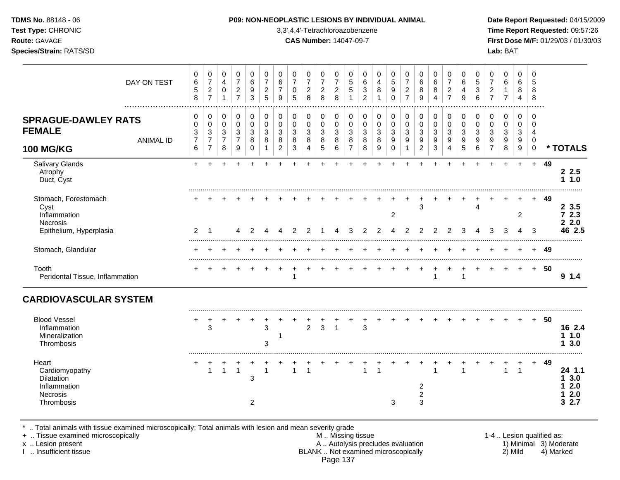**Test Type:** CHRONIC 3,3',4,4'-Tetrachloroazobenzene **Time Report Requested:** 09:57:26 **Route:** GAVAGE **CAS Number:** 14047-09-7 **First Dose M/F:** 01/29/03 / 01/30/03

| DAY ON TEST                                                                            | 0<br>$\,6$<br>5<br>8                       | 0<br>$\boldsymbol{7}$<br>$\overline{2}$<br>$\overline{7}$           | 0<br>4<br>$\mathbf 0$<br>$\mathbf{1}$                   | 0<br>$\overline{7}$<br>$\boldsymbol{2}$<br>$\overline{7}$ | 0<br>6<br>9<br>3                     | 0<br>$\overline{7}$<br>$\overline{c}$<br>5 | 0<br>6<br>$\overline{7}$<br>9              | 0<br>$\overline{7}$<br>0<br>5 | 0<br>$\overline{7}$<br>$\sqrt{2}$<br>8                      | 0<br>$\overline{7}$<br>$\overline{c}$<br>8 | 0<br>$\overline{7}$<br>$\overline{c}$<br>8 | 0<br>5<br>5<br>$\mathbf{1}$                | 0<br>6<br>$\ensuremath{\mathsf{3}}$<br>$\overline{2}$ | 0<br>$\overline{4}$<br>8<br>$\blacktriangleleft$ | 0<br>5<br>$\boldsymbol{9}$<br>$\Omega$ | 0<br>$\overline{7}$<br>$\sqrt{2}$<br>$\overline{7}$     | 0<br>6<br>8<br>9                                          | 0<br>$\,6\,$<br>8<br>4                          | 0<br>$\overline{7}$<br>$\overline{c}$<br>$\overline{7}$ | 0<br>6<br>4<br>9                        | 0<br>$\overline{5}$<br>$\mathbf{3}$<br>6 | 0<br>$\overline{7}$<br>$\boldsymbol{2}$<br>$\overline{7}$ | 0<br>6<br>$\overline{1}$<br>$\overline{7}$                | 0<br>6<br>8<br>4                                   | 0<br>5<br>8<br>8                                    |     |                                                     |
|----------------------------------------------------------------------------------------|--------------------------------------------|---------------------------------------------------------------------|---------------------------------------------------------|-----------------------------------------------------------|--------------------------------------|--------------------------------------------|--------------------------------------------|-------------------------------|-------------------------------------------------------------|--------------------------------------------|--------------------------------------------|--------------------------------------------|-------------------------------------------------------|--------------------------------------------------|----------------------------------------|---------------------------------------------------------|-----------------------------------------------------------|-------------------------------------------------|---------------------------------------------------------|-----------------------------------------|------------------------------------------|-----------------------------------------------------------|-----------------------------------------------------------|----------------------------------------------------|-----------------------------------------------------|-----|-----------------------------------------------------|
| <b>SPRAGUE-DAWLEY RATS</b><br><b>FEMALE</b><br><b>ANIMAL ID</b><br><b>100 MG/KG</b>    | 0<br>$\pmb{0}$<br>3<br>$\overline{7}$<br>6 | 0<br>$\pmb{0}$<br>$\mathsf 3$<br>$\boldsymbol{7}$<br>$\overline{7}$ | 0<br>$\mathsf 0$<br>$\mathbf{3}$<br>$\overline{7}$<br>8 | 0<br>$\pmb{0}$<br>$\mathbf{3}$<br>$\overline{7}$<br>9     | 0<br>$\pmb{0}$<br>3<br>8<br>$\Omega$ | $\pmb{0}$<br>$\mathsf 0$<br>3<br>8         | 0<br>$\pmb{0}$<br>3<br>8<br>$\overline{2}$ | 0<br>0<br>3<br>8<br>3         | 0<br>$\mathbf 0$<br>$\sqrt{3}$<br>$\bf 8$<br>$\overline{4}$ | 0<br>$\pmb{0}$<br>3<br>8<br>5              | $\mathbf 0$<br>$\pmb{0}$<br>3<br>8<br>6    | 0<br>$\pmb{0}$<br>3<br>8<br>$\overline{7}$ | $\mathbf 0$<br>$\pmb{0}$<br>3<br>8<br>8               | $\pmb{0}$<br>$\pmb{0}$<br>$\mathbf{3}$<br>8<br>9 | 0<br>0<br>3<br>9<br>$\Omega$           | 0<br>$\pmb{0}$<br>$\sqrt{3}$<br>$9\,$<br>$\overline{1}$ | 0<br>$\pmb{0}$<br>3<br>$\boldsymbol{9}$<br>$\overline{c}$ | 0<br>$\pmb{0}$<br>$\sqrt{3}$<br>9<br>$\sqrt{3}$ | 0<br>$\pmb{0}$<br>3<br>9<br>4                           | $\mathbf 0$<br>$\pmb{0}$<br>3<br>9<br>5 | $\pmb{0}$<br>$\mathbf 0$<br>3<br>9<br>6  | 0<br>0<br>3<br>$\boldsymbol{9}$<br>$\overline{7}$         | $\mathbf 0$<br>$\mathbf 0$<br>$\mathbf{3}$<br>9<br>$\bf8$ | $\mathbf 0$<br>$\mathbf 0$<br>$\sqrt{3}$<br>9<br>9 | $\mathbf 0$<br>$\mathbf 0$<br>4<br>0<br>$\mathbf 0$ |     | * TOTALS                                            |
| <b>Salivary Glands</b><br>Atrophy<br>Duct, Cyst                                        | $\pm$                                      |                                                                     |                                                         |                                                           |                                      |                                            |                                            |                               |                                                             |                                            |                                            |                                            |                                                       |                                                  |                                        |                                                         |                                                           |                                                 |                                                         |                                         |                                          |                                                           | ÷                                                         | $+$                                                | $+$                                                 | 49  | 2.5<br>1.0<br>$\mathbf 1$                           |
| Stomach, Forestomach<br>Cyst<br>Inflammation<br>Necrosis                               |                                            |                                                                     |                                                         |                                                           |                                      |                                            |                                            |                               |                                                             |                                            |                                            |                                            |                                                       |                                                  | $\overline{c}$                         |                                                         | 3                                                         |                                                 |                                                         |                                         | 4                                        |                                                           |                                                           | $\overline{2}$                                     |                                                     | 49  | 23.5<br>2.3<br>7<br>22.0                            |
| Epithelium, Hyperplasia                                                                | $\overline{2}$                             |                                                                     |                                                         |                                                           |                                      |                                            |                                            |                               |                                                             |                                            |                                            |                                            |                                                       | $\mathfrak{p}$                                   | Δ                                      | $\mathfrak{p}$                                          |                                                           |                                                 |                                                         |                                         |                                          | 3                                                         | 3                                                         |                                                    | 3                                                   |     | 46 2.5                                              |
| Stomach, Glandular                                                                     |                                            |                                                                     |                                                         |                                                           |                                      |                                            |                                            |                               |                                                             |                                            |                                            |                                            |                                                       |                                                  |                                        |                                                         |                                                           |                                                 |                                                         |                                         |                                          |                                                           |                                                           |                                                    |                                                     | 49  |                                                     |
| Tooth<br>Peridontal Tissue, Inflammation                                               |                                            |                                                                     |                                                         |                                                           |                                      |                                            |                                            | $\mathbf 1$                   |                                                             |                                            |                                            |                                            |                                                       |                                                  |                                        |                                                         | $\ddot{}$                                                 | 1                                               |                                                         |                                         |                                          | $\ddot{}$                                                 | $\ddot{}$                                                 | $\ddot{}$                                          | $+$                                                 | 50  | $9 \t1.4$                                           |
| <b>CARDIOVASCULAR SYSTEM</b>                                                           |                                            |                                                                     |                                                         |                                                           |                                      |                                            |                                            |                               |                                                             |                                            |                                            |                                            |                                                       |                                                  |                                        |                                                         |                                                           |                                                 |                                                         |                                         |                                          |                                                           |                                                           |                                                    |                                                     |     |                                                     |
| <b>Blood Vessel</b><br>Inflammation<br>Mineralization<br>Thrombosis                    | +                                          | 3                                                                   |                                                         |                                                           |                                      | 3<br>3                                     | 1                                          |                               | $\overline{2}$                                              | 3                                          | $\overline{1}$                             |                                            | 3                                                     |                                                  |                                        |                                                         |                                                           |                                                 |                                                         |                                         |                                          |                                                           |                                                           |                                                    | $+$                                                 | 50  | 16 2.4<br>1.0<br>3.0<br>1                           |
| Heart<br>Cardiomyopathy<br><b>Dilatation</b><br>Inflammation<br>Necrosis<br>Thrombosis | +                                          | $\ddot{}$<br>$\mathbf{1}$                                           | $\ddot{}$<br>$\mathbf{1}$                               | $\ddot{}$<br>$\overline{1}$                               | +<br>3<br>2                          | $\mathbf{1}$                               |                                            | $\overline{1}$                | $\begin{array}{c} + \\ 1 \end{array}$                       |                                            |                                            |                                            | $\mathbf{1}$                                          | $\overline{1}$                                   | ÷<br>3                                 | +                                                       | +<br>2<br>$\boldsymbol{2}$<br>3                           | $\overline{1}$                                  |                                                         | $\blacktriangleleft$                    |                                          | $\ddot{}$                                                 | +<br>$\overline{1}$                                       | $\ddot{}$<br>$\mathbf{1}$                          | $+$                                                 | -49 | . <b>.</b> .<br>24 1.1<br>3.0<br>2.0<br>2.0<br>32.7 |

\* .. Total animals with tissue examined microscopically; Total animals with lesion and mean severity grade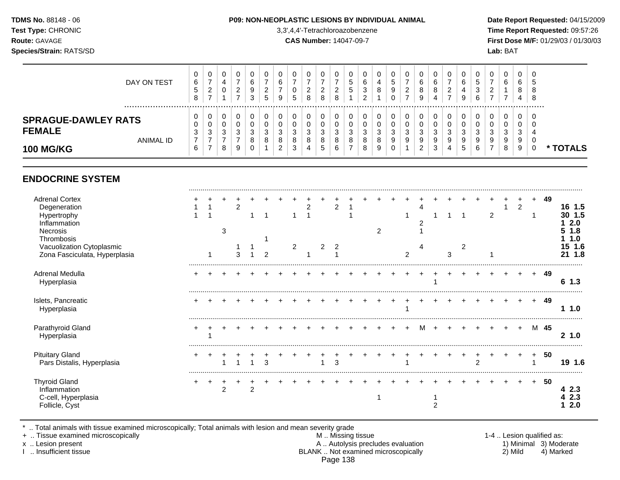#### **TDMS No.** 88148 - 06 **P09: NON-NEOPLASTIC LESIONS BY INDIVIDUAL ANIMAL Date Report Requested:** 04/15/2009

**Test Type:** CHRONIC 3,3',4,4'-Tetrachloroazobenzene **Time Report Requested:** 09:57:26 **Route:** GAVAGE **CAS Number:** 14047-09-7 **First Dose M/F:** 01/29/03 / 01/30/03

| DAY ON TEST                                                                  | υ<br>6<br>ັ<br>8                 | 0<br>-<br>ົ<br><u>_</u><br>- | U<br>4           | ∠      | 0<br>6<br>9<br>3                 | 0<br><u>_</u><br>5 | 0<br>6<br>9                            | 0<br>-<br>U<br>э             | $\mathbf{0}$<br>ົ<br>∼<br>8 | U<br>ົ<br><u>_</u><br>8          | U<br>o | υ<br>∽<br>w<br>∽<br>N | 0<br>b<br>っ<br>ັ<br>◠<br>_ | υ<br>8                 | υ<br>∽<br>N<br>-9       | ◠<br>∠<br>$\overline{ }$  | v<br>6<br>8<br>9                  | 6<br>8<br>4                                   | 0<br>c<br><u>.</u><br>- | 0<br>6<br>4<br>9            | U<br>6 | 0<br>-<br>c<br><u>.</u><br>⇁      | 6                  | 0<br>6<br>8<br>4      | 0<br>৾৾<br>8<br>8 |        |
|------------------------------------------------------------------------------|----------------------------------|------------------------------|------------------|--------|----------------------------------|--------------------|----------------------------------------|------------------------------|-----------------------------|----------------------------------|--------|-----------------------|----------------------------|------------------------|-------------------------|---------------------------|-----------------------------------|-----------------------------------------------|-------------------------|-----------------------------|--------|-----------------------------------|--------------------|-----------------------|-------------------|--------|
| <b>SPRAGUE-DAWLEY RATS</b><br><b>FEMALE</b><br>ANIMAL ID<br><b>100 MG/KG</b> | υ<br>v<br>$\sim$<br>ັບ<br>⇁<br>6 | 0<br>0<br>3<br>-<br>-        | U<br>U<br>3<br>8 | 3<br>9 | 0<br>0<br>3<br>o<br>$\circ$<br>0 | 0<br>ົ<br>ັ<br>8   | 0<br>0<br>ີ<br>J<br>8<br>റ<br><u>.</u> | 0<br>U<br>-2<br>ັບ<br>8<br>3 | 0<br>0<br>3<br>8<br>4       | 0<br>U<br>3<br>8<br><sub>5</sub> | - 0    | N<br>8                | 0<br>0<br>ົ<br>ັ<br>8<br>8 | ັບ<br>ν<br>N<br>8<br>9 | u<br>3<br>9<br><u>u</u> | ◠<br><b>ت</b><br>$\Omega$ | 0<br>v<br>3<br>9<br>◠<br><u>L</u> | ി<br>ັບ<br>$\Omega$<br>- చ<br>$\sqrt{2}$<br>đ | 0<br>0<br>3<br>9<br>4   | 0<br>0<br>ີ<br>ັ<br>9<br>C. | ັ<br>b | 0<br>0<br>3<br>9<br>$\rightarrow$ | ົ<br>$\Omega$<br>8 | 0<br>υ<br>3<br>9<br>9 | 0<br>- U<br>- U   | TOTALS |

### **ENDOCRINE SYSTEM**

| <b>Adrenal Cortex</b><br>Degeneration<br>Hypertrophy<br>Inflammation<br>Necrosis<br>Thrombosis<br>Vacuolization Cytoplasmic<br>Zona Fasciculata, Hyperplasia |   | 3 | $\overline{2}$ |   |  | 2 | 2 | $\mathfrak{p}$ |  | $\mathcal{P}$ | っ |  |  |                |  | 2 |   |    | 16 1.5<br>30 1.5<br>2.0<br>.8<br>l.O<br>15 1.6<br>1.8<br>21 |
|--------------------------------------------------------------------------------------------------------------------------------------------------------------|---|---|----------------|---|--|---|---|----------------|--|---------------|---|--|--|----------------|--|---|---|----|-------------------------------------------------------------|
| Adrenal Medulla<br>Hyperplasia                                                                                                                               |   |   |                |   |  |   |   |                |  |               |   |  |  |                |  |   |   | 49 | 6 1.3                                                       |
| Islets, Pancreatic<br>Hyperplasia                                                                                                                            |   |   |                |   |  |   |   |                |  |               |   |  |  |                |  |   |   | 49 | 1.0                                                         |
| Parathyroid Gland<br>Hyperplasia                                                                                                                             |   |   |                |   |  |   |   |                |  |               |   |  |  |                |  |   | M | 45 | 2<br>1.0                                                    |
| <b>Pituitary Gland</b><br>Pars Distalis, Hyperplasia                                                                                                         | ٠ |   |                |   |  |   |   | 3              |  |               |   |  |  | $\mathfrak{p}$ |  |   |   | 50 | 19 1.6                                                      |
| <b>Thyroid Gland</b><br>Inflammation<br>C-cell, Hyperplasia<br>Follicle, Cyst                                                                                |   |   |                | ົ |  |   |   |                |  |               |   |  |  |                |  |   |   | 50 | 4 2.3<br>2.3<br>2.0                                         |

\* .. Total animals with tissue examined microscopically; Total animals with lesion and mean severity grade<br>+ .. Tissue examined microscopically

+ .. Tissue examined microscopically  $M$ .. Missing tissue 1-4 .. Lesion qualified as:

x .. Lesion present **A .. Autolysis precludes evaluation** A .. Autolysis precludes evaluation 1) Minimal 3) Moderate I .. Insufficient tissue BLANK .. Not examined microscopically 2) Mild 4) Marked Page 138

.........................................................................................................................................................................................................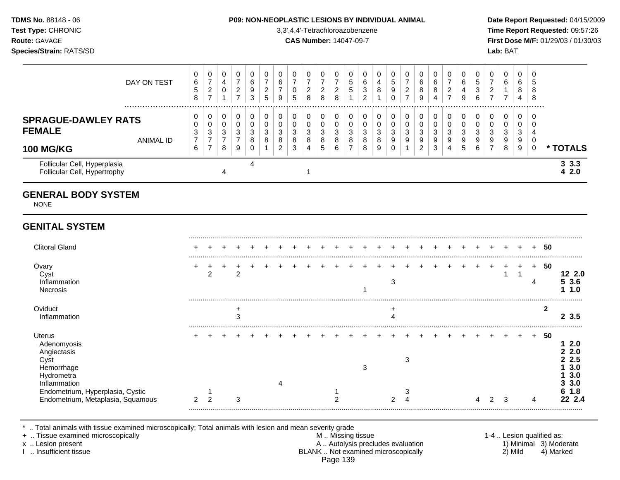#### **TDMS No.** 88148 - 06 **P09: NON-NEOPLASTIC LESIONS BY INDIVIDUAL ANIMAL Date Report Requested:** 04/15/2009

**Test Type:** CHRONIC 3,3',4,4'-Tetrachloroazobenzene **Time Report Requested:** 09:57:26 **Route:** GAVAGE **CAS Number:** 14047-09-7 **First Dose M/F:** 01/29/03 / 01/30/03

| DAY ON TEST<br>.                                                                                | 0<br>$\,6$<br>$\sqrt{5}$<br>8                | $\pmb{0}$<br>$\overline{7}$<br>$\overline{c}$<br>$\overline{7}$      | 0<br>$\overline{4}$<br>0<br>$\mathbf{1}$                   | 0<br>$\overline{7}$<br>$\sqrt{2}$<br>$\overline{7}$                  | 0<br>6<br>9<br>3                    | 0<br>$\overline{7}$<br>$\overline{c}$<br>5 | 0<br>$\,6$<br>$\overline{7}$<br>9                                 | 0<br>$\overline{7}$<br>0<br>5 | $\pmb{0}$<br>$\overline{7}$<br>$\overline{c}$<br>8          | 0<br>$\overline{7}$<br>$\overline{c}$<br>8              | 0<br>$\overline{7}$<br>$\overline{c}$<br>$\,8\,$ | 0<br>5<br>5                                  | 0<br>6<br>3<br>$\overline{c}$                      | 0<br>4<br>8                                      | 0<br>5<br>9<br>$\Omega$                                                          | 0<br>$\overline{7}$<br>$\overline{c}$<br>$\overline{7}$                             | 0<br>$\,6\,$<br>8<br>9                                               | 0<br>$\,6\,$<br>8<br>4                                                                    | 0<br>$\overline{7}$<br>$\overline{2}$<br>$\overline{7}$ | 0<br>6<br>4<br>9                | 0<br>$\overline{5}$<br>3<br>6        | $\pmb{0}$<br>$\overline{7}$<br>$\overline{c}$<br>$\overline{7}$ | $\pmb{0}$<br>6<br>1<br>$\overline{7}$                        | $\pmb{0}$<br>6<br>8<br>4                                               | 0<br>5<br>8<br>8                                 |              |                                             |
|-------------------------------------------------------------------------------------------------|----------------------------------------------|----------------------------------------------------------------------|------------------------------------------------------------|----------------------------------------------------------------------|-------------------------------------|--------------------------------------------|-------------------------------------------------------------------|-------------------------------|-------------------------------------------------------------|---------------------------------------------------------|--------------------------------------------------|----------------------------------------------|----------------------------------------------------|--------------------------------------------------|----------------------------------------------------------------------------------|-------------------------------------------------------------------------------------|----------------------------------------------------------------------|-------------------------------------------------------------------------------------------|---------------------------------------------------------|---------------------------------|--------------------------------------|-----------------------------------------------------------------|--------------------------------------------------------------|------------------------------------------------------------------------|--------------------------------------------------|--------------|---------------------------------------------|
| <b>SPRAGUE-DAWLEY RATS</b><br><b>FEMALE</b><br><b>ANIMAL ID</b><br><b>100 MG/KG</b>             | 0<br>$\mathbf 0$<br>3<br>$\overline{7}$<br>6 | 0<br>$\mathbf 0$<br>$\mathbf{3}$<br>$\overline{7}$<br>$\overline{7}$ | 0<br>0<br>$\ensuremath{\mathsf{3}}$<br>$\overline{7}$<br>8 | 0<br>$\mathbf 0$<br>$\ensuremath{\mathsf{3}}$<br>$\overline{7}$<br>9 | 0<br>$\Omega$<br>3<br>8<br>$\Omega$ | $\mathbf 0$<br>$\mathbf 0$<br>3<br>8       | 0<br>$\Omega$<br>$\ensuremath{\mathsf{3}}$<br>8<br>$\overline{2}$ | 0<br>0<br>3<br>8<br>3         | 0<br>$\mathbf 0$<br>$\sqrt{3}$<br>$\bf 8$<br>$\overline{4}$ | 0<br>$\mathbf 0$<br>$\ensuremath{\mathsf{3}}$<br>8<br>5 | 0<br>$\mathbf 0$<br>$\sqrt{3}$<br>$\bf 8$<br>6   | 0<br>$\mathbf 0$<br>3<br>8<br>$\overline{7}$ | $\pmb{0}$<br>$\mathbf 0$<br>$\mathbf{3}$<br>8<br>8 | 0<br>$\mathbf 0$<br>$\mathbf{3}$<br>$\,8\,$<br>9 | 0<br>$\mathsf 0$<br>$\ensuremath{\mathsf{3}}$<br>$\boldsymbol{9}$<br>$\mathbf 0$ | 0<br>$\mathbf 0$<br>$\ensuremath{\mathsf{3}}$<br>$\boldsymbol{9}$<br>$\overline{1}$ | 0<br>$\mathbf 0$<br>$\sqrt{3}$<br>$\boldsymbol{9}$<br>$\overline{2}$ | $\pmb{0}$<br>$\mathbf 0$<br>$\ensuremath{\mathsf{3}}$<br>$\boldsymbol{9}$<br>$\mathbf{3}$ | $\pmb{0}$<br>$\Omega$<br>$\mathbf{3}$<br>9<br>4         | 0<br>$\mathbf 0$<br>3<br>9<br>5 | 0<br>$\mathbf{0}$<br>3<br>$9\,$<br>6 | 0<br>$\mathbf 0$<br>$\sqrt{3}$<br>9<br>$\overline{7}$           | 0<br>0<br>$\ensuremath{\mathsf{3}}$<br>$\boldsymbol{9}$<br>8 | 0<br>$\mathbf 0$<br>$\ensuremath{\mathsf{3}}$<br>$\boldsymbol{9}$<br>9 | 0<br>$\Omega$<br>4<br>$\mathbf 0$<br>$\mathbf 0$ |              | * TOTALS                                    |
| Follicular Cell, Hyperplasia<br>Follicular Cell, Hypertrophy                                    |                                              |                                                                      | 4                                                          |                                                                      | $\overline{4}$                      |                                            |                                                                   |                               | -1                                                          |                                                         |                                                  |                                              |                                                    |                                                  |                                                                                  |                                                                                     |                                                                      |                                                                                           |                                                         |                                 |                                      |                                                                 |                                                              |                                                                        |                                                  |              | 3.3.3<br>42.0                               |
| <b>GENERAL BODY SYSTEM</b><br><b>NONE</b>                                                       |                                              |                                                                      |                                                            |                                                                      |                                     |                                            |                                                                   |                               |                                                             |                                                         |                                                  |                                              |                                                    |                                                  |                                                                                  |                                                                                     |                                                                      |                                                                                           |                                                         |                                 |                                      |                                                                 |                                                              |                                                                        |                                                  |              |                                             |
| <b>GENITAL SYSTEM</b>                                                                           |                                              |                                                                      |                                                            |                                                                      |                                     |                                            |                                                                   |                               |                                                             |                                                         |                                                  |                                              |                                                    |                                                  |                                                                                  |                                                                                     |                                                                      |                                                                                           |                                                         |                                 |                                      |                                                                 |                                                              |                                                                        |                                                  |              |                                             |
| <b>Clitoral Gland</b>                                                                           |                                              |                                                                      |                                                            |                                                                      |                                     |                                            |                                                                   |                               |                                                             |                                                         |                                                  |                                              |                                                    |                                                  |                                                                                  |                                                                                     |                                                                      |                                                                                           |                                                         |                                 |                                      |                                                                 |                                                              |                                                                        |                                                  | 50           |                                             |
| Ovary<br>Cyst<br>Inflammation<br>Necrosis                                                       |                                              | $\mathfrak{p}$                                                       | $\ddot{}$                                                  | $\overline{2}$                                                       |                                     |                                            |                                                                   |                               |                                                             |                                                         |                                                  |                                              |                                                    |                                                  | 3                                                                                |                                                                                     |                                                                      |                                                                                           |                                                         |                                 |                                      |                                                                 |                                                              | $\overline{1}$                                                         | $+$<br>4                                         | 50           | 12 2.0<br>53.6<br>1.0                       |
| Oviduct<br>Inflammation                                                                         |                                              |                                                                      |                                                            | $\ddot{}$<br>3                                                       |                                     |                                            |                                                                   |                               |                                                             |                                                         |                                                  |                                              |                                                    |                                                  | $\ddot{}$<br>$\boldsymbol{\Lambda}$                                              |                                                                                     |                                                                      |                                                                                           |                                                         |                                 |                                      |                                                                 |                                                              |                                                                        |                                                  | $\mathbf{2}$ | 23.5                                        |
| <b>Uterus</b><br>Adenomyosis<br>Angiectasis<br>Cyst<br>Hemorrhage<br>Hydrometra<br>Inflammation |                                              |                                                                      |                                                            |                                                                      |                                     |                                            | 4                                                                 |                               |                                                             |                                                         |                                                  |                                              | 3                                                  |                                                  |                                                                                  | 3                                                                                   |                                                                      |                                                                                           |                                                         |                                 |                                      |                                                                 |                                                              |                                                                        | $+$                                              | 50           | 12.0<br>2.2.0<br>2.5<br>3.0<br>3.0<br>3.3.0 |
| Endometrium, Hyperplasia, Cystic<br>Endometrium, Metaplasia, Squamous                           | $\overline{2}$                               | $\overline{2}$                                                       |                                                            | 3                                                                    |                                     |                                            |                                                                   |                               |                                                             |                                                         | 1<br>2                                           |                                              |                                                    |                                                  | $\overline{2}$                                                                   | 3<br>4                                                                              |                                                                      |                                                                                           |                                                         |                                 |                                      | 2                                                               | 3                                                            |                                                                        | Δ                                                |              | 1.8<br>6<br>22 2.4                          |

\* .. Total animals with tissue examined microscopically; Total animals with lesion and mean severity grade

+ .. Tissue examined microscopically M .. Missing tissue 1-4 .. Lesion qualified as: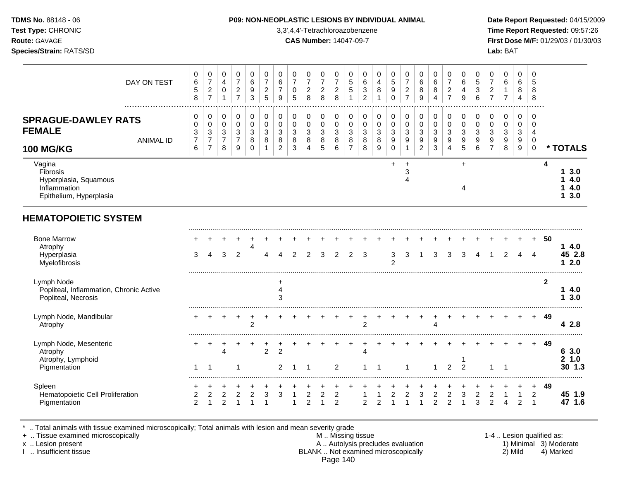| $\pmb{0}$<br>0<br>$\mathbf 0$<br>$\pmb{0}$<br>$\pmb{0}$<br>$\mathsf 0$<br>$\pmb{0}$<br>$\pmb{0}$<br>$\pmb{0}$<br>$\pmb{0}$<br>$\mathsf 0$<br>$\mathbf 0$<br>0<br>$\pmb{0}$<br>0<br>0<br>0<br>0<br>0<br>0<br>0<br>0<br>$\overline{7}$<br>5<br>$\overline{7}$<br>$\overline{7}$<br>$\overline{7}$<br>$\overline{7}$<br>$\,6$<br>$\overline{7}$<br>$\overline{7}$<br>$\overline{7}$<br>$\sqrt{5}$<br>$\,6\,$<br>$\overline{7}$<br>$\,6\,$<br>$\,6$<br>$\overline{\mathbf{4}}$<br>$\,6\,$<br>5<br>$\,6\,$<br>$\overline{7}$<br>$\,6$<br>DAY ON TEST<br>$\overline{4}$<br>$\overline{7}$<br>$\,$ 5 $\,$<br>$\frac{2}{7}$<br>$\sqrt{5}$<br>$\sqrt{2}$<br>0<br>$\boldsymbol{2}$<br>$\sqrt{2}$<br>$\overline{c}$<br>$\boldsymbol{2}$<br>$\boldsymbol{2}$<br>$\sqrt{3}$<br>$\boldsymbol{9}$<br>$\sqrt{2}$<br>$\bf 8$<br>$\sqrt{2}$<br>3<br>9<br>$\pmb{0}$<br>8<br>8<br>$\overline{4}$<br>$\overline{7}$<br>$\overline{7}$<br>$\mathfrak{S}$<br>5<br>8<br>$\,8\,$<br>$\sqrt{2}$<br>$\overline{7}$<br>$\overline{7}$<br>8<br>$9\,$<br>$\sqrt{5}$<br>8<br>0<br>$9\,$<br>$\overline{4}$<br>$\boldsymbol{9}$<br>$\,6$<br>$\mathbf{1}$<br>$\mathbf{1}$<br>1<br>$\pmb{0}$<br>0<br>0<br>$\pmb{0}$<br>0<br>$\pmb{0}$<br>$\pmb{0}$<br>0<br>0<br>0<br>0<br>0<br>0<br>0<br>0<br>0<br>0<br>0<br>0<br>0<br>0<br>0<br><b>SPRAGUE-DAWLEY RATS</b><br>$\mathbf 0$<br>$\mathsf{O}\xspace$<br>$\pmb{0}$<br>0<br>0<br>$\pmb{0}$<br>$\mathbf 0$<br>$\pmb{0}$<br>$\pmb{0}$<br>0<br>$\pmb{0}$<br>$\pmb{0}$<br>$\pmb{0}$<br>$\mathbf 0$<br>$\mathbf 0$<br>$\mathbf 0$<br>$\pmb{0}$<br>$\mathbf 0$<br>$\pmb{0}$<br>$\mathbf 0$<br>$\mathbf 0$<br>$\mathbf 0$<br><b>FEMALE</b><br>$\ensuremath{\mathsf{3}}$<br>$\sqrt{3}$<br>$\ensuremath{\mathsf{3}}$<br>$\sqrt{3}$<br>$\sqrt{3}$<br>$\sqrt{3}$<br>$\sqrt{3}$<br>$\sqrt{3}$<br>$\sqrt{3}$<br>$\sqrt{3}$<br>$\mathbf{3}$<br>$\ensuremath{\mathsf{3}}$<br>$\sqrt{3}$<br>3<br>$\ensuremath{\mathsf{3}}$<br>3<br>3<br>3<br>3<br>3<br>3<br>$\mathbf{3}$<br>$\overline{7}$<br>$\overline{7}$<br>$\,8\,$<br>$\boldsymbol{9}$<br>9<br>$\overline{7}$<br>$\overline{7}$<br>8<br>$\,8\,$<br>8<br>8<br>$\bf 8$<br>8<br>$\bf8$<br>8<br>9<br>9<br>$\boldsymbol{9}$<br>$\boldsymbol{9}$<br>9<br>$\boldsymbol{9}$<br><b>ANIMAL ID</b><br>8<br>6<br>$\overline{7}$<br>8<br>9<br>$\overline{c}$<br>$\mathbf{3}$<br>5<br>$\,6\,$<br>$\overline{7}$<br>8<br>9<br>$\mathbf 0$<br>$\overline{2}$<br>3<br>5<br>$\,6\,$<br>$\overline{7}$<br>$\mathbf 0$<br>$\mathbf{1}$<br>$\overline{4}$<br>$\mathbf{1}$<br>$\overline{a}$<br><b>100 MG/KG</b> | $\pmb{0}$<br>$\,6\,$<br>$\mathbf{1}$<br>$\overline{7}$<br>$\pmb{0}$<br>$\mathsf 0$<br>$\sqrt{3}$<br>$\boldsymbol{9}$<br>8 | $\mathbf 0$<br>$\,6\,$<br>8<br>4<br>0<br>$\mathbf 0$<br>3<br>9 | $\mathbf 0$<br>5<br>8<br>8<br>$\mathbf 0$<br>$\mathbf 0$<br>$\overline{4}$ |              |                               |
|-----------------------------------------------------------------------------------------------------------------------------------------------------------------------------------------------------------------------------------------------------------------------------------------------------------------------------------------------------------------------------------------------------------------------------------------------------------------------------------------------------------------------------------------------------------------------------------------------------------------------------------------------------------------------------------------------------------------------------------------------------------------------------------------------------------------------------------------------------------------------------------------------------------------------------------------------------------------------------------------------------------------------------------------------------------------------------------------------------------------------------------------------------------------------------------------------------------------------------------------------------------------------------------------------------------------------------------------------------------------------------------------------------------------------------------------------------------------------------------------------------------------------------------------------------------------------------------------------------------------------------------------------------------------------------------------------------------------------------------------------------------------------------------------------------------------------------------------------------------------------------------------------------------------------------------------------------------------------------------------------------------------------------------------------------------------------------------------------------------------------------------------------------------------------------------------------------------------------------------------------------------------------------------------------------------------------------------------------------------------------------------------------------------------------------------------------------------------------------------------------------------------------------------------|---------------------------------------------------------------------------------------------------------------------------|----------------------------------------------------------------|----------------------------------------------------------------------------|--------------|-------------------------------|
|                                                                                                                                                                                                                                                                                                                                                                                                                                                                                                                                                                                                                                                                                                                                                                                                                                                                                                                                                                                                                                                                                                                                                                                                                                                                                                                                                                                                                                                                                                                                                                                                                                                                                                                                                                                                                                                                                                                                                                                                                                                                                                                                                                                                                                                                                                                                                                                                                                                                                                                                         |                                                                                                                           |                                                                |                                                                            |              |                               |
|                                                                                                                                                                                                                                                                                                                                                                                                                                                                                                                                                                                                                                                                                                                                                                                                                                                                                                                                                                                                                                                                                                                                                                                                                                                                                                                                                                                                                                                                                                                                                                                                                                                                                                                                                                                                                                                                                                                                                                                                                                                                                                                                                                                                                                                                                                                                                                                                                                                                                                                                         |                                                                                                                           | 9                                                              | 0<br>$\mathbf 0$                                                           |              | * TOTALS                      |
| Vagina<br>$+$<br>$+$<br>$\ddot{}$<br>3<br><b>Fibrosis</b><br>Hyperplasia, Squamous<br>$\overline{4}$<br>Inflammation<br>4<br>Epithelium, Hyperplasia                                                                                                                                                                                                                                                                                                                                                                                                                                                                                                                                                                                                                                                                                                                                                                                                                                                                                                                                                                                                                                                                                                                                                                                                                                                                                                                                                                                                                                                                                                                                                                                                                                                                                                                                                                                                                                                                                                                                                                                                                                                                                                                                                                                                                                                                                                                                                                                    |                                                                                                                           |                                                                |                                                                            | 4            | 1 3.0<br>4.0<br>14.0<br>13.0  |
| <b>HEMATOPOIETIC SYSTEM</b>                                                                                                                                                                                                                                                                                                                                                                                                                                                                                                                                                                                                                                                                                                                                                                                                                                                                                                                                                                                                                                                                                                                                                                                                                                                                                                                                                                                                                                                                                                                                                                                                                                                                                                                                                                                                                                                                                                                                                                                                                                                                                                                                                                                                                                                                                                                                                                                                                                                                                                             |                                                                                                                           |                                                                |                                                                            |              |                               |
| <b>Bone Marrow</b><br>Atrophy<br>4<br>$\overline{2}$<br>Hyperplasia<br>3<br>3<br>$\overline{2}$<br>2<br>3<br>2<br>2<br>-3<br>3<br>3<br>3<br>3<br>3<br>$\mathbf{1}$<br>4<br>4<br>$\mathbf{1}$<br>$\overline{4}$<br>4<br>Myelofibrosis<br>2                                                                                                                                                                                                                                                                                                                                                                                                                                                                                                                                                                                                                                                                                                                                                                                                                                                                                                                                                                                                                                                                                                                                                                                                                                                                                                                                                                                                                                                                                                                                                                                                                                                                                                                                                                                                                                                                                                                                                                                                                                                                                                                                                                                                                                                                                               | 2                                                                                                                         | 4                                                              | $+$<br>$\overline{4}$                                                      | -50          | 14.0<br>45 2.8<br>$12.0$      |
| Lymph Node<br>Popliteal, Inflammation, Chronic Active<br>4<br>3<br>Popliteal, Necrosis                                                                                                                                                                                                                                                                                                                                                                                                                                                                                                                                                                                                                                                                                                                                                                                                                                                                                                                                                                                                                                                                                                                                                                                                                                                                                                                                                                                                                                                                                                                                                                                                                                                                                                                                                                                                                                                                                                                                                                                                                                                                                                                                                                                                                                                                                                                                                                                                                                                  |                                                                                                                           |                                                                |                                                                            | $\mathbf{2}$ | 14.0<br>13.0                  |
| Lymph Node, Mandibular<br>$\ddot{}$<br>+<br>+<br>$\ddot{}$<br>Atrophy<br>$\overline{2}$<br>2<br>4                                                                                                                                                                                                                                                                                                                                                                                                                                                                                                                                                                                                                                                                                                                                                                                                                                                                                                                                                                                                                                                                                                                                                                                                                                                                                                                                                                                                                                                                                                                                                                                                                                                                                                                                                                                                                                                                                                                                                                                                                                                                                                                                                                                                                                                                                                                                                                                                                                       |                                                                                                                           | $\ddot{}$                                                      |                                                                            | + 49         | 4 2.8                         |
| Lymph Node, Mesenteric<br>÷<br>$\overline{2}$<br>$\overline{c}$<br>$\overline{A}$<br>Atrophy<br>4<br>Atrophy, Lymphoid<br>$\overline{2}$<br>$\overline{c}$<br>Pigmentation<br>2<br>$\overline{c}$<br>$\mathbf{1}$<br>$\mathbf{1}$<br>$\mathbf 1$<br>$\mathbf 1$<br>$\mathbf 1$<br>1<br>1<br>-1                                                                                                                                                                                                                                                                                                                                                                                                                                                                                                                                                                                                                                                                                                                                                                                                                                                                                                                                                                                                                                                                                                                                                                                                                                                                                                                                                                                                                                                                                                                                                                                                                                                                                                                                                                                                                                                                                                                                                                                                                                                                                                                                                                                                                                          | -1                                                                                                                        |                                                                |                                                                            | 49           | 6 3.0<br>2, 1.0<br>30 1.3<br> |
| Spleen<br>+<br>$\ddot{}$<br>+<br>$\ddot{}$<br>$\ddot{}$<br>$\overline{c}$<br>Hematopoietic Cell Proliferation<br>$\overline{c}$<br>$\overline{2}$<br>$\overline{2}$<br>$\overline{c}$<br>$\mathbf{3}$<br>$\overline{2}$<br>$\overline{c}$<br>$\overline{c}$<br>$\overline{c}$<br>$\ensuremath{\mathsf{3}}$<br>$\boldsymbol{2}$<br>$\overline{c}$<br>$\mathbf{3}$<br>$\overline{c}$<br>2<br>3<br>$\mathbf{1}$<br>$\overline{2}$<br>1<br>1<br>$\overline{2}$<br>2<br>$\overline{2}$<br>$\overline{2}$<br>2<br>3<br>$\overline{2}$<br>2<br>$\mathbf{1}$<br>$\overline{2}$<br>$\mathbf{1}$<br>1<br>2<br>1<br>$\mathbf{1}$<br>Pigmentation                                                                                                                                                                                                                                                                                                                                                                                                                                                                                                                                                                                                                                                                                                                                                                                                                                                                                                                                                                                                                                                                                                                                                                                                                                                                                                                                                                                                                                                                                                                                                                                                                                                                                                                                                                                                                                                                                                   | $\mathbf{1}$<br>$\overline{4}$                                                                                            | +<br>$\mathbf{1}$<br>$\overline{2}$                            | $\overline{2}$<br>$\overline{1}$                                           | + 49         | 45 1.9<br>47 1.6              |

\* .. Total animals with tissue examined microscopically; Total animals with lesion and mean severity grade

+ .. Tissue examined microscopically M .. Missing tissue 1-4 .. Lesion qualified as: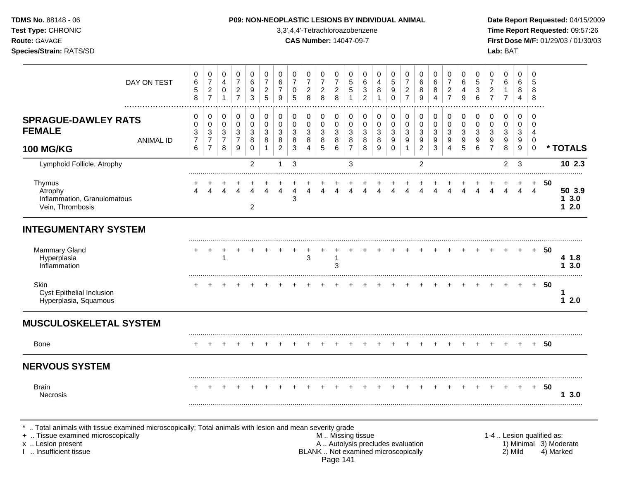**Test Type:** CHRONIC 3,3',4,4'-Tetrachloroazobenzene **Time Report Requested:** 09:57:26 **Route:** GAVAGE **CAS Number:** 14047-09-7 **First Dose M/F:** 01/29/03 / 01/30/03 **Species/Strain:** RATS/SD **Lab:** BAT

| DAY ON TEST                                                          | 0<br>$\,6$<br>5<br>8                               | 0<br>$\overline{7}$<br>$\boldsymbol{2}$<br>$\overline{7}$ | 0<br>$\overline{\mathbf{4}}$<br>$\pmb{0}$<br>$\mathbf{1}$ | $\mathbf 0$<br>$\overline{7}$<br>$\sqrt{2}$<br>$\overline{7}$ | 0<br>6<br>9<br>3                 | $\mathbf 0$<br>$\overline{7}$<br>$\overline{c}$<br>5 | $\mathbf 0$<br>6<br>$\overline{7}$<br>9 | 0<br>$\overline{7}$<br>$\mathbf 0$<br>5 | 0<br>$\boldsymbol{7}$<br>$\overline{c}$<br>8 | 0<br>$\overline{7}$<br>$\boldsymbol{2}$<br>8 | 0<br>$\overline{7}$<br>$\overline{c}$<br>8 | 0<br>5<br>5<br>-1          | 0<br>6<br>$\ensuremath{\mathsf{3}}$<br>$\overline{2}$ | 0<br>4<br>8<br>$\mathbf{1}$ | 0<br>$\,$ 5 $\,$<br>9<br>$\mathbf 0$               | $\mathbf 0$<br>$\overline{7}$<br>$\overline{c}$<br>$\overline{7}$ | $\mathbf 0$<br>6<br>8<br>9        | 0<br>6<br>8<br>$\overline{4}$ | 0<br>$\overline{7}$<br>$\overline{c}$<br>$\overline{7}$ | 0<br>6<br>4<br>9                                   | 0<br>$\,$ 5 $\,$<br>$\ensuremath{\mathsf{3}}$<br>$6\phantom{a}$ | 0<br>$\overline{7}$<br>$\boldsymbol{2}$<br>$\overline{7}$ | $\mathbf 0$<br>$\,6$<br>$\overline{7}$    | $\mathbf 0$<br>6<br>8<br>$\overline{4}$ | 0<br>5<br>8<br>8                                         |      |                          |
|----------------------------------------------------------------------|----------------------------------------------------|-----------------------------------------------------------|-----------------------------------------------------------|---------------------------------------------------------------|----------------------------------|------------------------------------------------------|-----------------------------------------|-----------------------------------------|----------------------------------------------|----------------------------------------------|--------------------------------------------|----------------------------|-------------------------------------------------------|-----------------------------|----------------------------------------------------|-------------------------------------------------------------------|-----------------------------------|-------------------------------|---------------------------------------------------------|----------------------------------------------------|-----------------------------------------------------------------|-----------------------------------------------------------|-------------------------------------------|-----------------------------------------|----------------------------------------------------------|------|--------------------------|
| <b>SPRAGUE-DAWLEY RATS</b><br><b>FEMALE</b><br><b>ANIMAL ID</b>      | 0<br>$\mathbf 0$<br>$\sqrt{3}$<br>$\boldsymbol{7}$ | 0<br>0<br>$\sqrt{3}$<br>$\overline{7}$                    | 0<br>0<br>$\mathbf{3}$<br>$\overline{7}$                  | 0<br>$\mathbf 0$<br>$\sqrt{3}$<br>$\overline{7}$              | 0<br>$\mathbf 0$<br>3<br>8       | 0<br>$\mathbf 0$<br>3<br>8                           | 0<br>$\mathbf 0$<br>3<br>8              | 0<br>$\mathsf 0$<br>3<br>$\bf 8$        | 0<br>$\mathbf 0$<br>$\sqrt{3}$<br>$\bf 8$    | 0<br>$\mathbf 0$<br>3<br>8                   | 0<br>0<br>3<br>$\bf 8$                     | 0<br>$\mathbf 0$<br>3<br>8 | 0<br>$\mathbf 0$<br>3<br>8                            | 0<br>0<br>3<br>8            | 0<br>$\mathbf 0$<br>$\ensuremath{\mathsf{3}}$<br>9 | 0<br>$\mathbf 0$<br>$\mathbf{3}$<br>9                             | 0<br>$\pmb{0}$<br>$\sqrt{3}$<br>9 | 0<br>$\mathbf 0$<br>3<br>9    | 0<br>$\mathbf 0$<br>3<br>9                              | 0<br>$\pmb{0}$<br>$\mathbf{3}$<br>$\boldsymbol{9}$ | 0<br>0<br>$\mathbf{3}$<br>$\boldsymbol{9}$                      | 0<br>0<br>3<br>9                                          | 0<br>$\mathbf 0$<br>3<br>$\boldsymbol{9}$ | 0<br>$\mathbf 0$<br>3<br>9              | $\Omega$<br>$\mathbf 0$<br>$\overline{4}$<br>$\mathbf 0$ |      |                          |
| <b>100 MG/KG</b>                                                     | $6\phantom{1}6$                                    | $\overline{7}$                                            | 8                                                         | $\boldsymbol{9}$                                              | $\mathbf 0$                      |                                                      | $\overline{2}$                          | $\mathbf{3}$                            | 4                                            | 5                                            | $\,6\,$                                    | $\overline{7}$             | 8                                                     | 9                           | $\mathbf 0$                                        | $\mathbf{1}$                                                      | $\overline{c}$                    | 3                             | 4                                                       | 5                                                  | $\,6$                                                           | $\overline{7}$                                            | 8                                         | 9                                       | $\mathbf 0$                                              |      | * TOTALS                 |
| Lymphoid Follicle, Atrophy                                           |                                                    |                                                           |                                                           |                                                               | $\overline{2}$                   |                                                      | 1                                       | 3                                       |                                              |                                              |                                            | 3                          |                                                       |                             |                                                    |                                                                   | $\overline{2}$                    |                               |                                                         |                                                    |                                                                 |                                                           | $\overline{2}$                            | 3                                       |                                                          |      | 102.3                    |
| Thymus<br>Atrophy<br>Inflammation, Granulomatous<br>Vein, Thrombosis | 4                                                  | $\boldsymbol{\Delta}$                                     |                                                           |                                                               | $\overline{A}$<br>$\overline{2}$ | 4                                                    | 4                                       | $\overline{4}$<br>3                     | 4                                            |                                              | $\Delta$                                   |                            |                                                       |                             |                                                    |                                                                   | $\Delta$                          |                               |                                                         | Δ                                                  | 4                                                               |                                                           | $\Delta$                                  | 4                                       | $+$<br>$\overline{4}$                                    | 50   | 50 3.9<br>13.0<br>$12.0$ |
| <b>INTEGUMENTARY SYSTEM</b>                                          |                                                    |                                                           |                                                           |                                                               |                                  |                                                      |                                         |                                         |                                              |                                              |                                            |                            |                                                       |                             |                                                    |                                                                   |                                   |                               |                                                         |                                                    |                                                                 |                                                           |                                           |                                         |                                                          |      |                          |
| <b>Mammary Gland</b><br>Hyperplasia<br>Inflammation                  |                                                    |                                                           | -1                                                        |                                                               |                                  |                                                      |                                         |                                         | 3                                            |                                              | 1<br>3                                     |                            |                                                       |                             |                                                    |                                                                   |                                   |                               |                                                         |                                                    |                                                                 |                                                           |                                           |                                         | $+$                                                      | 50   | 4 1.8<br>13.0            |
| Skin<br><b>Cyst Epithelial Inclusion</b><br>Hyperplasia, Squamous    |                                                    |                                                           |                                                           |                                                               |                                  |                                                      |                                         |                                         |                                              |                                              |                                            |                            |                                                       |                             |                                                    |                                                                   |                                   |                               |                                                         |                                                    |                                                                 |                                                           |                                           |                                         | $+$                                                      | - 50 | 1<br>12.0                |
| <b>MUSCULOSKELETAL SYSTEM</b>                                        |                                                    |                                                           |                                                           |                                                               |                                  |                                                      |                                         |                                         |                                              |                                              |                                            |                            |                                                       |                             |                                                    |                                                                   |                                   |                               |                                                         |                                                    |                                                                 |                                                           |                                           |                                         |                                                          |      |                          |
| <b>Bone</b>                                                          |                                                    |                                                           |                                                           |                                                               |                                  |                                                      |                                         |                                         |                                              |                                              |                                            |                            |                                                       |                             |                                                    |                                                                   |                                   |                               |                                                         |                                                    |                                                                 |                                                           |                                           |                                         |                                                          | 50   |                          |
| <b>NERVOUS SYSTEM</b>                                                |                                                    |                                                           |                                                           |                                                               |                                  |                                                      |                                         |                                         |                                              |                                              |                                            |                            |                                                       |                             |                                                    |                                                                   |                                   |                               |                                                         |                                                    |                                                                 |                                                           |                                           |                                         |                                                          |      |                          |
| <b>Brain</b><br><b>Necrosis</b>                                      |                                                    |                                                           |                                                           |                                                               |                                  |                                                      |                                         |                                         |                                              |                                              |                                            |                            |                                                       |                             |                                                    |                                                                   |                                   |                               |                                                         |                                                    |                                                                 |                                                           |                                           |                                         | $+$                                                      | 50   | 13.0                     |

I .. Insufficient tissue BLANK .. Not examined microscopically 2) Mild 4) Marked

Page 141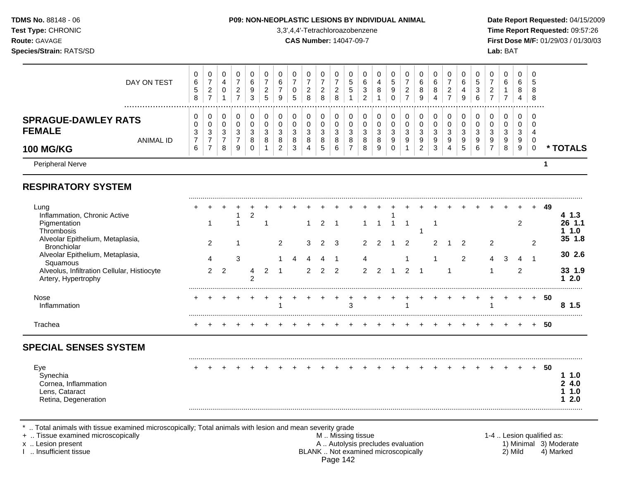#### **TDMS No.** 88148 - 06 **P09: NON-NEOPLASTIC LESIONS BY INDIVIDUAL ANIMAL Date Report Requested:** 04/15/2009

**Test Type:** CHRONIC 3,3',4,4'-Tetrachloroazobenzene **Time Report Requested:** 09:57:26 **Route:** GAVAGE **CAS Number:** 14047-09-7 **First Dose M/F:** 01/29/03 / 01/30/03

| DAY ON TEST                                                     |                  | 0<br>6<br>5<br>8                   | 0<br>7<br>2<br>$\overline{ }$ | 0<br>4<br>0                        | 0<br>$\overline{7}$<br>$\overline{c}$<br>$\overline{7}$ | 0<br>6<br>9<br>3      | 0<br>$\overline{7}$<br>$\overline{c}$<br>5 | 0<br>6<br>$\overline{7}$<br>9   | 0<br>$\overline{7}$<br>0<br>5 | 0<br>$\overline{7}$<br>$\boldsymbol{2}$<br>8 | 0<br>$\overline{ }$<br>$\overline{c}$<br>8 | 0<br>$\overline{7}$<br>$\boldsymbol{2}$<br>8 | 0<br>5<br>5                | 0<br>$\,6$<br>$\sqrt{3}$<br>$\overline{2}$ | 0<br>4<br>8           | 0<br>5<br>9<br>0 | 0<br>$\overline{7}$<br>$\overline{2}$<br>$\overline{z}$ | 0<br>6<br>8<br>9      | 0<br>6<br>8<br>4      | 0<br>7<br>$\overline{c}$<br>$\overline{ }$ | 0<br>6<br>4<br>9      | 0<br>5<br>3<br>6      |                | 0<br>$\,6$            | 0<br>6<br>8<br>4      | 5<br>8<br>8 |    |          |                        |  |
|-----------------------------------------------------------------|------------------|------------------------------------|-------------------------------|------------------------------------|---------------------------------------------------------|-----------------------|--------------------------------------------|---------------------------------|-------------------------------|----------------------------------------------|--------------------------------------------|----------------------------------------------|----------------------------|--------------------------------------------|-----------------------|------------------|---------------------------------------------------------|-----------------------|-----------------------|--------------------------------------------|-----------------------|-----------------------|----------------|-----------------------|-----------------------|-------------|----|----------|------------------------|--|
| <b>SPRAGUE-DAWLEY RATS</b><br><b>FEMALE</b><br><b>100 MG/KG</b> | <b>ANIMAL ID</b> | 0<br>0<br>3<br>$\overline{7}$<br>6 | 0<br>$\overline{ }$           | 0<br>0<br>3<br>$\overline{ }$<br>8 | 0<br>0<br>3<br>$\overline{7}$<br>9                      | 0<br>0<br>3<br>8<br>0 | 0<br>0<br>$\mathbf{3}$<br>8                | 0<br>$\mathbf 0$<br>3<br>8<br>2 | 0<br>0<br>3<br>8<br>3         | 0<br>0<br>3<br>8                             | 0<br>0<br>3<br>8<br>5                      | 0<br>0<br>3<br>8<br>6                        | 0<br>$\mathbf 0$<br>3<br>8 | 0<br>0<br>3<br>8<br>8                      | 0<br>0<br>3<br>8<br>9 | 0<br>3<br>9      | 0<br>0<br>3<br>9                                        | 0<br>0<br>3<br>9<br>2 | 0<br>0<br>3<br>9<br>3 | 0<br>0<br>3<br>9<br>4                      | 0<br>0<br>3<br>9<br>5 | 0<br>0<br>3<br>9<br>6 | 0              | 0<br>0<br>3<br>9<br>8 | 0<br>0<br>3<br>9<br>9 | 0           |    | * TOTALS |                        |  |
| Peripheral Nerve                                                |                  |                                    |                               |                                    |                                                         |                       |                                            |                                 |                               |                                              |                                            |                                              |                            |                                            |                       |                  |                                                         |                       |                       |                                            |                       |                       |                |                       |                       |             |    |          |                        |  |
| <b>RESPIRATORY SYSTEM</b>                                       |                  |                                    |                               |                                    |                                                         |                       |                                            |                                 |                               |                                              |                                            |                                              |                            |                                            |                       |                  |                                                         |                       |                       |                                            |                       |                       |                |                       |                       |             |    |          |                        |  |
| Lung                                                            |                  |                                    |                               |                                    |                                                         |                       |                                            |                                 |                               |                                              |                                            |                                              |                            |                                            |                       |                  |                                                         |                       |                       |                                            |                       |                       |                |                       |                       | $+$         | 49 |          |                        |  |
| Inflammation, Chronic Active<br>Pigmentation<br>Thrombosis      |                  |                                    |                               |                                    |                                                         | 2                     |                                            |                                 |                               |                                              | $\overline{2}$                             |                                              |                            |                                            |                       |                  |                                                         |                       |                       |                                            |                       |                       |                |                       | 2                     |             |    |          | 4 1.3<br>26 1.1<br>1.0 |  |
| Alveolar Epithelium, Metaplasia,<br><b>Bronchiolar</b>          |                  |                                    | 2                             |                                    |                                                         |                       |                                            | $\overline{2}$                  |                               | 3                                            | 2                                          | 3                                            |                            | 2                                          | 2                     |                  | $\overline{2}$                                          |                       | 2                     | 1                                          | $\overline{2}$        |                       | $\overline{c}$ |                       |                       | 2           |    |          | 35 1.8                 |  |
| Alveolar Epithelium, Metaplasia,<br>Squamous                    |                  |                                    | 4                             |                                    | 3                                                       |                       |                                            |                                 |                               |                                              | Δ                                          |                                              |                            | 4                                          |                       |                  |                                                         |                       |                       |                                            | 2                     |                       | 4              | 3                     | 4                     |             |    |          | 30 2.6                 |  |
| Alveolus, Infiltration Cellular, Histiocyte                     |                  |                                    | $\mathbf{2}^{\prime}$         | 2                                  |                                                         | 4                     | 2                                          |                                 |                               |                                              | 2                                          | 2                                            |                            | 2                                          | 2                     |                  | 2                                                       |                       |                       |                                            |                       |                       |                |                       | 2                     |             |    |          | 33 1.9                 |  |

| Artery, Hypertrophy |   |  |  |  |                                   |  |  |  |  |  |  |  |  |     | 2.0 |
|---------------------|---|--|--|--|-----------------------------------|--|--|--|--|--|--|--|--|-----|-----|
| Nose                |   |  |  |  |                                   |  |  |  |  |  |  |  |  |     |     |
| Trachea             | ÷ |  |  |  | + + + + + + + + + + + + + + + + + |  |  |  |  |  |  |  |  | -50 |     |

## **SPECIAL SENSES SYSTEM**

| <b>Lve</b><br>, Inflammation<br>Cornea,<br>Cataract<br>$c$ ens<br>Retina, Degeneration |  |  |  |  |  |  |  |  |  |  |  |  | -50 | -4.0 |
|----------------------------------------------------------------------------------------|--|--|--|--|--|--|--|--|--|--|--|--|-----|------|

.. Total animals with tissue examined microscopically; Total animals with lesion and mean severity grade<br>Tissue examined microscopically

+ .. Tissue examined microscopically the state of the state of the M .. Missing tissue 1-4 .. Lesion qualified as:

x .. Lesion present 1) Minimal 3) Moderate<br>A .. Autolysis precludes evaluation 1 and 1) Minimal 3) Moderate<br>BLANK .. Not examined microscopically 2) Mild 4) Marked BLANK .. Not examined microscopically Page 142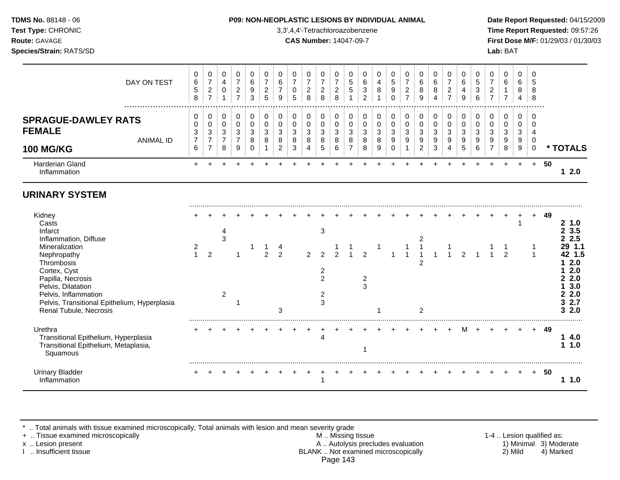#### **TDMS No.** 88148 - 06 **P09: NON-NEOPLASTIC LESIONS BY INDIVIDUAL ANIMAL Date Report Requested:** 04/15/2009

**Test Type:** CHRONIC 3,3',4,4'-Tetrachloroazobenzene **Time Report Requested:** 09:57:26 **Route:** GAVAGE **CAS Number:** 14047-09-7 **First Dose M/F:** 01/29/03 / 01/30/03

| DAY ON TEST                                                                                                                                                                                                                                                     | 0<br>$\,6$<br>$\sqrt{5}$<br>8                         | 0<br>$\overline{7}$<br>$\overline{2}$<br>$\overline{7}$      | 0<br>4<br>0                                                                    | 0<br>$\overline{7}$<br>$\overline{c}$<br>$\overline{7}$ | 0<br>6<br>$\boldsymbol{9}$<br>3          | 0<br>$\overline{7}$<br>$\overline{2}$<br>5 | 0<br>$\,6\,$<br>$\overline{7}$<br>9   | 0<br>$\overline{7}$<br>0<br>5              | 0<br>$\overline{7}$<br>$\overline{c}$<br>8 | 0<br>$\overline{7}$<br>$\overline{c}$<br>8                        | 0<br>$\overline{7}$<br>$\overline{c}$<br>8           | 0<br>$\sqrt{5}$<br>5                                    | 0<br>6<br>3<br>$\overline{2}$                  | 0<br>4<br>8           | 0<br>$\sqrt{5}$<br>9<br>$\Omega$                   | 0<br>$\overline{7}$<br>$\sqrt{2}$<br>$\overline{7}$ | 0<br>$\,6\,$<br>8<br>9                                                            | 0<br>$\,6\,$<br>8<br>$\overline{\mathbf{4}}$ | 0<br>$\overline{7}$<br>$\overline{c}$<br>$\overline{7}$ | 0<br>6<br>4<br>9                | 0<br>5<br>3<br>6                | 0<br>$\overline{7}$<br>$\overline{2}$<br>$\overline{7}$ | 0<br>6<br>$\overline{7}$     | 0<br>6<br>8<br>4                              | 0<br>5<br>8<br>8                                                     |    |                                                                                                                   |
|-----------------------------------------------------------------------------------------------------------------------------------------------------------------------------------------------------------------------------------------------------------------|-------------------------------------------------------|--------------------------------------------------------------|--------------------------------------------------------------------------------|---------------------------------------------------------|------------------------------------------|--------------------------------------------|---------------------------------------|--------------------------------------------|--------------------------------------------|-------------------------------------------------------------------|------------------------------------------------------|---------------------------------------------------------|------------------------------------------------|-----------------------|----------------------------------------------------|-----------------------------------------------------|-----------------------------------------------------------------------------------|----------------------------------------------|---------------------------------------------------------|---------------------------------|---------------------------------|---------------------------------------------------------|------------------------------|-----------------------------------------------|----------------------------------------------------------------------|----|-------------------------------------------------------------------------------------------------------------------|
| <b>SPRAGUE-DAWLEY RATS</b><br><b>FEMALE</b><br><b>ANIMAL ID</b><br><b>100 MG/KG</b>                                                                                                                                                                             | 0<br>$\mathbf 0$<br>$\sqrt{3}$<br>$\overline{7}$<br>6 | 0<br>0<br>$\mathbf{3}$<br>$\boldsymbol{7}$<br>$\overline{7}$ | 0<br>$\mathsf{O}\xspace$<br>$\ensuremath{\mathsf{3}}$<br>$\boldsymbol{7}$<br>8 | 0<br>$\pmb{0}$<br>$\mathbf{3}$<br>$\overline{7}$<br>9   | 0<br>$\pmb{0}$<br>$\mathbf{3}$<br>8<br>0 | 0<br>$\mathbf 0$<br>3<br>8                 | 0<br>$\mathbf 0$<br>3<br>8<br>2       | 0<br>$\mathbf 0$<br>$\mathbf{3}$<br>8<br>3 | 0<br>$\pmb{0}$<br>$\mathbf{3}$<br>8<br>4   | 0<br>$\mathbf 0$<br>$\sqrt{3}$<br>8<br>5                          | $\mathbf 0$<br>$\mathbf 0$<br>$\mathbf{3}$<br>8<br>6 | 0<br>$\mathbf 0$<br>$\mathbf{3}$<br>8<br>$\overline{7}$ | 0<br>$\mathbf 0$<br>3<br>8<br>8                | 0<br>0<br>3<br>8<br>9 | 0<br>$\pmb{0}$<br>$\mathbf{3}$<br>9<br>$\mathbf 0$ | 0<br>$\pmb{0}$<br>$\mathbf{3}$<br>9<br>$\mathbf 1$  | 0<br>$\pmb{0}$<br>$\ensuremath{\mathsf{3}}$<br>$\boldsymbol{9}$<br>$\overline{2}$ | 0<br>$\pmb{0}$<br>3<br>$\boldsymbol{9}$<br>3 | 0<br>$\pmb{0}$<br>3<br>9<br>$\overline{4}$              | 0<br>$\mathbf 0$<br>3<br>9<br>5 | 0<br>$\mathbf 0$<br>3<br>9<br>6 | 0<br>$\Omega$<br>3<br>9<br>$\overline{7}$               | 0<br>$\Omega$<br>3<br>9<br>8 | 0<br>0<br>$\ensuremath{\mathsf{3}}$<br>9<br>9 | $\Omega$<br>$\Omega$<br>$\overline{4}$<br>$\mathbf 0$<br>$\mathbf 0$ |    | * TOTALS                                                                                                          |
| <b>Harderian Gland</b><br>Inflammation                                                                                                                                                                                                                          | $+$                                                   |                                                              |                                                                                |                                                         |                                          |                                            |                                       |                                            |                                            |                                                                   |                                                      |                                                         |                                                |                       |                                                    |                                                     |                                                                                   |                                              |                                                         |                                 |                                 |                                                         |                              | $+$                                           | $+$                                                                  | 50 | 12.0                                                                                                              |
| <b>URINARY SYSTEM</b>                                                                                                                                                                                                                                           |                                                       |                                                              |                                                                                |                                                         |                                          |                                            |                                       |                                            |                                            |                                                                   |                                                      |                                                         |                                                |                       |                                                    |                                                     |                                                                                   |                                              |                                                         |                                 |                                 |                                                         |                              |                                               |                                                                      |    |                                                                                                                   |
| Kidney<br>Casts<br>Infarct<br>Inflammation, Diffuse<br>Mineralization<br>Nephropathy<br>Thrombosis<br>Cortex, Cyst<br>Papilla, Necrosis<br>Pelvis, Dilatation<br>Pelvis, Inflammation<br>Pelvis, Transitional Epithelium, Hyperplasia<br>Renal Tubule, Necrosis | $\frac{2}{1}$                                         | $\overline{2}$                                               | 4<br>3<br>$\overline{2}$                                                       |                                                         |                                          | 1<br>$\overline{2}$                        | $\overline{4}$<br>$\overline{2}$<br>3 |                                            | $\overline{2}$                             | 3<br>$\overline{2}$<br>2<br>$\overline{2}$<br>$\overline{c}$<br>3 | $\overline{2}$                                       |                                                         | $\overline{2}$<br>$\overline{\mathbf{c}}$<br>3 | 1<br>1                | $\mathbf{1}$                                       | 1<br>$\mathbf{1}$                                   | 2<br>$\mathbf{1}$<br>$\overline{1}$<br>$\mathfrak{p}$<br>2                        | $\mathbf{1}$                                 |                                                         | $\overline{2}$                  |                                 |                                                         | $\frac{1}{2}$                |                                               | 1<br>$\overline{1}$                                                  | 49 | $2 \t1.0$<br>23.5<br>2.5<br>$\mathbf{2}$<br>29 1.1<br>42 1.5<br>2.0<br>2.0<br>22.0<br>3.0<br>22.0<br>32.7<br>32.0 |
| Urethra<br>Transitional Epithelium, Hyperplasia<br>Transitional Epithelium, Metaplasia,<br>Squamous                                                                                                                                                             |                                                       |                                                              |                                                                                |                                                         |                                          |                                            |                                       |                                            |                                            | 4                                                                 |                                                      |                                                         | 1                                              |                       |                                                    |                                                     |                                                                                   |                                              |                                                         |                                 |                                 |                                                         |                              |                                               | $+$                                                                  | 49 | 14.0<br>11.0                                                                                                      |
| <b>Urinary Bladder</b><br>Inflammation                                                                                                                                                                                                                          |                                                       |                                                              |                                                                                |                                                         |                                          |                                            |                                       |                                            |                                            | -1                                                                |                                                      |                                                         |                                                |                       |                                                    |                                                     |                                                                                   |                                              |                                                         |                                 |                                 |                                                         |                              |                                               | $+$                                                                  | 50 | 11.0                                                                                                              |

\* .. Total animals with tissue examined microscopically; Total animals with lesion and mean severity grade